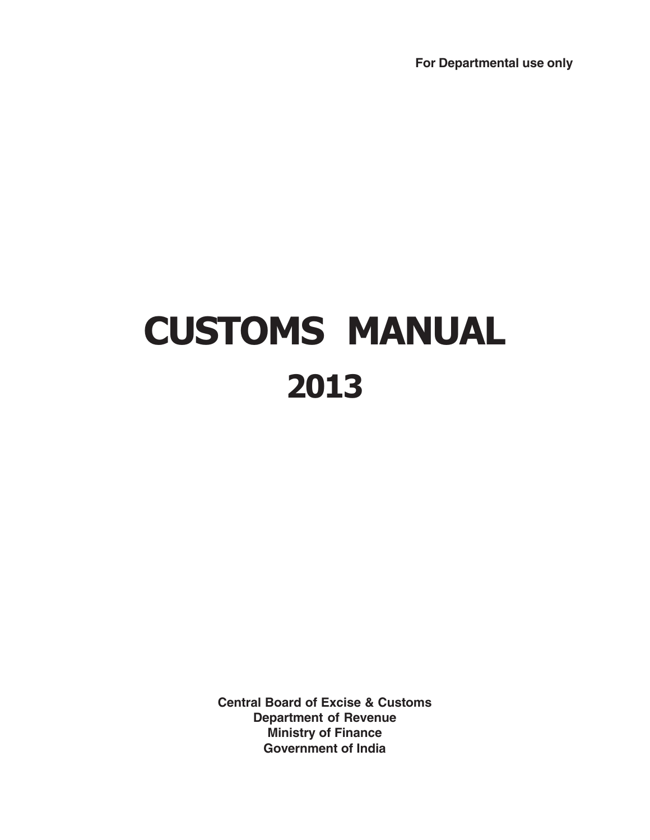**For Departmental use only**

# CUSTOMS MANUAL 2013

**Central Board of Excise & Customs Department of Revenue Ministry of Finance Government of India**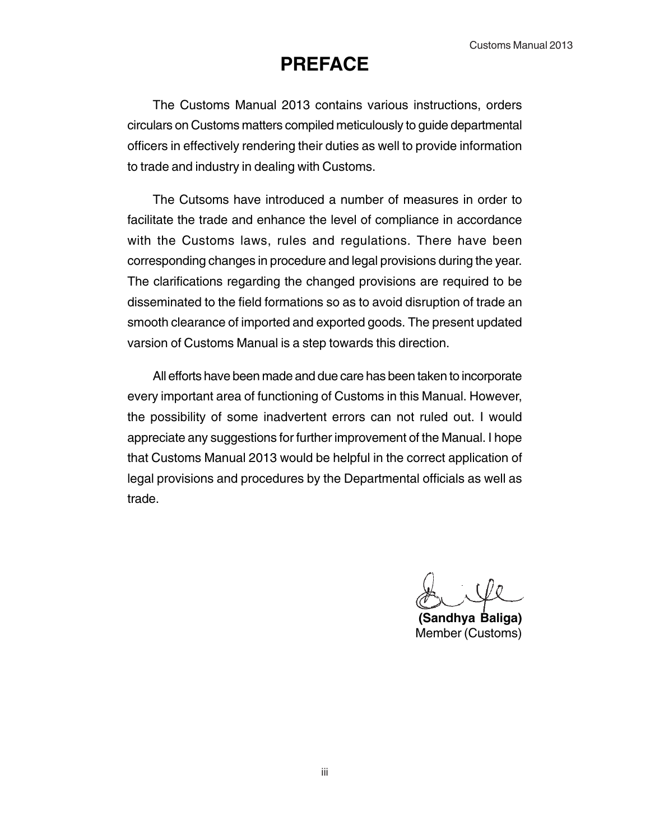# **PREFACE**

The Customs Manual 2013 contains various instructions, orders circulars on Customs matters compiled meticulously to guide departmental officers in effectively rendering their duties as well to provide information to trade and industry in dealing with Customs.

The Cutsoms have introduced a number of measures in order to facilitate the trade and enhance the level of compliance in accordance with the Customs laws, rules and regulations. There have been corresponding changes in procedure and legal provisions during the year. The clarifications regarding the changed provisions are required to be disseminated to the field formations so as to avoid disruption of trade an smooth clearance of imported and exported goods. The present updated varsion of Customs Manual is a step towards this direction.

All efforts have been made and due care has been taken to incorporate every important area of functioning of Customs in this Manual. However, the possibility of some inadvertent errors can not ruled out. I would appreciate any suggestions for further improvement of the Manual. I hope that Customs Manual 2013 would be helpful in the correct application of legal provisions and procedures by the Departmental officials as well as trade.

**(Sandhya Baliga)** Member (Customs)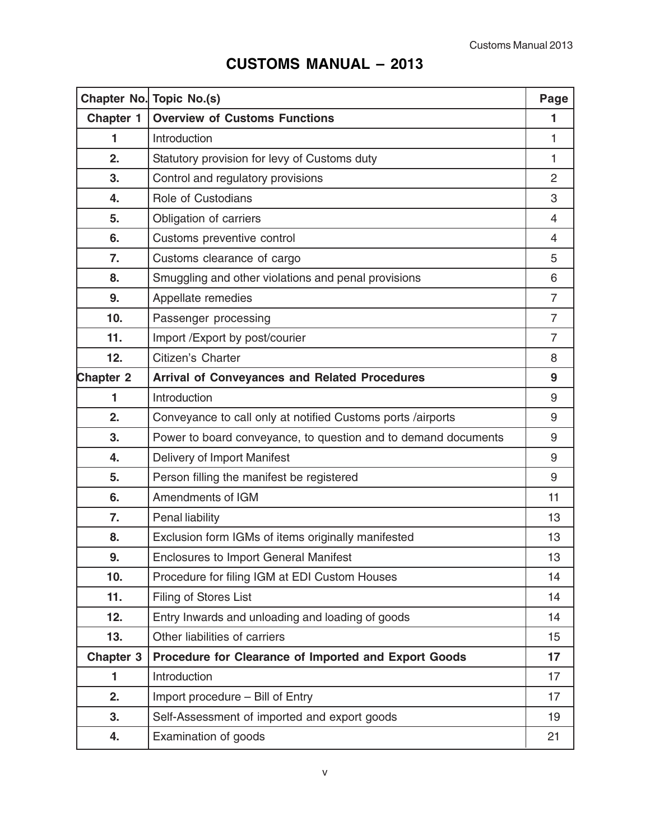# **CUSTOMS MANUAL – 2013**

|                  | Chapter No. Topic No.(s)                                       | Page           |
|------------------|----------------------------------------------------------------|----------------|
| <b>Chapter 1</b> | <b>Overview of Customs Functions</b>                           | 1              |
| 1                | Introduction                                                   | 1              |
| 2.               | Statutory provision for levy of Customs duty                   | 1              |
| 3.               | Control and regulatory provisions                              | $\overline{2}$ |
| 4.               | Role of Custodians                                             | 3              |
| 5.               | Obligation of carriers                                         | $\overline{4}$ |
| 6.               | Customs preventive control                                     | $\overline{4}$ |
| 7.               | Customs clearance of cargo                                     | 5              |
| 8.               | Smuggling and other violations and penal provisions            | 6              |
| 9.               | Appellate remedies                                             | $\overline{7}$ |
| 10.              | Passenger processing                                           | $\overline{7}$ |
| 11.              | Import /Export by post/courier                                 | $\overline{7}$ |
| 12.              | Citizen's Charter                                              | 8              |
| <b>Chapter 2</b> | <b>Arrival of Conveyances and Related Procedures</b>           | 9              |
| 1                | Introduction                                                   | 9              |
| 2.               | Conveyance to call only at notified Customs ports /airports    | 9              |
| 3.               | Power to board conveyance, to question and to demand documents | 9              |
| 4.               | Delivery of Import Manifest                                    | 9              |
| 5.               | Person filling the manifest be registered                      | 9              |
| 6.               | Amendments of IGM                                              | 11             |
| 7.               | Penal liability                                                | 13             |
| 8.               | Exclusion form IGMs of items originally manifested             | 13             |
| 9.               | <b>Enclosures to Import General Manifest</b>                   | 13             |
| 10.              | Procedure for filing IGM at EDI Custom Houses                  | 14             |
| 11.              | Filing of Stores List                                          | 14             |
| 12.              | Entry Inwards and unloading and loading of goods               | 14             |
| 13.              | Other liabilities of carriers                                  | 15             |
| <b>Chapter 3</b> | Procedure for Clearance of Imported and Export Goods           | 17             |
| 1                | Introduction                                                   | 17             |
| 2.               | Import procedure - Bill of Entry                               | 17             |
| 3.               | Self-Assessment of imported and export goods                   | 19             |
| 4.               | Examination of goods                                           | 21             |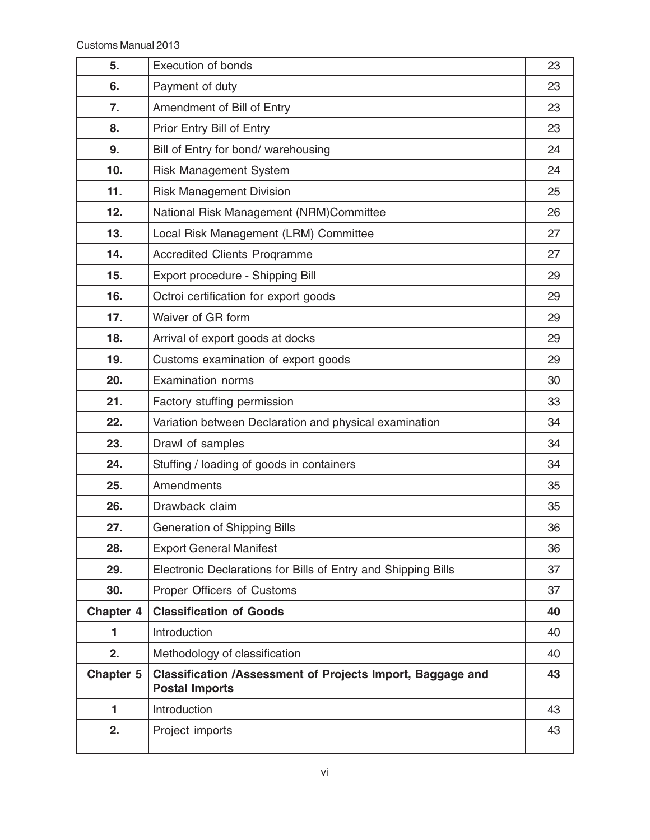| 5.        | Execution of bonds                                                                         | 23 |
|-----------|--------------------------------------------------------------------------------------------|----|
| 6.        | Payment of duty                                                                            | 23 |
| 7.        | Amendment of Bill of Entry                                                                 | 23 |
| 8.        | Prior Entry Bill of Entry                                                                  | 23 |
| 9.        | Bill of Entry for bond/ warehousing                                                        | 24 |
| 10.       | <b>Risk Management System</b>                                                              | 24 |
| 11.       | <b>Risk Management Division</b>                                                            | 25 |
| 12.       | National Risk Management (NRM)Committee                                                    | 26 |
| 13.       | Local Risk Management (LRM) Committee                                                      | 27 |
| 14.       | <b>Accredited Clients Programme</b>                                                        | 27 |
| 15.       | Export procedure - Shipping Bill                                                           | 29 |
| 16.       | Octroi certification for export goods                                                      | 29 |
| 17.       | Waiver of GR form                                                                          | 29 |
| 18.       | Arrival of export goods at docks                                                           | 29 |
| 19.       | Customs examination of export goods                                                        | 29 |
| 20.       | <b>Examination norms</b>                                                                   | 30 |
| 21.       | Factory stuffing permission                                                                | 33 |
| 22.       | Variation between Declaration and physical examination                                     | 34 |
| 23.       | Drawl of samples                                                                           | 34 |
| 24.       | Stuffing / loading of goods in containers                                                  | 34 |
| 25.       | Amendments                                                                                 | 35 |
| 26.       | Drawback claim                                                                             | 35 |
| 27.       | <b>Generation of Shipping Bills</b>                                                        | 36 |
| 28.       | <b>Export General Manifest</b>                                                             | 36 |
| 29.       | Electronic Declarations for Bills of Entry and Shipping Bills                              | 37 |
| 30.       | Proper Officers of Customs                                                                 | 37 |
| Chapter 4 | <b>Classification of Goods</b>                                                             | 40 |
| 1.        | Introduction                                                                               | 40 |
| 2.        | Methodology of classification                                                              | 40 |
| Chapter 5 | <b>Classification /Assessment of Projects Import, Baggage and</b><br><b>Postal Imports</b> | 43 |
| 1         | Introduction                                                                               | 43 |
| 2.        | Project imports                                                                            | 43 |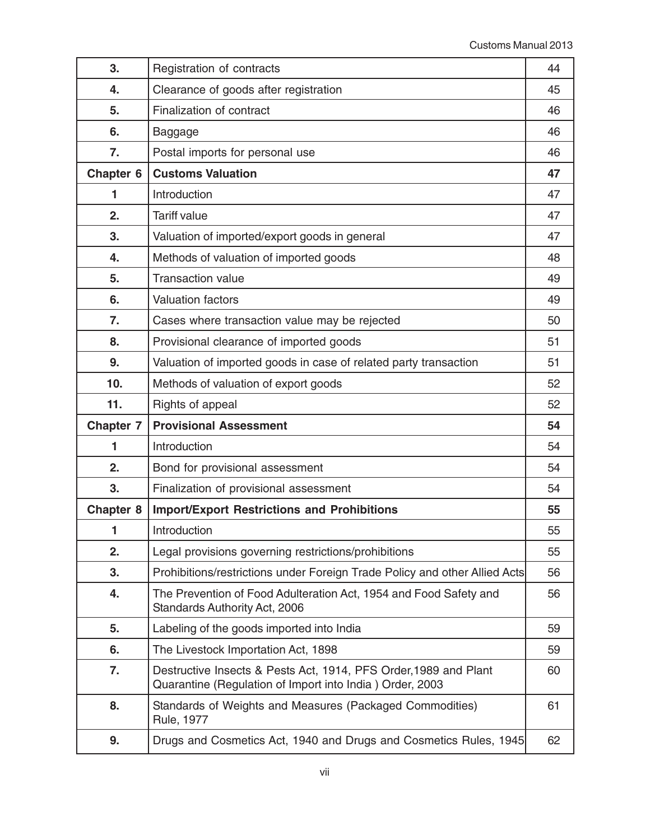| 3.                   | Registration of contracts                                                                                                    | 44 |
|----------------------|------------------------------------------------------------------------------------------------------------------------------|----|
| 4.                   | Clearance of goods after registration                                                                                        | 45 |
| 5.                   | Finalization of contract                                                                                                     | 46 |
| 6.                   | Baggage                                                                                                                      | 46 |
| 7.                   | Postal imports for personal use                                                                                              | 46 |
| Chapter <sub>6</sub> | <b>Customs Valuation</b>                                                                                                     | 47 |
| 1                    | Introduction                                                                                                                 | 47 |
| 2.                   | <b>Tariff value</b>                                                                                                          | 47 |
| 3.                   | Valuation of imported/export goods in general                                                                                | 47 |
| 4.                   | Methods of valuation of imported goods                                                                                       | 48 |
| 5.                   | <b>Transaction value</b>                                                                                                     | 49 |
| 6.                   | <b>Valuation factors</b>                                                                                                     | 49 |
| 7.                   | Cases where transaction value may be rejected                                                                                | 50 |
| 8.                   | Provisional clearance of imported goods                                                                                      | 51 |
| 9.                   | Valuation of imported goods in case of related party transaction                                                             | 51 |
| 10.                  | Methods of valuation of export goods                                                                                         | 52 |
| 11.                  | Rights of appeal                                                                                                             | 52 |
| <b>Chapter 7</b>     | <b>Provisional Assessment</b>                                                                                                | 54 |
| 1                    | Introduction                                                                                                                 | 54 |
| 2.                   | Bond for provisional assessment                                                                                              | 54 |
| 3.                   | Finalization of provisional assessment                                                                                       | 54 |
| <b>Chapter 8</b>     | <b>Import/Export Restrictions and Prohibitions</b>                                                                           | 55 |
| 1                    | Introduction                                                                                                                 | 55 |
| 2.                   | Legal provisions governing restrictions/prohibitions                                                                         | 55 |
| 3.                   | Prohibitions/restrictions under Foreign Trade Policy and other Allied Acts                                                   | 56 |
| 4.                   | The Prevention of Food Adulteration Act, 1954 and Food Safety and<br>Standards Authority Act, 2006                           | 56 |
| 5.                   | Labeling of the goods imported into India                                                                                    | 59 |
| 6.                   | The Livestock Importation Act, 1898                                                                                          | 59 |
| 7.                   | Destructive Insects & Pests Act, 1914, PFS Order, 1989 and Plant<br>Quarantine (Regulation of Import into India) Order, 2003 | 60 |
| 8.                   | Standards of Weights and Measures (Packaged Commodities)<br>Rule, 1977                                                       | 61 |
| 9.                   | Drugs and Cosmetics Act, 1940 and Drugs and Cosmetics Rules, 1945                                                            | 62 |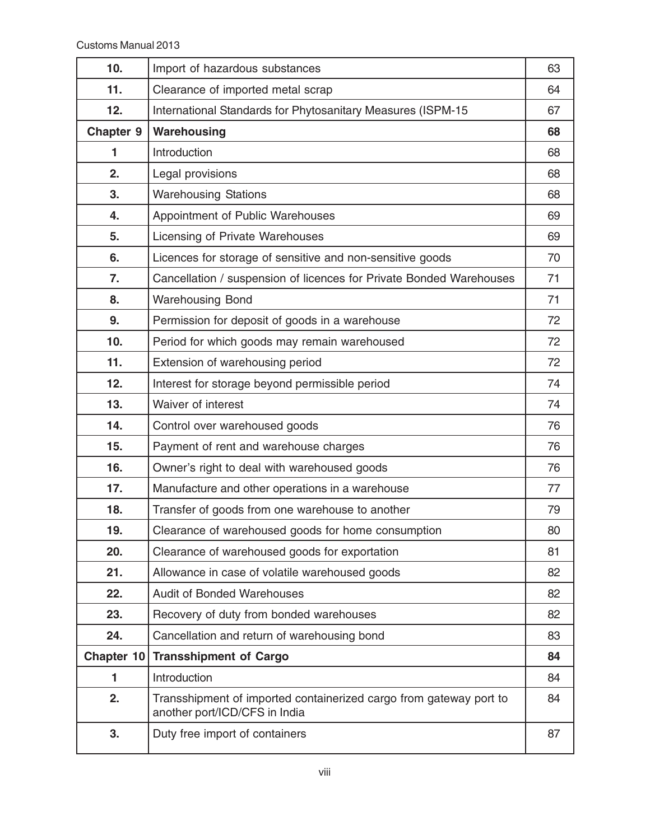| 10.        | Import of hazardous substances                                                                      | 63 |
|------------|-----------------------------------------------------------------------------------------------------|----|
| 11.        | Clearance of imported metal scrap                                                                   | 64 |
| 12.        | International Standards for Phytosanitary Measures (ISPM-15                                         | 67 |
| Chapter 9  | Warehousing                                                                                         | 68 |
| 1          | Introduction                                                                                        | 68 |
| 2.         | Legal provisions                                                                                    | 68 |
| 3.         | <b>Warehousing Stations</b>                                                                         | 68 |
| 4.         | Appointment of Public Warehouses                                                                    | 69 |
| 5.         | Licensing of Private Warehouses                                                                     | 69 |
| 6.         | Licences for storage of sensitive and non-sensitive goods                                           | 70 |
| 7.         | Cancellation / suspension of licences for Private Bonded Warehouses                                 | 71 |
| 8.         | <b>Warehousing Bond</b>                                                                             | 71 |
| 9.         | Permission for deposit of goods in a warehouse                                                      | 72 |
| 10.        | Period for which goods may remain warehoused                                                        | 72 |
| 11.        | Extension of warehousing period                                                                     | 72 |
| 12.        | Interest for storage beyond permissible period                                                      | 74 |
| 13.        | Waiver of interest                                                                                  | 74 |
| 14.        | Control over warehoused goods                                                                       | 76 |
| 15.        | Payment of rent and warehouse charges                                                               | 76 |
| 16.        | Owner's right to deal with warehoused goods                                                         | 76 |
| 17.        | Manufacture and other operations in a warehouse                                                     | 77 |
| 18.        | Transfer of goods from one warehouse to another                                                     | 79 |
| 19.        | Clearance of warehoused goods for home consumption                                                  | 80 |
| 20.        | Clearance of warehoused goods for exportation                                                       | 81 |
| 21.        | Allowance in case of volatile warehoused goods                                                      | 82 |
| 22.        | <b>Audit of Bonded Warehouses</b>                                                                   | 82 |
| 23.        | Recovery of duty from bonded warehouses                                                             | 82 |
| 24.        | Cancellation and return of warehousing bond                                                         | 83 |
| Chapter 10 | <b>Transshipment of Cargo</b>                                                                       | 84 |
| 1          | Introduction                                                                                        | 84 |
| 2.         | Transshipment of imported containerized cargo from gateway port to<br>another port/ICD/CFS in India | 84 |
| 3.         | Duty free import of containers                                                                      | 87 |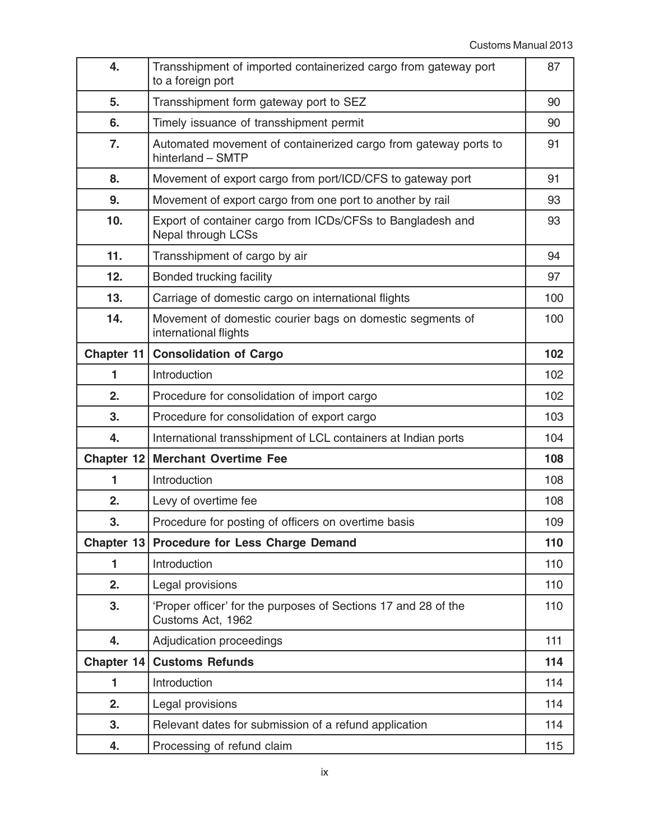| 4.           | Transshipment of imported containerized cargo from gateway port<br>to a foreign port | 87  |
|--------------|--------------------------------------------------------------------------------------|-----|
| 5.           | Transshipment form gateway port to SEZ                                               | 90  |
| 6.           | Timely issuance of transshipment permit                                              | 90  |
| 7.           | Automated movement of containerized cargo from gateway ports to<br>hinterland - SMTP | 91  |
| 8.           | Movement of export cargo from port/ICD/CFS to gateway port                           | 91  |
| 9.           | Movement of export cargo from one port to another by rail                            | 93  |
| 10.          | Export of container cargo from ICDs/CFSs to Bangladesh and<br>Nepal through LCSs     | 93  |
| 11.          | Transshipment of cargo by air                                                        | 94  |
| 12.          | Bonded trucking facility                                                             | 97  |
| 13.          | Carriage of domestic cargo on international flights                                  | 100 |
| 14.          | Movement of domestic courier bags on domestic segments of<br>international flights   | 100 |
| Chapter 11   | <b>Consolidation of Cargo</b>                                                        | 102 |
| 1            | Introduction                                                                         | 102 |
| 2.           | Procedure for consolidation of import cargo                                          | 102 |
| 3.           | Procedure for consolidation of export cargo                                          | 103 |
| 4.           | International transshipment of LCL containers at Indian ports                        | 104 |
| Chapter 12   | <b>Merchant Overtime Fee</b>                                                         | 108 |
| 1            | Introduction                                                                         | 108 |
| 2.           | Levy of overtime fee                                                                 | 108 |
| 3.           | Procedure for posting of officers on overtime basis                                  | 109 |
| Chapter 13   | <b>Procedure for Less Charge Demand</b>                                              | 110 |
| 1            | Introduction                                                                         | 110 |
| 2.           | Legal provisions                                                                     | 110 |
| 3.           | 'Proper officer' for the purposes of Sections 17 and 28 of the<br>Customs Act, 1962  | 110 |
| 4.           | Adjudication proceedings                                                             | 111 |
| Chapter $14$ | <b>Customs Refunds</b>                                                               | 114 |
| 1            | Introduction                                                                         | 114 |
| 2.           | Legal provisions                                                                     | 114 |
|              |                                                                                      |     |
| 3.           | Relevant dates for submission of a refund application                                | 114 |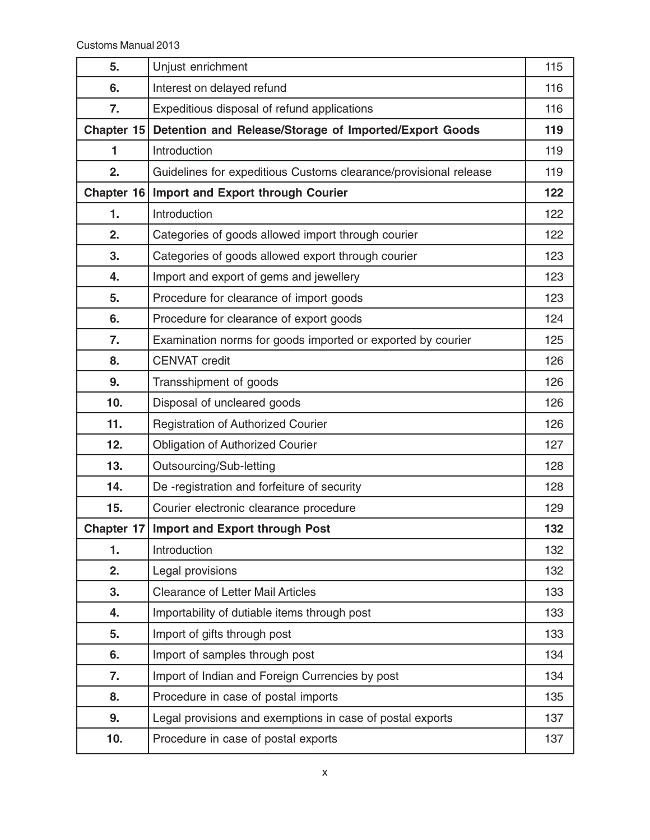| 5.           | Unjust enrichment                                                | 115 |
|--------------|------------------------------------------------------------------|-----|
| 6.           | Interest on delayed refund                                       | 116 |
| 7.           | Expeditious disposal of refund applications                      | 116 |
| Chapter 15   | Detention and Release/Storage of Imported/Export Goods           | 119 |
| 1            | Introduction                                                     | 119 |
| 2.           | Guidelines for expeditious Customs clearance/provisional release | 119 |
| Chapter $16$ | <b>Import and Export through Courier</b>                         | 122 |
| 1.           | Introduction                                                     | 122 |
| 2.           | Categories of goods allowed import through courier               | 122 |
| 3.           | Categories of goods allowed export through courier               | 123 |
| 4.           | Import and export of gems and jewellery                          | 123 |
| 5.           | Procedure for clearance of import goods                          | 123 |
| 6.           | Procedure for clearance of export goods                          | 124 |
| 7.           | Examination norms for goods imported or exported by courier      | 125 |
| 8.           | <b>CENVAT</b> credit                                             | 126 |
| 9.           | Transshipment of goods                                           | 126 |
| 10.          | Disposal of uncleared goods                                      | 126 |
| 11.          | <b>Registration of Authorized Courier</b>                        | 126 |
| 12.          | <b>Obligation of Authorized Courier</b>                          | 127 |
| 13.          | Outsourcing/Sub-letting                                          | 128 |
| 14.          | De -registration and forfeiture of security                      | 128 |
| 15.          | Courier electronic clearance procedure                           | 129 |
| Chapter 17   | <b>Import and Export through Post</b>                            | 132 |
| 1.           | Introduction                                                     | 132 |
| 2.           | Legal provisions                                                 | 132 |
| 3.           | Clearance of Letter Mail Articles                                | 133 |
| 4.           | Importability of dutiable items through post                     | 133 |
| 5.           | Import of gifts through post                                     | 133 |
| 6.           | Import of samples through post                                   | 134 |
| 7.           | Import of Indian and Foreign Currencies by post                  | 134 |
| 8.           | Procedure in case of postal imports                              | 135 |
| 9.           | Legal provisions and exemptions in case of postal exports        | 137 |
| 10.          | Procedure in case of postal exports                              | 137 |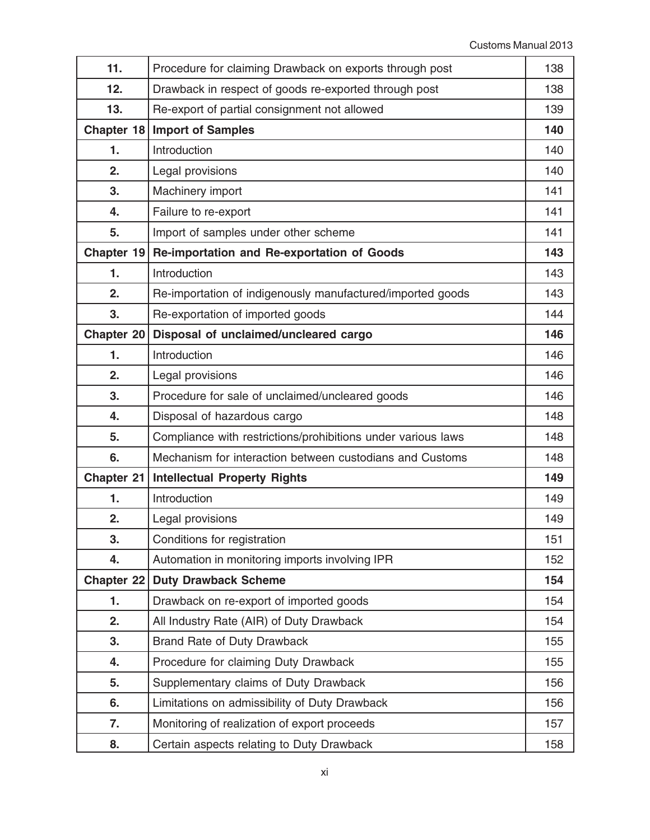| 11.               | Procedure for claiming Drawback on exports through post      | 138 |
|-------------------|--------------------------------------------------------------|-----|
| 12.               | Drawback in respect of goods re-exported through post        | 138 |
| 13.               | Re-export of partial consignment not allowed                 | 139 |
| Chapter 18        | <b>Import of Samples</b>                                     | 140 |
| $\mathbf{1}$ .    | Introduction                                                 | 140 |
| 2.                | Legal provisions                                             | 140 |
| 3.                | Machinery import                                             | 141 |
| 4.                | Failure to re-export                                         | 141 |
| 5.                | Import of samples under other scheme                         | 141 |
| Chapter 19        | Re-importation and Re-exportation of Goods                   | 143 |
| 1.                | Introduction                                                 | 143 |
| 2.                | Re-importation of indigenously manufactured/imported goods   | 143 |
| 3.                | Re-exportation of imported goods                             | 144 |
| <b>Chapter 20</b> | Disposal of unclaimed/uncleared cargo                        | 146 |
| 1.                | Introduction                                                 | 146 |
| 2.                | Legal provisions                                             | 146 |
| 3.                | Procedure for sale of unclaimed/uncleared goods              | 146 |
| 4.                | Disposal of hazardous cargo                                  | 148 |
| 5.                | Compliance with restrictions/prohibitions under various laws | 148 |
| 6.                | Mechanism for interaction between custodians and Customs     | 148 |
| Chapter 21        | <b>Intellectual Property Rights</b>                          | 149 |
| 1.                | Introduction                                                 | 149 |
| 2.                | Legal provisions                                             | 149 |
| 3.                | Conditions for registration                                  | 151 |
| 4.                | Automation in monitoring imports involving IPR               | 152 |
| Chapter 22        | <b>Duty Drawback Scheme</b>                                  | 154 |
| 1.                | Drawback on re-export of imported goods                      | 154 |
| 2.                | All Industry Rate (AIR) of Duty Drawback                     | 154 |
| 3.                | Brand Rate of Duty Drawback                                  | 155 |
| 4.                | Procedure for claiming Duty Drawback                         | 155 |
| 5.                | Supplementary claims of Duty Drawback                        | 156 |
| 6.                | Limitations on admissibility of Duty Drawback                | 156 |
| 7.                | Monitoring of realization of export proceeds                 | 157 |
| 8.                | Certain aspects relating to Duty Drawback                    | 158 |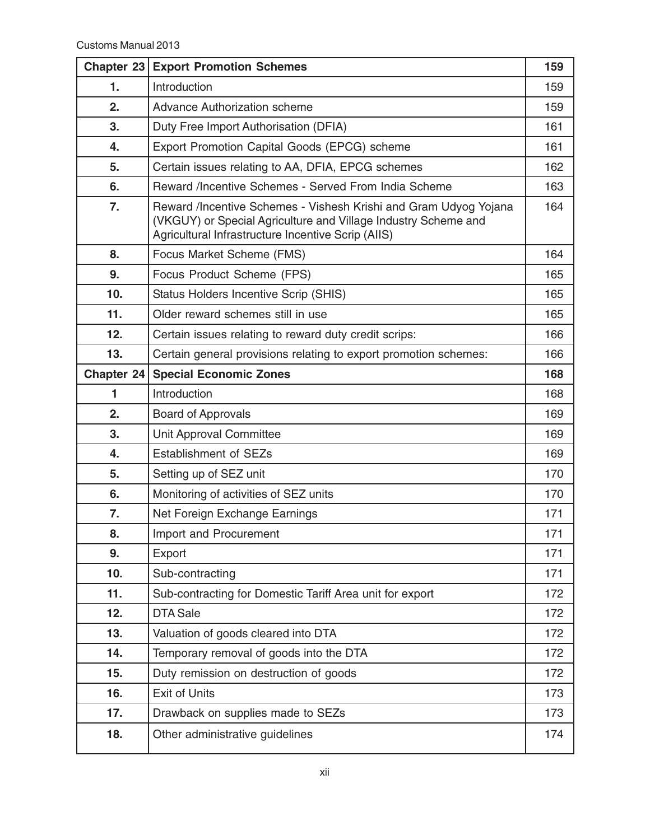| Chapter $23$ | <b>Export Promotion Schemes</b>                                                                                                                                                          | 159 |
|--------------|------------------------------------------------------------------------------------------------------------------------------------------------------------------------------------------|-----|
| 1.           | Introduction                                                                                                                                                                             | 159 |
| 2.           | <b>Advance Authorization scheme</b>                                                                                                                                                      | 159 |
| 3.           | Duty Free Import Authorisation (DFIA)                                                                                                                                                    | 161 |
| 4.           | Export Promotion Capital Goods (EPCG) scheme                                                                                                                                             | 161 |
| 5.           | Certain issues relating to AA, DFIA, EPCG schemes                                                                                                                                        | 162 |
| 6.           | Reward /Incentive Schemes - Served From India Scheme                                                                                                                                     | 163 |
| 7.           | Reward /Incentive Schemes - Vishesh Krishi and Gram Udyog Yojana<br>(VKGUY) or Special Agriculture and Village Industry Scheme and<br>Agricultural Infrastructure Incentive Scrip (AIIS) | 164 |
| 8.           | Focus Market Scheme (FMS)                                                                                                                                                                | 164 |
| 9.           | Focus Product Scheme (FPS)                                                                                                                                                               | 165 |
| 10.          | Status Holders Incentive Scrip (SHIS)                                                                                                                                                    | 165 |
| 11.          | Older reward schemes still in use                                                                                                                                                        | 165 |
| 12.          | Certain issues relating to reward duty credit scrips:                                                                                                                                    | 166 |
| 13.          | Certain general provisions relating to export promotion schemes:                                                                                                                         | 166 |
| Chapter 24   | <b>Special Economic Zones</b>                                                                                                                                                            | 168 |
| 1            | Introduction                                                                                                                                                                             | 168 |
| 2.           | <b>Board of Approvals</b>                                                                                                                                                                | 169 |
| 3.           | Unit Approval Committee                                                                                                                                                                  | 169 |
| 4.           | <b>Establishment of SEZs</b>                                                                                                                                                             | 169 |
| 5.           | Setting up of SEZ unit                                                                                                                                                                   | 170 |
| 6.           | Monitoring of activities of SEZ units                                                                                                                                                    | 170 |
| 7.           | Net Foreign Exchange Earnings                                                                                                                                                            | 171 |
| 8.           | Import and Procurement                                                                                                                                                                   | 171 |
| 9.           | Export                                                                                                                                                                                   | 171 |
| 10.          | Sub-contracting                                                                                                                                                                          | 171 |
| 11.          | Sub-contracting for Domestic Tariff Area unit for export                                                                                                                                 | 172 |
| 12.          | <b>DTA Sale</b>                                                                                                                                                                          | 172 |
| 13.          | Valuation of goods cleared into DTA                                                                                                                                                      | 172 |
| 14.          | Temporary removal of goods into the DTA                                                                                                                                                  | 172 |
| 15.          | Duty remission on destruction of goods                                                                                                                                                   | 172 |
| 16.          | <b>Exit of Units</b>                                                                                                                                                                     | 173 |
| 17.          | Drawback on supplies made to SEZs                                                                                                                                                        | 173 |
| 18.          | Other administrative guidelines                                                                                                                                                          | 174 |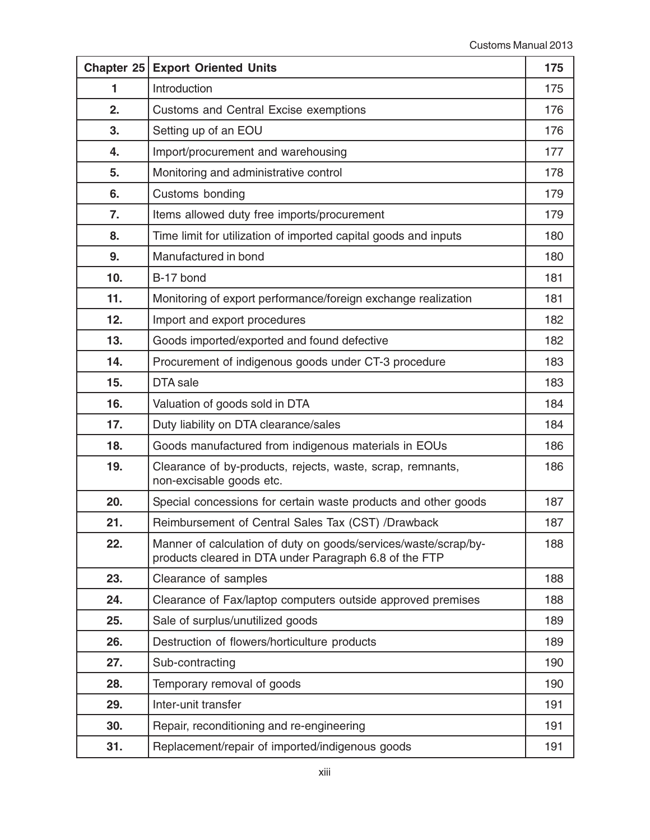| Chapter 25 | <b>Export Oriented Units</b>                                                                                              | 175 |
|------------|---------------------------------------------------------------------------------------------------------------------------|-----|
| 1          | Introduction                                                                                                              | 175 |
| 2.         | <b>Customs and Central Excise exemptions</b>                                                                              | 176 |
| 3.         | Setting up of an EOU                                                                                                      | 176 |
| 4.         | Import/procurement and warehousing                                                                                        | 177 |
| 5.         | Monitoring and administrative control                                                                                     | 178 |
| 6.         | Customs bonding                                                                                                           | 179 |
| 7.         | Items allowed duty free imports/procurement                                                                               | 179 |
| 8.         | Time limit for utilization of imported capital goods and inputs                                                           | 180 |
| 9.         | Manufactured in bond                                                                                                      | 180 |
| 10.        | B-17 bond                                                                                                                 | 181 |
| 11.        | Monitoring of export performance/foreign exchange realization                                                             | 181 |
| 12.        | Import and export procedures                                                                                              | 182 |
| 13.        | Goods imported/exported and found defective                                                                               | 182 |
| 14.        | Procurement of indigenous goods under CT-3 procedure                                                                      | 183 |
| 15.        | DTA sale                                                                                                                  | 183 |
| 16.        | Valuation of goods sold in DTA                                                                                            | 184 |
| 17.        | Duty liability on DTA clearance/sales                                                                                     | 184 |
| 18.        | Goods manufactured from indigenous materials in EOUs                                                                      | 186 |
| 19.        | Clearance of by-products, rejects, waste, scrap, remnants,<br>non-excisable goods etc.                                    | 186 |
| 20.        | Special concessions for certain waste products and other goods                                                            | 187 |
| 21.        | Reimbursement of Central Sales Tax (CST) /Drawback                                                                        | 187 |
| 22.        | Manner of calculation of duty on goods/services/waste/scrap/by-<br>products cleared in DTA under Paragraph 6.8 of the FTP | 188 |
| 23.        | Clearance of samples                                                                                                      | 188 |
| 24.        | Clearance of Fax/laptop computers outside approved premises                                                               | 188 |
| 25.        | Sale of surplus/unutilized goods                                                                                          | 189 |
| 26.        | Destruction of flowers/horticulture products                                                                              | 189 |
| 27.        | Sub-contracting                                                                                                           | 190 |
| 28.        | Temporary removal of goods                                                                                                | 190 |
| 29.        | Inter-unit transfer                                                                                                       | 191 |
| 30.        | Repair, reconditioning and re-engineering                                                                                 | 191 |
| 31.        | Replacement/repair of imported/indigenous goods                                                                           | 191 |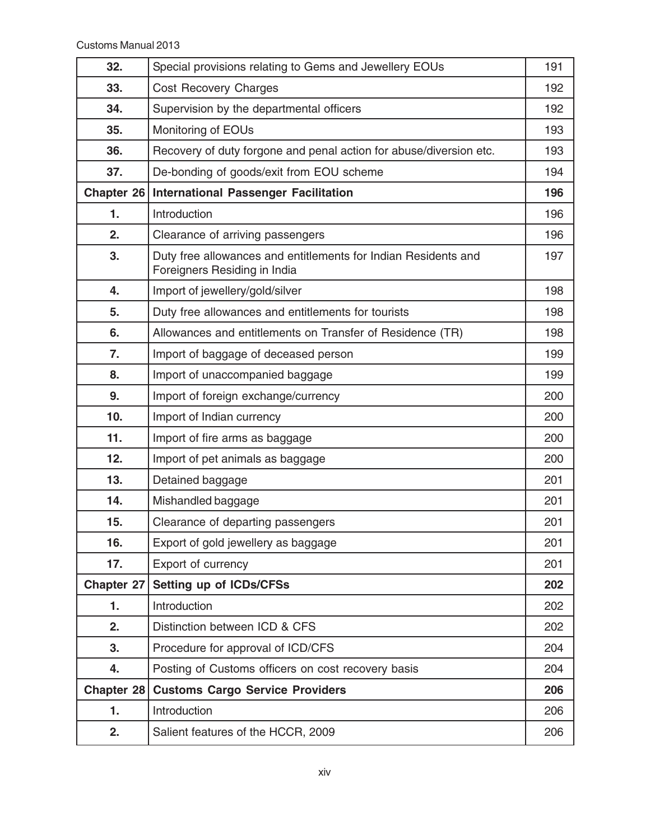| 32.               | Special provisions relating to Gems and Jewellery EOUs                                         | 191 |
|-------------------|------------------------------------------------------------------------------------------------|-----|
| 33.               | Cost Recovery Charges                                                                          | 192 |
| 34.               | Supervision by the departmental officers                                                       | 192 |
| 35.               | Monitoring of EOUs                                                                             | 193 |
| 36.               | Recovery of duty forgone and penal action for abuse/diversion etc.                             | 193 |
| 37.               | De-bonding of goods/exit from EOU scheme                                                       | 194 |
| Chapter 26        | <b>International Passenger Facilitation</b>                                                    | 196 |
| $\mathbf{1}$ .    | Introduction                                                                                   | 196 |
| 2.                | Clearance of arriving passengers                                                               | 196 |
| 3.                | Duty free allowances and entitlements for Indian Residents and<br>Foreigners Residing in India | 197 |
| 4.                | Import of jewellery/gold/silver                                                                | 198 |
| 5.                | Duty free allowances and entitlements for tourists                                             | 198 |
| 6.                | Allowances and entitlements on Transfer of Residence (TR)                                      | 198 |
| 7.                | Import of baggage of deceased person                                                           | 199 |
| 8.                | Import of unaccompanied baggage                                                                | 199 |
| 9.                | Import of foreign exchange/currency                                                            | 200 |
| 10.               | Import of Indian currency                                                                      | 200 |
| 11.               | Import of fire arms as baggage                                                                 | 200 |
| 12.               | Import of pet animals as baggage                                                               | 200 |
| 13.               | Detained baggage                                                                               | 201 |
| 14.               | Mishandled baggage                                                                             | 201 |
| 15.               | Clearance of departing passengers                                                              | 201 |
| 16.               | Export of gold jewellery as baggage                                                            | 201 |
| 17.               | Export of currency                                                                             | 201 |
| <b>Chapter 27</b> | Setting up of ICDs/CFSs                                                                        | 202 |
| 1.                | Introduction                                                                                   | 202 |
| 2.                | Distinction between ICD & CFS                                                                  | 202 |
| 3.                | Procedure for approval of ICD/CFS                                                              | 204 |
| 4.                | Posting of Customs officers on cost recovery basis                                             | 204 |
| Chapter 28        | <b>Customs Cargo Service Providers</b>                                                         | 206 |
| 1.                | Introduction                                                                                   | 206 |
| 2.                | Salient features of the HCCR, 2009                                                             | 206 |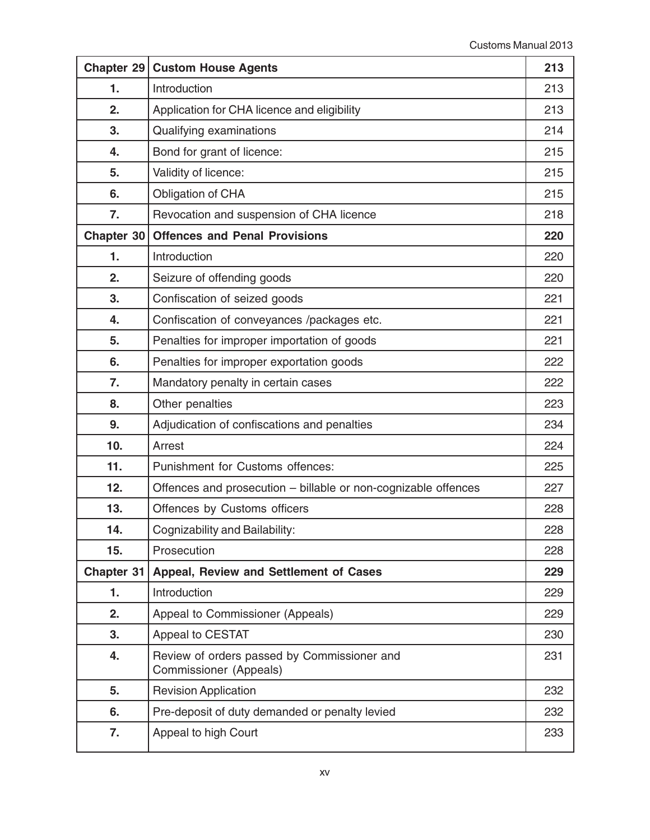| Chapter 29   | <b>Custom House Agents</b>                                            | 213 |
|--------------|-----------------------------------------------------------------------|-----|
| 1.           | Introduction                                                          | 213 |
| 2.           | Application for CHA licence and eligibility                           | 213 |
| 3.           | Qualifying examinations                                               | 214 |
| 4.           | Bond for grant of licence:                                            | 215 |
| 5.           | Validity of licence:                                                  | 215 |
| 6.           | Obligation of CHA                                                     | 215 |
| 7.           | Revocation and suspension of CHA licence                              | 218 |
| Chapter 30   | <b>Offences and Penal Provisions</b>                                  | 220 |
| 1.           | Introduction                                                          | 220 |
| 2.           | Seizure of offending goods                                            | 220 |
| 3.           | Confiscation of seized goods                                          | 221 |
| 4.           | Confiscation of conveyances /packages etc.                            | 221 |
| 5.           | Penalties for improper importation of goods                           | 221 |
| 6.           | Penalties for improper exportation goods                              | 222 |
| 7.           | Mandatory penalty in certain cases                                    | 222 |
| 8.           | Other penalties                                                       | 223 |
| 9.           | Adjudication of confiscations and penalties                           | 234 |
| 10.          | Arrest                                                                | 224 |
| 11.          | Punishment for Customs offences:                                      | 225 |
| 12.          | Offences and prosecution - billable or non-cognizable offences        | 227 |
| 13.          | Offences by Customs officers                                          | 228 |
| 14.          | Cognizability and Bailability:                                        | 228 |
| 15.          | Prosecution                                                           | 228 |
| Chapter $31$ | Appeal, Review and Settlement of Cases                                | 229 |
| 1.           | Introduction                                                          | 229 |
| 2.           | Appeal to Commissioner (Appeals)                                      | 229 |
| 3.           | Appeal to CESTAT                                                      | 230 |
| 4.           | Review of orders passed by Commissioner and<br>Commissioner (Appeals) | 231 |
| 5.           | <b>Revision Application</b>                                           | 232 |
| 6.           | Pre-deposit of duty demanded or penalty levied                        | 232 |
| 7.           | Appeal to high Court                                                  | 233 |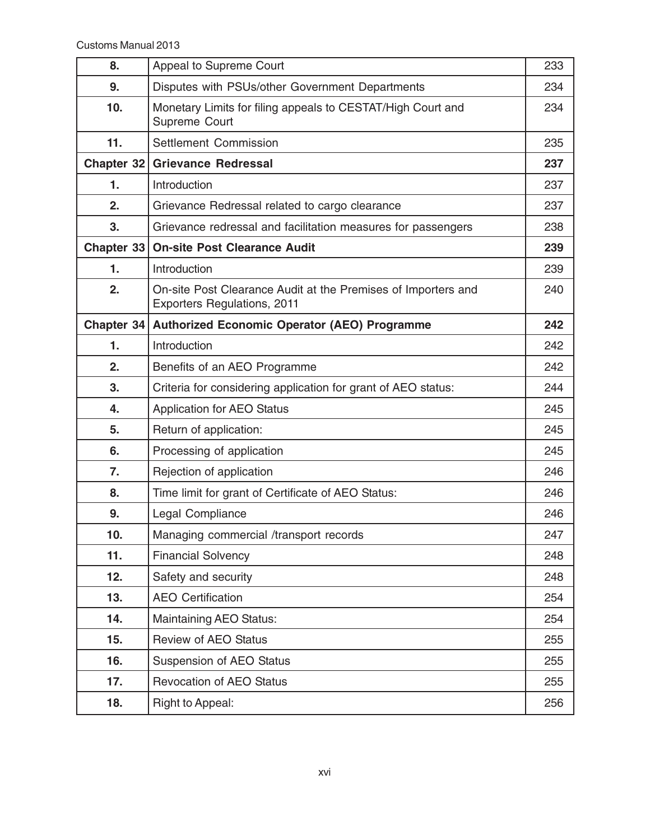| 8.           | Appeal to Supreme Court                                                                      | 233 |
|--------------|----------------------------------------------------------------------------------------------|-----|
| 9.           | Disputes with PSUs/other Government Departments                                              | 234 |
| 10.          | Monetary Limits for filing appeals to CESTAT/High Court and<br>Supreme Court                 | 234 |
| 11.          | <b>Settlement Commission</b>                                                                 | 235 |
| Chapter $32$ | <b>Grievance Redressal</b>                                                                   | 237 |
| 1.           | Introduction                                                                                 | 237 |
| 2.           | Grievance Redressal related to cargo clearance                                               | 237 |
| 3.           | Grievance redressal and facilitation measures for passengers                                 | 238 |
| Chapter $33$ | <b>On-site Post Clearance Audit</b>                                                          | 239 |
| 1.           | Introduction                                                                                 | 239 |
| 2.           | On-site Post Clearance Audit at the Premises of Importers and<br>Exporters Regulations, 2011 | 240 |
| Chapter 34   | <b>Authorized Economic Operator (AEO) Programme</b>                                          | 242 |
| 1.           | Introduction                                                                                 | 242 |
| 2.           | Benefits of an AEO Programme                                                                 | 242 |
| 3.           | Criteria for considering application for grant of AEO status:                                | 244 |
| 4.           | <b>Application for AEO Status</b>                                                            | 245 |
| 5.           | Return of application:                                                                       | 245 |
| 6.           | Processing of application                                                                    | 245 |
| 7.           | Rejection of application                                                                     | 246 |
| 8.           | Time limit for grant of Certificate of AEO Status:                                           | 246 |
| 9.           | Legal Compliance                                                                             | 246 |
| 10.          | Managing commercial /transport records                                                       | 247 |
| 11.          | <b>Financial Solvency</b>                                                                    | 248 |
| 12.          | Safety and security                                                                          | 248 |
| 13.          | <b>AEO Certification</b>                                                                     | 254 |
| 14.          | Maintaining AEO Status:                                                                      | 254 |
| 15.          | <b>Review of AEO Status</b>                                                                  | 255 |
| 16.          | Suspension of AEO Status                                                                     | 255 |
| 17.          | <b>Revocation of AEO Status</b>                                                              | 255 |
| 18.          | Right to Appeal:                                                                             | 256 |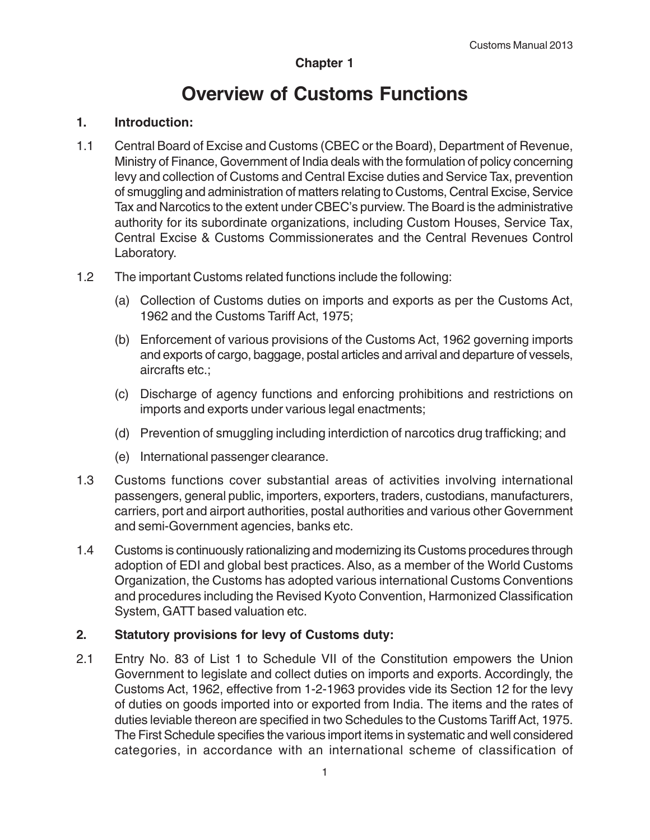# **Chapter 1**

# **Overview of Customs Functions**

#### **1. Introduction:**

- 1.1 Central Board of Excise and Customs (CBEC or the Board), Department of Revenue, Ministry of Finance, Government of India deals with the formulation of policy concerning levy and collection of Customs and Central Excise duties and Service Tax, prevention of smuggling and administration of matters relating to Customs, Central Excise, Service Tax and Narcotics to the extent under CBEC's purview. The Board is the administrative authority for its subordinate organizations, including Custom Houses, Service Tax, Central Excise & Customs Commissionerates and the Central Revenues Control Laboratory.
- 1.2 The important Customs related functions include the following:
	- (a) Collection of Customs duties on imports and exports as per the Customs Act, 1962 and the Customs Tariff Act, 1975;
	- (b) Enforcement of various provisions of the Customs Act, 1962 governing imports and exports of cargo, baggage, postal articles and arrival and departure of vessels, aircrafts etc.;
	- (c) Discharge of agency functions and enforcing prohibitions and restrictions on imports and exports under various legal enactments;
	- (d) Prevention of smuggling including interdiction of narcotics drug trafficking; and
	- (e) International passenger clearance.
- 1.3 Customs functions cover substantial areas of activities involving international passengers, general public, importers, exporters, traders, custodians, manufacturers, carriers, port and airport authorities, postal authorities and various other Government and semi-Government agencies, banks etc.
- 1.4 Customs is continuously rationalizing and modernizing its Customs procedures through adoption of EDI and global best practices. Also, as a member of the World Customs Organization, the Customs has adopted various international Customs Conventions and procedures including the Revised Kyoto Convention, Harmonized Classification System, GATT based valuation etc.

#### **2. Statutory provisions for levy of Customs duty:**

2.1 Entry No. 83 of List 1 to Schedule VII of the Constitution empowers the Union Government to legislate and collect duties on imports and exports. Accordingly, the Customs Act, 1962, effective from 1-2-1963 provides vide its Section 12 for the levy of duties on goods imported into or exported from India. The items and the rates of duties leviable thereon are specified in two Schedules to the Customs Tariff Act, 1975. The First Schedule specifies the various import items in systematic and well considered categories, in accordance with an international scheme of classification of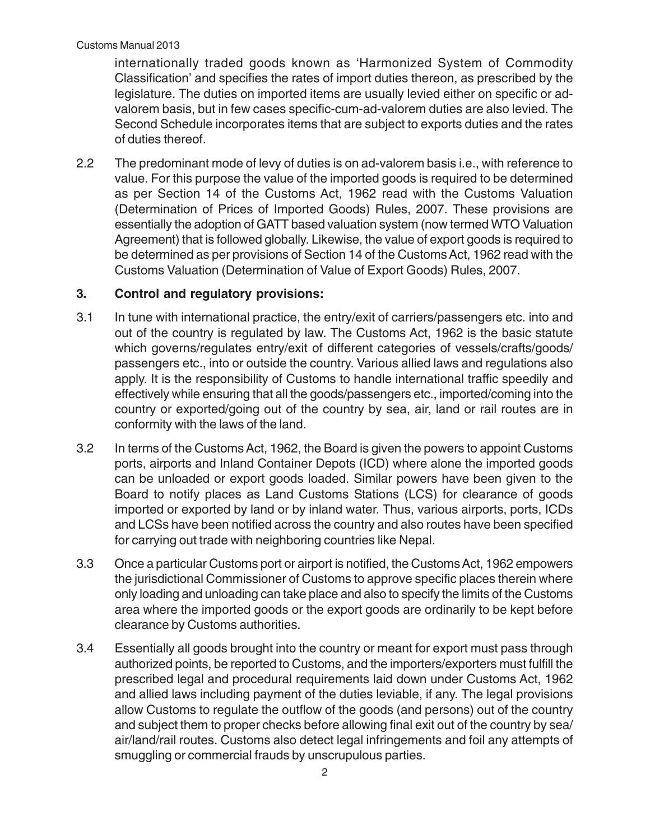internationally traded goods known as 'Harmonized System of Commodity Classification' and specifies the rates of import duties thereon, as prescribed by the legislature. The duties on imported items are usually levied either on specific or advalorem basis, but in few cases specific-cum-ad-valorem duties are also levied. The Second Schedule incorporates items that are subject to exports duties and the rates of duties thereof.

2.2 The predominant mode of levy of duties is on ad-valorem basis i.e., with reference to value. For this purpose the value of the imported goods is required to be determined as per Section 14 of the Customs Act, 1962 read with the Customs Valuation (Determination of Prices of Imported Goods) Rules, 2007. These provisions are essentially the adoption of GATT based valuation system (now termed WTO Valuation Agreement) that is followed globally. Likewise, the value of export goods is required to be determined as per provisions of Section 14 of the Customs Act, 1962 read with the Customs Valuation (Determination of Value of Export Goods) Rules, 2007.

# **3. Control and regulatory provisions:**

- 3.1 In tune with international practice, the entry/exit of carriers/passengers etc. into and out of the country is regulated by law. The Customs Act, 1962 is the basic statute which governs/regulates entry/exit of different categories of vessels/crafts/goods/ passengers etc., into or outside the country. Various allied laws and regulations also apply. It is the responsibility of Customs to handle international traffic speedily and effectively while ensuring that all the goods/passengers etc., imported/coming into the country or exported/going out of the country by sea, air, land or rail routes are in conformity with the laws of the land.
- 3.2 In terms of the Customs Act, 1962, the Board is given the powers to appoint Customs ports, airports and Inland Container Depots (ICD) where alone the imported goods can be unloaded or export goods loaded. Similar powers have been given to the Board to notify places as Land Customs Stations (LCS) for clearance of goods imported or exported by land or by inland water. Thus, various airports, ports, ICDs and LCSs have been notified across the country and also routes have been specified for carrying out trade with neighboring countries like Nepal.
- 3.3 Once a particular Customs port or airport is notified, the Customs Act, 1962 empowers the jurisdictional Commissioner of Customs to approve specific places therein where only loading and unloading can take place and also to specify the limits of the Customs area where the imported goods or the export goods are ordinarily to be kept before clearance by Customs authorities.
- 3.4 Essentially all goods brought into the country or meant for export must pass through authorized points, be reported to Customs, and the importers/exporters must fulfill the prescribed legal and procedural requirements laid down under Customs Act, 1962 and allied laws including payment of the duties leviable, if any. The legal provisions allow Customs to regulate the outflow of the goods (and persons) out of the country and subject them to proper checks before allowing final exit out of the country by sea/ air/land/rail routes. Customs also detect legal infringements and foil any attempts of smuggling or commercial frauds by unscrupulous parties.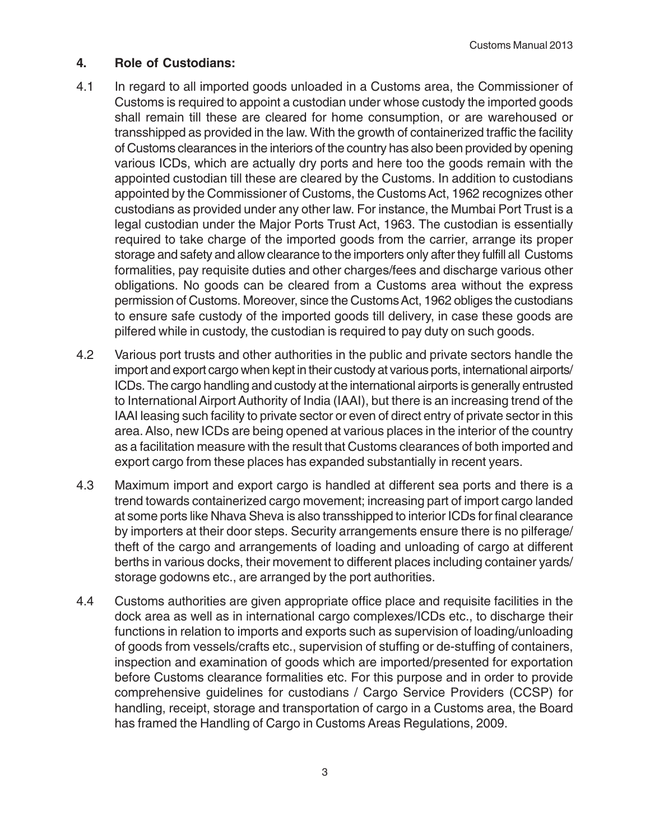# **4. Role of Custodians:**

- 4.1 In regard to all imported goods unloaded in a Customs area, the Commissioner of Customs is required to appoint a custodian under whose custody the imported goods shall remain till these are cleared for home consumption, or are warehoused or transshipped as provided in the law. With the growth of containerized traffic the facility of Customs clearances in the interiors of the country has also been provided by opening various ICDs, which are actually dry ports and here too the goods remain with the appointed custodian till these are cleared by the Customs. In addition to custodians appointed by the Commissioner of Customs, the Customs Act, 1962 recognizes other custodians as provided under any other law. For instance, the Mumbai Port Trust is a legal custodian under the Major Ports Trust Act, 1963. The custodian is essentially required to take charge of the imported goods from the carrier, arrange its proper storage and safety and allow clearance to the importers only after they fulfill all Customs formalities, pay requisite duties and other charges/fees and discharge various other obligations. No goods can be cleared from a Customs area without the express permission of Customs. Moreover, since the Customs Act, 1962 obliges the custodians to ensure safe custody of the imported goods till delivery, in case these goods are pilfered while in custody, the custodian is required to pay duty on such goods.
- 4.2 Various port trusts and other authorities in the public and private sectors handle the import and export cargo when kept in their custody at various ports, international airports/ ICDs. The cargo handling and custody at the international airports is generally entrusted to International Airport Authority of India (IAAI), but there is an increasing trend of the IAAI leasing such facility to private sector or even of direct entry of private sector in this area. Also, new ICDs are being opened at various places in the interior of the country as a facilitation measure with the result that Customs clearances of both imported and export cargo from these places has expanded substantially in recent years.
- 4.3 Maximum import and export cargo is handled at different sea ports and there is a trend towards containerized cargo movement; increasing part of import cargo landed at some ports like Nhava Sheva is also transshipped to interior ICDs for final clearance by importers at their door steps. Security arrangements ensure there is no pilferage/ theft of the cargo and arrangements of loading and unloading of cargo at different berths in various docks, their movement to different places including container yards/ storage godowns etc., are arranged by the port authorities.
- 4.4 Customs authorities are given appropriate office place and requisite facilities in the dock area as well as in international cargo complexes/ICDs etc., to discharge their functions in relation to imports and exports such as supervision of loading/unloading of goods from vessels/crafts etc., supervision of stuffing or de-stuffing of containers, inspection and examination of goods which are imported/presented for exportation before Customs clearance formalities etc. For this purpose and in order to provide comprehensive guidelines for custodians / Cargo Service Providers (CCSP) for handling, receipt, storage and transportation of cargo in a Customs area, the Board has framed the Handling of Cargo in Customs Areas Regulations, 2009.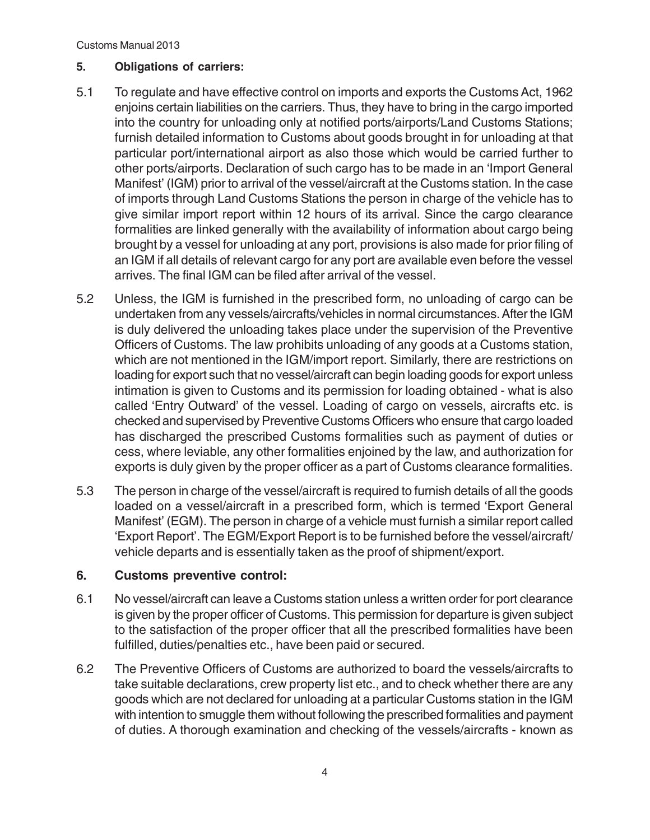Customs Manual 2013

#### **5. Obligations of carriers:**

- 5.1 To regulate and have effective control on imports and exports the Customs Act, 1962 enjoins certain liabilities on the carriers. Thus, they have to bring in the cargo imported into the country for unloading only at notified ports/airports/Land Customs Stations; furnish detailed information to Customs about goods brought in for unloading at that particular port/international airport as also those which would be carried further to other ports/airports. Declaration of such cargo has to be made in an 'Import General Manifest' (IGM) prior to arrival of the vessel/aircraft at the Customs station. In the case of imports through Land Customs Stations the person in charge of the vehicle has to give similar import report within 12 hours of its arrival. Since the cargo clearance formalities are linked generally with the availability of information about cargo being brought by a vessel for unloading at any port, provisions is also made for prior filing of an IGM if all details of relevant cargo for any port are available even before the vessel arrives. The final IGM can be filed after arrival of the vessel.
- 5.2 Unless, the IGM is furnished in the prescribed form, no unloading of cargo can be undertaken from any vessels/aircrafts/vehicles in normal circumstances. After the IGM is duly delivered the unloading takes place under the supervision of the Preventive Officers of Customs. The law prohibits unloading of any goods at a Customs station, which are not mentioned in the IGM/import report. Similarly, there are restrictions on loading for export such that no vessel/aircraft can begin loading goods for export unless intimation is given to Customs and its permission for loading obtained - what is also called 'Entry Outward' of the vessel. Loading of cargo on vessels, aircrafts etc. is checked and supervised by Preventive Customs Officers who ensure that cargo loaded has discharged the prescribed Customs formalities such as payment of duties or cess, where leviable, any other formalities enjoined by the law, and authorization for exports is duly given by the proper officer as a part of Customs clearance formalities.
- 5.3 The person in charge of the vessel/aircraft is required to furnish details of all the goods loaded on a vessel/aircraft in a prescribed form, which is termed 'Export General Manifest' (EGM). The person in charge of a vehicle must furnish a similar report called 'Export Report'. The EGM/Export Report is to be furnished before the vessel/aircraft/ vehicle departs and is essentially taken as the proof of shipment/export.

#### **6. Customs preventive control:**

- 6.1 No vessel/aircraft can leave a Customs station unless a written order for port clearance is given by the proper officer of Customs. This permission for departure is given subject to the satisfaction of the proper officer that all the prescribed formalities have been fulfilled, duties/penalties etc., have been paid or secured.
- 6.2 The Preventive Officers of Customs are authorized to board the vessels/aircrafts to take suitable declarations, crew property list etc., and to check whether there are any goods which are not declared for unloading at a particular Customs station in the IGM with intention to smuggle them without following the prescribed formalities and payment of duties. A thorough examination and checking of the vessels/aircrafts - known as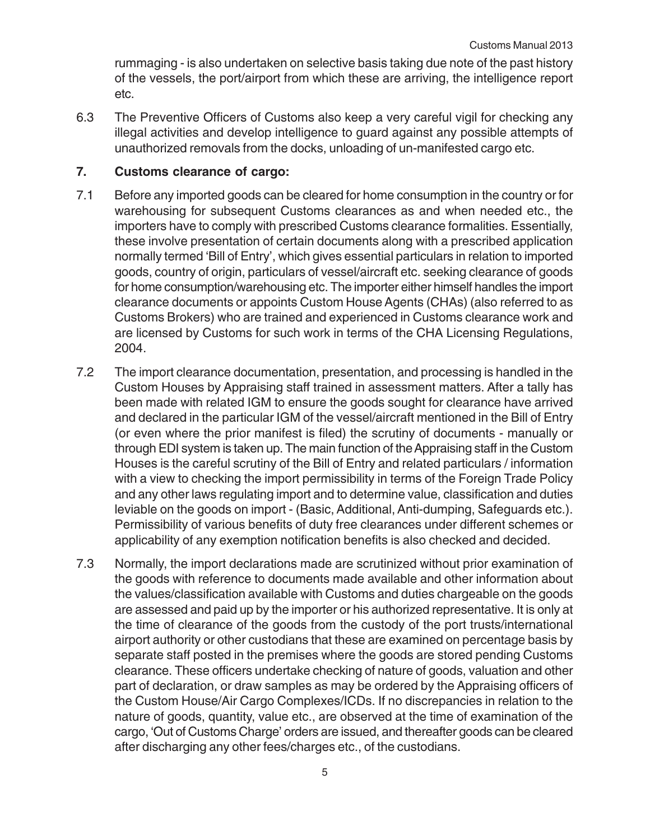rummaging - is also undertaken on selective basis taking due note of the past history of the vessels, the port/airport from which these are arriving, the intelligence report etc.

6.3 The Preventive Officers of Customs also keep a very careful vigil for checking any illegal activities and develop intelligence to guard against any possible attempts of unauthorized removals from the docks, unloading of un-manifested cargo etc.

#### **7. Customs clearance of cargo:**

- 7.1 Before any imported goods can be cleared for home consumption in the country or for warehousing for subsequent Customs clearances as and when needed etc., the importers have to comply with prescribed Customs clearance formalities. Essentially, these involve presentation of certain documents along with a prescribed application normally termed 'Bill of Entry', which gives essential particulars in relation to imported goods, country of origin, particulars of vessel/aircraft etc. seeking clearance of goods for home consumption/warehousing etc. The importer either himself handles the import clearance documents or appoints Custom House Agents (CHAs) (also referred to as Customs Brokers) who are trained and experienced in Customs clearance work and are licensed by Customs for such work in terms of the CHA Licensing Regulations, 2004.
- 7.2 The import clearance documentation, presentation, and processing is handled in the Custom Houses by Appraising staff trained in assessment matters. After a tally has been made with related IGM to ensure the goods sought for clearance have arrived and declared in the particular IGM of the vessel/aircraft mentioned in the Bill of Entry (or even where the prior manifest is filed) the scrutiny of documents - manually or through EDI system is taken up. The main function of the Appraising staff in the Custom Houses is the careful scrutiny of the Bill of Entry and related particulars / information with a view to checking the import permissibility in terms of the Foreign Trade Policy and any other laws regulating import and to determine value, classification and duties leviable on the goods on import - (Basic, Additional, Anti-dumping, Safeguards etc.). Permissibility of various benefits of duty free clearances under different schemes or applicability of any exemption notification benefits is also checked and decided.
- 7.3 Normally, the import declarations made are scrutinized without prior examination of the goods with reference to documents made available and other information about the values/classification available with Customs and duties chargeable on the goods are assessed and paid up by the importer or his authorized representative. It is only at the time of clearance of the goods from the custody of the port trusts/international airport authority or other custodians that these are examined on percentage basis by separate staff posted in the premises where the goods are stored pending Customs clearance. These officers undertake checking of nature of goods, valuation and other part of declaration, or draw samples as may be ordered by the Appraising officers of the Custom House/Air Cargo Complexes/ICDs. If no discrepancies in relation to the nature of goods, quantity, value etc., are observed at the time of examination of the cargo, 'Out of Customs Charge' orders are issued, and thereafter goods can be cleared after discharging any other fees/charges etc., of the custodians.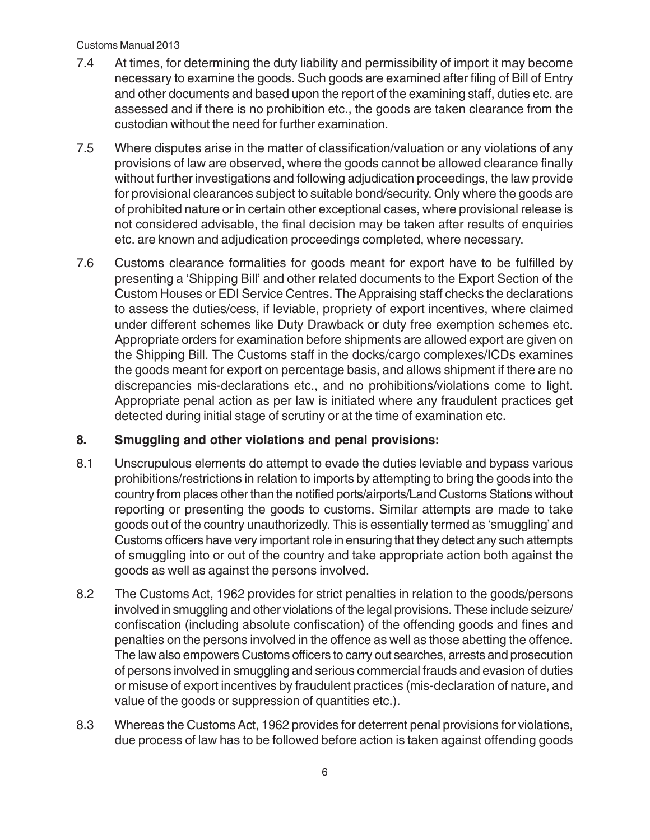#### Customs Manual 2013

- 7.4 At times, for determining the duty liability and permissibility of import it may become necessary to examine the goods. Such goods are examined after filing of Bill of Entry and other documents and based upon the report of the examining staff, duties etc. are assessed and if there is no prohibition etc., the goods are taken clearance from the custodian without the need for further examination.
- 7.5 Where disputes arise in the matter of classification/valuation or any violations of any provisions of law are observed, where the goods cannot be allowed clearance finally without further investigations and following adjudication proceedings, the law provide for provisional clearances subject to suitable bond/security. Only where the goods are of prohibited nature or in certain other exceptional cases, where provisional release is not considered advisable, the final decision may be taken after results of enquiries etc. are known and adjudication proceedings completed, where necessary.
- 7.6 Customs clearance formalities for goods meant for export have to be fulfilled by presenting a 'Shipping Bill' and other related documents to the Export Section of the Custom Houses or EDI Service Centres. The Appraising staff checks the declarations to assess the duties/cess, if leviable, propriety of export incentives, where claimed under different schemes like Duty Drawback or duty free exemption schemes etc. Appropriate orders for examination before shipments are allowed export are given on the Shipping Bill. The Customs staff in the docks/cargo complexes/ICDs examines the goods meant for export on percentage basis, and allows shipment if there are no discrepancies mis-declarations etc., and no prohibitions/violations come to light. Appropriate penal action as per law is initiated where any fraudulent practices get detected during initial stage of scrutiny or at the time of examination etc.

# **8. Smuggling and other violations and penal provisions:**

- 8.1 Unscrupulous elements do attempt to evade the duties leviable and bypass various prohibitions/restrictions in relation to imports by attempting to bring the goods into the country from places other than the notified ports/airports/Land Customs Stations without reporting or presenting the goods to customs. Similar attempts are made to take goods out of the country unauthorizedly. This is essentially termed as 'smuggling' and Customs officers have very important role in ensuring that they detect any such attempts of smuggling into or out of the country and take appropriate action both against the goods as well as against the persons involved.
- 8.2 The Customs Act, 1962 provides for strict penalties in relation to the goods/persons involved in smuggling and other violations of the legal provisions. These include seizure/ confiscation (including absolute confiscation) of the offending goods and fines and penalties on the persons involved in the offence as well as those abetting the offence. The law also empowers Customs officers to carry out searches, arrests and prosecution of persons involved in smuggling and serious commercial frauds and evasion of duties or misuse of export incentives by fraudulent practices (mis-declaration of nature, and value of the goods or suppression of quantities etc.).
- 8.3 Whereas the Customs Act, 1962 provides for deterrent penal provisions for violations, due process of law has to be followed before action is taken against offending goods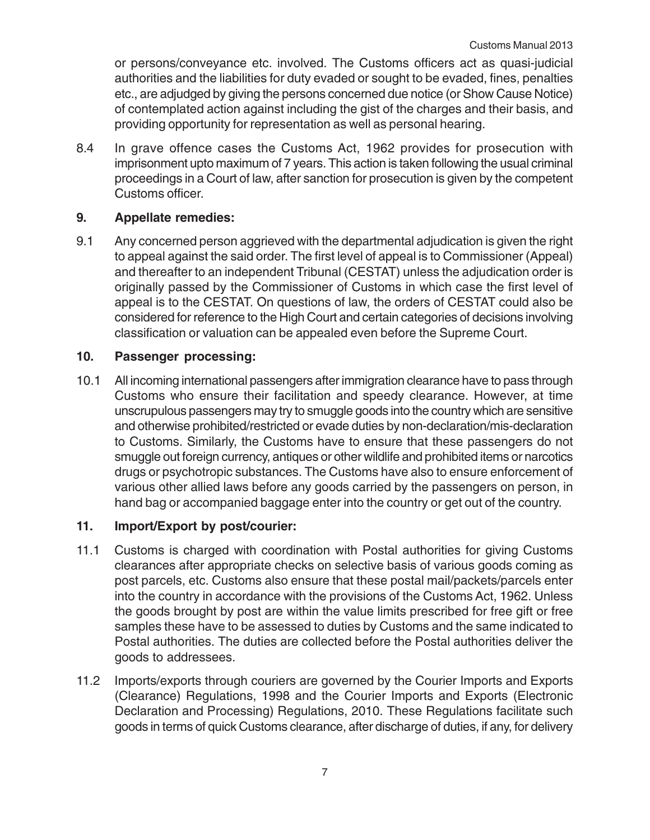or persons/conveyance etc. involved. The Customs officers act as quasi-judicial authorities and the liabilities for duty evaded or sought to be evaded, fines, penalties etc., are adjudged by giving the persons concerned due notice (or Show Cause Notice) of contemplated action against including the gist of the charges and their basis, and providing opportunity for representation as well as personal hearing.

8.4 In grave offence cases the Customs Act, 1962 provides for prosecution with imprisonment upto maximum of 7 years. This action is taken following the usual criminal proceedings in a Court of law, after sanction for prosecution is given by the competent Customs officer.

## **9. Appellate remedies:**

9.1 Any concerned person aggrieved with the departmental adjudication is given the right to appeal against the said order. The first level of appeal is to Commissioner (Appeal) and thereafter to an independent Tribunal (CESTAT) unless the adjudication order is originally passed by the Commissioner of Customs in which case the first level of appeal is to the CESTAT. On questions of law, the orders of CESTAT could also be considered for reference to the High Court and certain categories of decisions involving classification or valuation can be appealed even before the Supreme Court.

## **10. Passenger processing:**

10.1 All incoming international passengers after immigration clearance have to pass through Customs who ensure their facilitation and speedy clearance. However, at time unscrupulous passengers may try to smuggle goods into the country which are sensitive and otherwise prohibited/restricted or evade duties by non-declaration/mis-declaration to Customs. Similarly, the Customs have to ensure that these passengers do not smuggle out foreign currency, antiques or other wildlife and prohibited items or narcotics drugs or psychotropic substances. The Customs have also to ensure enforcement of various other allied laws before any goods carried by the passengers on person, in hand bag or accompanied baggage enter into the country or get out of the country.

### **11. Import/Export by post/courier:**

- 11.1 Customs is charged with coordination with Postal authorities for giving Customs clearances after appropriate checks on selective basis of various goods coming as post parcels, etc. Customs also ensure that these postal mail/packets/parcels enter into the country in accordance with the provisions of the Customs Act, 1962. Unless the goods brought by post are within the value limits prescribed for free gift or free samples these have to be assessed to duties by Customs and the same indicated to Postal authorities. The duties are collected before the Postal authorities deliver the goods to addressees.
- 11.2 Imports/exports through couriers are governed by the Courier Imports and Exports (Clearance) Regulations, 1998 and the Courier Imports and Exports (Electronic Declaration and Processing) Regulations, 2010. These Regulations facilitate such goods in terms of quick Customs clearance, after discharge of duties, if any, for delivery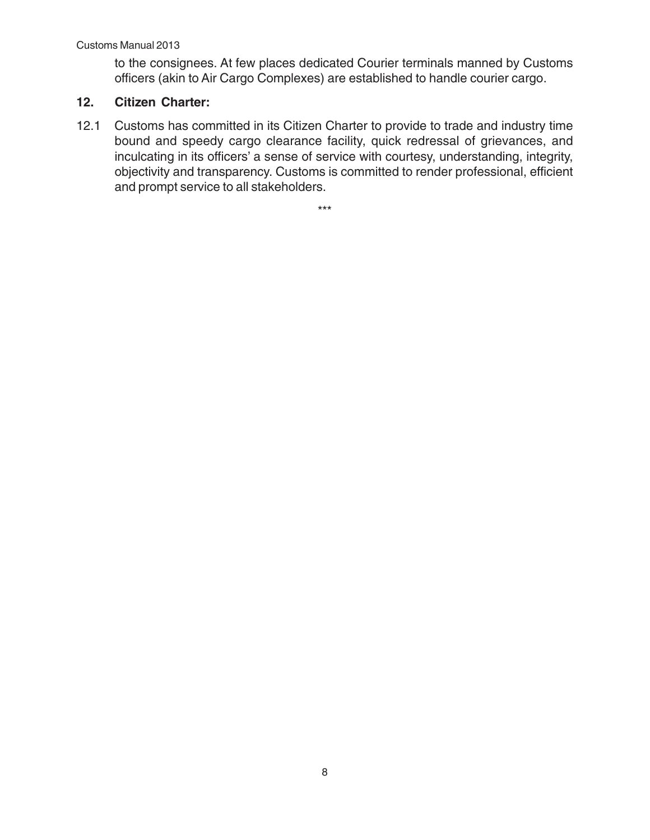to the consignees. At few places dedicated Courier terminals manned by Customs officers (akin to Air Cargo Complexes) are established to handle courier cargo.

# **12. Citizen Charter:**

12.1 Customs has committed in its Citizen Charter to provide to trade and industry time bound and speedy cargo clearance facility, quick redressal of grievances, and inculcating in its officers' a sense of service with courtesy, understanding, integrity, objectivity and transparency. Customs is committed to render professional, efficient and prompt service to all stakeholders.

\*\*\*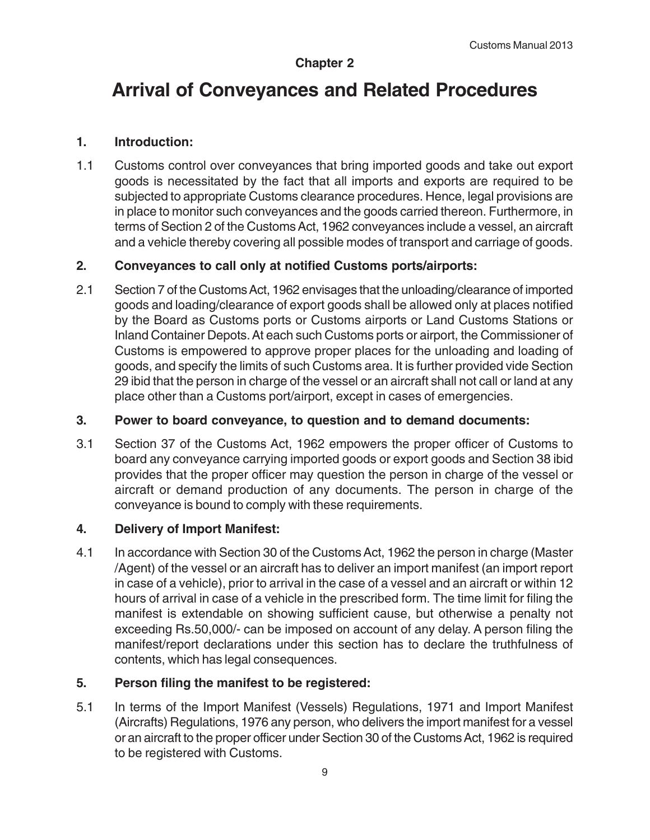# **Chapter 2**

# **Arrival of Conveyances and Related Procedures**

### **1. Introduction:**

1.1 Customs control over conveyances that bring imported goods and take out export goods is necessitated by the fact that all imports and exports are required to be subjected to appropriate Customs clearance procedures. Hence, legal provisions are in place to monitor such conveyances and the goods carried thereon. Furthermore, in terms of Section 2 of the Customs Act, 1962 conveyances include a vessel, an aircraft and a vehicle thereby covering all possible modes of transport and carriage of goods.

## **2. Conveyances to call only at notified Customs ports/airports:**

2.1 Section 7 of the Customs Act, 1962 envisages that the unloading/clearance of imported goods and loading/clearance of export goods shall be allowed only at places notified by the Board as Customs ports or Customs airports or Land Customs Stations or Inland Container Depots. At each such Customs ports or airport, the Commissioner of Customs is empowered to approve proper places for the unloading and loading of goods, and specify the limits of such Customs area. It is further provided vide Section 29 ibid that the person in charge of the vessel or an aircraft shall not call or land at any place other than a Customs port/airport, except in cases of emergencies.

#### **3. Power to board conveyance, to question and to demand documents:**

3.1 Section 37 of the Customs Act, 1962 empowers the proper officer of Customs to board any conveyance carrying imported goods or export goods and Section 38 ibid provides that the proper officer may question the person in charge of the vessel or aircraft or demand production of any documents. The person in charge of the conveyance is bound to comply with these requirements.

#### **4. Delivery of Import Manifest:**

4.1 In accordance with Section 30 of the Customs Act, 1962 the person in charge (Master /Agent) of the vessel or an aircraft has to deliver an import manifest (an import report in case of a vehicle), prior to arrival in the case of a vessel and an aircraft or within 12 hours of arrival in case of a vehicle in the prescribed form. The time limit for filing the manifest is extendable on showing sufficient cause, but otherwise a penalty not exceeding Rs.50,000/- can be imposed on account of any delay. A person filing the manifest/report declarations under this section has to declare the truthfulness of contents, which has legal consequences.

### **5. Person filing the manifest to be registered:**

5.1 In terms of the Import Manifest (Vessels) Regulations, 1971 and Import Manifest (Aircrafts) Regulations, 1976 any person, who delivers the import manifest for a vessel or an aircraft to the proper officer under Section 30 of the Customs Act, 1962 is required to be registered with Customs.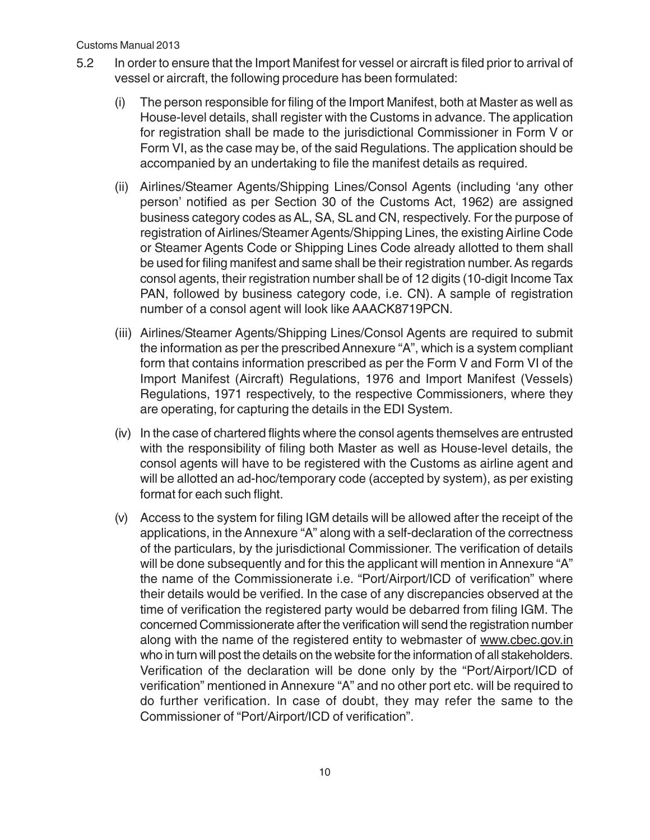- 5.2 In order to ensure that the Import Manifest for vessel or aircraft is filed prior to arrival of vessel or aircraft, the following procedure has been formulated:
	- (i) The person responsible for filing of the Import Manifest, both at Master as well as House-level details, shall register with the Customs in advance. The application for registration shall be made to the jurisdictional Commissioner in Form V or Form VI, as the case may be, of the said Regulations. The application should be accompanied by an undertaking to file the manifest details as required.
	- (ii) Airlines/Steamer Agents/Shipping Lines/Consol Agents (including 'any other person' notified as per Section 30 of the Customs Act, 1962) are assigned business category codes as AL, SA, SL and CN, respectively. For the purpose of registration of Airlines/Steamer Agents/Shipping Lines, the existing Airline Code or Steamer Agents Code or Shipping Lines Code already allotted to them shall be used for filing manifest and same shall be their registration number. As regards consol agents, their registration number shall be of 12 digits (10-digit Income Tax PAN, followed by business category code, i.e. CN). A sample of registration number of a consol agent will look like AAACK8719PCN.
	- (iii) Airlines/Steamer Agents/Shipping Lines/Consol Agents are required to submit the information as per the prescribed Annexure "A", which is a system compliant form that contains information prescribed as per the Form V and Form VI of the Import Manifest (Aircraft) Regulations, 1976 and Import Manifest (Vessels) Regulations, 1971 respectively, to the respective Commissioners, where they are operating, for capturing the details in the EDI System.
	- (iv) In the case of chartered flights where the consol agents themselves are entrusted with the responsibility of filing both Master as well as House-level details, the consol agents will have to be registered with the Customs as airline agent and will be allotted an ad-hoc/temporary code (accepted by system), as per existing format for each such flight.
	- (v) Access to the system for filing IGM details will be allowed after the receipt of the applications, in the Annexure "A" along with a self-declaration of the correctness of the particulars, by the jurisdictional Commissioner. The verification of details will be done subsequently and for this the applicant will mention in Annexure "A" the name of the Commissionerate i.e. "Port/Airport/ICD of verification" where their details would be verified. In the case of any discrepancies observed at the time of verification the registered party would be debarred from filing IGM. The concerned Commissionerate after the verification will send the registration number along with the name of the registered entity to webmaster of www.cbec.gov.in who in turn will post the details on the website for the information of all stakeholders. Verification of the declaration will be done only by the "Port/Airport/ICD of verification" mentioned in Annexure "A" and no other port etc. will be required to do further verification. In case of doubt, they may refer the same to the Commissioner of "Port/Airport/ICD of verification".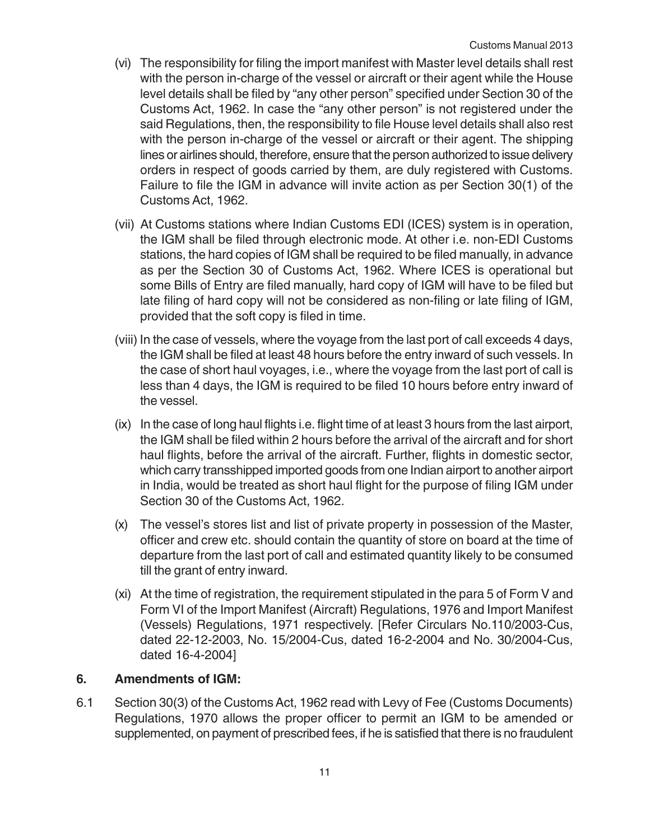- (vi) The responsibility for filing the import manifest with Master level details shall rest with the person in-charge of the vessel or aircraft or their agent while the House level details shall be filed by "any other person" specified under Section 30 of the Customs Act, 1962. In case the "any other person" is not registered under the said Regulations, then, the responsibility to file House level details shall also rest with the person in-charge of the vessel or aircraft or their agent. The shipping lines or airlines should, therefore, ensure that the person authorized to issue delivery orders in respect of goods carried by them, are duly registered with Customs. Failure to file the IGM in advance will invite action as per Section 30(1) of the Customs Act, 1962.
- (vii) At Customs stations where Indian Customs EDI (ICES) system is in operation, the IGM shall be filed through electronic mode. At other i.e. non-EDI Customs stations, the hard copies of IGM shall be required to be filed manually, in advance as per the Section 30 of Customs Act, 1962. Where ICES is operational but some Bills of Entry are filed manually, hard copy of IGM will have to be filed but late filing of hard copy will not be considered as non-filing or late filing of IGM, provided that the soft copy is filed in time.
- (viii) In the case of vessels, where the voyage from the last port of call exceeds 4 days, the IGM shall be filed at least 48 hours before the entry inward of such vessels. In the case of short haul voyages, i.e., where the voyage from the last port of call is less than 4 days, the IGM is required to be filed 10 hours before entry inward of the vessel.
- (ix) In the case of long haul flights i.e. flight time of at least 3 hours from the last airport, the IGM shall be filed within 2 hours before the arrival of the aircraft and for short haul flights, before the arrival of the aircraft. Further, flights in domestic sector, which carry transshipped imported goods from one Indian airport to another airport in India, would be treated as short haul flight for the purpose of filing IGM under Section 30 of the Customs Act, 1962.
- (x) The vessel's stores list and list of private property in possession of the Master, officer and crew etc. should contain the quantity of store on board at the time of departure from the last port of call and estimated quantity likely to be consumed till the grant of entry inward.
- (xi) At the time of registration, the requirement stipulated in the para 5 of Form V and Form VI of the Import Manifest (Aircraft) Regulations, 1976 and Import Manifest (Vessels) Regulations, 1971 respectively. [Refer Circulars No.110/2003-Cus, dated 22-12-2003, No. 15/2004-Cus, dated 16-2-2004 and No. 30/2004-Cus, dated 16-4-2004]

#### **6. Amendments of IGM:**

6.1 Section 30(3) of the Customs Act, 1962 read with Levy of Fee (Customs Documents) Regulations, 1970 allows the proper officer to permit an IGM to be amended or supplemented, on payment of prescribed fees, if he is satisfied that there is no fraudulent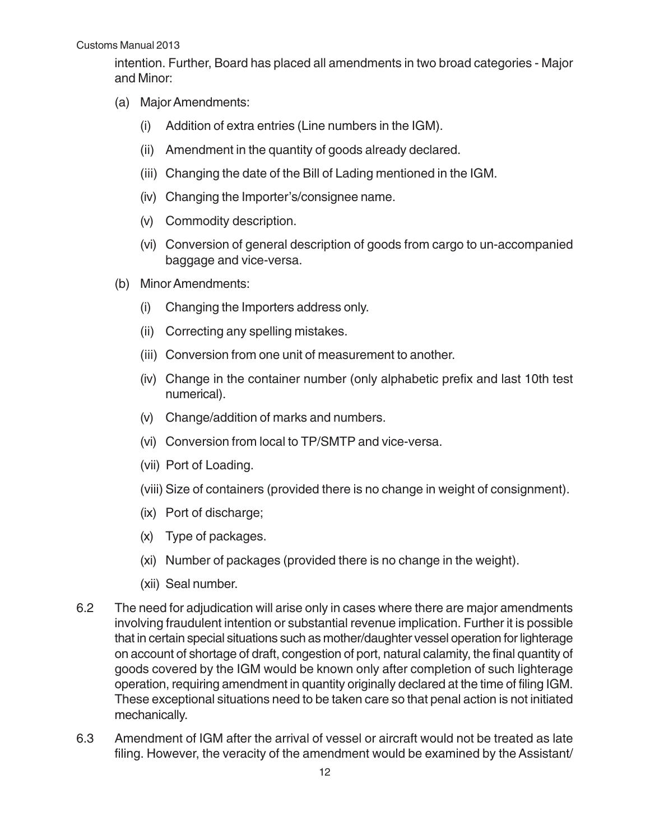intention. Further, Board has placed all amendments in two broad categories - Major and Minor:

- (a) Major Amendments:
	- (i) Addition of extra entries (Line numbers in the IGM).
	- (ii) Amendment in the quantity of goods already declared.
	- (iii) Changing the date of the Bill of Lading mentioned in the IGM.
	- (iv) Changing the Importer's/consignee name.
	- (v) Commodity description.
	- (vi) Conversion of general description of goods from cargo to un-accompanied baggage and vice-versa.
- (b) Minor Amendments:
	- (i) Changing the Importers address only.
	- (ii) Correcting any spelling mistakes.
	- (iii) Conversion from one unit of measurement to another.
	- (iv) Change in the container number (only alphabetic prefix and last 10th test numerical).
	- (v) Change/addition of marks and numbers.
	- (vi) Conversion from local to TP/SMTP and vice-versa.
	- (vii) Port of Loading.
	- (viii) Size of containers (provided there is no change in weight of consignment).
	- (ix) Port of discharge;
	- (x) Type of packages.
	- (xi) Number of packages (provided there is no change in the weight).
	- (xii) Seal number.
- 6.2 The need for adjudication will arise only in cases where there are major amendments involving fraudulent intention or substantial revenue implication. Further it is possible that in certain special situations such as mother/daughter vessel operation for lighterage on account of shortage of draft, congestion of port, natural calamity, the final quantity of goods covered by the IGM would be known only after completion of such lighterage operation, requiring amendment in quantity originally declared at the time of filing IGM. These exceptional situations need to be taken care so that penal action is not initiated mechanically.
- 6.3 Amendment of IGM after the arrival of vessel or aircraft would not be treated as late filing. However, the veracity of the amendment would be examined by the Assistant/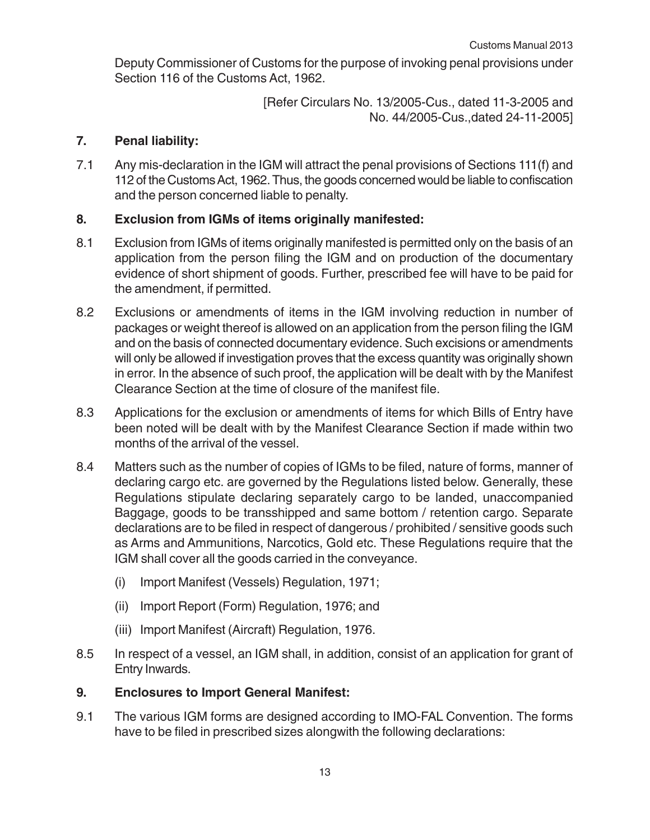Deputy Commissioner of Customs for the purpose of invoking penal provisions under Section 116 of the Customs Act, 1962.

> [Refer Circulars No. 13/2005-Cus., dated 11-3-2005 and No. 44/2005-Cus.,dated 24-11-2005]

# **7. Penal liability:**

7.1 Any mis-declaration in the IGM will attract the penal provisions of Sections 111(f) and 112 of the Customs Act, 1962. Thus, the goods concerned would be liable to confiscation and the person concerned liable to penalty.

# **8. Exclusion from IGMs of items originally manifested:**

- 8.1 Exclusion from IGMs of items originally manifested is permitted only on the basis of an application from the person filing the IGM and on production of the documentary evidence of short shipment of goods. Further, prescribed fee will have to be paid for the amendment, if permitted.
- 8.2 Exclusions or amendments of items in the IGM involving reduction in number of packages or weight thereof is allowed on an application from the person filing the IGM and on the basis of connected documentary evidence. Such excisions or amendments will only be allowed if investigation proves that the excess quantity was originally shown in error. In the absence of such proof, the application will be dealt with by the Manifest Clearance Section at the time of closure of the manifest file.
- 8.3 Applications for the exclusion or amendments of items for which Bills of Entry have been noted will be dealt with by the Manifest Clearance Section if made within two months of the arrival of the vessel.
- 8.4 Matters such as the number of copies of IGMs to be filed, nature of forms, manner of declaring cargo etc. are governed by the Regulations listed below. Generally, these Regulations stipulate declaring separately cargo to be landed, unaccompanied Baggage, goods to be transshipped and same bottom / retention cargo. Separate declarations are to be filed in respect of dangerous / prohibited / sensitive goods such as Arms and Ammunitions, Narcotics, Gold etc. These Regulations require that the IGM shall cover all the goods carried in the conveyance.
	- (i) Import Manifest (Vessels) Regulation, 1971;
	- (ii) Import Report (Form) Regulation, 1976; and
	- (iii) Import Manifest (Aircraft) Regulation, 1976.
- 8.5 In respect of a vessel, an IGM shall, in addition, consist of an application for grant of Entry Inwards.

#### **9. Enclosures to Import General Manifest:**

9.1 The various IGM forms are designed according to IMO-FAL Convention. The forms have to be filed in prescribed sizes alongwith the following declarations: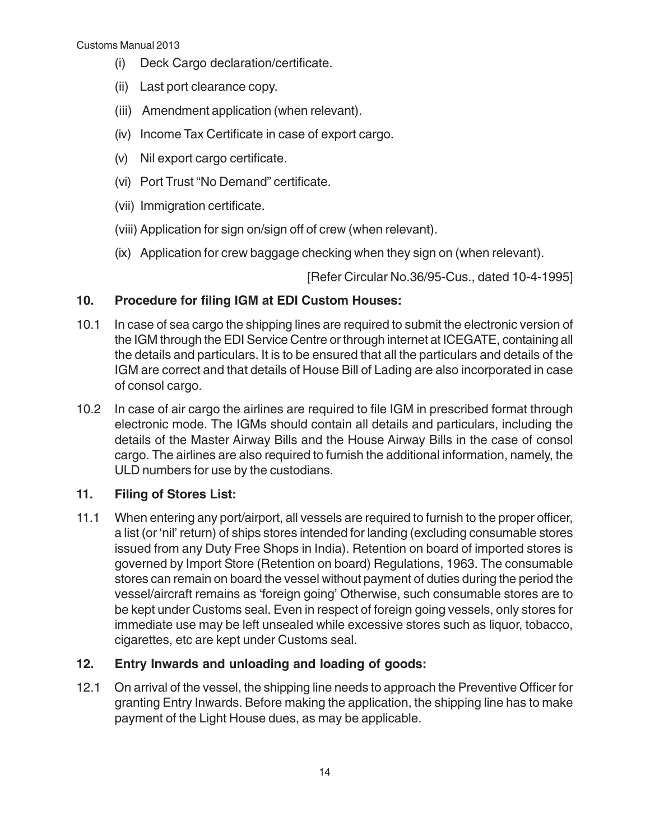- (i) Deck Cargo declaration/certificate.
- (ii) Last port clearance copy.
- (iii) Amendment application (when relevant).
- (iv) Income Tax Certificate in case of export cargo.
- (v) Nil export cargo certificate.
- (vi) Port Trust "No Demand" certificate.
- (vii) Immigration certificate.
- (viii) Application for sign on/sign off of crew (when relevant).
- (ix) Application for crew baggage checking when they sign on (when relevant).

[Refer Circular No.36/95-Cus., dated 10-4-1995]

## **10. Procedure for filing IGM at EDI Custom Houses:**

- 10.1 In case of sea cargo the shipping lines are required to submit the electronic version of the IGM through the EDI Service Centre or through internet at ICEGATE, containing all the details and particulars. It is to be ensured that all the particulars and details of the IGM are correct and that details of House Bill of Lading are also incorporated in case of consol cargo.
- 10.2 In case of air cargo the airlines are required to file IGM in prescribed format through electronic mode. The IGMs should contain all details and particulars, including the details of the Master Airway Bills and the House Airway Bills in the case of consol cargo. The airlines are also required to furnish the additional information, namely, the ULD numbers for use by the custodians.

# **11. Filing of Stores List:**

11.1 When entering any port/airport, all vessels are required to furnish to the proper officer, a list (or 'nil' return) of ships stores intended for landing (excluding consumable stores issued from any Duty Free Shops in India). Retention on board of imported stores is governed by Import Store (Retention on board) Regulations, 1963. The consumable stores can remain on board the vessel without payment of duties during the period the vessel/aircraft remains as 'foreign going' Otherwise, such consumable stores are to be kept under Customs seal. Even in respect of foreign going vessels, only stores for immediate use may be left unsealed while excessive stores such as liquor, tobacco, cigarettes, etc are kept under Customs seal.

# **12. Entry Inwards and unloading and loading of goods:**

12.1 On arrival of the vessel, the shipping line needs to approach the Preventive Officer for granting Entry Inwards. Before making the application, the shipping line has to make payment of the Light House dues, as may be applicable.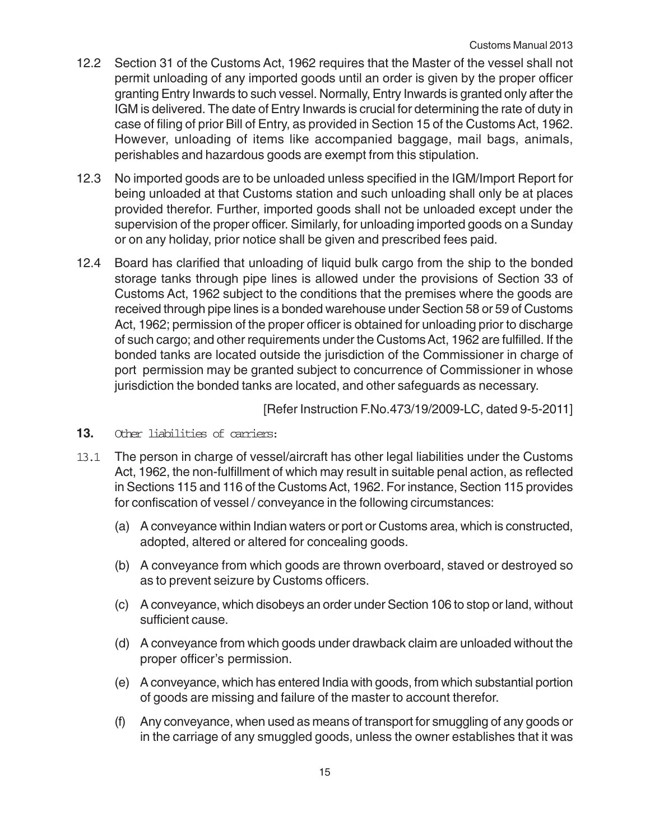- 12.2 Section 31 of the Customs Act, 1962 requires that the Master of the vessel shall not permit unloading of any imported goods until an order is given by the proper officer granting Entry Inwards to such vessel. Normally, Entry Inwards is granted only after the IGM is delivered. The date of Entry Inwards is crucial for determining the rate of duty in case of filing of prior Bill of Entry, as provided in Section 15 of the Customs Act, 1962. However, unloading of items like accompanied baggage, mail bags, animals, perishables and hazardous goods are exempt from this stipulation.
- 12.3 No imported goods are to be unloaded unless specified in the IGM/Import Report for being unloaded at that Customs station and such unloading shall only be at places provided therefor. Further, imported goods shall not be unloaded except under the supervision of the proper officer. Similarly, for unloading imported goods on a Sunday or on any holiday, prior notice shall be given and prescribed fees paid.
- 12.4 Board has clarified that unloading of liquid bulk cargo from the ship to the bonded storage tanks through pipe lines is allowed under the provisions of Section 33 of Customs Act, 1962 subject to the conditions that the premises where the goods are received through pipe lines is a bonded warehouse under Section 58 or 59 of Customs Act, 1962; permission of the proper officer is obtained for unloading prior to discharge of such cargo; and other requirements under the Customs Act, 1962 are fulfilled. If the bonded tanks are located outside the jurisdiction of the Commissioner in charge of port permission may be granted subject to concurrence of Commissioner in whose jurisdiction the bonded tanks are located, and other safeguards as necessary.

[Refer Instruction F.No.473/19/2009-LC, dated 9-5-2011]

- **13.** Other liabilities of carriers:
- 13.1 The person in charge of vessel/aircraft has other legal liabilities under the Customs Act, 1962, the non-fulfillment of which may result in suitable penal action, as reflected in Sections 115 and 116 of the Customs Act, 1962. For instance, Section 115 provides for confiscation of vessel / conveyance in the following circumstances:
	- (a) A conveyance within Indian waters or port or Customs area, which is constructed, adopted, altered or altered for concealing goods.
	- (b) A conveyance from which goods are thrown overboard, staved or destroyed so as to prevent seizure by Customs officers.
	- (c) A conveyance, which disobeys an order under Section 106 to stop or land, without sufficient cause.
	- (d) A conveyance from which goods under drawback claim are unloaded without the proper officer's permission.
	- (e) A conveyance, which has entered India with goods, from which substantial portion of goods are missing and failure of the master to account therefor.
	- (f) Any conveyance, when used as means of transport for smuggling of any goods or in the carriage of any smuggled goods, unless the owner establishes that it was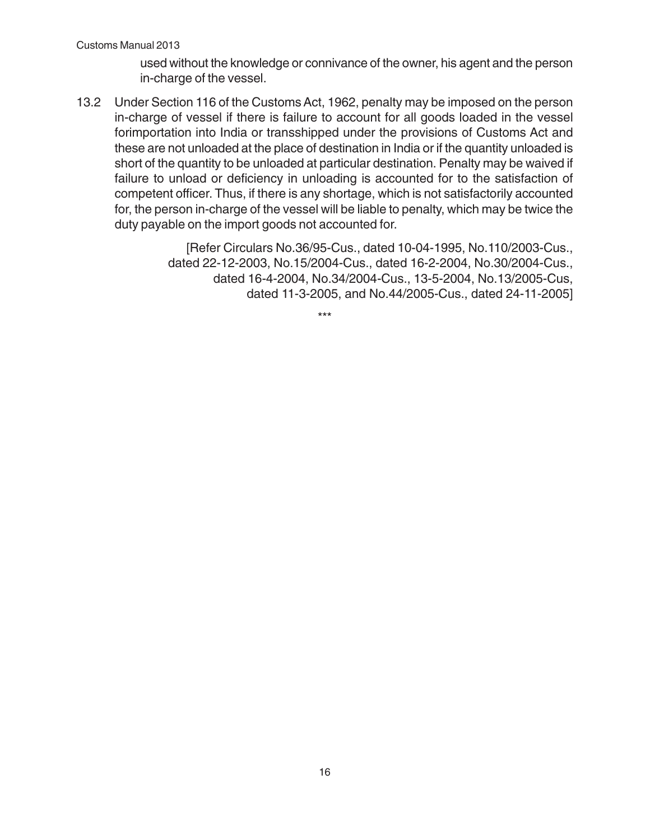used without the knowledge or connivance of the owner, his agent and the person in-charge of the vessel.

13.2 Under Section 116 of the Customs Act, 1962, penalty may be imposed on the person in-charge of vessel if there is failure to account for all goods loaded in the vessel forimportation into India or transshipped under the provisions of Customs Act and these are not unloaded at the place of destination in India or if the quantity unloaded is short of the quantity to be unloaded at particular destination. Penalty may be waived if failure to unload or deficiency in unloading is accounted for to the satisfaction of competent officer. Thus, if there is any shortage, which is not satisfactorily accounted for, the person in-charge of the vessel will be liable to penalty, which may be twice the duty payable on the import goods not accounted for.

> [Refer Circulars No.36/95-Cus., dated 10-04-1995, No.110/2003-Cus., dated 22-12-2003, No.15/2004-Cus., dated 16-2-2004, No.30/2004-Cus., dated 16-4-2004, No.34/2004-Cus., 13-5-2004, No.13/2005-Cus, dated 11-3-2005, and No.44/2005-Cus., dated 24-11-2005]

> > \*\*\*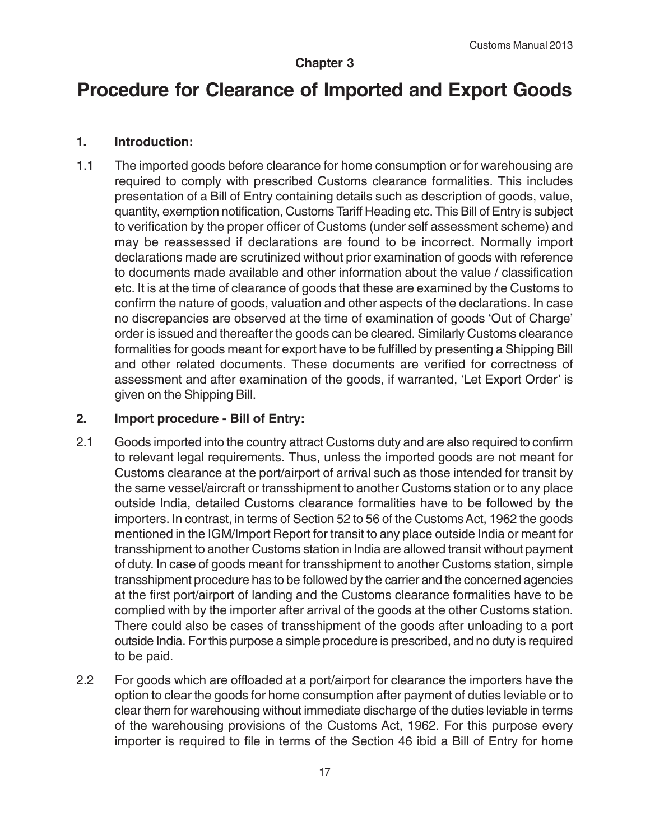## **Chapter 3**

# **Procedure for Clearance of Imported and Export Goods**

#### **1. Introduction:**

1.1 The imported goods before clearance for home consumption or for warehousing are required to comply with prescribed Customs clearance formalities. This includes presentation of a Bill of Entry containing details such as description of goods, value, quantity, exemption notification, Customs Tariff Heading etc. This Bill of Entry is subject to verification by the proper officer of Customs (under self assessment scheme) and may be reassessed if declarations are found to be incorrect. Normally import declarations made are scrutinized without prior examination of goods with reference to documents made available and other information about the value / classification etc. It is at the time of clearance of goods that these are examined by the Customs to confirm the nature of goods, valuation and other aspects of the declarations. In case no discrepancies are observed at the time of examination of goods 'Out of Charge' order is issued and thereafter the goods can be cleared. Similarly Customs clearance formalities for goods meant for export have to be fulfilled by presenting a Shipping Bill and other related documents. These documents are verified for correctness of assessment and after examination of the goods, if warranted, 'Let Export Order' is given on the Shipping Bill.

#### **2. Import procedure - Bill of Entry:**

- 2.1 Goods imported into the country attract Customs duty and are also required to confirm to relevant legal requirements. Thus, unless the imported goods are not meant for Customs clearance at the port/airport of arrival such as those intended for transit by the same vessel/aircraft or transshipment to another Customs station or to any place outside India, detailed Customs clearance formalities have to be followed by the importers. In contrast, in terms of Section 52 to 56 of the Customs Act, 1962 the goods mentioned in the IGM/Import Report for transit to any place outside India or meant for transshipment to another Customs station in India are allowed transit without payment of duty. In case of goods meant for transshipment to another Customs station, simple transshipment procedure has to be followed by the carrier and the concerned agencies at the first port/airport of landing and the Customs clearance formalities have to be complied with by the importer after arrival of the goods at the other Customs station. There could also be cases of transshipment of the goods after unloading to a port outside India. For this purpose a simple procedure is prescribed, and no duty is required to be paid.
- 2.2 For goods which are offloaded at a port/airport for clearance the importers have the option to clear the goods for home consumption after payment of duties leviable or to clear them for warehousing without immediate discharge of the duties leviable in terms of the warehousing provisions of the Customs Act, 1962. For this purpose every importer is required to file in terms of the Section 46 ibid a Bill of Entry for home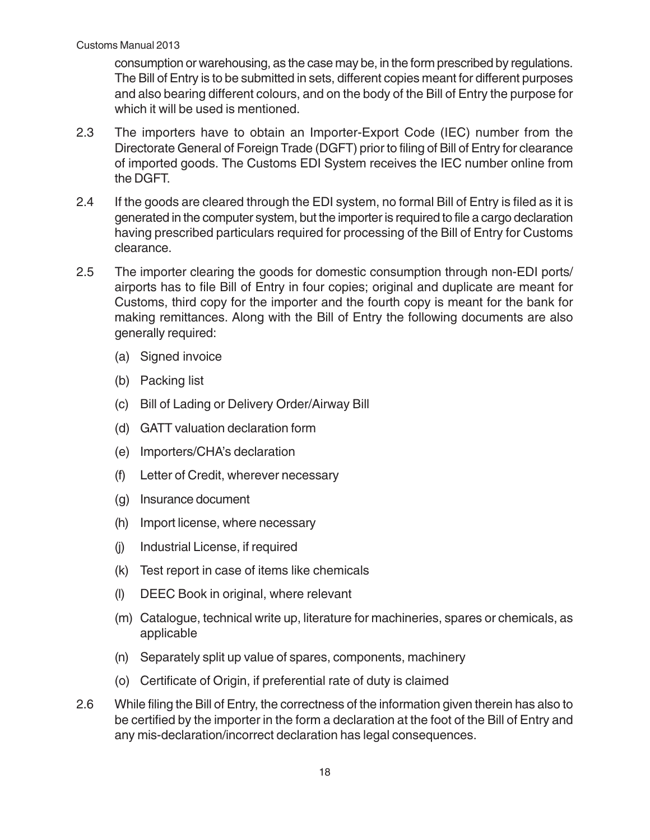consumption or warehousing, as the case may be, in the form prescribed by regulations. The Bill of Entry is to be submitted in sets, different copies meant for different purposes and also bearing different colours, and on the body of the Bill of Entry the purpose for which it will be used is mentioned.

- 2.3 The importers have to obtain an Importer-Export Code (IEC) number from the Directorate General of Foreign Trade (DGFT) prior to filing of Bill of Entry for clearance of imported goods. The Customs EDI System receives the IEC number online from the DGFT.
- 2.4 If the goods are cleared through the EDI system, no formal Bill of Entry is filed as it is generated in the computer system, but the importer is required to file a cargo declaration having prescribed particulars required for processing of the Bill of Entry for Customs clearance.
- 2.5 The importer clearing the goods for domestic consumption through non-EDI ports/ airports has to file Bill of Entry in four copies; original and duplicate are meant for Customs, third copy for the importer and the fourth copy is meant for the bank for making remittances. Along with the Bill of Entry the following documents are also generally required:
	- (a) Signed invoice
	- (b) Packing list
	- (c) Bill of Lading or Delivery Order/Airway Bill
	- (d) GATT valuation declaration form
	- (e) Importers/CHA's declaration
	- (f) Letter of Credit, wherever necessary
	- (g) Insurance document
	- (h) Import license, where necessary
	- (j) Industrial License, if required
	- (k) Test report in case of items like chemicals
	- (l) DEEC Book in original, where relevant
	- (m) Catalogue, technical write up, literature for machineries, spares or chemicals, as applicable
	- (n) Separately split up value of spares, components, machinery
	- (o) Certificate of Origin, if preferential rate of duty is claimed
- 2.6 While filing the Bill of Entry, the correctness of the information given therein has also to be certified by the importer in the form a declaration at the foot of the Bill of Entry and any mis-declaration/incorrect declaration has legal consequences.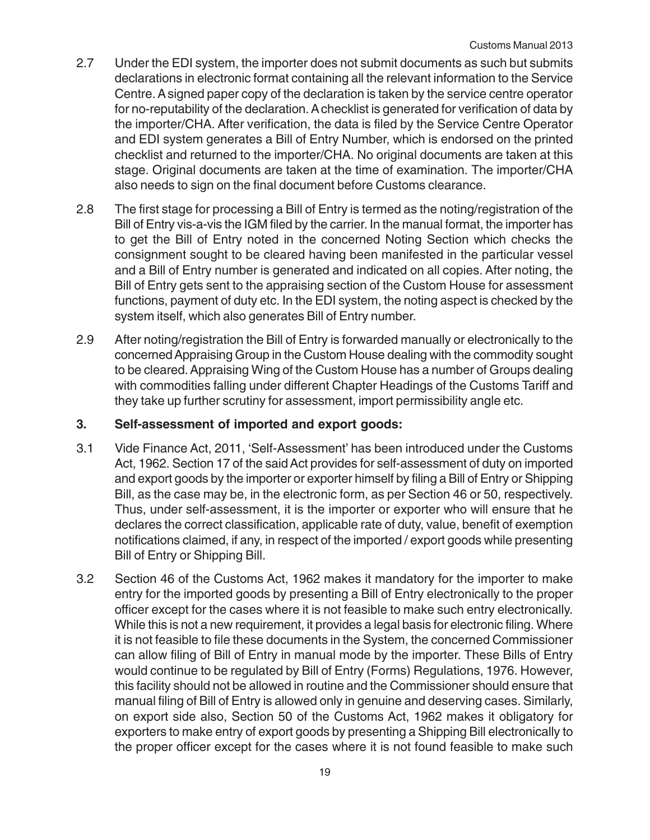- 2.7 Under the EDI system, the importer does not submit documents as such but submits declarations in electronic format containing all the relevant information to the Service Centre. A signed paper copy of the declaration is taken by the service centre operator for no-reputability of the declaration. A checklist is generated for verification of data by the importer/CHA. After verification, the data is filed by the Service Centre Operator and EDI system generates a Bill of Entry Number, which is endorsed on the printed checklist and returned to the importer/CHA. No original documents are taken at this stage. Original documents are taken at the time of examination. The importer/CHA also needs to sign on the final document before Customs clearance.
- 2.8 The first stage for processing a Bill of Entry is termed as the noting/registration of the Bill of Entry vis-a-vis the IGM filed by the carrier. In the manual format, the importer has to get the Bill of Entry noted in the concerned Noting Section which checks the consignment sought to be cleared having been manifested in the particular vessel and a Bill of Entry number is generated and indicated on all copies. After noting, the Bill of Entry gets sent to the appraising section of the Custom House for assessment functions, payment of duty etc. In the EDI system, the noting aspect is checked by the system itself, which also generates Bill of Entry number.
- 2.9 After noting/registration the Bill of Entry is forwarded manually or electronically to the concerned Appraising Group in the Custom House dealing with the commodity sought to be cleared. Appraising Wing of the Custom House has a number of Groups dealing with commodities falling under different Chapter Headings of the Customs Tariff and they take up further scrutiny for assessment, import permissibility angle etc.

#### **3. Self-assessment of imported and export goods:**

- 3.1 Vide Finance Act, 2011, 'Self-Assessment' has been introduced under the Customs Act, 1962. Section 17 of the said Act provides for self-assessment of duty on imported and export goods by the importer or exporter himself by filing a Bill of Entry or Shipping Bill, as the case may be, in the electronic form, as per Section 46 or 50, respectively. Thus, under self-assessment, it is the importer or exporter who will ensure that he declares the correct classification, applicable rate of duty, value, benefit of exemption notifications claimed, if any, in respect of the imported / export goods while presenting Bill of Entry or Shipping Bill.
- 3.2 Section 46 of the Customs Act, 1962 makes it mandatory for the importer to make entry for the imported goods by presenting a Bill of Entry electronically to the proper officer except for the cases where it is not feasible to make such entry electronically. While this is not a new requirement, it provides a legal basis for electronic filing. Where it is not feasible to file these documents in the System, the concerned Commissioner can allow filing of Bill of Entry in manual mode by the importer. These Bills of Entry would continue to be regulated by Bill of Entry (Forms) Regulations, 1976. However, this facility should not be allowed in routine and the Commissioner should ensure that manual filing of Bill of Entry is allowed only in genuine and deserving cases. Similarly, on export side also, Section 50 of the Customs Act, 1962 makes it obligatory for exporters to make entry of export goods by presenting a Shipping Bill electronically to the proper officer except for the cases where it is not found feasible to make such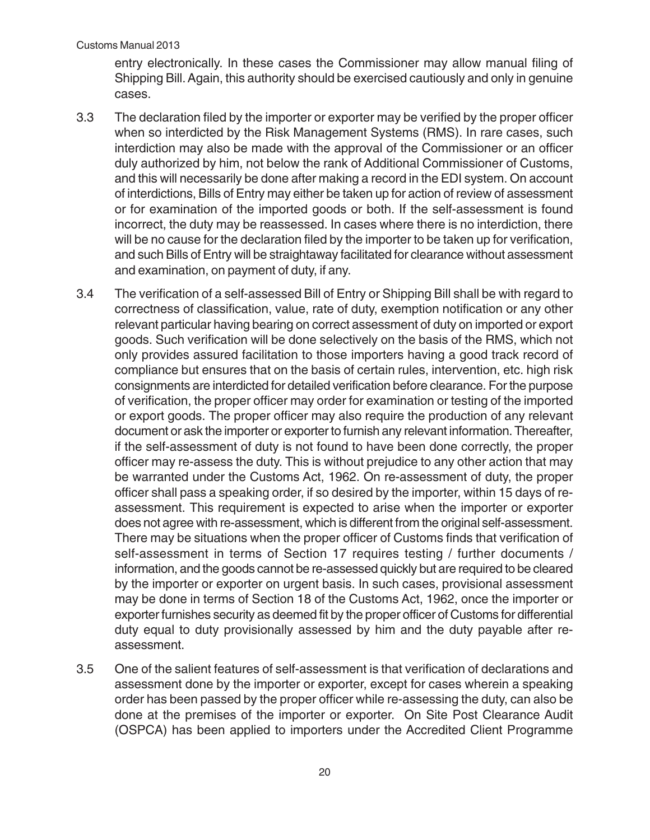entry electronically. In these cases the Commissioner may allow manual filing of Shipping Bill. Again, this authority should be exercised cautiously and only in genuine cases.

- 3.3 The declaration filed by the importer or exporter may be verified by the proper officer when so interdicted by the Risk Management Systems (RMS). In rare cases, such interdiction may also be made with the approval of the Commissioner or an officer duly authorized by him, not below the rank of Additional Commissioner of Customs, and this will necessarily be done after making a record in the EDI system. On account of interdictions, Bills of Entry may either be taken up for action of review of assessment or for examination of the imported goods or both. If the self-assessment is found incorrect, the duty may be reassessed. In cases where there is no interdiction, there will be no cause for the declaration filed by the importer to be taken up for verification, and such Bills of Entry will be straightaway facilitated for clearance without assessment and examination, on payment of duty, if any.
- 3.4 The verification of a self-assessed Bill of Entry or Shipping Bill shall be with regard to correctness of classification, value, rate of duty, exemption notification or any other relevant particular having bearing on correct assessment of duty on imported or export goods. Such verification will be done selectively on the basis of the RMS, which not only provides assured facilitation to those importers having a good track record of compliance but ensures that on the basis of certain rules, intervention, etc. high risk consignments are interdicted for detailed verification before clearance. For the purpose of verification, the proper officer may order for examination or testing of the imported or export goods. The proper officer may also require the production of any relevant document or ask the importer or exporter to furnish any relevant information. Thereafter, if the self-assessment of duty is not found to have been done correctly, the proper officer may re-assess the duty. This is without prejudice to any other action that may be warranted under the Customs Act, 1962. On re-assessment of duty, the proper officer shall pass a speaking order, if so desired by the importer, within 15 days of reassessment. This requirement is expected to arise when the importer or exporter does not agree with re-assessment, which is different from the original self-assessment. There may be situations when the proper officer of Customs finds that verification of self-assessment in terms of Section 17 requires testing / further documents / information, and the goods cannot be re-assessed quickly but are required to be cleared by the importer or exporter on urgent basis. In such cases, provisional assessment may be done in terms of Section 18 of the Customs Act, 1962, once the importer or exporter furnishes security as deemed fit by the proper officer of Customs for differential duty equal to duty provisionally assessed by him and the duty payable after reassessment.
- 3.5 One of the salient features of self-assessment is that verification of declarations and assessment done by the importer or exporter, except for cases wherein a speaking order has been passed by the proper officer while re-assessing the duty, can also be done at the premises of the importer or exporter. On Site Post Clearance Audit (OSPCA) has been applied to importers under the Accredited Client Programme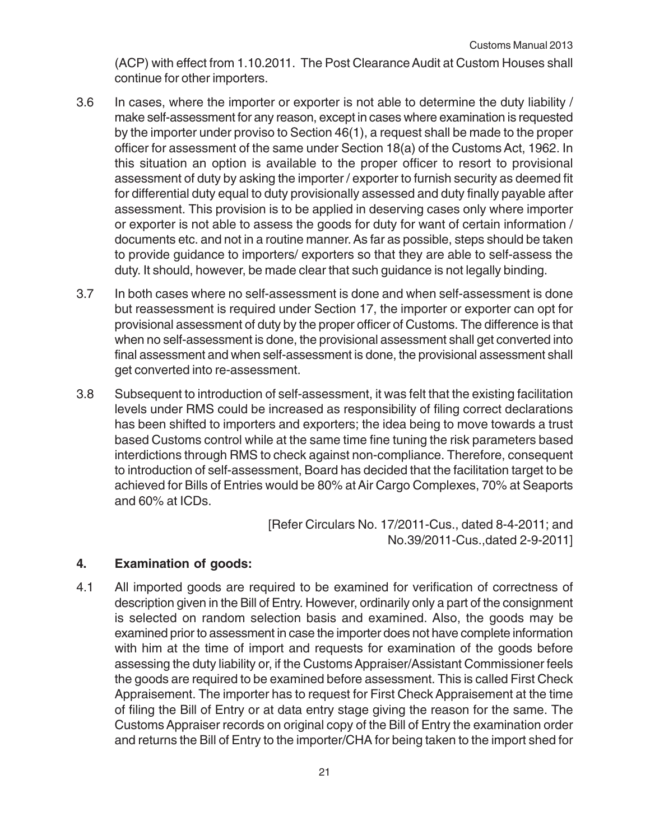(ACP) with effect from 1.10.2011. The Post Clearance Audit at Custom Houses shall continue for other importers.

- 3.6 In cases, where the importer or exporter is not able to determine the duty liability / make self-assessment for any reason, except in cases where examination is requested by the importer under proviso to Section 46(1), a request shall be made to the proper officer for assessment of the same under Section 18(a) of the Customs Act, 1962. In this situation an option is available to the proper officer to resort to provisional assessment of duty by asking the importer / exporter to furnish security as deemed fit for differential duty equal to duty provisionally assessed and duty finally payable after assessment. This provision is to be applied in deserving cases only where importer or exporter is not able to assess the goods for duty for want of certain information / documents etc. and not in a routine manner. As far as possible, steps should be taken to provide guidance to importers/ exporters so that they are able to self-assess the duty. It should, however, be made clear that such guidance is not legally binding.
- 3.7 In both cases where no self-assessment is done and when self-assessment is done but reassessment is required under Section 17, the importer or exporter can opt for provisional assessment of duty by the proper officer of Customs. The difference is that when no self-assessment is done, the provisional assessment shall get converted into final assessment and when self-assessment is done, the provisional assessment shall get converted into re-assessment.
- 3.8 Subsequent to introduction of self-assessment, it was felt that the existing facilitation levels under RMS could be increased as responsibility of filing correct declarations has been shifted to importers and exporters; the idea being to move towards a trust based Customs control while at the same time fine tuning the risk parameters based interdictions through RMS to check against non-compliance. Therefore, consequent to introduction of self-assessment, Board has decided that the facilitation target to be achieved for Bills of Entries would be 80% at Air Cargo Complexes, 70% at Seaports and 60% at ICDs.

[Refer Circulars No. 17/2011-Cus., dated 8-4-2011; and No.39/2011-Cus.,dated 2-9-2011]

#### **4. Examination of goods:**

4.1 All imported goods are required to be examined for verification of correctness of description given in the Bill of Entry. However, ordinarily only a part of the consignment is selected on random selection basis and examined. Also, the goods may be examined prior to assessment in case the importer does not have complete information with him at the time of import and requests for examination of the goods before assessing the duty liability or, if the Customs Appraiser/Assistant Commissioner feels the goods are required to be examined before assessment. This is called First Check Appraisement. The importer has to request for First Check Appraisement at the time of filing the Bill of Entry or at data entry stage giving the reason for the same. The Customs Appraiser records on original copy of the Bill of Entry the examination order and returns the Bill of Entry to the importer/CHA for being taken to the import shed for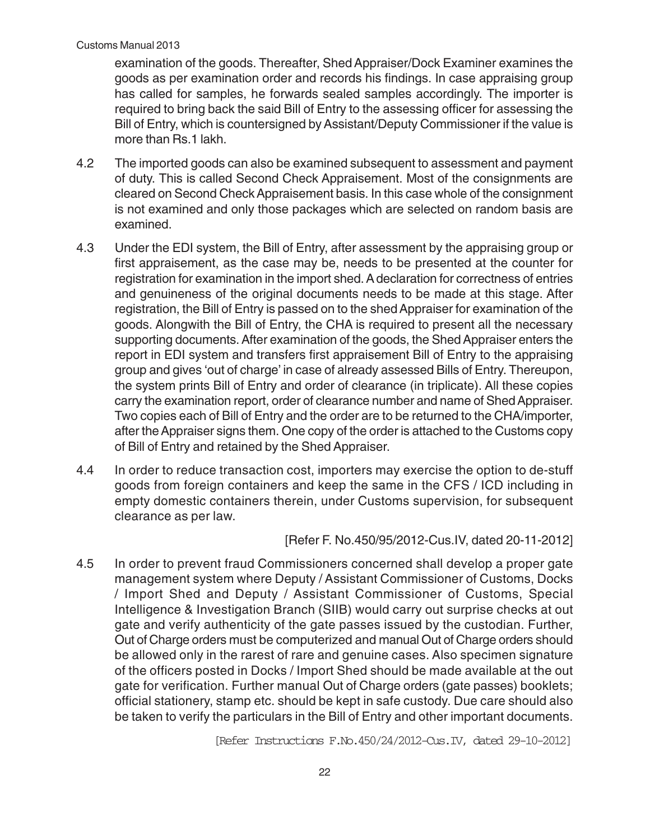examination of the goods. Thereafter, Shed Appraiser/Dock Examiner examines the goods as per examination order and records his findings. In case appraising group has called for samples, he forwards sealed samples accordingly. The importer is required to bring back the said Bill of Entry to the assessing officer for assessing the Bill of Entry, which is countersigned by Assistant/Deputy Commissioner if the value is more than Rs.1 lakh.

- 4.2 The imported goods can also be examined subsequent to assessment and payment of duty. This is called Second Check Appraisement. Most of the consignments are cleared on Second Check Appraisement basis. In this case whole of the consignment is not examined and only those packages which are selected on random basis are examined.
- 4.3 Under the EDI system, the Bill of Entry, after assessment by the appraising group or first appraisement, as the case may be, needs to be presented at the counter for registration for examination in the import shed. A declaration for correctness of entries and genuineness of the original documents needs to be made at this stage. After registration, the Bill of Entry is passed on to the shed Appraiser for examination of the goods. Alongwith the Bill of Entry, the CHA is required to present all the necessary supporting documents. After examination of the goods, the Shed Appraiser enters the report in EDI system and transfers first appraisement Bill of Entry to the appraising group and gives 'out of charge' in case of already assessed Bills of Entry. Thereupon, the system prints Bill of Entry and order of clearance (in triplicate). All these copies carry the examination report, order of clearance number and name of Shed Appraiser. Two copies each of Bill of Entry and the order are to be returned to the CHA/importer, after the Appraiser signs them. One copy of the order is attached to the Customs copy of Bill of Entry and retained by the Shed Appraiser.
- 4.4 In order to reduce transaction cost, importers may exercise the option to de-stuff goods from foreign containers and keep the same in the CFS / ICD including in empty domestic containers therein, under Customs supervision, for subsequent clearance as per law.

[Refer F. No.450/95/2012-Cus.IV, dated 20-11-2012]

4.5 In order to prevent fraud Commissioners concerned shall develop a proper gate management system where Deputy / Assistant Commissioner of Customs, Docks / Import Shed and Deputy / Assistant Commissioner of Customs, Special Intelligence & Investigation Branch (SIIB) would carry out surprise checks at out gate and verify authenticity of the gate passes issued by the custodian. Further, Out of Charge orders must be computerized and manual Out of Charge orders should be allowed only in the rarest of rare and genuine cases. Also specimen signature of the officers posted in Docks / Import Shed should be made available at the out gate for verification. Further manual Out of Charge orders (gate passes) booklets; official stationery, stamp etc. should be kept in safe custody. Due care should also be taken to verify the particulars in the Bill of Entry and other important documents.

[Refer Instructions F.No.450/24/2012-Cus.IV, dated 29-10-2012]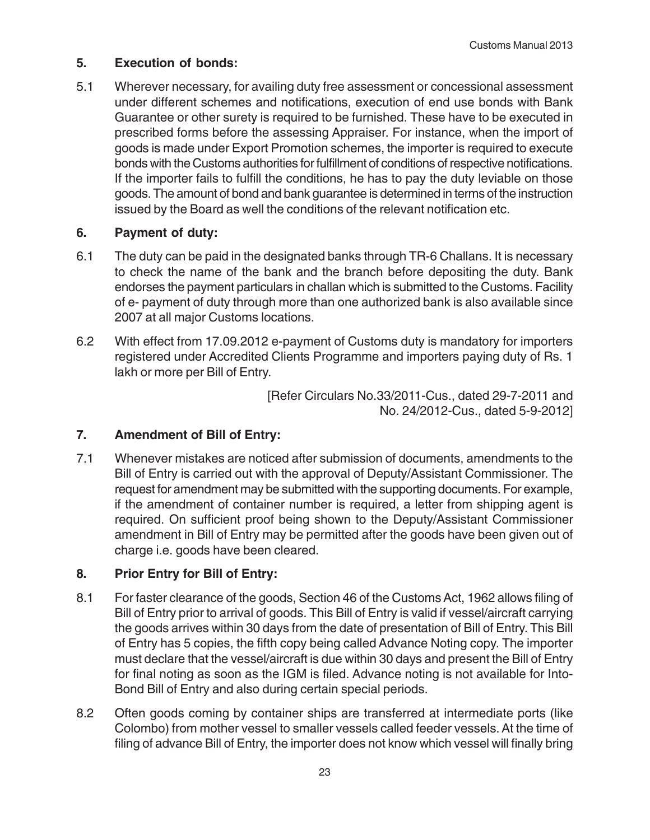#### **5. Execution of bonds:**

5.1 Wherever necessary, for availing duty free assessment or concessional assessment under different schemes and notifications, execution of end use bonds with Bank Guarantee or other surety is required to be furnished. These have to be executed in prescribed forms before the assessing Appraiser. For instance, when the import of goods is made under Export Promotion schemes, the importer is required to execute bonds with the Customs authorities for fulfillment of conditions of respective notifications. If the importer fails to fulfill the conditions, he has to pay the duty leviable on those goods. The amount of bond and bank guarantee is determined in terms of the instruction issued by the Board as well the conditions of the relevant notification etc.

#### **6. Payment of duty:**

- 6.1 The duty can be paid in the designated banks through TR-6 Challans. It is necessary to check the name of the bank and the branch before depositing the duty. Bank endorses the payment particulars in challan which is submitted to the Customs. Facility of e- payment of duty through more than one authorized bank is also available since 2007 at all major Customs locations.
- 6.2 With effect from 17.09.2012 e-payment of Customs duty is mandatory for importers registered under Accredited Clients Programme and importers paying duty of Rs. 1 lakh or more per Bill of Entry.

[Refer Circulars No.33/2011-Cus., dated 29-7-2011 and No. 24/2012-Cus., dated 5-9-2012]

#### **7. Amendment of Bill of Entry:**

7.1 Whenever mistakes are noticed after submission of documents, amendments to the Bill of Entry is carried out with the approval of Deputy/Assistant Commissioner. The request for amendment may be submitted with the supporting documents. For example, if the amendment of container number is required, a letter from shipping agent is required. On sufficient proof being shown to the Deputy/Assistant Commissioner amendment in Bill of Entry may be permitted after the goods have been given out of charge i.e. goods have been cleared.

#### **8. Prior Entry for Bill of Entry:**

- 8.1 For faster clearance of the goods, Section 46 of the Customs Act, 1962 allows filing of Bill of Entry prior to arrival of goods. This Bill of Entry is valid if vessel/aircraft carrying the goods arrives within 30 days from the date of presentation of Bill of Entry. This Bill of Entry has 5 copies, the fifth copy being called Advance Noting copy. The importer must declare that the vessel/aircraft is due within 30 days and present the Bill of Entry for final noting as soon as the IGM is filed. Advance noting is not available for Into-Bond Bill of Entry and also during certain special periods.
- 8.2 Often goods coming by container ships are transferred at intermediate ports (like Colombo) from mother vessel to smaller vessels called feeder vessels. At the time of filing of advance Bill of Entry, the importer does not know which vessel will finally bring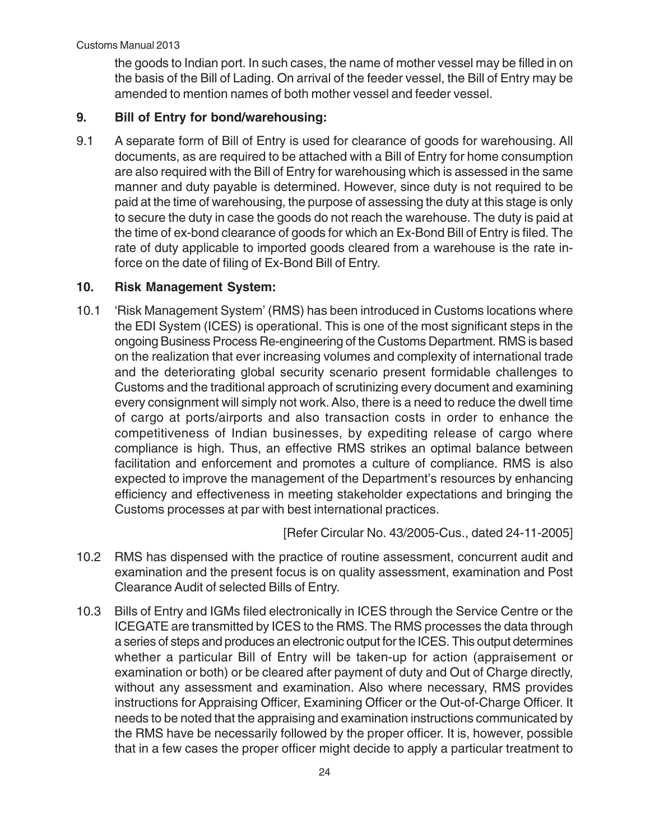the goods to Indian port. In such cases, the name of mother vessel may be filled in on the basis of the Bill of Lading. On arrival of the feeder vessel, the Bill of Entry may be amended to mention names of both mother vessel and feeder vessel.

#### **9. Bill of Entry for bond/warehousing:**

9.1 A separate form of Bill of Entry is used for clearance of goods for warehousing. All documents, as are required to be attached with a Bill of Entry for home consumption are also required with the Bill of Entry for warehousing which is assessed in the same manner and duty payable is determined. However, since duty is not required to be paid at the time of warehousing, the purpose of assessing the duty at this stage is only to secure the duty in case the goods do not reach the warehouse. The duty is paid at the time of ex-bond clearance of goods for which an Ex-Bond Bill of Entry is filed. The rate of duty applicable to imported goods cleared from a warehouse is the rate inforce on the date of filing of Ex-Bond Bill of Entry.

#### **10. Risk Management System:**

10.1 'Risk Management System' (RMS) has been introduced in Customs locations where the EDI System (ICES) is operational. This is one of the most significant steps in the ongoing Business Process Re-engineering of the Customs Department. RMS is based on the realization that ever increasing volumes and complexity of international trade and the deteriorating global security scenario present formidable challenges to Customs and the traditional approach of scrutinizing every document and examining every consignment will simply not work. Also, there is a need to reduce the dwell time of cargo at ports/airports and also transaction costs in order to enhance the competitiveness of Indian businesses, by expediting release of cargo where compliance is high. Thus, an effective RMS strikes an optimal balance between facilitation and enforcement and promotes a culture of compliance. RMS is also expected to improve the management of the Department's resources by enhancing efficiency and effectiveness in meeting stakeholder expectations and bringing the Customs processes at par with best international practices.

[Refer Circular No. 43/2005-Cus., dated 24-11-2005]

- 10.2 RMS has dispensed with the practice of routine assessment, concurrent audit and examination and the present focus is on quality assessment, examination and Post Clearance Audit of selected Bills of Entry.
- 10.3 Bills of Entry and IGMs filed electronically in ICES through the Service Centre or the ICEGATE are transmitted by ICES to the RMS. The RMS processes the data through a series of steps and produces an electronic output for the ICES. This output determines whether a particular Bill of Entry will be taken-up for action (appraisement or examination or both) or be cleared after payment of duty and Out of Charge directly, without any assessment and examination. Also where necessary, RMS provides instructions for Appraising Officer, Examining Officer or the Out-of-Charge Officer. It needs to be noted that the appraising and examination instructions communicated by the RMS have be necessarily followed by the proper officer. It is, however, possible that in a few cases the proper officer might decide to apply a particular treatment to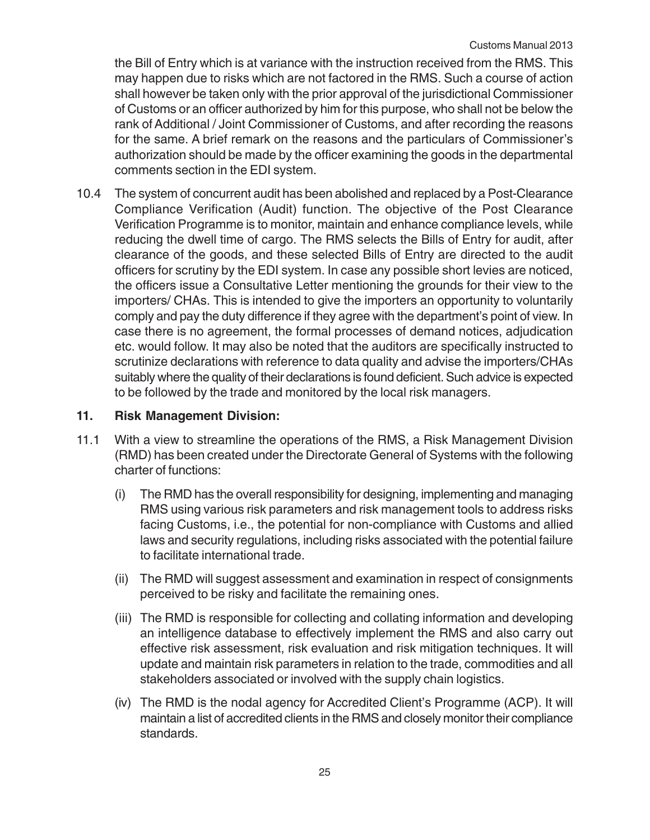the Bill of Entry which is at variance with the instruction received from the RMS. This may happen due to risks which are not factored in the RMS. Such a course of action shall however be taken only with the prior approval of the jurisdictional Commissioner of Customs or an officer authorized by him for this purpose, who shall not be below the rank of Additional / Joint Commissioner of Customs, and after recording the reasons for the same. A brief remark on the reasons and the particulars of Commissioner's authorization should be made by the officer examining the goods in the departmental comments section in the EDI system.

10.4 The system of concurrent audit has been abolished and replaced by a Post-Clearance Compliance Verification (Audit) function. The objective of the Post Clearance Verification Programme is to monitor, maintain and enhance compliance levels, while reducing the dwell time of cargo. The RMS selects the Bills of Entry for audit, after clearance of the goods, and these selected Bills of Entry are directed to the audit officers for scrutiny by the EDI system. In case any possible short levies are noticed, the officers issue a Consultative Letter mentioning the grounds for their view to the importers/ CHAs. This is intended to give the importers an opportunity to voluntarily comply and pay the duty difference if they agree with the department's point of view. In case there is no agreement, the formal processes of demand notices, adjudication etc. would follow. It may also be noted that the auditors are specifically instructed to scrutinize declarations with reference to data quality and advise the importers/CHAs suitably where the quality of their declarations is found deficient. Such advice is expected to be followed by the trade and monitored by the local risk managers.

#### **11. Risk Management Division:**

- 11.1 With a view to streamline the operations of the RMS, a Risk Management Division (RMD) has been created under the Directorate General of Systems with the following charter of functions:
	- (i) The RMD has the overall responsibility for designing, implementing and managing RMS using various risk parameters and risk management tools to address risks facing Customs, i.e., the potential for non-compliance with Customs and allied laws and security regulations, including risks associated with the potential failure to facilitate international trade.
	- (ii) The RMD will suggest assessment and examination in respect of consignments perceived to be risky and facilitate the remaining ones.
	- (iii) The RMD is responsible for collecting and collating information and developing an intelligence database to effectively implement the RMS and also carry out effective risk assessment, risk evaluation and risk mitigation techniques. It will update and maintain risk parameters in relation to the trade, commodities and all stakeholders associated or involved with the supply chain logistics.
	- (iv) The RMD is the nodal agency for Accredited Client's Programme (ACP). It will maintain a list of accredited clients in the RMS and closely monitor their compliance standards.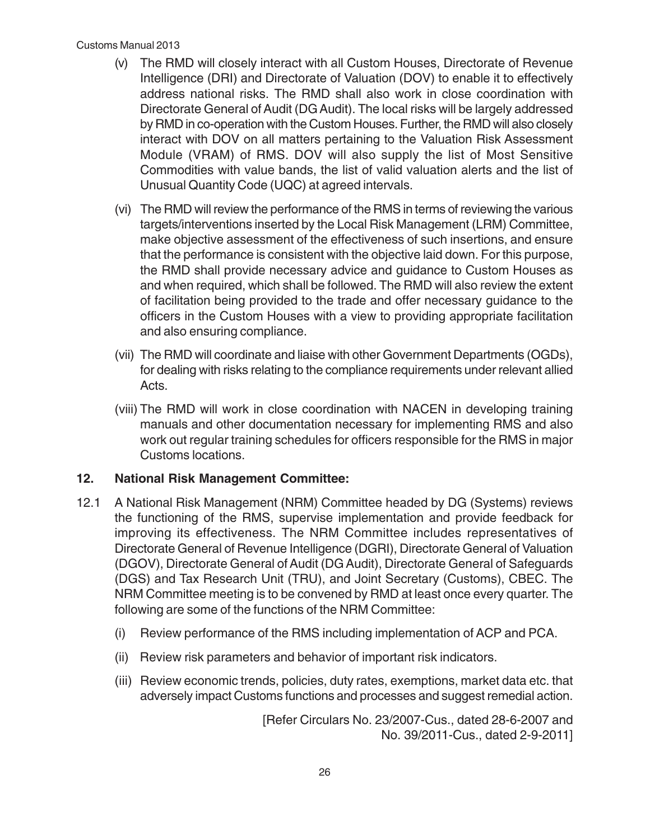#### Customs Manual 2013

- (v) The RMD will closely interact with all Custom Houses, Directorate of Revenue Intelligence (DRI) and Directorate of Valuation (DOV) to enable it to effectively address national risks. The RMD shall also work in close coordination with Directorate General of Audit (DG Audit). The local risks will be largely addressed by RMD in co-operation with the Custom Houses. Further, the RMD will also closely interact with DOV on all matters pertaining to the Valuation Risk Assessment Module (VRAM) of RMS. DOV will also supply the list of Most Sensitive Commodities with value bands, the list of valid valuation alerts and the list of Unusual Quantity Code (UQC) at agreed intervals.
- (vi) The RMD will review the performance of the RMS in terms of reviewing the various targets/interventions inserted by the Local Risk Management (LRM) Committee, make objective assessment of the effectiveness of such insertions, and ensure that the performance is consistent with the objective laid down. For this purpose, the RMD shall provide necessary advice and guidance to Custom Houses as and when required, which shall be followed. The RMD will also review the extent of facilitation being provided to the trade and offer necessary guidance to the officers in the Custom Houses with a view to providing appropriate facilitation and also ensuring compliance.
- (vii) The RMD will coordinate and liaise with other Government Departments (OGDs), for dealing with risks relating to the compliance requirements under relevant allied Acts.
- (viii) The RMD will work in close coordination with NACEN in developing training manuals and other documentation necessary for implementing RMS and also work out regular training schedules for officers responsible for the RMS in major Customs locations.

#### **12. National Risk Management Committee:**

- 12.1 A National Risk Management (NRM) Committee headed by DG (Systems) reviews the functioning of the RMS, supervise implementation and provide feedback for improving its effectiveness. The NRM Committee includes representatives of Directorate General of Revenue Intelligence (DGRI), Directorate General of Valuation (DGOV), Directorate General of Audit (DG Audit), Directorate General of Safeguards (DGS) and Tax Research Unit (TRU), and Joint Secretary (Customs), CBEC. The NRM Committee meeting is to be convened by RMD at least once every quarter. The following are some of the functions of the NRM Committee:
	- (i) Review performance of the RMS including implementation of ACP and PCA.
	- (ii) Review risk parameters and behavior of important risk indicators.
	- (iii) Review economic trends, policies, duty rates, exemptions, market data etc. that adversely impact Customs functions and processes and suggest remedial action.

[Refer Circulars No. 23/2007-Cus., dated 28-6-2007 and No. 39/2011-Cus., dated 2-9-2011]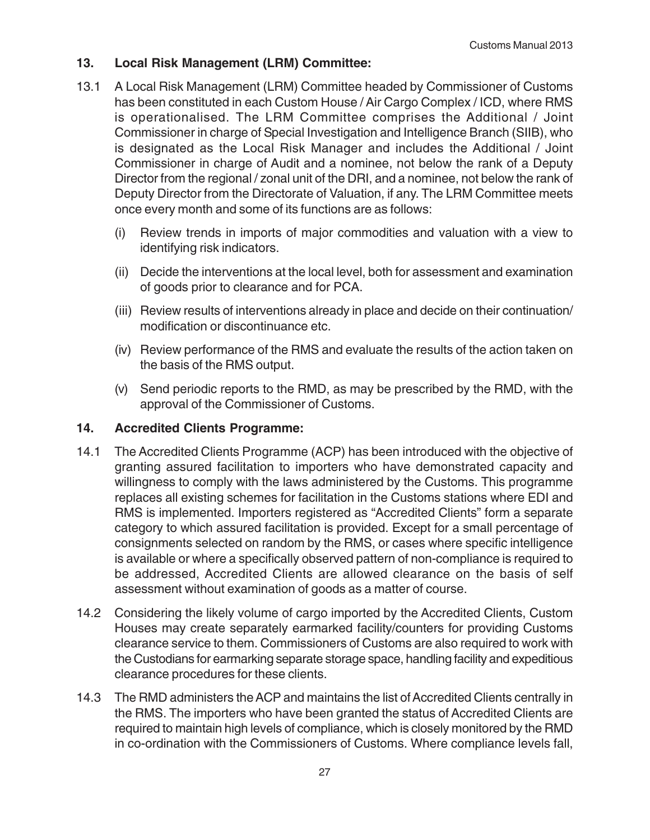#### **13. Local Risk Management (LRM) Committee:**

- 13.1 A Local Risk Management (LRM) Committee headed by Commissioner of Customs has been constituted in each Custom House / Air Cargo Complex / ICD, where RMS is operationalised. The LRM Committee comprises the Additional / Joint Commissioner in charge of Special Investigation and Intelligence Branch (SIIB), who is designated as the Local Risk Manager and includes the Additional / Joint Commissioner in charge of Audit and a nominee, not below the rank of a Deputy Director from the regional / zonal unit of the DRI, and a nominee, not below the rank of Deputy Director from the Directorate of Valuation, if any. The LRM Committee meets once every month and some of its functions are as follows:
	- (i) Review trends in imports of major commodities and valuation with a view to identifying risk indicators.
	- (ii) Decide the interventions at the local level, both for assessment and examination of goods prior to clearance and for PCA.
	- (iii) Review results of interventions already in place and decide on their continuation/ modification or discontinuance etc.
	- (iv) Review performance of the RMS and evaluate the results of the action taken on the basis of the RMS output.
	- (v) Send periodic reports to the RMD, as may be prescribed by the RMD, with the approval of the Commissioner of Customs.

#### **14. Accredited Clients Programme:**

- 14.1 The Accredited Clients Programme (ACP) has been introduced with the objective of granting assured facilitation to importers who have demonstrated capacity and willingness to comply with the laws administered by the Customs. This programme replaces all existing schemes for facilitation in the Customs stations where EDI and RMS is implemented. Importers registered as "Accredited Clients" form a separate category to which assured facilitation is provided. Except for a small percentage of consignments selected on random by the RMS, or cases where specific intelligence is available or where a specifically observed pattern of non-compliance is required to be addressed, Accredited Clients are allowed clearance on the basis of self assessment without examination of goods as a matter of course.
- 14.2 Considering the likely volume of cargo imported by the Accredited Clients, Custom Houses may create separately earmarked facility/counters for providing Customs clearance service to them. Commissioners of Customs are also required to work with the Custodians for earmarking separate storage space, handling facility and expeditious clearance procedures for these clients.
- 14.3 The RMD administers the ACP and maintains the list of Accredited Clients centrally in the RMS. The importers who have been granted the status of Accredited Clients are required to maintain high levels of compliance, which is closely monitored by the RMD in co-ordination with the Commissioners of Customs. Where compliance levels fall,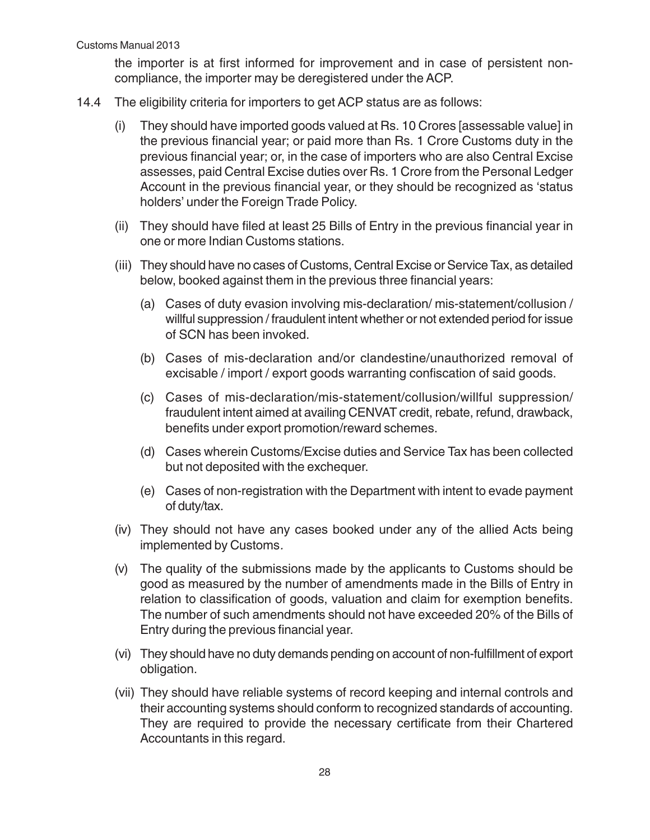the importer is at first informed for improvement and in case of persistent noncompliance, the importer may be deregistered under the ACP.

- 14.4 The eligibility criteria for importers to get ACP status are as follows:
	- (i) They should have imported goods valued at Rs. 10 Crores [assessable value] in the previous financial year; or paid more than Rs. 1 Crore Customs duty in the previous financial year; or, in the case of importers who are also Central Excise assesses, paid Central Excise duties over Rs. 1 Crore from the Personal Ledger Account in the previous financial year, or they should be recognized as 'status holders' under the Foreign Trade Policy.
	- (ii) They should have filed at least 25 Bills of Entry in the previous financial year in one or more Indian Customs stations.
	- (iii) They should have no cases of Customs, Central Excise or Service Tax, as detailed below, booked against them in the previous three financial years:
		- (a) Cases of duty evasion involving mis-declaration/ mis-statement/collusion / willful suppression / fraudulent intent whether or not extended period for issue of SCN has been invoked.
		- (b) Cases of mis-declaration and/or clandestine/unauthorized removal of excisable / import / export goods warranting confiscation of said goods.
		- (c) Cases of mis-declaration/mis-statement/collusion/willful suppression/ fraudulent intent aimed at availing CENVAT credit, rebate, refund, drawback, benefits under export promotion/reward schemes.
		- (d) Cases wherein Customs/Excise duties and Service Tax has been collected but not deposited with the exchequer.
		- (e) Cases of non-registration with the Department with intent to evade payment of duty/tax.
	- (iv) They should not have any cases booked under any of the allied Acts being implemented by Customs.
	- (v) The quality of the submissions made by the applicants to Customs should be good as measured by the number of amendments made in the Bills of Entry in relation to classification of goods, valuation and claim for exemption benefits. The number of such amendments should not have exceeded 20% of the Bills of Entry during the previous financial year.
	- (vi) They should have no duty demands pending on account of non-fulfillment of export obligation.
	- (vii) They should have reliable systems of record keeping and internal controls and their accounting systems should conform to recognized standards of accounting. They are required to provide the necessary certificate from their Chartered Accountants in this regard.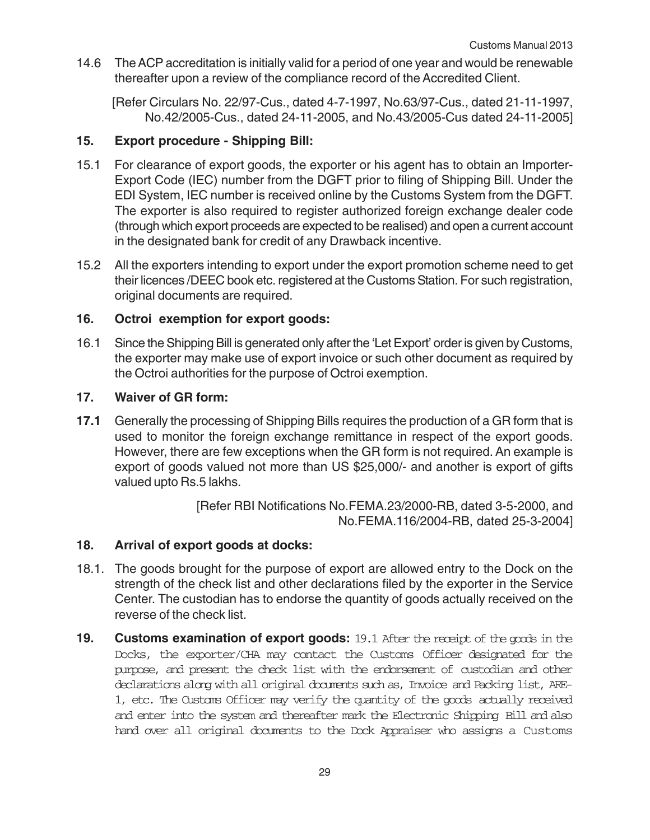14.6 The ACP accreditation is initially valid for a period of one year and would be renewable thereafter upon a review of the compliance record of the Accredited Client.

[Refer Circulars No. 22/97-Cus., dated 4-7-1997, No.63/97-Cus., dated 21-11-1997, No.42/2005-Cus., dated 24-11-2005, and No.43/2005-Cus dated 24-11-2005]

#### **15. Export procedure - Shipping Bill:**

- 15.1 For clearance of export goods, the exporter or his agent has to obtain an Importer-Export Code (IEC) number from the DGFT prior to filing of Shipping Bill. Under the EDI System, IEC number is received online by the Customs System from the DGFT. The exporter is also required to register authorized foreign exchange dealer code (through which export proceeds are expected to be realised) and open a current account in the designated bank for credit of any Drawback incentive.
- 15.2 All the exporters intending to export under the export promotion scheme need to get their licences /DEEC book etc. registered at the Customs Station. For such registration, original documents are required.

#### **16. Octroi exemption for export goods:**

16.1 Since the Shipping Bill is generated only after the 'Let Export' order is given by Customs, the exporter may make use of export invoice or such other document as required by the Octroi authorities for the purpose of Octroi exemption.

#### **17. Waiver of GR form:**

**17.1** Generally the processing of Shipping Bills requires the production of a GR form that is used to monitor the foreign exchange remittance in respect of the export goods. However, there are few exceptions when the GR form is not required. An example is export of goods valued not more than US \$25,000/- and another is export of gifts valued upto Rs.5 lakhs.

> [Refer RBI Notifications No.FEMA.23/2000-RB, dated 3-5-2000, and No.FEMA.116/2004-RB, dated 25-3-2004]

#### **18. Arrival of export goods at docks:**

- 18.1. The goods brought for the purpose of export are allowed entry to the Dock on the strength of the check list and other declarations filed by the exporter in the Service Center. The custodian has to endorse the quantity of goods actually received on the reverse of the check list.
- **19.** Customs examination of export goods: 19.1 After the receipt of the goods in the Docks, the exporter/CHA may contact the Customs Officer designated for the purpose, and present the check list with the endorsement of custodian and other declarations along with all original documents such as, Invoice and Packing list, ARE-1, etc. The Customs Officer may verify the quantity of the goods actually received and enter into the system and thereafter mark the Electronic Shipping Bill and also hand over all original documents to the Dock Appraiser who assigns a Customs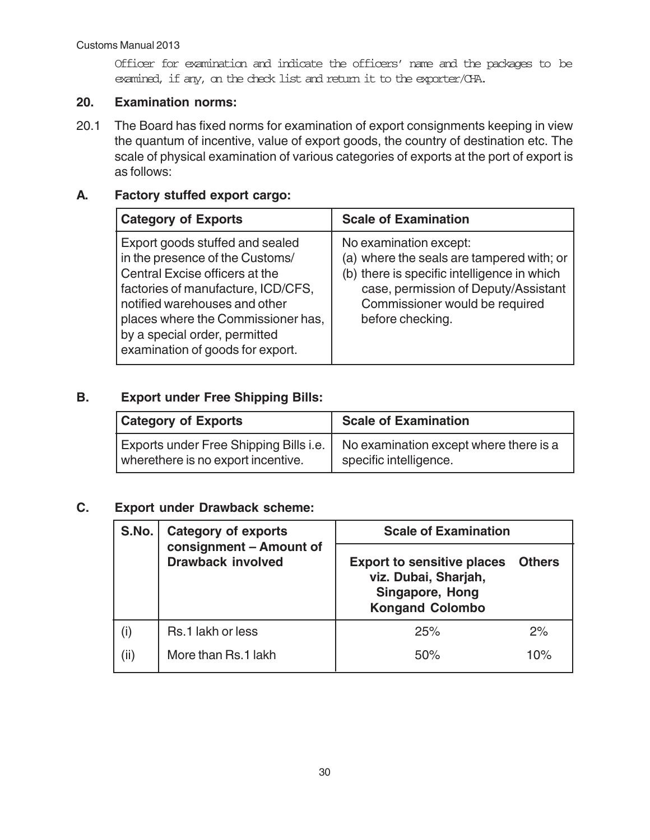Officer for examination and indicate the officers' name and the packages to be examined, if any, on the check list and return it to the exporter/CHA.

#### **20. Examination norms:**

20.1 The Board has fixed norms for examination of export consignments keeping in view the quantum of incentive, value of export goods, the country of destination etc. The scale of physical examination of various categories of exports at the port of export is as follows:

### **A. Factory stuffed export cargo:**

| <b>Category of Exports</b>                                                                                                                                                                                                                                                             | <b>Scale of Examination</b>                                                                                                                                                                                      |
|----------------------------------------------------------------------------------------------------------------------------------------------------------------------------------------------------------------------------------------------------------------------------------------|------------------------------------------------------------------------------------------------------------------------------------------------------------------------------------------------------------------|
| Export goods stuffed and sealed<br>in the presence of the Customs/<br>Central Excise officers at the<br>factories of manufacture, ICD/CFS,<br>notified warehouses and other<br>places where the Commissioner has,<br>by a special order, permitted<br>examination of goods for export. | No examination except:<br>(a) where the seals are tampered with; or<br>(b) there is specific intelligence in which<br>case, permission of Deputy/Assistant<br>Commissioner would be required<br>before checking. |

#### **B. Export under Free Shipping Bills:**

| <b>Category of Exports</b>                                                          | <b>Scale of Examination</b>                                      |
|-------------------------------------------------------------------------------------|------------------------------------------------------------------|
| <b>Exports under Free Shipping Bills i.e.</b><br>wherethere is no export incentive. | No examination except where there is a<br>specific intelligence. |

#### **C. Export under Drawback scheme:**

| S.No. | <b>Category of exports</b><br>consignment - Amount of<br><b>Drawback involved</b> | <b>Scale of Examination</b>                                                                                   |               |
|-------|-----------------------------------------------------------------------------------|---------------------------------------------------------------------------------------------------------------|---------------|
|       |                                                                                   | <b>Export to sensitive places</b><br>viz. Dubai, Sharjah,<br><b>Singapore, Hong</b><br><b>Kongand Colombo</b> | <b>Others</b> |
| (i)   | Rs.1 lakh or less                                                                 | 25%                                                                                                           | 2%            |
| (ii)  | More than Rs.1 lakh                                                               | 50%                                                                                                           | $10\%$        |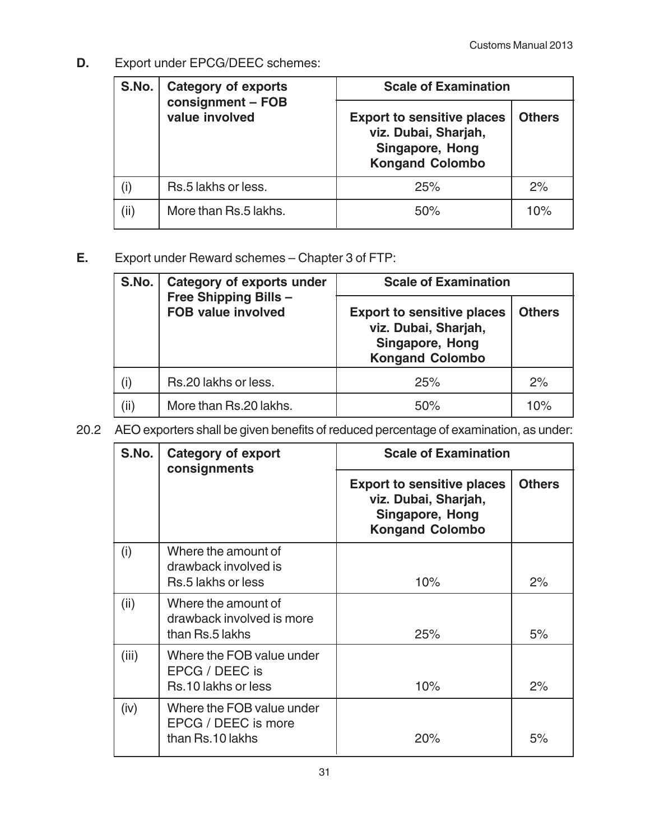**D.** Export under EPCG/DEEC schemes:

| S.No. | <b>Category of exports</b><br>consignment - FOB<br>value involved | <b>Scale of Examination</b>                                                                            |               |
|-------|-------------------------------------------------------------------|--------------------------------------------------------------------------------------------------------|---------------|
|       |                                                                   | <b>Export to sensitive places</b><br>viz. Dubai, Sharjah,<br>Singapore, Hong<br><b>Kongand Colombo</b> | <b>Others</b> |
|       | Rs.5 lakhs or less.                                               | 25%                                                                                                    | 2%            |
| (ii)  | More than Rs.5 lakhs.                                             | 50%                                                                                                    | 10%           |

**E.** Export under Reward schemes – Chapter 3 of FTP:

| S.No. | <b>Category of exports under</b>                   | <b>Scale of Examination</b>                                                                            |               |
|-------|----------------------------------------------------|--------------------------------------------------------------------------------------------------------|---------------|
|       | Free Shipping Bills -<br><b>FOB value involved</b> | <b>Export to sensitive places</b><br>viz. Dubai, Sharjah,<br>Singapore, Hong<br><b>Kongand Colombo</b> | <b>Others</b> |
| (i)   | Rs.20 lakhs or less.                               | 25%                                                                                                    | 2%            |
| (ii)  | More than Rs.20 lakhs.                             | 50%                                                                                                    | 10%           |

20.2 AEO exporters shall be given benefits of reduced percentage of examination, as under:

| S.No. | <b>Category of export</b><br>consignments                            | <b>Scale of Examination</b>                                                                            |               |
|-------|----------------------------------------------------------------------|--------------------------------------------------------------------------------------------------------|---------------|
|       |                                                                      | <b>Export to sensitive places</b><br>viz. Dubai, Sharjah,<br>Singapore, Hong<br><b>Kongand Colombo</b> | <b>Others</b> |
| (i)   | Where the amount of<br>drawback involved is<br>Rs.5 lakhs or less    | 10%                                                                                                    | 2%            |
| (ii)  | Where the amount of<br>drawback involved is more<br>than Rs.5 lakhs  | 25%                                                                                                    | 5%            |
| (iii) | Where the FOB value under<br>EPCG / DEEC is<br>Rs.10 lakhs or less   | 10%                                                                                                    | 2%            |
| (iv)  | Where the FOB value under<br>EPCG / DEEC is more<br>than Rs.10 lakhs | 20%                                                                                                    | 5%            |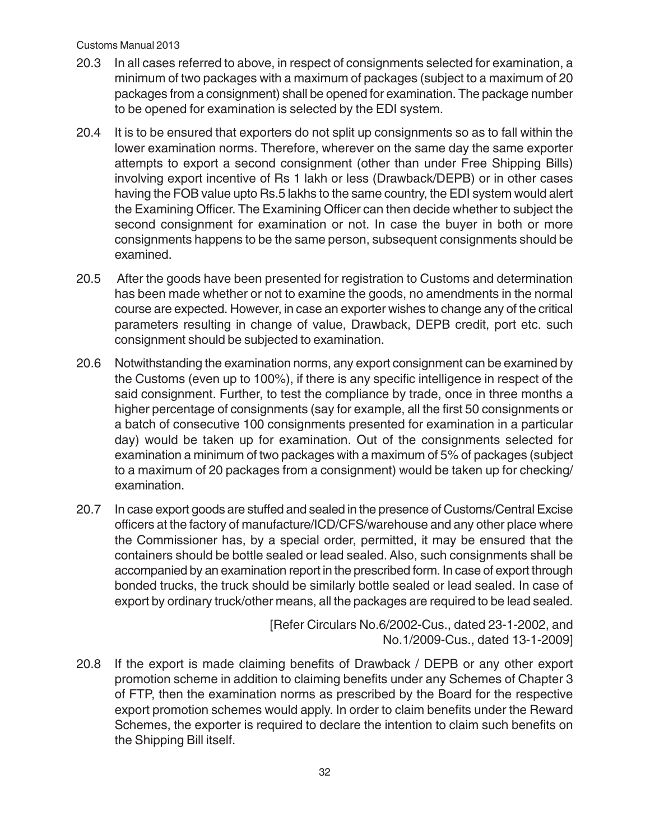- 20.3 In all cases referred to above, in respect of consignments selected for examination, a minimum of two packages with a maximum of packages (subject to a maximum of 20 packages from a consignment) shall be opened for examination. The package number to be opened for examination is selected by the EDI system.
- 20.4 It is to be ensured that exporters do not split up consignments so as to fall within the lower examination norms. Therefore, wherever on the same day the same exporter attempts to export a second consignment (other than under Free Shipping Bills) involving export incentive of Rs 1 lakh or less (Drawback/DEPB) or in other cases having the FOB value upto Rs.5 lakhs to the same country, the EDI system would alert the Examining Officer. The Examining Officer can then decide whether to subject the second consignment for examination or not. In case the buyer in both or more consignments happens to be the same person, subsequent consignments should be examined.
- 20.5 After the goods have been presented for registration to Customs and determination has been made whether or not to examine the goods, no amendments in the normal course are expected. However, in case an exporter wishes to change any of the critical parameters resulting in change of value, Drawback, DEPB credit, port etc. such consignment should be subjected to examination.
- 20.6 Notwithstanding the examination norms, any export consignment can be examined by the Customs (even up to 100%), if there is any specific intelligence in respect of the said consignment. Further, to test the compliance by trade, once in three months a higher percentage of consignments (say for example, all the first 50 consignments or a batch of consecutive 100 consignments presented for examination in a particular day) would be taken up for examination. Out of the consignments selected for examination a minimum of two packages with a maximum of 5% of packages (subject to a maximum of 20 packages from a consignment) would be taken up for checking/ examination.
- 20.7 In case export goods are stuffed and sealed in the presence of Customs/Central Excise officers at the factory of manufacture/ICD/CFS/warehouse and any other place where the Commissioner has, by a special order, permitted, it may be ensured that the containers should be bottle sealed or lead sealed. Also, such consignments shall be accompanied by an examination report in the prescribed form. In case of export through bonded trucks, the truck should be similarly bottle sealed or lead sealed. In case of export by ordinary truck/other means, all the packages are required to be lead sealed.

[Refer Circulars No.6/2002-Cus., dated 23-1-2002, and No.1/2009-Cus., dated 13-1-2009]

20.8 If the export is made claiming benefits of Drawback / DEPB or any other export promotion scheme in addition to claiming benefits under any Schemes of Chapter 3 of FTP, then the examination norms as prescribed by the Board for the respective export promotion schemes would apply. In order to claim benefits under the Reward Schemes, the exporter is required to declare the intention to claim such benefits on the Shipping Bill itself.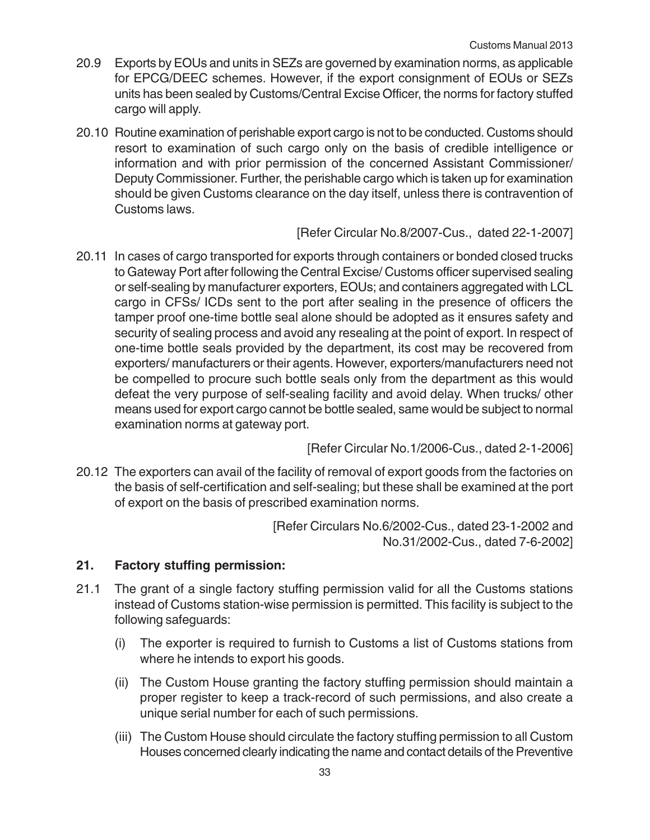- 20.9 Exports by EOUs and units in SEZs are governed by examination norms, as applicable for EPCG/DEEC schemes. However, if the export consignment of EOUs or SEZs units has been sealed by Customs/Central Excise Officer, the norms for factory stuffed cargo will apply.
- 20.10 Routine examination of perishable export cargo is not to be conducted. Customs should resort to examination of such cargo only on the basis of credible intelligence or information and with prior permission of the concerned Assistant Commissioner/ Deputy Commissioner. Further, the perishable cargo which is taken up for examination should be given Customs clearance on the day itself, unless there is contravention of Customs laws.

[Refer Circular No.8/2007-Cus., dated 22-1-2007]

20.11 In cases of cargo transported for exports through containers or bonded closed trucks to Gateway Port after following the Central Excise/ Customs officer supervised sealing or self-sealing by manufacturer exporters, EOUs; and containers aggregated with LCL cargo in CFSs/ ICDs sent to the port after sealing in the presence of officers the tamper proof one-time bottle seal alone should be adopted as it ensures safety and security of sealing process and avoid any resealing at the point of export. In respect of one-time bottle seals provided by the department, its cost may be recovered from exporters/ manufacturers or their agents. However, exporters/manufacturers need not be compelled to procure such bottle seals only from the department as this would defeat the very purpose of self-sealing facility and avoid delay. When trucks/ other means used for export cargo cannot be bottle sealed, same would be subject to normal examination norms at gateway port.

[Refer Circular No.1/2006-Cus., dated 2-1-2006]

20.12 The exporters can avail of the facility of removal of export goods from the factories on the basis of self-certification and self-sealing; but these shall be examined at the port of export on the basis of prescribed examination norms.

> [Refer Circulars No.6/2002-Cus., dated 23-1-2002 and No.31/2002-Cus., dated 7-6-2002]

#### **21. Factory stuffing permission:**

- 21.1 The grant of a single factory stuffing permission valid for all the Customs stations instead of Customs station-wise permission is permitted. This facility is subject to the following safeguards:
	- (i) The exporter is required to furnish to Customs a list of Customs stations from where he intends to export his goods.
	- (ii) The Custom House granting the factory stuffing permission should maintain a proper register to keep a track-record of such permissions, and also create a unique serial number for each of such permissions.
	- (iii) The Custom House should circulate the factory stuffing permission to all Custom Houses concerned clearly indicating the name and contact details of the Preventive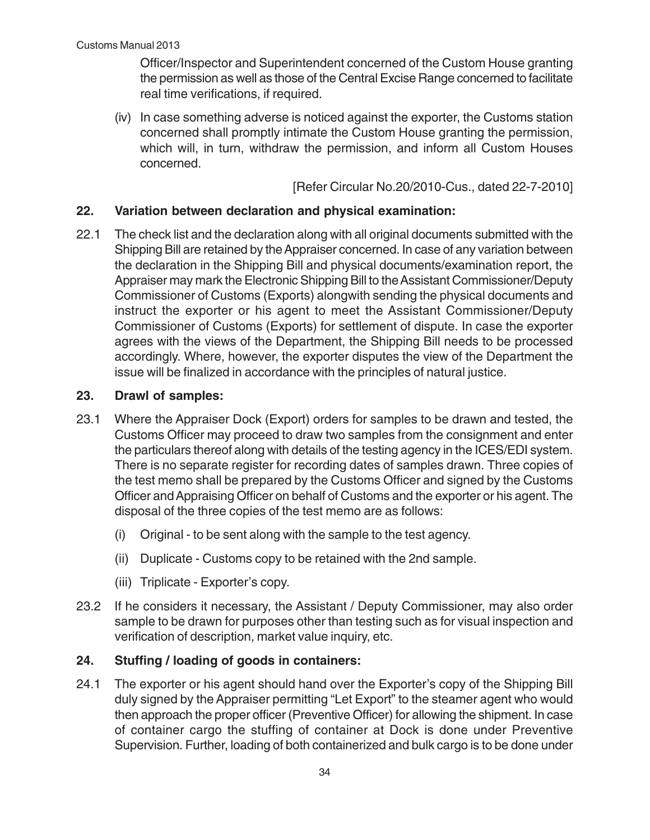Officer/Inspector and Superintendent concerned of the Custom House granting the permission as well as those of the Central Excise Range concerned to facilitate real time verifications, if required.

(iv) In case something adverse is noticed against the exporter, the Customs station concerned shall promptly intimate the Custom House granting the permission, which will, in turn, withdraw the permission, and inform all Custom Houses concerned.

[Refer Circular No.20/2010-Cus., dated 22-7-2010]

#### **22. Variation between declaration and physical examination:**

22.1 The check list and the declaration along with all original documents submitted with the Shipping Bill are retained by the Appraiser concerned. In case of any variation between the declaration in the Shipping Bill and physical documents/examination report, the Appraiser may mark the Electronic Shipping Bill to the Assistant Commissioner/Deputy Commissioner of Customs (Exports) alongwith sending the physical documents and instruct the exporter or his agent to meet the Assistant Commissioner/Deputy Commissioner of Customs (Exports) for settlement of dispute. In case the exporter agrees with the views of the Department, the Shipping Bill needs to be processed accordingly. Where, however, the exporter disputes the view of the Department the issue will be finalized in accordance with the principles of natural justice.

#### **23. Drawl of samples:**

- 23.1 Where the Appraiser Dock (Export) orders for samples to be drawn and tested, the Customs Officer may proceed to draw two samples from the consignment and enter the particulars thereof along with details of the testing agency in the ICES/EDI system. There is no separate register for recording dates of samples drawn. Three copies of the test memo shall be prepared by the Customs Officer and signed by the Customs Officer and Appraising Officer on behalf of Customs and the exporter or his agent. The disposal of the three copies of the test memo are as follows:
	- (i) Original to be sent along with the sample to the test agency.
	- (ii) Duplicate Customs copy to be retained with the 2nd sample.
	- (iii) Triplicate Exporter's copy.
- 23.2 If he considers it necessary, the Assistant / Deputy Commissioner, may also order sample to be drawn for purposes other than testing such as for visual inspection and verification of description, market value inquiry, etc.

#### **24. Stuffing / loading of goods in containers:**

24.1 The exporter or his agent should hand over the Exporter's copy of the Shipping Bill duly signed by the Appraiser permitting "Let Export" to the steamer agent who would then approach the proper officer (Preventive Officer) for allowing the shipment. In case of container cargo the stuffing of container at Dock is done under Preventive Supervision. Further, loading of both containerized and bulk cargo is to be done under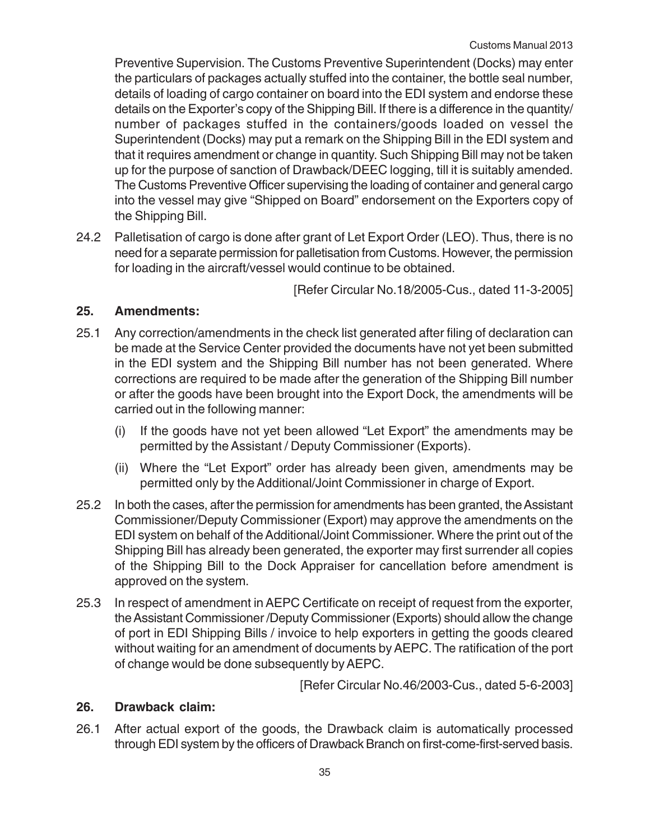Preventive Supervision. The Customs Preventive Superintendent (Docks) may enter the particulars of packages actually stuffed into the container, the bottle seal number, details of loading of cargo container on board into the EDI system and endorse these details on the Exporter's copy of the Shipping Bill. If there is a difference in the quantity/ number of packages stuffed in the containers/goods loaded on vessel the Superintendent (Docks) may put a remark on the Shipping Bill in the EDI system and that it requires amendment or change in quantity. Such Shipping Bill may not be taken up for the purpose of sanction of Drawback/DEEC logging, till it is suitably amended. The Customs Preventive Officer supervising the loading of container and general cargo into the vessel may give "Shipped on Board" endorsement on the Exporters copy of the Shipping Bill.

24.2 Palletisation of cargo is done after grant of Let Export Order (LEO). Thus, there is no need for a separate permission for palletisation from Customs. However, the permission for loading in the aircraft/vessel would continue to be obtained.

[Refer Circular No.18/2005-Cus., dated 11-3-2005]

### **25. Amendments:**

- 25.1 Any correction/amendments in the check list generated after filing of declaration can be made at the Service Center provided the documents have not yet been submitted in the EDI system and the Shipping Bill number has not been generated. Where corrections are required to be made after the generation of the Shipping Bill number or after the goods have been brought into the Export Dock, the amendments will be carried out in the following manner:
	- (i) If the goods have not yet been allowed "Let Export" the amendments may be permitted by the Assistant / Deputy Commissioner (Exports).
	- (ii) Where the "Let Export" order has already been given, amendments may be permitted only by the Additional/Joint Commissioner in charge of Export.
- 25.2 In both the cases, after the permission for amendments has been granted, the Assistant Commissioner/Deputy Commissioner (Export) may approve the amendments on the EDI system on behalf of the Additional/Joint Commissioner. Where the print out of the Shipping Bill has already been generated, the exporter may first surrender all copies of the Shipping Bill to the Dock Appraiser for cancellation before amendment is approved on the system.
- 25.3 In respect of amendment in AEPC Certificate on receipt of request from the exporter, the Assistant Commissioner /Deputy Commissioner (Exports) should allow the change of port in EDI Shipping Bills / invoice to help exporters in getting the goods cleared without waiting for an amendment of documents by AEPC. The ratification of the port of change would be done subsequently by AEPC.

[Refer Circular No.46/2003-Cus., dated 5-6-2003]

#### **26. Drawback claim:**

26.1 After actual export of the goods, the Drawback claim is automatically processed through EDI system by the officers of Drawback Branch on first-come-first-served basis.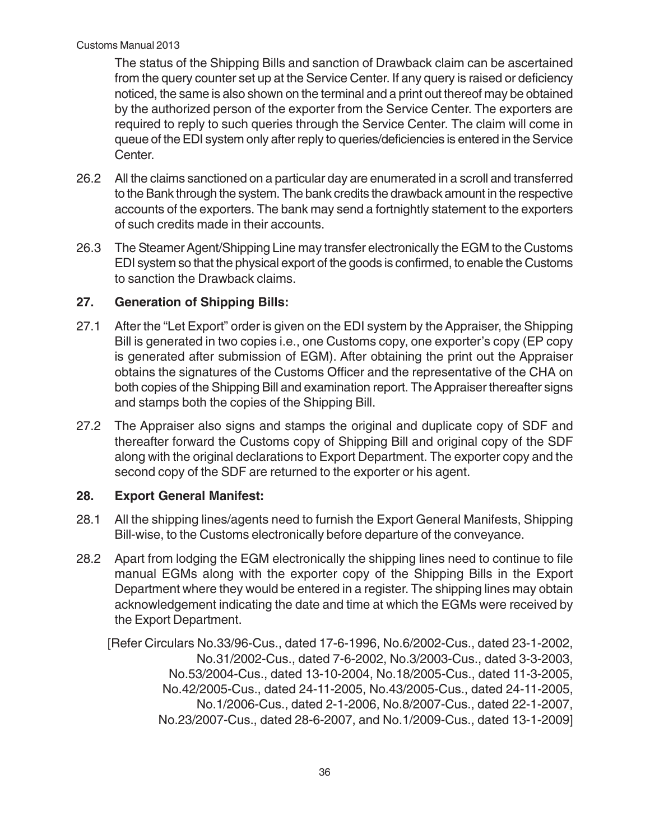The status of the Shipping Bills and sanction of Drawback claim can be ascertained from the query counter set up at the Service Center. If any query is raised or deficiency noticed, the same is also shown on the terminal and a print out thereof may be obtained by the authorized person of the exporter from the Service Center. The exporters are required to reply to such queries through the Service Center. The claim will come in queue of the EDI system only after reply to queries/deficiencies is entered in the Service Center.

- 26.2 All the claims sanctioned on a particular day are enumerated in a scroll and transferred to the Bank through the system. The bank credits the drawback amount in the respective accounts of the exporters. The bank may send a fortnightly statement to the exporters of such credits made in their accounts.
- 26.3 The Steamer Agent/Shipping Line may transfer electronically the EGM to the Customs EDI system so that the physical export of the goods is confirmed, to enable the Customs to sanction the Drawback claims.

### **27. Generation of Shipping Bills:**

- 27.1 After the "Let Export" order is given on the EDI system by the Appraiser, the Shipping Bill is generated in two copies i.e., one Customs copy, one exporter's copy (EP copy is generated after submission of EGM). After obtaining the print out the Appraiser obtains the signatures of the Customs Officer and the representative of the CHA on both copies of the Shipping Bill and examination report. The Appraiser thereafter signs and stamps both the copies of the Shipping Bill.
- 27.2 The Appraiser also signs and stamps the original and duplicate copy of SDF and thereafter forward the Customs copy of Shipping Bill and original copy of the SDF along with the original declarations to Export Department. The exporter copy and the second copy of the SDF are returned to the exporter or his agent.

#### **28. Export General Manifest:**

- 28.1 All the shipping lines/agents need to furnish the Export General Manifests, Shipping Bill-wise, to the Customs electronically before departure of the conveyance.
- 28.2 Apart from lodging the EGM electronically the shipping lines need to continue to file manual EGMs along with the exporter copy of the Shipping Bills in the Export Department where they would be entered in a register. The shipping lines may obtain acknowledgement indicating the date and time at which the EGMs were received by the Export Department.

[Refer Circulars No.33/96-Cus., dated 17-6-1996, No.6/2002-Cus., dated 23-1-2002, No.31/2002-Cus., dated 7-6-2002, No.3/2003-Cus., dated 3-3-2003, No.53/2004-Cus., dated 13-10-2004, No.18/2005-Cus., dated 11-3-2005, No.42/2005-Cus., dated 24-11-2005, No.43/2005-Cus., dated 24-11-2005, No.1/2006-Cus., dated 2-1-2006, No.8/2007-Cus., dated 22-1-2007, No.23/2007-Cus., dated 28-6-2007, and No.1/2009-Cus., dated 13-1-2009]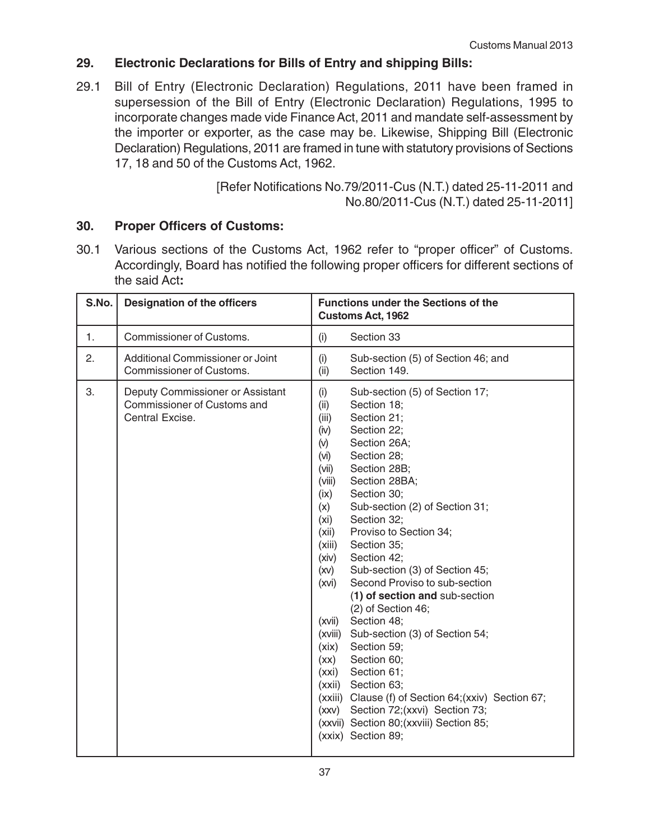#### **29. Electronic Declarations for Bills of Entry and shipping Bills:**

29.1 Bill of Entry (Electronic Declaration) Regulations, 2011 have been framed in supersession of the Bill of Entry (Electronic Declaration) Regulations, 1995 to incorporate changes made vide Finance Act, 2011 and mandate self-assessment by the importer or exporter, as the case may be. Likewise, Shipping Bill (Electronic Declaration) Regulations, 2011 are framed in tune with statutory provisions of Sections 17, 18 and 50 of the Customs Act, 1962.

> [Refer Notifications No.79/2011-Cus (N.T.) dated 25-11-2011 and No.80/2011-Cus (N.T.) dated 25-11-2011]

#### **30. Proper Officers of Customs:**

30.1 Various sections of the Customs Act, 1962 refer to "proper officer" of Customs. Accordingly, Board has notified the following proper officers for different sections of the said Act**:**

| S.No. | <b>Designation of the officers</b>                                                        | <b>Functions under the Sections of the</b><br><b>Customs Act, 1962</b>                                                                                                                                                                                                                                                                                                                                                                                                                                                                                                                                                                                                                                                                                                                                                                                                    |
|-------|-------------------------------------------------------------------------------------------|---------------------------------------------------------------------------------------------------------------------------------------------------------------------------------------------------------------------------------------------------------------------------------------------------------------------------------------------------------------------------------------------------------------------------------------------------------------------------------------------------------------------------------------------------------------------------------------------------------------------------------------------------------------------------------------------------------------------------------------------------------------------------------------------------------------------------------------------------------------------------|
| 1.    | <b>Commissioner of Customs.</b>                                                           | Section 33<br>(i)                                                                                                                                                                                                                                                                                                                                                                                                                                                                                                                                                                                                                                                                                                                                                                                                                                                         |
| 2.    | Additional Commissioner or Joint<br>Commissioner of Customs.                              | (i)<br>Sub-section (5) of Section 46; and<br>Section 149.<br>(ii)                                                                                                                                                                                                                                                                                                                                                                                                                                                                                                                                                                                                                                                                                                                                                                                                         |
| 3.    | Deputy Commissioner or Assistant<br><b>Commissioner of Customs and</b><br>Central Excise. | (i)<br>Sub-section (5) of Section 17;<br>(ii)<br>Section 18;<br>(iii)<br>Section 21;<br>(iv)<br>Section 22;<br>(v)<br>Section 26A;<br>Section 28;<br>(iv)<br>Section 28B;<br>(vii)<br>Section 28BA;<br>(viii)<br>(ix)<br>Section 30;<br>Sub-section (2) of Section 31;<br>(x)<br>Section 32;<br>(xi)<br>Proviso to Section 34;<br>(xii)<br>Section 35;<br>(xiii)<br>(xiv)<br>Section 42;<br>Sub-section (3) of Section 45;<br>(xv)<br>Second Proviso to sub-section<br>(xvi)<br>(1) of section and sub-section<br>(2) of Section 46;<br>Section 48;<br>(xvii)<br>Sub-section (3) of Section 54;<br>(xviii)<br>Section 59;<br>(xix)<br>Section 60;<br>(xx)<br>Section 61;<br>(xxi)<br>(xxii) Section 63;<br>(xxiii) Clause (f) of Section 64; (xxiv) Section 67;<br>(xxv) Section 72; (xxvi) Section 73;<br>(xxvii) Section 80; (xxviii) Section 85;<br>(xxix) Section 89; |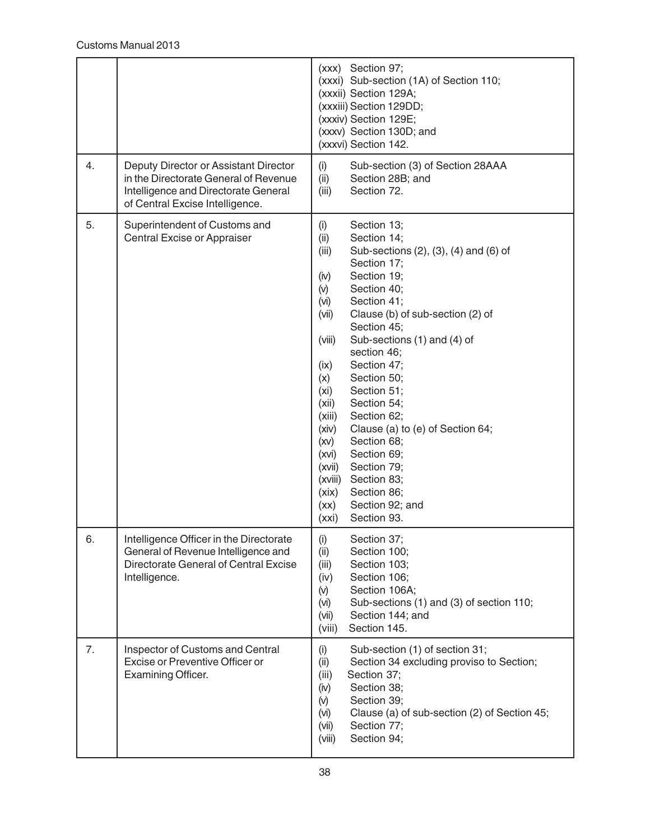|    |                                                                                                                                                           | (xxx) Section 97;<br>(xxxi) Sub-section (1A) of Section 110;<br>(xxxii) Section 129A;<br>(xxxiii) Section 129DD;<br>(xxxiv) Section 129E;<br>(xxxv) Section 130D; and<br>(xxxvi) Section 142.                                                                                                                                                                                                                                                                                                                                                                                                                                                                  |
|----|-----------------------------------------------------------------------------------------------------------------------------------------------------------|----------------------------------------------------------------------------------------------------------------------------------------------------------------------------------------------------------------------------------------------------------------------------------------------------------------------------------------------------------------------------------------------------------------------------------------------------------------------------------------------------------------------------------------------------------------------------------------------------------------------------------------------------------------|
| 4. | Deputy Director or Assistant Director<br>in the Directorate General of Revenue<br>Intelligence and Directorate General<br>of Central Excise Intelligence. | (i)<br>Sub-section (3) of Section 28AAA<br>(ii)<br>Section 28B; and<br>Section 72.<br>(iii)                                                                                                                                                                                                                                                                                                                                                                                                                                                                                                                                                                    |
| 5. | Superintendent of Customs and<br>Central Excise or Appraiser                                                                                              | (i)<br>Section 13;<br>(ii)<br>Section 14;<br>Sub-sections (2), (3), (4) and (6) of<br>(iii)<br>Section 17;<br>Section 19;<br>(iv)<br>(v)<br>Section 40;<br>Section 41;<br>(vi)<br>Clause (b) of sub-section (2) of<br>(vii)<br>Section 45;<br>Sub-sections (1) and (4) of<br>(viii)<br>section 46;<br>Section 47;<br>(ix)<br>Section 50;<br>(x)<br>Section 51;<br>(x <sub>i</sub> )<br>Section 54;<br>(xii)<br>Section 62;<br>(xiii)<br>Clause (a) to (e) of Section 64;<br>(xiv)<br>Section 68;<br>(xv)<br>Section 69;<br>(xvi)<br>Section 79;<br>(xvii)<br>Section 83;<br>(xviii)<br>Section 86;<br>(xix)<br>Section 92; and<br>(xx)<br>Section 93.<br>(xxi) |
| 6. | Intelligence Officer in the Directorate<br>General of Revenue Intelligence and<br>Directorate General of Central Excise<br>Intelligence.                  | Section 37;<br>(i)<br>Section 100;<br>(ii)<br>Section 103;<br>(iii)<br>Section 106;<br>(iv)<br>Section 106A;<br>(v)<br>(vi)<br>Sub-sections (1) and (3) of section 110;<br>Section 144; and<br>(vii)<br>Section 145.<br>(viii)                                                                                                                                                                                                                                                                                                                                                                                                                                 |
| 7. | Inspector of Customs and Central<br>Excise or Preventive Officer or<br>Examining Officer.                                                                 | Sub-section (1) of section 31;<br>(i)<br>Section 34 excluding proviso to Section;<br>(ii)<br>(iii)<br>Section 37;<br>Section 38;<br>(iv)<br>Section 39;<br>(v)<br>Clause (a) of sub-section (2) of Section 45;<br>(vi)<br>Section 77;<br>(vii)<br>Section 94;<br>(viii)                                                                                                                                                                                                                                                                                                                                                                                        |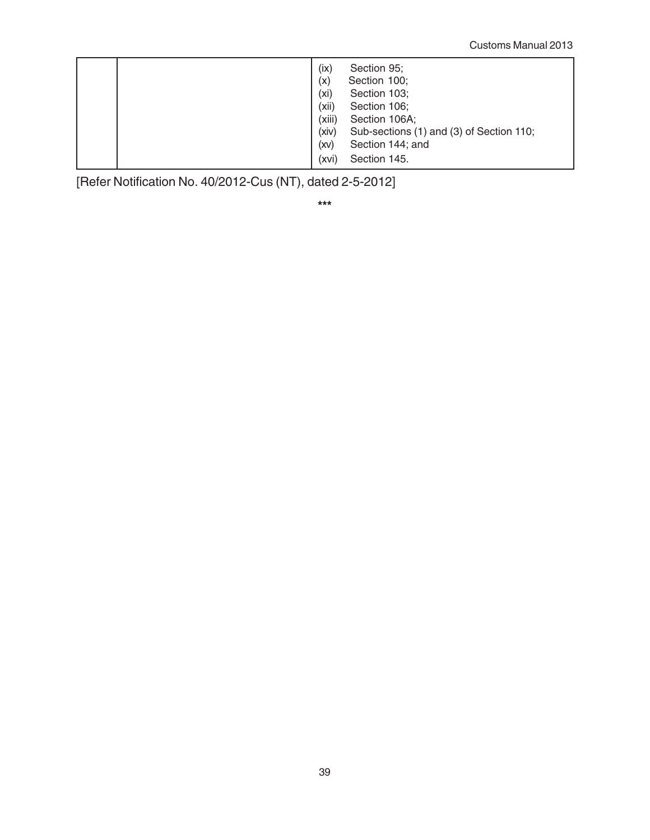| (ix)<br>Section 95;<br>Section 100;<br>(x)<br>(xi)<br>Section 103;<br>(xii)<br>Section 106;<br>(xiii)<br>Section 106A;<br>(xiv)<br>Sub-sections (1) and (3) of Section 110;<br>Section 144; and<br>(xv) |
|---------------------------------------------------------------------------------------------------------------------------------------------------------------------------------------------------------|
| Section 145.<br>(XVI)                                                                                                                                                                                   |

[Refer Notification No. 40/2012-Cus (NT), dated 2-5-2012]

**\*\*\***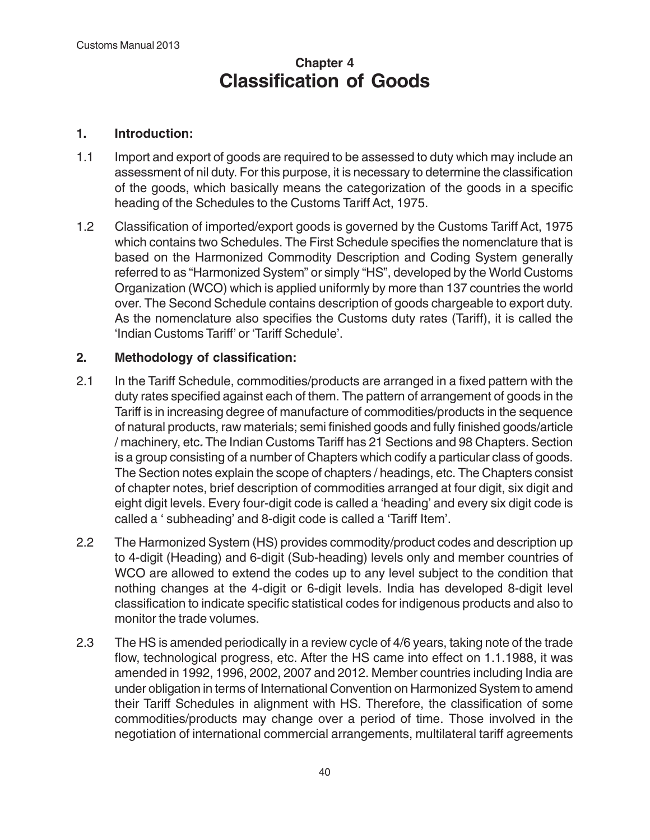## **Chapter 4 Classification of Goods**

#### **1. Introduction:**

- 1.1 Import and export of goods are required to be assessed to duty which may include an assessment of nil duty. For this purpose, it is necessary to determine the classification of the goods, which basically means the categorization of the goods in a specific heading of the Schedules to the Customs Tariff Act, 1975.
- 1.2 Classification of imported/export goods is governed by the Customs Tariff Act, 1975 which contains two Schedules. The First Schedule specifies the nomenclature that is based on the Harmonized Commodity Description and Coding System generally referred to as "Harmonized System" or simply "HS", developed by the World Customs Organization (WCO) which is applied uniformly by more than 137 countries the world over. The Second Schedule contains description of goods chargeable to export duty. As the nomenclature also specifies the Customs duty rates (Tariff), it is called the 'Indian Customs Tariff' or 'Tariff Schedule'.

#### **2. Methodology of classification:**

- 2.1 In the Tariff Schedule, commodities/products are arranged in a fixed pattern with the duty rates specified against each of them. The pattern of arrangement of goods in the Tariff is in increasing degree of manufacture of commodities/products in the sequence of natural products, raw materials; semi finished goods and fully finished goods/article / machinery, etc**.** The Indian Customs Tariff has 21 Sections and 98 Chapters. Section is a group consisting of a number of Chapters which codify a particular class of goods. The Section notes explain the scope of chapters / headings, etc. The Chapters consist of chapter notes, brief description of commodities arranged at four digit, six digit and eight digit levels. Every four-digit code is called a 'heading' and every six digit code is called a ' subheading' and 8-digit code is called a 'Tariff Item'.
- 2.2 The Harmonized System (HS) provides commodity/product codes and description up to 4-digit (Heading) and 6-digit (Sub-heading) levels only and member countries of WCO are allowed to extend the codes up to any level subject to the condition that nothing changes at the 4-digit or 6-digit levels. India has developed 8-digit level classification to indicate specific statistical codes for indigenous products and also to monitor the trade volumes.
- 2.3 The HS is amended periodically in a review cycle of 4/6 years, taking note of the trade flow, technological progress, etc. After the HS came into effect on 1.1.1988, it was amended in 1992, 1996, 2002, 2007 and 2012. Member countries including India are under obligation in terms of International Convention on Harmonized System to amend their Tariff Schedules in alignment with HS. Therefore, the classification of some commodities/products may change over a period of time. Those involved in the negotiation of international commercial arrangements, multilateral tariff agreements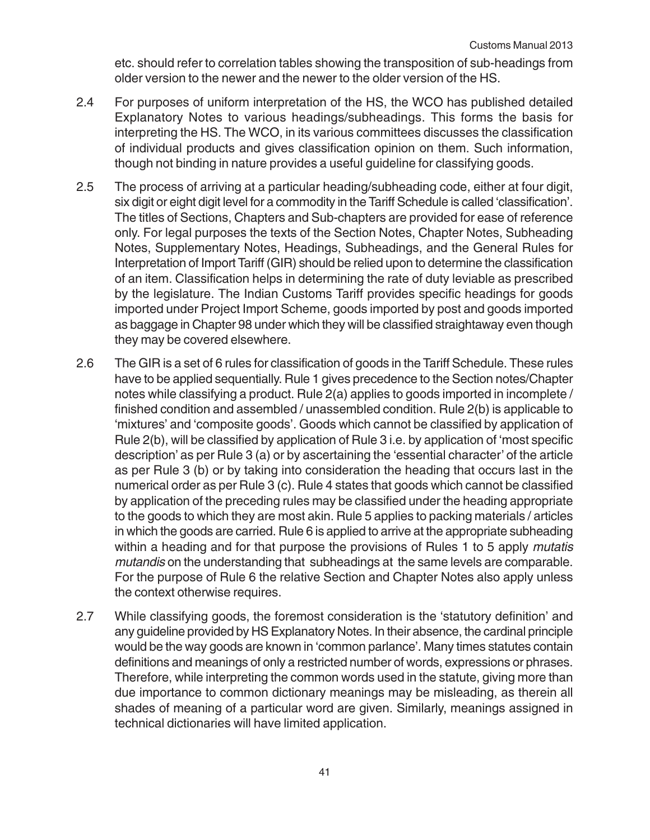etc. should refer to correlation tables showing the transposition of sub-headings from older version to the newer and the newer to the older version of the HS.

- 2.4 For purposes of uniform interpretation of the HS, the WCO has published detailed Explanatory Notes to various headings/subheadings. This forms the basis for interpreting the HS. The WCO, in its various committees discusses the classification of individual products and gives classification opinion on them. Such information, though not binding in nature provides a useful guideline for classifying goods.
- 2.5 The process of arriving at a particular heading/subheading code, either at four digit, six digit or eight digit level for a commodity in the Tariff Schedule is called 'classification'. The titles of Sections, Chapters and Sub-chapters are provided for ease of reference only. For legal purposes the texts of the Section Notes, Chapter Notes, Subheading Notes, Supplementary Notes, Headings, Subheadings, and the General Rules for Interpretation of Import Tariff (GIR) should be relied upon to determine the classification of an item. Classification helps in determining the rate of duty leviable as prescribed by the legislature. The Indian Customs Tariff provides specific headings for goods imported under Project Import Scheme, goods imported by post and goods imported as baggage in Chapter 98 under which they will be classified straightaway even though they may be covered elsewhere.
- 2.6 The GIR is a set of 6 rules for classification of goods in the Tariff Schedule. These rules have to be applied sequentially. Rule 1 gives precedence to the Section notes/Chapter notes while classifying a product. Rule 2(a) applies to goods imported in incomplete / finished condition and assembled / unassembled condition. Rule 2(b) is applicable to 'mixtures' and 'composite goods'. Goods which cannot be classified by application of Rule 2(b), will be classified by application of Rule 3 i.e. by application of 'most specific description' as per Rule 3 (a) or by ascertaining the 'essential character' of the article as per Rule 3 (b) or by taking into consideration the heading that occurs last in the numerical order as per Rule 3 (c). Rule 4 states that goods which cannot be classified by application of the preceding rules may be classified under the heading appropriate to the goods to which they are most akin. Rule 5 applies to packing materials / articles in which the goods are carried. Rule 6 is applied to arrive at the appropriate subheading within a heading and for that purpose the provisions of Rules 1 to 5 apply *mutatis* mutandis on the understanding that subheadings at the same levels are comparable. For the purpose of Rule 6 the relative Section and Chapter Notes also apply unless the context otherwise requires.
- 2.7 While classifying goods, the foremost consideration is the 'statutory definition' and any guideline provided by HS Explanatory Notes. In their absence, the cardinal principle would be the way goods are known in 'common parlance'. Many times statutes contain definitions and meanings of only a restricted number of words, expressions or phrases. Therefore, while interpreting the common words used in the statute, giving more than due importance to common dictionary meanings may be misleading, as therein all shades of meaning of a particular word are given. Similarly, meanings assigned in technical dictionaries will have limited application.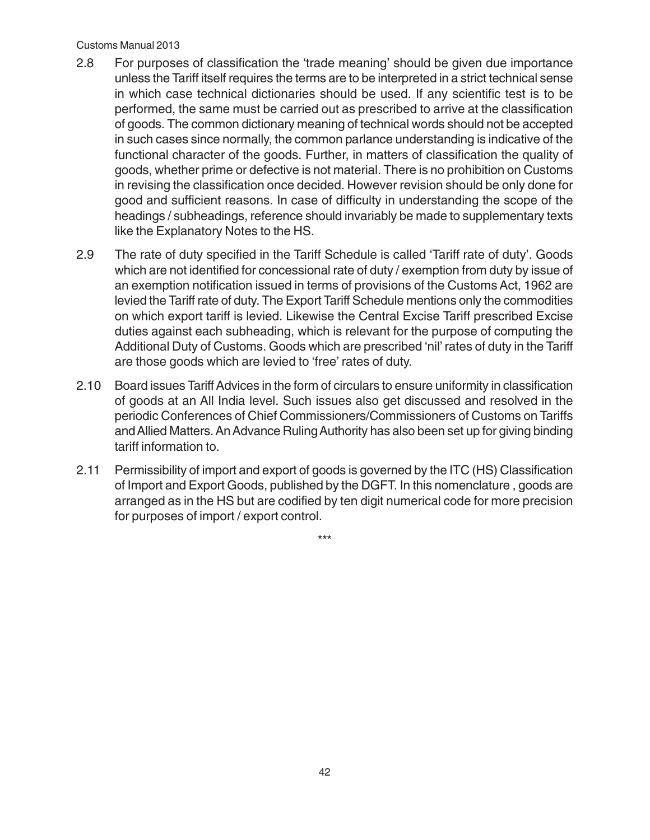#### Customs Manual 2013

- 2.8 For purposes of classification the 'trade meaning' should be given due importance unless the Tariff itself requires the terms are to be interpreted in a strict technical sense in which case technical dictionaries should be used. If any scientific test is to be performed, the same must be carried out as prescribed to arrive at the classification of goods. The common dictionary meaning of technical words should not be accepted in such cases since normally, the common parlance understanding is indicative of the functional character of the goods. Further, in matters of classification the quality of goods, whether prime or defective is not material. There is no prohibition on Customs in revising the classification once decided. However revision should be only done for good and sufficient reasons. In case of difficulty in understanding the scope of the headings / subheadings, reference should invariably be made to supplementary texts like the Explanatory Notes to the HS.
- 2.9 The rate of duty specified in the Tariff Schedule is called 'Tariff rate of duty'. Goods which are not identified for concessional rate of duty / exemption from duty by issue of an exemption notification issued in terms of provisions of the Customs Act, 1962 are levied the Tariff rate of duty. The Export Tariff Schedule mentions only the commodities on which export tariff is levied. Likewise the Central Excise Tariff prescribed Excise duties against each subheading, which is relevant for the purpose of computing the Additional Duty of Customs. Goods which are prescribed 'nil' rates of duty in the Tariff are those goods which are levied to 'free' rates of duty.
- 2.10 Board issues Tariff Advices in the form of circulars to ensure uniformity in classification of goods at an All India level. Such issues also get discussed and resolved in the periodic Conferences of Chief Commissioners/Commissioners of Customs on Tariffs and Allied Matters. An Advance Ruling Authority has also been set up for giving binding tariff information to.
- 2.11 Permissibility of import and export of goods is governed by the ITC (HS) Classification of Import and Export Goods, published by the DGFT. In this nomenclature , goods are arranged as in the HS but are codified by ten digit numerical code for more precision for purposes of import / export control.

\*\*\*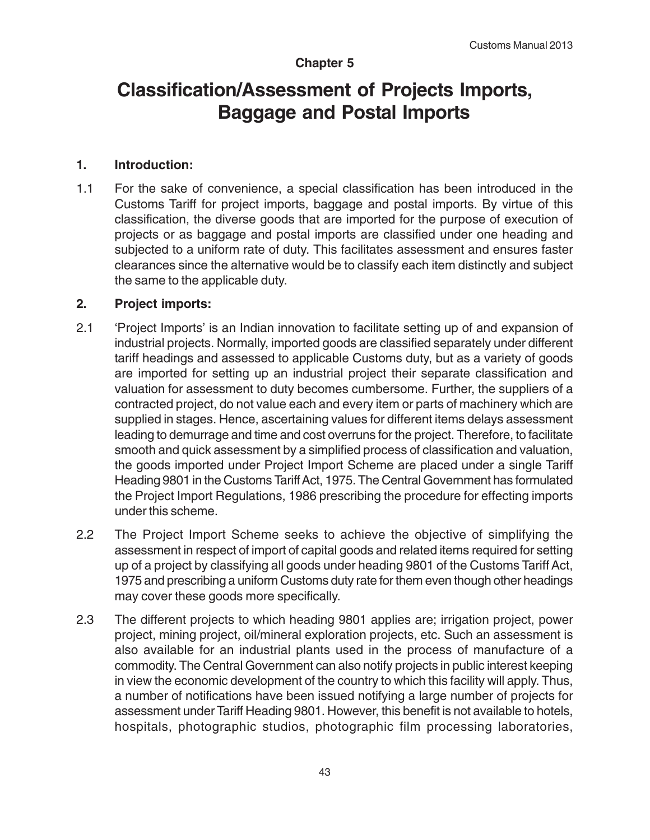#### **Chapter 5**

# **Classification/Assessment of Projects Imports, Baggage and Postal Imports**

#### **1. Introduction:**

1.1 For the sake of convenience, a special classification has been introduced in the Customs Tariff for project imports, baggage and postal imports. By virtue of this classification, the diverse goods that are imported for the purpose of execution of projects or as baggage and postal imports are classified under one heading and subjected to a uniform rate of duty. This facilitates assessment and ensures faster clearances since the alternative would be to classify each item distinctly and subject the same to the applicable duty.

#### **2. Project imports:**

- 2.1 'Project Imports' is an Indian innovation to facilitate setting up of and expansion of industrial projects. Normally, imported goods are classified separately under different tariff headings and assessed to applicable Customs duty, but as a variety of goods are imported for setting up an industrial project their separate classification and valuation for assessment to duty becomes cumbersome. Further, the suppliers of a contracted project, do not value each and every item or parts of machinery which are supplied in stages. Hence, ascertaining values for different items delays assessment leading to demurrage and time and cost overruns for the project. Therefore, to facilitate smooth and quick assessment by a simplified process of classification and valuation, the goods imported under Project Import Scheme are placed under a single Tariff Heading 9801 in the Customs Tariff Act, 1975. The Central Government has formulated the Project Import Regulations, 1986 prescribing the procedure for effecting imports under this scheme.
- 2.2 The Project Import Scheme seeks to achieve the objective of simplifying the assessment in respect of import of capital goods and related items required for setting up of a project by classifying all goods under heading 9801 of the Customs Tariff Act, 1975 and prescribing a uniform Customs duty rate for them even though other headings may cover these goods more specifically.
- 2.3 The different projects to which heading 9801 applies are; irrigation project, power project, mining project, oil/mineral exploration projects, etc. Such an assessment is also available for an industrial plants used in the process of manufacture of a commodity. The Central Government can also notify projects in public interest keeping in view the economic development of the country to which this facility will apply. Thus, a number of notifications have been issued notifying a large number of projects for assessment under Tariff Heading 9801. However, this benefit is not available to hotels, hospitals, photographic studios, photographic film processing laboratories,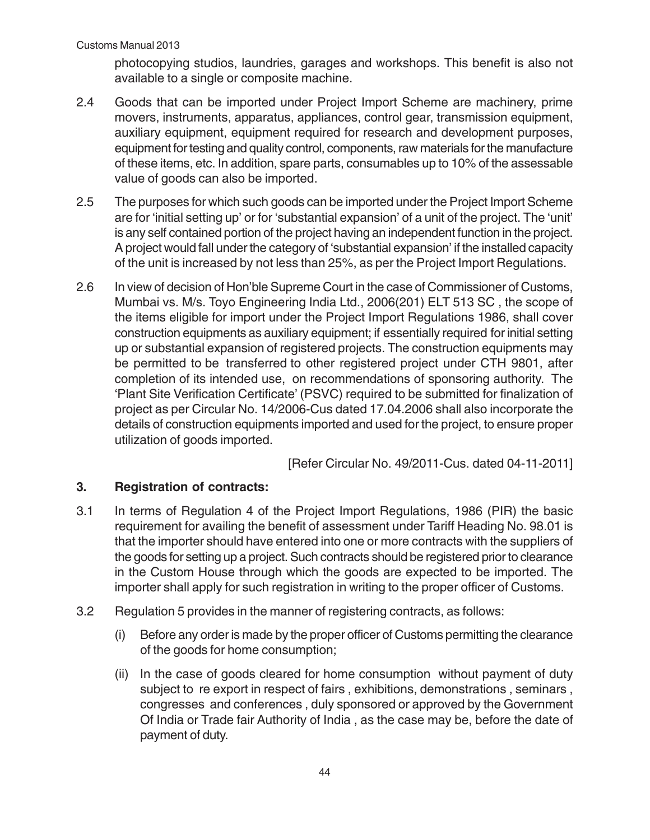photocopying studios, laundries, garages and workshops. This benefit is also not available to a single or composite machine.

- 2.4 Goods that can be imported under Project Import Scheme are machinery, prime movers, instruments, apparatus, appliances, control gear, transmission equipment, auxiliary equipment, equipment required for research and development purposes, equipment for testing and quality control, components, raw materials for the manufacture of these items, etc. In addition, spare parts, consumables up to 10% of the assessable value of goods can also be imported.
- 2.5 The purposes for which such goods can be imported under the Project Import Scheme are for 'initial setting up' or for 'substantial expansion' of a unit of the project. The 'unit' is any self contained portion of the project having an independent function in the project. A project would fall under the category of 'substantial expansion' if the installed capacity of the unit is increased by not less than 25%, as per the Project Import Regulations.
- 2.6 In view of decision of Hon'ble Supreme Court in the case of Commissioner of Customs, Mumbai vs. M/s. Toyo Engineering India Ltd., 2006(201) ELT 513 SC , the scope of the items eligible for import under the Project Import Regulations 1986, shall cover construction equipments as auxiliary equipment; if essentially required for initial setting up or substantial expansion of registered projects. The construction equipments may be permitted to be transferred to other registered project under CTH 9801, after completion of its intended use, on recommendations of sponsoring authority. The 'Plant Site Verification Certificate' (PSVC) required to be submitted for finalization of project as per Circular No. 14/2006-Cus dated 17.04.2006 shall also incorporate the details of construction equipments imported and used for the project, to ensure proper utilization of goods imported.

[Refer Circular No. 49/2011-Cus. dated 04-11-2011]

#### **3. Registration of contracts:**

- 3.1 In terms of Regulation 4 of the Project Import Regulations, 1986 (PIR) the basic requirement for availing the benefit of assessment under Tariff Heading No. 98.01 is that the importer should have entered into one or more contracts with the suppliers of the goods for setting up a project. Such contracts should be registered prior to clearance in the Custom House through which the goods are expected to be imported. The importer shall apply for such registration in writing to the proper officer of Customs.
- 3.2 Regulation 5 provides in the manner of registering contracts, as follows:
	- (i) Before any order is made by the proper officer of Customs permitting the clearance of the goods for home consumption;
	- (ii) In the case of goods cleared for home consumption without payment of duty subject to re export in respect of fairs , exhibitions, demonstrations , seminars , congresses and conferences , duly sponsored or approved by the Government Of India or Trade fair Authority of India , as the case may be, before the date of payment of duty.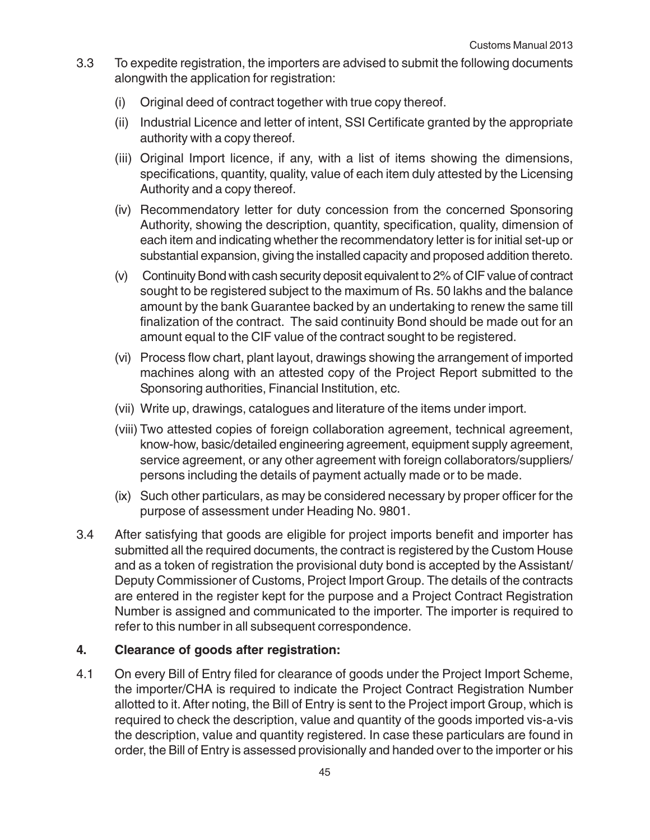- 3.3 To expedite registration, the importers are advised to submit the following documents alongwith the application for registration:
	- (i) Original deed of contract together with true copy thereof.
	- (ii) Industrial Licence and letter of intent, SSI Certificate granted by the appropriate authority with a copy thereof.
	- (iii) Original Import licence, if any, with a list of items showing the dimensions, specifications, quantity, quality, value of each item duly attested by the Licensing Authority and a copy thereof.
	- (iv) Recommendatory letter for duty concession from the concerned Sponsoring Authority, showing the description, quantity, specification, quality, dimension of each item and indicating whether the recommendatory letter is for initial set-up or substantial expansion, giving the installed capacity and proposed addition thereto.
	- (v) Continuity Bond with cash security deposit equivalent to 2% of CIF value of contract sought to be registered subject to the maximum of Rs. 50 lakhs and the balance amount by the bank Guarantee backed by an undertaking to renew the same till finalization of the contract. The said continuity Bond should be made out for an amount equal to the CIF value of the contract sought to be registered.
	- (vi) Process flow chart, plant layout, drawings showing the arrangement of imported machines along with an attested copy of the Project Report submitted to the Sponsoring authorities, Financial Institution, etc.
	- (vii) Write up, drawings, catalogues and literature of the items under import.
	- (viii) Two attested copies of foreign collaboration agreement, technical agreement, know-how, basic/detailed engineering agreement, equipment supply agreement, service agreement, or any other agreement with foreign collaborators/suppliers/ persons including the details of payment actually made or to be made.
	- (ix) Such other particulars, as may be considered necessary by proper officer for the purpose of assessment under Heading No. 9801.
- 3.4 After satisfying that goods are eligible for project imports benefit and importer has submitted all the required documents, the contract is registered by the Custom House and as a token of registration the provisional duty bond is accepted by the Assistant/ Deputy Commissioner of Customs, Project Import Group. The details of the contracts are entered in the register kept for the purpose and a Project Contract Registration Number is assigned and communicated to the importer. The importer is required to refer to this number in all subsequent correspondence.

#### **4. Clearance of goods after registration:**

4.1 On every Bill of Entry filed for clearance of goods under the Project Import Scheme, the importer/CHA is required to indicate the Project Contract Registration Number allotted to it. After noting, the Bill of Entry is sent to the Project import Group, which is required to check the description, value and quantity of the goods imported vis-a-vis the description, value and quantity registered. In case these particulars are found in order, the Bill of Entry is assessed provisionally and handed over to the importer or his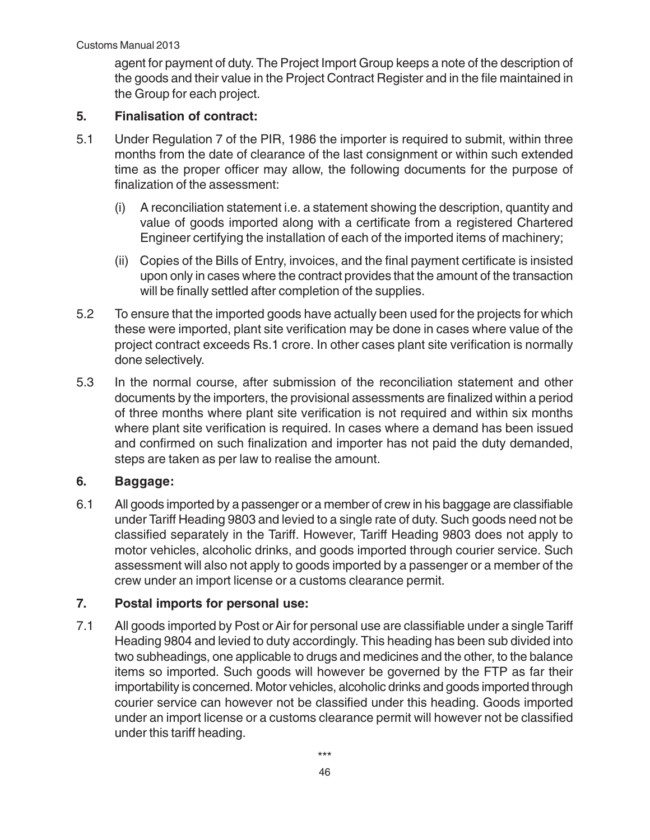agent for payment of duty. The Project Import Group keeps a note of the description of the goods and their value in the Project Contract Register and in the file maintained in the Group for each project.

#### **5. Finalisation of contract:**

- 5.1 Under Regulation 7 of the PIR, 1986 the importer is required to submit, within three months from the date of clearance of the last consignment or within such extended time as the proper officer may allow, the following documents for the purpose of finalization of the assessment:
	- (i) A reconciliation statement i.e. a statement showing the description, quantity and value of goods imported along with a certificate from a registered Chartered Engineer certifying the installation of each of the imported items of machinery;
	- (ii) Copies of the Bills of Entry, invoices, and the final payment certificate is insisted upon only in cases where the contract provides that the amount of the transaction will be finally settled after completion of the supplies.
- 5.2 To ensure that the imported goods have actually been used for the projects for which these were imported, plant site verification may be done in cases where value of the project contract exceeds Rs.1 crore. In other cases plant site verification is normally done selectively.
- 5.3 In the normal course, after submission of the reconciliation statement and other documents by the importers, the provisional assessments are finalized within a period of three months where plant site verification is not required and within six months where plant site verification is required. In cases where a demand has been issued and confirmed on such finalization and importer has not paid the duty demanded, steps are taken as per law to realise the amount.

#### **6. Baggage:**

6.1 All goods imported by a passenger or a member of crew in his baggage are classifiable under Tariff Heading 9803 and levied to a single rate of duty. Such goods need not be classified separately in the Tariff. However, Tariff Heading 9803 does not apply to motor vehicles, alcoholic drinks, and goods imported through courier service. Such assessment will also not apply to goods imported by a passenger or a member of the crew under an import license or a customs clearance permit.

#### **7. Postal imports for personal use:**

7.1 All goods imported by Post or Air for personal use are classifiable under a single Tariff Heading 9804 and levied to duty accordingly. This heading has been sub divided into two subheadings, one applicable to drugs and medicines and the other, to the balance items so imported. Such goods will however be governed by the FTP as far their importability is concerned. Motor vehicles, alcoholic drinks and goods imported through courier service can however not be classified under this heading. Goods imported under an import license or a customs clearance permit will however not be classified under this tariff heading.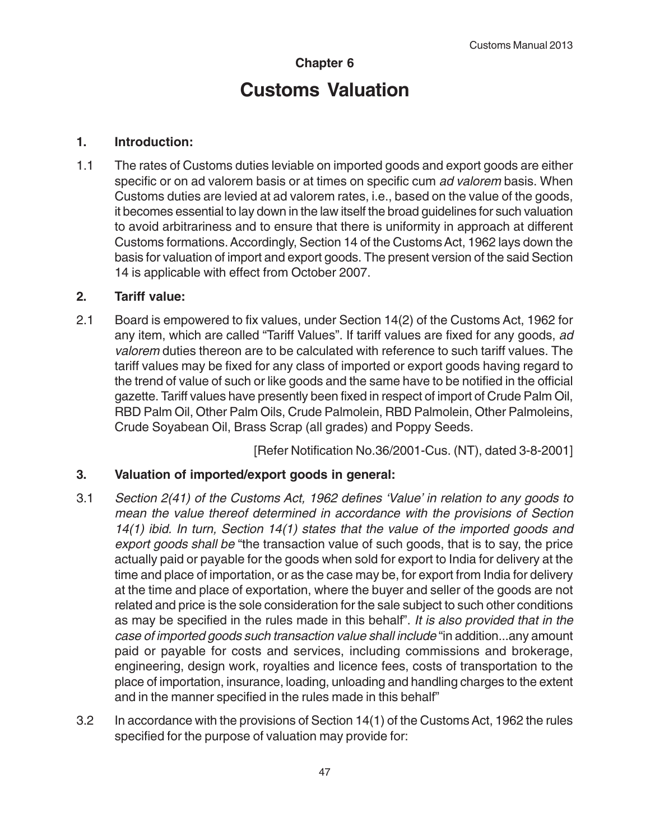## **Chapter 6 Customs Valuation**

#### **1. Introduction:**

1.1 The rates of Customs duties leviable on imported goods and export goods are either specific or on ad valorem basis or at times on specific cum ad valorem basis. When Customs duties are levied at ad valorem rates, i.e., based on the value of the goods, it becomes essential to lay down in the law itself the broad guidelines for such valuation to avoid arbitrariness and to ensure that there is uniformity in approach at different Customs formations. Accordingly, Section 14 of the Customs Act, 1962 lays down the basis for valuation of import and export goods. The present version of the said Section 14 is applicable with effect from October 2007.

#### **2. Tariff value:**

2.1 Board is empowered to fix values, under Section 14(2) of the Customs Act, 1962 for any item, which are called "Tariff Values". If tariff values are fixed for any goods, ad valorem duties thereon are to be calculated with reference to such tariff values. The tariff values may be fixed for any class of imported or export goods having regard to the trend of value of such or like goods and the same have to be notified in the official gazette. Tariff values have presently been fixed in respect of import of Crude Palm Oil, RBD Palm Oil, Other Palm Oils, Crude Palmolein, RBD Palmolein, Other Palmoleins, Crude Soyabean Oil, Brass Scrap (all grades) and Poppy Seeds.

[Refer Notification No.36/2001-Cus. (NT), dated 3-8-2001]

#### **3. Valuation of imported/export goods in general:**

- 3.1 Section 2(41) of the Customs Act, 1962 defines 'Value' in relation to any goods to mean the value thereof determined in accordance with the provisions of Section 14(1) ibid. In turn, Section 14(1) states that the value of the imported goods and export goods shall be "the transaction value of such goods, that is to say, the price actually paid or payable for the goods when sold for export to India for delivery at the time and place of importation, or as the case may be, for export from India for delivery at the time and place of exportation, where the buyer and seller of the goods are not related and price is the sole consideration for the sale subject to such other conditions as may be specified in the rules made in this behalf". It is also provided that in the case of imported goods such transaction value shall include "in addition...any amount paid or payable for costs and services, including commissions and brokerage, engineering, design work, royalties and licence fees, costs of transportation to the place of importation, insurance, loading, unloading and handling charges to the extent and in the manner specified in the rules made in this behalf"
- 3.2 In accordance with the provisions of Section 14(1) of the Customs Act, 1962 the rules specified for the purpose of valuation may provide for: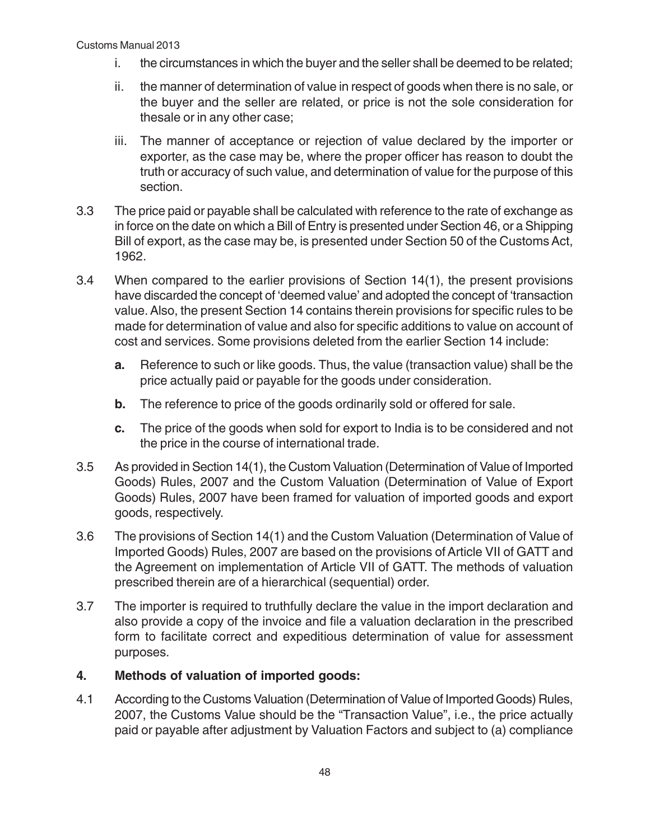- i. the circumstances in which the buyer and the seller shall be deemed to be related;
- ii. the manner of determination of value in respect of goods when there is no sale, or the buyer and the seller are related, or price is not the sole consideration for thesale or in any other case;
- iii. The manner of acceptance or rejection of value declared by the importer or exporter, as the case may be, where the proper officer has reason to doubt the truth or accuracy of such value, and determination of value for the purpose of this section.
- 3.3 The price paid or payable shall be calculated with reference to the rate of exchange as in force on the date on which a Bill of Entry is presented under Section 46, or a Shipping Bill of export, as the case may be, is presented under Section 50 of the Customs Act, 1962.
- 3.4 When compared to the earlier provisions of Section 14(1), the present provisions have discarded the concept of 'deemed value' and adopted the concept of 'transaction value. Also, the present Section 14 contains therein provisions for specific rules to be made for determination of value and also for specific additions to value on account of cost and services. Some provisions deleted from the earlier Section 14 include:
	- **a.** Reference to such or like goods. Thus, the value (transaction value) shall be the price actually paid or payable for the goods under consideration.
	- **b.** The reference to price of the goods ordinarily sold or offered for sale.
	- **c.** The price of the goods when sold for export to India is to be considered and not the price in the course of international trade.
- 3.5 As provided in Section 14(1), the Custom Valuation (Determination of Value of Imported Goods) Rules, 2007 and the Custom Valuation (Determination of Value of Export Goods) Rules, 2007 have been framed for valuation of imported goods and export goods, respectively.
- 3.6 The provisions of Section 14(1) and the Custom Valuation (Determination of Value of Imported Goods) Rules, 2007 are based on the provisions of Article VII of GATT and the Agreement on implementation of Article VII of GATT. The methods of valuation prescribed therein are of a hierarchical (sequential) order.
- 3.7 The importer is required to truthfully declare the value in the import declaration and also provide a copy of the invoice and file a valuation declaration in the prescribed form to facilitate correct and expeditious determination of value for assessment purposes.

#### **4. Methods of valuation of imported goods:**

4.1 According to the Customs Valuation (Determination of Value of Imported Goods) Rules, 2007, the Customs Value should be the "Transaction Value", i.e., the price actually paid or payable after adjustment by Valuation Factors and subject to (a) compliance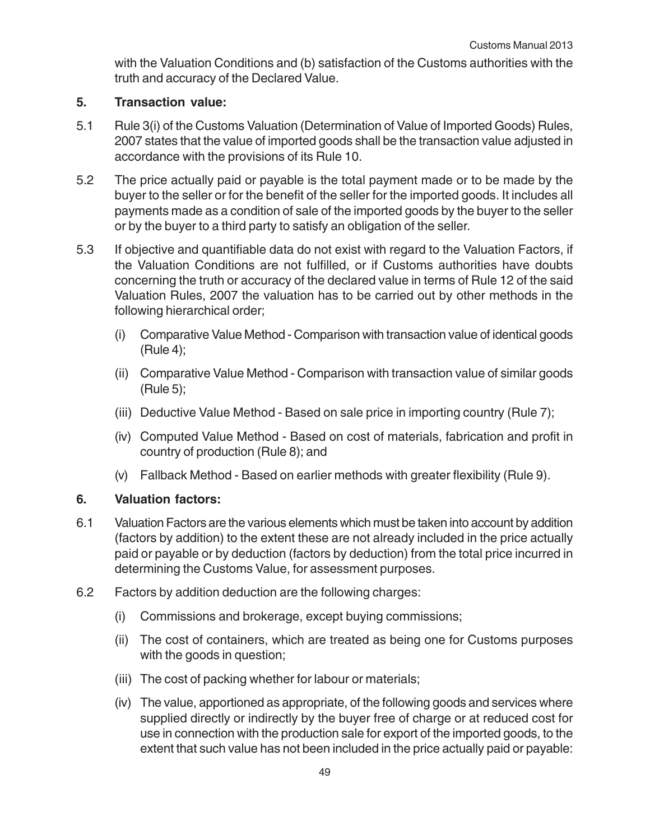with the Valuation Conditions and (b) satisfaction of the Customs authorities with the truth and accuracy of the Declared Value.

#### **5. Transaction value:**

- 5.1 Rule 3(i) of the Customs Valuation (Determination of Value of Imported Goods) Rules, 2007 states that the value of imported goods shall be the transaction value adjusted in accordance with the provisions of its Rule 10.
- 5.2 The price actually paid or payable is the total payment made or to be made by the buyer to the seller or for the benefit of the seller for the imported goods. It includes all payments made as a condition of sale of the imported goods by the buyer to the seller or by the buyer to a third party to satisfy an obligation of the seller.
- 5.3 If objective and quantifiable data do not exist with regard to the Valuation Factors, if the Valuation Conditions are not fulfilled, or if Customs authorities have doubts concerning the truth or accuracy of the declared value in terms of Rule 12 of the said Valuation Rules, 2007 the valuation has to be carried out by other methods in the following hierarchical order;
	- (i) Comparative Value Method Comparison with transaction value of identical goods (Rule 4);
	- (ii) Comparative Value Method Comparison with transaction value of similar goods (Rule 5);
	- (iii) Deductive Value Method Based on sale price in importing country (Rule 7);
	- (iv) Computed Value Method Based on cost of materials, fabrication and profit in country of production (Rule 8); and
	- (v) Fallback Method Based on earlier methods with greater flexibility (Rule 9).

#### **6. Valuation factors:**

- 6.1 Valuation Factors are the various elements which must be taken into account by addition (factors by addition) to the extent these are not already included in the price actually paid or payable or by deduction (factors by deduction) from the total price incurred in determining the Customs Value, for assessment purposes.
- 6.2 Factors by addition deduction are the following charges:
	- (i) Commissions and brokerage, except buying commissions;
	- (ii) The cost of containers, which are treated as being one for Customs purposes with the goods in question;
	- (iii) The cost of packing whether for labour or materials;
	- (iv) The value, apportioned as appropriate, of the following goods and services where supplied directly or indirectly by the buyer free of charge or at reduced cost for use in connection with the production sale for export of the imported goods, to the extent that such value has not been included in the price actually paid or payable: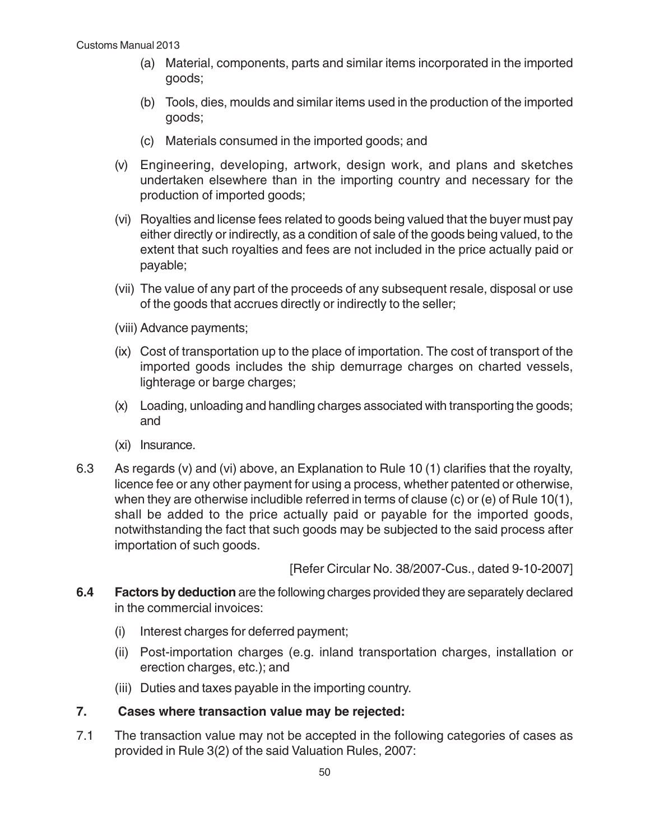- (a) Material, components, parts and similar items incorporated in the imported goods;
- (b) Tools, dies, moulds and similar items used in the production of the imported goods;
- (c) Materials consumed in the imported goods; and
- (v) Engineering, developing, artwork, design work, and plans and sketches undertaken elsewhere than in the importing country and necessary for the production of imported goods;
- (vi) Royalties and license fees related to goods being valued that the buyer must pay either directly or indirectly, as a condition of sale of the goods being valued, to the extent that such royalties and fees are not included in the price actually paid or payable;
- (vii) The value of any part of the proceeds of any subsequent resale, disposal or use of the goods that accrues directly or indirectly to the seller;
- (viii) Advance payments;
- (ix) Cost of transportation up to the place of importation. The cost of transport of the imported goods includes the ship demurrage charges on charted vessels, lighterage or barge charges;
- (x) Loading, unloading and handling charges associated with transporting the goods; and
- (xi) Insurance.
- 6.3 As regards (v) and (vi) above, an Explanation to Rule 10 (1) clarifies that the royalty, licence fee or any other payment for using a process, whether patented or otherwise, when they are otherwise includible referred in terms of clause (c) or (e) of Rule 10(1), shall be added to the price actually paid or payable for the imported goods, notwithstanding the fact that such goods may be subjected to the said process after importation of such goods.

[Refer Circular No. 38/2007-Cus., dated 9-10-2007]

- **6.4 Factors by deduction** are the following charges provided they are separately declared in the commercial invoices:
	- (i) Interest charges for deferred payment;
	- (ii) Post-importation charges (e.g. inland transportation charges, installation or erection charges, etc.); and
	- (iii) Duties and taxes payable in the importing country.

#### **7. Cases where transaction value may be rejected:**

7.1 The transaction value may not be accepted in the following categories of cases as provided in Rule 3(2) of the said Valuation Rules, 2007: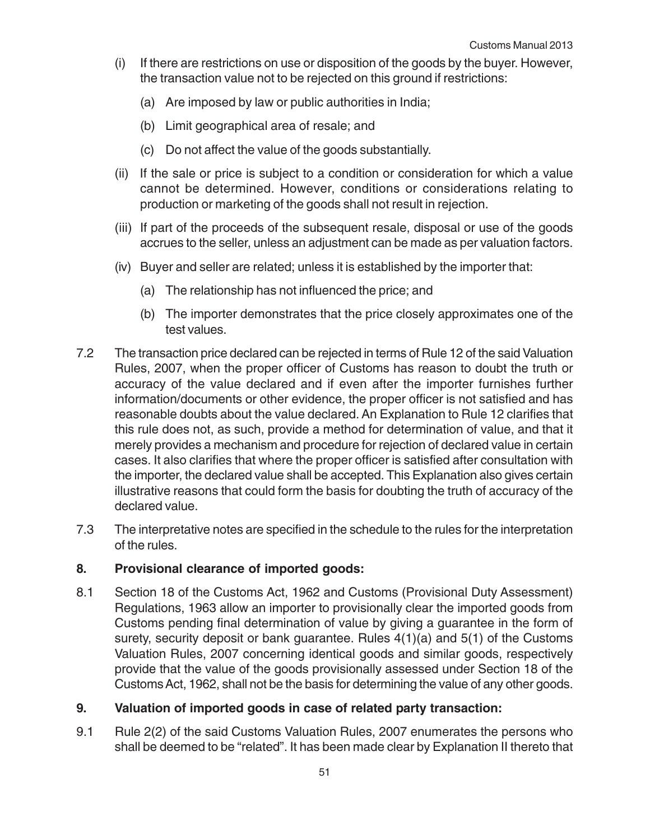- (i) If there are restrictions on use or disposition of the goods by the buyer. However, the transaction value not to be rejected on this ground if restrictions:
	- (a) Are imposed by law or public authorities in India;
	- (b) Limit geographical area of resale; and
	- (c) Do not affect the value of the goods substantially.
- (ii) If the sale or price is subject to a condition or consideration for which a value cannot be determined. However, conditions or considerations relating to production or marketing of the goods shall not result in rejection.
- (iii) If part of the proceeds of the subsequent resale, disposal or use of the goods accrues to the seller, unless an adjustment can be made as per valuation factors.
- (iv) Buyer and seller are related; unless it is established by the importer that:
	- (a) The relationship has not influenced the price; and
	- (b) The importer demonstrates that the price closely approximates one of the test values.
- 7.2 The transaction price declared can be rejected in terms of Rule 12 of the said Valuation Rules, 2007, when the proper officer of Customs has reason to doubt the truth or accuracy of the value declared and if even after the importer furnishes further information/documents or other evidence, the proper officer is not satisfied and has reasonable doubts about the value declared. An Explanation to Rule 12 clarifies that this rule does not, as such, provide a method for determination of value, and that it merely provides a mechanism and procedure for rejection of declared value in certain cases. It also clarifies that where the proper officer is satisfied after consultation with the importer, the declared value shall be accepted. This Explanation also gives certain illustrative reasons that could form the basis for doubting the truth of accuracy of the declared value.
- 7.3 The interpretative notes are specified in the schedule to the rules for the interpretation of the rules.

#### **8. Provisional clearance of imported goods:**

8.1 Section 18 of the Customs Act, 1962 and Customs (Provisional Duty Assessment) Regulations, 1963 allow an importer to provisionally clear the imported goods from Customs pending final determination of value by giving a guarantee in the form of surety, security deposit or bank guarantee. Rules 4(1)(a) and 5(1) of the Customs Valuation Rules, 2007 concerning identical goods and similar goods, respectively provide that the value of the goods provisionally assessed under Section 18 of the Customs Act, 1962, shall not be the basis for determining the value of any other goods.

#### **9. Valuation of imported goods in case of related party transaction:**

9.1 Rule 2(2) of the said Customs Valuation Rules, 2007 enumerates the persons who shall be deemed to be "related". It has been made clear by Explanation II thereto that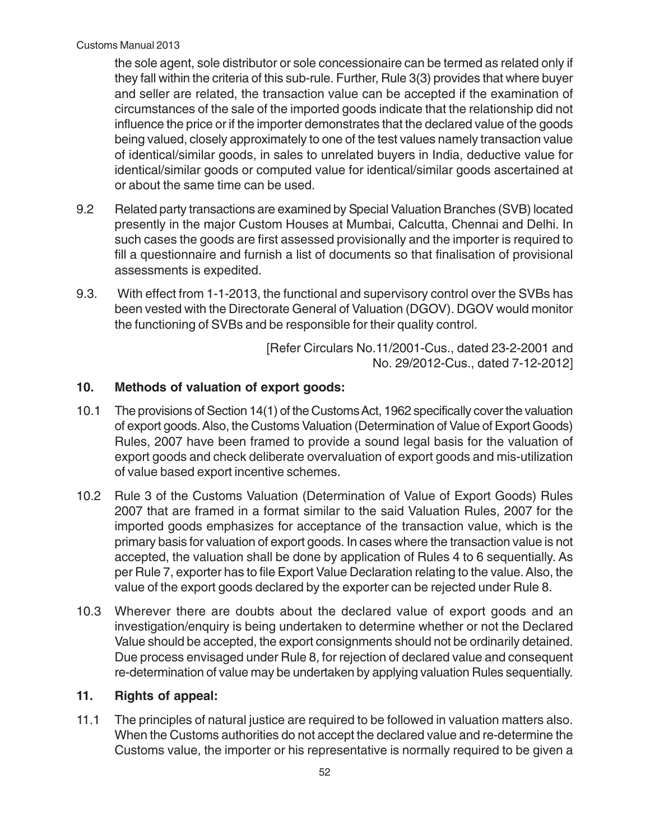the sole agent, sole distributor or sole concessionaire can be termed as related only if they fall within the criteria of this sub-rule. Further, Rule 3(3) provides that where buyer and seller are related, the transaction value can be accepted if the examination of circumstances of the sale of the imported goods indicate that the relationship did not influence the price or if the importer demonstrates that the declared value of the goods being valued, closely approximately to one of the test values namely transaction value of identical/similar goods, in sales to unrelated buyers in India, deductive value for identical/similar goods or computed value for identical/similar goods ascertained at or about the same time can be used.

- 9.2 Related party transactions are examined by Special Valuation Branches (SVB) located presently in the major Custom Houses at Mumbai, Calcutta, Chennai and Delhi. In such cases the goods are first assessed provisionally and the importer is required to fill a questionnaire and furnish a list of documents so that finalisation of provisional assessments is expedited.
- 9.3. With effect from 1-1-2013, the functional and supervisory control over the SVBs has been vested with the Directorate General of Valuation (DGOV). DGOV would monitor the functioning of SVBs and be responsible for their quality control.

 [Refer Circulars No.11/2001-Cus., dated 23-2-2001 and No. 29/2012-Cus., dated 7-12-2012]

#### **10. Methods of valuation of export goods:**

- 10.1 The provisions of Section 14(1) of the Customs Act, 1962 specifically cover the valuation of export goods. Also, the Customs Valuation (Determination of Value of Export Goods) Rules, 2007 have been framed to provide a sound legal basis for the valuation of export goods and check deliberate overvaluation of export goods and mis-utilization of value based export incentive schemes.
- 10.2 Rule 3 of the Customs Valuation (Determination of Value of Export Goods) Rules 2007 that are framed in a format similar to the said Valuation Rules, 2007 for the imported goods emphasizes for acceptance of the transaction value, which is the primary basis for valuation of export goods. In cases where the transaction value is not accepted, the valuation shall be done by application of Rules 4 to 6 sequentially. As per Rule 7, exporter has to file Export Value Declaration relating to the value. Also, the value of the export goods declared by the exporter can be rejected under Rule 8.
- 10.3 Wherever there are doubts about the declared value of export goods and an investigation/enquiry is being undertaken to determine whether or not the Declared Value should be accepted, the export consignments should not be ordinarily detained. Due process envisaged under Rule 8, for rejection of declared value and consequent re-determination of value may be undertaken by applying valuation Rules sequentially.

#### **11. Rights of appeal:**

11.1 The principles of natural justice are required to be followed in valuation matters also. When the Customs authorities do not accept the declared value and re-determine the Customs value, the importer or his representative is normally required to be given a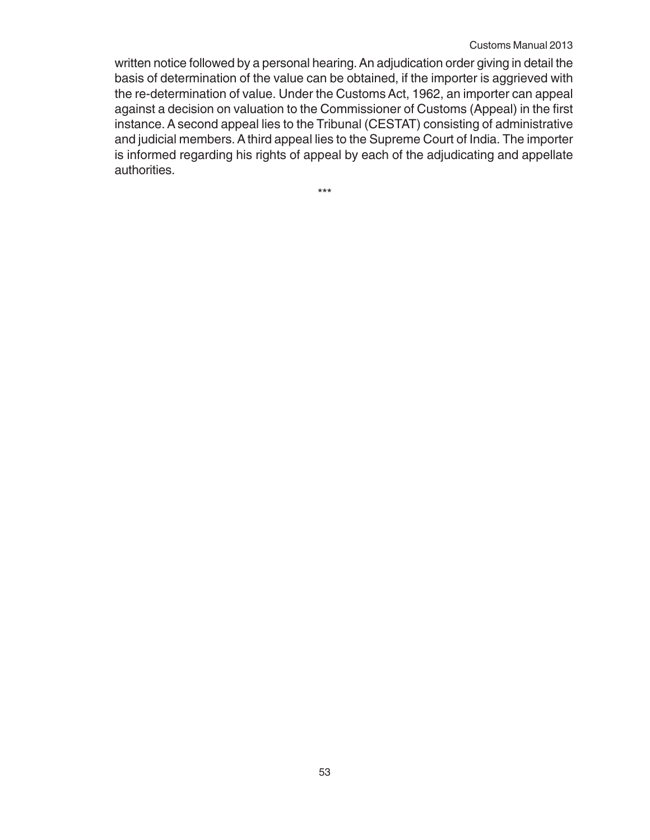#### Customs Manual 2013

written notice followed by a personal hearing. An adjudication order giving in detail the basis of determination of the value can be obtained, if the importer is aggrieved with the re-determination of value. Under the Customs Act, 1962, an importer can appeal against a decision on valuation to the Commissioner of Customs (Appeal) in the first instance. A second appeal lies to the Tribunal (CESTAT) consisting of administrative and judicial members. A third appeal lies to the Supreme Court of India. The importer is informed regarding his rights of appeal by each of the adjudicating and appellate authorities.

\*\*\*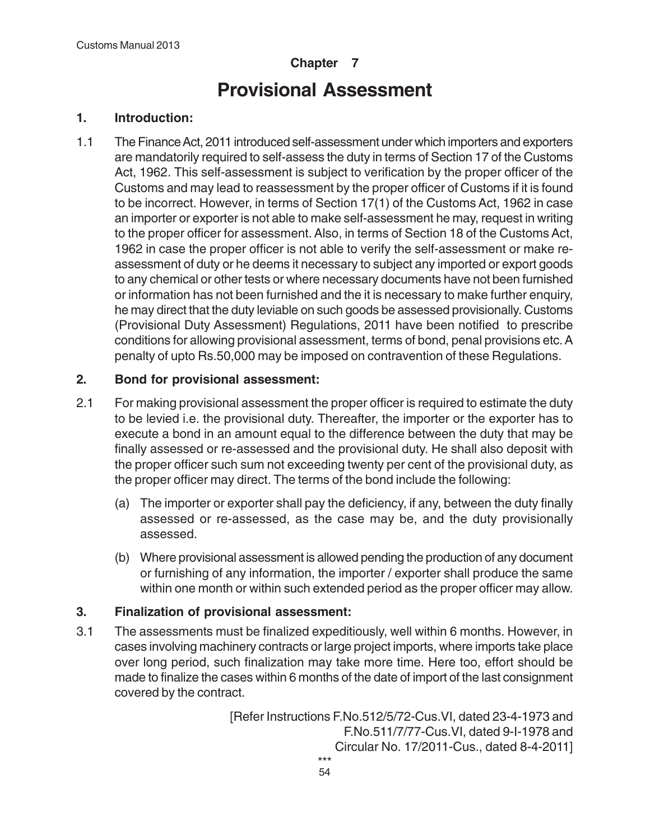### **Chapter 7**

# **Provisional Assessment**

#### **1. Introduction:**

1.1 The Finance Act, 2011 introduced self-assessment under which importers and exporters are mandatorily required to self-assess the duty in terms of Section 17 of the Customs Act, 1962. This self-assessment is subject to verification by the proper officer of the Customs and may lead to reassessment by the proper officer of Customs if it is found to be incorrect. However, in terms of Section 17(1) of the Customs Act, 1962 in case an importer or exporter is not able to make self-assessment he may, request in writing to the proper officer for assessment. Also, in terms of Section 18 of the Customs Act, 1962 in case the proper officer is not able to verify the self-assessment or make reassessment of duty or he deems it necessary to subject any imported or export goods to any chemical or other tests or where necessary documents have not been furnished or information has not been furnished and the it is necessary to make further enquiry, he may direct that the duty leviable on such goods be assessed provisionally. Customs (Provisional Duty Assessment) Regulations, 2011 have been notified to prescribe conditions for allowing provisional assessment, terms of bond, penal provisions etc. A penalty of upto Rs.50,000 may be imposed on contravention of these Regulations.

#### **2. Bond for provisional assessment:**

- 2.1 For making provisional assessment the proper officer is required to estimate the duty to be levied i.e. the provisional duty. Thereafter, the importer or the exporter has to execute a bond in an amount equal to the difference between the duty that may be finally assessed or re-assessed and the provisional duty. He shall also deposit with the proper officer such sum not exceeding twenty per cent of the provisional duty, as the proper officer may direct. The terms of the bond include the following:
	- (a) The importer or exporter shall pay the deficiency, if any, between the duty finally assessed or re-assessed, as the case may be, and the duty provisionally assessed.
	- (b) Where provisional assessment is allowed pending the production of any document or furnishing of any information, the importer / exporter shall produce the same within one month or within such extended period as the proper officer may allow.

#### **3. Finalization of provisional assessment:**

3.1 The assessments must be finalized expeditiously, well within 6 months. However, in cases involving machinery contracts or large project imports, where imports take place over long period, such finalization may take more time. Here too, effort should be made to finalize the cases within 6 months of the date of import of the last consignment covered by the contract.

> [Refer Instructions F.No.512/5/72-Cus.VI, dated 23-4-1973 and F.No.511/7/77-Cus.VI, dated 9-I-1978 and Circular No. 17/2011-Cus., dated 8-4-2011] \*\*\*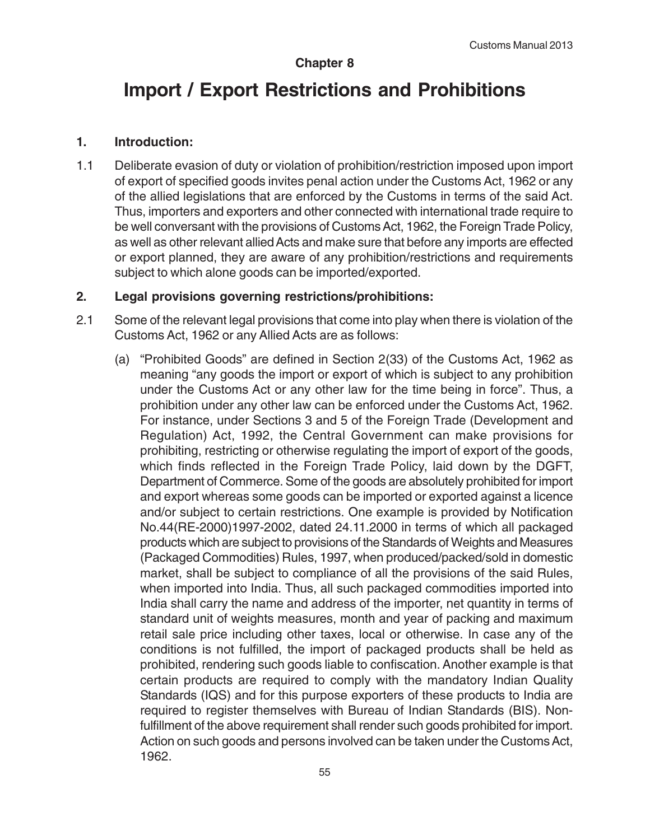#### **Chapter 8**

# **Import / Export Restrictions and Prohibitions**

#### **1. Introduction:**

1.1 Deliberate evasion of duty or violation of prohibition/restriction imposed upon import of export of specified goods invites penal action under the Customs Act, 1962 or any of the allied legislations that are enforced by the Customs in terms of the said Act. Thus, importers and exporters and other connected with international trade require to be well conversant with the provisions of Customs Act, 1962, the Foreign Trade Policy, as well as other relevant allied Acts and make sure that before any imports are effected or export planned, they are aware of any prohibition/restrictions and requirements subject to which alone goods can be imported/exported.

#### **2. Legal provisions governing restrictions/prohibitions:**

- 2.1 Some of the relevant legal provisions that come into play when there is violation of the Customs Act, 1962 or any Allied Acts are as follows:
	- (a) "Prohibited Goods" are defined in Section 2(33) of the Customs Act, 1962 as meaning "any goods the import or export of which is subject to any prohibition under the Customs Act or any other law for the time being in force". Thus, a prohibition under any other law can be enforced under the Customs Act, 1962. For instance, under Sections 3 and 5 of the Foreign Trade (Development and Regulation) Act, 1992, the Central Government can make provisions for prohibiting, restricting or otherwise regulating the import of export of the goods, which finds reflected in the Foreign Trade Policy, laid down by the DGFT, Department of Commerce. Some of the goods are absolutely prohibited for import and export whereas some goods can be imported or exported against a licence and/or subject to certain restrictions. One example is provided by Notification No.44(RE-2000)1997-2002, dated 24.11.2000 in terms of which all packaged products which are subject to provisions of the Standards of Weights and Measures (Packaged Commodities) Rules, 1997, when produced/packed/sold in domestic market, shall be subject to compliance of all the provisions of the said Rules, when imported into India. Thus, all such packaged commodities imported into India shall carry the name and address of the importer, net quantity in terms of standard unit of weights measures, month and year of packing and maximum retail sale price including other taxes, local or otherwise. In case any of the conditions is not fulfilled, the import of packaged products shall be held as prohibited, rendering such goods liable to confiscation. Another example is that certain products are required to comply with the mandatory Indian Quality Standards (IQS) and for this purpose exporters of these products to India are required to register themselves with Bureau of Indian Standards (BIS). Nonfulfillment of the above requirement shall render such goods prohibited for import. Action on such goods and persons involved can be taken under the Customs Act, 1962.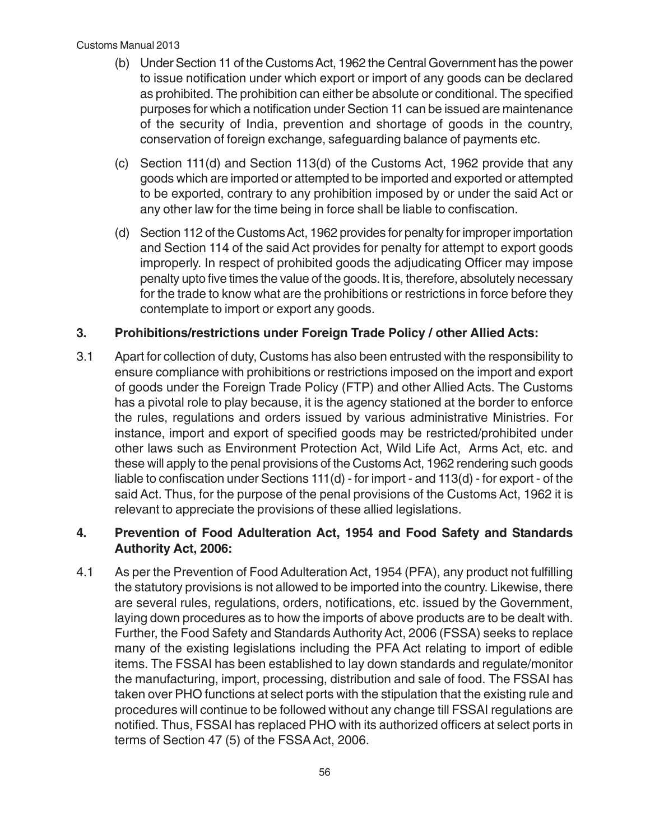- (b) Under Section 11 of the Customs Act, 1962 the Central Government has the power to issue notification under which export or import of any goods can be declared as prohibited. The prohibition can either be absolute or conditional. The specified purposes for which a notification under Section 11 can be issued are maintenance of the security of India, prevention and shortage of goods in the country, conservation of foreign exchange, safeguarding balance of payments etc.
- (c) Section 111(d) and Section 113(d) of the Customs Act, 1962 provide that any goods which are imported or attempted to be imported and exported or attempted to be exported, contrary to any prohibition imposed by or under the said Act or any other law for the time being in force shall be liable to confiscation.
- (d) Section 112 of the Customs Act, 1962 provides for penalty for improper importation and Section 114 of the said Act provides for penalty for attempt to export goods improperly. In respect of prohibited goods the adjudicating Officer may impose penalty upto five times the value of the goods. It is, therefore, absolutely necessary for the trade to know what are the prohibitions or restrictions in force before they contemplate to import or export any goods.

### **3. Prohibitions/restrictions under Foreign Trade Policy / other Allied Acts:**

3.1 Apart for collection of duty, Customs has also been entrusted with the responsibility to ensure compliance with prohibitions or restrictions imposed on the import and export of goods under the Foreign Trade Policy (FTP) and other Allied Acts. The Customs has a pivotal role to play because, it is the agency stationed at the border to enforce the rules, regulations and orders issued by various administrative Ministries. For instance, import and export of specified goods may be restricted/prohibited under other laws such as Environment Protection Act, Wild Life Act, Arms Act, etc. and these will apply to the penal provisions of the Customs Act, 1962 rendering such goods liable to confiscation under Sections 111(d) - for import - and 113(d) - for export - of the said Act. Thus, for the purpose of the penal provisions of the Customs Act, 1962 it is relevant to appreciate the provisions of these allied legislations.

#### **4. Prevention of Food Adulteration Act, 1954 and Food Safety and Standards Authority Act, 2006:**

4.1 As per the Prevention of Food Adulteration Act, 1954 (PFA), any product not fulfilling the statutory provisions is not allowed to be imported into the country. Likewise, there are several rules, regulations, orders, notifications, etc. issued by the Government, laying down procedures as to how the imports of above products are to be dealt with. Further, the Food Safety and Standards Authority Act, 2006 (FSSA) seeks to replace many of the existing legislations including the PFA Act relating to import of edible items. The FSSAI has been established to lay down standards and regulate/monitor the manufacturing, import, processing, distribution and sale of food. The FSSAI has taken over PHO functions at select ports with the stipulation that the existing rule and procedures will continue to be followed without any change till FSSAI regulations are notified. Thus, FSSAI has replaced PHO with its authorized officers at select ports in terms of Section 47 (5) of the FSSA Act, 2006.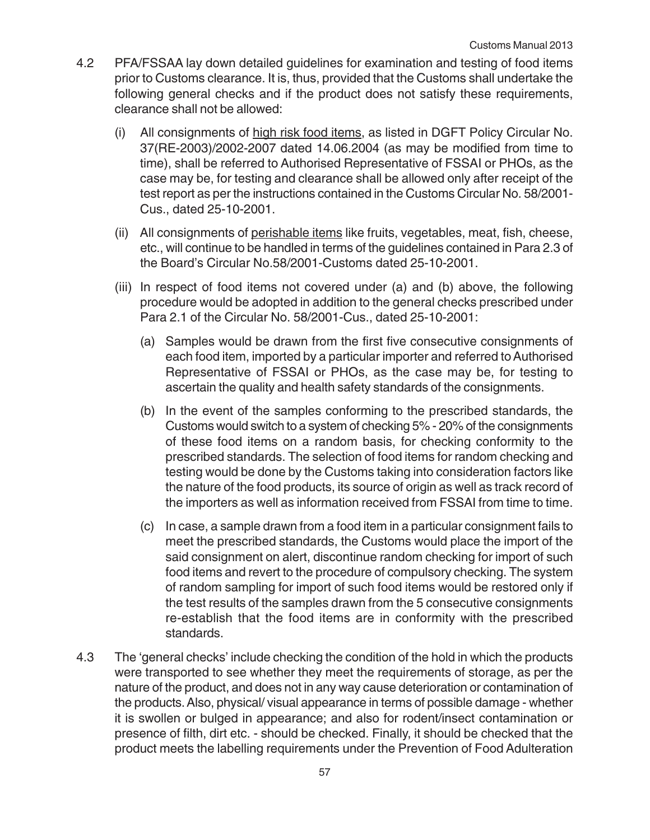- 4.2 PFA/FSSAA lay down detailed guidelines for examination and testing of food items prior to Customs clearance. It is, thus, provided that the Customs shall undertake the following general checks and if the product does not satisfy these requirements, clearance shall not be allowed:
	- (i) All consignments of high risk food items, as listed in DGFT Policy Circular No. 37(RE-2003)/2002-2007 dated 14.06.2004 (as may be modified from time to time), shall be referred to Authorised Representative of FSSAI or PHOs, as the case may be, for testing and clearance shall be allowed only after receipt of the test report as per the instructions contained in the Customs Circular No. 58/2001- Cus., dated 25-10-2001.
	- (ii) All consignments of perishable items like fruits, vegetables, meat, fish, cheese, etc., will continue to be handled in terms of the guidelines contained in Para 2.3 of the Board's Circular No.58/2001-Customs dated 25-10-2001.
	- (iii) In respect of food items not covered under (a) and (b) above, the following procedure would be adopted in addition to the general checks prescribed under Para 2.1 of the Circular No. 58/2001-Cus., dated 25-10-2001:
		- (a) Samples would be drawn from the first five consecutive consignments of each food item, imported by a particular importer and referred to Authorised Representative of FSSAI or PHOs, as the case may be, for testing to ascertain the quality and health safety standards of the consignments.
		- (b) In the event of the samples conforming to the prescribed standards, the Customs would switch to a system of checking 5% - 20% of the consignments of these food items on a random basis, for checking conformity to the prescribed standards. The selection of food items for random checking and testing would be done by the Customs taking into consideration factors like the nature of the food products, its source of origin as well as track record of the importers as well as information received from FSSAI from time to time.
		- (c) In case, a sample drawn from a food item in a particular consignment fails to meet the prescribed standards, the Customs would place the import of the said consignment on alert, discontinue random checking for import of such food items and revert to the procedure of compulsory checking. The system of random sampling for import of such food items would be restored only if the test results of the samples drawn from the 5 consecutive consignments re-establish that the food items are in conformity with the prescribed standards.
- 4.3 The 'general checks' include checking the condition of the hold in which the products were transported to see whether they meet the requirements of storage, as per the nature of the product, and does not in any way cause deterioration or contamination of the products. Also, physical/ visual appearance in terms of possible damage - whether it is swollen or bulged in appearance; and also for rodent/insect contamination or presence of filth, dirt etc. - should be checked. Finally, it should be checked that the product meets the labelling requirements under the Prevention of Food Adulteration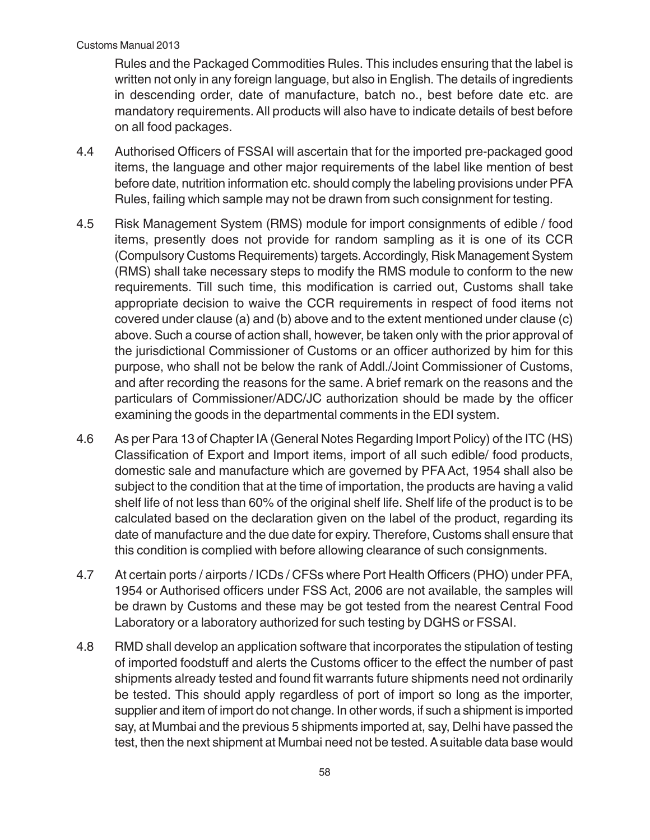Rules and the Packaged Commodities Rules. This includes ensuring that the label is written not only in any foreign language, but also in English. The details of ingredients in descending order, date of manufacture, batch no., best before date etc. are mandatory requirements. All products will also have to indicate details of best before on all food packages.

- 4.4 Authorised Officers of FSSAI will ascertain that for the imported pre-packaged good items, the language and other major requirements of the label like mention of best before date, nutrition information etc. should comply the labeling provisions under PFA Rules, failing which sample may not be drawn from such consignment for testing.
- 4.5 Risk Management System (RMS) module for import consignments of edible / food items, presently does not provide for random sampling as it is one of its CCR (Compulsory Customs Requirements) targets. Accordingly, Risk Management System (RMS) shall take necessary steps to modify the RMS module to conform to the new requirements. Till such time, this modification is carried out, Customs shall take appropriate decision to waive the CCR requirements in respect of food items not covered under clause (a) and (b) above and to the extent mentioned under clause (c) above. Such a course of action shall, however, be taken only with the prior approval of the jurisdictional Commissioner of Customs or an officer authorized by him for this purpose, who shall not be below the rank of Addl./Joint Commissioner of Customs, and after recording the reasons for the same. A brief remark on the reasons and the particulars of Commissioner/ADC/JC authorization should be made by the officer examining the goods in the departmental comments in the EDI system.
- 4.6 As per Para 13 of Chapter IA (General Notes Regarding Import Policy) of the ITC (HS) Classification of Export and Import items, import of all such edible/ food products, domestic sale and manufacture which are governed by PFA Act, 1954 shall also be subject to the condition that at the time of importation, the products are having a valid shelf life of not less than 60% of the original shelf life. Shelf life of the product is to be calculated based on the declaration given on the label of the product, regarding its date of manufacture and the due date for expiry. Therefore, Customs shall ensure that this condition is complied with before allowing clearance of such consignments.
- 4.7 At certain ports / airports / ICDs / CFSs where Port Health Officers (PHO) under PFA, 1954 or Authorised officers under FSS Act, 2006 are not available, the samples will be drawn by Customs and these may be got tested from the nearest Central Food Laboratory or a laboratory authorized for such testing by DGHS or FSSAI.
- 4.8 RMD shall develop an application software that incorporates the stipulation of testing of imported foodstuff and alerts the Customs officer to the effect the number of past shipments already tested and found fit warrants future shipments need not ordinarily be tested. This should apply regardless of port of import so long as the importer, supplier and item of import do not change. In other words, if such a shipment is imported say, at Mumbai and the previous 5 shipments imported at, say, Delhi have passed the test, then the next shipment at Mumbai need not be tested. A suitable data base would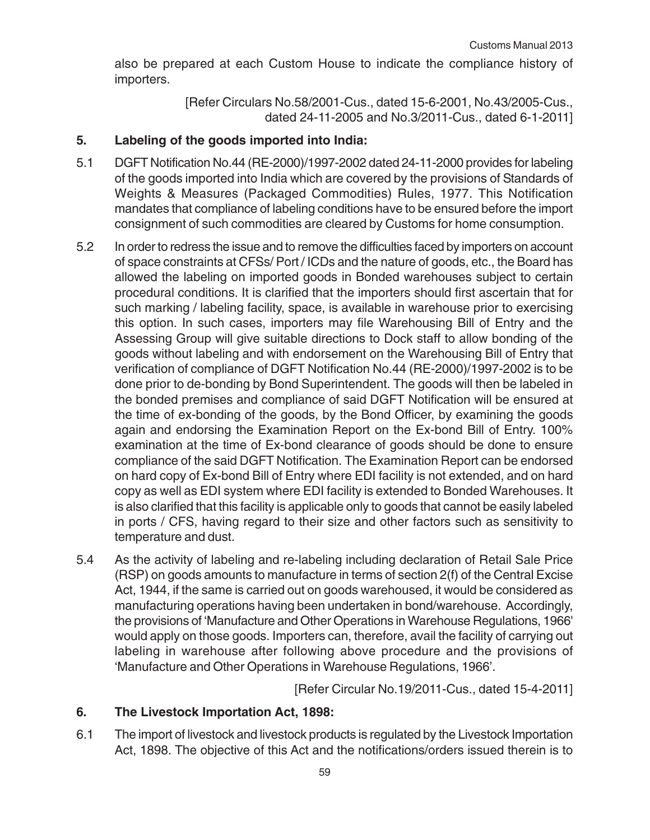also be prepared at each Custom House to indicate the compliance history of importers.

> [Refer Circulars No.58/2001-Cus., dated 15-6-2001, No.43/2005-Cus., dated 24-11-2005 and No.3/2011-Cus., dated 6-1-2011]

## **5. Labeling of the goods imported into India:**

- 5.1 DGFT Notification No.44 (RE-2000)/1997-2002 dated 24-11-2000 provides for labeling of the goods imported into India which are covered by the provisions of Standards of Weights & Measures (Packaged Commodities) Rules, 1977. This Notification mandates that compliance of labeling conditions have to be ensured before the import consignment of such commodities are cleared by Customs for home consumption.
- 5.2 In order to redress the issue and to remove the difficulties faced by importers on account of space constraints at CFSs/ Port / ICDs and the nature of goods, etc., the Board has allowed the labeling on imported goods in Bonded warehouses subject to certain procedural conditions. It is clarified that the importers should first ascertain that for such marking / labeling facility, space, is available in warehouse prior to exercising this option. In such cases, importers may file Warehousing Bill of Entry and the Assessing Group will give suitable directions to Dock staff to allow bonding of the goods without labeling and with endorsement on the Warehousing Bill of Entry that verification of compliance of DGFT Notification No.44 (RE-2000)/1997-2002 is to be done prior to de-bonding by Bond Superintendent. The goods will then be labeled in the bonded premises and compliance of said DGFT Notification will be ensured at the time of ex-bonding of the goods, by the Bond Officer, by examining the goods again and endorsing the Examination Report on the Ex-bond Bill of Entry. 100% examination at the time of Ex-bond clearance of goods should be done to ensure compliance of the said DGFT Notification. The Examination Report can be endorsed on hard copy of Ex-bond Bill of Entry where EDI facility is not extended, and on hard copy as well as EDI system where EDI facility is extended to Bonded Warehouses. It is also clarified that this facility is applicable only to goods that cannot be easily labeled in ports / CFS, having regard to their size and other factors such as sensitivity to temperature and dust.
- 5.4 As the activity of labeling and re-labeling including declaration of Retail Sale Price (RSP) on goods amounts to manufacture in terms of section 2(f) of the Central Excise Act, 1944, if the same is carried out on goods warehoused, it would be considered as manufacturing operations having been undertaken in bond/warehouse. Accordingly, the provisions of 'Manufacture and Other Operations in Warehouse Regulations, 1966' would apply on those goods. Importers can, therefore, avail the facility of carrying out labeling in warehouse after following above procedure and the provisions of 'Manufacture and Other Operations in Warehouse Regulations, 1966'.

[Refer Circular No.19/2011-Cus., dated 15-4-2011]

## **6. The Livestock Importation Act, 1898:**

6.1 The import of livestock and livestock products is regulated by the Livestock Importation Act, 1898. The objective of this Act and the notifications/orders issued therein is to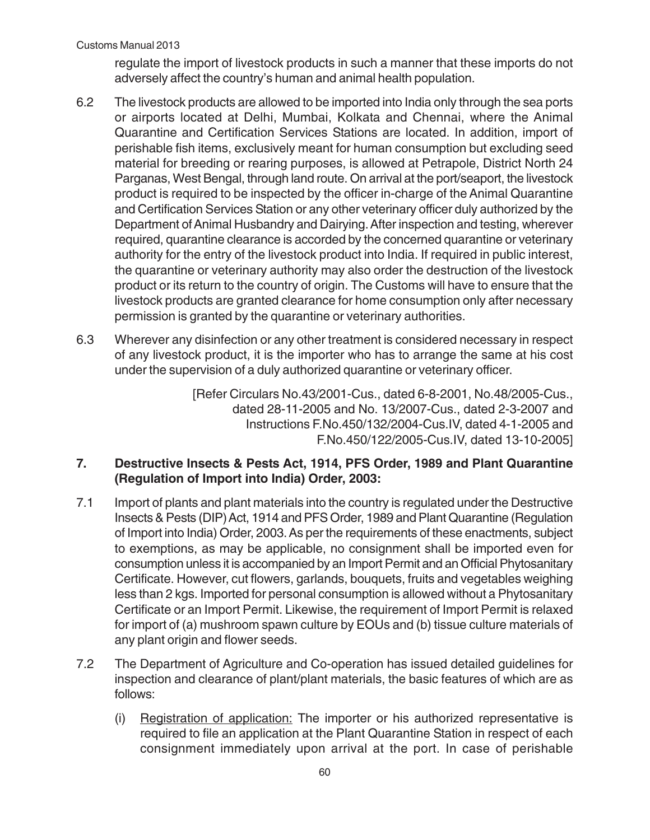regulate the import of livestock products in such a manner that these imports do not adversely affect the country's human and animal health population.

- 6.2 The livestock products are allowed to be imported into India only through the sea ports or airports located at Delhi, Mumbai, Kolkata and Chennai, where the Animal Quarantine and Certification Services Stations are located. In addition, import of perishable fish items, exclusively meant for human consumption but excluding seed material for breeding or rearing purposes, is allowed at Petrapole, District North 24 Parganas, West Bengal, through land route. On arrival at the port/seaport, the livestock product is required to be inspected by the officer in-charge of the Animal Quarantine and Certification Services Station or any other veterinary officer duly authorized by the Department of Animal Husbandry and Dairying. After inspection and testing, wherever required, quarantine clearance is accorded by the concerned quarantine or veterinary authority for the entry of the livestock product into India. If required in public interest, the quarantine or veterinary authority may also order the destruction of the livestock product or its return to the country of origin. The Customs will have to ensure that the livestock products are granted clearance for home consumption only after necessary permission is granted by the quarantine or veterinary authorities.
- 6.3 Wherever any disinfection or any other treatment is considered necessary in respect of any livestock product, it is the importer who has to arrange the same at his cost under the supervision of a duly authorized quarantine or veterinary officer.

[Refer Circulars No.43/2001-Cus., dated 6-8-2001, No.48/2005-Cus., dated 28-11-2005 and No. 13/2007-Cus., dated 2-3-2007 and Instructions F.No.450/132/2004-Cus.IV, dated 4-1-2005 and F.No.450/122/2005-Cus.IV, dated 13-10-2005]

## **7. Destructive Insects & Pests Act, 1914, PFS Order, 1989 and Plant Quarantine (Regulation of Import into India) Order, 2003:**

- 7.1 Import of plants and plant materials into the country is regulated under the Destructive Insects & Pests (DIP) Act, 1914 and PFS Order, 1989 and Plant Quarantine (Regulation of Import into India) Order, 2003. As per the requirements of these enactments, subject to exemptions, as may be applicable, no consignment shall be imported even for consumption unless it is accompanied by an Import Permit and an Official Phytosanitary Certificate. However, cut flowers, garlands, bouquets, fruits and vegetables weighing less than 2 kgs. Imported for personal consumption is allowed without a Phytosanitary Certificate or an Import Permit. Likewise, the requirement of Import Permit is relaxed for import of (a) mushroom spawn culture by EOUs and (b) tissue culture materials of any plant origin and flower seeds.
- 7.2 The Department of Agriculture and Co-operation has issued detailed guidelines for inspection and clearance of plant/plant materials, the basic features of which are as follows:
	- (i) Registration of application: The importer or his authorized representative is required to file an application at the Plant Quarantine Station in respect of each consignment immediately upon arrival at the port. In case of perishable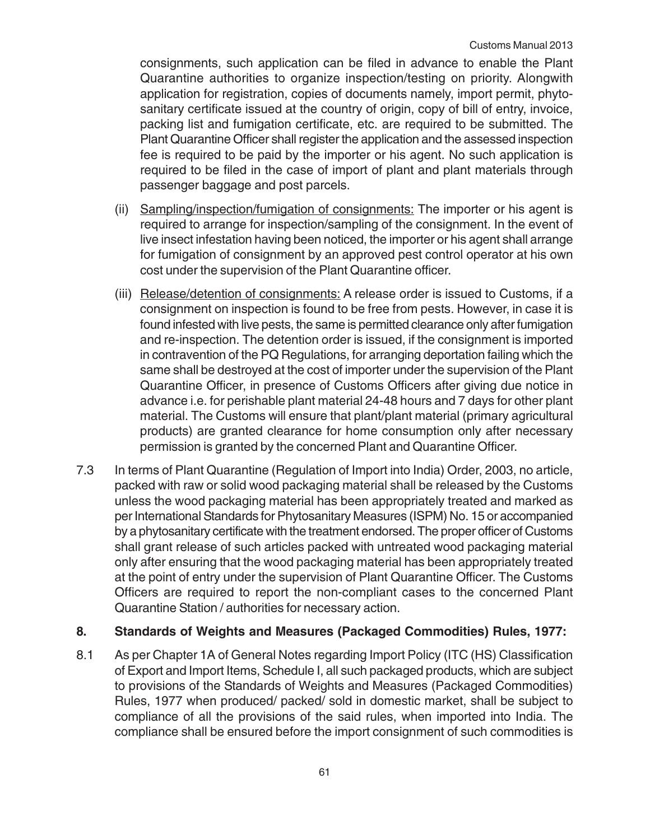consignments, such application can be filed in advance to enable the Plant Quarantine authorities to organize inspection/testing on priority. Alongwith application for registration, copies of documents namely, import permit, phytosanitary certificate issued at the country of origin, copy of bill of entry, invoice, packing list and fumigation certificate, etc. are required to be submitted. The Plant Quarantine Officer shall register the application and the assessed inspection fee is required to be paid by the importer or his agent. No such application is required to be filed in the case of import of plant and plant materials through passenger baggage and post parcels.

- (ii) Sampling/inspection/fumigation of consignments: The importer or his agent is required to arrange for inspection/sampling of the consignment. In the event of live insect infestation having been noticed, the importer or his agent shall arrange for fumigation of consignment by an approved pest control operator at his own cost under the supervision of the Plant Quarantine officer.
- (iii) Release/detention of consignments: A release order is issued to Customs, if a consignment on inspection is found to be free from pests. However, in case it is found infested with live pests, the same is permitted clearance only after fumigation and re-inspection. The detention order is issued, if the consignment is imported in contravention of the PQ Regulations, for arranging deportation failing which the same shall be destroyed at the cost of importer under the supervision of the Plant Quarantine Officer, in presence of Customs Officers after giving due notice in advance i.e. for perishable plant material 24-48 hours and 7 days for other plant material. The Customs will ensure that plant/plant material (primary agricultural products) are granted clearance for home consumption only after necessary permission is granted by the concerned Plant and Quarantine Officer.
- 7.3 In terms of Plant Quarantine (Regulation of Import into India) Order, 2003, no article, packed with raw or solid wood packaging material shall be released by the Customs unless the wood packaging material has been appropriately treated and marked as per International Standards for Phytosanitary Measures (ISPM) No. 15 or accompanied by a phytosanitary certificate with the treatment endorsed. The proper officer of Customs shall grant release of such articles packed with untreated wood packaging material only after ensuring that the wood packaging material has been appropriately treated at the point of entry under the supervision of Plant Quarantine Officer. The Customs Officers are required to report the non-compliant cases to the concerned Plant Quarantine Station / authorities for necessary action.

#### **8. Standards of Weights and Measures (Packaged Commodities) Rules, 1977:**

8.1 As per Chapter 1A of General Notes regarding Import Policy (ITC (HS) Classification of Export and Import Items, Schedule I, all such packaged products, which are subject to provisions of the Standards of Weights and Measures (Packaged Commodities) Rules, 1977 when produced/ packed/ sold in domestic market, shall be subject to compliance of all the provisions of the said rules, when imported into India. The compliance shall be ensured before the import consignment of such commodities is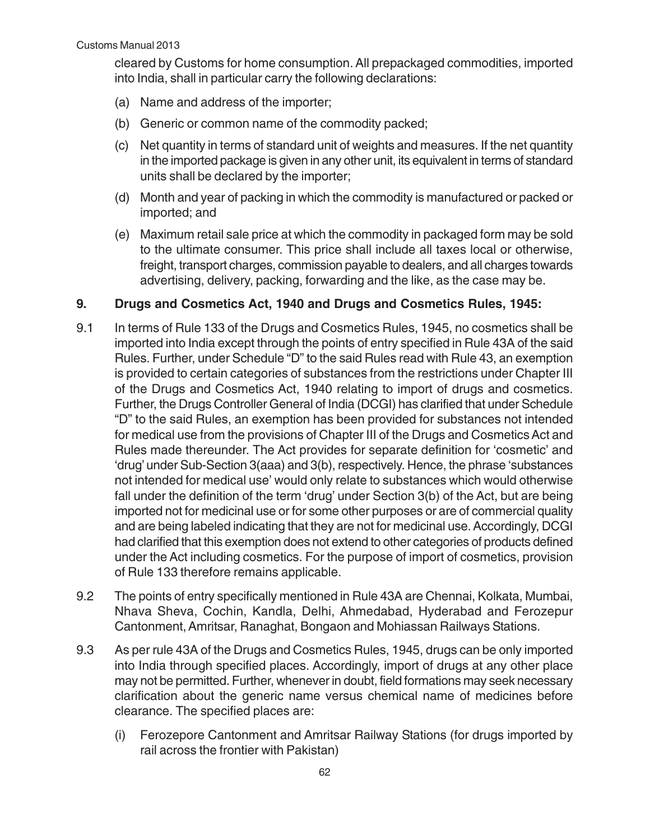cleared by Customs for home consumption. All prepackaged commodities, imported into India, shall in particular carry the following declarations:

- (a) Name and address of the importer;
- (b) Generic or common name of the commodity packed;
- (c) Net quantity in terms of standard unit of weights and measures. If the net quantity in the imported package is given in any other unit, its equivalent in terms of standard units shall be declared by the importer;
- (d) Month and year of packing in which the commodity is manufactured or packed or imported; and
- (e) Maximum retail sale price at which the commodity in packaged form may be sold to the ultimate consumer. This price shall include all taxes local or otherwise, freight, transport charges, commission payable to dealers, and all charges towards advertising, delivery, packing, forwarding and the like, as the case may be.

#### **9. Drugs and Cosmetics Act, 1940 and Drugs and Cosmetics Rules, 1945:**

- 9.1 In terms of Rule 133 of the Drugs and Cosmetics Rules, 1945, no cosmetics shall be imported into India except through the points of entry specified in Rule 43A of the said Rules. Further, under Schedule "D" to the said Rules read with Rule 43, an exemption is provided to certain categories of substances from the restrictions under Chapter III of the Drugs and Cosmetics Act, 1940 relating to import of drugs and cosmetics. Further, the Drugs Controller General of India (DCGI) has clarified that under Schedule "D" to the said Rules, an exemption has been provided for substances not intended for medical use from the provisions of Chapter III of the Drugs and Cosmetics Act and Rules made thereunder. The Act provides for separate definition for 'cosmetic' and 'drug' under Sub-Section 3(aaa) and 3(b), respectively. Hence, the phrase 'substances not intended for medical use' would only relate to substances which would otherwise fall under the definition of the term 'drug' under Section 3(b) of the Act, but are being imported not for medicinal use or for some other purposes or are of commercial quality and are being labeled indicating that they are not for medicinal use. Accordingly, DCGI had clarified that this exemption does not extend to other categories of products defined under the Act including cosmetics. For the purpose of import of cosmetics, provision of Rule 133 therefore remains applicable.
- 9.2 The points of entry specifically mentioned in Rule 43A are Chennai, Kolkata, Mumbai, Nhava Sheva, Cochin, Kandla, Delhi, Ahmedabad, Hyderabad and Ferozepur Cantonment, Amritsar, Ranaghat, Bongaon and Mohiassan Railways Stations.
- 9.3 As per rule 43A of the Drugs and Cosmetics Rules, 1945, drugs can be only imported into India through specified places. Accordingly, import of drugs at any other place may not be permitted. Further, whenever in doubt, field formations may seek necessary clarification about the generic name versus chemical name of medicines before clearance. The specified places are:
	- (i) Ferozepore Cantonment and Amritsar Railway Stations (for drugs imported by rail across the frontier with Pakistan)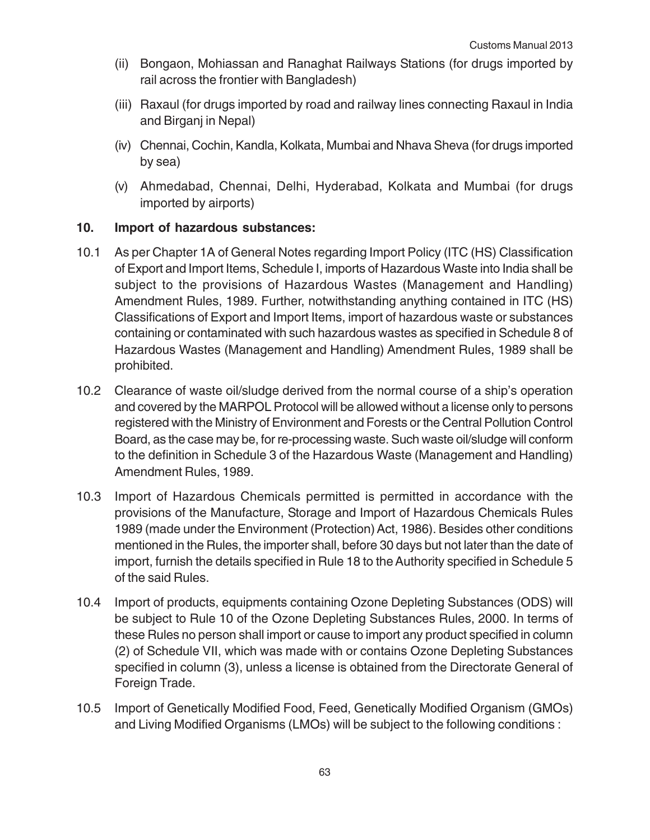- (ii) Bongaon, Mohiassan and Ranaghat Railways Stations (for drugs imported by rail across the frontier with Bangladesh)
- (iii) Raxaul (for drugs imported by road and railway lines connecting Raxaul in India and Birganj in Nepal)
- (iv) Chennai, Cochin, Kandla, Kolkata, Mumbai and Nhava Sheva (for drugs imported by sea)
- (v) Ahmedabad, Chennai, Delhi, Hyderabad, Kolkata and Mumbai (for drugs imported by airports)

## **10. Import of hazardous substances:**

- 10.1 As per Chapter 1A of General Notes regarding Import Policy (ITC (HS) Classification of Export and Import Items, Schedule I, imports of Hazardous Waste into India shall be subject to the provisions of Hazardous Wastes (Management and Handling) Amendment Rules, 1989. Further, notwithstanding anything contained in ITC (HS) Classifications of Export and Import Items, import of hazardous waste or substances containing or contaminated with such hazardous wastes as specified in Schedule 8 of Hazardous Wastes (Management and Handling) Amendment Rules, 1989 shall be prohibited.
- 10.2 Clearance of waste oil/sludge derived from the normal course of a ship's operation and covered by the MARPOL Protocol will be allowed without a license only to persons registered with the Ministry of Environment and Forests or the Central Pollution Control Board, as the case may be, for re-processing waste. Such waste oil/sludge will conform to the definition in Schedule 3 of the Hazardous Waste (Management and Handling) Amendment Rules, 1989.
- 10.3 Import of Hazardous Chemicals permitted is permitted in accordance with the provisions of the Manufacture, Storage and Import of Hazardous Chemicals Rules 1989 (made under the Environment (Protection) Act, 1986). Besides other conditions mentioned in the Rules, the importer shall, before 30 days but not later than the date of import, furnish the details specified in Rule 18 to the Authority specified in Schedule 5 of the said Rules.
- 10.4 Import of products, equipments containing Ozone Depleting Substances (ODS) will be subject to Rule 10 of the Ozone Depleting Substances Rules, 2000. In terms of these Rules no person shall import or cause to import any product specified in column (2) of Schedule VII, which was made with or contains Ozone Depleting Substances specified in column (3), unless a license is obtained from the Directorate General of Foreign Trade.
- 10.5 Import of Genetically Modified Food, Feed, Genetically Modified Organism (GMOs) and Living Modified Organisms (LMOs) will be subject to the following conditions :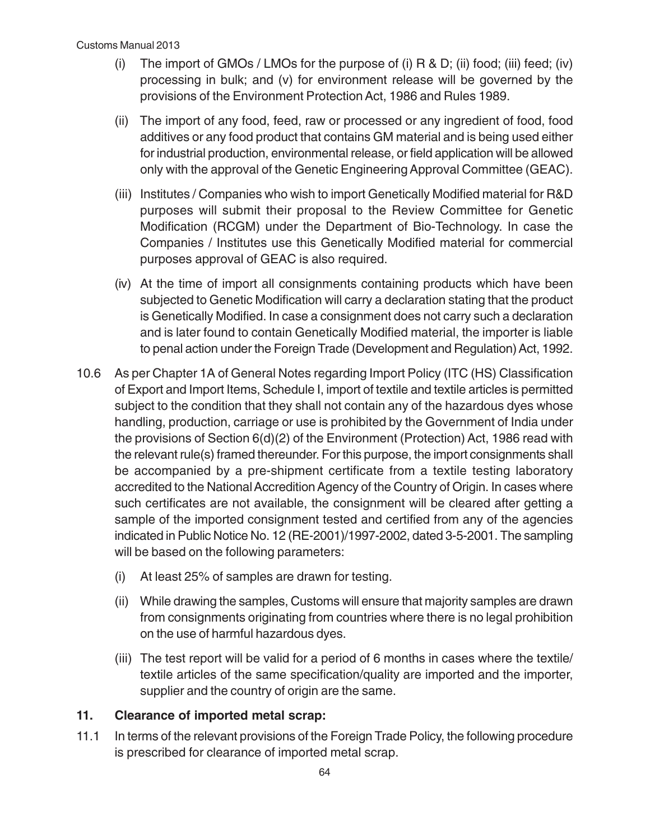- (i) The import of GMOs / LMOs for the purpose of (i) R & D; (ii) food; (iii) feed; (iv) processing in bulk; and (v) for environment release will be governed by the provisions of the Environment Protection Act, 1986 and Rules 1989.
- (ii) The import of any food, feed, raw or processed or any ingredient of food, food additives or any food product that contains GM material and is being used either for industrial production, environmental release, or field application will be allowed only with the approval of the Genetic Engineering Approval Committee (GEAC).
- (iii) Institutes / Companies who wish to import Genetically Modified material for R&D purposes will submit their proposal to the Review Committee for Genetic Modification (RCGM) under the Department of Bio-Technology. In case the Companies / Institutes use this Genetically Modified material for commercial purposes approval of GEAC is also required.
- (iv) At the time of import all consignments containing products which have been subjected to Genetic Modification will carry a declaration stating that the product is Genetically Modified. In case a consignment does not carry such a declaration and is later found to contain Genetically Modified material, the importer is liable to penal action under the Foreign Trade (Development and Regulation) Act, 1992.
- 10.6 As per Chapter 1A of General Notes regarding Import Policy (ITC (HS) Classification of Export and Import Items, Schedule I, import of textile and textile articles is permitted subject to the condition that they shall not contain any of the hazardous dyes whose handling, production, carriage or use is prohibited by the Government of India under the provisions of Section 6(d)(2) of the Environment (Protection) Act, 1986 read with the relevant rule(s) framed thereunder. For this purpose, the import consignments shall be accompanied by a pre-shipment certificate from a textile testing laboratory accredited to the National Accredition Agency of the Country of Origin. In cases where such certificates are not available, the consignment will be cleared after getting a sample of the imported consignment tested and certified from any of the agencies indicated in Public Notice No. 12 (RE-2001)/1997-2002, dated 3-5-2001. The sampling will be based on the following parameters:
	- (i) At least 25% of samples are drawn for testing.
	- (ii) While drawing the samples, Customs will ensure that majority samples are drawn from consignments originating from countries where there is no legal prohibition on the use of harmful hazardous dyes.
	- (iii) The test report will be valid for a period of 6 months in cases where the textile/ textile articles of the same specification/quality are imported and the importer, supplier and the country of origin are the same.

## **11. Clearance of imported metal scrap:**

11.1 In terms of the relevant provisions of the Foreign Trade Policy, the following procedure is prescribed for clearance of imported metal scrap.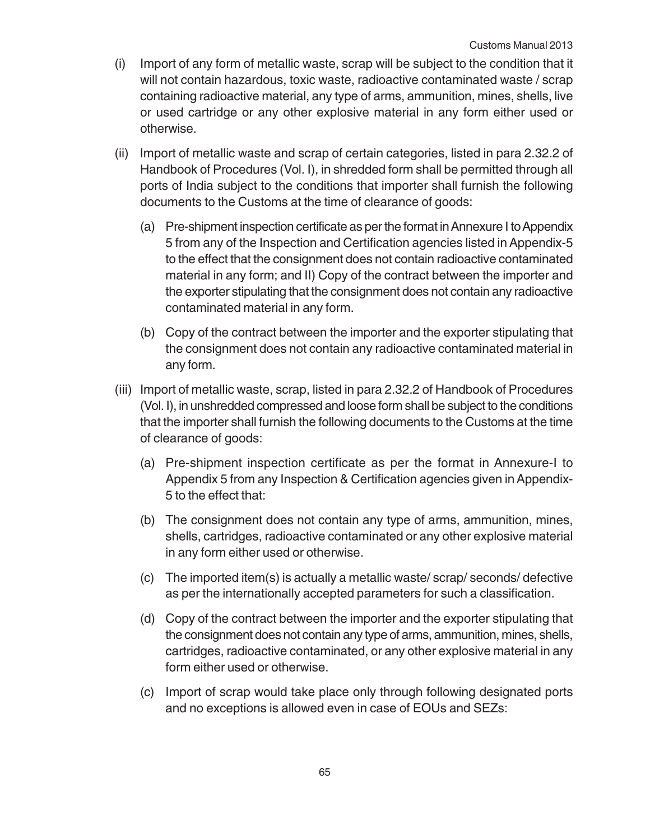- (i) Import of any form of metallic waste, scrap will be subject to the condition that it will not contain hazardous, toxic waste, radioactive contaminated waste / scrap containing radioactive material, any type of arms, ammunition, mines, shells, live or used cartridge or any other explosive material in any form either used or otherwise.
- (ii) Import of metallic waste and scrap of certain categories, listed in para 2.32.2 of Handbook of Procedures (Vol. I), in shredded form shall be permitted through all ports of India subject to the conditions that importer shall furnish the following documents to the Customs at the time of clearance of goods:
	- (a) Pre-shipment inspection certificate as per the format in Annexure I to Appendix 5 from any of the Inspection and Certification agencies listed in Appendix-5 to the effect that the consignment does not contain radioactive contaminated material in any form; and II) Copy of the contract between the importer and the exporter stipulating that the consignment does not contain any radioactive contaminated material in any form.
	- (b) Copy of the contract between the importer and the exporter stipulating that the consignment does not contain any radioactive contaminated material in any form.
- (iii) Import of metallic waste, scrap, listed in para 2.32.2 of Handbook of Procedures (Vol. I), in unshredded compressed and loose form shall be subject to the conditions that the importer shall furnish the following documents to the Customs at the time of clearance of goods:
	- (a) Pre-shipment inspection certificate as per the format in Annexure-I to Appendix 5 from any Inspection & Certification agencies given in Appendix-5 to the effect that:
	- (b) The consignment does not contain any type of arms, ammunition, mines, shells, cartridges, radioactive contaminated or any other explosive material in any form either used or otherwise.
	- (c) The imported item(s) is actually a metallic waste/ scrap/ seconds/ defective as per the internationally accepted parameters for such a classification.
	- (d) Copy of the contract between the importer and the exporter stipulating that the consignment does not contain any type of arms, ammunition, mines, shells, cartridges, radioactive contaminated, or any other explosive material in any form either used or otherwise.
	- (c) Import of scrap would take place only through following designated ports and no exceptions is allowed even in case of EOUs and SEZs: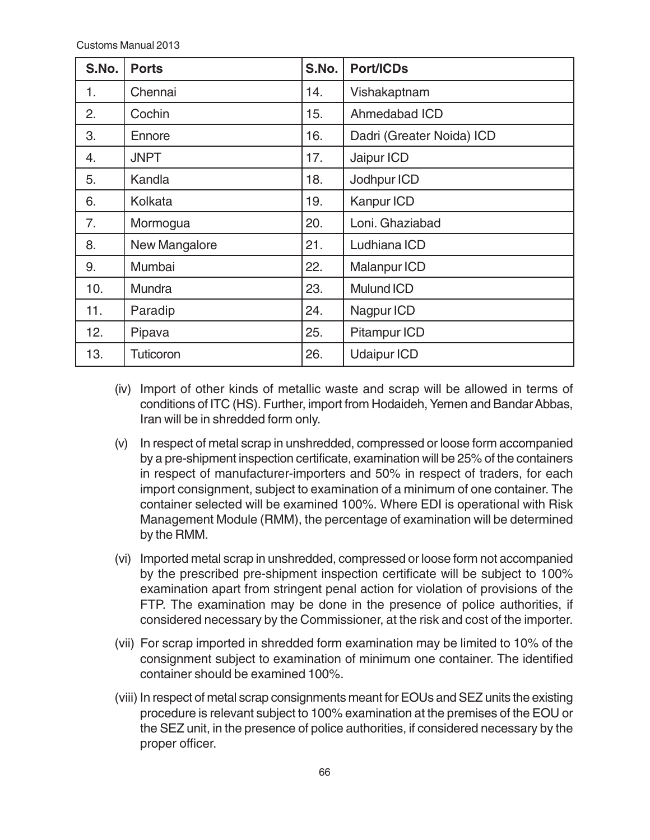| S.No. | <b>Ports</b>     | S.No. | <b>Port/ICDs</b>          |
|-------|------------------|-------|---------------------------|
| 1.    | Chennai          | 14.   | Vishakaptnam              |
| 2.    | Cochin           | 15.   | Ahmedabad ICD             |
| 3.    | Ennore           | 16.   | Dadri (Greater Noida) ICD |
| 4.    | <b>JNPT</b>      | 17.   | Jaipur ICD                |
| 5.    | Kandla           | 18.   | Jodhpur ICD               |
| 6.    | Kolkata          | 19.   | Kanpur ICD                |
| 7.    | Mormogua         | 20.   | Loni. Ghaziabad           |
| 8.    | New Mangalore    | 21.   | Ludhiana ICD              |
| 9.    | Mumbai           | 22.   | Malanpur ICD              |
| 10.   | Mundra           | 23.   | <b>Mulund ICD</b>         |
| 11.   | Paradip          | 24.   | Nagpur ICD                |
| 12.   | Pipava           | 25.   | <b>Pitampur ICD</b>       |
| 13.   | <b>Tuticoron</b> | 26.   | <b>Udaipur ICD</b>        |

- (iv) Import of other kinds of metallic waste and scrap will be allowed in terms of conditions of ITC (HS). Further, import from Hodaideh, Yemen and Bandar Abbas, Iran will be in shredded form only.
- (v) In respect of metal scrap in unshredded, compressed or loose form accompanied by a pre-shipment inspection certificate, examination will be 25% of the containers in respect of manufacturer-importers and 50% in respect of traders, for each import consignment, subject to examination of a minimum of one container. The container selected will be examined 100%. Where EDI is operational with Risk Management Module (RMM), the percentage of examination will be determined by the RMM.
- (vi) Imported metal scrap in unshredded, compressed or loose form not accompanied by the prescribed pre-shipment inspection certificate will be subject to 100% examination apart from stringent penal action for violation of provisions of the FTP. The examination may be done in the presence of police authorities, if considered necessary by the Commissioner, at the risk and cost of the importer.
- (vii) For scrap imported in shredded form examination may be limited to 10% of the consignment subject to examination of minimum one container. The identified container should be examined 100%.
- (viii) In respect of metal scrap consignments meant for EOUs and SEZ units the existing procedure is relevant subject to 100% examination at the premises of the EOU or the SEZ unit, in the presence of police authorities, if considered necessary by the proper officer.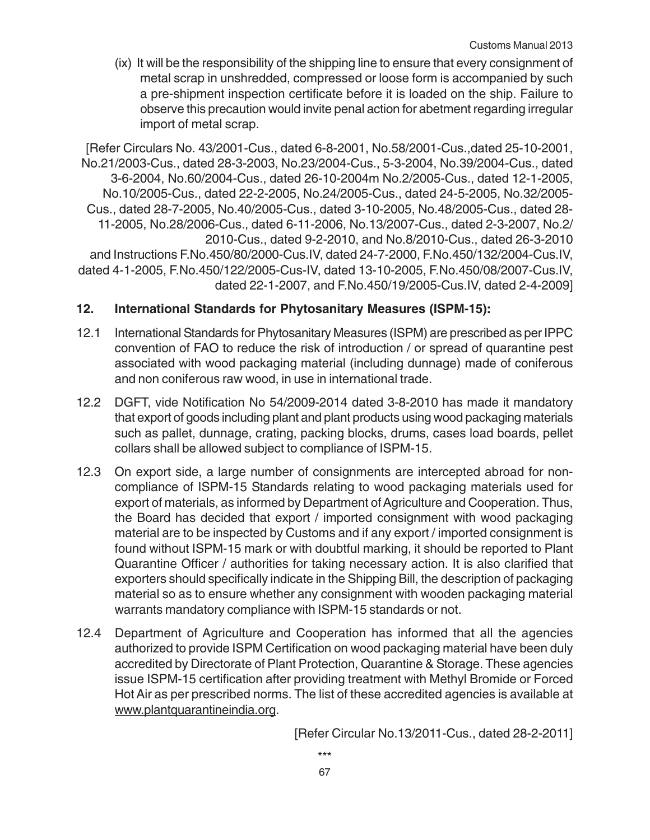(ix) It will be the responsibility of the shipping line to ensure that every consignment of metal scrap in unshredded, compressed or loose form is accompanied by such a pre-shipment inspection certificate before it is loaded on the ship. Failure to observe this precaution would invite penal action for abetment regarding irregular import of metal scrap.

[Refer Circulars No. 43/2001-Cus., dated 6-8-2001, No.58/2001-Cus.,dated 25-10-2001, No.21/2003-Cus., dated 28-3-2003, No.23/2004-Cus., 5-3-2004, No.39/2004-Cus., dated 3-6-2004, No.60/2004-Cus., dated 26-10-2004m No.2/2005-Cus., dated 12-1-2005, No.10/2005-Cus., dated 22-2-2005, No.24/2005-Cus., dated 24-5-2005, No.32/2005- Cus., dated 28-7-2005, No.40/2005-Cus., dated 3-10-2005, No.48/2005-Cus., dated 28- 11-2005, No.28/2006-Cus., dated 6-11-2006, No.13/2007-Cus., dated 2-3-2007, No.2/ 2010-Cus., dated 9-2-2010, and No.8/2010-Cus., dated 26-3-2010 and Instructions F.No.450/80/2000-Cus.IV, dated 24-7-2000, F.No.450/132/2004-Cus.IV, dated 4-1-2005, F.No.450/122/2005-Cus-IV, dated 13-10-2005, F.No.450/08/2007-Cus.IV, dated 22-1-2007, and F.No.450/19/2005-Cus.IV, dated 2-4-2009]

## **12. International Standards for Phytosanitary Measures (ISPM-15):**

- 12.1 International Standards for Phytosanitary Measures (ISPM) are prescribed as per IPPC convention of FAO to reduce the risk of introduction / or spread of quarantine pest associated with wood packaging material (including dunnage) made of coniferous and non coniferous raw wood, in use in international trade.
- 12.2 DGFT, vide Notification No 54/2009-2014 dated 3-8-2010 has made it mandatory that export of goods including plant and plant products using wood packaging materials such as pallet, dunnage, crating, packing blocks, drums, cases load boards, pellet collars shall be allowed subject to compliance of ISPM-15.
- 12.3 On export side, a large number of consignments are intercepted abroad for noncompliance of ISPM-15 Standards relating to wood packaging materials used for export of materials, as informed by Department of Agriculture and Cooperation. Thus, the Board has decided that export / imported consignment with wood packaging material are to be inspected by Customs and if any export / imported consignment is found without ISPM-15 mark or with doubtful marking, it should be reported to Plant Quarantine Officer / authorities for taking necessary action. It is also clarified that exporters should specifically indicate in the Shipping Bill, the description of packaging material so as to ensure whether any consignment with wooden packaging material warrants mandatory compliance with ISPM-15 standards or not.
- 12.4 Department of Agriculture and Cooperation has informed that all the agencies authorized to provide ISPM Certification on wood packaging material have been duly accredited by Directorate of Plant Protection, Quarantine & Storage. These agencies issue ISPM-15 certification after providing treatment with Methyl Bromide or Forced Hot Air as per prescribed norms. The list of these accredited agencies is available at www.plantquarantineindia.org.

[Refer Circular No.13/2011-Cus., dated 28-2-2011]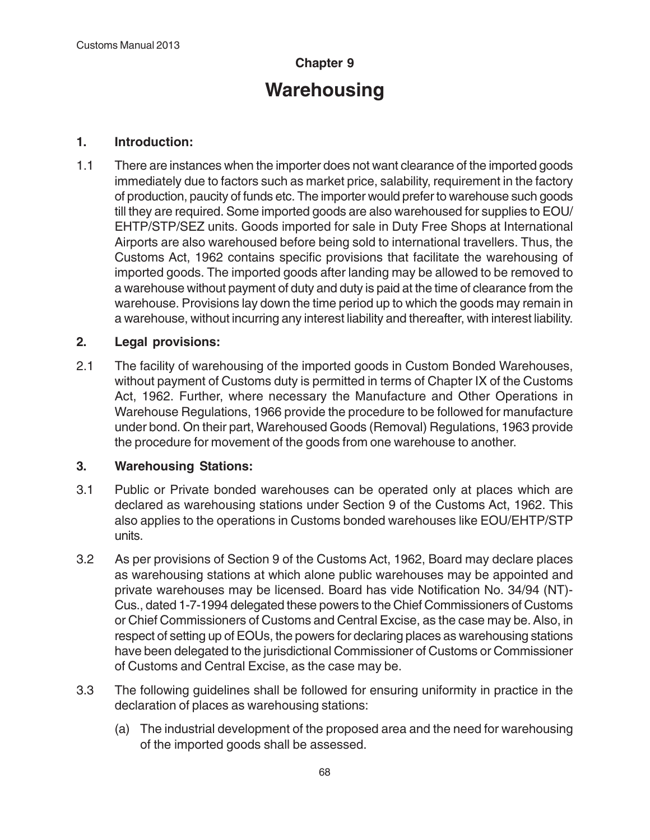# **Chapter 9 Warehousing**

## **1. Introduction:**

1.1 There are instances when the importer does not want clearance of the imported goods immediately due to factors such as market price, salability, requirement in the factory of production, paucity of funds etc. The importer would prefer to warehouse such goods till they are required. Some imported goods are also warehoused for supplies to EOU/ EHTP/STP/SEZ units. Goods imported for sale in Duty Free Shops at International Airports are also warehoused before being sold to international travellers. Thus, the Customs Act, 1962 contains specific provisions that facilitate the warehousing of imported goods. The imported goods after landing may be allowed to be removed to a warehouse without payment of duty and duty is paid at the time of clearance from the warehouse. Provisions lay down the time period up to which the goods may remain in a warehouse, without incurring any interest liability and thereafter, with interest liability.

## **2. Legal provisions:**

2.1 The facility of warehousing of the imported goods in Custom Bonded Warehouses, without payment of Customs duty is permitted in terms of Chapter IX of the Customs Act, 1962. Further, where necessary the Manufacture and Other Operations in Warehouse Regulations, 1966 provide the procedure to be followed for manufacture under bond. On their part, Warehoused Goods (Removal) Regulations, 1963 provide the procedure for movement of the goods from one warehouse to another.

#### **3. Warehousing Stations:**

- 3.1 Public or Private bonded warehouses can be operated only at places which are declared as warehousing stations under Section 9 of the Customs Act, 1962. This also applies to the operations in Customs bonded warehouses like EOU/EHTP/STP units.
- 3.2 As per provisions of Section 9 of the Customs Act, 1962, Board may declare places as warehousing stations at which alone public warehouses may be appointed and private warehouses may be licensed. Board has vide Notification No. 34/94 (NT)- Cus., dated 1-7-1994 delegated these powers to the Chief Commissioners of Customs or Chief Commissioners of Customs and Central Excise, as the case may be. Also, in respect of setting up of EOUs, the powers for declaring places as warehousing stations have been delegated to the jurisdictional Commissioner of Customs or Commissioner of Customs and Central Excise, as the case may be.
- 3.3 The following guidelines shall be followed for ensuring uniformity in practice in the declaration of places as warehousing stations:
	- (a) The industrial development of the proposed area and the need for warehousing of the imported goods shall be assessed.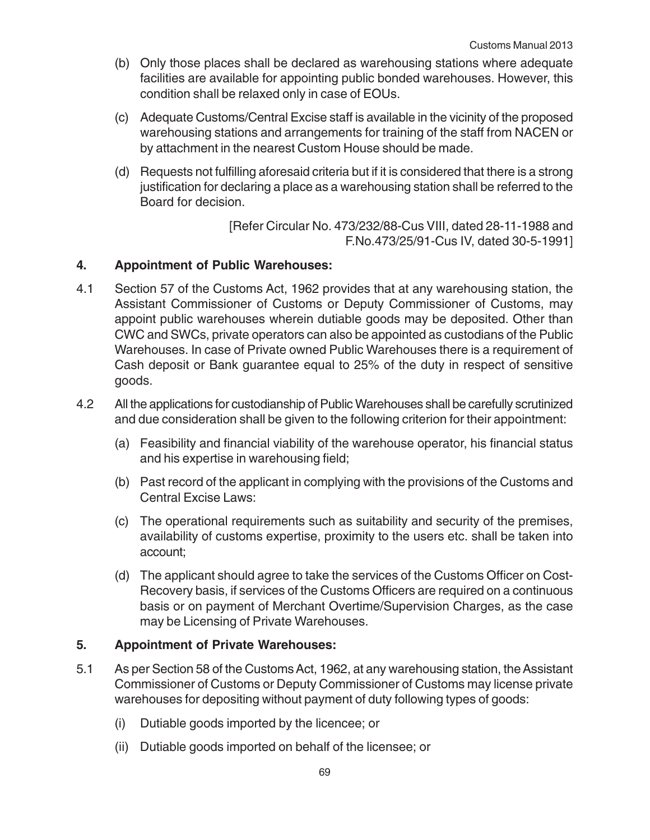- (b) Only those places shall be declared as warehousing stations where adequate facilities are available for appointing public bonded warehouses. However, this condition shall be relaxed only in case of EOUs.
- (c) Adequate Customs/Central Excise staff is available in the vicinity of the proposed warehousing stations and arrangements for training of the staff from NACEN or by attachment in the nearest Custom House should be made.
- (d) Requests not fulfilling aforesaid criteria but if it is considered that there is a strong justification for declaring a place as a warehousing station shall be referred to the Board for decision.

[Refer Circular No. 473/232/88-Cus VIII, dated 28-11-1988 and F.No.473/25/91-Cus IV, dated 30-5-1991]

## **4. Appointment of Public Warehouses:**

- 4.1 Section 57 of the Customs Act, 1962 provides that at any warehousing station, the Assistant Commissioner of Customs or Deputy Commissioner of Customs, may appoint public warehouses wherein dutiable goods may be deposited. Other than CWC and SWCs, private operators can also be appointed as custodians of the Public Warehouses. In case of Private owned Public Warehouses there is a requirement of Cash deposit or Bank guarantee equal to 25% of the duty in respect of sensitive goods.
- 4.2 All the applications for custodianship of Public Warehouses shall be carefully scrutinized and due consideration shall be given to the following criterion for their appointment:
	- (a) Feasibility and financial viability of the warehouse operator, his financial status and his expertise in warehousing field;
	- (b) Past record of the applicant in complying with the provisions of the Customs and Central Excise Laws:
	- (c) The operational requirements such as suitability and security of the premises, availability of customs expertise, proximity to the users etc. shall be taken into account;
	- (d) The applicant should agree to take the services of the Customs Officer on Cost-Recovery basis, if services of the Customs Officers are required on a continuous basis or on payment of Merchant Overtime/Supervision Charges, as the case may be Licensing of Private Warehouses.

#### **5. Appointment of Private Warehouses:**

- 5.1 As per Section 58 of the Customs Act, 1962, at any warehousing station, the Assistant Commissioner of Customs or Deputy Commissioner of Customs may license private warehouses for depositing without payment of duty following types of goods:
	- (i) Dutiable goods imported by the licencee; or
	- (ii) Dutiable goods imported on behalf of the licensee; or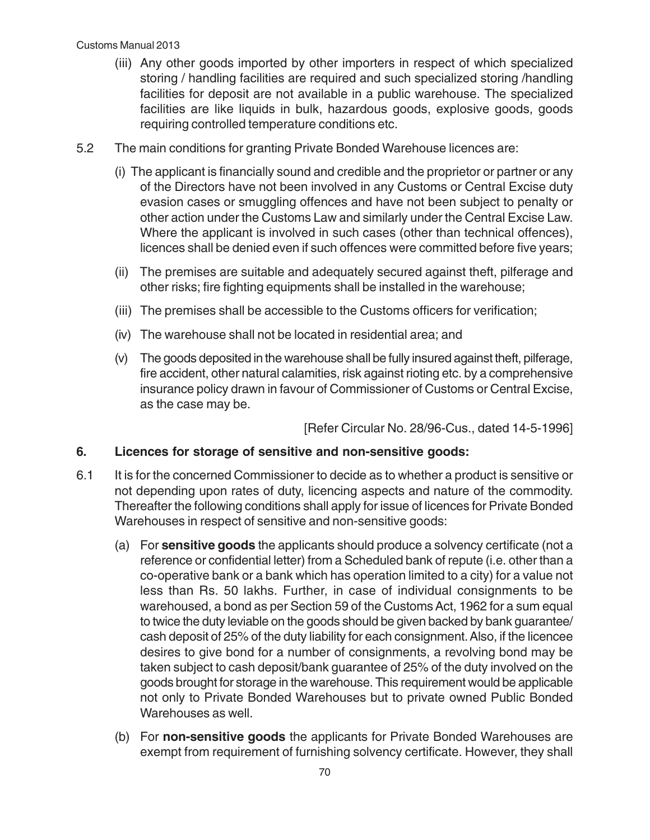- (iii) Any other goods imported by other importers in respect of which specialized storing / handling facilities are required and such specialized storing /handling facilities for deposit are not available in a public warehouse. The specialized facilities are like liquids in bulk, hazardous goods, explosive goods, goods requiring controlled temperature conditions etc.
- 5.2 The main conditions for granting Private Bonded Warehouse licences are:
	- (i) The applicant is financially sound and credible and the proprietor or partner or any of the Directors have not been involved in any Customs or Central Excise duty evasion cases or smuggling offences and have not been subject to penalty or other action under the Customs Law and similarly under the Central Excise Law. Where the applicant is involved in such cases (other than technical offences), licences shall be denied even if such offences were committed before five years;
	- (ii) The premises are suitable and adequately secured against theft, pilferage and other risks; fire fighting equipments shall be installed in the warehouse;
	- (iii) The premises shall be accessible to the Customs officers for verification;
	- (iv) The warehouse shall not be located in residential area; and
	- (v) The goods deposited in the warehouse shall be fully insured against theft, pilferage, fire accident, other natural calamities, risk against rioting etc. by a comprehensive insurance policy drawn in favour of Commissioner of Customs or Central Excise, as the case may be.

[Refer Circular No. 28/96-Cus., dated 14-5-1996]

## **6. Licences for storage of sensitive and non-sensitive goods:**

- 6.1 It is for the concerned Commissioner to decide as to whether a product is sensitive or not depending upon rates of duty, licencing aspects and nature of the commodity. Thereafter the following conditions shall apply for issue of licences for Private Bonded Warehouses in respect of sensitive and non-sensitive goods:
	- (a) For **sensitive goods** the applicants should produce a solvency certificate (not a reference or confidential letter) from a Scheduled bank of repute (i.e. other than a co-operative bank or a bank which has operation limited to a city) for a value not less than Rs. 50 lakhs. Further, in case of individual consignments to be warehoused, a bond as per Section 59 of the Customs Act, 1962 for a sum equal to twice the duty leviable on the goods should be given backed by bank guarantee/ cash deposit of 25% of the duty liability for each consignment. Also, if the licencee desires to give bond for a number of consignments, a revolving bond may be taken subject to cash deposit/bank guarantee of 25% of the duty involved on the goods brought for storage in the warehouse. This requirement would be applicable not only to Private Bonded Warehouses but to private owned Public Bonded Warehouses as well.
	- (b) For **non-sensitive goods** the applicants for Private Bonded Warehouses are exempt from requirement of furnishing solvency certificate. However, they shall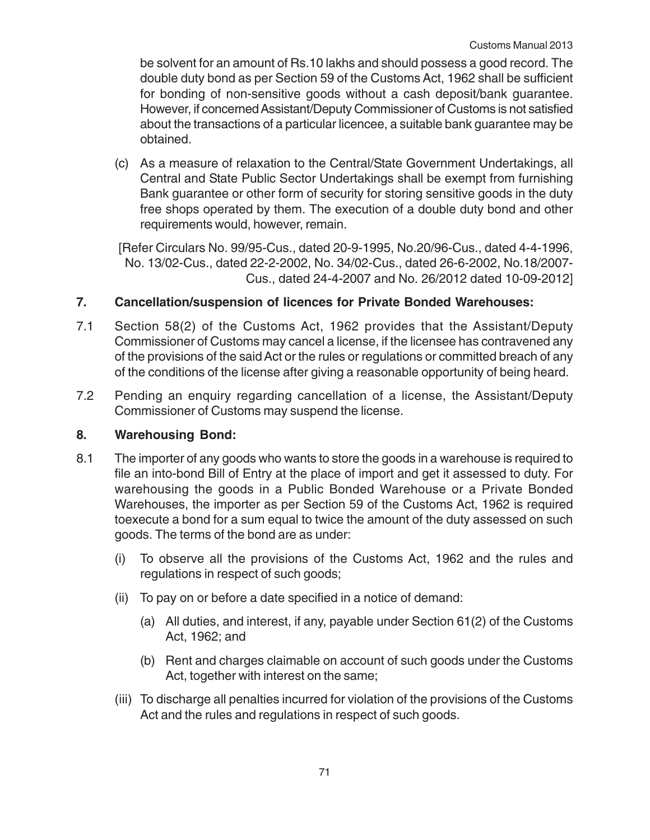be solvent for an amount of Rs.10 lakhs and should possess a good record. The double duty bond as per Section 59 of the Customs Act, 1962 shall be sufficient for bonding of non-sensitive goods without a cash deposit/bank guarantee. However, if concerned Assistant/Deputy Commissioner of Customs is not satisfied about the transactions of a particular licencee, a suitable bank guarantee may be obtained.

(c) As a measure of relaxation to the Central/State Government Undertakings, all Central and State Public Sector Undertakings shall be exempt from furnishing Bank guarantee or other form of security for storing sensitive goods in the duty free shops operated by them. The execution of a double duty bond and other requirements would, however, remain.

[Refer Circulars No. 99/95-Cus., dated 20-9-1995, No.20/96-Cus., dated 4-4-1996, No. 13/02-Cus., dated 22-2-2002, No. 34/02-Cus., dated 26-6-2002, No.18/2007- Cus., dated 24-4-2007 and No. 26/2012 dated 10-09-2012]

## **7. Cancellation/suspension of licences for Private Bonded Warehouses:**

- 7.1 Section 58(2) of the Customs Act, 1962 provides that the Assistant/Deputy Commissioner of Customs may cancel a license, if the licensee has contravened any of the provisions of the said Act or the rules or regulations or committed breach of any of the conditions of the license after giving a reasonable opportunity of being heard.
- 7.2 Pending an enquiry regarding cancellation of a license, the Assistant/Deputy Commissioner of Customs may suspend the license.

#### **8. Warehousing Bond:**

- 8.1 The importer of any goods who wants to store the goods in a warehouse is required to file an into-bond Bill of Entry at the place of import and get it assessed to duty. For warehousing the goods in a Public Bonded Warehouse or a Private Bonded Warehouses, the importer as per Section 59 of the Customs Act, 1962 is required toexecute a bond for a sum equal to twice the amount of the duty assessed on such goods. The terms of the bond are as under:
	- (i) To observe all the provisions of the Customs Act, 1962 and the rules and regulations in respect of such goods;
	- (ii) To pay on or before a date specified in a notice of demand:
		- (a) All duties, and interest, if any, payable under Section 61(2) of the Customs Act, 1962; and
		- (b) Rent and charges claimable on account of such goods under the Customs Act, together with interest on the same;
	- (iii) To discharge all penalties incurred for violation of the provisions of the Customs Act and the rules and regulations in respect of such goods.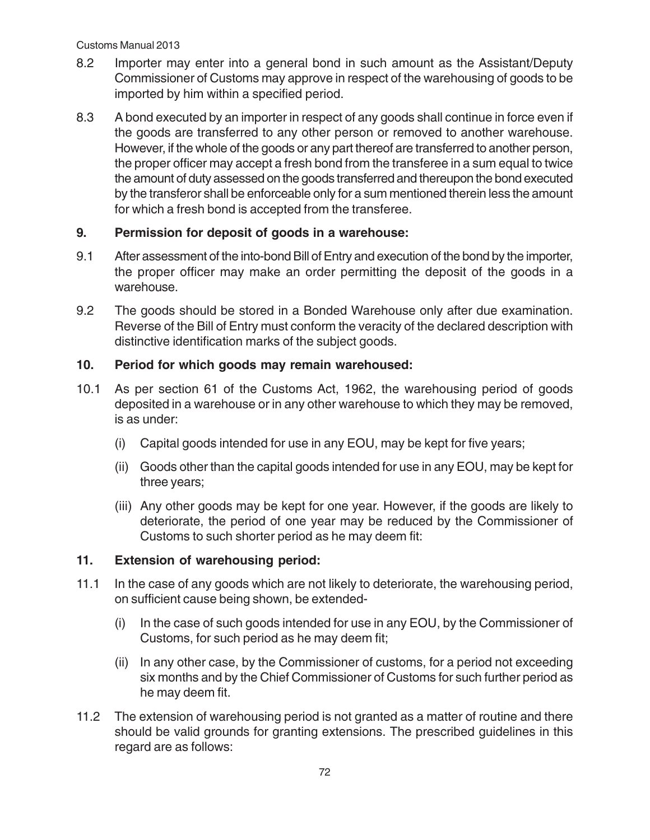- 8.2 Importer may enter into a general bond in such amount as the Assistant/Deputy Commissioner of Customs may approve in respect of the warehousing of goods to be imported by him within a specified period.
- 8.3 A bond executed by an importer in respect of any goods shall continue in force even if the goods are transferred to any other person or removed to another warehouse. However, if the whole of the goods or any part thereof are transferred to another person, the proper officer may accept a fresh bond from the transferee in a sum equal to twice the amount of duty assessed on the goods transferred and thereupon the bond executed by the transferor shall be enforceable only for a sum mentioned therein less the amount for which a fresh bond is accepted from the transferee.

## **9. Permission for deposit of goods in a warehouse:**

- 9.1 After assessment of the into-bond Bill of Entry and execution of the bond by the importer, the proper officer may make an order permitting the deposit of the goods in a warehouse.
- 9.2 The goods should be stored in a Bonded Warehouse only after due examination. Reverse of the Bill of Entry must conform the veracity of the declared description with distinctive identification marks of the subject goods.

## **10. Period for which goods may remain warehoused:**

- 10.1 As per section 61 of the Customs Act, 1962, the warehousing period of goods deposited in a warehouse or in any other warehouse to which they may be removed, is as under:
	- (i) Capital goods intended for use in any EOU, may be kept for five years;
	- (ii) Goods other than the capital goods intended for use in any EOU, may be kept for three years;
	- (iii) Any other goods may be kept for one year. However, if the goods are likely to deteriorate, the period of one year may be reduced by the Commissioner of Customs to such shorter period as he may deem fit:

## **11. Extension of warehousing period:**

- 11.1 In the case of any goods which are not likely to deteriorate, the warehousing period, on sufficient cause being shown, be extended-
	- (i) In the case of such goods intended for use in any EOU, by the Commissioner of Customs, for such period as he may deem fit;
	- (ii) In any other case, by the Commissioner of customs, for a period not exceeding six months and by the Chief Commissioner of Customs for such further period as he may deem fit.
- 11.2 The extension of warehousing period is not granted as a matter of routine and there should be valid grounds for granting extensions. The prescribed guidelines in this regard are as follows: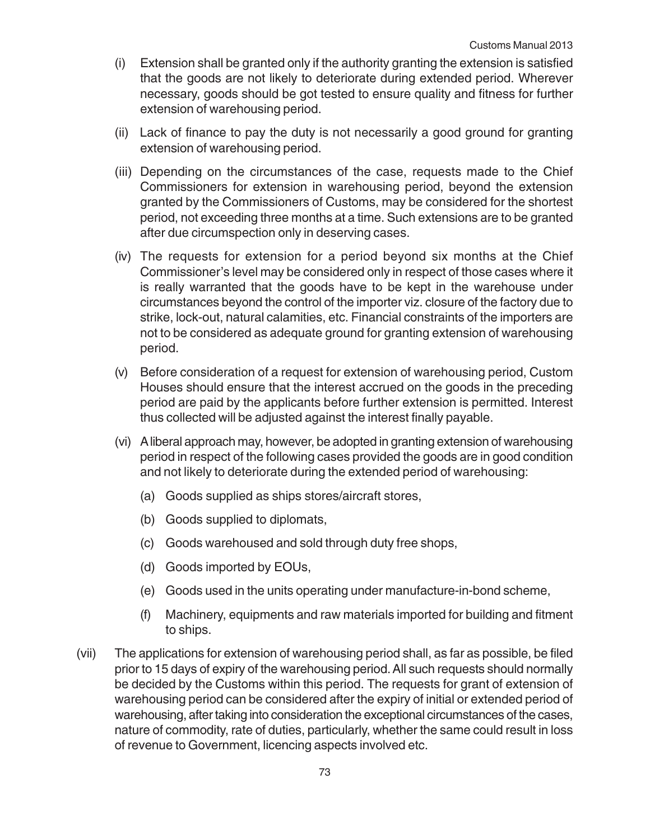- (i) Extension shall be granted only if the authority granting the extension is satisfied that the goods are not likely to deteriorate during extended period. Wherever necessary, goods should be got tested to ensure quality and fitness for further extension of warehousing period.
- (ii) Lack of finance to pay the duty is not necessarily a good ground for granting extension of warehousing period.
- (iii) Depending on the circumstances of the case, requests made to the Chief Commissioners for extension in warehousing period, beyond the extension granted by the Commissioners of Customs, may be considered for the shortest period, not exceeding three months at a time. Such extensions are to be granted after due circumspection only in deserving cases.
- (iv) The requests for extension for a period beyond six months at the Chief Commissioner's level may be considered only in respect of those cases where it is really warranted that the goods have to be kept in the warehouse under circumstances beyond the control of the importer viz. closure of the factory due to strike, lock-out, natural calamities, etc. Financial constraints of the importers are not to be considered as adequate ground for granting extension of warehousing period.
- (v) Before consideration of a request for extension of warehousing period, Custom Houses should ensure that the interest accrued on the goods in the preceding period are paid by the applicants before further extension is permitted. Interest thus collected will be adjusted against the interest finally payable.
- (vi) A liberal approach may, however, be adopted in granting extension of warehousing period in respect of the following cases provided the goods are in good condition and not likely to deteriorate during the extended period of warehousing:
	- (a) Goods supplied as ships stores/aircraft stores,
	- (b) Goods supplied to diplomats,
	- (c) Goods warehoused and sold through duty free shops,
	- (d) Goods imported by EOUs,
	- (e) Goods used in the units operating under manufacture-in-bond scheme,
	- (f) Machinery, equipments and raw materials imported for building and fitment to ships.
- (vii) The applications for extension of warehousing period shall, as far as possible, be filed prior to 15 days of expiry of the warehousing period. All such requests should normally be decided by the Customs within this period. The requests for grant of extension of warehousing period can be considered after the expiry of initial or extended period of warehousing, after taking into consideration the exceptional circumstances of the cases, nature of commodity, rate of duties, particularly, whether the same could result in loss of revenue to Government, licencing aspects involved etc.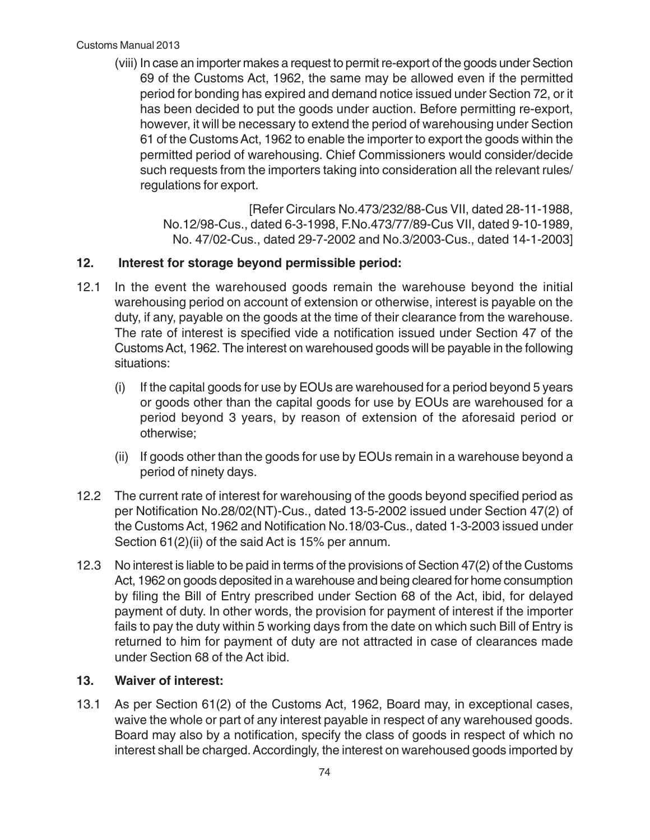(viii) In case an importer makes a request to permit re-export of the goods under Section 69 of the Customs Act, 1962, the same may be allowed even if the permitted period for bonding has expired and demand notice issued under Section 72, or it has been decided to put the goods under auction. Before permitting re-export, however, it will be necessary to extend the period of warehousing under Section 61 of the Customs Act, 1962 to enable the importer to export the goods within the permitted period of warehousing. Chief Commissioners would consider/decide such requests from the importers taking into consideration all the relevant rules/ regulations for export.

> [Refer Circulars No.473/232/88-Cus VII, dated 28-11-1988, No.12/98-Cus., dated 6-3-1998, F.No.473/77/89-Cus VII, dated 9-10-1989, No. 47/02-Cus., dated 29-7-2002 and No.3/2003-Cus., dated 14-1-2003]

## **12. Interest for storage beyond permissible period:**

- 12.1 In the event the warehoused goods remain the warehouse beyond the initial warehousing period on account of extension or otherwise, interest is payable on the duty, if any, payable on the goods at the time of their clearance from the warehouse. The rate of interest is specified vide a notification issued under Section 47 of the Customs Act, 1962. The interest on warehoused goods will be payable in the following situations:
	- (i) If the capital goods for use by EOUs are warehoused for a period beyond 5 years or goods other than the capital goods for use by EOUs are warehoused for a period beyond 3 years, by reason of extension of the aforesaid period or otherwise;
	- (ii) If goods other than the goods for use by EOUs remain in a warehouse beyond a period of ninety days.
- 12.2 The current rate of interest for warehousing of the goods beyond specified period as per Notification No.28/02(NT)-Cus., dated 13-5-2002 issued under Section 47(2) of the Customs Act, 1962 and Notification No.18/03-Cus., dated 1-3-2003 issued under Section 61(2)(ii) of the said Act is 15% per annum.
- 12.3 No interest is liable to be paid in terms of the provisions of Section 47(2) of the Customs Act, 1962 on goods deposited in a warehouse and being cleared for home consumption by filing the Bill of Entry prescribed under Section 68 of the Act, ibid, for delayed payment of duty. In other words, the provision for payment of interest if the importer fails to pay the duty within 5 working days from the date on which such Bill of Entry is returned to him for payment of duty are not attracted in case of clearances made under Section 68 of the Act ibid.

#### **13. Waiver of interest:**

13.1 As per Section 61(2) of the Customs Act, 1962, Board may, in exceptional cases, waive the whole or part of any interest payable in respect of any warehoused goods. Board may also by a notification, specify the class of goods in respect of which no interest shall be charged. Accordingly, the interest on warehoused goods imported by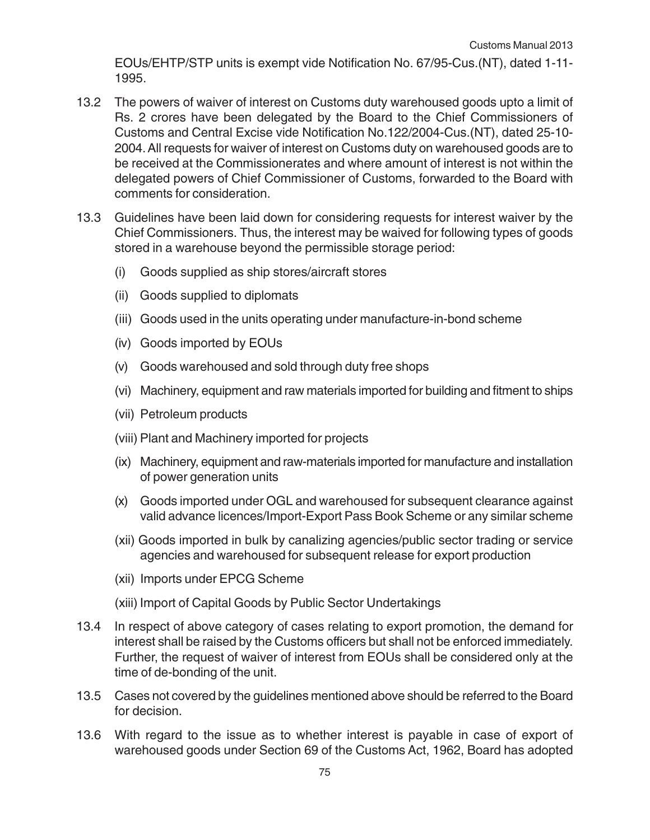EOUs/EHTP/STP units is exempt vide Notification No. 67/95-Cus.(NT), dated 1-11- 1995.

- 13.2 The powers of waiver of interest on Customs duty warehoused goods upto a limit of Rs. 2 crores have been delegated by the Board to the Chief Commissioners of Customs and Central Excise vide Notification No.122/2004-Cus.(NT), dated 25-10- 2004. All requests for waiver of interest on Customs duty on warehoused goods are to be received at the Commissionerates and where amount of interest is not within the delegated powers of Chief Commissioner of Customs, forwarded to the Board with comments for consideration.
- 13.3 Guidelines have been laid down for considering requests for interest waiver by the Chief Commissioners. Thus, the interest may be waived for following types of goods stored in a warehouse beyond the permissible storage period:
	- (i) Goods supplied as ship stores/aircraft stores
	- (ii) Goods supplied to diplomats
	- (iii) Goods used in the units operating under manufacture-in-bond scheme
	- (iv) Goods imported by EOUs
	- (v) Goods warehoused and sold through duty free shops
	- (vi) Machinery, equipment and raw materials imported for building and fitment to ships
	- (vii) Petroleum products
	- (viii) Plant and Machinery imported for projects
	- (ix) Machinery, equipment and raw-materials imported for manufacture and installation of power generation units
	- (x) Goods imported under OGL and warehoused for subsequent clearance against valid advance licences/Import-Export Pass Book Scheme or any similar scheme
	- (xii) Goods imported in bulk by canalizing agencies/public sector trading or service agencies and warehoused for subsequent release for export production
	- (xii) Imports under EPCG Scheme
	- (xiii) Import of Capital Goods by Public Sector Undertakings
- 13.4 In respect of above category of cases relating to export promotion, the demand for interest shall be raised by the Customs officers but shall not be enforced immediately. Further, the request of waiver of interest from EOUs shall be considered only at the time of de-bonding of the unit.
- 13.5 Cases not covered by the guidelines mentioned above should be referred to the Board for decision.
- 13.6 With regard to the issue as to whether interest is payable in case of export of warehoused goods under Section 69 of the Customs Act, 1962, Board has adopted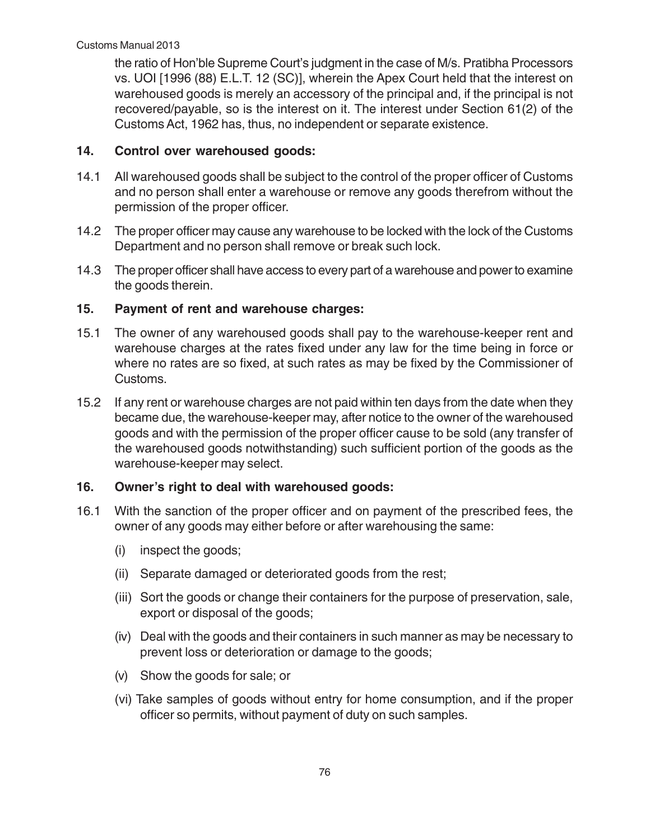the ratio of Hon'ble Supreme Court's judgment in the case of M/s. Pratibha Processors vs. UOI [1996 (88) E.L.T. 12 (SC)], wherein the Apex Court held that the interest on warehoused goods is merely an accessory of the principal and, if the principal is not recovered/payable, so is the interest on it. The interest under Section 61(2) of the Customs Act, 1962 has, thus, no independent or separate existence.

## **14. Control over warehoused goods:**

- 14.1 All warehoused goods shall be subject to the control of the proper officer of Customs and no person shall enter a warehouse or remove any goods therefrom without the permission of the proper officer.
- 14.2 The proper officer may cause any warehouse to be locked with the lock of the Customs Department and no person shall remove or break such lock.
- 14.3 The proper officer shall have access to every part of a warehouse and power to examine the goods therein.

## **15. Payment of rent and warehouse charges:**

- 15.1 The owner of any warehoused goods shall pay to the warehouse-keeper rent and warehouse charges at the rates fixed under any law for the time being in force or where no rates are so fixed, at such rates as may be fixed by the Commissioner of Customs.
- 15.2 If any rent or warehouse charges are not paid within ten days from the date when they became due, the warehouse-keeper may, after notice to the owner of the warehoused goods and with the permission of the proper officer cause to be sold (any transfer of the warehoused goods notwithstanding) such sufficient portion of the goods as the warehouse-keeper may select.

### **16. Owner's right to deal with warehoused goods:**

- 16.1 With the sanction of the proper officer and on payment of the prescribed fees, the owner of any goods may either before or after warehousing the same:
	- (i) inspect the goods;
	- (ii) Separate damaged or deteriorated goods from the rest;
	- (iii) Sort the goods or change their containers for the purpose of preservation, sale, export or disposal of the goods;
	- (iv) Deal with the goods and their containers in such manner as may be necessary to prevent loss or deterioration or damage to the goods;
	- (v) Show the goods for sale; or
	- (vi) Take samples of goods without entry for home consumption, and if the proper officer so permits, without payment of duty on such samples.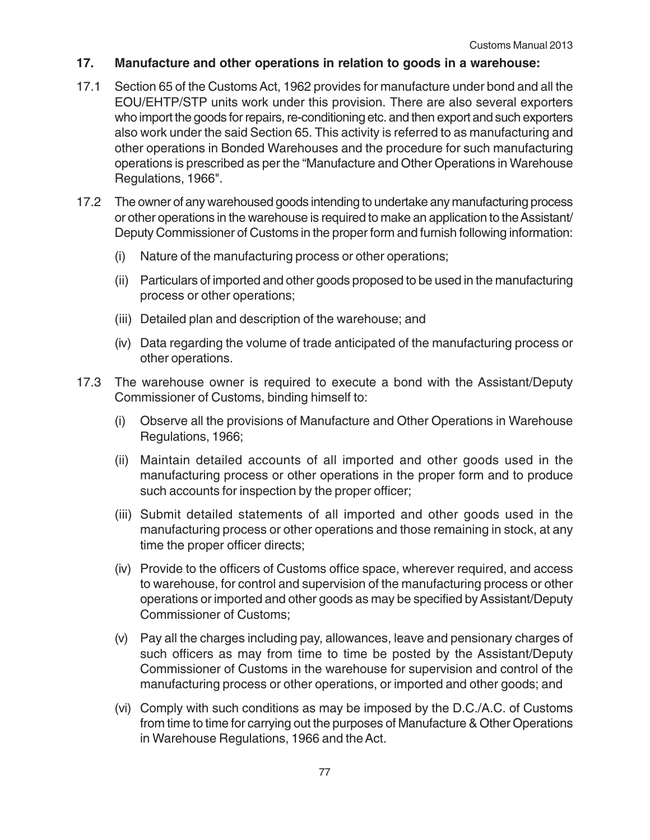#### **17. Manufacture and other operations in relation to goods in a warehouse:**

- 17.1 Section 65 of the Customs Act, 1962 provides for manufacture under bond and all the EOU/EHTP/STP units work under this provision. There are also several exporters who import the goods for repairs, re-conditioning etc. and then export and such exporters also work under the said Section 65. This activity is referred to as manufacturing and other operations in Bonded Warehouses and the procedure for such manufacturing operations is prescribed as per the "Manufacture and Other Operations in Warehouse Regulations, 1966".
- 17.2 The owner of any warehoused goods intending to undertake any manufacturing process or other operations in the warehouse is required to make an application to the Assistant/ Deputy Commissioner of Customs in the proper form and furnish following information:
	- (i) Nature of the manufacturing process or other operations;
	- (ii) Particulars of imported and other goods proposed to be used in the manufacturing process or other operations;
	- (iii) Detailed plan and description of the warehouse; and
	- (iv) Data regarding the volume of trade anticipated of the manufacturing process or other operations.
- 17.3 The warehouse owner is required to execute a bond with the Assistant/Deputy Commissioner of Customs, binding himself to:
	- (i) Observe all the provisions of Manufacture and Other Operations in Warehouse Regulations, 1966;
	- (ii) Maintain detailed accounts of all imported and other goods used in the manufacturing process or other operations in the proper form and to produce such accounts for inspection by the proper officer;
	- (iii) Submit detailed statements of all imported and other goods used in the manufacturing process or other operations and those remaining in stock, at any time the proper officer directs;
	- (iv) Provide to the officers of Customs office space, wherever required, and access to warehouse, for control and supervision of the manufacturing process or other operations or imported and other goods as may be specified by Assistant/Deputy Commissioner of Customs;
	- (v) Pay all the charges including pay, allowances, leave and pensionary charges of such officers as may from time to time be posted by the Assistant/Deputy Commissioner of Customs in the warehouse for supervision and control of the manufacturing process or other operations, or imported and other goods; and
	- (vi) Comply with such conditions as may be imposed by the D.C./A.C. of Customs from time to time for carrying out the purposes of Manufacture & Other Operations in Warehouse Regulations, 1966 and the Act.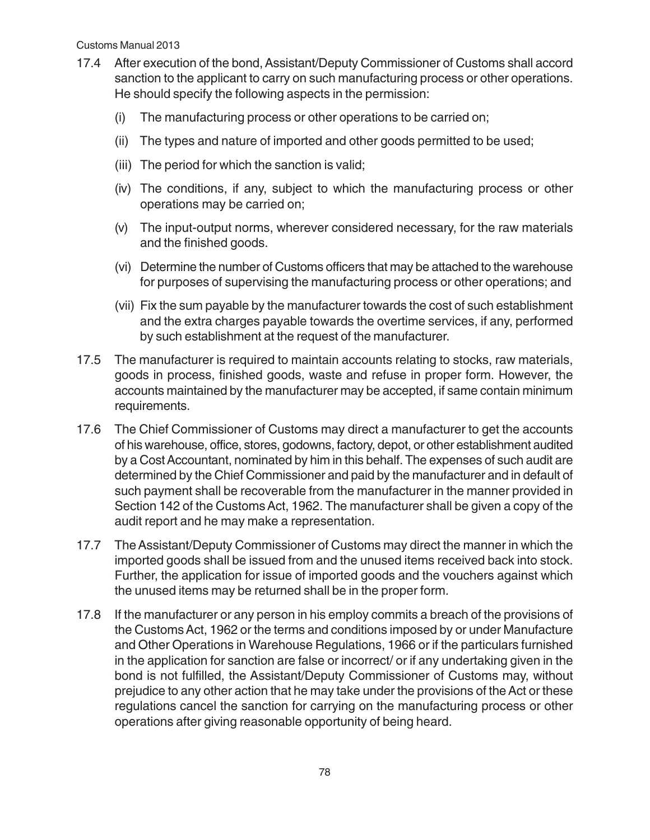- 17.4 After execution of the bond, Assistant/Deputy Commissioner of Customs shall accord sanction to the applicant to carry on such manufacturing process or other operations. He should specify the following aspects in the permission:
	- (i) The manufacturing process or other operations to be carried on;
	- (ii) The types and nature of imported and other goods permitted to be used;
	- (iii) The period for which the sanction is valid;
	- (iv) The conditions, if any, subject to which the manufacturing process or other operations may be carried on;
	- (v) The input-output norms, wherever considered necessary, for the raw materials and the finished goods.
	- (vi) Determine the number of Customs officers that may be attached to the warehouse for purposes of supervising the manufacturing process or other operations; and
	- (vii) Fix the sum payable by the manufacturer towards the cost of such establishment and the extra charges payable towards the overtime services, if any, performed by such establishment at the request of the manufacturer.
- 17.5 The manufacturer is required to maintain accounts relating to stocks, raw materials, goods in process, finished goods, waste and refuse in proper form. However, the accounts maintained by the manufacturer may be accepted, if same contain minimum requirements.
- 17.6 The Chief Commissioner of Customs may direct a manufacturer to get the accounts of his warehouse, office, stores, godowns, factory, depot, or other establishment audited by a Cost Accountant, nominated by him in this behalf. The expenses of such audit are determined by the Chief Commissioner and paid by the manufacturer and in default of such payment shall be recoverable from the manufacturer in the manner provided in Section 142 of the Customs Act, 1962. The manufacturer shall be given a copy of the audit report and he may make a representation.
- 17.7 The Assistant/Deputy Commissioner of Customs may direct the manner in which the imported goods shall be issued from and the unused items received back into stock. Further, the application for issue of imported goods and the vouchers against which the unused items may be returned shall be in the proper form.
- 17.8 If the manufacturer or any person in his employ commits a breach of the provisions of the Customs Act, 1962 or the terms and conditions imposed by or under Manufacture and Other Operations in Warehouse Regulations, 1966 or if the particulars furnished in the application for sanction are false or incorrect/ or if any undertaking given in the bond is not fulfilled, the Assistant/Deputy Commissioner of Customs may, without prejudice to any other action that he may take under the provisions of the Act or these regulations cancel the sanction for carrying on the manufacturing process or other operations after giving reasonable opportunity of being heard.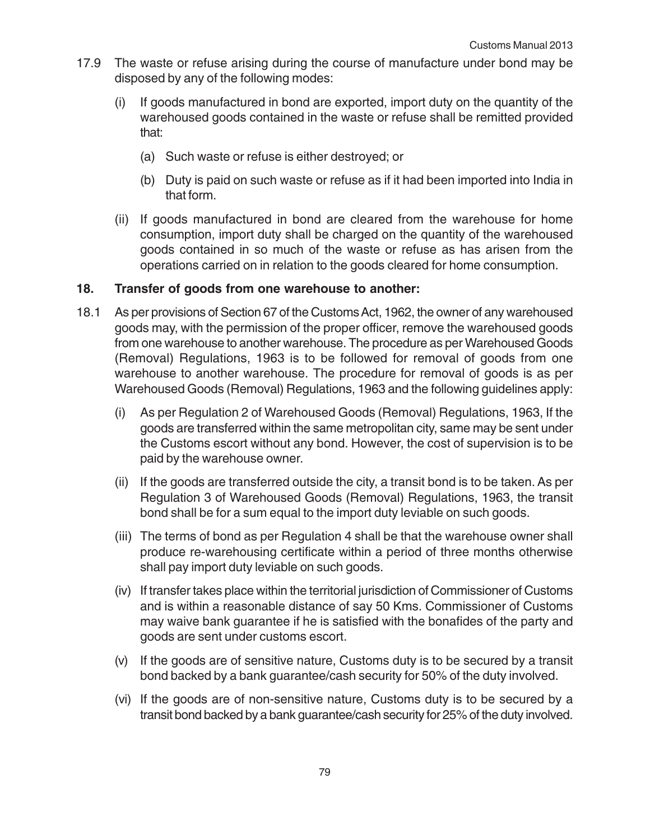- 17.9 The waste or refuse arising during the course of manufacture under bond may be disposed by any of the following modes:
	- (i) If goods manufactured in bond are exported, import duty on the quantity of the warehoused goods contained in the waste or refuse shall be remitted provided that:
		- (a) Such waste or refuse is either destroyed; or
		- (b) Duty is paid on such waste or refuse as if it had been imported into India in that form.
	- (ii) If goods manufactured in bond are cleared from the warehouse for home consumption, import duty shall be charged on the quantity of the warehoused goods contained in so much of the waste or refuse as has arisen from the operations carried on in relation to the goods cleared for home consumption.

#### **18. Transfer of goods from one warehouse to another:**

- 18.1 As per provisions of Section 67 of the Customs Act, 1962, the owner of any warehoused goods may, with the permission of the proper officer, remove the warehoused goods from one warehouse to another warehouse. The procedure as per Warehoused Goods (Removal) Regulations, 1963 is to be followed for removal of goods from one warehouse to another warehouse. The procedure for removal of goods is as per Warehoused Goods (Removal) Regulations, 1963 and the following guidelines apply:
	- (i) As per Regulation 2 of Warehoused Goods (Removal) Regulations, 1963, If the goods are transferred within the same metropolitan city, same may be sent under the Customs escort without any bond. However, the cost of supervision is to be paid by the warehouse owner.
	- (ii) If the goods are transferred outside the city, a transit bond is to be taken. As per Regulation 3 of Warehoused Goods (Removal) Regulations, 1963, the transit bond shall be for a sum equal to the import duty leviable on such goods.
	- (iii) The terms of bond as per Regulation 4 shall be that the warehouse owner shall produce re-warehousing certificate within a period of three months otherwise shall pay import duty leviable on such goods.
	- (iv) If transfer takes place within the territorial jurisdiction of Commissioner of Customs and is within a reasonable distance of say 50 Kms. Commissioner of Customs may waive bank guarantee if he is satisfied with the bonafides of the party and goods are sent under customs escort.
	- (v) If the goods are of sensitive nature, Customs duty is to be secured by a transit bond backed by a bank guarantee/cash security for 50% of the duty involved.
	- (vi) If the goods are of non-sensitive nature, Customs duty is to be secured by a transit bond backed by a bank guarantee/cash security for 25% of the duty involved.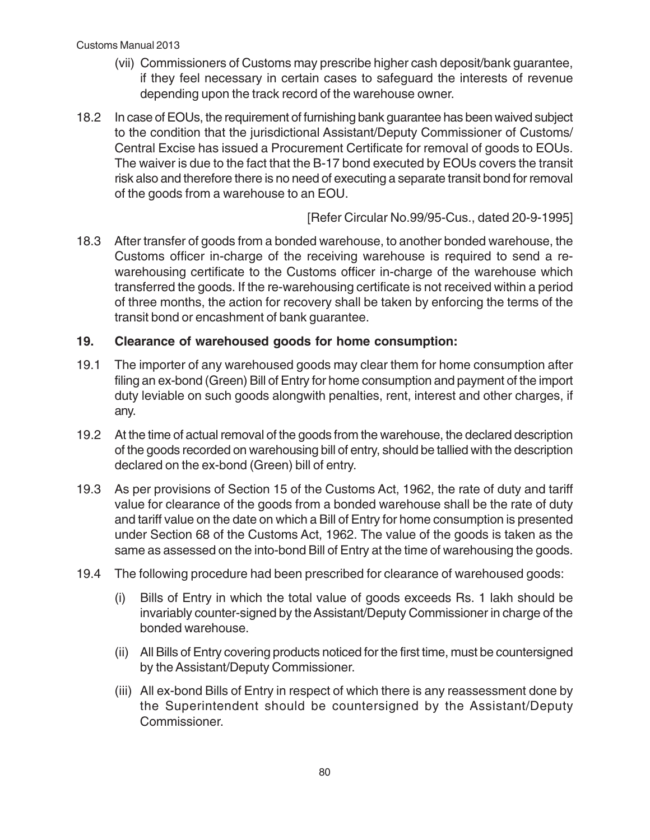- (vii) Commissioners of Customs may prescribe higher cash deposit/bank guarantee, if they feel necessary in certain cases to safeguard the interests of revenue depending upon the track record of the warehouse owner.
- 18.2 In case of EOUs, the requirement of furnishing bank guarantee has been waived subject to the condition that the jurisdictional Assistant/Deputy Commissioner of Customs/ Central Excise has issued a Procurement Certificate for removal of goods to EOUs. The waiver is due to the fact that the B-17 bond executed by EOUs covers the transit risk also and therefore there is no need of executing a separate transit bond for removal of the goods from a warehouse to an EOU.

[Refer Circular No.99/95-Cus., dated 20-9-1995]

18.3 After transfer of goods from a bonded warehouse, to another bonded warehouse, the Customs officer in-charge of the receiving warehouse is required to send a rewarehousing certificate to the Customs officer in-charge of the warehouse which transferred the goods. If the re-warehousing certificate is not received within a period of three months, the action for recovery shall be taken by enforcing the terms of the transit bond or encashment of bank guarantee.

## **19. Clearance of warehoused goods for home consumption:**

- 19.1 The importer of any warehoused goods may clear them for home consumption after filing an ex-bond (Green) Bill of Entry for home consumption and payment of the import duty leviable on such goods alongwith penalties, rent, interest and other charges, if any.
- 19.2 At the time of actual removal of the goods from the warehouse, the declared description of the goods recorded on warehousing bill of entry, should be tallied with the description declared on the ex-bond (Green) bill of entry.
- 19.3 As per provisions of Section 15 of the Customs Act, 1962, the rate of duty and tariff value for clearance of the goods from a bonded warehouse shall be the rate of duty and tariff value on the date on which a Bill of Entry for home consumption is presented under Section 68 of the Customs Act, 1962. The value of the goods is taken as the same as assessed on the into-bond Bill of Entry at the time of warehousing the goods.
- 19.4 The following procedure had been prescribed for clearance of warehoused goods:
	- (i) Bills of Entry in which the total value of goods exceeds Rs. 1 lakh should be invariably counter-signed by the Assistant/Deputy Commissioner in charge of the bonded warehouse.
	- (ii) All Bills of Entry covering products noticed for the first time, must be countersigned by the Assistant/Deputy Commissioner.
	- (iii) All ex-bond Bills of Entry in respect of which there is any reassessment done by the Superintendent should be countersigned by the Assistant/Deputy Commissioner.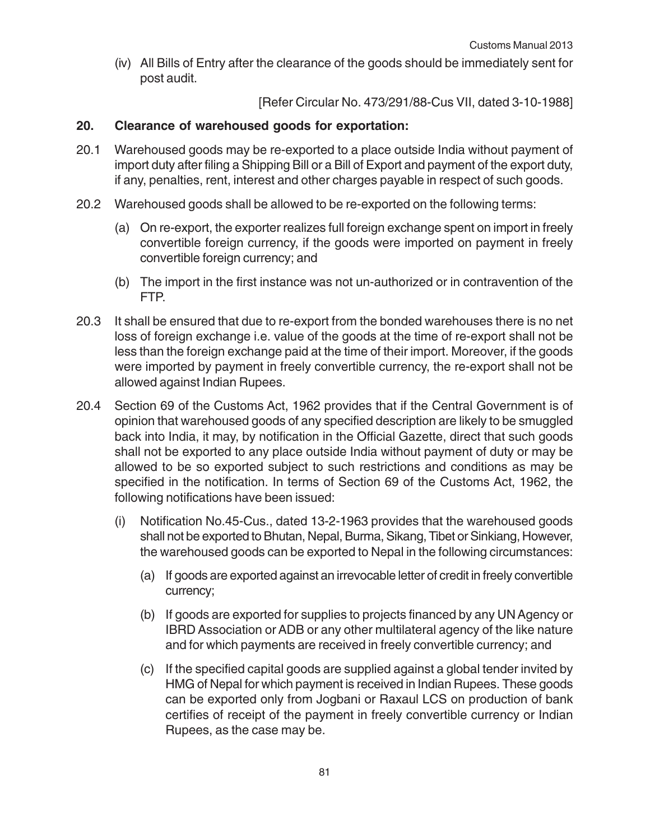(iv) All Bills of Entry after the clearance of the goods should be immediately sent for post audit.

[Refer Circular No. 473/291/88-Cus VII, dated 3-10-1988]

#### **20. Clearance of warehoused goods for exportation:**

- 20.1 Warehoused goods may be re-exported to a place outside India without payment of import duty after filing a Shipping Bill or a Bill of Export and payment of the export duty, if any, penalties, rent, interest and other charges payable in respect of such goods.
- 20.2 Warehoused goods shall be allowed to be re-exported on the following terms:
	- (a) On re-export, the exporter realizes full foreign exchange spent on import in freely convertible foreign currency, if the goods were imported on payment in freely convertible foreign currency; and
	- (b) The import in the first instance was not un-authorized or in contravention of the FTP.
- 20.3 It shall be ensured that due to re-export from the bonded warehouses there is no net loss of foreign exchange i.e. value of the goods at the time of re-export shall not be less than the foreign exchange paid at the time of their import. Moreover, if the goods were imported by payment in freely convertible currency, the re-export shall not be allowed against Indian Rupees.
- 20.4 Section 69 of the Customs Act, 1962 provides that if the Central Government is of opinion that warehoused goods of any specified description are likely to be smuggled back into India, it may, by notification in the Official Gazette, direct that such goods shall not be exported to any place outside India without payment of duty or may be allowed to be so exported subject to such restrictions and conditions as may be specified in the notification. In terms of Section 69 of the Customs Act, 1962, the following notifications have been issued:
	- (i) Notification No.45-Cus., dated 13-2-1963 provides that the warehoused goods shall not be exported to Bhutan, Nepal, Burma, Sikang, Tibet or Sinkiang, However, the warehoused goods can be exported to Nepal in the following circumstances:
		- (a) If goods are exported against an irrevocable letter of credit in freely convertible currency;
		- (b) If goods are exported for supplies to projects financed by any UN Agency or IBRD Association or ADB or any other multilateral agency of the like nature and for which payments are received in freely convertible currency; and
		- (c) If the specified capital goods are supplied against a global tender invited by HMG of Nepal for which payment is received in Indian Rupees. These goods can be exported only from Jogbani or Raxaul LCS on production of bank certifies of receipt of the payment in freely convertible currency or Indian Rupees, as the case may be.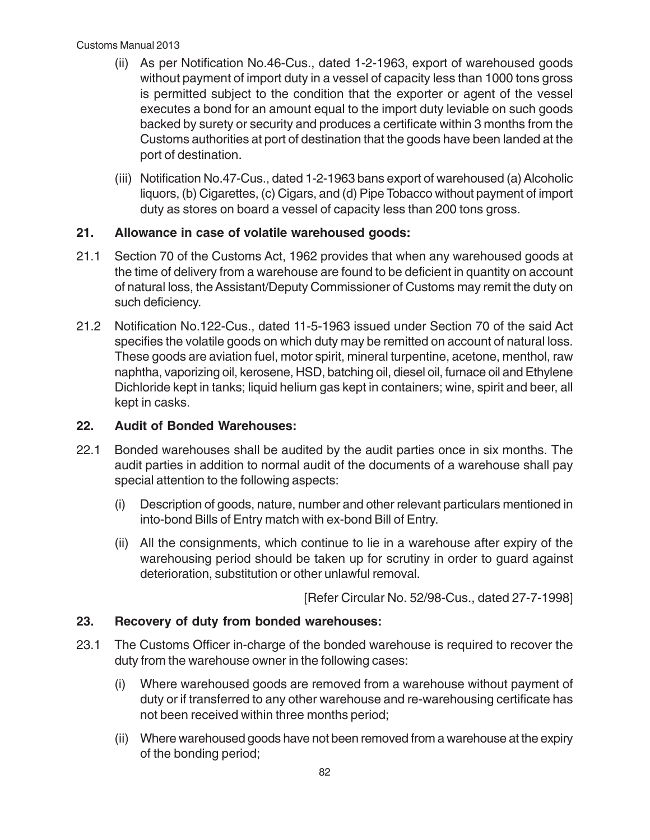- (ii) As per Notification No.46-Cus., dated 1-2-1963, export of warehoused goods without payment of import duty in a vessel of capacity less than 1000 tons gross is permitted subject to the condition that the exporter or agent of the vessel executes a bond for an amount equal to the import duty leviable on such goods backed by surety or security and produces a certificate within 3 months from the Customs authorities at port of destination that the goods have been landed at the port of destination.
- (iii) Notification No.47-Cus., dated 1-2-1963 bans export of warehoused (a) Alcoholic liquors, (b) Cigarettes, (c) Cigars, and (d) Pipe Tobacco without payment of import duty as stores on board a vessel of capacity less than 200 tons gross.

## **21. Allowance in case of volatile warehoused goods:**

- 21.1 Section 70 of the Customs Act, 1962 provides that when any warehoused goods at the time of delivery from a warehouse are found to be deficient in quantity on account of natural loss, the Assistant/Deputy Commissioner of Customs may remit the duty on such deficiency.
- 21.2 Notification No.122-Cus., dated 11-5-1963 issued under Section 70 of the said Act specifies the volatile goods on which duty may be remitted on account of natural loss. These goods are aviation fuel, motor spirit, mineral turpentine, acetone, menthol, raw naphtha, vaporizing oil, kerosene, HSD, batching oil, diesel oil, furnace oil and Ethylene Dichloride kept in tanks; liquid helium gas kept in containers; wine, spirit and beer, all kept in casks.

## **22. Audit of Bonded Warehouses:**

- 22.1 Bonded warehouses shall be audited by the audit parties once in six months. The audit parties in addition to normal audit of the documents of a warehouse shall pay special attention to the following aspects:
	- (i) Description of goods, nature, number and other relevant particulars mentioned in into-bond Bills of Entry match with ex-bond Bill of Entry.
	- (ii) All the consignments, which continue to lie in a warehouse after expiry of the warehousing period should be taken up for scrutiny in order to guard against deterioration, substitution or other unlawful removal.

[Refer Circular No. 52/98-Cus., dated 27-7-1998]

## **23. Recovery of duty from bonded warehouses:**

- 23.1 The Customs Officer in-charge of the bonded warehouse is required to recover the duty from the warehouse owner in the following cases:
	- (i) Where warehoused goods are removed from a warehouse without payment of duty or if transferred to any other warehouse and re-warehousing certificate has not been received within three months period;
	- (ii) Where warehoused goods have not been removed from a warehouse at the expiry of the bonding period;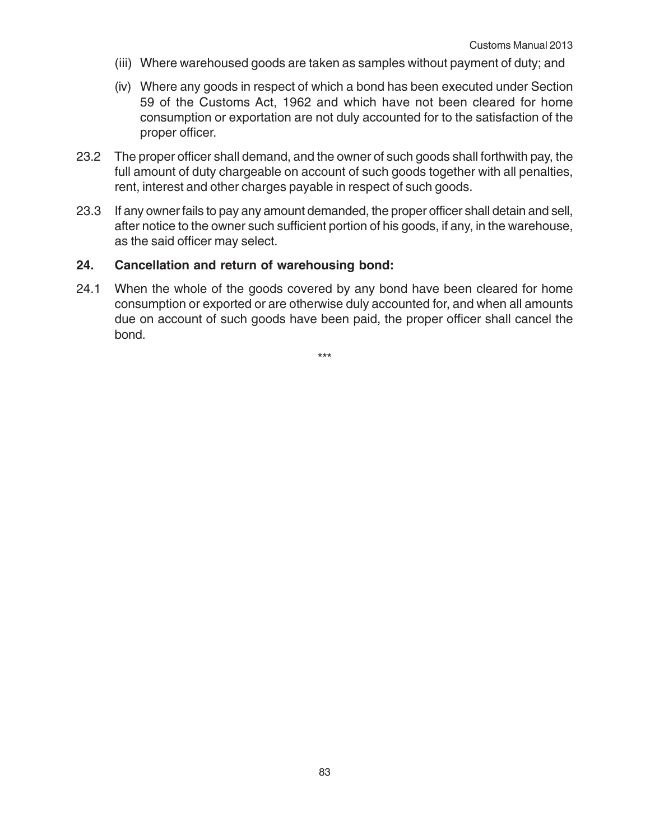- (iii) Where warehoused goods are taken as samples without payment of duty; and
- (iv) Where any goods in respect of which a bond has been executed under Section 59 of the Customs Act, 1962 and which have not been cleared for home consumption or exportation are not duly accounted for to the satisfaction of the proper officer.
- 23.2 The proper officer shall demand, and the owner of such goods shall forthwith pay, the full amount of duty chargeable on account of such goods together with all penalties, rent, interest and other charges payable in respect of such goods.
- 23.3 If any owner fails to pay any amount demanded, the proper officer shall detain and sell, after notice to the owner such sufficient portion of his goods, if any, in the warehouse, as the said officer may select.

#### **24. Cancellation and return of warehousing bond:**

24.1 When the whole of the goods covered by any bond have been cleared for home consumption or exported or are otherwise duly accounted for, and when all amounts due on account of such goods have been paid, the proper officer shall cancel the bond.

\*\*\*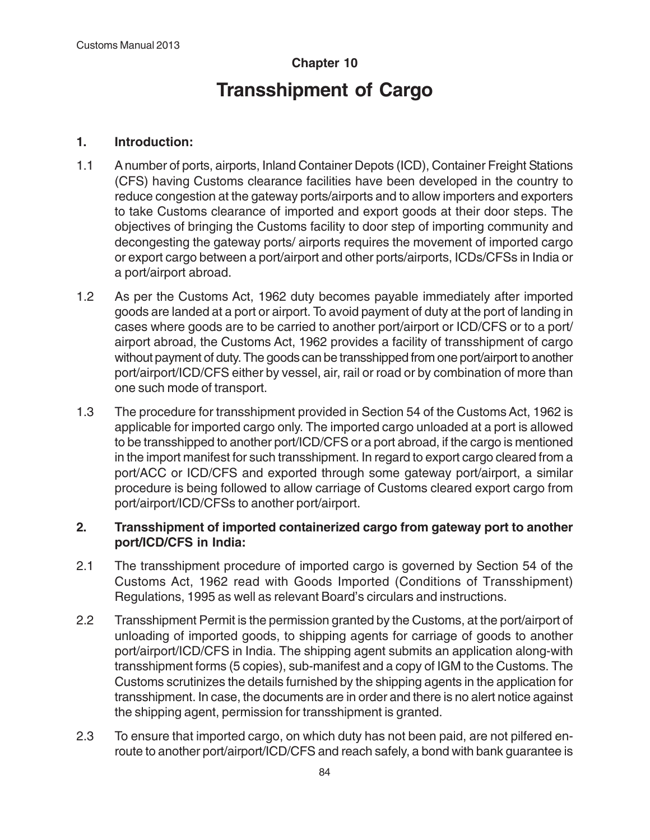# **Chapter 10 Transshipment of Cargo**

## **1. Introduction:**

- 1.1 A number of ports, airports, Inland Container Depots (ICD), Container Freight Stations (CFS) having Customs clearance facilities have been developed in the country to reduce congestion at the gateway ports/airports and to allow importers and exporters to take Customs clearance of imported and export goods at their door steps. The objectives of bringing the Customs facility to door step of importing community and decongesting the gateway ports/ airports requires the movement of imported cargo or export cargo between a port/airport and other ports/airports, ICDs/CFSs in India or a port/airport abroad.
- 1.2 As per the Customs Act, 1962 duty becomes payable immediately after imported goods are landed at a port or airport. To avoid payment of duty at the port of landing in cases where goods are to be carried to another port/airport or ICD/CFS or to a port/ airport abroad, the Customs Act, 1962 provides a facility of transshipment of cargo without payment of duty. The goods can be transshipped from one port/airport to another port/airport/ICD/CFS either by vessel, air, rail or road or by combination of more than one such mode of transport.
- 1.3 The procedure for transshipment provided in Section 54 of the Customs Act, 1962 is applicable for imported cargo only. The imported cargo unloaded at a port is allowed to be transshipped to another port/ICD/CFS or a port abroad, if the cargo is mentioned in the import manifest for such transshipment. In regard to export cargo cleared from a port/ACC or ICD/CFS and exported through some gateway port/airport, a similar procedure is being followed to allow carriage of Customs cleared export cargo from port/airport/ICD/CFSs to another port/airport.

## **2. Transshipment of imported containerized cargo from gateway port to another port/ICD/CFS in India:**

- 2.1 The transshipment procedure of imported cargo is governed by Section 54 of the Customs Act, 1962 read with Goods Imported (Conditions of Transshipment) Regulations, 1995 as well as relevant Board's circulars and instructions.
- 2.2 Transshipment Permit is the permission granted by the Customs, at the port/airport of unloading of imported goods, to shipping agents for carriage of goods to another port/airport/ICD/CFS in India. The shipping agent submits an application along-with transshipment forms (5 copies), sub-manifest and a copy of IGM to the Customs. The Customs scrutinizes the details furnished by the shipping agents in the application for transshipment. In case, the documents are in order and there is no alert notice against the shipping agent, permission for transshipment is granted.
- 2.3 To ensure that imported cargo, on which duty has not been paid, are not pilfered enroute to another port/airport/ICD/CFS and reach safely, a bond with bank guarantee is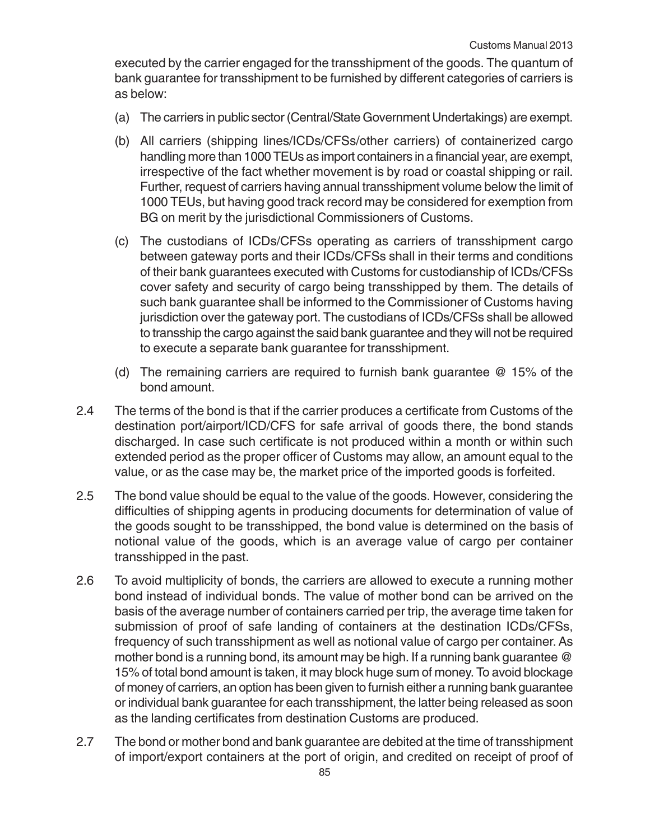executed by the carrier engaged for the transshipment of the goods. The quantum of bank guarantee for transshipment to be furnished by different categories of carriers is as below:

- (a) The carriers in public sector (Central/State Government Undertakings) are exempt.
- (b) All carriers (shipping lines/ICDs/CFSs/other carriers) of containerized cargo handling more than 1000 TEUs as import containers in a financial year, are exempt, irrespective of the fact whether movement is by road or coastal shipping or rail. Further, request of carriers having annual transshipment volume below the limit of 1000 TEUs, but having good track record may be considered for exemption from BG on merit by the jurisdictional Commissioners of Customs.
- (c) The custodians of ICDs/CFSs operating as carriers of transshipment cargo between gateway ports and their ICDs/CFSs shall in their terms and conditions of their bank guarantees executed with Customs for custodianship of ICDs/CFSs cover safety and security of cargo being transshipped by them. The details of such bank guarantee shall be informed to the Commissioner of Customs having jurisdiction over the gateway port. The custodians of ICDs/CFSs shall be allowed to transship the cargo against the said bank guarantee and they will not be required to execute a separate bank guarantee for transshipment.
- (d) The remaining carriers are required to furnish bank guarantee @ 15% of the bond amount.
- 2.4 The terms of the bond is that if the carrier produces a certificate from Customs of the destination port/airport/ICD/CFS for safe arrival of goods there, the bond stands discharged. In case such certificate is not produced within a month or within such extended period as the proper officer of Customs may allow, an amount equal to the value, or as the case may be, the market price of the imported goods is forfeited.
- 2.5 The bond value should be equal to the value of the goods. However, considering the difficulties of shipping agents in producing documents for determination of value of the goods sought to be transshipped, the bond value is determined on the basis of notional value of the goods, which is an average value of cargo per container transshipped in the past.
- 2.6 To avoid multiplicity of bonds, the carriers are allowed to execute a running mother bond instead of individual bonds. The value of mother bond can be arrived on the basis of the average number of containers carried per trip, the average time taken for submission of proof of safe landing of containers at the destination ICDs/CFSs, frequency of such transshipment as well as notional value of cargo per container. As mother bond is a running bond, its amount may be high. If a running bank guarantee @ 15% of total bond amount is taken, it may block huge sum of money. To avoid blockage of money of carriers, an option has been given to furnish either a running bank guarantee or individual bank guarantee for each transshipment, the latter being released as soon as the landing certificates from destination Customs are produced.
- 2.7 The bond or mother bond and bank guarantee are debited at the time of transshipment of import/export containers at the port of origin, and credited on receipt of proof of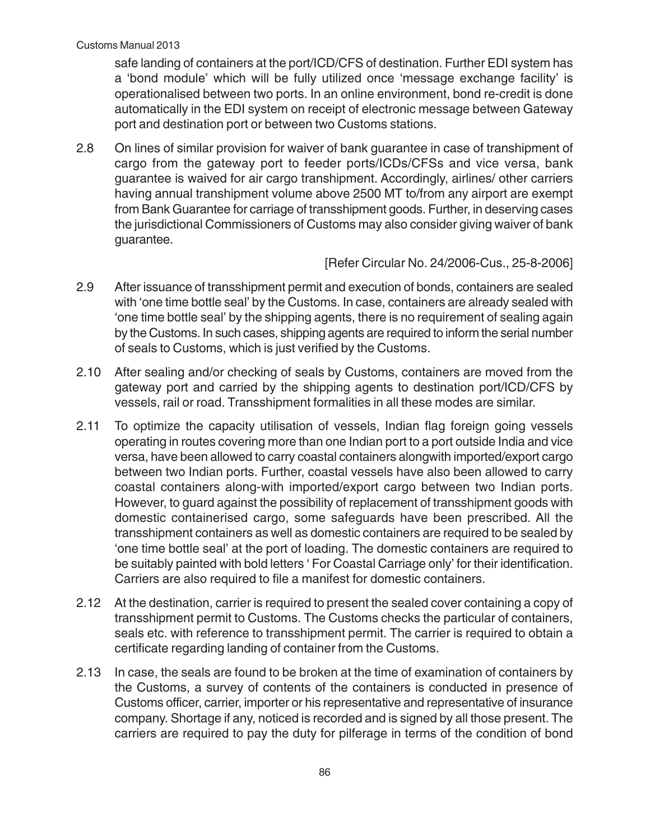safe landing of containers at the port/ICD/CFS of destination. Further EDI system has a 'bond module' which will be fully utilized once 'message exchange facility' is operationalised between two ports. In an online environment, bond re-credit is done automatically in the EDI system on receipt of electronic message between Gateway port and destination port or between two Customs stations.

2.8 On lines of similar provision for waiver of bank guarantee in case of transhipment of cargo from the gateway port to feeder ports/ICDs/CFSs and vice versa, bank guarantee is waived for air cargo transhipment. Accordingly, airlines/ other carriers having annual transhipment volume above 2500 MT to/from any airport are exempt from Bank Guarantee for carriage of transshipment goods. Further, in deserving cases the jurisdictional Commissioners of Customs may also consider giving waiver of bank guarantee.

[Refer Circular No. 24/2006-Cus., 25-8-2006]

- 2.9 After issuance of transshipment permit and execution of bonds, containers are sealed with 'one time bottle seal' by the Customs. In case, containers are already sealed with 'one time bottle seal' by the shipping agents, there is no requirement of sealing again by the Customs. In such cases, shipping agents are required to inform the serial number of seals to Customs, which is just verified by the Customs.
- 2.10 After sealing and/or checking of seals by Customs, containers are moved from the gateway port and carried by the shipping agents to destination port/ICD/CFS by vessels, rail or road. Transshipment formalities in all these modes are similar.
- 2.11 To optimize the capacity utilisation of vessels, Indian flag foreign going vessels operating in routes covering more than one Indian port to a port outside India and vice versa, have been allowed to carry coastal containers alongwith imported/export cargo between two Indian ports. Further, coastal vessels have also been allowed to carry coastal containers along-with imported/export cargo between two Indian ports. However, to guard against the possibility of replacement of transshipment goods with domestic containerised cargo, some safeguards have been prescribed. All the transshipment containers as well as domestic containers are required to be sealed by 'one time bottle seal' at the port of loading. The domestic containers are required to be suitably painted with bold letters ' For Coastal Carriage only' for their identification. Carriers are also required to file a manifest for domestic containers.
- 2.12 At the destination, carrier is required to present the sealed cover containing a copy of transshipment permit to Customs. The Customs checks the particular of containers, seals etc. with reference to transshipment permit. The carrier is required to obtain a certificate regarding landing of container from the Customs.
- 2.13 In case, the seals are found to be broken at the time of examination of containers by the Customs, a survey of contents of the containers is conducted in presence of Customs officer, carrier, importer or his representative and representative of insurance company. Shortage if any, noticed is recorded and is signed by all those present. The carriers are required to pay the duty for pilferage in terms of the condition of bond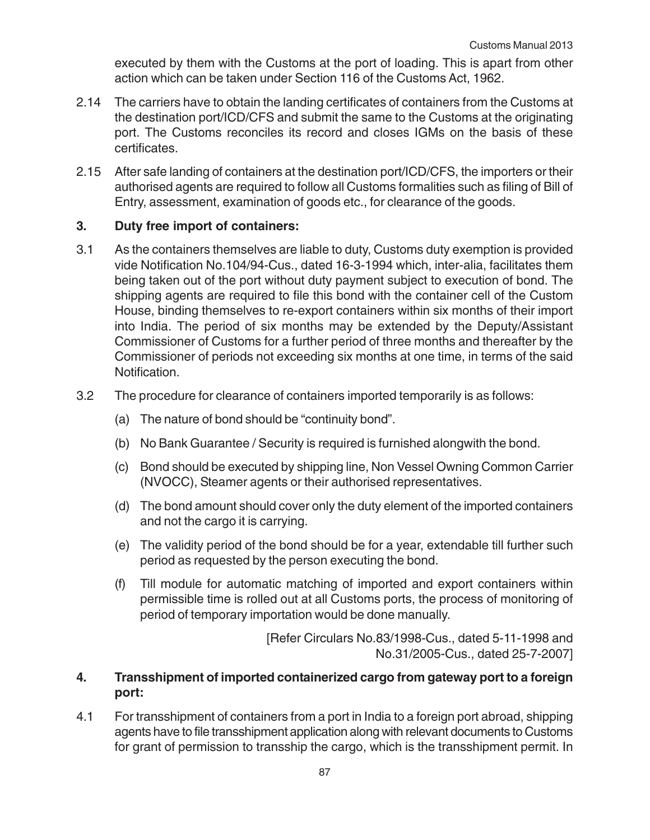executed by them with the Customs at the port of loading. This is apart from other action which can be taken under Section 116 of the Customs Act, 1962.

- 2.14 The carriers have to obtain the landing certificates of containers from the Customs at the destination port/ICD/CFS and submit the same to the Customs at the originating port. The Customs reconciles its record and closes IGMs on the basis of these certificates.
- 2.15 After safe landing of containers at the destination port/ICD/CFS, the importers or their authorised agents are required to follow all Customs formalities such as filing of Bill of Entry, assessment, examination of goods etc., for clearance of the goods.

## **3. Duty free import of containers:**

- 3.1 As the containers themselves are liable to duty, Customs duty exemption is provided vide Notification No.104/94-Cus., dated 16-3-1994 which, inter-alia, facilitates them being taken out of the port without duty payment subject to execution of bond. The shipping agents are required to file this bond with the container cell of the Custom House, binding themselves to re-export containers within six months of their import into India. The period of six months may be extended by the Deputy/Assistant Commissioner of Customs for a further period of three months and thereafter by the Commissioner of periods not exceeding six months at one time, in terms of the said Notification.
- 3.2 The procedure for clearance of containers imported temporarily is as follows:
	- (a) The nature of bond should be "continuity bond".
	- (b) No Bank Guarantee / Security is required is furnished alongwith the bond.
	- (c) Bond should be executed by shipping line, Non Vessel Owning Common Carrier (NVOCC), Steamer agents or their authorised representatives.
	- (d) The bond amount should cover only the duty element of the imported containers and not the cargo it is carrying.
	- (e) The validity period of the bond should be for a year, extendable till further such period as requested by the person executing the bond.
	- (f) Till module for automatic matching of imported and export containers within permissible time is rolled out at all Customs ports, the process of monitoring of period of temporary importation would be done manually.

[Refer Circulars No.83/1998-Cus., dated 5-11-1998 and No.31/2005-Cus., dated 25-7-2007]

## **4. Transshipment of imported containerized cargo from gateway port to a foreign port:**

4.1 For transshipment of containers from a port in India to a foreign port abroad, shipping agents have to file transshipment application along with relevant documents to Customs for grant of permission to transship the cargo, which is the transshipment permit. In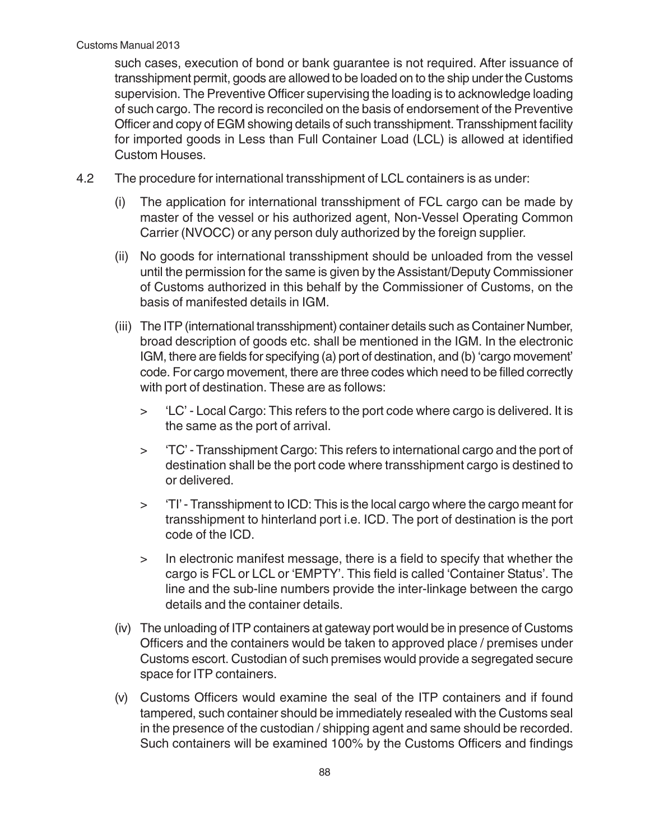such cases, execution of bond or bank guarantee is not required. After issuance of transshipment permit, goods are allowed to be loaded on to the ship under the Customs supervision. The Preventive Officer supervising the loading is to acknowledge loading of such cargo. The record is reconciled on the basis of endorsement of the Preventive Officer and copy of EGM showing details of such transshipment. Transshipment facility for imported goods in Less than Full Container Load (LCL) is allowed at identified Custom Houses.

- 4.2 The procedure for international transshipment of LCL containers is as under:
	- (i) The application for international transshipment of FCL cargo can be made by master of the vessel or his authorized agent, Non-Vessel Operating Common Carrier (NVOCC) or any person duly authorized by the foreign supplier.
	- (ii) No goods for international transshipment should be unloaded from the vessel until the permission for the same is given by the Assistant/Deputy Commissioner of Customs authorized in this behalf by the Commissioner of Customs, on the basis of manifested details in IGM.
	- (iii) The ITP (international transshipment) container details such as Container Number, broad description of goods etc. shall be mentioned in the IGM. In the electronic IGM, there are fields for specifying (a) port of destination, and (b) 'cargo movement' code. For cargo movement, there are three codes which need to be filled correctly with port of destination. These are as follows:
		- > 'LC' Local Cargo: This refers to the port code where cargo is delivered. It is the same as the port of arrival.
		- > 'TC' Transshipment Cargo: This refers to international cargo and the port of destination shall be the port code where transshipment cargo is destined to or delivered.
		- > 'TI' Transshipment to ICD: This is the local cargo where the cargo meant for transshipment to hinterland port i.e. ICD. The port of destination is the port code of the ICD.
		- > In electronic manifest message, there is a field to specify that whether the cargo is FCL or LCL or 'EMPTY'. This field is called 'Container Status'. The line and the sub-line numbers provide the inter-linkage between the cargo details and the container details.
	- (iv) The unloading of ITP containers at gateway port would be in presence of Customs Officers and the containers would be taken to approved place / premises under Customs escort. Custodian of such premises would provide a segregated secure space for ITP containers.
	- (v) Customs Officers would examine the seal of the ITP containers and if found tampered, such container should be immediately resealed with the Customs seal in the presence of the custodian / shipping agent and same should be recorded. Such containers will be examined 100% by the Customs Officers and findings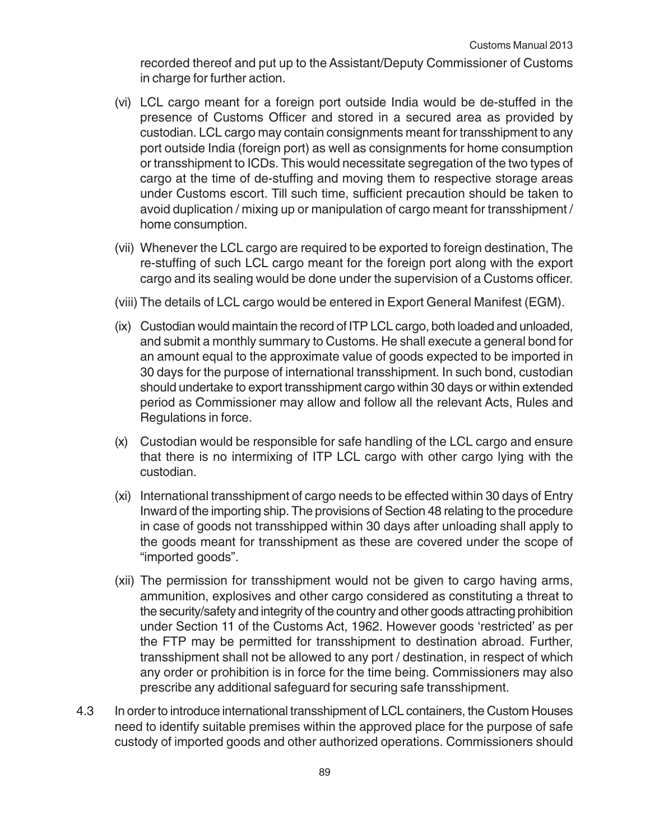recorded thereof and put up to the Assistant/Deputy Commissioner of Customs in charge for further action.

- (vi) LCL cargo meant for a foreign port outside India would be de-stuffed in the presence of Customs Officer and stored in a secured area as provided by custodian. LCL cargo may contain consignments meant for transshipment to any port outside India (foreign port) as well as consignments for home consumption or transshipment to ICDs. This would necessitate segregation of the two types of cargo at the time of de-stuffing and moving them to respective storage areas under Customs escort. Till such time, sufficient precaution should be taken to avoid duplication / mixing up or manipulation of cargo meant for transshipment / home consumption.
- (vii) Whenever the LCL cargo are required to be exported to foreign destination, The re-stuffing of such LCL cargo meant for the foreign port along with the export cargo and its sealing would be done under the supervision of a Customs officer.
- (viii) The details of LCL cargo would be entered in Export General Manifest (EGM).
- (ix) Custodian would maintain the record of ITP LCL cargo, both loaded and unloaded, and submit a monthly summary to Customs. He shall execute a general bond for an amount equal to the approximate value of goods expected to be imported in 30 days for the purpose of international transshipment. In such bond, custodian should undertake to export transshipment cargo within 30 days or within extended period as Commissioner may allow and follow all the relevant Acts, Rules and Regulations in force.
- (x) Custodian would be responsible for safe handling of the LCL cargo and ensure that there is no intermixing of ITP LCL cargo with other cargo lying with the custodian.
- (xi) International transshipment of cargo needs to be effected within 30 days of Entry Inward of the importing ship. The provisions of Section 48 relating to the procedure in case of goods not transshipped within 30 days after unloading shall apply to the goods meant for transshipment as these are covered under the scope of "imported goods".
- (xii) The permission for transshipment would not be given to cargo having arms, ammunition, explosives and other cargo considered as constituting a threat to the security/safety and integrity of the country and other goods attracting prohibition under Section 11 of the Customs Act, 1962. However goods 'restricted' as per the FTP may be permitted for transshipment to destination abroad. Further, transshipment shall not be allowed to any port / destination, in respect of which any order or prohibition is in force for the time being. Commissioners may also prescribe any additional safeguard for securing safe transshipment.
- 4.3 In order to introduce international transshipment of LCL containers, the Custom Houses need to identify suitable premises within the approved place for the purpose of safe custody of imported goods and other authorized operations. Commissioners should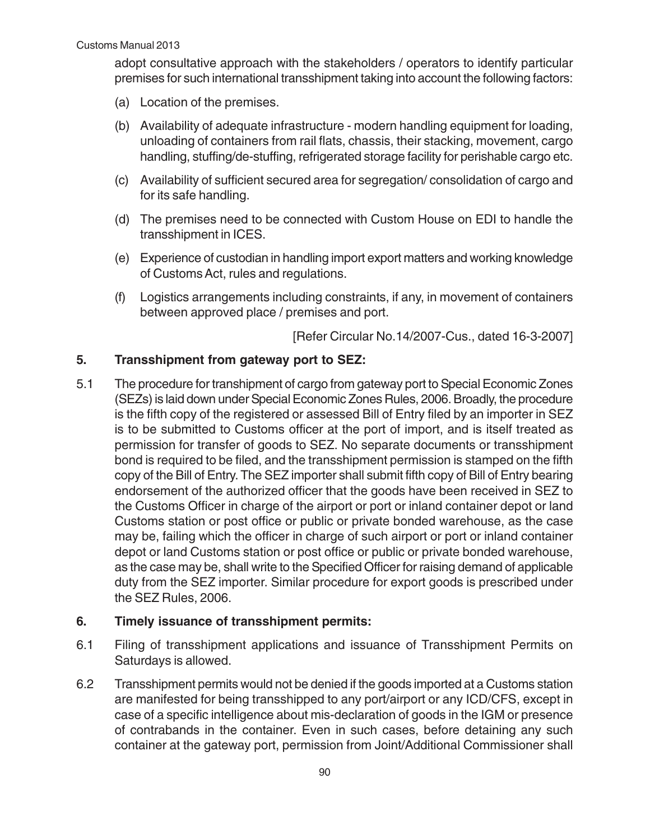adopt consultative approach with the stakeholders / operators to identify particular premises for such international transshipment taking into account the following factors:

- (a) Location of the premises.
- (b) Availability of adequate infrastructure modern handling equipment for loading, unloading of containers from rail flats, chassis, their stacking, movement, cargo handling, stuffing/de-stuffing, refrigerated storage facility for perishable cargo etc.
- (c) Availability of sufficient secured area for segregation/ consolidation of cargo and for its safe handling.
- (d) The premises need to be connected with Custom House on EDI to handle the transshipment in ICES.
- (e) Experience of custodian in handling import export matters and working knowledge of Customs Act, rules and regulations.
- (f) Logistics arrangements including constraints, if any, in movement of containers between approved place / premises and port.

[Refer Circular No.14/2007-Cus., dated 16-3-2007]

#### **5. Transshipment from gateway port to SEZ:**

5.1 The procedure for transhipment of cargo from gateway port to Special Economic Zones (SEZs) is laid down under Special Economic Zones Rules, 2006. Broadly, the procedure is the fifth copy of the registered or assessed Bill of Entry filed by an importer in SEZ is to be submitted to Customs officer at the port of import, and is itself treated as permission for transfer of goods to SEZ. No separate documents or transshipment bond is required to be filed, and the transshipment permission is stamped on the fifth copy of the Bill of Entry. The SEZ importer shall submit fifth copy of Bill of Entry bearing endorsement of the authorized officer that the goods have been received in SEZ to the Customs Officer in charge of the airport or port or inland container depot or land Customs station or post office or public or private bonded warehouse, as the case may be, failing which the officer in charge of such airport or port or inland container depot or land Customs station or post office or public or private bonded warehouse, as the case may be, shall write to the Specified Officer for raising demand of applicable duty from the SEZ importer. Similar procedure for export goods is prescribed under the SEZ Rules, 2006.

#### **6. Timely issuance of transshipment permits:**

- 6.1 Filing of transshipment applications and issuance of Transshipment Permits on Saturdays is allowed.
- 6.2 Transshipment permits would not be denied if the goods imported at a Customs station are manifested for being transshipped to any port/airport or any ICD/CFS, except in case of a specific intelligence about mis-declaration of goods in the IGM or presence of contrabands in the container. Even in such cases, before detaining any such container at the gateway port, permission from Joint/Additional Commissioner shall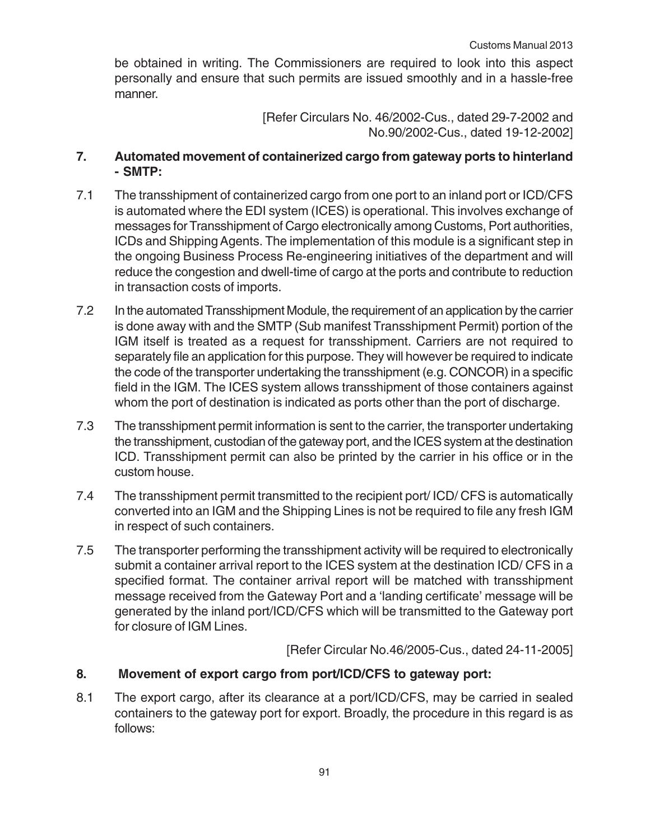be obtained in writing. The Commissioners are required to look into this aspect personally and ensure that such permits are issued smoothly and in a hassle-free manner.

> [Refer Circulars No. 46/2002-Cus., dated 29-7-2002 and No.90/2002-Cus., dated 19-12-2002]

## **7. Automated movement of containerized cargo from gateway ports to hinterland - SMTP:**

- 7.1 The transshipment of containerized cargo from one port to an inland port or ICD/CFS is automated where the EDI system (ICES) is operational. This involves exchange of messages for Transshipment of Cargo electronically among Customs, Port authorities, ICDs and Shipping Agents. The implementation of this module is a significant step in the ongoing Business Process Re-engineering initiatives of the department and will reduce the congestion and dwell-time of cargo at the ports and contribute to reduction in transaction costs of imports.
- 7.2 In the automated Transshipment Module, the requirement of an application by the carrier is done away with and the SMTP (Sub manifest Transshipment Permit) portion of the IGM itself is treated as a request for transshipment. Carriers are not required to separately file an application for this purpose. They will however be required to indicate the code of the transporter undertaking the transshipment (e.g. CONCOR) in a specific field in the IGM. The ICES system allows transshipment of those containers against whom the port of destination is indicated as ports other than the port of discharge.
- 7.3 The transshipment permit information is sent to the carrier, the transporter undertaking the transshipment, custodian of the gateway port, and the ICES system at the destination ICD. Transshipment permit can also be printed by the carrier in his office or in the custom house.
- 7.4 The transshipment permit transmitted to the recipient port/ ICD/ CFS is automatically converted into an IGM and the Shipping Lines is not be required to file any fresh IGM in respect of such containers.
- 7.5 The transporter performing the transshipment activity will be required to electronically submit a container arrival report to the ICES system at the destination ICD/ CFS in a specified format. The container arrival report will be matched with transshipment message received from the Gateway Port and a 'landing certificate' message will be generated by the inland port/ICD/CFS which will be transmitted to the Gateway port for closure of IGM Lines.

[Refer Circular No.46/2005-Cus., dated 24-11-2005]

## **8. Movement of export cargo from port/ICD/CFS to gateway port:**

8.1 The export cargo, after its clearance at a port/ICD/CFS, may be carried in sealed containers to the gateway port for export. Broadly, the procedure in this regard is as follows: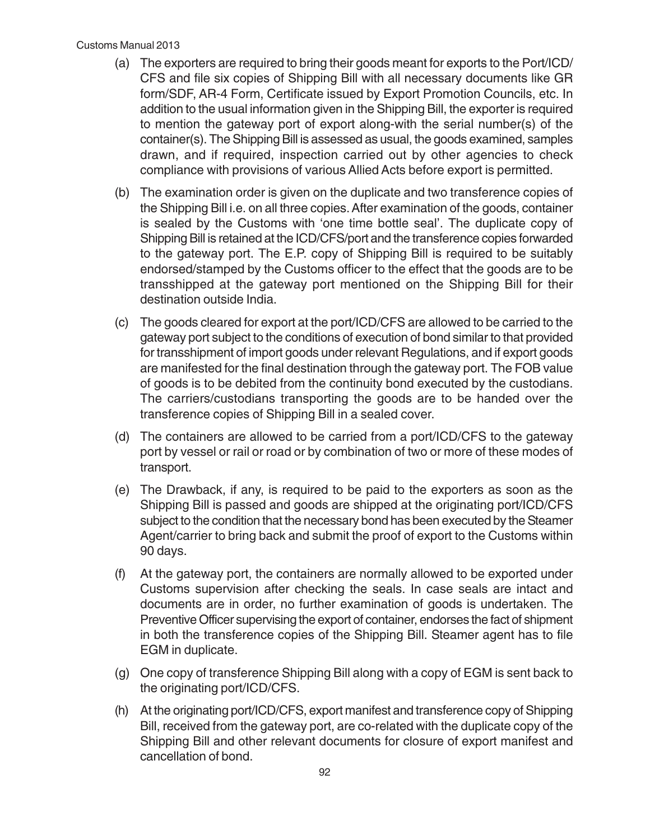#### Customs Manual 2013

- (a) The exporters are required to bring their goods meant for exports to the Port/ICD/ CFS and file six copies of Shipping Bill with all necessary documents like GR form/SDF, AR-4 Form, Certificate issued by Export Promotion Councils, etc. In addition to the usual information given in the Shipping Bill, the exporter is required to mention the gateway port of export along-with the serial number(s) of the container(s). The Shipping Bill is assessed as usual, the goods examined, samples drawn, and if required, inspection carried out by other agencies to check compliance with provisions of various Allied Acts before export is permitted.
- (b) The examination order is given on the duplicate and two transference copies of the Shipping Bill i.e. on all three copies. After examination of the goods, container is sealed by the Customs with 'one time bottle seal'. The duplicate copy of Shipping Bill is retained at the ICD/CFS/port and the transference copies forwarded to the gateway port. The E.P. copy of Shipping Bill is required to be suitably endorsed/stamped by the Customs officer to the effect that the goods are to be transshipped at the gateway port mentioned on the Shipping Bill for their destination outside India.
- (c) The goods cleared for export at the port/ICD/CFS are allowed to be carried to the gateway port subject to the conditions of execution of bond similar to that provided for transshipment of import goods under relevant Regulations, and if export goods are manifested for the final destination through the gateway port. The FOB value of goods is to be debited from the continuity bond executed by the custodians. The carriers/custodians transporting the goods are to be handed over the transference copies of Shipping Bill in a sealed cover.
- (d) The containers are allowed to be carried from a port/ICD/CFS to the gateway port by vessel or rail or road or by combination of two or more of these modes of transport.
- (e) The Drawback, if any, is required to be paid to the exporters as soon as the Shipping Bill is passed and goods are shipped at the originating port/ICD/CFS subject to the condition that the necessary bond has been executed by the Steamer Agent/carrier to bring back and submit the proof of export to the Customs within 90 days.
- (f) At the gateway port, the containers are normally allowed to be exported under Customs supervision after checking the seals. In case seals are intact and documents are in order, no further examination of goods is undertaken. The Preventive Officer supervising the export of container, endorses the fact of shipment in both the transference copies of the Shipping Bill. Steamer agent has to file EGM in duplicate.
- (g) One copy of transference Shipping Bill along with a copy of EGM is sent back to the originating port/ICD/CFS.
- (h) At the originating port/ICD/CFS, export manifest and transference copy of Shipping Bill, received from the gateway port, are co-related with the duplicate copy of the Shipping Bill and other relevant documents for closure of export manifest and cancellation of bond.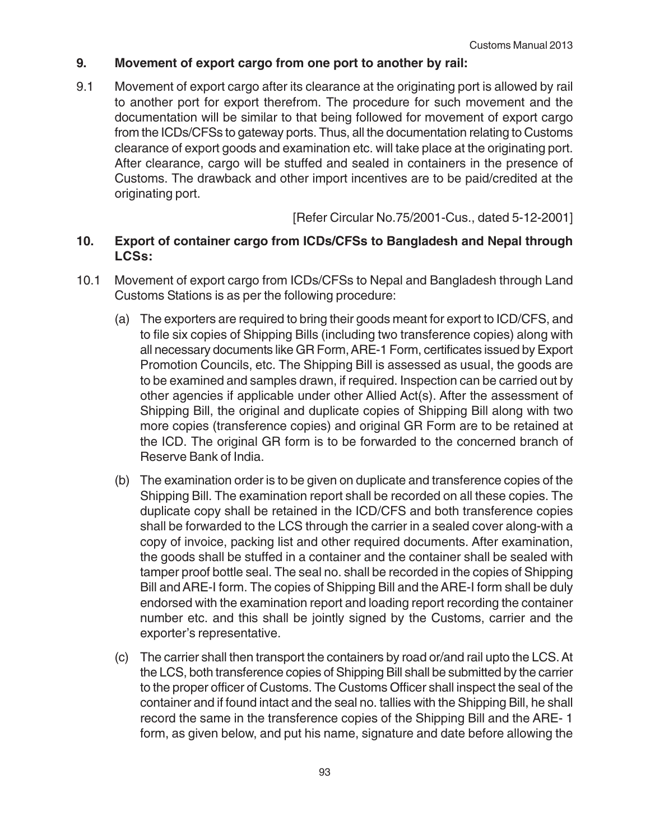## **9. Movement of export cargo from one port to another by rail:**

9.1 Movement of export cargo after its clearance at the originating port is allowed by rail to another port for export therefrom. The procedure for such movement and the documentation will be similar to that being followed for movement of export cargo from the ICDs/CFSs to gateway ports. Thus, all the documentation relating to Customs clearance of export goods and examination etc. will take place at the originating port. After clearance, cargo will be stuffed and sealed in containers in the presence of Customs. The drawback and other import incentives are to be paid/credited at the originating port.

[Refer Circular No.75/2001-Cus., dated 5-12-2001]

## **10. Export of container cargo from ICDs/CFSs to Bangladesh and Nepal through LCSs:**

- 10.1 Movement of export cargo from ICDs/CFSs to Nepal and Bangladesh through Land Customs Stations is as per the following procedure:
	- (a) The exporters are required to bring their goods meant for export to ICD/CFS, and to file six copies of Shipping Bills (including two transference copies) along with all necessary documents like GR Form, ARE-1 Form, certificates issued by Export Promotion Councils, etc. The Shipping Bill is assessed as usual, the goods are to be examined and samples drawn, if required. Inspection can be carried out by other agencies if applicable under other Allied Act(s). After the assessment of Shipping Bill, the original and duplicate copies of Shipping Bill along with two more copies (transference copies) and original GR Form are to be retained at the ICD. The original GR form is to be forwarded to the concerned branch of Reserve Bank of India.
	- (b) The examination order is to be given on duplicate and transference copies of the Shipping Bill. The examination report shall be recorded on all these copies. The duplicate copy shall be retained in the ICD/CFS and both transference copies shall be forwarded to the LCS through the carrier in a sealed cover along-with a copy of invoice, packing list and other required documents. After examination, the goods shall be stuffed in a container and the container shall be sealed with tamper proof bottle seal. The seal no. shall be recorded in the copies of Shipping Bill and ARE-I form. The copies of Shipping Bill and the ARE-I form shall be duly endorsed with the examination report and loading report recording the container number etc. and this shall be jointly signed by the Customs, carrier and the exporter's representative.
	- (c) The carrier shall then transport the containers by road or/and rail upto the LCS. At the LCS, both transference copies of Shipping Bill shall be submitted by the carrier to the proper officer of Customs. The Customs Officer shall inspect the seal of the container and if found intact and the seal no. tallies with the Shipping Bill, he shall record the same in the transference copies of the Shipping Bill and the ARE- 1 form, as given below, and put his name, signature and date before allowing the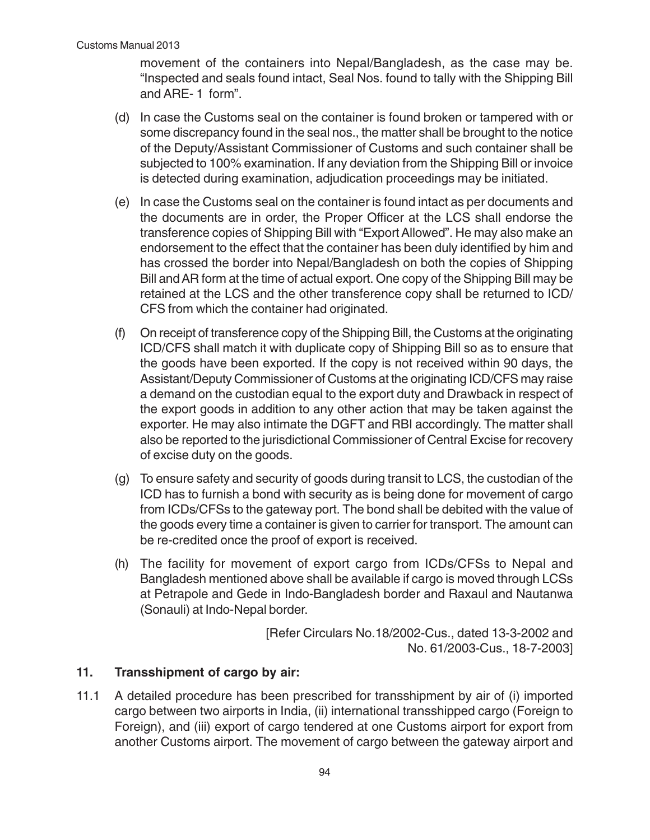movement of the containers into Nepal/Bangladesh, as the case may be. "Inspected and seals found intact, Seal Nos. found to tally with the Shipping Bill and ARE- 1 form".

- (d) In case the Customs seal on the container is found broken or tampered with or some discrepancy found in the seal nos., the matter shall be brought to the notice of the Deputy/Assistant Commissioner of Customs and such container shall be subjected to 100% examination. If any deviation from the Shipping Bill or invoice is detected during examination, adjudication proceedings may be initiated.
- (e) In case the Customs seal on the container is found intact as per documents and the documents are in order, the Proper Officer at the LCS shall endorse the transference copies of Shipping Bill with "Export Allowed". He may also make an endorsement to the effect that the container has been duly identified by him and has crossed the border into Nepal/Bangladesh on both the copies of Shipping Bill and AR form at the time of actual export. One copy of the Shipping Bill may be retained at the LCS and the other transference copy shall be returned to ICD/ CFS from which the container had originated.
- (f) On receipt of transference copy of the Shipping Bill, the Customs at the originating ICD/CFS shall match it with duplicate copy of Shipping Bill so as to ensure that the goods have been exported. If the copy is not received within 90 days, the Assistant/Deputy Commissioner of Customs at the originating ICD/CFS may raise a demand on the custodian equal to the export duty and Drawback in respect of the export goods in addition to any other action that may be taken against the exporter. He may also intimate the DGFT and RBI accordingly. The matter shall also be reported to the jurisdictional Commissioner of Central Excise for recovery of excise duty on the goods.
- (g) To ensure safety and security of goods during transit to LCS, the custodian of the ICD has to furnish a bond with security as is being done for movement of cargo from ICDs/CFSs to the gateway port. The bond shall be debited with the value of the goods every time a container is given to carrier for transport. The amount can be re-credited once the proof of export is received.
- (h) The facility for movement of export cargo from ICDs/CFSs to Nepal and Bangladesh mentioned above shall be available if cargo is moved through LCSs at Petrapole and Gede in Indo-Bangladesh border and Raxaul and Nautanwa (Sonauli) at Indo-Nepal border.

[Refer Circulars No.18/2002-Cus., dated 13-3-2002 and No. 61/2003-Cus., 18-7-2003]

## **11. Transshipment of cargo by air:**

11.1 A detailed procedure has been prescribed for transshipment by air of (i) imported cargo between two airports in India, (ii) international transshipped cargo (Foreign to Foreign), and (iii) export of cargo tendered at one Customs airport for export from another Customs airport. The movement of cargo between the gateway airport and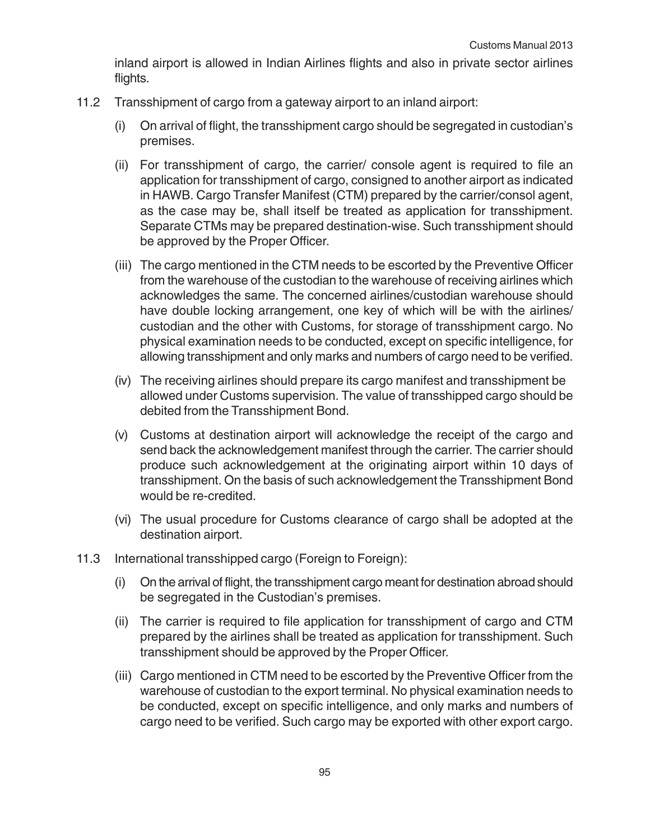inland airport is allowed in Indian Airlines flights and also in private sector airlines flights.

- 11.2 Transshipment of cargo from a gateway airport to an inland airport:
	- (i) On arrival of flight, the transshipment cargo should be segregated in custodian's premises.
	- (ii) For transshipment of cargo, the carrier/ console agent is required to file an application for transshipment of cargo, consigned to another airport as indicated in HAWB. Cargo Transfer Manifest (CTM) prepared by the carrier/consol agent, as the case may be, shall itself be treated as application for transshipment. Separate CTMs may be prepared destination-wise. Such transshipment should be approved by the Proper Officer.
	- (iii) The cargo mentioned in the CTM needs to be escorted by the Preventive Officer from the warehouse of the custodian to the warehouse of receiving airlines which acknowledges the same. The concerned airlines/custodian warehouse should have double locking arrangement, one key of which will be with the airlines/ custodian and the other with Customs, for storage of transshipment cargo. No physical examination needs to be conducted, except on specific intelligence, for allowing transshipment and only marks and numbers of cargo need to be verified.
	- (iv) The receiving airlines should prepare its cargo manifest and transshipment be allowed under Customs supervision. The value of transshipped cargo should be debited from the Transshipment Bond.
	- (v) Customs at destination airport will acknowledge the receipt of the cargo and send back the acknowledgement manifest through the carrier. The carrier should produce such acknowledgement at the originating airport within 10 days of transshipment. On the basis of such acknowledgement the Transshipment Bond would be re-credited.
	- (vi) The usual procedure for Customs clearance of cargo shall be adopted at the destination airport.
- 11.3 International transshipped cargo (Foreign to Foreign):
	- (i) On the arrival of flight, the transshipment cargo meant for destination abroad should be segregated in the Custodian's premises.
	- (ii) The carrier is required to file application for transshipment of cargo and CTM prepared by the airlines shall be treated as application for transshipment. Such transshipment should be approved by the Proper Officer.
	- (iii) Cargo mentioned in CTM need to be escorted by the Preventive Officer from the warehouse of custodian to the export terminal. No physical examination needs to be conducted, except on specific intelligence, and only marks and numbers of cargo need to be verified. Such cargo may be exported with other export cargo.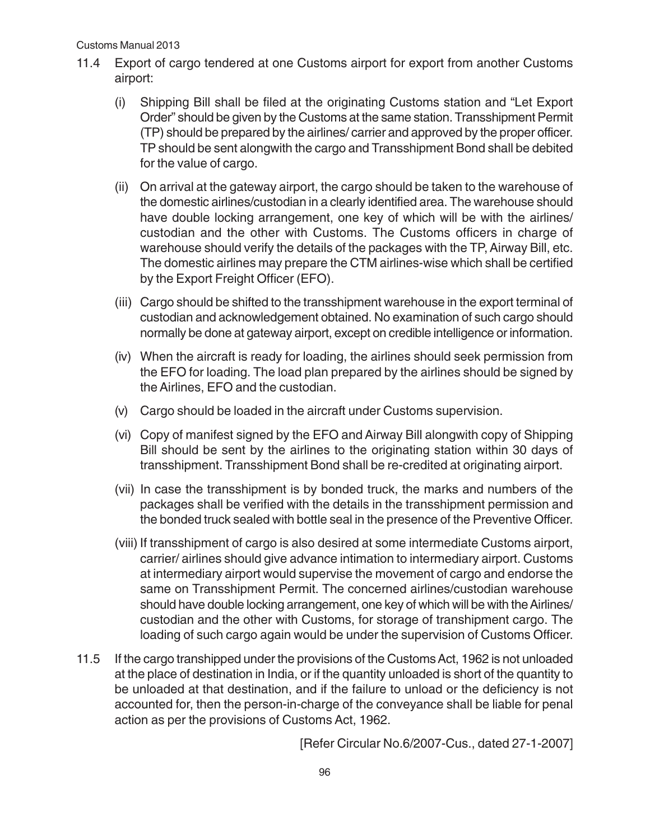- 11.4 Export of cargo tendered at one Customs airport for export from another Customs airport:
	- (i) Shipping Bill shall be filed at the originating Customs station and "Let Export Order" should be given by the Customs at the same station. Transshipment Permit (TP) should be prepared by the airlines/ carrier and approved by the proper officer. TP should be sent alongwith the cargo and Transshipment Bond shall be debited for the value of cargo.
	- (ii) On arrival at the gateway airport, the cargo should be taken to the warehouse of the domestic airlines/custodian in a clearly identified area. The warehouse should have double locking arrangement, one key of which will be with the airlines/ custodian and the other with Customs. The Customs officers in charge of warehouse should verify the details of the packages with the TP, Airway Bill, etc. The domestic airlines may prepare the CTM airlines-wise which shall be certified by the Export Freight Officer (EFO).
	- (iii) Cargo should be shifted to the transshipment warehouse in the export terminal of custodian and acknowledgement obtained. No examination of such cargo should normally be done at gateway airport, except on credible intelligence or information.
	- (iv) When the aircraft is ready for loading, the airlines should seek permission from the EFO for loading. The load plan prepared by the airlines should be signed by the Airlines, EFO and the custodian.
	- (v) Cargo should be loaded in the aircraft under Customs supervision.
	- (vi) Copy of manifest signed by the EFO and Airway Bill alongwith copy of Shipping Bill should be sent by the airlines to the originating station within 30 days of transshipment. Transshipment Bond shall be re-credited at originating airport.
	- (vii) In case the transshipment is by bonded truck, the marks and numbers of the packages shall be verified with the details in the transshipment permission and the bonded truck sealed with bottle seal in the presence of the Preventive Officer.
	- (viii) If transshipment of cargo is also desired at some intermediate Customs airport, carrier/ airlines should give advance intimation to intermediary airport. Customs at intermediary airport would supervise the movement of cargo and endorse the same on Transshipment Permit. The concerned airlines/custodian warehouse should have double locking arrangement, one key of which will be with the Airlines/ custodian and the other with Customs, for storage of transhipment cargo. The loading of such cargo again would be under the supervision of Customs Officer.
- 11.5 If the cargo transhipped under the provisions of the Customs Act, 1962 is not unloaded at the place of destination in India, or if the quantity unloaded is short of the quantity to be unloaded at that destination, and if the failure to unload or the deficiency is not accounted for, then the person-in-charge of the conveyance shall be liable for penal action as per the provisions of Customs Act, 1962.

[Refer Circular No.6/2007-Cus., dated 27-1-2007]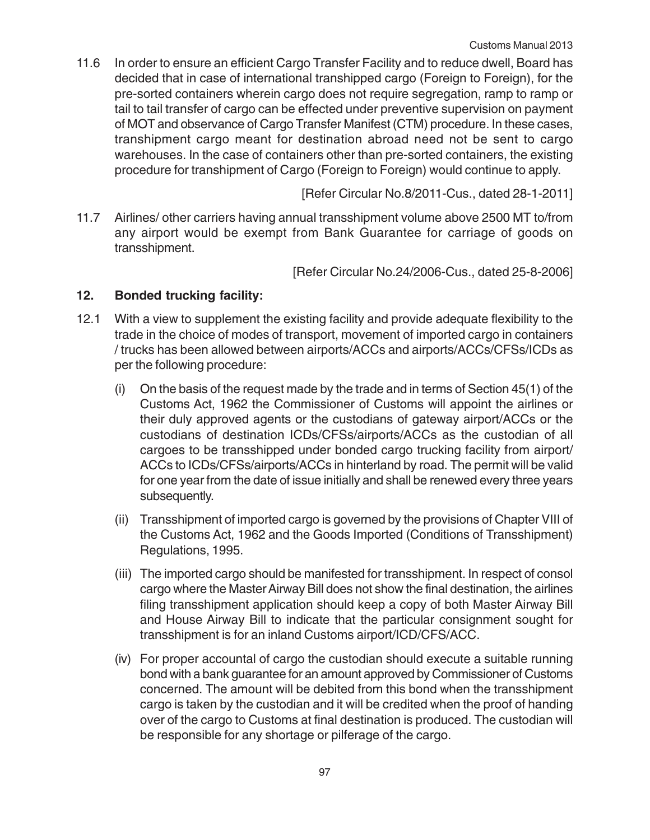11.6 In order to ensure an efficient Cargo Transfer Facility and to reduce dwell, Board has decided that in case of international transhipped cargo (Foreign to Foreign), for the pre-sorted containers wherein cargo does not require segregation, ramp to ramp or tail to tail transfer of cargo can be effected under preventive supervision on payment of MOT and observance of Cargo Transfer Manifest (CTM) procedure. In these cases, transhipment cargo meant for destination abroad need not be sent to cargo warehouses. In the case of containers other than pre-sorted containers, the existing procedure for transhipment of Cargo (Foreign to Foreign) would continue to apply.

[Refer Circular No.8/2011-Cus., dated 28-1-2011]

11.7 Airlines/ other carriers having annual transshipment volume above 2500 MT to/from any airport would be exempt from Bank Guarantee for carriage of goods on transshipment.

[Refer Circular No.24/2006-Cus., dated 25-8-2006]

# **12. Bonded trucking facility:**

- 12.1 With a view to supplement the existing facility and provide adequate flexibility to the trade in the choice of modes of transport, movement of imported cargo in containers / trucks has been allowed between airports/ACCs and airports/ACCs/CFSs/ICDs as per the following procedure:
	- (i) On the basis of the request made by the trade and in terms of Section 45(1) of the Customs Act, 1962 the Commissioner of Customs will appoint the airlines or their duly approved agents or the custodians of gateway airport/ACCs or the custodians of destination ICDs/CFSs/airports/ACCs as the custodian of all cargoes to be transshipped under bonded cargo trucking facility from airport/ ACCs to ICDs/CFSs/airports/ACCs in hinterland by road. The permit will be valid for one year from the date of issue initially and shall be renewed every three years subsequently.
	- (ii) Transshipment of imported cargo is governed by the provisions of Chapter VIII of the Customs Act, 1962 and the Goods Imported (Conditions of Transshipment) Regulations, 1995.
	- (iii) The imported cargo should be manifested for transshipment. In respect of consol cargo where the Master Airway Bill does not show the final destination, the airlines filing transshipment application should keep a copy of both Master Airway Bill and House Airway Bill to indicate that the particular consignment sought for transshipment is for an inland Customs airport/ICD/CFS/ACC.
	- (iv) For proper accountal of cargo the custodian should execute a suitable running bond with a bank guarantee for an amount approved by Commissioner of Customs concerned. The amount will be debited from this bond when the transshipment cargo is taken by the custodian and it will be credited when the proof of handing over of the cargo to Customs at final destination is produced. The custodian will be responsible for any shortage or pilferage of the cargo.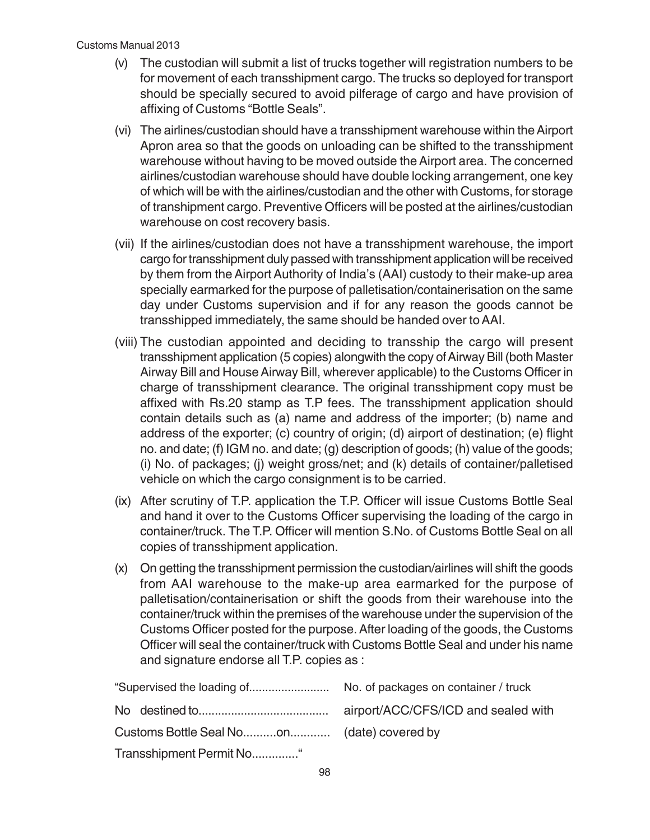- (v) The custodian will submit a list of trucks together will registration numbers to be for movement of each transshipment cargo. The trucks so deployed for transport should be specially secured to avoid pilferage of cargo and have provision of affixing of Customs "Bottle Seals".
- (vi) The airlines/custodian should have a transshipment warehouse within the Airport Apron area so that the goods on unloading can be shifted to the transshipment warehouse without having to be moved outside the Airport area. The concerned airlines/custodian warehouse should have double locking arrangement, one key of which will be with the airlines/custodian and the other with Customs, for storage of transhipment cargo. Preventive Officers will be posted at the airlines/custodian warehouse on cost recovery basis.
- (vii) If the airlines/custodian does not have a transshipment warehouse, the import cargo for transshipment duly passed with transshipment application will be received by them from the Airport Authority of India's (AAI) custody to their make-up area specially earmarked for the purpose of palletisation/containerisation on the same day under Customs supervision and if for any reason the goods cannot be transshipped immediately, the same should be handed over to AAI.
- (viii) The custodian appointed and deciding to transship the cargo will present transshipment application (5 copies) alongwith the copy of Airway Bill (both Master Airway Bill and House Airway Bill, wherever applicable) to the Customs Officer in charge of transshipment clearance. The original transshipment copy must be affixed with Rs.20 stamp as T.P fees. The transshipment application should contain details such as (a) name and address of the importer; (b) name and address of the exporter; (c) country of origin; (d) airport of destination; (e) flight no. and date; (f) IGM no. and date; (g) description of goods; (h) value of the goods; (i) No. of packages; (j) weight gross/net; and (k) details of container/palletised vehicle on which the cargo consignment is to be carried.
- (ix) After scrutiny of T.P. application the T.P. Officer will issue Customs Bottle Seal and hand it over to the Customs Officer supervising the loading of the cargo in container/truck. The T.P. Officer will mention S.No. of Customs Bottle Seal on all copies of transshipment application.
- (x) On getting the transshipment permission the custodian/airlines will shift the goods from AAI warehouse to the make-up area earmarked for the purpose of palletisation/containerisation or shift the goods from their warehouse into the container/truck within the premises of the warehouse under the supervision of the Customs Officer posted for the purpose. After loading of the goods, the Customs Officer will seal the container/truck with Customs Bottle Seal and under his name and signature endorse all T.P. copies as :

| airport/ACC/CFS/ICD and sealed with |
|-------------------------------------|
|                                     |
|                                     |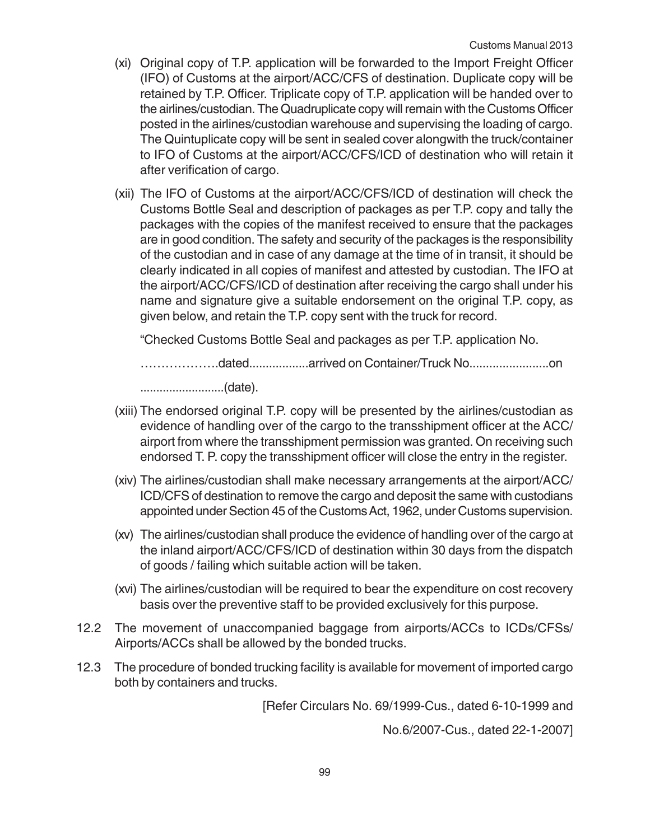- (xi) Original copy of T.P. application will be forwarded to the Import Freight Officer (IFO) of Customs at the airport/ACC/CFS of destination. Duplicate copy will be retained by T.P. Officer. Triplicate copy of T.P. application will be handed over to the airlines/custodian. The Quadruplicate copy will remain with the Customs Officer posted in the airlines/custodian warehouse and supervising the loading of cargo. The Quintuplicate copy will be sent in sealed cover alongwith the truck/container to IFO of Customs at the airport/ACC/CFS/ICD of destination who will retain it after verification of cargo.
- (xii) The IFO of Customs at the airport/ACC/CFS/ICD of destination will check the Customs Bottle Seal and description of packages as per T.P. copy and tally the packages with the copies of the manifest received to ensure that the packages are in good condition. The safety and security of the packages is the responsibility of the custodian and in case of any damage at the time of in transit, it should be clearly indicated in all copies of manifest and attested by custodian. The IFO at the airport/ACC/CFS/ICD of destination after receiving the cargo shall under his name and signature give a suitable endorsement on the original T.P. copy, as given below, and retain the T.P. copy sent with the truck for record.

"Checked Customs Bottle Seal and packages as per T.P. application No.

……………….dated..................arrived on Container/Truck No........................on

..........................(date).

- (xiii) The endorsed original T.P. copy will be presented by the airlines/custodian as evidence of handling over of the cargo to the transshipment officer at the ACC/ airport from where the transshipment permission was granted. On receiving such endorsed T. P. copy the transshipment officer will close the entry in the register.
- (xiv) The airlines/custodian shall make necessary arrangements at the airport/ACC/ ICD/CFS of destination to remove the cargo and deposit the same with custodians appointed under Section 45 of the Customs Act, 1962, under Customs supervision.
- (xv) The airlines/custodian shall produce the evidence of handling over of the cargo at the inland airport/ACC/CFS/ICD of destination within 30 days from the dispatch of goods / failing which suitable action will be taken.
- (xvi) The airlines/custodian will be required to bear the expenditure on cost recovery basis over the preventive staff to be provided exclusively for this purpose.
- 12.2 The movement of unaccompanied baggage from airports/ACCs to ICDs/CFSs/ Airports/ACCs shall be allowed by the bonded trucks.
- 12.3 The procedure of bonded trucking facility is available for movement of imported cargo both by containers and trucks.

[Refer Circulars No. 69/1999-Cus., dated 6-10-1999 and

No.6/2007-Cus., dated 22-1-2007]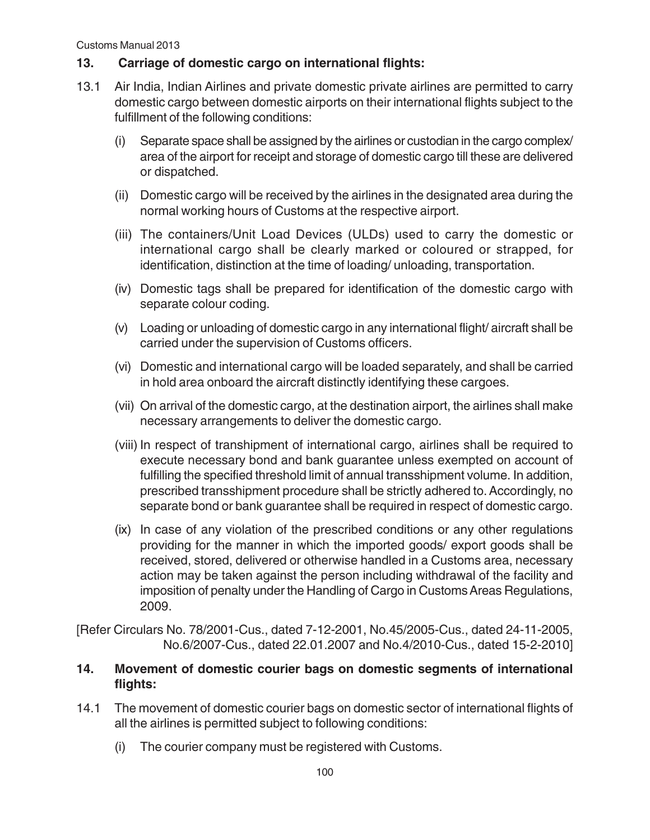## **13. Carriage of domestic cargo on international flights:**

- 13.1 Air India, Indian Airlines and private domestic private airlines are permitted to carry domestic cargo between domestic airports on their international flights subject to the fulfillment of the following conditions:
	- (i) Separate space shall be assigned by the airlines or custodian in the cargo complex/ area of the airport for receipt and storage of domestic cargo till these are delivered or dispatched.
	- (ii) Domestic cargo will be received by the airlines in the designated area during the normal working hours of Customs at the respective airport.
	- (iii) The containers/Unit Load Devices (ULDs) used to carry the domestic or international cargo shall be clearly marked or coloured or strapped, for identification, distinction at the time of loading/ unloading, transportation.
	- (iv) Domestic tags shall be prepared for identification of the domestic cargo with separate colour coding.
	- (v) Loading or unloading of domestic cargo in any international flight/ aircraft shall be carried under the supervision of Customs officers.
	- (vi) Domestic and international cargo will be loaded separately, and shall be carried in hold area onboard the aircraft distinctly identifying these cargoes.
	- (vii) On arrival of the domestic cargo, at the destination airport, the airlines shall make necessary arrangements to deliver the domestic cargo.
	- (viii) In respect of transhipment of international cargo, airlines shall be required to execute necessary bond and bank guarantee unless exempted on account of fulfilling the specified threshold limit of annual transshipment volume. In addition, prescribed transshipment procedure shall be strictly adhered to. Accordingly, no separate bond or bank guarantee shall be required in respect of domestic cargo.
	- (ix) In case of any violation of the prescribed conditions or any other regulations providing for the manner in which the imported goods/ export goods shall be received, stored, delivered or otherwise handled in a Customs area, necessary action may be taken against the person including withdrawal of the facility and imposition of penalty under the Handling of Cargo in Customs Areas Regulations, 2009.

[Refer Circulars No. 78/2001-Cus., dated 7-12-2001, No.45/2005-Cus., dated 24-11-2005, No.6/2007-Cus., dated 22.01.2007 and No.4/2010-Cus., dated 15-2-2010]

### **14. Movement of domestic courier bags on domestic segments of international flights:**

- 14.1 The movement of domestic courier bags on domestic sector of international flights of all the airlines is permitted subject to following conditions:
	- (i) The courier company must be registered with Customs.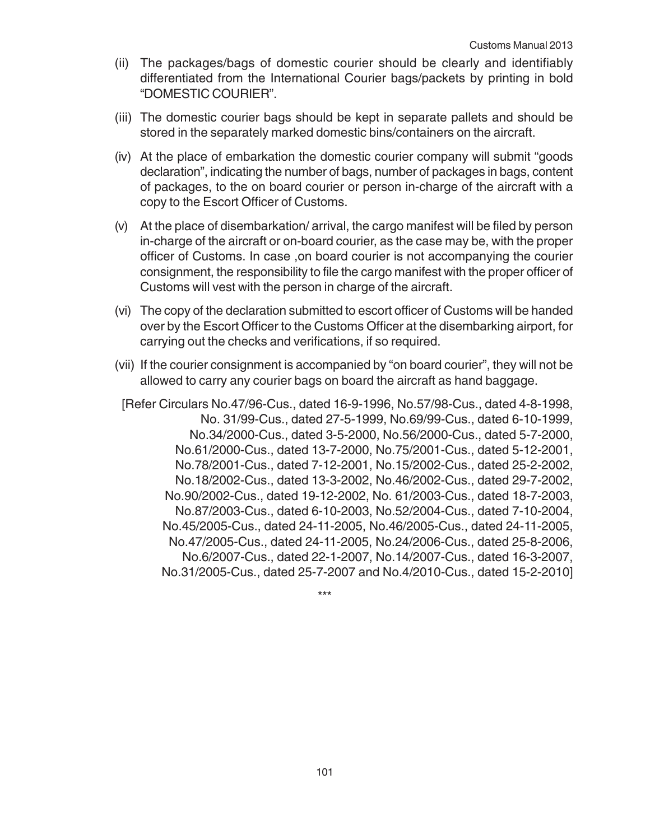- (ii) The packages/bags of domestic courier should be clearly and identifiably differentiated from the International Courier bags/packets by printing in bold "DOMESTIC COURIER".
- (iii) The domestic courier bags should be kept in separate pallets and should be stored in the separately marked domestic bins/containers on the aircraft.
- (iv) At the place of embarkation the domestic courier company will submit "goods declaration", indicating the number of bags, number of packages in bags, content of packages, to the on board courier or person in-charge of the aircraft with a copy to the Escort Officer of Customs.
- (v) At the place of disembarkation/ arrival, the cargo manifest will be filed by person in-charge of the aircraft or on-board courier, as the case may be, with the proper officer of Customs. In case ,on board courier is not accompanying the courier consignment, the responsibility to file the cargo manifest with the proper officer of Customs will vest with the person in charge of the aircraft.
- (vi) The copy of the declaration submitted to escort officer of Customs will be handed over by the Escort Officer to the Customs Officer at the disembarking airport, for carrying out the checks and verifications, if so required.
- (vii) If the courier consignment is accompanied by "on board courier", they will not be allowed to carry any courier bags on board the aircraft as hand baggage.
	- [Refer Circulars No.47/96-Cus., dated 16-9-1996, No.57/98-Cus., dated 4-8-1998, No. 31/99-Cus., dated 27-5-1999, No.69/99-Cus., dated 6-10-1999, No.34/2000-Cus., dated 3-5-2000, No.56/2000-Cus., dated 5-7-2000, No.61/2000-Cus., dated 13-7-2000, No.75/2001-Cus., dated 5-12-2001, No.78/2001-Cus., dated 7-12-2001, No.15/2002-Cus., dated 25-2-2002, No.18/2002-Cus., dated 13-3-2002, No.46/2002-Cus., dated 29-7-2002, No.90/2002-Cus., dated 19-12-2002, No. 61/2003-Cus., dated 18-7-2003, No.87/2003-Cus., dated 6-10-2003, No.52/2004-Cus., dated 7-10-2004, No.45/2005-Cus., dated 24-11-2005, No.46/2005-Cus., dated 24-11-2005, No.47/2005-Cus., dated 24-11-2005, No.24/2006-Cus., dated 25-8-2006, No.6/2007-Cus., dated 22-1-2007, No.14/2007-Cus., dated 16-3-2007, No.31/2005-Cus., dated 25-7-2007 and No.4/2010-Cus., dated 15-2-2010]

\*\*\*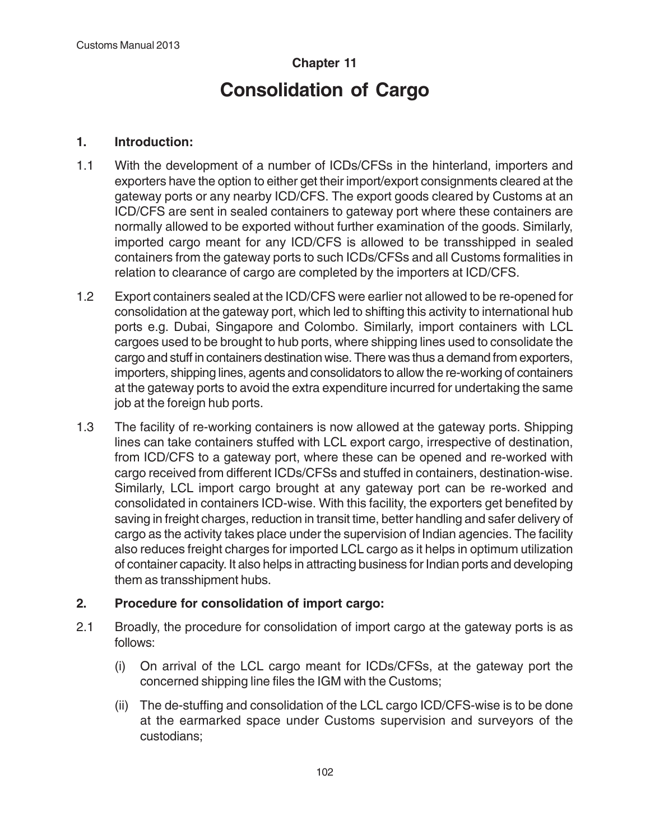# **Chapter 11 Consolidation of Cargo**

#### **1. Introduction:**

- 1.1 With the development of a number of ICDs/CFSs in the hinterland, importers and exporters have the option to either get their import/export consignments cleared at the gateway ports or any nearby ICD/CFS. The export goods cleared by Customs at an ICD/CFS are sent in sealed containers to gateway port where these containers are normally allowed to be exported without further examination of the goods. Similarly, imported cargo meant for any ICD/CFS is allowed to be transshipped in sealed containers from the gateway ports to such ICDs/CFSs and all Customs formalities in relation to clearance of cargo are completed by the importers at ICD/CFS.
- 1.2 Export containers sealed at the ICD/CFS were earlier not allowed to be re-opened for consolidation at the gateway port, which led to shifting this activity to international hub ports e.g. Dubai, Singapore and Colombo. Similarly, import containers with LCL cargoes used to be brought to hub ports, where shipping lines used to consolidate the cargo and stuff in containers destination wise. There was thus a demand from exporters, importers, shipping lines, agents and consolidators to allow the re-working of containers at the gateway ports to avoid the extra expenditure incurred for undertaking the same job at the foreign hub ports.
- 1.3 The facility of re-working containers is now allowed at the gateway ports. Shipping lines can take containers stuffed with LCL export cargo, irrespective of destination, from ICD/CFS to a gateway port, where these can be opened and re-worked with cargo received from different ICDs/CFSs and stuffed in containers, destination-wise. Similarly, LCL import cargo brought at any gateway port can be re-worked and consolidated in containers ICD-wise. With this facility, the exporters get benefited by saving in freight charges, reduction in transit time, better handling and safer delivery of cargo as the activity takes place under the supervision of Indian agencies. The facility also reduces freight charges for imported LCL cargo as it helps in optimum utilization of container capacity. It also helps in attracting business for Indian ports and developing them as transshipment hubs.

# **2. Procedure for consolidation of import cargo:**

- 2.1 Broadly, the procedure for consolidation of import cargo at the gateway ports is as follows:
	- (i) On arrival of the LCL cargo meant for ICDs/CFSs, at the gateway port the concerned shipping line files the IGM with the Customs;
	- (ii) The de-stuffing and consolidation of the LCL cargo ICD/CFS-wise is to be done at the earmarked space under Customs supervision and surveyors of the custodians;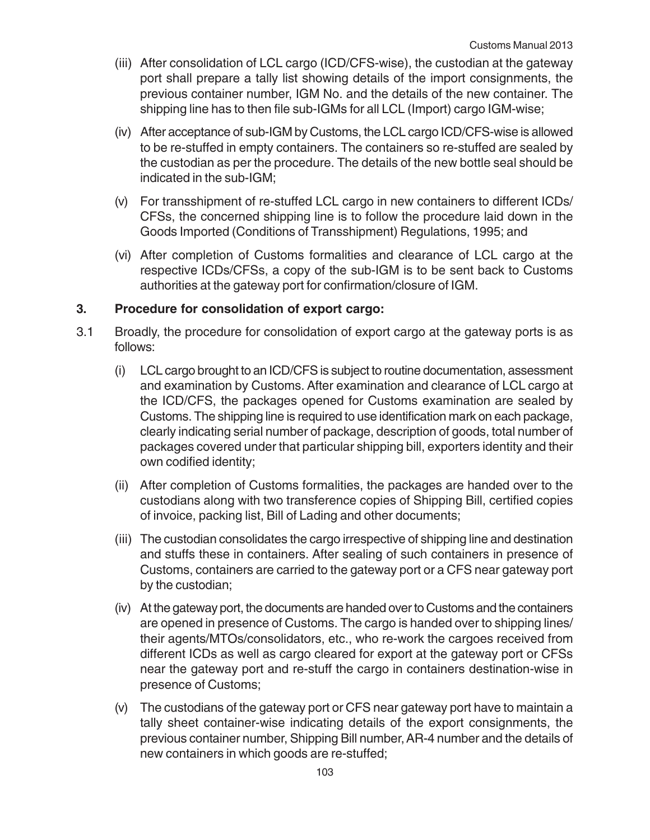- (iii) After consolidation of LCL cargo (ICD/CFS-wise), the custodian at the gateway port shall prepare a tally list showing details of the import consignments, the previous container number, IGM No. and the details of the new container. The shipping line has to then file sub-IGMs for all LCL (Import) cargo IGM-wise;
- (iv) After acceptance of sub-IGM by Customs, the LCL cargo ICD/CFS-wise is allowed to be re-stuffed in empty containers. The containers so re-stuffed are sealed by the custodian as per the procedure. The details of the new bottle seal should be indicated in the sub-IGM;
- (v) For transshipment of re-stuffed LCL cargo in new containers to different ICDs/ CFSs, the concerned shipping line is to follow the procedure laid down in the Goods Imported (Conditions of Transshipment) Regulations, 1995; and
- (vi) After completion of Customs formalities and clearance of LCL cargo at the respective ICDs/CFSs, a copy of the sub-IGM is to be sent back to Customs authorities at the gateway port for confirmation/closure of IGM.

### **3. Procedure for consolidation of export cargo:**

- 3.1 Broadly, the procedure for consolidation of export cargo at the gateway ports is as follows:
	- (i) LCL cargo brought to an ICD/CFS is subject to routine documentation, assessment and examination by Customs. After examination and clearance of LCL cargo at the ICD/CFS, the packages opened for Customs examination are sealed by Customs. The shipping line is required to use identification mark on each package, clearly indicating serial number of package, description of goods, total number of packages covered under that particular shipping bill, exporters identity and their own codified identity;
	- (ii) After completion of Customs formalities, the packages are handed over to the custodians along with two transference copies of Shipping Bill, certified copies of invoice, packing list, Bill of Lading and other documents;
	- (iii) The custodian consolidates the cargo irrespective of shipping line and destination and stuffs these in containers. After sealing of such containers in presence of Customs, containers are carried to the gateway port or a CFS near gateway port by the custodian;
	- (iv) At the gateway port, the documents are handed over to Customs and the containers are opened in presence of Customs. The cargo is handed over to shipping lines/ their agents/MTOs/consolidators, etc., who re-work the cargoes received from different ICDs as well as cargo cleared for export at the gateway port or CFSs near the gateway port and re-stuff the cargo in containers destination-wise in presence of Customs;
	- (v) The custodians of the gateway port or CFS near gateway port have to maintain a tally sheet container-wise indicating details of the export consignments, the previous container number, Shipping Bill number, AR-4 number and the details of new containers in which goods are re-stuffed;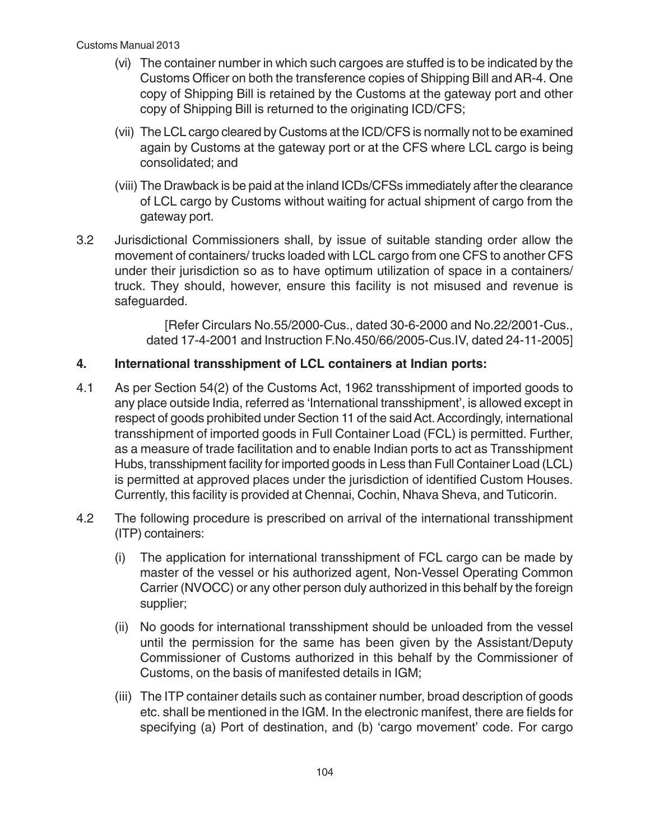- (vi) The container number in which such cargoes are stuffed is to be indicated by the Customs Officer on both the transference copies of Shipping Bill and AR-4. One copy of Shipping Bill is retained by the Customs at the gateway port and other copy of Shipping Bill is returned to the originating ICD/CFS;
- (vii) The LCL cargo cleared by Customs at the ICD/CFS is normally not to be examined again by Customs at the gateway port or at the CFS where LCL cargo is being consolidated; and
- (viii) The Drawback is be paid at the inland ICDs/CFSs immediately after the clearance of LCL cargo by Customs without waiting for actual shipment of cargo from the gateway port.
- 3.2 Jurisdictional Commissioners shall, by issue of suitable standing order allow the movement of containers/ trucks loaded with LCL cargo from one CFS to another CFS under their jurisdiction so as to have optimum utilization of space in a containers/ truck. They should, however, ensure this facility is not misused and revenue is safeguarded.

[Refer Circulars No.55/2000-Cus., dated 30-6-2000 and No.22/2001-Cus., dated 17-4-2001 and Instruction F.No.450/66/2005-Cus.IV, dated 24-11-2005]

# **4. International transshipment of LCL containers at Indian ports:**

- 4.1 As per Section 54(2) of the Customs Act, 1962 transshipment of imported goods to any place outside India, referred as 'International transshipment', is allowed except in respect of goods prohibited under Section 11 of the said Act. Accordingly, international transshipment of imported goods in Full Container Load (FCL) is permitted. Further, as a measure of trade facilitation and to enable Indian ports to act as Transshipment Hubs, transshipment facility for imported goods in Less than Full Container Load (LCL) is permitted at approved places under the jurisdiction of identified Custom Houses. Currently, this facility is provided at Chennai, Cochin, Nhava Sheva, and Tuticorin.
- 4.2 The following procedure is prescribed on arrival of the international transshipment (ITP) containers:
	- (i) The application for international transshipment of FCL cargo can be made by master of the vessel or his authorized agent, Non-Vessel Operating Common Carrier (NVOCC) or any other person duly authorized in this behalf by the foreign supplier;
	- (ii) No goods for international transshipment should be unloaded from the vessel until the permission for the same has been given by the Assistant/Deputy Commissioner of Customs authorized in this behalf by the Commissioner of Customs, on the basis of manifested details in IGM;
	- (iii) The ITP container details such as container number, broad description of goods etc. shall be mentioned in the IGM. In the electronic manifest, there are fields for specifying (a) Port of destination, and (b) 'cargo movement' code. For cargo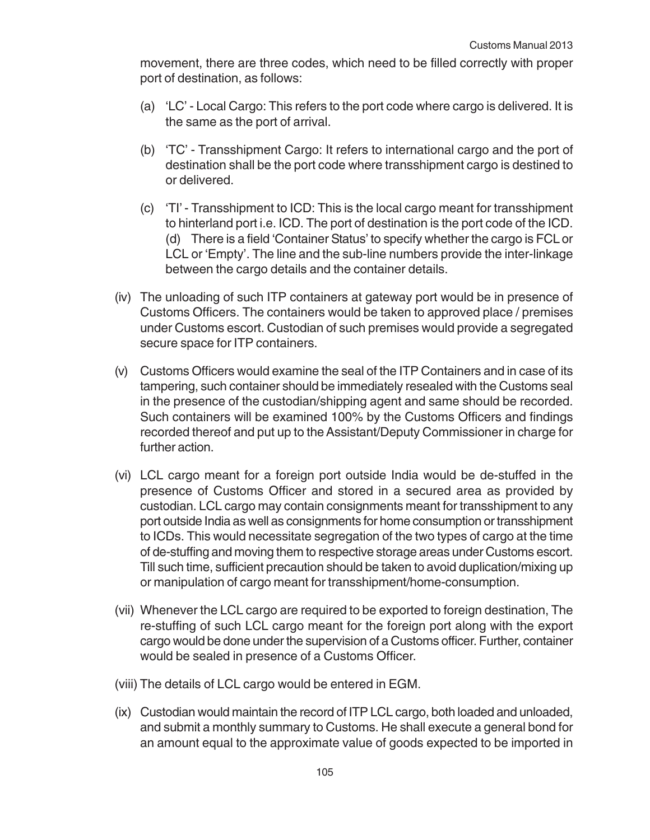movement, there are three codes, which need to be filled correctly with proper port of destination, as follows:

- (a) 'LC' Local Cargo: This refers to the port code where cargo is delivered. It is the same as the port of arrival.
- (b) 'TC' Transshipment Cargo: It refers to international cargo and the port of destination shall be the port code where transshipment cargo is destined to or delivered.
- (c) 'TI' Transshipment to ICD: This is the local cargo meant for transshipment to hinterland port i.e. ICD. The port of destination is the port code of the ICD. (d) There is a field 'Container Status' to specify whether the cargo is FCL or LCL or 'Empty'. The line and the sub-line numbers provide the inter-linkage between the cargo details and the container details.
- (iv) The unloading of such ITP containers at gateway port would be in presence of Customs Officers. The containers would be taken to approved place / premises under Customs escort. Custodian of such premises would provide a segregated secure space for ITP containers.
- (v) Customs Officers would examine the seal of the ITP Containers and in case of its tampering, such container should be immediately resealed with the Customs seal in the presence of the custodian/shipping agent and same should be recorded. Such containers will be examined 100% by the Customs Officers and findings recorded thereof and put up to the Assistant/Deputy Commissioner in charge for further action.
- (vi) LCL cargo meant for a foreign port outside India would be de-stuffed in the presence of Customs Officer and stored in a secured area as provided by custodian. LCL cargo may contain consignments meant for transshipment to any port outside India as well as consignments for home consumption or transshipment to ICDs. This would necessitate segregation of the two types of cargo at the time of de-stuffing and moving them to respective storage areas under Customs escort. Till such time, sufficient precaution should be taken to avoid duplication/mixing up or manipulation of cargo meant for transshipment/home-consumption.
- (vii) Whenever the LCL cargo are required to be exported to foreign destination, The re-stuffing of such LCL cargo meant for the foreign port along with the export cargo would be done under the supervision of a Customs officer. Further, container would be sealed in presence of a Customs Officer.
- (viii) The details of LCL cargo would be entered in EGM.
- (ix) Custodian would maintain the record of ITP LCL cargo, both loaded and unloaded, and submit a monthly summary to Customs. He shall execute a general bond for an amount equal to the approximate value of goods expected to be imported in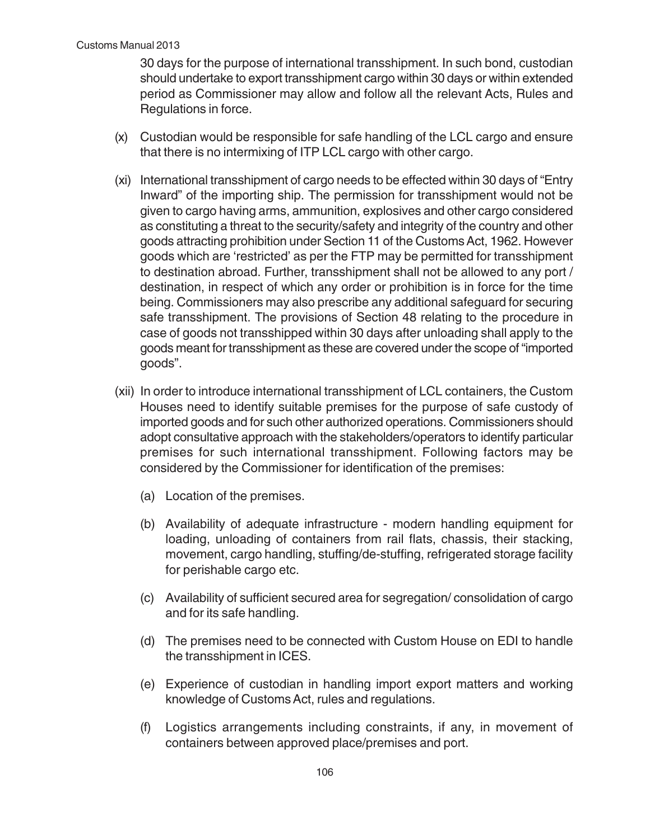30 days for the purpose of international transshipment. In such bond, custodian should undertake to export transshipment cargo within 30 days or within extended period as Commissioner may allow and follow all the relevant Acts, Rules and Regulations in force.

- (x) Custodian would be responsible for safe handling of the LCL cargo and ensure that there is no intermixing of ITP LCL cargo with other cargo.
- (xi) International transshipment of cargo needs to be effected within 30 days of "Entry Inward" of the importing ship. The permission for transshipment would not be given to cargo having arms, ammunition, explosives and other cargo considered as constituting a threat to the security/safety and integrity of the country and other goods attracting prohibition under Section 11 of the Customs Act, 1962. However goods which are 'restricted' as per the FTP may be permitted for transshipment to destination abroad. Further, transshipment shall not be allowed to any port / destination, in respect of which any order or prohibition is in force for the time being. Commissioners may also prescribe any additional safeguard for securing safe transshipment. The provisions of Section 48 relating to the procedure in case of goods not transshipped within 30 days after unloading shall apply to the goods meant for transshipment as these are covered under the scope of "imported goods".
- (xii) In order to introduce international transshipment of LCL containers, the Custom Houses need to identify suitable premises for the purpose of safe custody of imported goods and for such other authorized operations. Commissioners should adopt consultative approach with the stakeholders/operators to identify particular premises for such international transshipment. Following factors may be considered by the Commissioner for identification of the premises:
	- (a) Location of the premises.
	- (b) Availability of adequate infrastructure modern handling equipment for loading, unloading of containers from rail flats, chassis, their stacking, movement, cargo handling, stuffing/de-stuffing, refrigerated storage facility for perishable cargo etc.
	- (c) Availability of sufficient secured area for segregation/ consolidation of cargo and for its safe handling.
	- (d) The premises need to be connected with Custom House on EDI to handle the transshipment in ICES.
	- (e) Experience of custodian in handling import export matters and working knowledge of Customs Act, rules and regulations.
	- (f) Logistics arrangements including constraints, if any, in movement of containers between approved place/premises and port.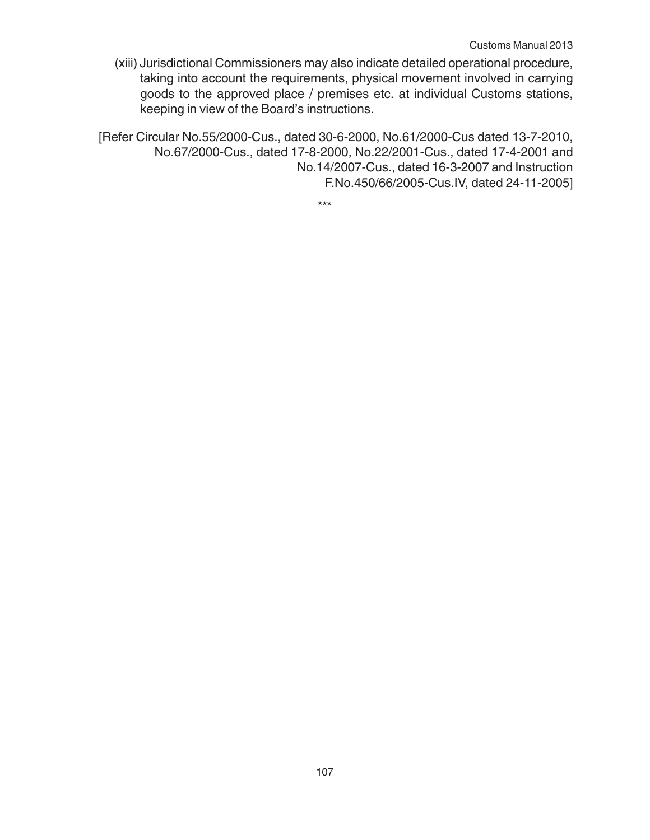(xiii) Jurisdictional Commissioners may also indicate detailed operational procedure, taking into account the requirements, physical movement involved in carrying goods to the approved place / premises etc. at individual Customs stations, keeping in view of the Board's instructions.

[Refer Circular No.55/2000-Cus., dated 30-6-2000, No.61/2000-Cus dated 13-7-2010, No.67/2000-Cus., dated 17-8-2000, No.22/2001-Cus., dated 17-4-2001 and No.14/2007-Cus., dated 16-3-2007 and Instruction F.No.450/66/2005-Cus.IV, dated 24-11-2005]

\*\*\*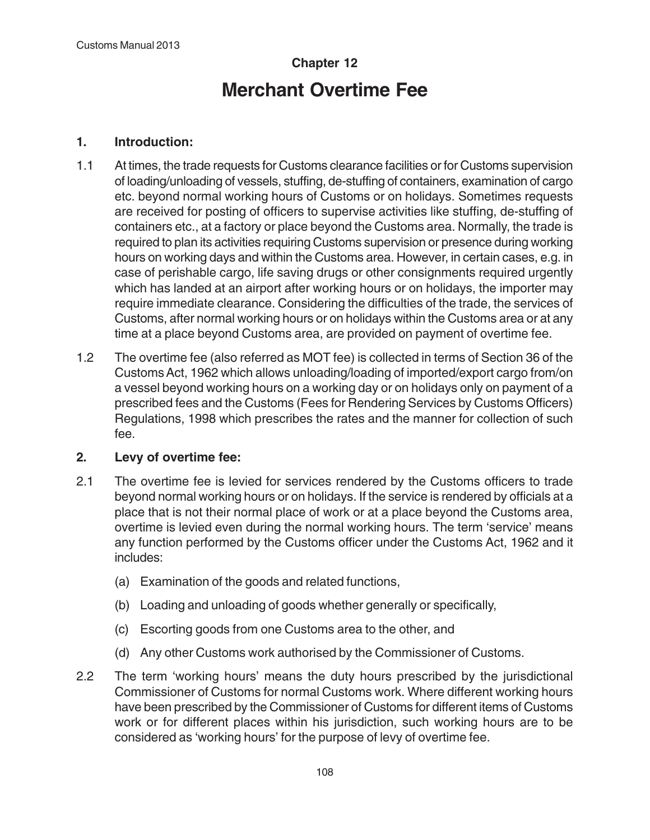# **Chapter 12 Merchant Overtime Fee**

## **1. Introduction:**

- 1.1 At times, the trade requests for Customs clearance facilities or for Customs supervision of loading/unloading of vessels, stuffing, de-stuffing of containers, examination of cargo etc. beyond normal working hours of Customs or on holidays. Sometimes requests are received for posting of officers to supervise activities like stuffing, de-stuffing of containers etc., at a factory or place beyond the Customs area. Normally, the trade is required to plan its activities requiring Customs supervision or presence during working hours on working days and within the Customs area. However, in certain cases, e.g. in case of perishable cargo, life saving drugs or other consignments required urgently which has landed at an airport after working hours or on holidays, the importer may require immediate clearance. Considering the difficulties of the trade, the services of Customs, after normal working hours or on holidays within the Customs area or at any time at a place beyond Customs area, are provided on payment of overtime fee.
- 1.2 The overtime fee (also referred as MOT fee) is collected in terms of Section 36 of the Customs Act, 1962 which allows unloading/loading of imported/export cargo from/on a vessel beyond working hours on a working day or on holidays only on payment of a prescribed fees and the Customs (Fees for Rendering Services by Customs Officers) Regulations, 1998 which prescribes the rates and the manner for collection of such fee.

#### **2. Levy of overtime fee:**

- 2.1 The overtime fee is levied for services rendered by the Customs officers to trade beyond normal working hours or on holidays. If the service is rendered by officials at a place that is not their normal place of work or at a place beyond the Customs area, overtime is levied even during the normal working hours. The term 'service' means any function performed by the Customs officer under the Customs Act, 1962 and it includes:
	- (a) Examination of the goods and related functions,
	- (b) Loading and unloading of goods whether generally or specifically,
	- (c) Escorting goods from one Customs area to the other, and
	- (d) Any other Customs work authorised by the Commissioner of Customs.
- 2.2 The term 'working hours' means the duty hours prescribed by the jurisdictional Commissioner of Customs for normal Customs work. Where different working hours have been prescribed by the Commissioner of Customs for different items of Customs work or for different places within his jurisdiction, such working hours are to be considered as 'working hours' for the purpose of levy of overtime fee.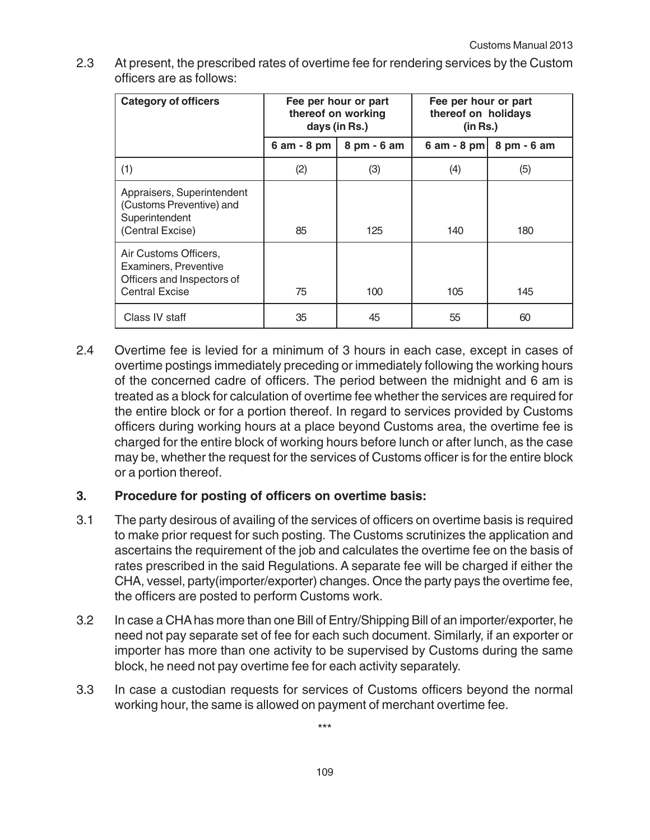| <b>Category of officers</b>                                                                           | Fee per hour or part<br>thereof on working<br>days (in Rs.) |             | Fee per hour or part<br>thereof on holidays<br>(in Rs.) |             |
|-------------------------------------------------------------------------------------------------------|-------------------------------------------------------------|-------------|---------------------------------------------------------|-------------|
|                                                                                                       | $6$ am $-8$ pm                                              | 8 pm - 6 am | 6 am - 8 pm                                             | 8 pm - 6 am |
| (1)                                                                                                   | (2)                                                         | (3)         | (4)                                                     | (5)         |
| Appraisers, Superintendent<br>(Customs Preventive) and<br>Superintendent<br>(Central Excise)          | 85                                                          | 125         | 140                                                     | 180         |
| Air Customs Officers,<br>Examiners, Preventive<br>Officers and Inspectors of<br><b>Central Excise</b> | 75                                                          | 100         | 105                                                     | 145         |
| Class IV staff                                                                                        | 35                                                          | 45          | 55                                                      | 60          |

2.3 At present, the prescribed rates of overtime fee for rendering services by the Custom officers are as follows:

2.4 Overtime fee is levied for a minimum of 3 hours in each case, except in cases of overtime postings immediately preceding or immediately following the working hours of the concerned cadre of officers. The period between the midnight and 6 am is treated as a block for calculation of overtime fee whether the services are required for the entire block or for a portion thereof. In regard to services provided by Customs officers during working hours at a place beyond Customs area, the overtime fee is charged for the entire block of working hours before lunch or after lunch, as the case may be, whether the request for the services of Customs officer is for the entire block or a portion thereof.

# **3. Procedure for posting of officers on overtime basis:**

- 3.1 The party desirous of availing of the services of officers on overtime basis is required to make prior request for such posting. The Customs scrutinizes the application and ascertains the requirement of the job and calculates the overtime fee on the basis of rates prescribed in the said Regulations. A separate fee will be charged if either the CHA, vessel, party(importer/exporter) changes. Once the party pays the overtime fee, the officers are posted to perform Customs work.
- 3.2 In case a CHA has more than one Bill of Entry/Shipping Bill of an importer/exporter, he need not pay separate set of fee for each such document. Similarly, if an exporter or importer has more than one activity to be supervised by Customs during the same block, he need not pay overtime fee for each activity separately.
- 3.3 In case a custodian requests for services of Customs officers beyond the normal working hour, the same is allowed on payment of merchant overtime fee.

\*\*\*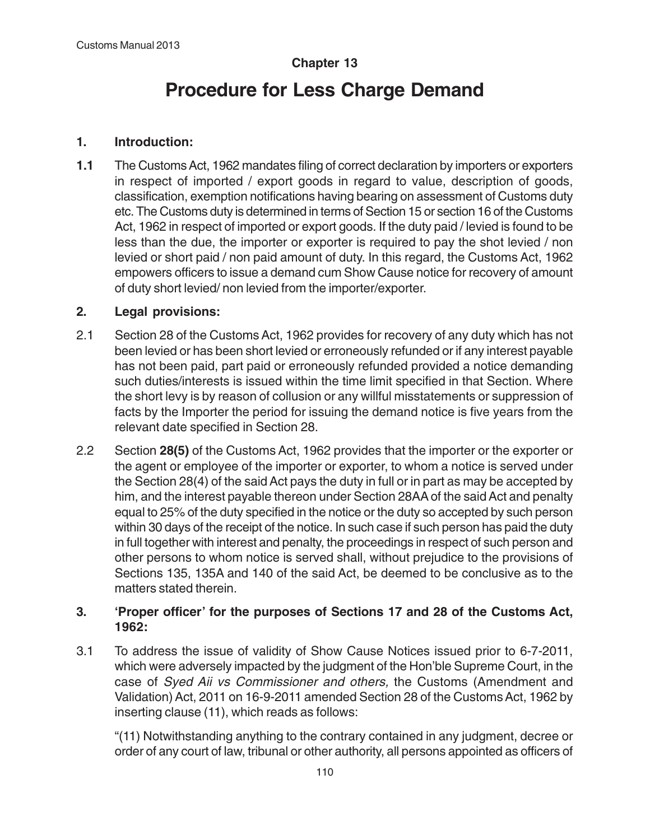# **Chapter 13**

# **Procedure for Less Charge Demand**

# **1. Introduction:**

**1.1** The Customs Act, 1962 mandates filing of correct declaration by importers or exporters in respect of imported / export goods in regard to value, description of goods, classification, exemption notifications having bearing on assessment of Customs duty etc. The Customs duty is determined in terms of Section 15 or section 16 of the Customs Act, 1962 in respect of imported or export goods. If the duty paid / levied is found to be less than the due, the importer or exporter is required to pay the shot levied / non levied or short paid / non paid amount of duty. In this regard, the Customs Act, 1962 empowers officers to issue a demand cum Show Cause notice for recovery of amount of duty short levied/ non levied from the importer/exporter.

# **2. Legal provisions:**

- 2.1 Section 28 of the Customs Act, 1962 provides for recovery of any duty which has not been levied or has been short levied or erroneously refunded or if any interest payable has not been paid, part paid or erroneously refunded provided a notice demanding such duties/interests is issued within the time limit specified in that Section. Where the short levy is by reason of collusion or any willful misstatements or suppression of facts by the Importer the period for issuing the demand notice is five years from the relevant date specified in Section 28.
- 2.2 Section **28(5)** of the Customs Act, 1962 provides that the importer or the exporter or the agent or employee of the importer or exporter, to whom a notice is served under the Section 28(4) of the said Act pays the duty in full or in part as may be accepted by him, and the interest payable thereon under Section 28AA of the said Act and penalty equal to 25% of the duty specified in the notice or the duty so accepted by such person within 30 days of the receipt of the notice. In such case if such person has paid the duty in full together with interest and penalty, the proceedings in respect of such person and other persons to whom notice is served shall, without prejudice to the provisions of Sections 135, 135A and 140 of the said Act, be deemed to be conclusive as to the matters stated therein.

### **3. 'Proper officer' for the purposes of Sections 17 and 28 of the Customs Act, 1962:**

3.1 To address the issue of validity of Show Cause Notices issued prior to 6-7-2011, which were adversely impacted by the judgment of the Hon'ble Supreme Court, in the case of Syed Aii vs Commissioner and others, the Customs (Amendment and Validation) Act, 2011 on 16-9-2011 amended Section 28 of the Customs Act, 1962 by inserting clause (11), which reads as follows:

"(11) Notwithstanding anything to the contrary contained in any judgment, decree or order of any court of law, tribunal or other authority, all persons appointed as officers of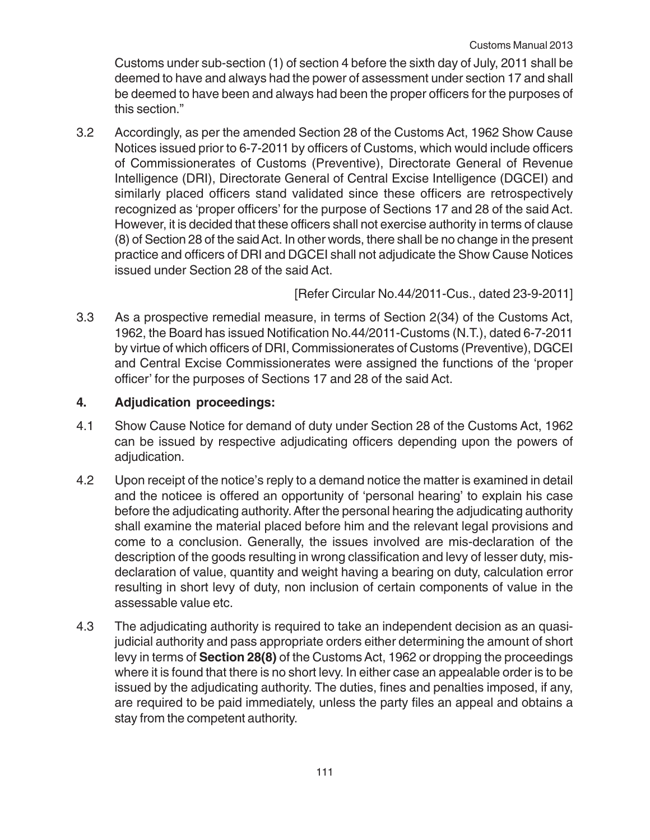Customs under sub-section (1) of section 4 before the sixth day of July, 2011 shall be deemed to have and always had the power of assessment under section 17 and shall be deemed to have been and always had been the proper officers for the purposes of this section."

3.2 Accordingly, as per the amended Section 28 of the Customs Act, 1962 Show Cause Notices issued prior to 6-7-2011 by officers of Customs, which would include officers of Commissionerates of Customs (Preventive), Directorate General of Revenue Intelligence (DRI), Directorate General of Central Excise Intelligence (DGCEI) and similarly placed officers stand validated since these officers are retrospectively recognized as 'proper officers' for the purpose of Sections 17 and 28 of the said Act. However, it is decided that these officers shall not exercise authority in terms of clause (8) of Section 28 of the said Act. In other words, there shall be no change in the present practice and officers of DRI and DGCEI shall not adjudicate the Show Cause Notices issued under Section 28 of the said Act.

[Refer Circular No.44/2011-Cus., dated 23-9-2011]

3.3 As a prospective remedial measure, in terms of Section 2(34) of the Customs Act, 1962, the Board has issued Notification No.44/2011-Customs (N.T.), dated 6-7-2011 by virtue of which officers of DRI, Commissionerates of Customs (Preventive), DGCEI and Central Excise Commissionerates were assigned the functions of the 'proper officer' for the purposes of Sections 17 and 28 of the said Act.

### **4. Adjudication proceedings:**

- 4.1 Show Cause Notice for demand of duty under Section 28 of the Customs Act, 1962 can be issued by respective adjudicating officers depending upon the powers of adjudication.
- 4.2 Upon receipt of the notice's reply to a demand notice the matter is examined in detail and the noticee is offered an opportunity of 'personal hearing' to explain his case before the adjudicating authority. After the personal hearing the adjudicating authority shall examine the material placed before him and the relevant legal provisions and come to a conclusion. Generally, the issues involved are mis-declaration of the description of the goods resulting in wrong classification and levy of lesser duty, misdeclaration of value, quantity and weight having a bearing on duty, calculation error resulting in short levy of duty, non inclusion of certain components of value in the assessable value etc.
- 4.3 The adjudicating authority is required to take an independent decision as an quasijudicial authority and pass appropriate orders either determining the amount of short levy in terms of **Section 28(8)** of the Customs Act, 1962 or dropping the proceedings where it is found that there is no short levy. In either case an appealable order is to be issued by the adjudicating authority. The duties, fines and penalties imposed, if any, are required to be paid immediately, unless the party files an appeal and obtains a stay from the competent authority.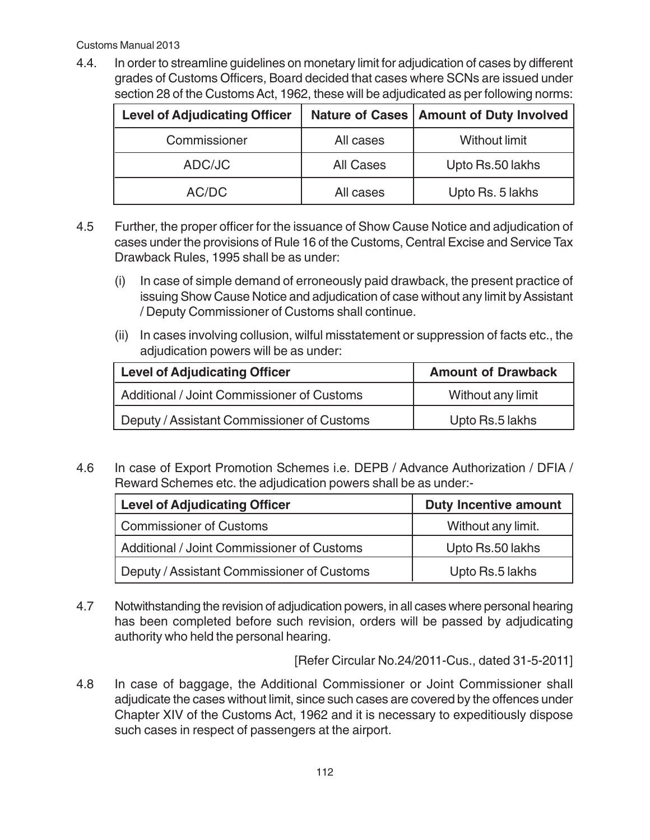4.4. In order to streamline guidelines on monetary limit for adjudication of cases by different grades of Customs Officers, Board decided that cases where SCNs are issued under section 28 of the Customs Act, 1962, these will be adjudicated as per following norms:

| <b>Level of Adjudicating Officer</b> |           | Nature of Cases   Amount of Duty Involved |
|--------------------------------------|-----------|-------------------------------------------|
| Commissioner                         | All cases | Without limit                             |
| ADC/JC                               | All Cases | Upto Rs.50 lakhs                          |
| AC/DC                                | All cases | Upto Rs. 5 lakhs                          |

- 4.5 Further, the proper officer for the issuance of Show Cause Notice and adjudication of cases under the provisions of Rule 16 of the Customs, Central Excise and Service Tax Drawback Rules, 1995 shall be as under:
	- (i) In case of simple demand of erroneously paid drawback, the present practice of issuing Show Cause Notice and adjudication of case without any limit by Assistant / Deputy Commissioner of Customs shall continue.
	- (ii) In cases involving collusion, wilful misstatement or suppression of facts etc., the adjudication powers will be as under:

| <b>Level of Adjudicating Officer</b>       | <b>Amount of Drawback</b> |
|--------------------------------------------|---------------------------|
| Additional / Joint Commissioner of Customs | Without any limit         |
| Deputy / Assistant Commissioner of Customs | Upto Rs.5 lakhs           |

4.6 In case of Export Promotion Schemes i.e. DEPB / Advance Authorization / DFIA / Reward Schemes etc. the adjudication powers shall be as under:-

| <b>Level of Adjudicating Officer</b>       | <b>Duty Incentive amount</b> |
|--------------------------------------------|------------------------------|
| <b>Commissioner of Customs</b>             | Without any limit.           |
| Additional / Joint Commissioner of Customs | Upto Rs.50 lakhs             |
| Deputy / Assistant Commissioner of Customs | Upto Rs.5 lakhs              |

4.7 Notwithstanding the revision of adjudication powers, in all cases where personal hearing has been completed before such revision, orders will be passed by adjudicating authority who held the personal hearing.

[Refer Circular No.24/2011-Cus., dated 31-5-2011]

4.8 In case of baggage, the Additional Commissioner or Joint Commissioner shall adjudicate the cases without limit, since such cases are covered by the offences under Chapter XIV of the Customs Act, 1962 and it is necessary to expeditiously dispose such cases in respect of passengers at the airport.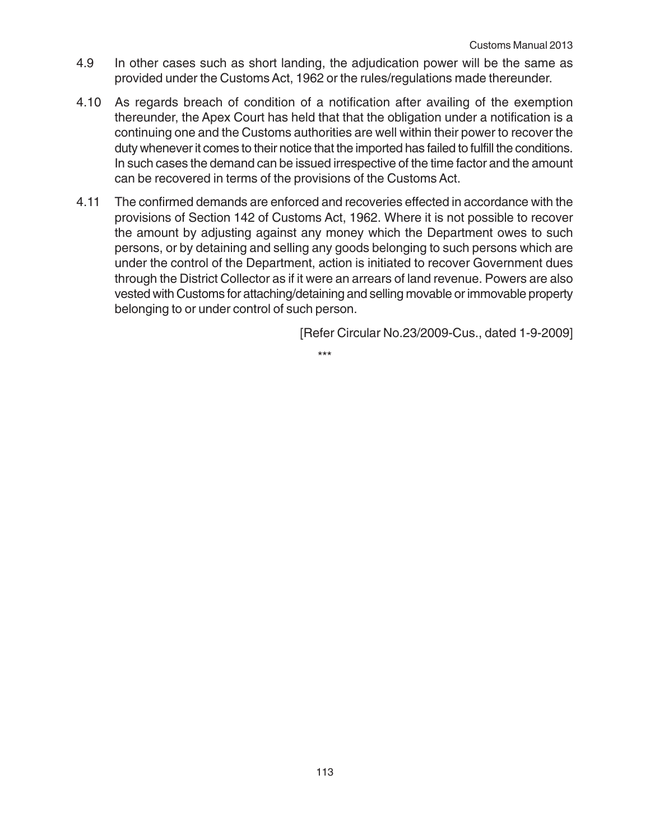- 4.9 In other cases such as short landing, the adjudication power will be the same as provided under the Customs Act, 1962 or the rules/regulations made thereunder.
- 4.10 As regards breach of condition of a notification after availing of the exemption thereunder, the Apex Court has held that that the obligation under a notification is a continuing one and the Customs authorities are well within their power to recover the duty whenever it comes to their notice that the imported has failed to fulfill the conditions. In such cases the demand can be issued irrespective of the time factor and the amount can be recovered in terms of the provisions of the Customs Act.
- 4.11 The confirmed demands are enforced and recoveries effected in accordance with the provisions of Section 142 of Customs Act, 1962. Where it is not possible to recover the amount by adjusting against any money which the Department owes to such persons, or by detaining and selling any goods belonging to such persons which are under the control of the Department, action is initiated to recover Government dues through the District Collector as if it were an arrears of land revenue. Powers are also vested with Customs for attaching/detaining and selling movable or immovable property belonging to or under control of such person.

[Refer Circular No.23/2009-Cus., dated 1-9-2009]

\*\*\*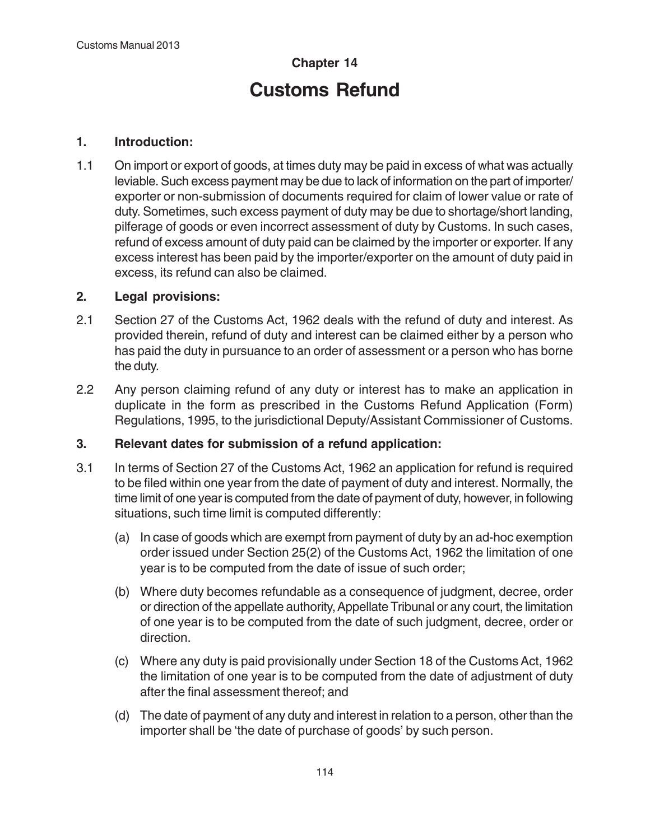# **Chapter 14 Customs Refund**

## **1. Introduction:**

1.1 On import or export of goods, at times duty may be paid in excess of what was actually leviable. Such excess payment may be due to lack of information on the part of importer/ exporter or non-submission of documents required for claim of lower value or rate of duty. Sometimes, such excess payment of duty may be due to shortage/short landing, pilferage of goods or even incorrect assessment of duty by Customs. In such cases, refund of excess amount of duty paid can be claimed by the importer or exporter. If any excess interest has been paid by the importer/exporter on the amount of duty paid in excess, its refund can also be claimed.

### **2. Legal provisions:**

- 2.1 Section 27 of the Customs Act, 1962 deals with the refund of duty and interest. As provided therein, refund of duty and interest can be claimed either by a person who has paid the duty in pursuance to an order of assessment or a person who has borne the duty.
- 2.2 Any person claiming refund of any duty or interest has to make an application in duplicate in the form as prescribed in the Customs Refund Application (Form) Regulations, 1995, to the jurisdictional Deputy/Assistant Commissioner of Customs.

#### **3. Relevant dates for submission of a refund application:**

- 3.1 In terms of Section 27 of the Customs Act, 1962 an application for refund is required to be filed within one year from the date of payment of duty and interest. Normally, the time limit of one year is computed from the date of payment of duty, however, in following situations, such time limit is computed differently:
	- (a) In case of goods which are exempt from payment of duty by an ad-hoc exemption order issued under Section 25(2) of the Customs Act, 1962 the limitation of one year is to be computed from the date of issue of such order;
	- (b) Where duty becomes refundable as a consequence of judgment, decree, order or direction of the appellate authority, Appellate Tribunal or any court, the limitation of one year is to be computed from the date of such judgment, decree, order or direction.
	- (c) Where any duty is paid provisionally under Section 18 of the Customs Act, 1962 the limitation of one year is to be computed from the date of adjustment of duty after the final assessment thereof; and
	- (d) The date of payment of any duty and interest in relation to a person, other than the importer shall be 'the date of purchase of goods' by such person.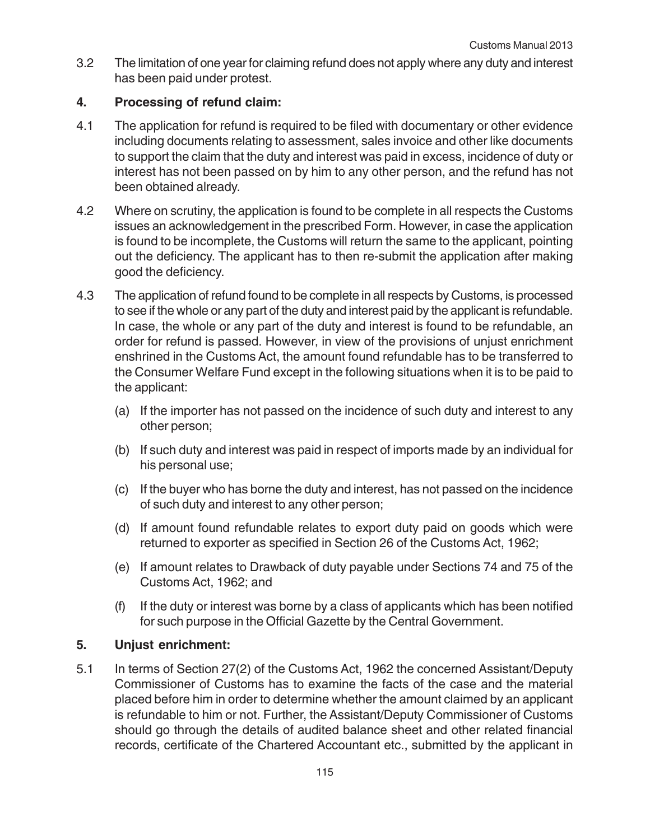3.2 The limitation of one year for claiming refund does not apply where any duty and interest has been paid under protest.

# **4. Processing of refund claim:**

- 4.1 The application for refund is required to be filed with documentary or other evidence including documents relating to assessment, sales invoice and other like documents to support the claim that the duty and interest was paid in excess, incidence of duty or interest has not been passed on by him to any other person, and the refund has not been obtained already.
- 4.2 Where on scrutiny, the application is found to be complete in all respects the Customs issues an acknowledgement in the prescribed Form. However, in case the application is found to be incomplete, the Customs will return the same to the applicant, pointing out the deficiency. The applicant has to then re-submit the application after making good the deficiency.
- 4.3 The application of refund found to be complete in all respects by Customs, is processed to see if the whole or any part of the duty and interest paid by the applicant is refundable. In case, the whole or any part of the duty and interest is found to be refundable, an order for refund is passed. However, in view of the provisions of unjust enrichment enshrined in the Customs Act, the amount found refundable has to be transferred to the Consumer Welfare Fund except in the following situations when it is to be paid to the applicant:
	- (a) If the importer has not passed on the incidence of such duty and interest to any other person;
	- (b) If such duty and interest was paid in respect of imports made by an individual for his personal use;
	- (c) If the buyer who has borne the duty and interest, has not passed on the incidence of such duty and interest to any other person;
	- (d) If amount found refundable relates to export duty paid on goods which were returned to exporter as specified in Section 26 of the Customs Act, 1962;
	- (e) If amount relates to Drawback of duty payable under Sections 74 and 75 of the Customs Act, 1962; and
	- (f) If the duty or interest was borne by a class of applicants which has been notified for such purpose in the Official Gazette by the Central Government.

# **5. Unjust enrichment:**

5.1 In terms of Section 27(2) of the Customs Act, 1962 the concerned Assistant/Deputy Commissioner of Customs has to examine the facts of the case and the material placed before him in order to determine whether the amount claimed by an applicant is refundable to him or not. Further, the Assistant/Deputy Commissioner of Customs should go through the details of audited balance sheet and other related financial records, certificate of the Chartered Accountant etc., submitted by the applicant in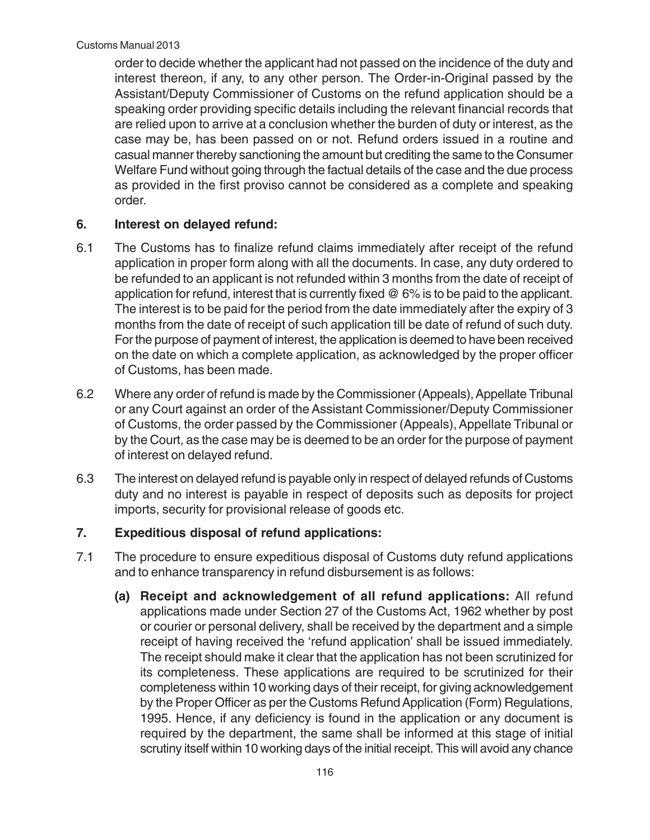order to decide whether the applicant had not passed on the incidence of the duty and interest thereon, if any, to any other person. The Order-in-Original passed by the Assistant/Deputy Commissioner of Customs on the refund application should be a speaking order providing specific details including the relevant financial records that are relied upon to arrive at a conclusion whether the burden of duty or interest, as the case may be, has been passed on or not. Refund orders issued in a routine and casual manner thereby sanctioning the amount but crediting the same to the Consumer Welfare Fund without going through the factual details of the case and the due process as provided in the first proviso cannot be considered as a complete and speaking order.

#### **6. Interest on delayed refund:**

- 6.1 The Customs has to finalize refund claims immediately after receipt of the refund application in proper form along with all the documents. In case, any duty ordered to be refunded to an applicant is not refunded within 3 months from the date of receipt of application for refund, interest that is currently fixed @ 6% is to be paid to the applicant. The interest is to be paid for the period from the date immediately after the expiry of 3 months from the date of receipt of such application till be date of refund of such duty. For the purpose of payment of interest, the application is deemed to have been received on the date on which a complete application, as acknowledged by the proper officer of Customs, has been made.
- 6.2 Where any order of refund is made by the Commissioner (Appeals), Appellate Tribunal or any Court against an order of the Assistant Commissioner/Deputy Commissioner of Customs, the order passed by the Commissioner (Appeals), Appellate Tribunal or by the Court, as the case may be is deemed to be an order for the purpose of payment of interest on delayed refund.
- 6.3 The interest on delayed refund is payable only in respect of delayed refunds of Customs duty and no interest is payable in respect of deposits such as deposits for project imports, security for provisional release of goods etc.

# **7. Expeditious disposal of refund applications:**

- 7.1 The procedure to ensure expeditious disposal of Customs duty refund applications and to enhance transparency in refund disbursement is as follows:
	- **(a) Receipt and acknowledgement of all refund applications:** All refund applications made under Section 27 of the Customs Act, 1962 whether by post or courier or personal delivery, shall be received by the department and a simple receipt of having received the 'refund application' shall be issued immediately. The receipt should make it clear that the application has not been scrutinized for its completeness. These applications are required to be scrutinized for their completeness within 10 working days of their receipt, for giving acknowledgement by the Proper Officer as per the Customs Refund Application (Form) Regulations, 1995. Hence, if any deficiency is found in the application or any document is required by the department, the same shall be informed at this stage of initial scrutiny itself within 10 working days of the initial receipt. This will avoid any chance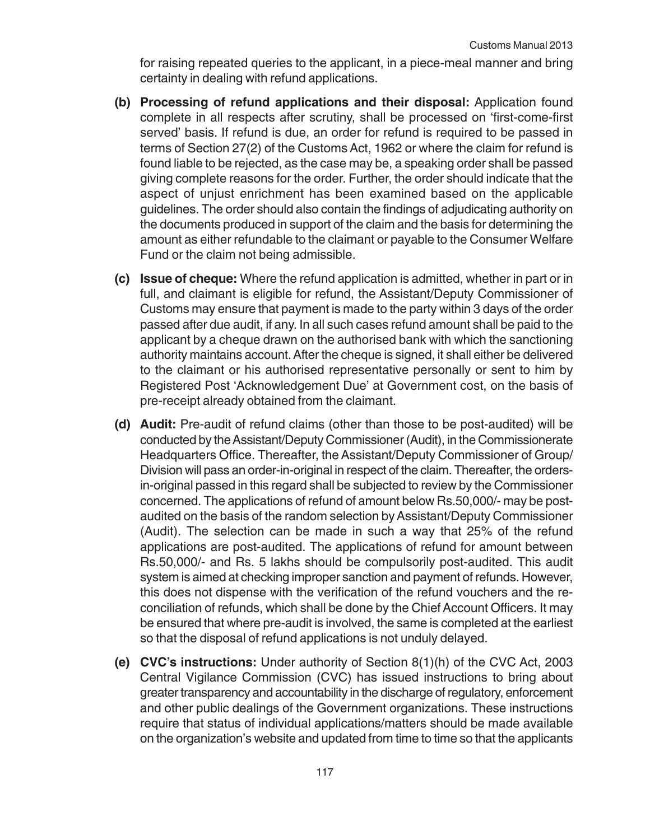for raising repeated queries to the applicant, in a piece-meal manner and bring certainty in dealing with refund applications.

- **(b) Processing of refund applications and their disposal:** Application found complete in all respects after scrutiny, shall be processed on 'first-come-first served' basis. If refund is due, an order for refund is required to be passed in terms of Section 27(2) of the Customs Act, 1962 or where the claim for refund is found liable to be rejected, as the case may be, a speaking order shall be passed giving complete reasons for the order. Further, the order should indicate that the aspect of unjust enrichment has been examined based on the applicable guidelines. The order should also contain the findings of adjudicating authority on the documents produced in support of the claim and the basis for determining the amount as either refundable to the claimant or payable to the Consumer Welfare Fund or the claim not being admissible.
- **(c) Issue of cheque:** Where the refund application is admitted, whether in part or in full, and claimant is eligible for refund, the Assistant/Deputy Commissioner of Customs may ensure that payment is made to the party within 3 days of the order passed after due audit, if any. In all such cases refund amount shall be paid to the applicant by a cheque drawn on the authorised bank with which the sanctioning authority maintains account. After the cheque is signed, it shall either be delivered to the claimant or his authorised representative personally or sent to him by Registered Post 'Acknowledgement Due' at Government cost, on the basis of pre-receipt already obtained from the claimant.
- **(d) Audit:** Pre-audit of refund claims (other than those to be post-audited) will be conducted by the Assistant/Deputy Commissioner (Audit), in the Commissionerate Headquarters Office. Thereafter, the Assistant/Deputy Commissioner of Group/ Division will pass an order-in-original in respect of the claim. Thereafter, the ordersin-original passed in this regard shall be subjected to review by the Commissioner concerned. The applications of refund of amount below Rs.50,000/- may be postaudited on the basis of the random selection by Assistant/Deputy Commissioner (Audit). The selection can be made in such a way that 25% of the refund applications are post-audited. The applications of refund for amount between Rs.50,000/- and Rs. 5 lakhs should be compulsorily post-audited. This audit system is aimed at checking improper sanction and payment of refunds. However, this does not dispense with the verification of the refund vouchers and the reconciliation of refunds, which shall be done by the Chief Account Officers. It may be ensured that where pre-audit is involved, the same is completed at the earliest so that the disposal of refund applications is not unduly delayed.
- **(e) CVC's instructions:** Under authority of Section 8(1)(h) of the CVC Act, 2003 Central Vigilance Commission (CVC) has issued instructions to bring about greater transparency and accountability in the discharge of regulatory, enforcement and other public dealings of the Government organizations. These instructions require that status of individual applications/matters should be made available on the organization's website and updated from time to time so that the applicants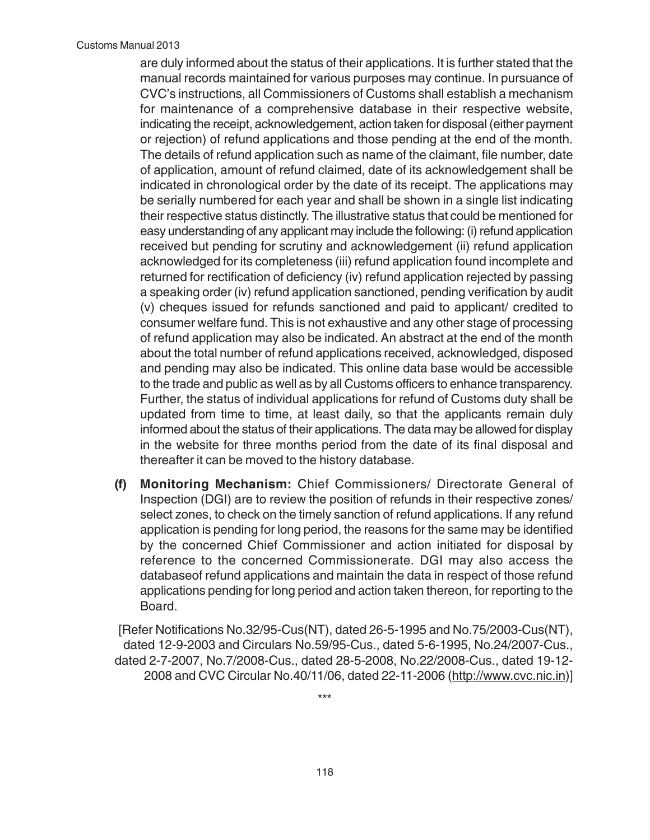are duly informed about the status of their applications. It is further stated that the manual records maintained for various purposes may continue. In pursuance of CVC's instructions, all Commissioners of Customs shall establish a mechanism for maintenance of a comprehensive database in their respective website, indicating the receipt, acknowledgement, action taken for disposal (either payment or rejection) of refund applications and those pending at the end of the month. The details of refund application such as name of the claimant, file number, date of application, amount of refund claimed, date of its acknowledgement shall be indicated in chronological order by the date of its receipt. The applications may be serially numbered for each year and shall be shown in a single list indicating their respective status distinctly. The illustrative status that could be mentioned for easy understanding of any applicant may include the following: (i) refund application received but pending for scrutiny and acknowledgement (ii) refund application acknowledged for its completeness (iii) refund application found incomplete and returned for rectification of deficiency (iv) refund application rejected by passing a speaking order (iv) refund application sanctioned, pending verification by audit (v) cheques issued for refunds sanctioned and paid to applicant/ credited to consumer welfare fund. This is not exhaustive and any other stage of processing of refund application may also be indicated. An abstract at the end of the month about the total number of refund applications received, acknowledged, disposed and pending may also be indicated. This online data base would be accessible to the trade and public as well as by all Customs officers to enhance transparency. Further, the status of individual applications for refund of Customs duty shall be updated from time to time, at least daily, so that the applicants remain duly informed about the status of their applications. The data may be allowed for display in the website for three months period from the date of its final disposal and thereafter it can be moved to the history database.

**(f) Monitoring Mechanism:** Chief Commissioners/ Directorate General of Inspection (DGI) are to review the position of refunds in their respective zones/ select zones, to check on the timely sanction of refund applications. If any refund application is pending for long period, the reasons for the same may be identified by the concerned Chief Commissioner and action initiated for disposal by reference to the concerned Commissionerate. DGI may also access the databaseof refund applications and maintain the data in respect of those refund applications pending for long period and action taken thereon, for reporting to the Board.

[Refer Notifications No.32/95-Cus(NT), dated 26-5-1995 and No.75/2003-Cus(NT), dated 12-9-2003 and Circulars No.59/95-Cus., dated 5-6-1995, No.24/2007-Cus., dated 2-7-2007, No.7/2008-Cus., dated 28-5-2008, No.22/2008-Cus., dated 19-12- 2008 and CVC Circular No.40/11/06, dated 22-11-2006 (http://www.cvc.nic.in)]

\*\*\*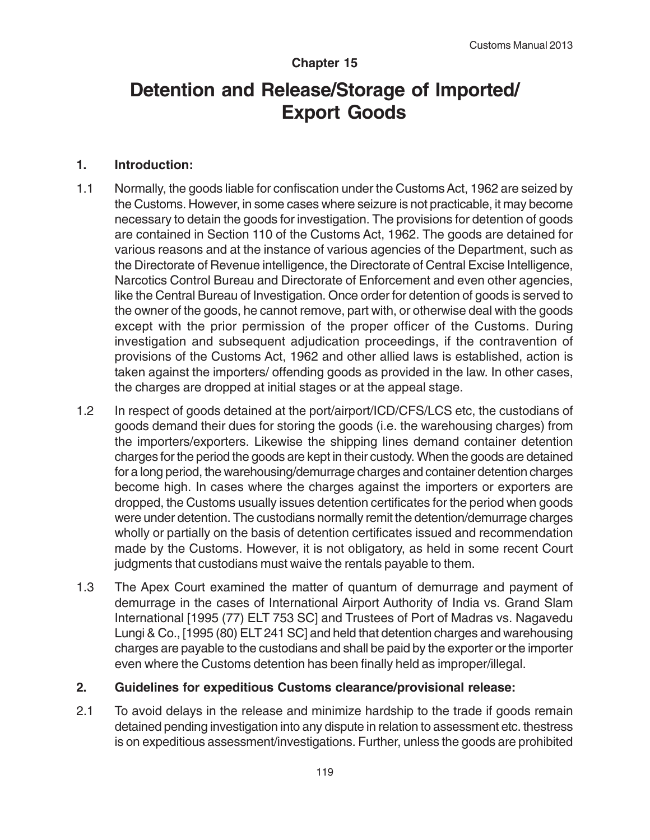## **Chapter 15**

# **Detention and Release/Storage of Imported/ Export Goods**

#### **1. Introduction:**

- 1.1 Normally, the goods liable for confiscation under the Customs Act, 1962 are seized by the Customs. However, in some cases where seizure is not practicable, it may become necessary to detain the goods for investigation. The provisions for detention of goods are contained in Section 110 of the Customs Act, 1962. The goods are detained for various reasons and at the instance of various agencies of the Department, such as the Directorate of Revenue intelligence, the Directorate of Central Excise Intelligence, Narcotics Control Bureau and Directorate of Enforcement and even other agencies, like the Central Bureau of Investigation. Once order for detention of goods is served to the owner of the goods, he cannot remove, part with, or otherwise deal with the goods except with the prior permission of the proper officer of the Customs. During investigation and subsequent adjudication proceedings, if the contravention of provisions of the Customs Act, 1962 and other allied laws is established, action is taken against the importers/ offending goods as provided in the law. In other cases, the charges are dropped at initial stages or at the appeal stage.
- 1.2 In respect of goods detained at the port/airport/ICD/CFS/LCS etc, the custodians of goods demand their dues for storing the goods (i.e. the warehousing charges) from the importers/exporters. Likewise the shipping lines demand container detention charges for the period the goods are kept in their custody. When the goods are detained for a long period, the warehousing/demurrage charges and container detention charges become high. In cases where the charges against the importers or exporters are dropped, the Customs usually issues detention certificates for the period when goods were under detention. The custodians normally remit the detention/demurrage charges wholly or partially on the basis of detention certificates issued and recommendation made by the Customs. However, it is not obligatory, as held in some recent Court judgments that custodians must waive the rentals payable to them.
- 1.3 The Apex Court examined the matter of quantum of demurrage and payment of demurrage in the cases of International Airport Authority of India vs. Grand Slam International [1995 (77) ELT 753 SC] and Trustees of Port of Madras vs. Nagavedu Lungi & Co., [1995 (80) ELT 241 SC] and held that detention charges and warehousing charges are payable to the custodians and shall be paid by the exporter or the importer even where the Customs detention has been finally held as improper/illegal.

#### **2. Guidelines for expeditious Customs clearance/provisional release:**

2.1 To avoid delays in the release and minimize hardship to the trade if goods remain detained pending investigation into any dispute in relation to assessment etc. thestress is on expeditious assessment/investigations. Further, unless the goods are prohibited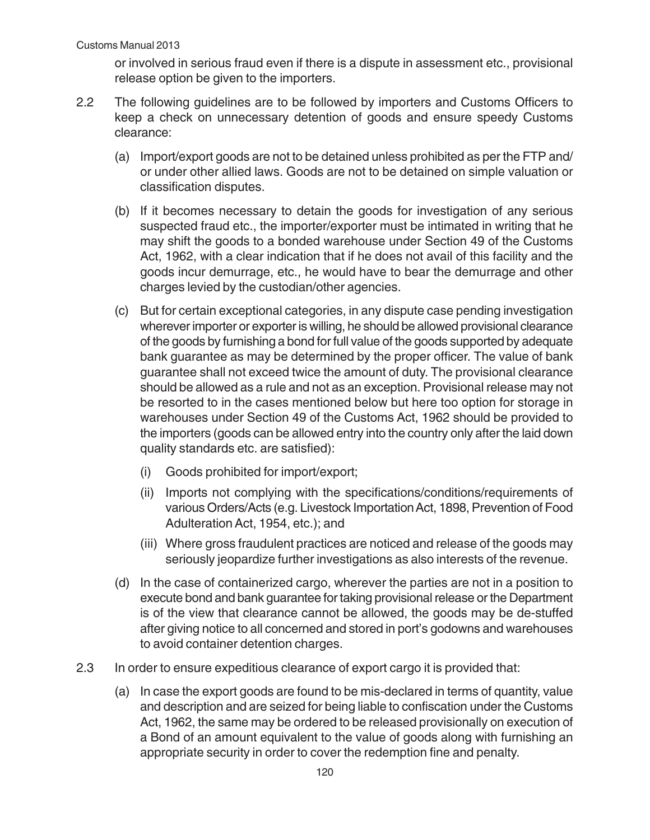or involved in serious fraud even if there is a dispute in assessment etc., provisional release option be given to the importers.

- 2.2 The following guidelines are to be followed by importers and Customs Officers to keep a check on unnecessary detention of goods and ensure speedy Customs clearance:
	- (a) Import/export goods are not to be detained unless prohibited as per the FTP and/ or under other allied laws. Goods are not to be detained on simple valuation or classification disputes.
	- (b) If it becomes necessary to detain the goods for investigation of any serious suspected fraud etc., the importer/exporter must be intimated in writing that he may shift the goods to a bonded warehouse under Section 49 of the Customs Act, 1962, with a clear indication that if he does not avail of this facility and the goods incur demurrage, etc., he would have to bear the demurrage and other charges levied by the custodian/other agencies.
	- (c) But for certain exceptional categories, in any dispute case pending investigation wherever importer or exporter is willing, he should be allowed provisional clearance of the goods by furnishing a bond for full value of the goods supported by adequate bank guarantee as may be determined by the proper officer. The value of bank guarantee shall not exceed twice the amount of duty. The provisional clearance should be allowed as a rule and not as an exception. Provisional release may not be resorted to in the cases mentioned below but here too option for storage in warehouses under Section 49 of the Customs Act, 1962 should be provided to the importers (goods can be allowed entry into the country only after the laid down quality standards etc. are satisfied):
		- (i) Goods prohibited for import/export;
		- (ii) Imports not complying with the specifications/conditions/requirements of various Orders/Acts (e.g. Livestock Importation Act, 1898, Prevention of Food Adulteration Act, 1954, etc.); and
		- (iii) Where gross fraudulent practices are noticed and release of the goods may seriously jeopardize further investigations as also interests of the revenue.
	- (d) In the case of containerized cargo, wherever the parties are not in a position to execute bond and bank guarantee for taking provisional release or the Department is of the view that clearance cannot be allowed, the goods may be de-stuffed after giving notice to all concerned and stored in port's godowns and warehouses to avoid container detention charges.
- 2.3 In order to ensure expeditious clearance of export cargo it is provided that:
	- (a) In case the export goods are found to be mis-declared in terms of quantity, value and description and are seized for being liable to confiscation under the Customs Act, 1962, the same may be ordered to be released provisionally on execution of a Bond of an amount equivalent to the value of goods along with furnishing an appropriate security in order to cover the redemption fine and penalty.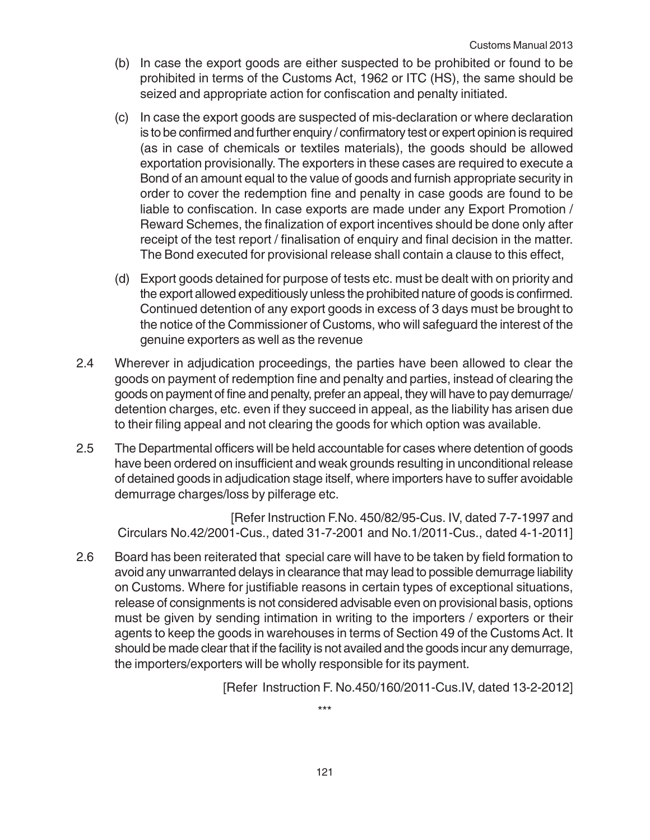- (b) In case the export goods are either suspected to be prohibited or found to be prohibited in terms of the Customs Act, 1962 or ITC (HS), the same should be seized and appropriate action for confiscation and penalty initiated.
- (c) In case the export goods are suspected of mis-declaration or where declaration is to be confirmed and further enquiry / confirmatory test or expert opinion is required (as in case of chemicals or textiles materials), the goods should be allowed exportation provisionally. The exporters in these cases are required to execute a Bond of an amount equal to the value of goods and furnish appropriate security in order to cover the redemption fine and penalty in case goods are found to be liable to confiscation. In case exports are made under any Export Promotion / Reward Schemes, the finalization of export incentives should be done only after receipt of the test report / finalisation of enquiry and final decision in the matter. The Bond executed for provisional release shall contain a clause to this effect,
- (d) Export goods detained for purpose of tests etc. must be dealt with on priority and the export allowed expeditiously unless the prohibited nature of goods is confirmed. Continued detention of any export goods in excess of 3 days must be brought to the notice of the Commissioner of Customs, who will safeguard the interest of the genuine exporters as well as the revenue
- 2.4 Wherever in adjudication proceedings, the parties have been allowed to clear the goods on payment of redemption fine and penalty and parties, instead of clearing the goods on payment of fine and penalty, prefer an appeal, they will have to pay demurrage/ detention charges, etc. even if they succeed in appeal, as the liability has arisen due to their filing appeal and not clearing the goods for which option was available.
- 2.5 The Departmental officers will be held accountable for cases where detention of goods have been ordered on insufficient and weak grounds resulting in unconditional release of detained goods in adjudication stage itself, where importers have to suffer avoidable demurrage charges/loss by pilferage etc.

[Refer Instruction F.No. 450/82/95-Cus. IV, dated 7-7-1997 and Circulars No.42/2001-Cus., dated 31-7-2001 and No.1/2011-Cus., dated 4-1-2011]

2.6 Board has been reiterated that special care will have to be taken by field formation to avoid any unwarranted delays in clearance that may lead to possible demurrage liability on Customs. Where for justifiable reasons in certain types of exceptional situations, release of consignments is not considered advisable even on provisional basis, options must be given by sending intimation in writing to the importers / exporters or their agents to keep the goods in warehouses in terms of Section 49 of the Customs Act. It should be made clear that if the facility is not availed and the goods incur any demurrage, the importers/exporters will be wholly responsible for its payment.

[Refer Instruction F. No.450/160/2011-Cus.IV, dated 13-2-2012]

\*\*\*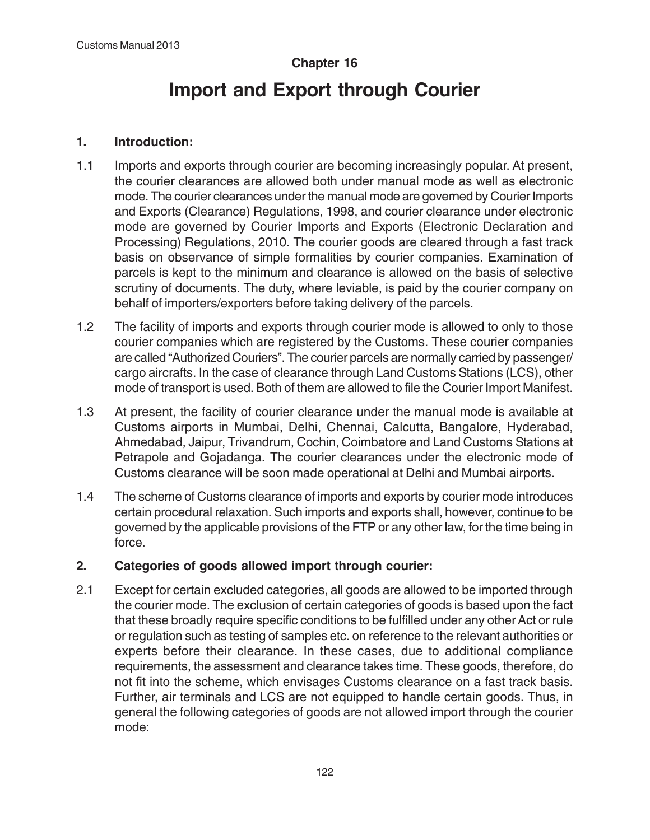# **Chapter 16**

# **Import and Export through Courier**

#### **1. Introduction:**

- 1.1 Imports and exports through courier are becoming increasingly popular. At present, the courier clearances are allowed both under manual mode as well as electronic mode. The courier clearances under the manual mode are governed by Courier Imports and Exports (Clearance) Regulations, 1998, and courier clearance under electronic mode are governed by Courier Imports and Exports (Electronic Declaration and Processing) Regulations, 2010. The courier goods are cleared through a fast track basis on observance of simple formalities by courier companies. Examination of parcels is kept to the minimum and clearance is allowed on the basis of selective scrutiny of documents. The duty, where leviable, is paid by the courier company on behalf of importers/exporters before taking delivery of the parcels.
- 1.2 The facility of imports and exports through courier mode is allowed to only to those courier companies which are registered by the Customs. These courier companies are called "Authorized Couriers". The courier parcels are normally carried by passenger/ cargo aircrafts. In the case of clearance through Land Customs Stations (LCS), other mode of transport is used. Both of them are allowed to file the Courier Import Manifest.
- 1.3 At present, the facility of courier clearance under the manual mode is available at Customs airports in Mumbai, Delhi, Chennai, Calcutta, Bangalore, Hyderabad, Ahmedabad, Jaipur, Trivandrum, Cochin, Coimbatore and Land Customs Stations at Petrapole and Gojadanga. The courier clearances under the electronic mode of Customs clearance will be soon made operational at Delhi and Mumbai airports.
- 1.4 The scheme of Customs clearance of imports and exports by courier mode introduces certain procedural relaxation. Such imports and exports shall, however, continue to be governed by the applicable provisions of the FTP or any other law, for the time being in force.

#### **2. Categories of goods allowed import through courier:**

2.1 Except for certain excluded categories, all goods are allowed to be imported through the courier mode. The exclusion of certain categories of goods is based upon the fact that these broadly require specific conditions to be fulfilled under any other Act or rule or regulation such as testing of samples etc. on reference to the relevant authorities or experts before their clearance. In these cases, due to additional compliance requirements, the assessment and clearance takes time. These goods, therefore, do not fit into the scheme, which envisages Customs clearance on a fast track basis. Further, air terminals and LCS are not equipped to handle certain goods. Thus, in general the following categories of goods are not allowed import through the courier mode: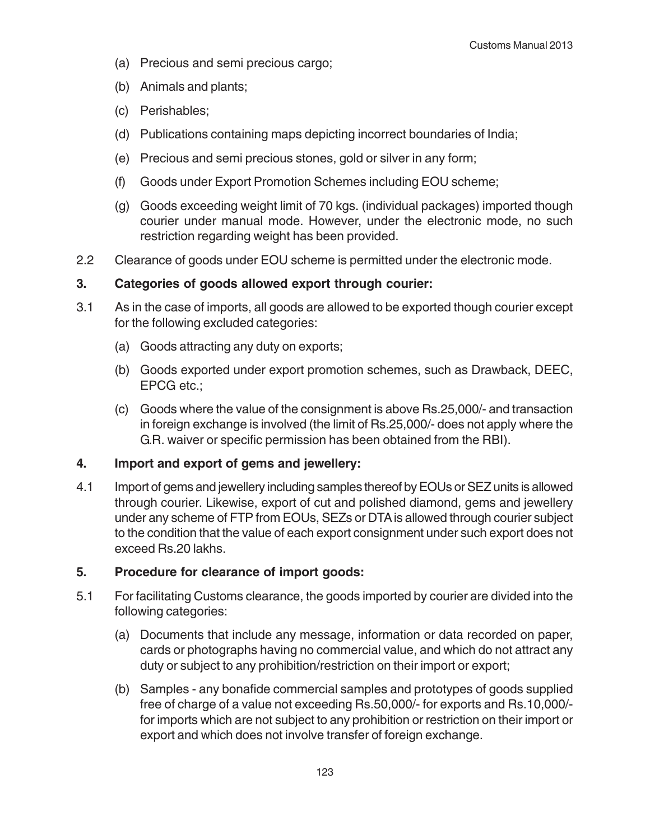- (a) Precious and semi precious cargo;
- (b) Animals and plants;
- (c) Perishables;
- (d) Publications containing maps depicting incorrect boundaries of India;
- (e) Precious and semi precious stones, gold or silver in any form;
- (f) Goods under Export Promotion Schemes including EOU scheme;
- (g) Goods exceeding weight limit of 70 kgs. (individual packages) imported though courier under manual mode. However, under the electronic mode, no such restriction regarding weight has been provided.
- 2.2 Clearance of goods under EOU scheme is permitted under the electronic mode.

#### **3. Categories of goods allowed export through courier:**

- 3.1 As in the case of imports, all goods are allowed to be exported though courier except for the following excluded categories:
	- (a) Goods attracting any duty on exports;
	- (b) Goods exported under export promotion schemes, such as Drawback, DEEC, EPCG etc.;
	- (c) Goods where the value of the consignment is above Rs.25,000/- and transaction in foreign exchange is involved (the limit of Rs.25,000/- does not apply where the G.R. waiver or specific permission has been obtained from the RBI).

#### **4. Import and export of gems and jewellery:**

4.1 Import of gems and jewellery including samples thereof by EOUs or SEZ units is allowed through courier. Likewise, export of cut and polished diamond, gems and jewellery under any scheme of FTP from EOUs, SEZs or DTA is allowed through courier subject to the condition that the value of each export consignment under such export does not exceed Rs.20 lakhs.

# **5. Procedure for clearance of import goods:**

- 5.1 For facilitating Customs clearance, the goods imported by courier are divided into the following categories:
	- (a) Documents that include any message, information or data recorded on paper, cards or photographs having no commercial value, and which do not attract any duty or subject to any prohibition/restriction on their import or export;
	- (b) Samples any bonafide commercial samples and prototypes of goods supplied free of charge of a value not exceeding Rs.50,000/- for exports and Rs.10,000/ for imports which are not subject to any prohibition or restriction on their import or export and which does not involve transfer of foreign exchange.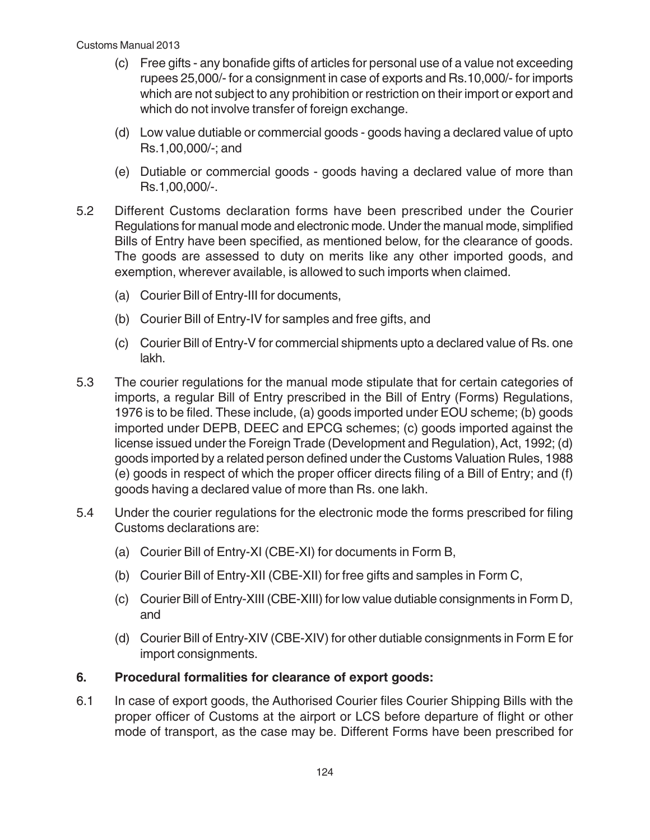- (c) Free gifts any bonafide gifts of articles for personal use of a value not exceeding rupees 25,000/- for a consignment in case of exports and Rs.10,000/- for imports which are not subject to any prohibition or restriction on their import or export and which do not involve transfer of foreign exchange.
- (d) Low value dutiable or commercial goods goods having a declared value of upto Rs.1,00,000/-; and
- (e) Dutiable or commercial goods goods having a declared value of more than Rs.1,00,000/-.
- 5.2 Different Customs declaration forms have been prescribed under the Courier Regulations for manual mode and electronic mode. Under the manual mode, simplified Bills of Entry have been specified, as mentioned below, for the clearance of goods. The goods are assessed to duty on merits like any other imported goods, and exemption, wherever available, is allowed to such imports when claimed.
	- (a) Courier Bill of Entry-III for documents,
	- (b) Courier Bill of Entry-IV for samples and free gifts, and
	- (c) Courier Bill of Entry-V for commercial shipments upto a declared value of Rs. one lakh.
- 5.3 The courier regulations for the manual mode stipulate that for certain categories of imports, a regular Bill of Entry prescribed in the Bill of Entry (Forms) Regulations, 1976 is to be filed. These include, (a) goods imported under EOU scheme; (b) goods imported under DEPB, DEEC and EPCG schemes; (c) goods imported against the license issued under the Foreign Trade (Development and Regulation), Act, 1992; (d) goods imported by a related person defined under the Customs Valuation Rules, 1988 (e) goods in respect of which the proper officer directs filing of a Bill of Entry; and (f) goods having a declared value of more than Rs. one lakh.
- 5.4 Under the courier regulations for the electronic mode the forms prescribed for filing Customs declarations are:
	- (a) Courier Bill of Entry-XI (CBE-XI) for documents in Form B,
	- (b) Courier Bill of Entry-XII (CBE-XII) for free gifts and samples in Form C,
	- (c) Courier Bill of Entry-XIII (CBE-XIII) for low value dutiable consignments in Form D, and
	- (d) Courier Bill of Entry-XIV (CBE-XIV) for other dutiable consignments in Form E for import consignments.

#### **6. Procedural formalities for clearance of export goods:**

6.1 In case of export goods, the Authorised Courier files Courier Shipping Bills with the proper officer of Customs at the airport or LCS before departure of flight or other mode of transport, as the case may be. Different Forms have been prescribed for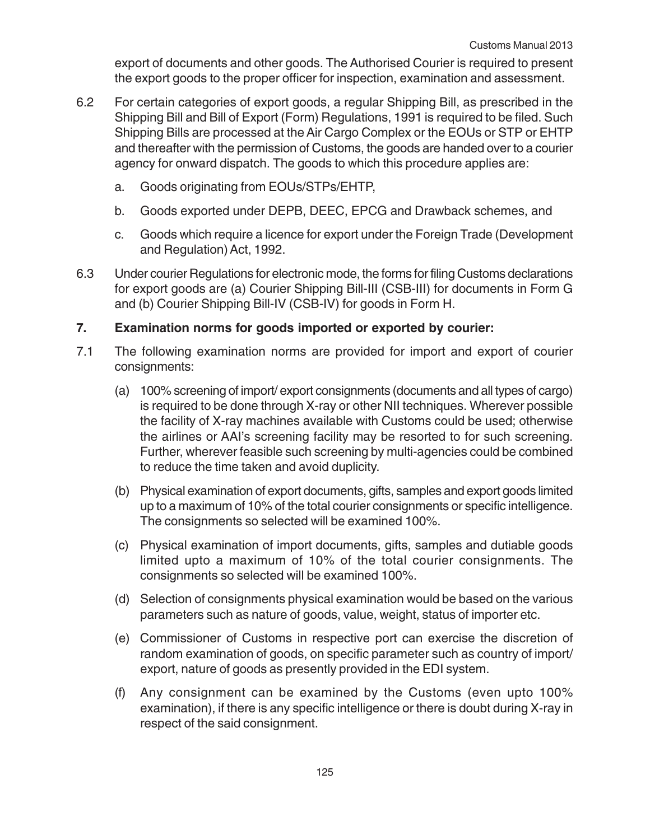export of documents and other goods. The Authorised Courier is required to present the export goods to the proper officer for inspection, examination and assessment.

- 6.2 For certain categories of export goods, a regular Shipping Bill, as prescribed in the Shipping Bill and Bill of Export (Form) Regulations, 1991 is required to be filed. Such Shipping Bills are processed at the Air Cargo Complex or the EOUs or STP or EHTP and thereafter with the permission of Customs, the goods are handed over to a courier agency for onward dispatch. The goods to which this procedure applies are:
	- a. Goods originating from EOUs/STPs/EHTP,
	- b. Goods exported under DEPB, DEEC, EPCG and Drawback schemes, and
	- c. Goods which require a licence for export under the Foreign Trade (Development and Regulation) Act, 1992.
- 6.3 Under courier Regulations for electronic mode, the forms for filing Customs declarations for export goods are (a) Courier Shipping Bill-III (CSB-III) for documents in Form G and (b) Courier Shipping Bill-IV (CSB-IV) for goods in Form H.

### **7. Examination norms for goods imported or exported by courier:**

- 7.1 The following examination norms are provided for import and export of courier consignments:
	- (a) 100% screening of import/ export consignments (documents and all types of cargo) is required to be done through X-ray or other NII techniques. Wherever possible the facility of X-ray machines available with Customs could be used; otherwise the airlines or AAI's screening facility may be resorted to for such screening. Further, wherever feasible such screening by multi-agencies could be combined to reduce the time taken and avoid duplicity.
	- (b) Physical examination of export documents, gifts, samples and export goods limited up to a maximum of 10% of the total courier consignments or specific intelligence. The consignments so selected will be examined 100%.
	- (c) Physical examination of import documents, gifts, samples and dutiable goods limited upto a maximum of 10% of the total courier consignments. The consignments so selected will be examined 100%.
	- (d) Selection of consignments physical examination would be based on the various parameters such as nature of goods, value, weight, status of importer etc.
	- (e) Commissioner of Customs in respective port can exercise the discretion of random examination of goods, on specific parameter such as country of import/ export, nature of goods as presently provided in the EDI system.
	- (f) Any consignment can be examined by the Customs (even upto 100% examination), if there is any specific intelligence or there is doubt during X-ray in respect of the said consignment.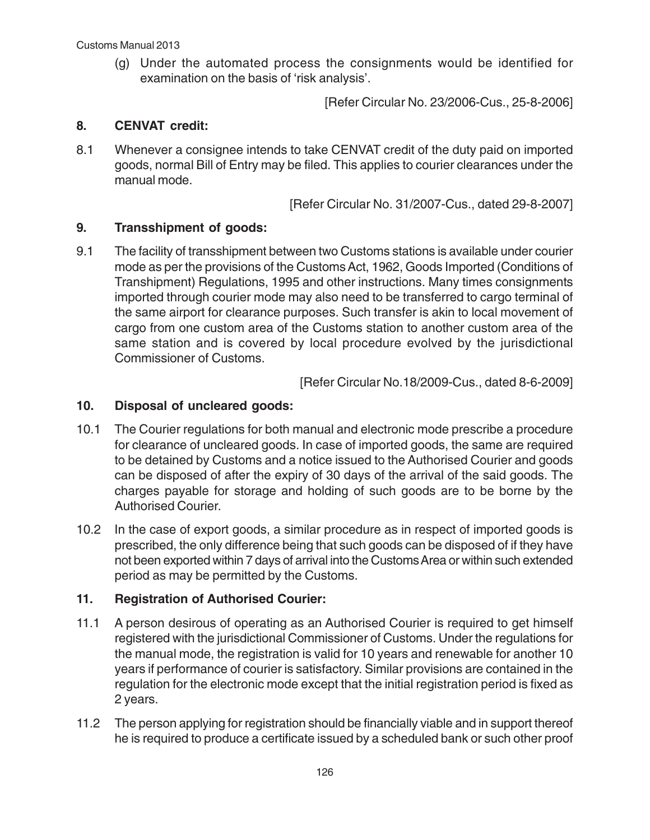(g) Under the automated process the consignments would be identified for examination on the basis of 'risk analysis'.

[Refer Circular No. 23/2006-Cus., 25-8-2006]

### **8. CENVAT credit:**

8.1 Whenever a consignee intends to take CENVAT credit of the duty paid on imported goods, normal Bill of Entry may be filed. This applies to courier clearances under the manual mode.

[Refer Circular No. 31/2007-Cus., dated 29-8-2007]

### **9. Transshipment of goods:**

9.1 The facility of transshipment between two Customs stations is available under courier mode as per the provisions of the Customs Act, 1962, Goods Imported (Conditions of Transhipment) Regulations, 1995 and other instructions. Many times consignments imported through courier mode may also need to be transferred to cargo terminal of the same airport for clearance purposes. Such transfer is akin to local movement of cargo from one custom area of the Customs station to another custom area of the same station and is covered by local procedure evolved by the jurisdictional Commissioner of Customs.

[Refer Circular No.18/2009-Cus., dated 8-6-2009]

### **10. Disposal of uncleared goods:**

- 10.1 The Courier regulations for both manual and electronic mode prescribe a procedure for clearance of uncleared goods. In case of imported goods, the same are required to be detained by Customs and a notice issued to the Authorised Courier and goods can be disposed of after the expiry of 30 days of the arrival of the said goods. The charges payable for storage and holding of such goods are to be borne by the Authorised Courier.
- 10.2 In the case of export goods, a similar procedure as in respect of imported goods is prescribed, the only difference being that such goods can be disposed of if they have not been exported within 7 days of arrival into the Customs Area or within such extended period as may be permitted by the Customs.

# **11. Registration of Authorised Courier:**

- 11.1 A person desirous of operating as an Authorised Courier is required to get himself registered with the jurisdictional Commissioner of Customs. Under the regulations for the manual mode, the registration is valid for 10 years and renewable for another 10 years if performance of courier is satisfactory. Similar provisions are contained in the regulation for the electronic mode except that the initial registration period is fixed as 2 years.
- 11.2 The person applying for registration should be financially viable and in support thereof he is required to produce a certificate issued by a scheduled bank or such other proof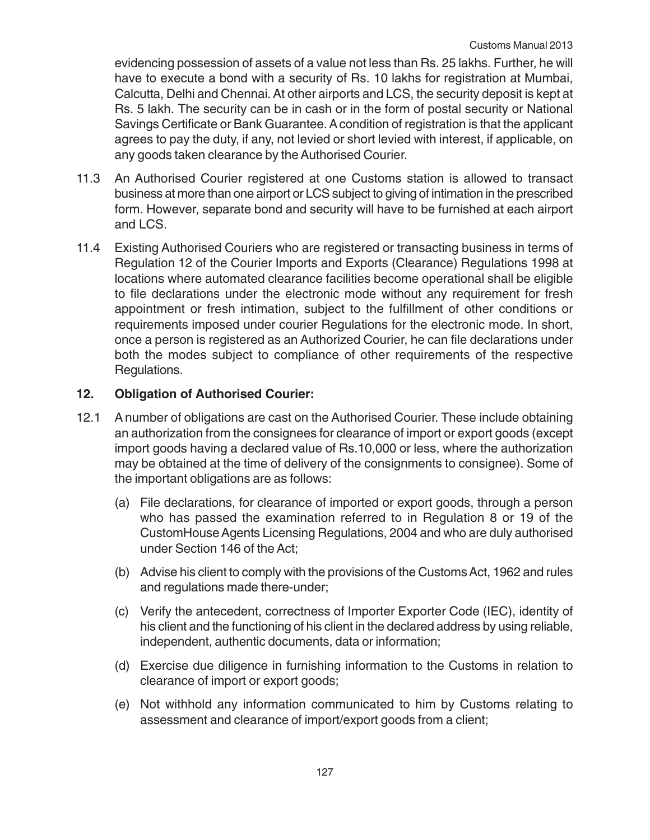evidencing possession of assets of a value not less than Rs. 25 lakhs. Further, he will have to execute a bond with a security of Rs. 10 lakhs for registration at Mumbai, Calcutta, Delhi and Chennai. At other airports and LCS, the security deposit is kept at Rs. 5 lakh. The security can be in cash or in the form of postal security or National Savings Certificate or Bank Guarantee. A condition of registration is that the applicant agrees to pay the duty, if any, not levied or short levied with interest, if applicable, on any goods taken clearance by the Authorised Courier.

- 11.3 An Authorised Courier registered at one Customs station is allowed to transact business at more than one airport or LCS subject to giving of intimation in the prescribed form. However, separate bond and security will have to be furnished at each airport and LCS.
- 11.4 Existing Authorised Couriers who are registered or transacting business in terms of Regulation 12 of the Courier Imports and Exports (Clearance) Regulations 1998 at locations where automated clearance facilities become operational shall be eligible to file declarations under the electronic mode without any requirement for fresh appointment or fresh intimation, subject to the fulfillment of other conditions or requirements imposed under courier Regulations for the electronic mode. In short, once a person is registered as an Authorized Courier, he can file declarations under both the modes subject to compliance of other requirements of the respective Regulations.

### **12. Obligation of Authorised Courier:**

- 12.1 A number of obligations are cast on the Authorised Courier. These include obtaining an authorization from the consignees for clearance of import or export goods (except import goods having a declared value of Rs.10,000 or less, where the authorization may be obtained at the time of delivery of the consignments to consignee). Some of the important obligations are as follows:
	- (a) File declarations, for clearance of imported or export goods, through a person who has passed the examination referred to in Regulation 8 or 19 of the CustomHouse Agents Licensing Regulations, 2004 and who are duly authorised under Section 146 of the Act;
	- (b) Advise his client to comply with the provisions of the Customs Act, 1962 and rules and regulations made there-under;
	- (c) Verify the antecedent, correctness of Importer Exporter Code (IEC), identity of his client and the functioning of his client in the declared address by using reliable, independent, authentic documents, data or information;
	- (d) Exercise due diligence in furnishing information to the Customs in relation to clearance of import or export goods;
	- (e) Not withhold any information communicated to him by Customs relating to assessment and clearance of import/export goods from a client;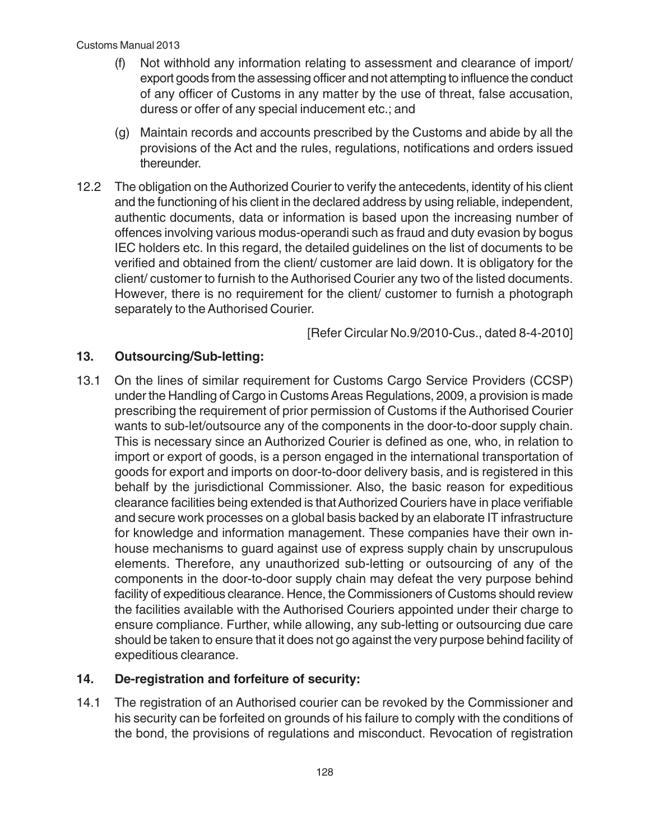- (f) Not withhold any information relating to assessment and clearance of import/ export goods from the assessing officer and not attempting to influence the conduct of any officer of Customs in any matter by the use of threat, false accusation, duress or offer of any special inducement etc.; and
- (g) Maintain records and accounts prescribed by the Customs and abide by all the provisions of the Act and the rules, regulations, notifications and orders issued thereunder.
- 12.2 The obligation on the Authorized Courier to verify the antecedents, identity of his client and the functioning of his client in the declared address by using reliable, independent, authentic documents, data or information is based upon the increasing number of offences involving various modus-operandi such as fraud and duty evasion by bogus IEC holders etc. In this regard, the detailed guidelines on the list of documents to be verified and obtained from the client/ customer are laid down. It is obligatory for the client/ customer to furnish to the Authorised Courier any two of the listed documents. However, there is no requirement for the client/ customer to furnish a photograph separately to the Authorised Courier.

[Refer Circular No.9/2010-Cus., dated 8-4-2010]

# **13. Outsourcing/Sub-letting:**

13.1 On the lines of similar requirement for Customs Cargo Service Providers (CCSP) under the Handling of Cargo in Customs Areas Regulations, 2009, a provision is made prescribing the requirement of prior permission of Customs if the Authorised Courier wants to sub-let/outsource any of the components in the door-to-door supply chain. This is necessary since an Authorized Courier is defined as one, who, in relation to import or export of goods, is a person engaged in the international transportation of goods for export and imports on door-to-door delivery basis, and is registered in this behalf by the jurisdictional Commissioner. Also, the basic reason for expeditious clearance facilities being extended is that Authorized Couriers have in place verifiable and secure work processes on a global basis backed by an elaborate IT infrastructure for knowledge and information management. These companies have their own inhouse mechanisms to guard against use of express supply chain by unscrupulous elements. Therefore, any unauthorized sub-letting or outsourcing of any of the components in the door-to-door supply chain may defeat the very purpose behind facility of expeditious clearance. Hence, the Commissioners of Customs should review the facilities available with the Authorised Couriers appointed under their charge to ensure compliance. Further, while allowing, any sub-letting or outsourcing due care should be taken to ensure that it does not go against the very purpose behind facility of expeditious clearance.

# **14. De-registration and forfeiture of security:**

14.1 The registration of an Authorised courier can be revoked by the Commissioner and his security can be forfeited on grounds of his failure to comply with the conditions of the bond, the provisions of regulations and misconduct. Revocation of registration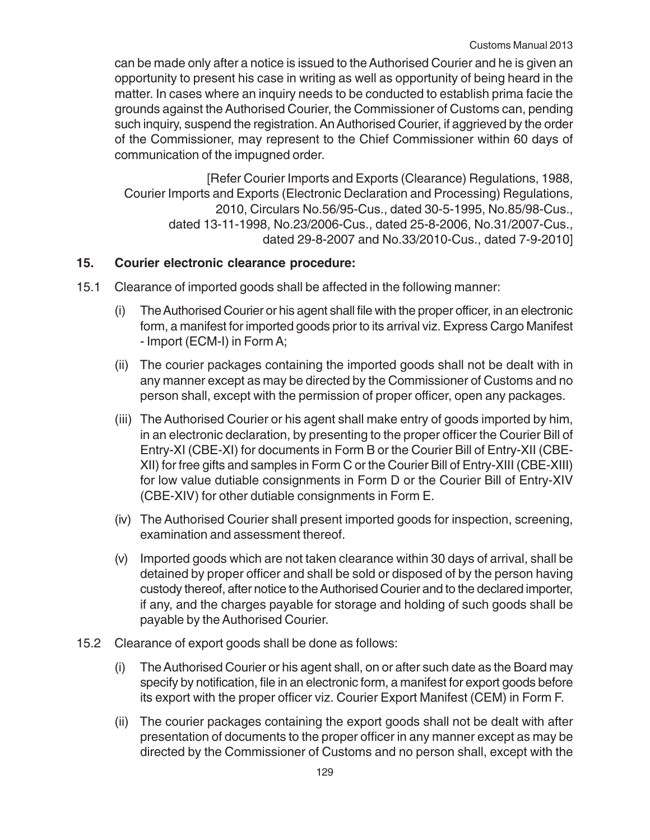can be made only after a notice is issued to the Authorised Courier and he is given an opportunity to present his case in writing as well as opportunity of being heard in the matter. In cases where an inquiry needs to be conducted to establish prima facie the grounds against the Authorised Courier, the Commissioner of Customs can, pending such inquiry, suspend the registration. An Authorised Courier, if aggrieved by the order of the Commissioner, may represent to the Chief Commissioner within 60 days of communication of the impugned order.

[Refer Courier Imports and Exports (Clearance) Regulations, 1988, Courier Imports and Exports (Electronic Declaration and Processing) Regulations, 2010, Circulars No.56/95-Cus., dated 30-5-1995, No.85/98-Cus., dated 13-11-1998, No.23/2006-Cus., dated 25-8-2006, No.31/2007-Cus., dated 29-8-2007 and No.33/2010-Cus., dated 7-9-2010]

# **15. Courier electronic clearance procedure:**

- 15.1 Clearance of imported goods shall be affected in the following manner:
	- (i) The Authorised Courier or his agent shall file with the proper officer, in an electronic form, a manifest for imported goods prior to its arrival viz. Express Cargo Manifest - Import (ECM-I) in Form A;
	- (ii) The courier packages containing the imported goods shall not be dealt with in any manner except as may be directed by the Commissioner of Customs and no person shall, except with the permission of proper officer, open any packages.
	- (iii) The Authorised Courier or his agent shall make entry of goods imported by him, in an electronic declaration, by presenting to the proper officer the Courier Bill of Entry-XI (CBE-XI) for documents in Form B or the Courier Bill of Entry-XII (CBE-XII) for free gifts and samples in Form C or the Courier Bill of Entry-XIII (CBE-XIII) for low value dutiable consignments in Form D or the Courier Bill of Entry-XIV (CBE-XIV) for other dutiable consignments in Form E.
	- (iv) The Authorised Courier shall present imported goods for inspection, screening, examination and assessment thereof.
	- (v) Imported goods which are not taken clearance within 30 days of arrival, shall be detained by proper officer and shall be sold or disposed of by the person having custody thereof, after notice to the Authorised Courier and to the declared importer, if any, and the charges payable for storage and holding of such goods shall be payable by the Authorised Courier.
- 15.2 Clearance of export goods shall be done as follows:
	- (i) The Authorised Courier or his agent shall, on or after such date as the Board may specify by notification, file in an electronic form, a manifest for export goods before its export with the proper officer viz. Courier Export Manifest (CEM) in Form F.
	- (ii) The courier packages containing the export goods shall not be dealt with after presentation of documents to the proper officer in any manner except as may be directed by the Commissioner of Customs and no person shall, except with the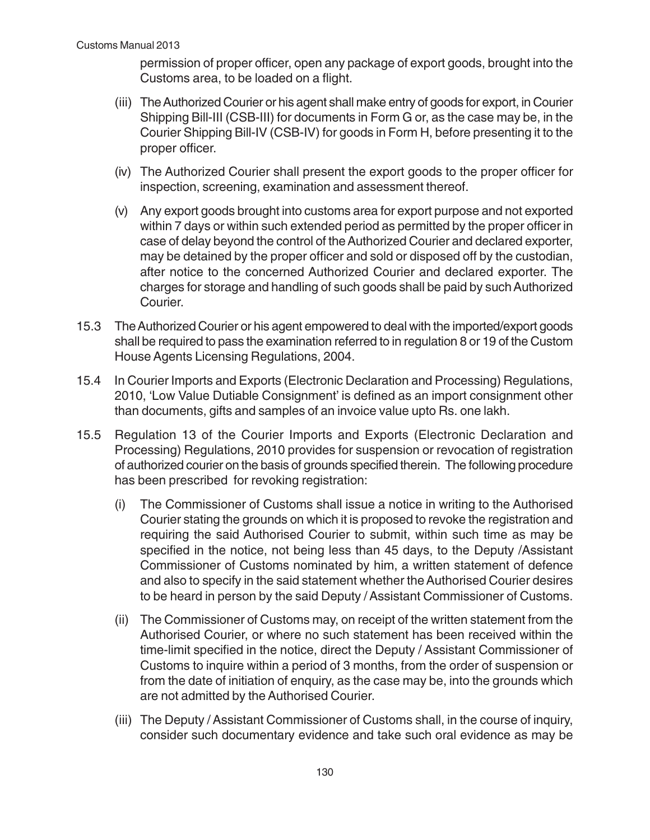permission of proper officer, open any package of export goods, brought into the Customs area, to be loaded on a flight.

- (iii) The Authorized Courier or his agent shall make entry of goods for export, in Courier Shipping Bill-III (CSB-III) for documents in Form G or, as the case may be, in the Courier Shipping Bill-IV (CSB-IV) for goods in Form H, before presenting it to the proper officer.
- (iv) The Authorized Courier shall present the export goods to the proper officer for inspection, screening, examination and assessment thereof.
- (v) Any export goods brought into customs area for export purpose and not exported within 7 days or within such extended period as permitted by the proper officer in case of delay beyond the control of the Authorized Courier and declared exporter, may be detained by the proper officer and sold or disposed off by the custodian, after notice to the concerned Authorized Courier and declared exporter. The charges for storage and handling of such goods shall be paid by such Authorized Courier.
- 15.3 The Authorized Courier or his agent empowered to deal with the imported/export goods shall be required to pass the examination referred to in regulation 8 or 19 of the Custom House Agents Licensing Regulations, 2004.
- 15.4 In Courier Imports and Exports (Electronic Declaration and Processing) Regulations, 2010, 'Low Value Dutiable Consignment' is defined as an import consignment other than documents, gifts and samples of an invoice value upto Rs. one lakh.
- 15.5 Regulation 13 of the Courier Imports and Exports (Electronic Declaration and Processing) Regulations, 2010 provides for suspension or revocation of registration of authorized courier on the basis of grounds specified therein. The following procedure has been prescribed for revoking registration:
	- (i) The Commissioner of Customs shall issue a notice in writing to the Authorised Courier stating the grounds on which it is proposed to revoke the registration and requiring the said Authorised Courier to submit, within such time as may be specified in the notice, not being less than 45 days, to the Deputy /Assistant Commissioner of Customs nominated by him, a written statement of defence and also to specify in the said statement whether the Authorised Courier desires to be heard in person by the said Deputy / Assistant Commissioner of Customs.
	- (ii) The Commissioner of Customs may, on receipt of the written statement from the Authorised Courier, or where no such statement has been received within the time-limit specified in the notice, direct the Deputy / Assistant Commissioner of Customs to inquire within a period of 3 months, from the order of suspension or from the date of initiation of enquiry, as the case may be, into the grounds which are not admitted by the Authorised Courier.
	- (iii) The Deputy / Assistant Commissioner of Customs shall, in the course of inquiry, consider such documentary evidence and take such oral evidence as may be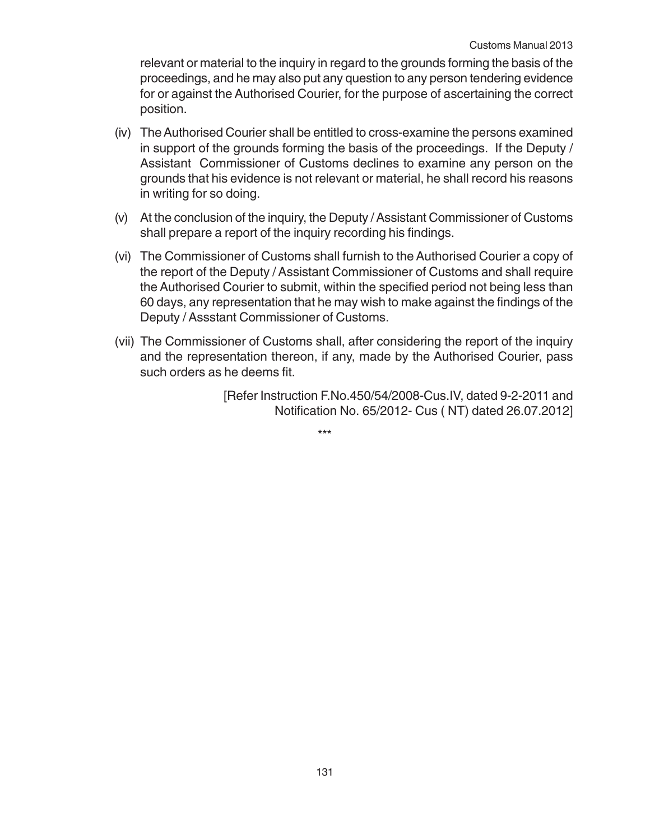relevant or material to the inquiry in regard to the grounds forming the basis of the proceedings, and he may also put any question to any person tendering evidence for or against the Authorised Courier, for the purpose of ascertaining the correct position.

- (iv) The Authorised Courier shall be entitled to cross-examine the persons examined in support of the grounds forming the basis of the proceedings. If the Deputy / Assistant Commissioner of Customs declines to examine any person on the grounds that his evidence is not relevant or material, he shall record his reasons in writing for so doing.
- (v) At the conclusion of the inquiry, the Deputy / Assistant Commissioner of Customs shall prepare a report of the inquiry recording his findings.
- (vi) The Commissioner of Customs shall furnish to the Authorised Courier a copy of the report of the Deputy / Assistant Commissioner of Customs and shall require the Authorised Courier to submit, within the specified period not being less than 60 days, any representation that he may wish to make against the findings of the Deputy / Assstant Commissioner of Customs.
- (vii) The Commissioner of Customs shall, after considering the report of the inquiry and the representation thereon, if any, made by the Authorised Courier, pass such orders as he deems fit.

[Refer Instruction F.No.450/54/2008-Cus.IV, dated 9-2-2011 and Notification No. 65/2012- Cus ( NT) dated 26.07.2012]

\*\*\*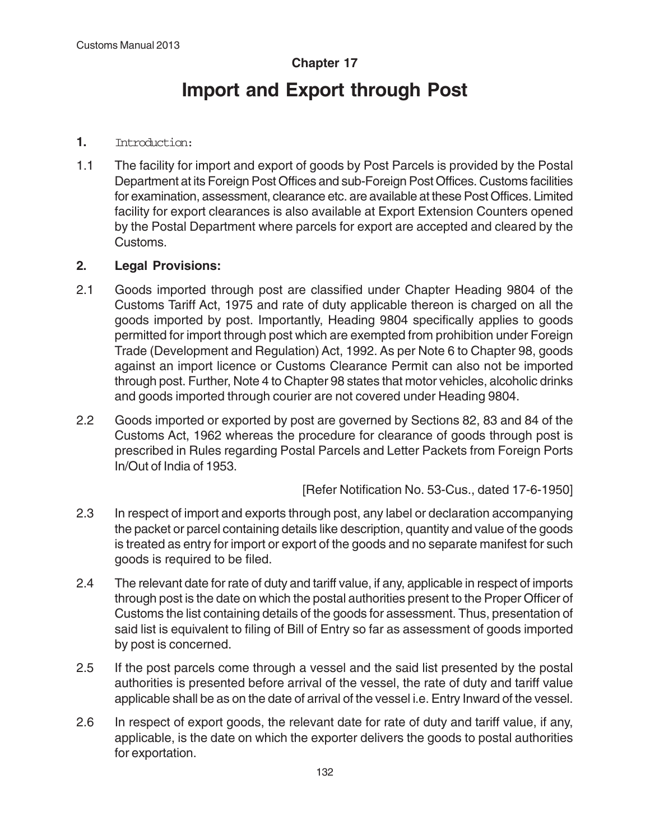# **Chapter 17 Import and Export through Post**

### **1.** Introduction:

1.1 The facility for import and export of goods by Post Parcels is provided by the Postal Department at its Foreign Post Offices and sub-Foreign Post Offices. Customs facilities for examination, assessment, clearance etc. are available at these Post Offices. Limited facility for export clearances is also available at Export Extension Counters opened by the Postal Department where parcels for export are accepted and cleared by the Customs.

# **2. Legal Provisions:**

- 2.1 Goods imported through post are classified under Chapter Heading 9804 of the Customs Tariff Act, 1975 and rate of duty applicable thereon is charged on all the goods imported by post. Importantly, Heading 9804 specifically applies to goods permitted for import through post which are exempted from prohibition under Foreign Trade (Development and Regulation) Act, 1992. As per Note 6 to Chapter 98, goods against an import licence or Customs Clearance Permit can also not be imported through post. Further, Note 4 to Chapter 98 states that motor vehicles, alcoholic drinks and goods imported through courier are not covered under Heading 9804.
- 2.2 Goods imported or exported by post are governed by Sections 82, 83 and 84 of the Customs Act, 1962 whereas the procedure for clearance of goods through post is prescribed in Rules regarding Postal Parcels and Letter Packets from Foreign Ports In/Out of India of 1953.

[Refer Notification No. 53-Cus., dated 17-6-1950]

- 2.3 In respect of import and exports through post, any label or declaration accompanying the packet or parcel containing details like description, quantity and value of the goods is treated as entry for import or export of the goods and no separate manifest for such goods is required to be filed.
- 2.4 The relevant date for rate of duty and tariff value, if any, applicable in respect of imports through post is the date on which the postal authorities present to the Proper Officer of Customs the list containing details of the goods for assessment. Thus, presentation of said list is equivalent to filing of Bill of Entry so far as assessment of goods imported by post is concerned.
- 2.5 If the post parcels come through a vessel and the said list presented by the postal authorities is presented before arrival of the vessel, the rate of duty and tariff value applicable shall be as on the date of arrival of the vessel i.e. Entry Inward of the vessel.
- 2.6 In respect of export goods, the relevant date for rate of duty and tariff value, if any, applicable, is the date on which the exporter delivers the goods to postal authorities for exportation.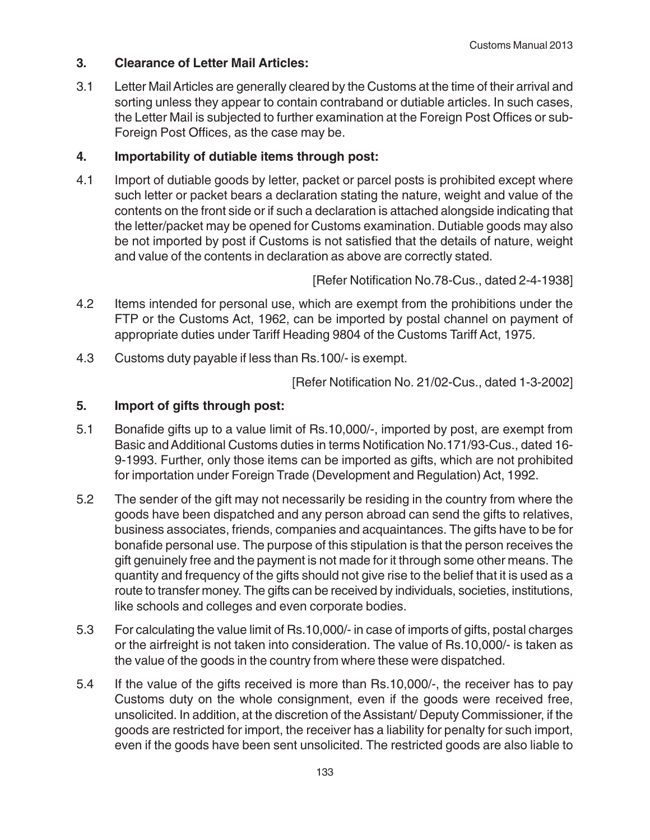## **3. Clearance of Letter Mail Articles:**

3.1 Letter Mail Articles are generally cleared by the Customs at the time of their arrival and sorting unless they appear to contain contraband or dutiable articles. In such cases, the Letter Mail is subjected to further examination at the Foreign Post Offices or sub-Foreign Post Offices, as the case may be.

# **4. Importability of dutiable items through post:**

4.1 Import of dutiable goods by letter, packet or parcel posts is prohibited except where such letter or packet bears a declaration stating the nature, weight and value of the contents on the front side or if such a declaration is attached alongside indicating that the letter/packet may be opened for Customs examination. Dutiable goods may also be not imported by post if Customs is not satisfied that the details of nature, weight and value of the contents in declaration as above are correctly stated.

[Refer Notification No.78-Cus., dated 2-4-1938]

- 4.2 Items intended for personal use, which are exempt from the prohibitions under the FTP or the Customs Act, 1962, can be imported by postal channel on payment of appropriate duties under Tariff Heading 9804 of the Customs Tariff Act, 1975.
- 4.3 Customs duty payable if less than Rs.100/- is exempt.

[Refer Notification No. 21/02-Cus., dated 1-3-2002]

## **5. Import of gifts through post:**

- 5.1 Bonafide gifts up to a value limit of Rs.10,000/-, imported by post, are exempt from Basic and Additional Customs duties in terms Notification No.171/93-Cus., dated 16- 9-1993. Further, only those items can be imported as gifts, which are not prohibited for importation under Foreign Trade (Development and Regulation) Act, 1992.
- 5.2 The sender of the gift may not necessarily be residing in the country from where the goods have been dispatched and any person abroad can send the gifts to relatives, business associates, friends, companies and acquaintances. The gifts have to be for bonafide personal use. The purpose of this stipulation is that the person receives the gift genuinely free and the payment is not made for it through some other means. The quantity and frequency of the gifts should not give rise to the belief that it is used as a route to transfer money. The gifts can be received by individuals, societies, institutions, like schools and colleges and even corporate bodies.
- 5.3 For calculating the value limit of Rs.10,000/- in case of imports of gifts, postal charges or the airfreight is not taken into consideration. The value of Rs.10,000/- is taken as the value of the goods in the country from where these were dispatched.
- 5.4 If the value of the gifts received is more than Rs.10,000/-, the receiver has to pay Customs duty on the whole consignment, even if the goods were received free, unsolicited. In addition, at the discretion of the Assistant/ Deputy Commissioner, if the goods are restricted for import, the receiver has a liability for penalty for such import, even if the goods have been sent unsolicited. The restricted goods are also liable to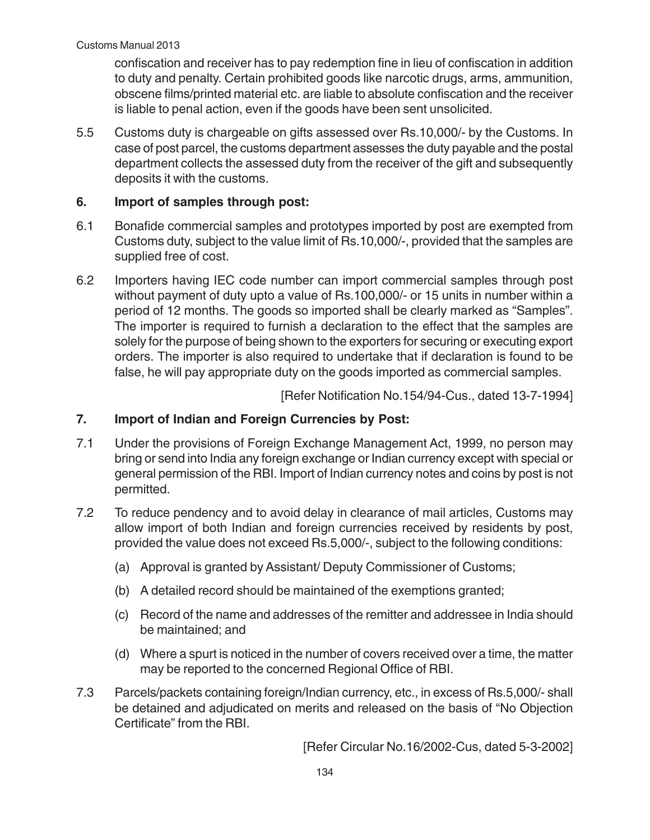confiscation and receiver has to pay redemption fine in lieu of confiscation in addition to duty and penalty. Certain prohibited goods like narcotic drugs, arms, ammunition, obscene films/printed material etc. are liable to absolute confiscation and the receiver is liable to penal action, even if the goods have been sent unsolicited.

5.5 Customs duty is chargeable on gifts assessed over Rs.10,000/- by the Customs. In case of post parcel, the customs department assesses the duty payable and the postal department collects the assessed duty from the receiver of the gift and subsequently deposits it with the customs.

# **6. Import of samples through post:**

- 6.1 Bonafide commercial samples and prototypes imported by post are exempted from Customs duty, subject to the value limit of Rs.10,000/-, provided that the samples are supplied free of cost.
- 6.2 Importers having IEC code number can import commercial samples through post without payment of duty upto a value of Rs.100,000/- or 15 units in number within a period of 12 months. The goods so imported shall be clearly marked as "Samples". The importer is required to furnish a declaration to the effect that the samples are solely for the purpose of being shown to the exporters for securing or executing export orders. The importer is also required to undertake that if declaration is found to be false, he will pay appropriate duty on the goods imported as commercial samples.

[Refer Notification No.154/94-Cus., dated 13-7-1994]

# **7. Import of Indian and Foreign Currencies by Post:**

- 7.1 Under the provisions of Foreign Exchange Management Act, 1999, no person may bring or send into India any foreign exchange or Indian currency except with special or general permission of the RBI. Import of Indian currency notes and coins by post is not permitted.
- 7.2 To reduce pendency and to avoid delay in clearance of mail articles, Customs may allow import of both Indian and foreign currencies received by residents by post, provided the value does not exceed Rs.5,000/-, subject to the following conditions:
	- (a) Approval is granted by Assistant/ Deputy Commissioner of Customs;
	- (b) A detailed record should be maintained of the exemptions granted;
	- (c) Record of the name and addresses of the remitter and addressee in India should be maintained; and
	- (d) Where a spurt is noticed in the number of covers received over a time, the matter may be reported to the concerned Regional Office of RBI.
- 7.3 Parcels/packets containing foreign/Indian currency, etc., in excess of Rs.5,000/- shall be detained and adjudicated on merits and released on the basis of "No Objection Certificate" from the RBI.

[Refer Circular No.16/2002-Cus, dated 5-3-2002]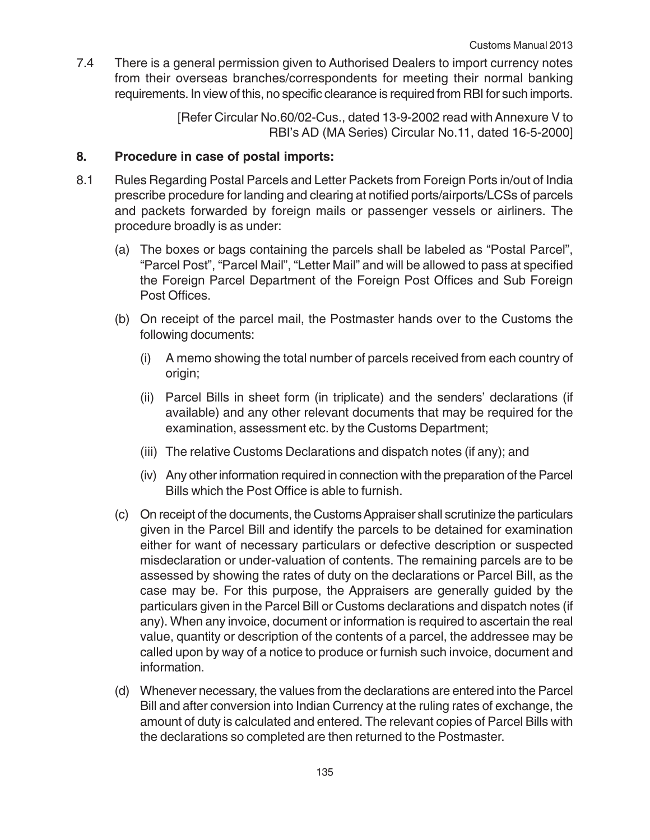7.4 There is a general permission given to Authorised Dealers to import currency notes from their overseas branches/correspondents for meeting their normal banking requirements. In view of this, no specific clearance is required from RBI for such imports.

> [Refer Circular No.60/02-Cus., dated 13-9-2002 read with Annexure V to RBI's AD (MA Series) Circular No.11, dated 16-5-2000]

# **8. Procedure in case of postal imports:**

- 8.1 Rules Regarding Postal Parcels and Letter Packets from Foreign Ports in/out of India prescribe procedure for landing and clearing at notified ports/airports/LCSs of parcels and packets forwarded by foreign mails or passenger vessels or airliners. The procedure broadly is as under:
	- (a) The boxes or bags containing the parcels shall be labeled as "Postal Parcel", "Parcel Post", "Parcel Mail", "Letter Mail" and will be allowed to pass at specified the Foreign Parcel Department of the Foreign Post Offices and Sub Foreign Post Offices.
	- (b) On receipt of the parcel mail, the Postmaster hands over to the Customs the following documents:
		- (i) A memo showing the total number of parcels received from each country of origin;
		- (ii) Parcel Bills in sheet form (in triplicate) and the senders' declarations (if available) and any other relevant documents that may be required for the examination, assessment etc. by the Customs Department;
		- (iii) The relative Customs Declarations and dispatch notes (if any); and
		- (iv) Any other information required in connection with the preparation of the Parcel Bills which the Post Office is able to furnish.
	- (c) On receipt of the documents, the Customs Appraiser shall scrutinize the particulars given in the Parcel Bill and identify the parcels to be detained for examination either for want of necessary particulars or defective description or suspected misdeclaration or under-valuation of contents. The remaining parcels are to be assessed by showing the rates of duty on the declarations or Parcel Bill, as the case may be. For this purpose, the Appraisers are generally guided by the particulars given in the Parcel Bill or Customs declarations and dispatch notes (if any). When any invoice, document or information is required to ascertain the real value, quantity or description of the contents of a parcel, the addressee may be called upon by way of a notice to produce or furnish such invoice, document and information.
	- (d) Whenever necessary, the values from the declarations are entered into the Parcel Bill and after conversion into Indian Currency at the ruling rates of exchange, the amount of duty is calculated and entered. The relevant copies of Parcel Bills with the declarations so completed are then returned to the Postmaster.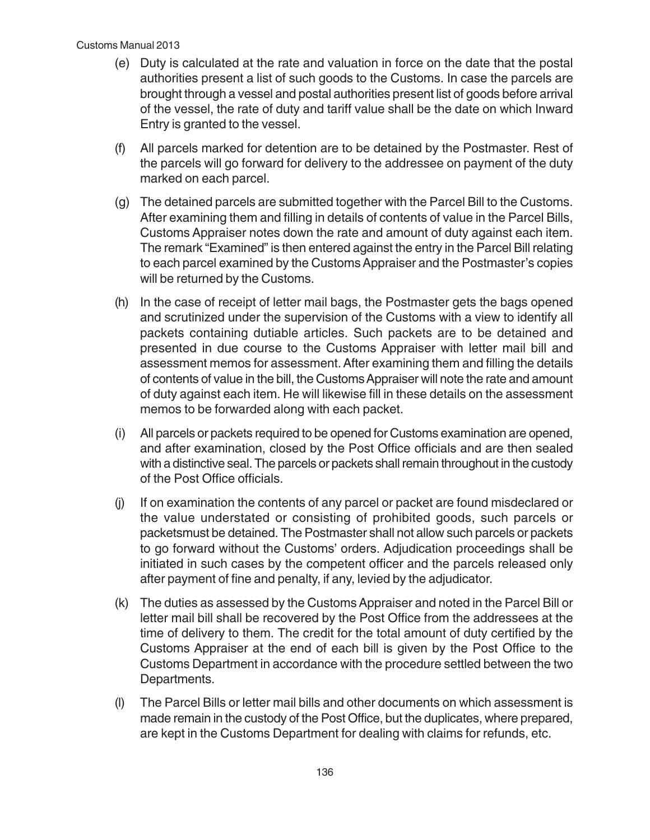- (e) Duty is calculated at the rate and valuation in force on the date that the postal authorities present a list of such goods to the Customs. In case the parcels are brought through a vessel and postal authorities present list of goods before arrival of the vessel, the rate of duty and tariff value shall be the date on which Inward Entry is granted to the vessel.
- (f) All parcels marked for detention are to be detained by the Postmaster. Rest of the parcels will go forward for delivery to the addressee on payment of the duty marked on each parcel.
- (g) The detained parcels are submitted together with the Parcel Bill to the Customs. After examining them and filling in details of contents of value in the Parcel Bills, Customs Appraiser notes down the rate and amount of duty against each item. The remark "Examined" is then entered against the entry in the Parcel Bill relating to each parcel examined by the Customs Appraiser and the Postmaster's copies will be returned by the Customs.
- (h) In the case of receipt of letter mail bags, the Postmaster gets the bags opened and scrutinized under the supervision of the Customs with a view to identify all packets containing dutiable articles. Such packets are to be detained and presented in due course to the Customs Appraiser with letter mail bill and assessment memos for assessment. After examining them and filling the details of contents of value in the bill, the Customs Appraiser will note the rate and amount of duty against each item. He will likewise fill in these details on the assessment memos to be forwarded along with each packet.
- (i) All parcels or packets required to be opened for Customs examination are opened, and after examination, closed by the Post Office officials and are then sealed with a distinctive seal. The parcels or packets shall remain throughout in the custody of the Post Office officials.
- (j) If on examination the contents of any parcel or packet are found misdeclared or the value understated or consisting of prohibited goods, such parcels or packetsmust be detained. The Postmaster shall not allow such parcels or packets to go forward without the Customs' orders. Adjudication proceedings shall be initiated in such cases by the competent officer and the parcels released only after payment of fine and penalty, if any, levied by the adjudicator.
- (k) The duties as assessed by the Customs Appraiser and noted in the Parcel Bill or letter mail bill shall be recovered by the Post Office from the addressees at the time of delivery to them. The credit for the total amount of duty certified by the Customs Appraiser at the end of each bill is given by the Post Office to the Customs Department in accordance with the procedure settled between the two Departments.
- (l) The Parcel Bills or letter mail bills and other documents on which assessment is made remain in the custody of the Post Office, but the duplicates, where prepared, are kept in the Customs Department for dealing with claims for refunds, etc.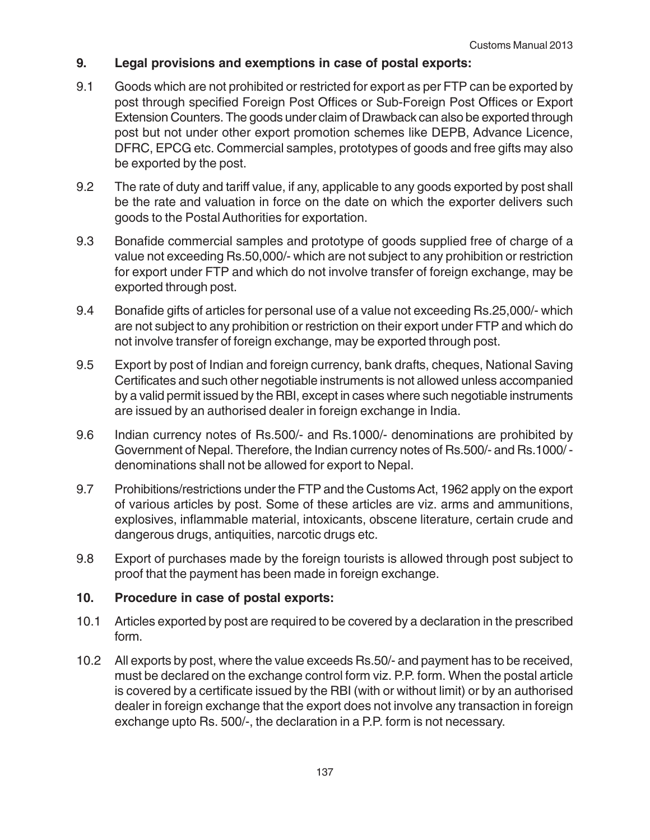# **9. Legal provisions and exemptions in case of postal exports:**

- 9.1 Goods which are not prohibited or restricted for export as per FTP can be exported by post through specified Foreign Post Offices or Sub-Foreign Post Offices or Export Extension Counters. The goods under claim of Drawback can also be exported through post but not under other export promotion schemes like DEPB, Advance Licence, DFRC, EPCG etc. Commercial samples, prototypes of goods and free gifts may also be exported by the post.
- 9.2 The rate of duty and tariff value, if any, applicable to any goods exported by post shall be the rate and valuation in force on the date on which the exporter delivers such goods to the Postal Authorities for exportation.
- 9.3 Bonafide commercial samples and prototype of goods supplied free of charge of a value not exceeding Rs.50,000/- which are not subject to any prohibition or restriction for export under FTP and which do not involve transfer of foreign exchange, may be exported through post.
- 9.4 Bonafide gifts of articles for personal use of a value not exceeding Rs.25,000/- which are not subject to any prohibition or restriction on their export under FTP and which do not involve transfer of foreign exchange, may be exported through post.
- 9.5 Export by post of Indian and foreign currency, bank drafts, cheques, National Saving Certificates and such other negotiable instruments is not allowed unless accompanied by a valid permit issued by the RBI, except in cases where such negotiable instruments are issued by an authorised dealer in foreign exchange in India.
- 9.6 Indian currency notes of Rs.500/- and Rs.1000/- denominations are prohibited by Government of Nepal. Therefore, the Indian currency notes of Rs.500/- and Rs.1000/ denominations shall not be allowed for export to Nepal.
- 9.7 Prohibitions/restrictions under the FTP and the Customs Act, 1962 apply on the export of various articles by post. Some of these articles are viz. arms and ammunitions, explosives, inflammable material, intoxicants, obscene literature, certain crude and dangerous drugs, antiquities, narcotic drugs etc.
- 9.8 Export of purchases made by the foreign tourists is allowed through post subject to proof that the payment has been made in foreign exchange.

#### **10. Procedure in case of postal exports:**

- 10.1 Articles exported by post are required to be covered by a declaration in the prescribed form.
- 10.2 All exports by post, where the value exceeds Rs.50/- and payment has to be received, must be declared on the exchange control form viz. P.P. form. When the postal article is covered by a certificate issued by the RBI (with or without limit) or by an authorised dealer in foreign exchange that the export does not involve any transaction in foreign exchange upto Rs. 500/-, the declaration in a P.P. form is not necessary.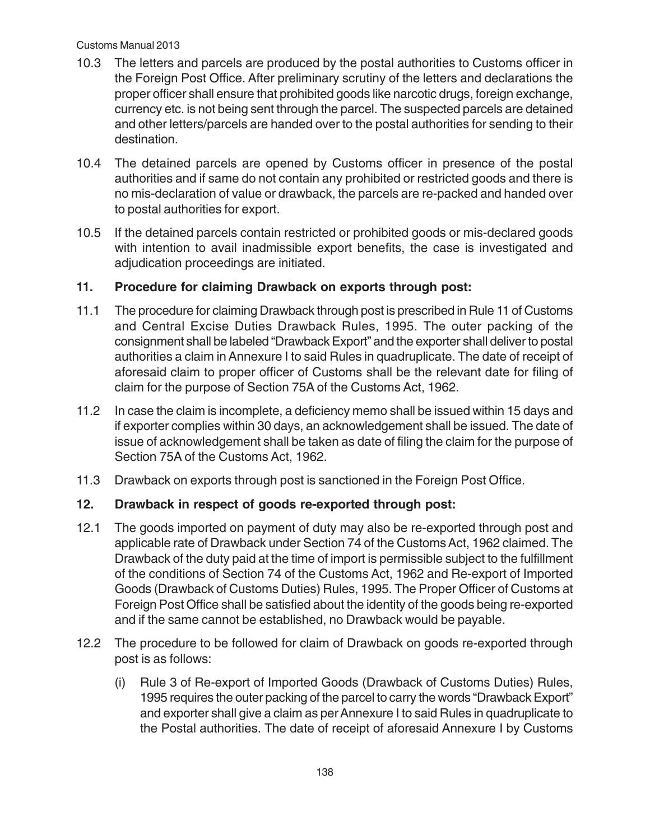#### Customs Manual 2013

- 10.3 The letters and parcels are produced by the postal authorities to Customs officer in the Foreign Post Office. After preliminary scrutiny of the letters and declarations the proper officer shall ensure that prohibited goods like narcotic drugs, foreign exchange, currency etc. is not being sent through the parcel. The suspected parcels are detained and other letters/parcels are handed over to the postal authorities for sending to their destination.
- 10.4 The detained parcels are opened by Customs officer in presence of the postal authorities and if same do not contain any prohibited or restricted goods and there is no mis-declaration of value or drawback, the parcels are re-packed and handed over to postal authorities for export.
- 10.5 If the detained parcels contain restricted or prohibited goods or mis-declared goods with intention to avail inadmissible export benefits, the case is investigated and adjudication proceedings are initiated.

## **11. Procedure for claiming Drawback on exports through post:**

- 11.1 The procedure for claiming Drawback through post is prescribed in Rule 11 of Customs and Central Excise Duties Drawback Rules, 1995. The outer packing of the consignment shall be labeled "Drawback Export" and the exporter shall deliver to postal authorities a claim in Annexure I to said Rules in quadruplicate. The date of receipt of aforesaid claim to proper officer of Customs shall be the relevant date for filing of claim for the purpose of Section 75A of the Customs Act, 1962.
- 11.2 In case the claim is incomplete, a deficiency memo shall be issued within 15 days and if exporter complies within 30 days, an acknowledgement shall be issued. The date of issue of acknowledgement shall be taken as date of filing the claim for the purpose of Section 75A of the Customs Act, 1962.
- 11.3 Drawback on exports through post is sanctioned in the Foreign Post Office.

# **12. Drawback in respect of goods re-exported through post:**

- 12.1 The goods imported on payment of duty may also be re-exported through post and applicable rate of Drawback under Section 74 of the Customs Act, 1962 claimed. The Drawback of the duty paid at the time of import is permissible subject to the fulfillment of the conditions of Section 74 of the Customs Act, 1962 and Re-export of Imported Goods (Drawback of Customs Duties) Rules, 1995. The Proper Officer of Customs at Foreign Post Office shall be satisfied about the identity of the goods being re-exported and if the same cannot be established, no Drawback would be payable.
- 12.2 The procedure to be followed for claim of Drawback on goods re-exported through post is as follows:
	- (i) Rule 3 of Re-export of Imported Goods (Drawback of Customs Duties) Rules, 1995 requires the outer packing of the parcel to carry the words "Drawback Export" and exporter shall give a claim as per Annexure I to said Rules in quadruplicate to the Postal authorities. The date of receipt of aforesaid Annexure I by Customs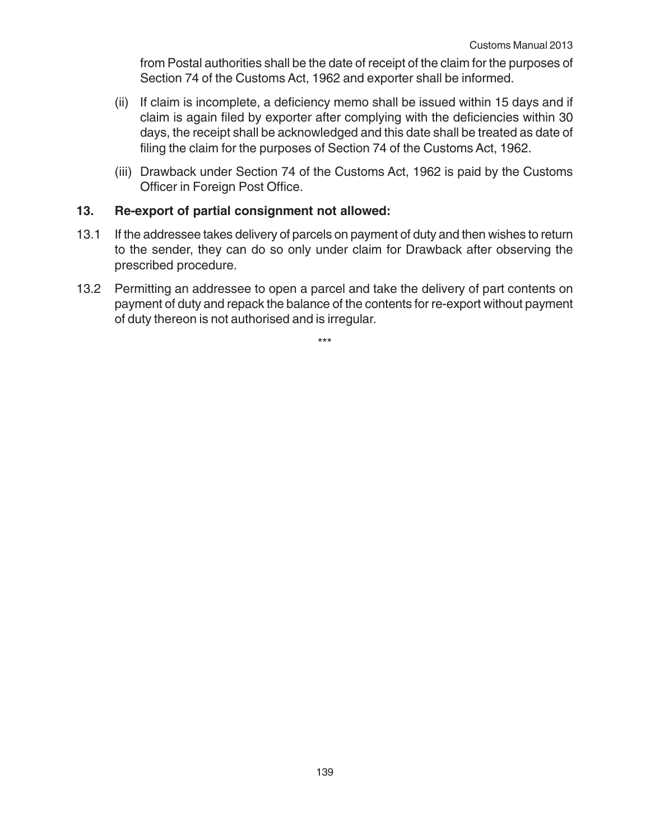from Postal authorities shall be the date of receipt of the claim for the purposes of Section 74 of the Customs Act, 1962 and exporter shall be informed.

- (ii) If claim is incomplete, a deficiency memo shall be issued within 15 days and if claim is again filed by exporter after complying with the deficiencies within 30 days, the receipt shall be acknowledged and this date shall be treated as date of filing the claim for the purposes of Section 74 of the Customs Act, 1962.
- (iii) Drawback under Section 74 of the Customs Act, 1962 is paid by the Customs Officer in Foreign Post Office.

#### **13. Re-export of partial consignment not allowed:**

- 13.1 If the addressee takes delivery of parcels on payment of duty and then wishes to return to the sender, they can do so only under claim for Drawback after observing the prescribed procedure.
- 13.2 Permitting an addressee to open a parcel and take the delivery of part contents on payment of duty and repack the balance of the contents for re-export without payment of duty thereon is not authorised and is irregular.

\*\*\*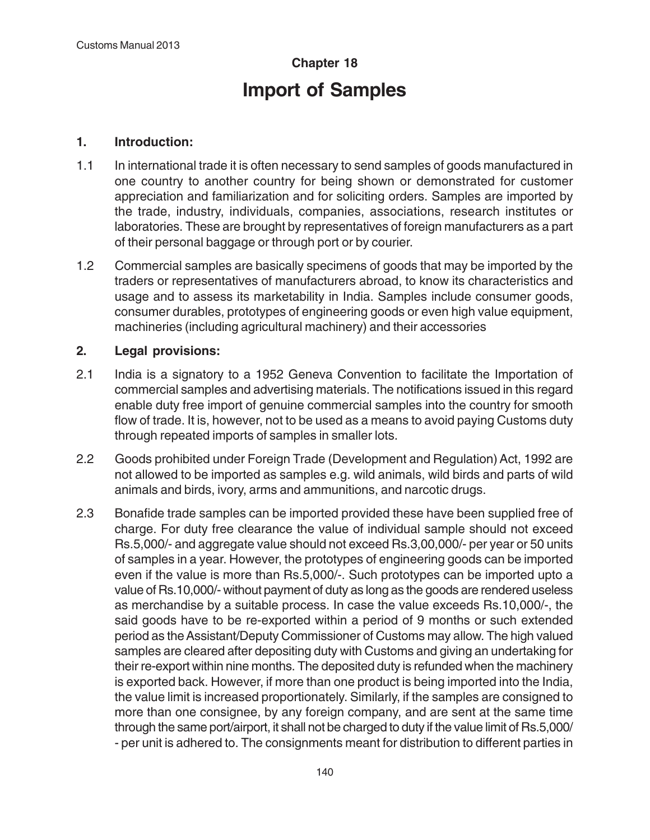# **Chapter 18 Import of Samples**

# **1. Introduction:**

- 1.1 In international trade it is often necessary to send samples of goods manufactured in one country to another country for being shown or demonstrated for customer appreciation and familiarization and for soliciting orders. Samples are imported by the trade, industry, individuals, companies, associations, research institutes or laboratories. These are brought by representatives of foreign manufacturers as a part of their personal baggage or through port or by courier.
- 1.2 Commercial samples are basically specimens of goods that may be imported by the traders or representatives of manufacturers abroad, to know its characteristics and usage and to assess its marketability in India. Samples include consumer goods, consumer durables, prototypes of engineering goods or even high value equipment, machineries (including agricultural machinery) and their accessories

# **2. Legal provisions:**

- 2.1 India is a signatory to a 1952 Geneva Convention to facilitate the Importation of commercial samples and advertising materials. The notifications issued in this regard enable duty free import of genuine commercial samples into the country for smooth flow of trade. It is, however, not to be used as a means to avoid paying Customs duty through repeated imports of samples in smaller lots.
- 2.2 Goods prohibited under Foreign Trade (Development and Regulation) Act, 1992 are not allowed to be imported as samples e.g. wild animals, wild birds and parts of wild animals and birds, ivory, arms and ammunitions, and narcotic drugs.
- 2.3 Bonafide trade samples can be imported provided these have been supplied free of charge. For duty free clearance the value of individual sample should not exceed Rs.5,000/- and aggregate value should not exceed Rs.3,00,000/- per year or 50 units of samples in a year. However, the prototypes of engineering goods can be imported even if the value is more than Rs.5,000/-. Such prototypes can be imported upto a value of Rs.10,000/- without payment of duty as long as the goods are rendered useless as merchandise by a suitable process. In case the value exceeds Rs.10,000/-, the said goods have to be re-exported within a period of 9 months or such extended period as the Assistant/Deputy Commissioner of Customs may allow. The high valued samples are cleared after depositing duty with Customs and giving an undertaking for their re-export within nine months. The deposited duty is refunded when the machinery is exported back. However, if more than one product is being imported into the India, the value limit is increased proportionately. Similarly, if the samples are consigned to more than one consignee, by any foreign company, and are sent at the same time through the same port/airport, it shall not be charged to duty if the value limit of Rs.5,000/ - per unit is adhered to. The consignments meant for distribution to different parties in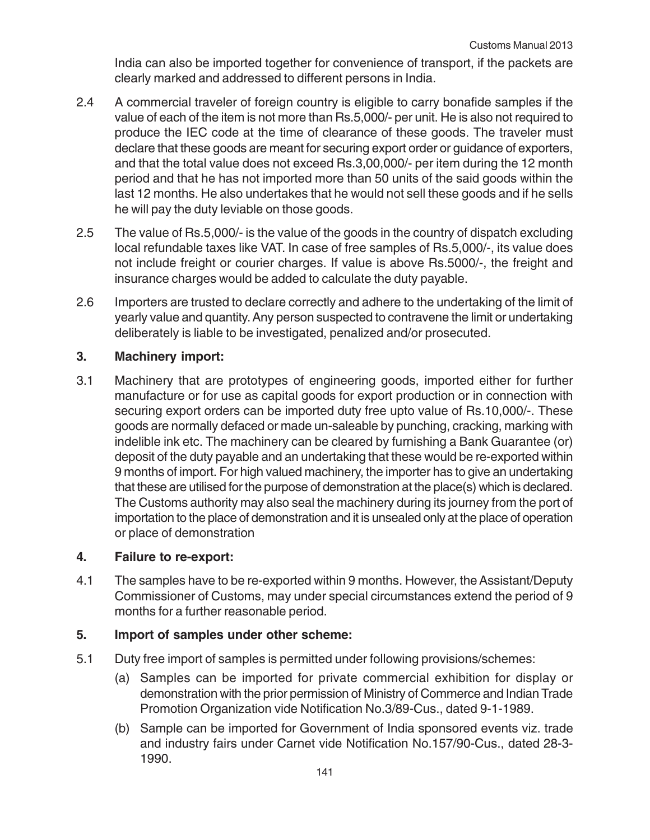India can also be imported together for convenience of transport, if the packets are clearly marked and addressed to different persons in India.

- 2.4 A commercial traveler of foreign country is eligible to carry bonafide samples if the value of each of the item is not more than Rs.5,000/- per unit. He is also not required to produce the IEC code at the time of clearance of these goods. The traveler must declare that these goods are meant for securing export order or guidance of exporters, and that the total value does not exceed Rs.3,00,000/- per item during the 12 month period and that he has not imported more than 50 units of the said goods within the last 12 months. He also undertakes that he would not sell these goods and if he sells he will pay the duty leviable on those goods.
- 2.5 The value of Rs.5,000/- is the value of the goods in the country of dispatch excluding local refundable taxes like VAT. In case of free samples of Rs.5,000/-, its value does not include freight or courier charges. If value is above Rs.5000/-, the freight and insurance charges would be added to calculate the duty payable.
- 2.6 Importers are trusted to declare correctly and adhere to the undertaking of the limit of yearly value and quantity. Any person suspected to contravene the limit or undertaking deliberately is liable to be investigated, penalized and/or prosecuted.

## **3. Machinery import:**

3.1 Machinery that are prototypes of engineering goods, imported either for further manufacture or for use as capital goods for export production or in connection with securing export orders can be imported duty free upto value of Rs.10,000/-. These goods are normally defaced or made un-saleable by punching, cracking, marking with indelible ink etc. The machinery can be cleared by furnishing a Bank Guarantee (or) deposit of the duty payable and an undertaking that these would be re-exported within 9 months of import. For high valued machinery, the importer has to give an undertaking that these are utilised for the purpose of demonstration at the place(s) which is declared. The Customs authority may also seal the machinery during its journey from the port of importation to the place of demonstration and it is unsealed only at the place of operation or place of demonstration

#### **4. Failure to re-export:**

4.1 The samples have to be re-exported within 9 months. However, the Assistant/Deputy Commissioner of Customs, may under special circumstances extend the period of 9 months for a further reasonable period.

#### **5. Import of samples under other scheme:**

- 5.1 Duty free import of samples is permitted under following provisions/schemes:
	- (a) Samples can be imported for private commercial exhibition for display or demonstration with the prior permission of Ministry of Commerce and Indian Trade Promotion Organization vide Notification No.3/89-Cus., dated 9-1-1989.
	- (b) Sample can be imported for Government of India sponsored events viz. trade and industry fairs under Carnet vide Notification No.157/90-Cus., dated 28-3- 1990.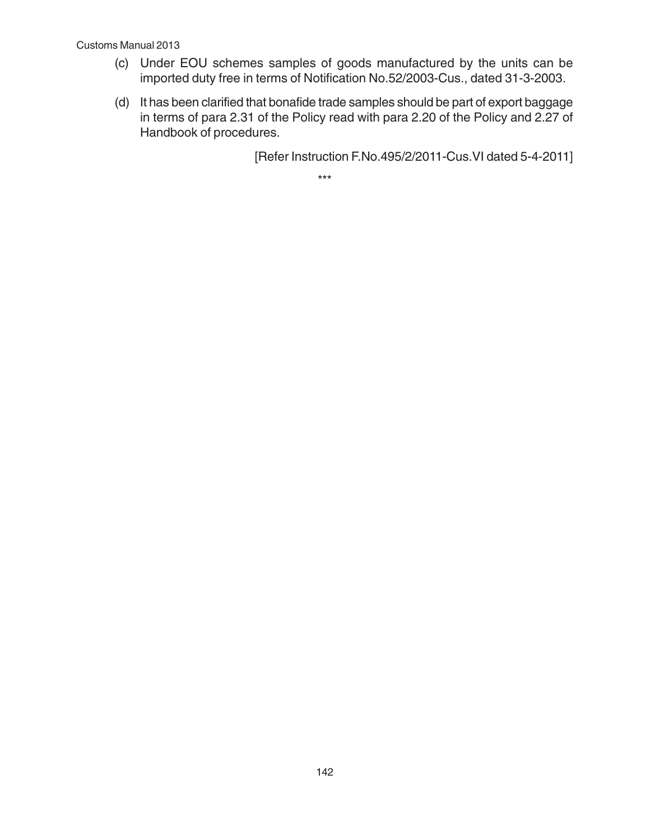#### Customs Manual 2013

- (c) Under EOU schemes samples of goods manufactured by the units can be imported duty free in terms of Notification No.52/2003-Cus., dated 31-3-2003.
- (d) It has been clarified that bonafide trade samples should be part of export baggage in terms of para 2.31 of the Policy read with para 2.20 of the Policy and 2.27 of Handbook of procedures.

[Refer Instruction F.No.495/2/2011-Cus.VI dated 5-4-2011]

\*\*\*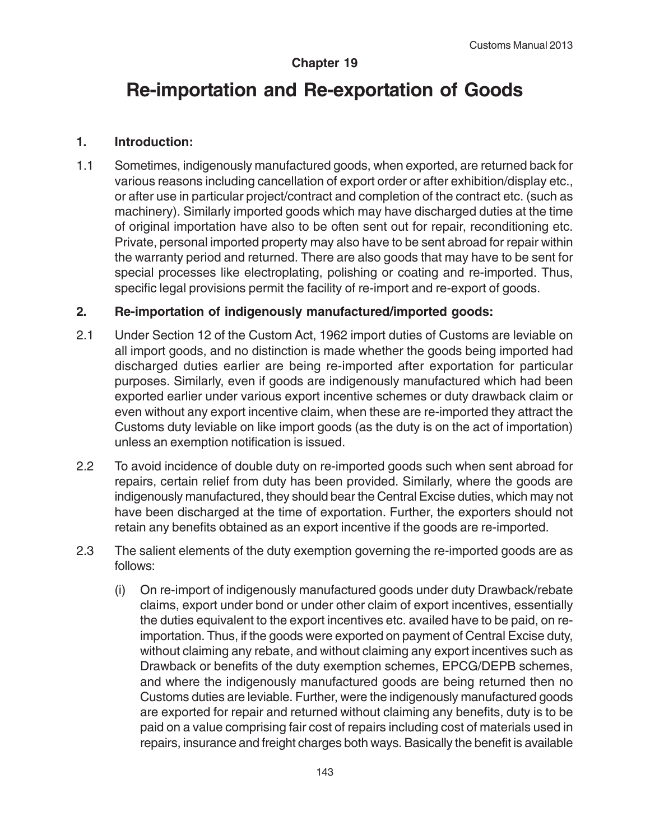### **Chapter 19**

# **Re-importation and Re-exportation of Goods**

#### **1. Introduction:**

1.1 Sometimes, indigenously manufactured goods, when exported, are returned back for various reasons including cancellation of export order or after exhibition/display etc., or after use in particular project/contract and completion of the contract etc. (such as machinery). Similarly imported goods which may have discharged duties at the time of original importation have also to be often sent out for repair, reconditioning etc. Private, personal imported property may also have to be sent abroad for repair within the warranty period and returned. There are also goods that may have to be sent for special processes like electroplating, polishing or coating and re-imported. Thus, specific legal provisions permit the facility of re-import and re-export of goods.

#### **2. Re-importation of indigenously manufactured/imported goods:**

- 2.1 Under Section 12 of the Custom Act, 1962 import duties of Customs are leviable on all import goods, and no distinction is made whether the goods being imported had discharged duties earlier are being re-imported after exportation for particular purposes. Similarly, even if goods are indigenously manufactured which had been exported earlier under various export incentive schemes or duty drawback claim or even without any export incentive claim, when these are re-imported they attract the Customs duty leviable on like import goods (as the duty is on the act of importation) unless an exemption notification is issued.
- 2.2 To avoid incidence of double duty on re-imported goods such when sent abroad for repairs, certain relief from duty has been provided. Similarly, where the goods are indigenously manufactured, they should bear the Central Excise duties, which may not have been discharged at the time of exportation. Further, the exporters should not retain any benefits obtained as an export incentive if the goods are re-imported.
- 2.3 The salient elements of the duty exemption governing the re-imported goods are as follows:
	- (i) On re-import of indigenously manufactured goods under duty Drawback/rebate claims, export under bond or under other claim of export incentives, essentially the duties equivalent to the export incentives etc. availed have to be paid, on reimportation. Thus, if the goods were exported on payment of Central Excise duty, without claiming any rebate, and without claiming any export incentives such as Drawback or benefits of the duty exemption schemes, EPCG/DEPB schemes, and where the indigenously manufactured goods are being returned then no Customs duties are leviable. Further, were the indigenously manufactured goods are exported for repair and returned without claiming any benefits, duty is to be paid on a value comprising fair cost of repairs including cost of materials used in repairs, insurance and freight charges both ways. Basically the benefit is available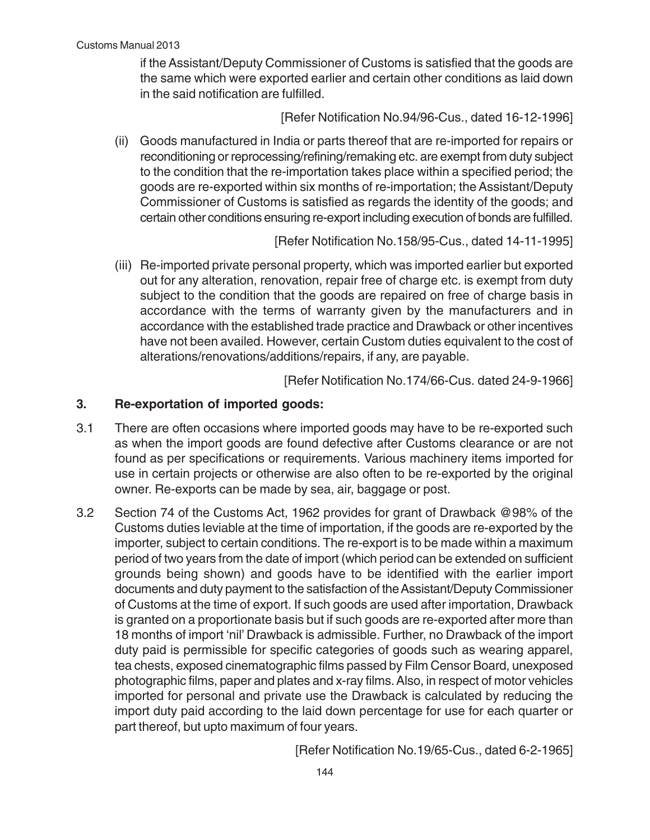if the Assistant/Deputy Commissioner of Customs is satisfied that the goods are the same which were exported earlier and certain other conditions as laid down in the said notification are fulfilled.

[Refer Notification No.94/96-Cus., dated 16-12-1996]

(ii) Goods manufactured in India or parts thereof that are re-imported for repairs or reconditioning or reprocessing/refining/remaking etc. are exempt from duty subject to the condition that the re-importation takes place within a specified period; the goods are re-exported within six months of re-importation; the Assistant/Deputy Commissioner of Customs is satisfied as regards the identity of the goods; and certain other conditions ensuring re-export including execution of bonds are fulfilled.

#### [Refer Notification No.158/95-Cus., dated 14-11-1995]

(iii) Re-imported private personal property, which was imported earlier but exported out for any alteration, renovation, repair free of charge etc. is exempt from duty subject to the condition that the goods are repaired on free of charge basis in accordance with the terms of warranty given by the manufacturers and in accordance with the established trade practice and Drawback or other incentives have not been availed. However, certain Custom duties equivalent to the cost of alterations/renovations/additions/repairs, if any, are payable.

[Refer Notification No.174/66-Cus. dated 24-9-1966]

#### **3. Re-exportation of imported goods:**

- 3.1 There are often occasions where imported goods may have to be re-exported such as when the import goods are found defective after Customs clearance or are not found as per specifications or requirements. Various machinery items imported for use in certain projects or otherwise are also often to be re-exported by the original owner. Re-exports can be made by sea, air, baggage or post.
- 3.2 Section 74 of the Customs Act, 1962 provides for grant of Drawback @98% of the Customs duties leviable at the time of importation, if the goods are re-exported by the importer, subject to certain conditions. The re-export is to be made within a maximum period of two years from the date of import (which period can be extended on sufficient grounds being shown) and goods have to be identified with the earlier import documents and duty payment to the satisfaction of the Assistant/Deputy Commissioner of Customs at the time of export. If such goods are used after importation, Drawback is granted on a proportionate basis but if such goods are re-exported after more than 18 months of import 'nil' Drawback is admissible. Further, no Drawback of the import duty paid is permissible for specific categories of goods such as wearing apparel, tea chests, exposed cinematographic films passed by Film Censor Board, unexposed photographic films, paper and plates and x-ray films. Also, in respect of motor vehicles imported for personal and private use the Drawback is calculated by reducing the import duty paid according to the laid down percentage for use for each quarter or part thereof, but upto maximum of four years.

[Refer Notification No.19/65-Cus., dated 6-2-1965]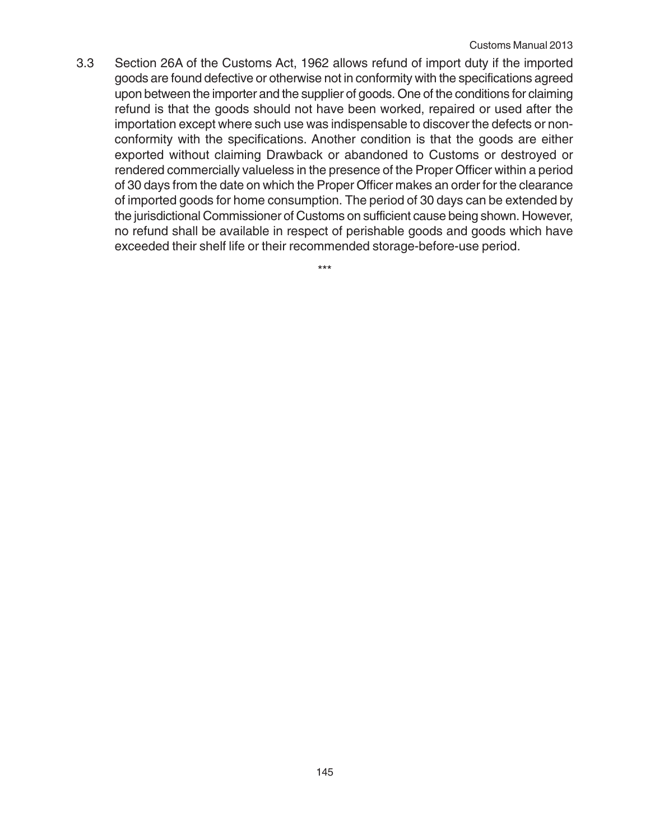3.3 Section 26A of the Customs Act, 1962 allows refund of import duty if the imported goods are found defective or otherwise not in conformity with the specifications agreed upon between the importer and the supplier of goods. One of the conditions for claiming refund is that the goods should not have been worked, repaired or used after the importation except where such use was indispensable to discover the defects or nonconformity with the specifications. Another condition is that the goods are either exported without claiming Drawback or abandoned to Customs or destroyed or rendered commercially valueless in the presence of the Proper Officer within a period of 30 days from the date on which the Proper Officer makes an order for the clearance of imported goods for home consumption. The period of 30 days can be extended by the jurisdictional Commissioner of Customs on sufficient cause being shown. However, no refund shall be available in respect of perishable goods and goods which have exceeded their shelf life or their recommended storage-before-use period.

\*\*\*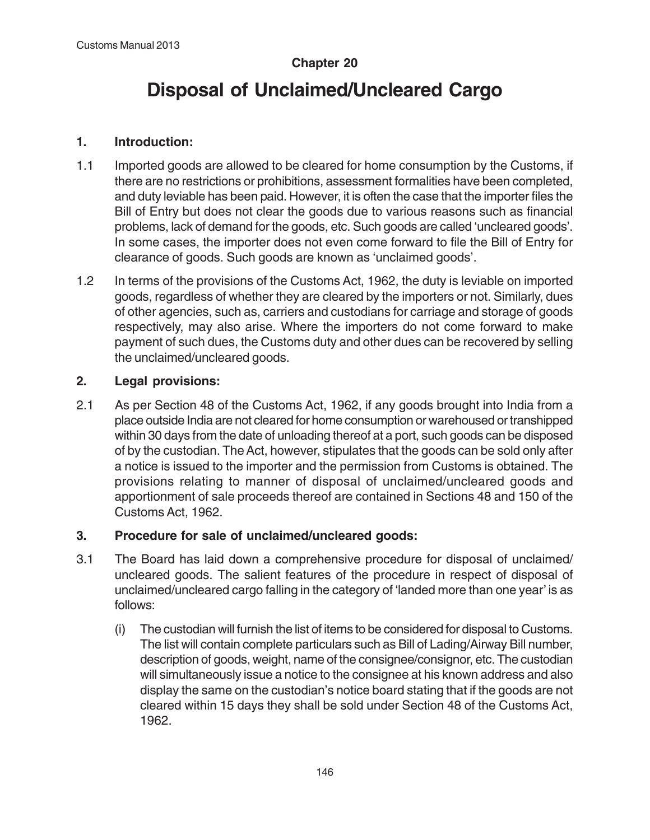# **Chapter 20**

# **Disposal of Unclaimed/Uncleared Cargo**

# **1. Introduction:**

- 1.1 Imported goods are allowed to be cleared for home consumption by the Customs, if there are no restrictions or prohibitions, assessment formalities have been completed, and duty leviable has been paid. However, it is often the case that the importer files the Bill of Entry but does not clear the goods due to various reasons such as financial problems, lack of demand for the goods, etc. Such goods are called 'uncleared goods'. In some cases, the importer does not even come forward to file the Bill of Entry for clearance of goods. Such goods are known as 'unclaimed goods'.
- 1.2 In terms of the provisions of the Customs Act, 1962, the duty is leviable on imported goods, regardless of whether they are cleared by the importers or not. Similarly, dues of other agencies, such as, carriers and custodians for carriage and storage of goods respectively, may also arise. Where the importers do not come forward to make payment of such dues, the Customs duty and other dues can be recovered by selling the unclaimed/uncleared goods.

# **2. Legal provisions:**

2.1 As per Section 48 of the Customs Act, 1962, if any goods brought into India from a place outside India are not cleared for home consumption or warehoused or transhipped within 30 days from the date of unloading thereof at a port, such goods can be disposed of by the custodian. The Act, however, stipulates that the goods can be sold only after a notice is issued to the importer and the permission from Customs is obtained. The provisions relating to manner of disposal of unclaimed/uncleared goods and apportionment of sale proceeds thereof are contained in Sections 48 and 150 of the Customs Act, 1962.

# **3. Procedure for sale of unclaimed/uncleared goods:**

- 3.1 The Board has laid down a comprehensive procedure for disposal of unclaimed/ uncleared goods. The salient features of the procedure in respect of disposal of unclaimed/uncleared cargo falling in the category of 'landed more than one year' is as follows:
	- (i) The custodian will furnish the list of items to be considered for disposal to Customs. The list will contain complete particulars such as Bill of Lading/Airway Bill number, description of goods, weight, name of the consignee/consignor, etc. The custodian will simultaneously issue a notice to the consignee at his known address and also display the same on the custodian's notice board stating that if the goods are not cleared within 15 days they shall be sold under Section 48 of the Customs Act, 1962.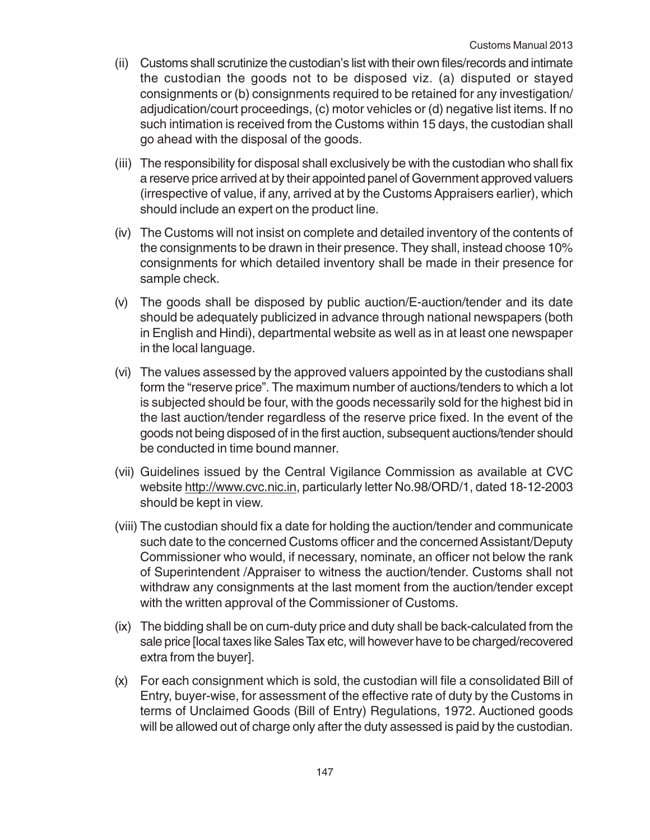- (ii) Customs shall scrutinize the custodian's list with their own files/records and intimate the custodian the goods not to be disposed viz. (a) disputed or stayed consignments or (b) consignments required to be retained for any investigation/ adjudication/court proceedings, (c) motor vehicles or (d) negative list items. If no such intimation is received from the Customs within 15 days, the custodian shall go ahead with the disposal of the goods.
- (iii) The responsibility for disposal shall exclusively be with the custodian who shall fix a reserve price arrived at by their appointed panel of Government approved valuers (irrespective of value, if any, arrived at by the Customs Appraisers earlier), which should include an expert on the product line.
- (iv) The Customs will not insist on complete and detailed inventory of the contents of the consignments to be drawn in their presence. They shall, instead choose 10% consignments for which detailed inventory shall be made in their presence for sample check.
- (v) The goods shall be disposed by public auction/E-auction/tender and its date should be adequately publicized in advance through national newspapers (both in English and Hindi), departmental website as well as in at least one newspaper in the local language.
- (vi) The values assessed by the approved valuers appointed by the custodians shall form the "reserve price". The maximum number of auctions/tenders to which a lot is subjected should be four, with the goods necessarily sold for the highest bid in the last auction/tender regardless of the reserve price fixed. In the event of the goods not being disposed of in the first auction, subsequent auctions/tender should be conducted in time bound manner.
- (vii) Guidelines issued by the Central Vigilance Commission as available at CVC website http://www.cvc.nic.in, particularly letter No.98/ORD/1, dated 18-12-2003 should be kept in view.
- (viii) The custodian should fix a date for holding the auction/tender and communicate such date to the concerned Customs officer and the concerned Assistant/Deputy Commissioner who would, if necessary, nominate, an officer not below the rank of Superintendent /Appraiser to witness the auction/tender. Customs shall not withdraw any consignments at the last moment from the auction/tender except with the written approval of the Commissioner of Customs.
- (ix) The bidding shall be on cum-duty price and duty shall be back-calculated from the sale price [local taxes like Sales Tax etc, will however have to be charged/recovered extra from the buyer].
- (x) For each consignment which is sold, the custodian will file a consolidated Bill of Entry, buyer-wise, for assessment of the effective rate of duty by the Customs in terms of Unclaimed Goods (Bill of Entry) Regulations, 1972. Auctioned goods will be allowed out of charge only after the duty assessed is paid by the custodian.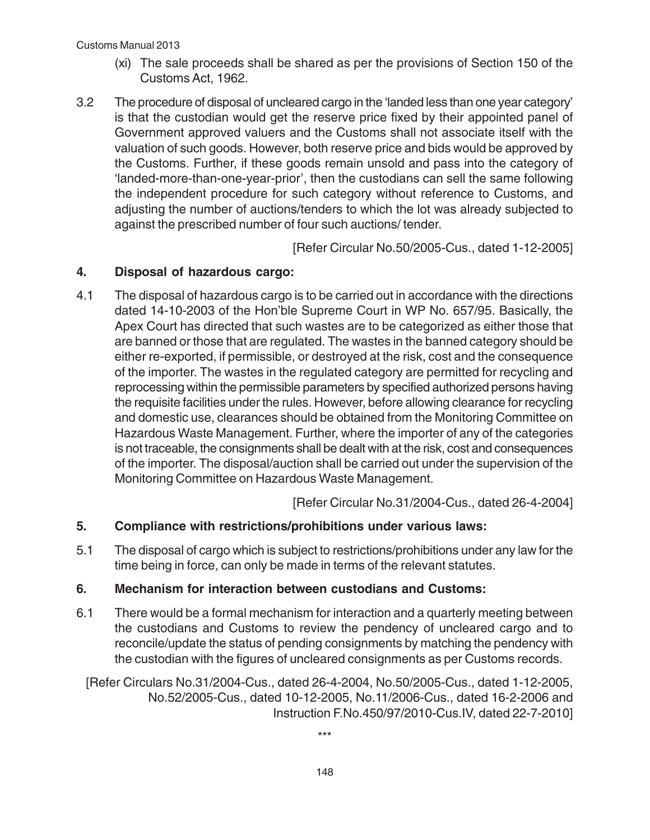#### Customs Manual 2013

- (xi) The sale proceeds shall be shared as per the provisions of Section 150 of the Customs Act, 1962.
- 3.2 The procedure of disposal of uncleared cargo in the 'landed less than one year category' is that the custodian would get the reserve price fixed by their appointed panel of Government approved valuers and the Customs shall not associate itself with the valuation of such goods. However, both reserve price and bids would be approved by the Customs. Further, if these goods remain unsold and pass into the category of 'landed-more-than-one-year-prior', then the custodians can sell the same following the independent procedure for such category without reference to Customs, and adjusting the number of auctions/tenders to which the lot was already subjected to against the prescribed number of four such auctions/ tender.

[Refer Circular No.50/2005-Cus., dated 1-12-2005]

## **4. Disposal of hazardous cargo:**

4.1 The disposal of hazardous cargo is to be carried out in accordance with the directions dated 14-10-2003 of the Hon'ble Supreme Court in WP No. 657/95. Basically, the Apex Court has directed that such wastes are to be categorized as either those that are banned or those that are regulated. The wastes in the banned category should be either re-exported, if permissible, or destroyed at the risk, cost and the consequence of the importer. The wastes in the regulated category are permitted for recycling and reprocessing within the permissible parameters by specified authorized persons having the requisite facilities under the rules. However, before allowing clearance for recycling and domestic use, clearances should be obtained from the Monitoring Committee on Hazardous Waste Management. Further, where the importer of any of the categories is not traceable, the consignments shall be dealt with at the risk, cost and consequences of the importer. The disposal/auction shall be carried out under the supervision of the Monitoring Committee on Hazardous Waste Management.

[Refer Circular No.31/2004-Cus., dated 26-4-2004]

# **5. Compliance with restrictions/prohibitions under various laws:**

5.1 The disposal of cargo which is subject to restrictions/prohibitions under any law for the time being in force, can only be made in terms of the relevant statutes.

#### **6. Mechanism for interaction between custodians and Customs:**

6.1 There would be a formal mechanism for interaction and a quarterly meeting between the custodians and Customs to review the pendency of uncleared cargo and to reconcile/update the status of pending consignments by matching the pendency with the custodian with the figures of uncleared consignments as per Customs records.

[Refer Circulars No.31/2004-Cus., dated 26-4-2004, No.50/2005-Cus., dated 1-12-2005, No.52/2005-Cus., dated 10-12-2005, No.11/2006-Cus., dated 16-2-2006 and Instruction F.No.450/97/2010-Cus.IV, dated 22-7-2010]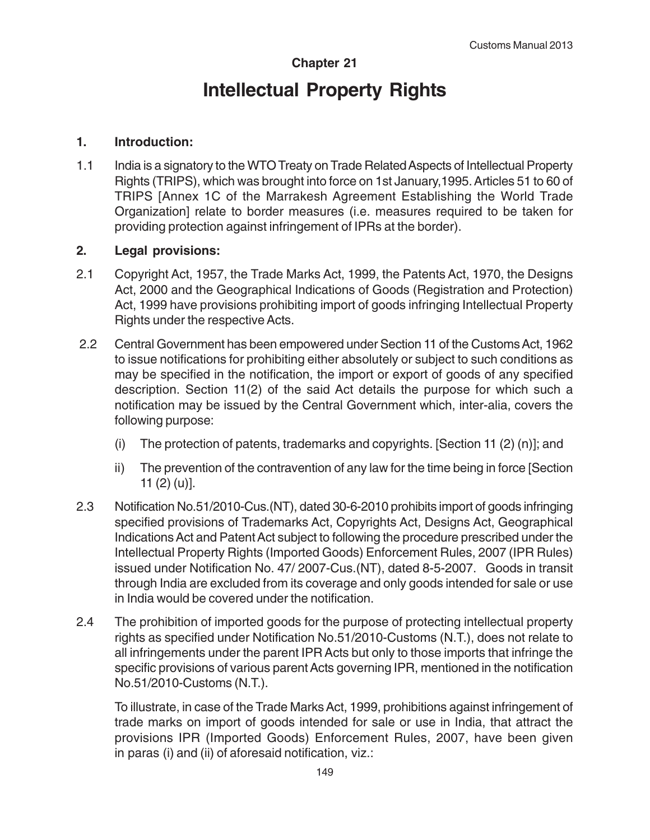# **Chapter 21 Intellectual Property Rights**

## **1. Introduction:**

1.1 India is a signatory to the WTO Treaty on Trade Related Aspects of Intellectual Property Rights (TRIPS), which was brought into force on 1st January,1995. Articles 51 to 60 of TRIPS [Annex 1C of the Marrakesh Agreement Establishing the World Trade Organization] relate to border measures (i.e. measures required to be taken for providing protection against infringement of IPRs at the border).

## **2. Legal provisions:**

- 2.1 Copyright Act, 1957, the Trade Marks Act, 1999, the Patents Act, 1970, the Designs Act, 2000 and the Geographical Indications of Goods (Registration and Protection) Act, 1999 have provisions prohibiting import of goods infringing Intellectual Property Rights under the respective Acts.
- 2.2 Central Government has been empowered under Section 11 of the Customs Act, 1962 to issue notifications for prohibiting either absolutely or subject to such conditions as may be specified in the notification, the import or export of goods of any specified description. Section 11(2) of the said Act details the purpose for which such a notification may be issued by the Central Government which, inter-alia, covers the following purpose:
	- (i) The protection of patents, trademarks and copyrights. [Section 11 (2) (n)]; and
	- ii) The prevention of the contravention of any law for the time being in force [Section 11 (2) (u)].
- 2.3 Notification No.51/2010-Cus.(NT), dated 30-6-2010 prohibits import of goods infringing specified provisions of Trademarks Act, Copyrights Act, Designs Act, Geographical Indications Act and Patent Act subject to following the procedure prescribed under the Intellectual Property Rights (Imported Goods) Enforcement Rules, 2007 (IPR Rules) issued under Notification No. 47/ 2007-Cus.(NT), dated 8-5-2007. Goods in transit through India are excluded from its coverage and only goods intended for sale or use in India would be covered under the notification.
- 2.4 The prohibition of imported goods for the purpose of protecting intellectual property rights as specified under Notification No.51/2010-Customs (N.T.), does not relate to all infringements under the parent IPR Acts but only to those imports that infringe the specific provisions of various parent Acts governing IPR, mentioned in the notification No.51/2010-Customs (N.T.).

To illustrate, in case of the Trade Marks Act, 1999, prohibitions against infringement of trade marks on import of goods intended for sale or use in India, that attract the provisions IPR (Imported Goods) Enforcement Rules, 2007, have been given in paras (i) and (ii) of aforesaid notification, viz.: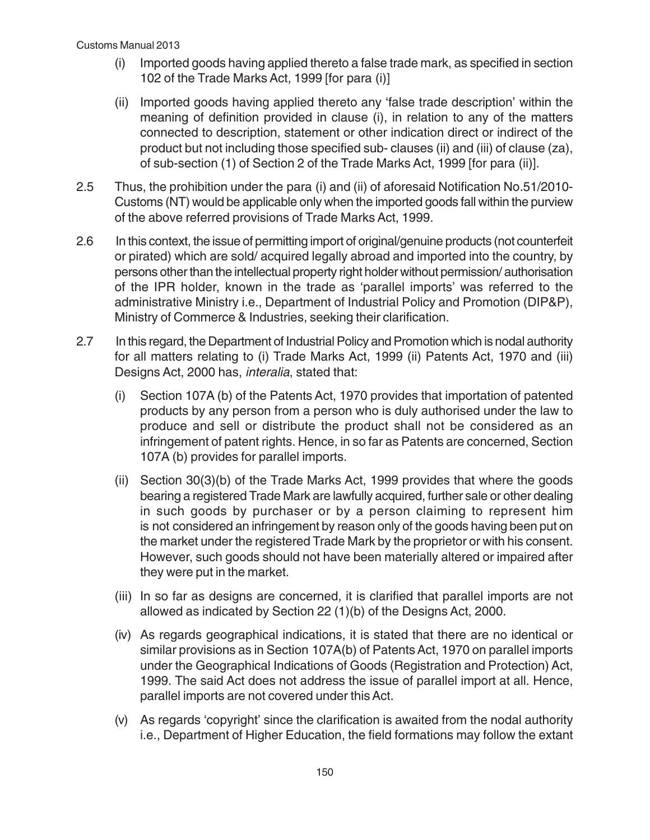- (i) Imported goods having applied thereto a false trade mark, as specified in section 102 of the Trade Marks Act, 1999 [for para (i)]
- (ii) Imported goods having applied thereto any 'false trade description' within the meaning of definition provided in clause (i), in relation to any of the matters connected to description, statement or other indication direct or indirect of the product but not including those specified sub- clauses (ii) and (iii) of clause (za), of sub-section (1) of Section 2 of the Trade Marks Act, 1999 [for para (ii)].
- 2.5 Thus, the prohibition under the para (i) and (ii) of aforesaid Notification No.51/2010- Customs (NT) would be applicable only when the imported goods fall within the purview of the above referred provisions of Trade Marks Act, 1999.
- 2.6 In this context, the issue of permitting import of original/genuine products (not counterfeit or pirated) which are sold/ acquired legally abroad and imported into the country, by persons other than the intellectual property right holder without permission/ authorisation of the IPR holder, known in the trade as 'parallel imports' was referred to the administrative Ministry i.e., Department of Industrial Policy and Promotion (DIP&P), Ministry of Commerce & Industries, seeking their clarification.
- 2.7 In this regard, the Department of Industrial Policy and Promotion which is nodal authority for all matters relating to (i) Trade Marks Act, 1999 (ii) Patents Act, 1970 and (iii) Designs Act, 2000 has, interalia, stated that:
	- (i) Section 107A (b) of the Patents Act, 1970 provides that importation of patented products by any person from a person who is duly authorised under the law to produce and sell or distribute the product shall not be considered as an infringement of patent rights. Hence, in so far as Patents are concerned, Section 107A (b) provides for parallel imports.
	- (ii) Section 30(3)(b) of the Trade Marks Act, 1999 provides that where the goods bearing a registered Trade Mark are lawfully acquired, further sale or other dealing in such goods by purchaser or by a person claiming to represent him is not considered an infringement by reason only of the goods having been put on the market under the registered Trade Mark by the proprietor or with his consent. However, such goods should not have been materially altered or impaired after they were put in the market.
	- (iii) In so far as designs are concerned, it is clarified that parallel imports are not allowed as indicated by Section 22 (1)(b) of the Designs Act, 2000.
	- (iv) As regards geographical indications, it is stated that there are no identical or similar provisions as in Section 107A(b) of Patents Act, 1970 on parallel imports under the Geographical Indications of Goods (Registration and Protection) Act, 1999. The said Act does not address the issue of parallel import at all. Hence, parallel imports are not covered under this Act.
	- (v) As regards 'copyright' since the clarification is awaited from the nodal authority i.e., Department of Higher Education, the field formations may follow the extant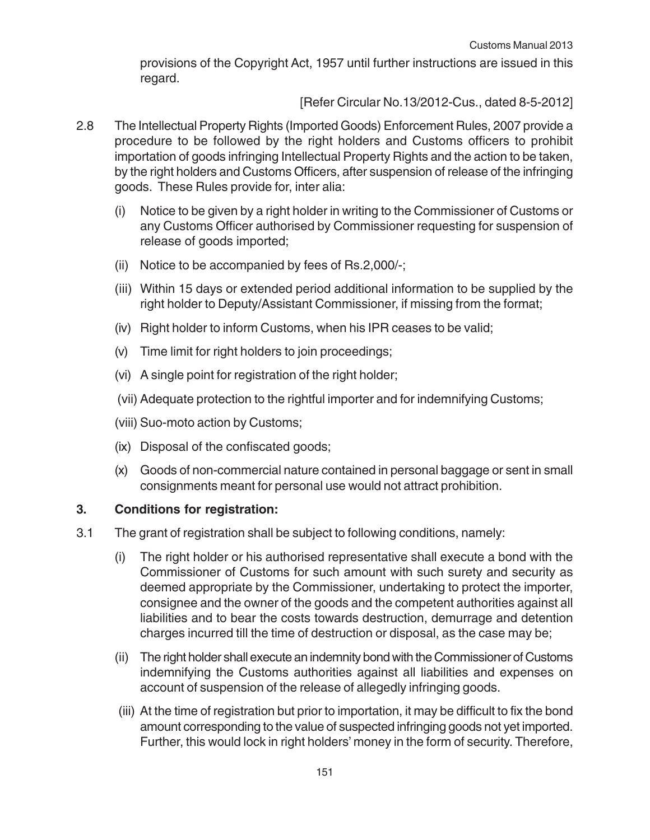provisions of the Copyright Act, 1957 until further instructions are issued in this regard.

[Refer Circular No.13/2012-Cus., dated 8-5-2012]

- 2.8 The Intellectual Property Rights (Imported Goods) Enforcement Rules, 2007 provide a procedure to be followed by the right holders and Customs officers to prohibit importation of goods infringing Intellectual Property Rights and the action to be taken, by the right holders and Customs Officers, after suspension of release of the infringing goods. These Rules provide for, inter alia:
	- (i) Notice to be given by a right holder in writing to the Commissioner of Customs or any Customs Officer authorised by Commissioner requesting for suspension of release of goods imported;
	- (ii) Notice to be accompanied by fees of Rs.2,000/-;
	- (iii) Within 15 days or extended period additional information to be supplied by the right holder to Deputy/Assistant Commissioner, if missing from the format;
	- (iv) Right holder to inform Customs, when his IPR ceases to be valid;
	- (v) Time limit for right holders to join proceedings;
	- (vi) A single point for registration of the right holder;
	- (vii) Adequate protection to the rightful importer and for indemnifying Customs;
	- (viii) Suo-moto action by Customs;
	- (ix) Disposal of the confiscated goods;
	- (x) Goods of non-commercial nature contained in personal baggage or sent in small consignments meant for personal use would not attract prohibition.

#### **3. Conditions for registration:**

- 3.1 The grant of registration shall be subject to following conditions, namely:
	- (i) The right holder or his authorised representative shall execute a bond with the Commissioner of Customs for such amount with such surety and security as deemed appropriate by the Commissioner, undertaking to protect the importer, consignee and the owner of the goods and the competent authorities against all liabilities and to bear the costs towards destruction, demurrage and detention charges incurred till the time of destruction or disposal, as the case may be;
	- (ii) The right holder shall execute an indemnity bond with the Commissioner of Customs indemnifying the Customs authorities against all liabilities and expenses on account of suspension of the release of allegedly infringing goods.
	- (iii) At the time of registration but prior to importation, it may be difficult to fix the bond amount corresponding to the value of suspected infringing goods not yet imported. Further, this would lock in right holders' money in the form of security. Therefore,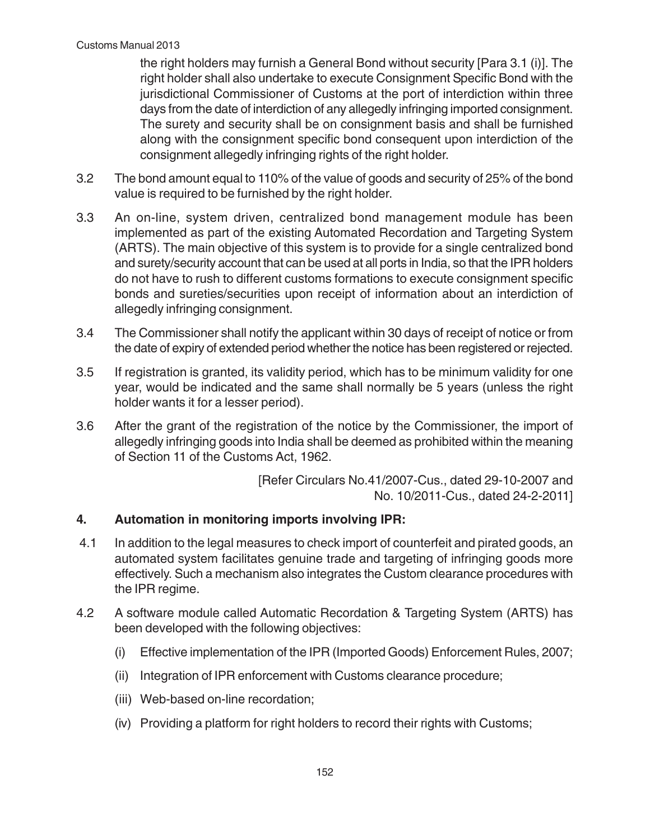the right holders may furnish a General Bond without security [Para 3.1 (i)]. The right holder shall also undertake to execute Consignment Specific Bond with the jurisdictional Commissioner of Customs at the port of interdiction within three days from the date of interdiction of any allegedly infringing imported consignment. The surety and security shall be on consignment basis and shall be furnished along with the consignment specific bond consequent upon interdiction of the consignment allegedly infringing rights of the right holder.

- 3.2 The bond amount equal to 110% of the value of goods and security of 25% of the bond value is required to be furnished by the right holder.
- 3.3 An on-line, system driven, centralized bond management module has been implemented as part of the existing Automated Recordation and Targeting System (ARTS). The main objective of this system is to provide for a single centralized bond and surety/security account that can be used at all ports in India, so that the IPR holders do not have to rush to different customs formations to execute consignment specific bonds and sureties/securities upon receipt of information about an interdiction of allegedly infringing consignment.
- 3.4 The Commissioner shall notify the applicant within 30 days of receipt of notice or from the date of expiry of extended period whether the notice has been registered or rejected.
- 3.5 If registration is granted, its validity period, which has to be minimum validity for one year, would be indicated and the same shall normally be 5 years (unless the right holder wants it for a lesser period).
- 3.6 After the grant of the registration of the notice by the Commissioner, the import of allegedly infringing goods into India shall be deemed as prohibited within the meaning of Section 11 of the Customs Act, 1962.

 [Refer Circulars No.41/2007-Cus., dated 29-10-2007 and No. 10/2011-Cus., dated 24-2-2011]

# **4. Automation in monitoring imports involving IPR:**

- 4.1 In addition to the legal measures to check import of counterfeit and pirated goods, an automated system facilitates genuine trade and targeting of infringing goods more effectively. Such a mechanism also integrates the Custom clearance procedures with the IPR regime.
- 4.2 A software module called Automatic Recordation & Targeting System (ARTS) has been developed with the following objectives:
	- (i) Effective implementation of the IPR (Imported Goods) Enforcement Rules, 2007;
	- (ii) Integration of IPR enforcement with Customs clearance procedure;
	- (iii) Web-based on-line recordation;
	- (iv) Providing a platform for right holders to record their rights with Customs;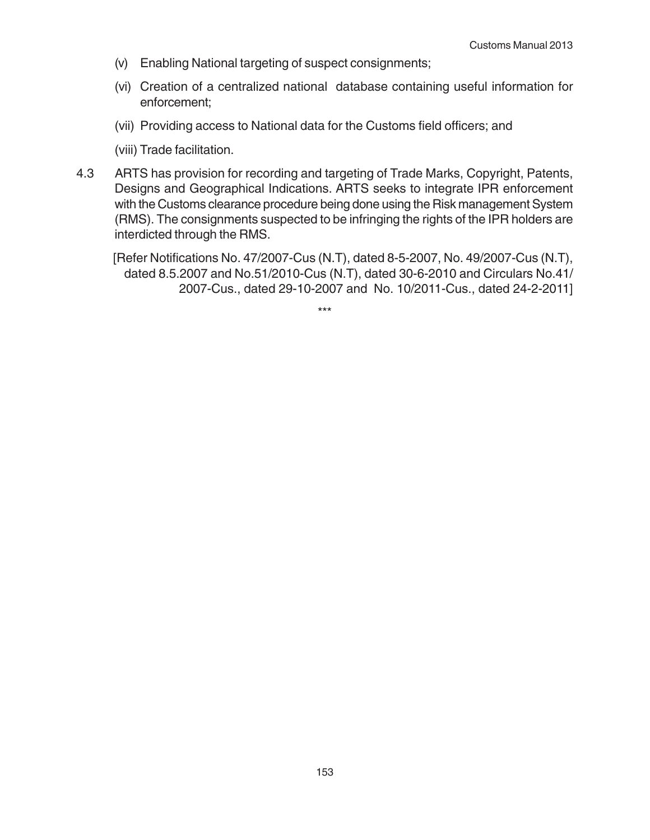- (v) Enabling National targeting of suspect consignments;
- (vi) Creation of a centralized national database containing useful information for enforcement;
- (vii) Providing access to National data for the Customs field officers; and
- (viii) Trade facilitation.
- 4.3 ARTS has provision for recording and targeting of Trade Marks, Copyright, Patents, Designs and Geographical Indications. ARTS seeks to integrate IPR enforcement with the Customs clearance procedure being done using the Risk management System (RMS). The consignments suspected to be infringing the rights of the IPR holders are interdicted through the RMS.

[Refer Notifications No. 47/2007-Cus (N.T), dated 8-5-2007, No. 49/2007-Cus (N.T), dated 8.5.2007 and No.51/2010-Cus (N.T), dated 30-6-2010 and Circulars No.41/ 2007-Cus., dated 29-10-2007 and No. 10/2011-Cus., dated 24-2-2011]

\*\*\*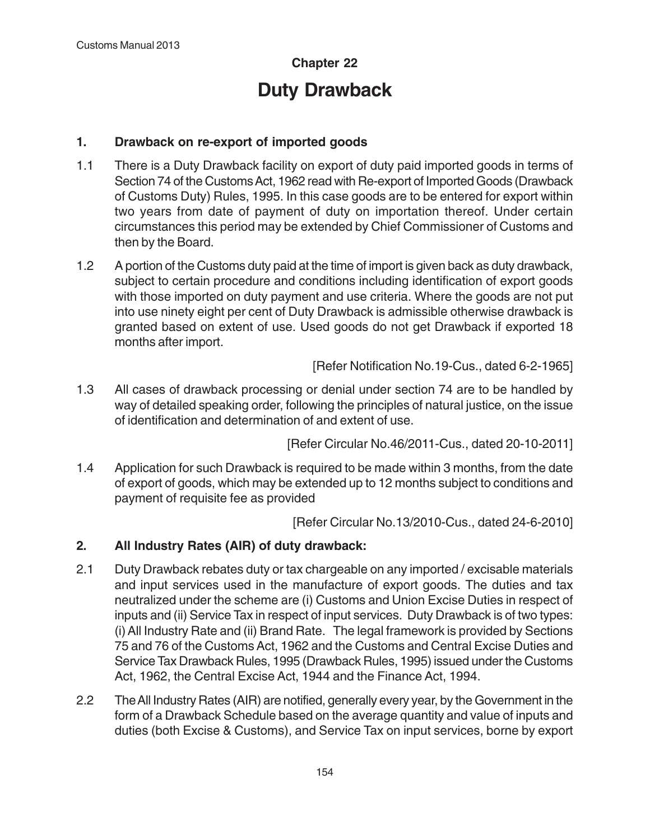# **Chapter 22 Duty Drawback**

# **1. Drawback on re-export of imported goods**

- 1.1 There is a Duty Drawback facility on export of duty paid imported goods in terms of Section 74 of the Customs Act, 1962 read with Re-export of Imported Goods (Drawback of Customs Duty) Rules, 1995. In this case goods are to be entered for export within two years from date of payment of duty on importation thereof. Under certain circumstances this period may be extended by Chief Commissioner of Customs and then by the Board.
- 1.2 A portion of the Customs duty paid at the time of import is given back as duty drawback, subject to certain procedure and conditions including identification of export goods with those imported on duty payment and use criteria. Where the goods are not put into use ninety eight per cent of Duty Drawback is admissible otherwise drawback is granted based on extent of use. Used goods do not get Drawback if exported 18 months after import.

[Refer Notification No.19-Cus., dated 6-2-1965]

1.3 All cases of drawback processing or denial under section 74 are to be handled by way of detailed speaking order, following the principles of natural justice, on the issue of identification and determination of and extent of use.

[Refer Circular No.46/2011-Cus., dated 20-10-2011]

1.4 Application for such Drawback is required to be made within 3 months, from the date of export of goods, which may be extended up to 12 months subject to conditions and payment of requisite fee as provided

[Refer Circular No.13/2010-Cus., dated 24-6-2010]

# **2. All Industry Rates (AIR) of duty drawback:**

- 2.1 Duty Drawback rebates duty or tax chargeable on any imported / excisable materials and input services used in the manufacture of export goods. The duties and tax neutralized under the scheme are (i) Customs and Union Excise Duties in respect of inputs and (ii) Service Tax in respect of input services. Duty Drawback is of two types: (i) All Industry Rate and (ii) Brand Rate. The legal framework is provided by Sections 75 and 76 of the Customs Act, 1962 and the Customs and Central Excise Duties and Service Tax Drawback Rules, 1995 (Drawback Rules, 1995) issued under the Customs Act, 1962, the Central Excise Act, 1944 and the Finance Act, 1994.
- 2.2 The All Industry Rates (AIR) are notified, generally every year, by the Government in the form of a Drawback Schedule based on the average quantity and value of inputs and duties (both Excise & Customs), and Service Tax on input services, borne by export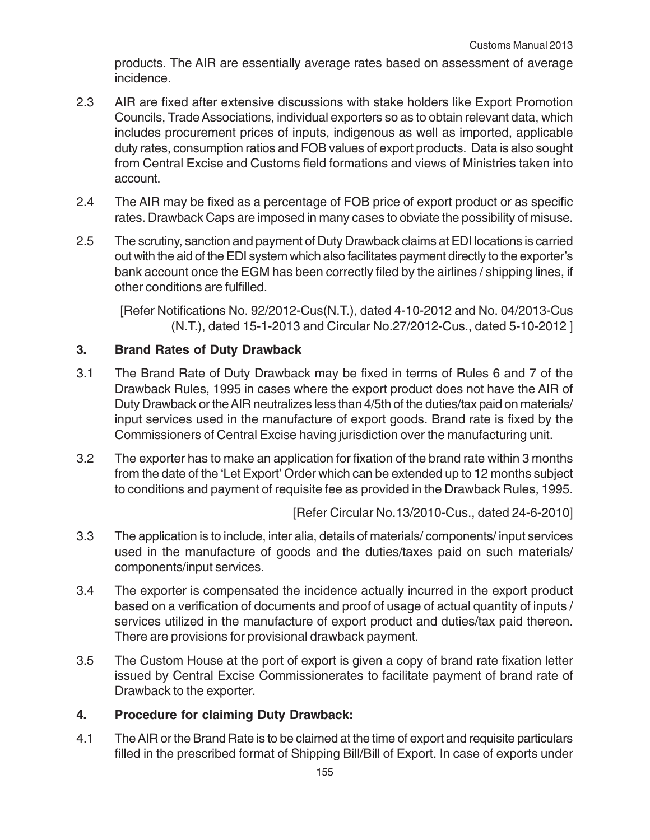products. The AIR are essentially average rates based on assessment of average incidence.

- 2.3 AIR are fixed after extensive discussions with stake holders like Export Promotion Councils, Trade Associations, individual exporters so as to obtain relevant data, which includes procurement prices of inputs, indigenous as well as imported, applicable duty rates, consumption ratios and FOB values of export products. Data is also sought from Central Excise and Customs field formations and views of Ministries taken into account.
- 2.4 The AIR may be fixed as a percentage of FOB price of export product or as specific rates. Drawback Caps are imposed in many cases to obviate the possibility of misuse.
- 2.5 The scrutiny, sanction and payment of Duty Drawback claims at EDI locations is carried out with the aid of the EDI system which also facilitates payment directly to the exporter's bank account once the EGM has been correctly filed by the airlines / shipping lines, if other conditions are fulfilled.

[Refer Notifications No. 92/2012-Cus(N.T.), dated 4-10-2012 and No. 04/2013-Cus (N.T.), dated 15-1-2013 and Circular No.27/2012-Cus., dated 5-10-2012 ]

## **3. Brand Rates of Duty Drawback**

- 3.1 The Brand Rate of Duty Drawback may be fixed in terms of Rules 6 and 7 of the Drawback Rules, 1995 in cases where the export product does not have the AIR of Duty Drawback or the AIR neutralizes less than 4/5th of the duties/tax paid on materials/ input services used in the manufacture of export goods. Brand rate is fixed by the Commissioners of Central Excise having jurisdiction over the manufacturing unit.
- 3.2 The exporter has to make an application for fixation of the brand rate within 3 months from the date of the 'Let Export' Order which can be extended up to 12 months subject to conditions and payment of requisite fee as provided in the Drawback Rules, 1995.

[Refer Circular No.13/2010-Cus., dated 24-6-2010]

- 3.3 The application is to include, inter alia, details of materials/ components/ input services used in the manufacture of goods and the duties/taxes paid on such materials/ components/input services.
- 3.4 The exporter is compensated the incidence actually incurred in the export product based on a verification of documents and proof of usage of actual quantity of inputs / services utilized in the manufacture of export product and duties/tax paid thereon. There are provisions for provisional drawback payment.
- 3.5 The Custom House at the port of export is given a copy of brand rate fixation letter issued by Central Excise Commissionerates to facilitate payment of brand rate of Drawback to the exporter.

#### **4. Procedure for claiming Duty Drawback:**

4.1 The AIR or the Brand Rate is to be claimed at the time of export and requisite particulars filled in the prescribed format of Shipping Bill/Bill of Export. In case of exports under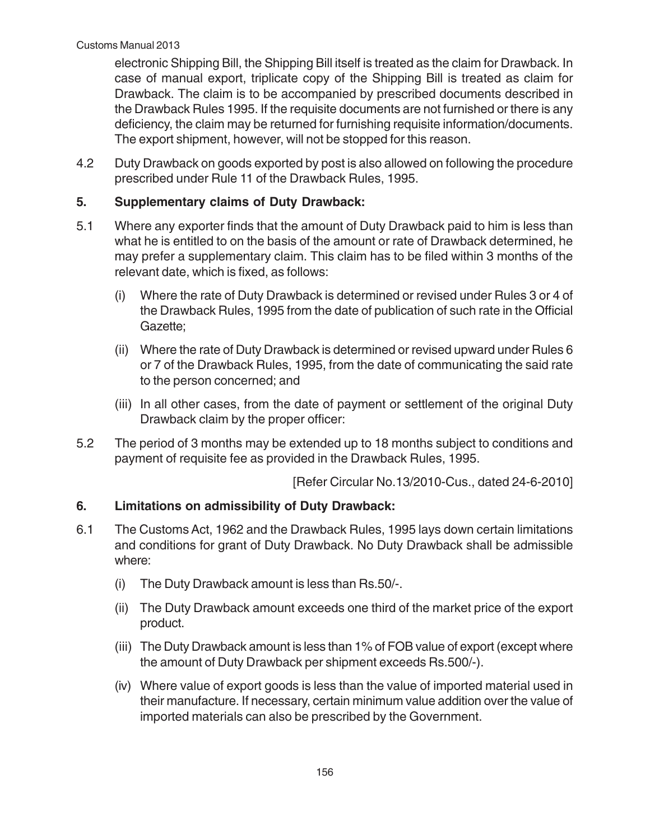electronic Shipping Bill, the Shipping Bill itself is treated as the claim for Drawback. In case of manual export, triplicate copy of the Shipping Bill is treated as claim for Drawback. The claim is to be accompanied by prescribed documents described in the Drawback Rules 1995. If the requisite documents are not furnished or there is any deficiency, the claim may be returned for furnishing requisite information/documents. The export shipment, however, will not be stopped for this reason.

4.2 Duty Drawback on goods exported by post is also allowed on following the procedure prescribed under Rule 11 of the Drawback Rules, 1995.

# **5. Supplementary claims of Duty Drawback:**

- 5.1 Where any exporter finds that the amount of Duty Drawback paid to him is less than what he is entitled to on the basis of the amount or rate of Drawback determined, he may prefer a supplementary claim. This claim has to be filed within 3 months of the relevant date, which is fixed, as follows:
	- (i) Where the rate of Duty Drawback is determined or revised under Rules 3 or 4 of the Drawback Rules, 1995 from the date of publication of such rate in the Official Gazette;
	- (ii) Where the rate of Duty Drawback is determined or revised upward under Rules 6 or 7 of the Drawback Rules, 1995, from the date of communicating the said rate to the person concerned; and
	- (iii) In all other cases, from the date of payment or settlement of the original Duty Drawback claim by the proper officer:
- 5.2 The period of 3 months may be extended up to 18 months subject to conditions and payment of requisite fee as provided in the Drawback Rules, 1995.

[Refer Circular No.13/2010-Cus., dated 24-6-2010]

# **6. Limitations on admissibility of Duty Drawback:**

- 6.1 The Customs Act, 1962 and the Drawback Rules, 1995 lays down certain limitations and conditions for grant of Duty Drawback. No Duty Drawback shall be admissible where:
	- (i) The Duty Drawback amount is less than Rs.50/-.
	- (ii) The Duty Drawback amount exceeds one third of the market price of the export product.
	- (iii) The Duty Drawback amount is less than 1% of FOB value of export (except where the amount of Duty Drawback per shipment exceeds Rs.500/-).
	- (iv) Where value of export goods is less than the value of imported material used in their manufacture. If necessary, certain minimum value addition over the value of imported materials can also be prescribed by the Government.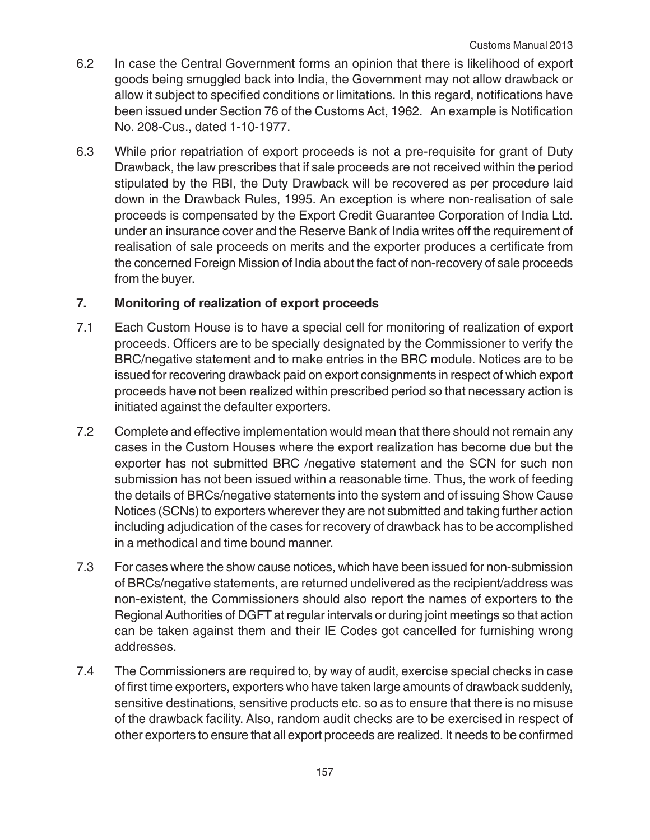- 6.2 In case the Central Government forms an opinion that there is likelihood of export goods being smuggled back into India, the Government may not allow drawback or allow it subject to specified conditions or limitations. In this regard, notifications have been issued under Section 76 of the Customs Act, 1962. An example is Notification No. 208-Cus., dated 1-10-1977.
- 6.3 While prior repatriation of export proceeds is not a pre-requisite for grant of Duty Drawback, the law prescribes that if sale proceeds are not received within the period stipulated by the RBI, the Duty Drawback will be recovered as per procedure laid down in the Drawback Rules, 1995. An exception is where non-realisation of sale proceeds is compensated by the Export Credit Guarantee Corporation of India Ltd. under an insurance cover and the Reserve Bank of India writes off the requirement of realisation of sale proceeds on merits and the exporter produces a certificate from the concerned Foreign Mission of India about the fact of non-recovery of sale proceeds from the buyer.

# **7. Monitoring of realization of export proceeds**

- 7.1 Each Custom House is to have a special cell for monitoring of realization of export proceeds. Officers are to be specially designated by the Commissioner to verify the BRC/negative statement and to make entries in the BRC module. Notices are to be issued for recovering drawback paid on export consignments in respect of which export proceeds have not been realized within prescribed period so that necessary action is initiated against the defaulter exporters.
- 7.2 Complete and effective implementation would mean that there should not remain any cases in the Custom Houses where the export realization has become due but the exporter has not submitted BRC /negative statement and the SCN for such non submission has not been issued within a reasonable time. Thus, the work of feeding the details of BRCs/negative statements into the system and of issuing Show Cause Notices (SCNs) to exporters wherever they are not submitted and taking further action including adjudication of the cases for recovery of drawback has to be accomplished in a methodical and time bound manner.
- 7.3 For cases where the show cause notices, which have been issued for non-submission of BRCs/negative statements, are returned undelivered as the recipient/address was non-existent, the Commissioners should also report the names of exporters to the Regional Authorities of DGFT at regular intervals or during joint meetings so that action can be taken against them and their IE Codes got cancelled for furnishing wrong addresses.
- 7.4 The Commissioners are required to, by way of audit, exercise special checks in case of first time exporters, exporters who have taken large amounts of drawback suddenly, sensitive destinations, sensitive products etc. so as to ensure that there is no misuse of the drawback facility. Also, random audit checks are to be exercised in respect of other exporters to ensure that all export proceeds are realized. It needs to be confirmed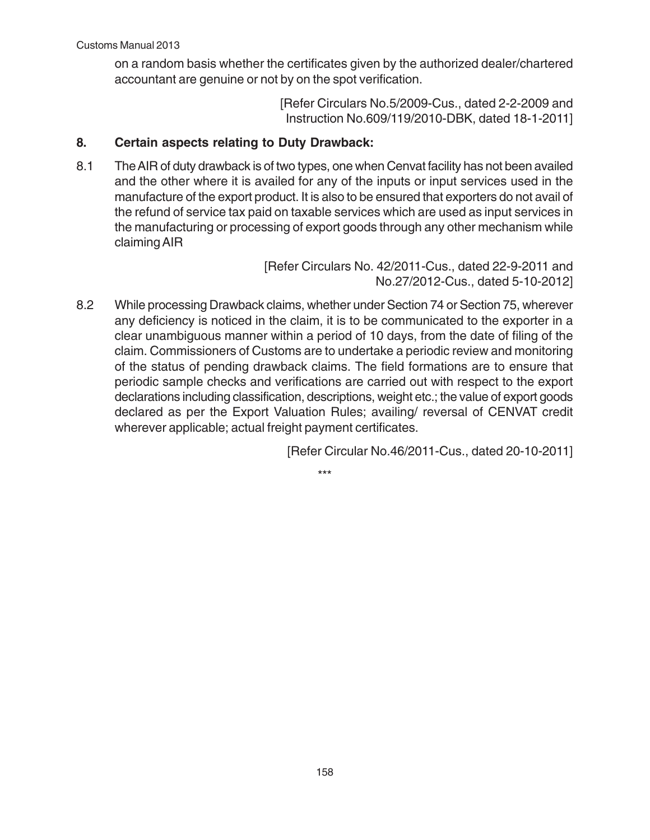on a random basis whether the certificates given by the authorized dealer/chartered accountant are genuine or not by on the spot verification.

> [Refer Circulars No.5/2009-Cus., dated 2-2-2009 and Instruction No.609/119/2010-DBK, dated 18-1-2011]

# **8. Certain aspects relating to Duty Drawback:**

8.1 The AIR of duty drawback is of two types, one when Cenvat facility has not been availed and the other where it is availed for any of the inputs or input services used in the manufacture of the export product. It is also to be ensured that exporters do not avail of the refund of service tax paid on taxable services which are used as input services in the manufacturing or processing of export goods through any other mechanism while claiming AIR

> [Refer Circulars No. 42/2011-Cus., dated 22-9-2011 and No.27/2012-Cus., dated 5-10-2012]

8.2 While processing Drawback claims, whether under Section 74 or Section 75, wherever any deficiency is noticed in the claim, it is to be communicated to the exporter in a clear unambiguous manner within a period of 10 days, from the date of filing of the claim. Commissioners of Customs are to undertake a periodic review and monitoring of the status of pending drawback claims. The field formations are to ensure that periodic sample checks and verifications are carried out with respect to the export declarations including classification, descriptions, weight etc.; the value of export goods declared as per the Export Valuation Rules; availing/ reversal of CENVAT credit wherever applicable; actual freight payment certificates.

[Refer Circular No.46/2011-Cus., dated 20-10-2011]

\*\*\*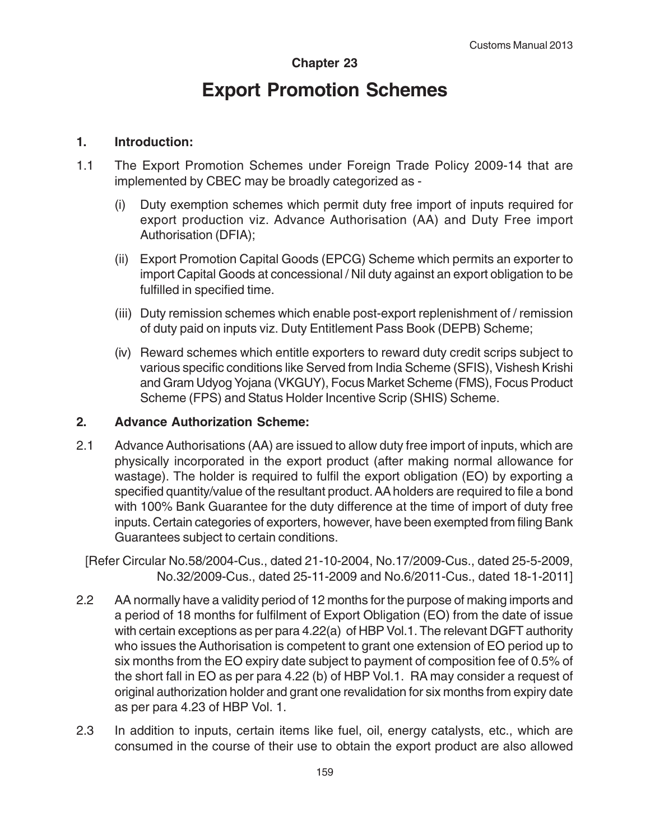## **Chapter 23**

# **Export Promotion Schemes**

#### **1. Introduction:**

- 1.1 The Export Promotion Schemes under Foreign Trade Policy 2009-14 that are implemented by CBEC may be broadly categorized as -
	- (i) Duty exemption schemes which permit duty free import of inputs required for export production viz. Advance Authorisation (AA) and Duty Free import Authorisation (DFIA);
	- (ii) Export Promotion Capital Goods (EPCG) Scheme which permits an exporter to import Capital Goods at concessional / Nil duty against an export obligation to be fulfilled in specified time.
	- (iii) Duty remission schemes which enable post-export replenishment of / remission of duty paid on inputs viz. Duty Entitlement Pass Book (DEPB) Scheme;
	- (iv) Reward schemes which entitle exporters to reward duty credit scrips subject to various specific conditions like Served from India Scheme (SFIS), Vishesh Krishi and Gram Udyog Yojana (VKGUY), Focus Market Scheme (FMS), Focus Product Scheme (FPS) and Status Holder Incentive Scrip (SHIS) Scheme.

#### **2. Advance Authorization Scheme:**

2.1 Advance Authorisations (AA) are issued to allow duty free import of inputs, which are physically incorporated in the export product (after making normal allowance for wastage). The holder is required to fulfil the export obligation (EO) by exporting a specified quantity/value of the resultant product. AA holders are required to file a bond with 100% Bank Guarantee for the duty difference at the time of import of duty free inputs. Certain categories of exporters, however, have been exempted from filing Bank Guarantees subject to certain conditions.

[Refer Circular No.58/2004-Cus., dated 21-10-2004, No.17/2009-Cus., dated 25-5-2009, No.32/2009-Cus., dated 25-11-2009 and No.6/2011-Cus., dated 18-1-2011]

- 2.2 AA normally have a validity period of 12 months for the purpose of making imports and a period of 18 months for fulfilment of Export Obligation (EO) from the date of issue with certain exceptions as per para 4.22(a) of HBP Vol.1. The relevant DGFT authority who issues the Authorisation is competent to grant one extension of EO period up to six months from the EO expiry date subject to payment of composition fee of 0.5% of the short fall in EO as per para 4.22 (b) of HBP Vol.1. RA may consider a request of original authorization holder and grant one revalidation for six months from expiry date as per para 4.23 of HBP Vol. 1.
- 2.3 In addition to inputs, certain items like fuel, oil, energy catalysts, etc., which are consumed in the course of their use to obtain the export product are also allowed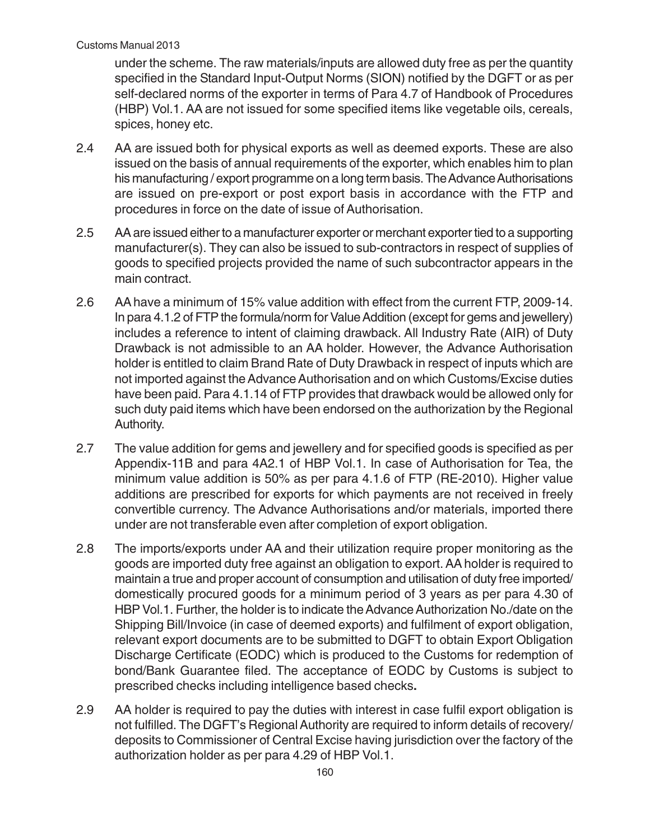under the scheme. The raw materials/inputs are allowed duty free as per the quantity specified in the Standard Input-Output Norms (SION) notified by the DGFT or as per self-declared norms of the exporter in terms of Para 4.7 of Handbook of Procedures (HBP) Vol.1. AA are not issued for some specified items like vegetable oils, cereals, spices, honey etc.

- 2.4 AA are issued both for physical exports as well as deemed exports. These are also issued on the basis of annual requirements of the exporter, which enables him to plan his manufacturing / export programme on a long term basis. The Advance Authorisations are issued on pre-export or post export basis in accordance with the FTP and procedures in force on the date of issue of Authorisation.
- 2.5 AA are issued either to a manufacturer exporter or merchant exporter tied to a supporting manufacturer(s). They can also be issued to sub-contractors in respect of supplies of goods to specified projects provided the name of such subcontractor appears in the main contract.
- 2.6 AA have a minimum of 15% value addition with effect from the current FTP, 2009-14. In para 4.1.2 of FTP the formula/norm for Value Addition (except for gems and jewellery) includes a reference to intent of claiming drawback. All Industry Rate (AIR) of Duty Drawback is not admissible to an AA holder. However, the Advance Authorisation holder is entitled to claim Brand Rate of Duty Drawback in respect of inputs which are not imported against the Advance Authorisation and on which Customs/Excise duties have been paid. Para 4.1.14 of FTP provides that drawback would be allowed only for such duty paid items which have been endorsed on the authorization by the Regional Authority.
- 2.7 The value addition for gems and jewellery and for specified goods is specified as per Appendix-11B and para 4A2.1 of HBP Vol.1. In case of Authorisation for Tea, the minimum value addition is 50% as per para 4.1.6 of FTP (RE-2010). Higher value additions are prescribed for exports for which payments are not received in freely convertible currency. The Advance Authorisations and/or materials, imported there under are not transferable even after completion of export obligation.
- 2.8 The imports/exports under AA and their utilization require proper monitoring as the goods are imported duty free against an obligation to export. AA holder is required to maintain a true and proper account of consumption and utilisation of duty free imported/ domestically procured goods for a minimum period of 3 years as per para 4.30 of HBP Vol.1. Further, the holder is to indicate the Advance Authorization No./date on the Shipping Bill/Invoice (in case of deemed exports) and fulfilment of export obligation, relevant export documents are to be submitted to DGFT to obtain Export Obligation Discharge Certificate (EODC) which is produced to the Customs for redemption of bond/Bank Guarantee filed. The acceptance of EODC by Customs is subject to prescribed checks including intelligence based checks**.**
- 2.9 AA holder is required to pay the duties with interest in case fulfil export obligation is not fulfilled. The DGFT's Regional Authority are required to inform details of recovery/ deposits to Commissioner of Central Excise having jurisdiction over the factory of the authorization holder as per para 4.29 of HBP Vol.1.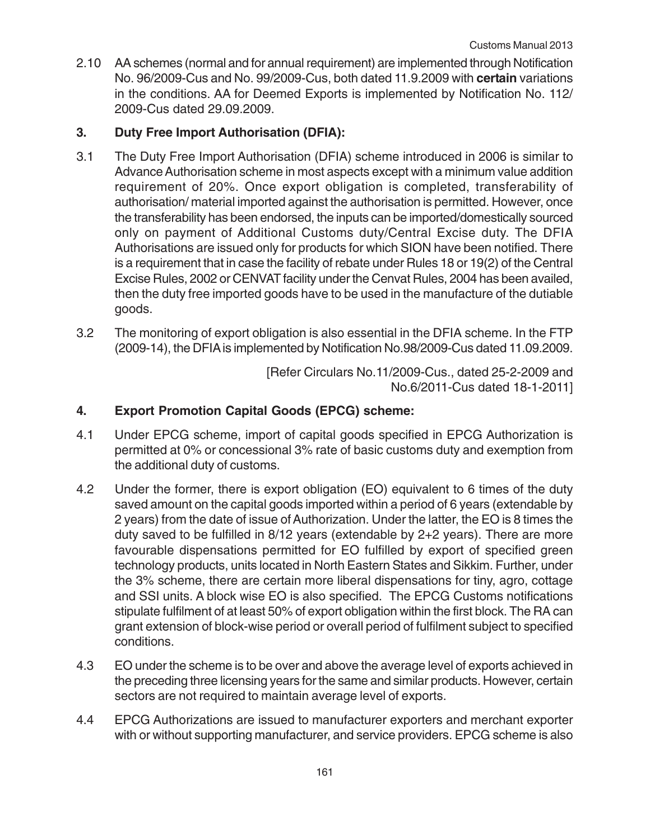2.10 AA schemes (normal and for annual requirement) are implemented through Notification No. 96/2009-Cus and No. 99/2009-Cus, both dated 11.9.2009 with **certain** variations in the conditions. AA for Deemed Exports is implemented by Notification No. 112/ 2009-Cus dated 29.09.2009.

# **3. Duty Free Import Authorisation (DFIA):**

- 3.1 The Duty Free Import Authorisation (DFIA) scheme introduced in 2006 is similar to Advance Authorisation scheme in most aspects except with a minimum value addition requirement of 20%. Once export obligation is completed, transferability of authorisation/ material imported against the authorisation is permitted. However, once the transferability has been endorsed, the inputs can be imported/domestically sourced only on payment of Additional Customs duty/Central Excise duty. The DFIA Authorisations are issued only for products for which SION have been notified. There is a requirement that in case the facility of rebate under Rules 18 or 19(2) of the Central Excise Rules, 2002 or CENVAT facility under the Cenvat Rules, 2004 has been availed, then the duty free imported goods have to be used in the manufacture of the dutiable goods.
- 3.2 The monitoring of export obligation is also essential in the DFIA scheme. In the FTP (2009-14), the DFIA is implemented by Notification No.98/2009-Cus dated 11.09.2009.

[Refer Circulars No.11/2009-Cus., dated 25-2-2009 and No.6/2011-Cus dated 18-1-2011]

# **4. Export Promotion Capital Goods (EPCG) scheme:**

- 4.1 Under EPCG scheme, import of capital goods specified in EPCG Authorization is permitted at 0% or concessional 3% rate of basic customs duty and exemption from the additional duty of customs.
- 4.2 Under the former, there is export obligation (EO) equivalent to 6 times of the duty saved amount on the capital goods imported within a period of 6 years (extendable by 2 years) from the date of issue of Authorization. Under the latter, the EO is 8 times the duty saved to be fulfilled in 8/12 years (extendable by 2+2 years). There are more favourable dispensations permitted for EO fulfilled by export of specified green technology products, units located in North Eastern States and Sikkim. Further, under the 3% scheme, there are certain more liberal dispensations for tiny, agro, cottage and SSI units. A block wise EO is also specified. The EPCG Customs notifications stipulate fulfilment of at least 50% of export obligation within the first block. The RA can grant extension of block-wise period or overall period of fulfilment subject to specified conditions.
- 4.3 EO under the scheme is to be over and above the average level of exports achieved in the preceding three licensing years for the same and similar products. However, certain sectors are not required to maintain average level of exports.
- 4.4 EPCG Authorizations are issued to manufacturer exporters and merchant exporter with or without supporting manufacturer, and service providers. EPCG scheme is also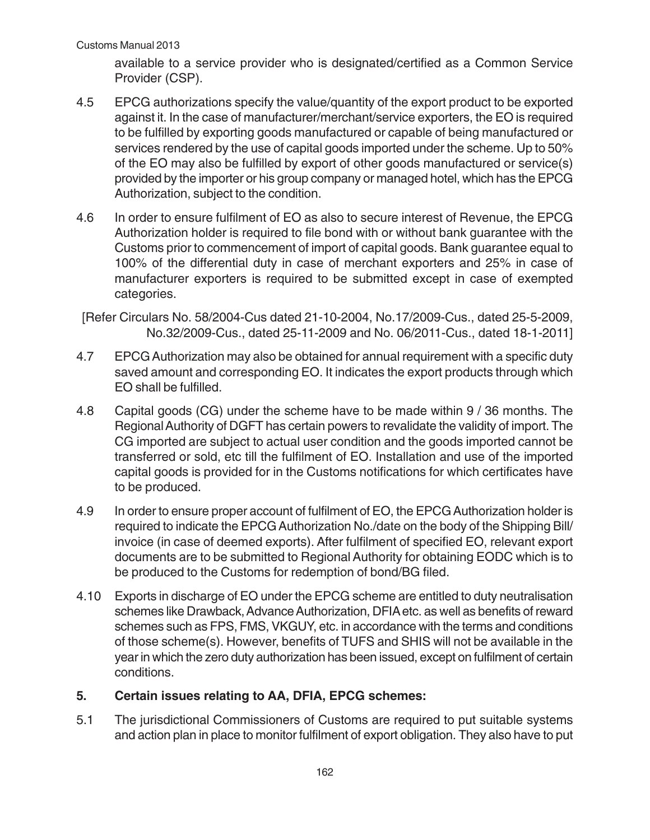available to a service provider who is designated/certified as a Common Service Provider (CSP).

- 4.5 EPCG authorizations specify the value/quantity of the export product to be exported against it. In the case of manufacturer/merchant/service exporters, the EO is required to be fulfilled by exporting goods manufactured or capable of being manufactured or services rendered by the use of capital goods imported under the scheme. Up to 50% of the EO may also be fulfilled by export of other goods manufactured or service(s) provided by the importer or his group company or managed hotel, which has the EPCG Authorization, subject to the condition.
- 4.6 In order to ensure fulfilment of EO as also to secure interest of Revenue, the EPCG Authorization holder is required to file bond with or without bank guarantee with the Customs prior to commencement of import of capital goods. Bank guarantee equal to 100% of the differential duty in case of merchant exporters and 25% in case of manufacturer exporters is required to be submitted except in case of exempted categories.

[Refer Circulars No. 58/2004-Cus dated 21-10-2004, No.17/2009-Cus., dated 25-5-2009, No.32/2009-Cus., dated 25-11-2009 and No. 06/2011-Cus., dated 18-1-2011]

- 4.7 EPCG Authorization may also be obtained for annual requirement with a specific duty saved amount and corresponding EO. It indicates the export products through which EO shall be fulfilled.
- 4.8 Capital goods (CG) under the scheme have to be made within 9 / 36 months. The Regional Authority of DGFT has certain powers to revalidate the validity of import. The CG imported are subject to actual user condition and the goods imported cannot be transferred or sold, etc till the fulfilment of EO. Installation and use of the imported capital goods is provided for in the Customs notifications for which certificates have to be produced.
- 4.9 In order to ensure proper account of fulfilment of EO, the EPCG Authorization holder is required to indicate the EPCG Authorization No./date on the body of the Shipping Bill/ invoice (in case of deemed exports). After fulfilment of specified EO, relevant export documents are to be submitted to Regional Authority for obtaining EODC which is to be produced to the Customs for redemption of bond/BG filed.
- 4.10 Exports in discharge of EO under the EPCG scheme are entitled to duty neutralisation schemes like Drawback, Advance Authorization, DFIA etc. as well as benefits of reward schemes such as FPS, FMS, VKGUY, etc. in accordance with the terms and conditions of those scheme(s). However, benefits of TUFS and SHIS will not be available in the year in which the zero duty authorization has been issued, except on fulfilment of certain conditions.

#### **5. Certain issues relating to AA, DFIA, EPCG schemes:**

5.1 The jurisdictional Commissioners of Customs are required to put suitable systems and action plan in place to monitor fulfilment of export obligation. They also have to put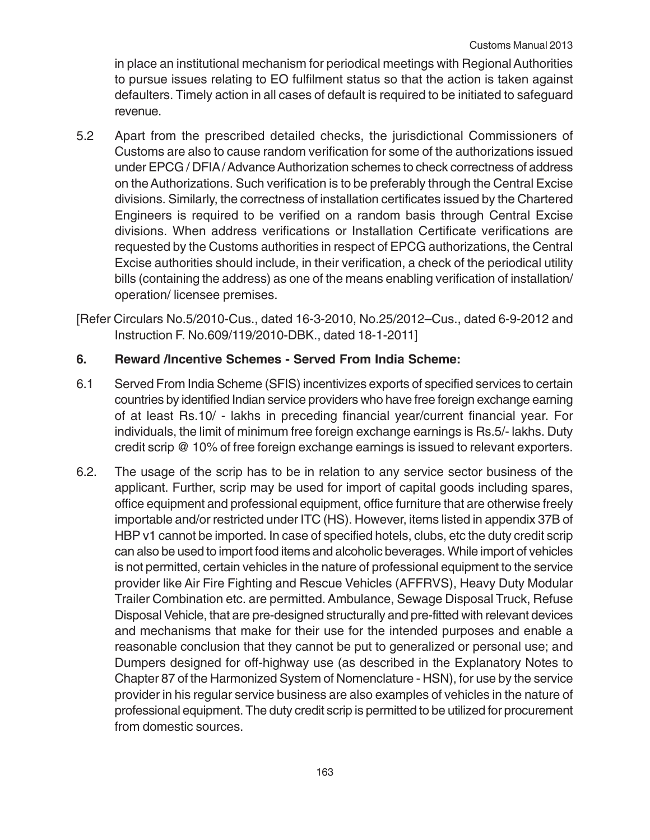in place an institutional mechanism for periodical meetings with Regional Authorities to pursue issues relating to EO fulfilment status so that the action is taken against defaulters. Timely action in all cases of default is required to be initiated to safeguard revenue.

5.2 Apart from the prescribed detailed checks, the jurisdictional Commissioners of Customs are also to cause random verification for some of the authorizations issued under EPCG / DFIA / Advance Authorization schemes to check correctness of address on the Authorizations. Such verification is to be preferably through the Central Excise divisions. Similarly, the correctness of installation certificates issued by the Chartered Engineers is required to be verified on a random basis through Central Excise divisions. When address verifications or Installation Certificate verifications are requested by the Customs authorities in respect of EPCG authorizations, the Central Excise authorities should include, in their verification, a check of the periodical utility bills (containing the address) as one of the means enabling verification of installation/ operation/ licensee premises.

[Refer Circulars No.5/2010-Cus., dated 16-3-2010, No.25/2012–Cus., dated 6-9-2012 and Instruction F. No.609/119/2010-DBK., dated 18-1-2011]

# **6. Reward /Incentive Schemes - Served From India Scheme:**

- 6.1 Served From India Scheme (SFIS) incentivizes exports of specified services to certain countries by identified Indian service providers who have free foreign exchange earning of at least Rs.10/ - lakhs in preceding financial year/current financial year. For individuals, the limit of minimum free foreign exchange earnings is Rs.5/- lakhs. Duty credit scrip @ 10% of free foreign exchange earnings is issued to relevant exporters.
- 6.2. The usage of the scrip has to be in relation to any service sector business of the applicant. Further, scrip may be used for import of capital goods including spares, office equipment and professional equipment, office furniture that are otherwise freely importable and/or restricted under ITC (HS). However, items listed in appendix 37B of HBP v1 cannot be imported. In case of specified hotels, clubs, etc the duty credit scrip can also be used to import food items and alcoholic beverages. While import of vehicles is not permitted, certain vehicles in the nature of professional equipment to the service provider like Air Fire Fighting and Rescue Vehicles (AFFRVS), Heavy Duty Modular Trailer Combination etc. are permitted. Ambulance, Sewage Disposal Truck, Refuse Disposal Vehicle, that are pre-designed structurally and pre-fitted with relevant devices and mechanisms that make for their use for the intended purposes and enable a reasonable conclusion that they cannot be put to generalized or personal use; and Dumpers designed for off-highway use (as described in the Explanatory Notes to Chapter 87 of the Harmonized System of Nomenclature - HSN), for use by the service provider in his regular service business are also examples of vehicles in the nature of professional equipment. The duty credit scrip is permitted to be utilized for procurement from domestic sources.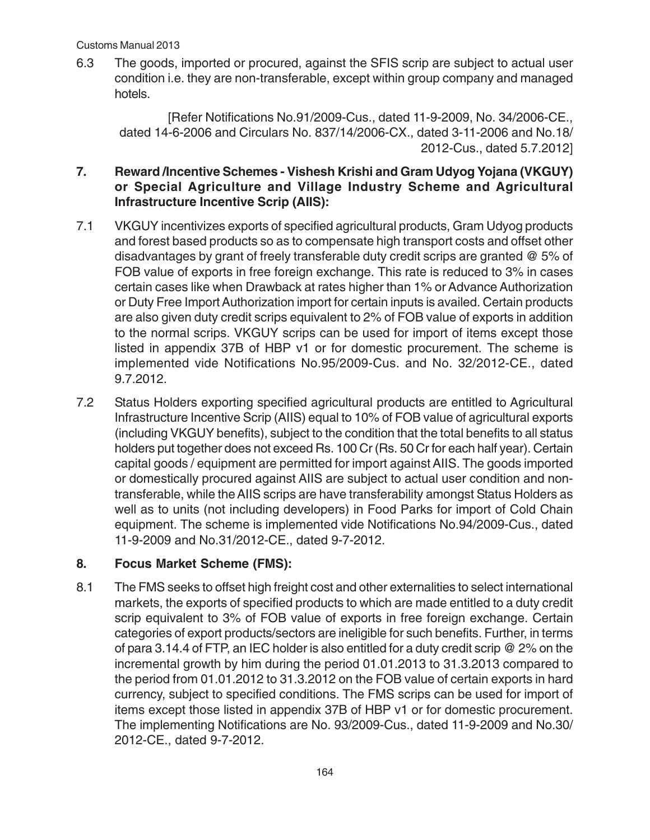6.3 The goods, imported or procured, against the SFIS scrip are subject to actual user condition i.e. they are non-transferable, except within group company and managed hotels.

[Refer Notifications No.91/2009-Cus., dated 11-9-2009, No. 34/2006-CE., dated 14-6-2006 and Circulars No. 837/14/2006-CX., dated 3-11-2006 and No.18/ 2012-Cus., dated 5.7.2012]

# **7. Reward /Incentive Schemes - Vishesh Krishi and Gram Udyog Yojana (VKGUY) or Special Agriculture and Village Industry Scheme and Agricultural Infrastructure Incentive Scrip (AIIS):**

- 7.1 VKGUY incentivizes exports of specified agricultural products, Gram Udyog products and forest based products so as to compensate high transport costs and offset other disadvantages by grant of freely transferable duty credit scrips are granted @ 5% of FOB value of exports in free foreign exchange. This rate is reduced to 3% in cases certain cases like when Drawback at rates higher than 1% or Advance Authorization or Duty Free Import Authorization import for certain inputs is availed. Certain products are also given duty credit scrips equivalent to 2% of FOB value of exports in addition to the normal scrips. VKGUY scrips can be used for import of items except those listed in appendix 37B of HBP v1 or for domestic procurement. The scheme is implemented vide Notifications No.95/2009-Cus. and No. 32/2012-CE., dated 9.7.2012.
- 7.2 Status Holders exporting specified agricultural products are entitled to Agricultural Infrastructure Incentive Scrip (AIIS) equal to 10% of FOB value of agricultural exports (including VKGUY benefits), subject to the condition that the total benefits to all status holders put together does not exceed Rs. 100 Cr (Rs. 50 Cr for each half year). Certain capital goods / equipment are permitted for import against AIIS. The goods imported or domestically procured against AIIS are subject to actual user condition and nontransferable, while the AIIS scrips are have transferability amongst Status Holders as well as to units (not including developers) in Food Parks for import of Cold Chain equipment. The scheme is implemented vide Notifications No.94/2009-Cus., dated 11-9-2009 and No.31/2012-CE., dated 9-7-2012.

# **8. Focus Market Scheme (FMS):**

8.1 The FMS seeks to offset high freight cost and other externalities to select international markets, the exports of specified products to which are made entitled to a duty credit scrip equivalent to 3% of FOB value of exports in free foreign exchange. Certain categories of export products/sectors are ineligible for such benefits. Further, in terms of para 3.14.4 of FTP, an IEC holder is also entitled for a duty credit scrip @ 2% on the incremental growth by him during the period 01.01.2013 to 31.3.2013 compared to the period from 01.01.2012 to 31.3.2012 on the FOB value of certain exports in hard currency, subject to specified conditions. The FMS scrips can be used for import of items except those listed in appendix 37B of HBP v1 or for domestic procurement. The implementing Notifications are No. 93/2009-Cus., dated 11-9-2009 and No.30/ 2012-CE., dated 9-7-2012.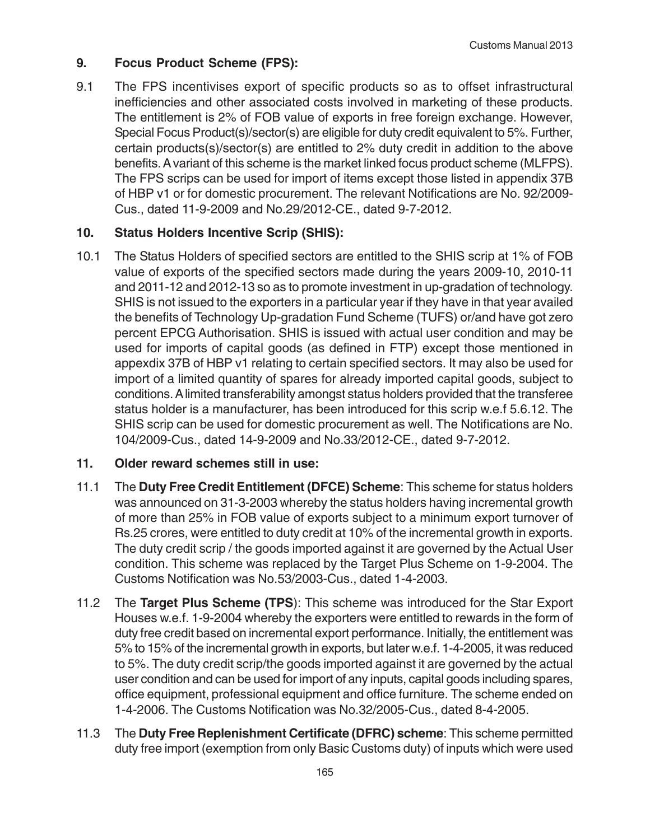# **9. Focus Product Scheme (FPS):**

9.1 The FPS incentivises export of specific products so as to offset infrastructural inefficiencies and other associated costs involved in marketing of these products. The entitlement is 2% of FOB value of exports in free foreign exchange. However, Special Focus Product(s)/sector(s) are eligible for duty credit equivalent to 5%. Further, certain products(s)/sector(s) are entitled to 2% duty credit in addition to the above benefits. A variant of this scheme is the market linked focus product scheme (MLFPS). The FPS scrips can be used for import of items except those listed in appendix 37B of HBP v1 or for domestic procurement. The relevant Notifications are No. 92/2009- Cus., dated 11-9-2009 and No.29/2012-CE., dated 9-7-2012.

## **10. Status Holders Incentive Scrip (SHIS):**

10.1 The Status Holders of specified sectors are entitled to the SHIS scrip at 1% of FOB value of exports of the specified sectors made during the years 2009-10, 2010-11 and 2011-12 and 2012-13 so as to promote investment in up-gradation of technology. SHIS is not issued to the exporters in a particular year if they have in that year availed the benefits of Technology Up-gradation Fund Scheme (TUFS) or/and have got zero percent EPCG Authorisation. SHIS is issued with actual user condition and may be used for imports of capital goods (as defined in FTP) except those mentioned in appexdix 37B of HBP v1 relating to certain specified sectors. It may also be used for import of a limited quantity of spares for already imported capital goods, subject to conditions. A limited transferability amongst status holders provided that the transferee status holder is a manufacturer, has been introduced for this scrip w.e.f 5.6.12. The SHIS scrip can be used for domestic procurement as well. The Notifications are No. 104/2009-Cus., dated 14-9-2009 and No.33/2012-CE., dated 9-7-2012.

#### **11. Older reward schemes still in use:**

- 11.1 The **Duty Free Credit Entitlement (DFCE) Scheme**: This scheme for status holders was announced on 31-3-2003 whereby the status holders having incremental growth of more than 25% in FOB value of exports subject to a minimum export turnover of Rs.25 crores, were entitled to duty credit at 10% of the incremental growth in exports. The duty credit scrip / the goods imported against it are governed by the Actual User condition. This scheme was replaced by the Target Plus Scheme on 1-9-2004. The Customs Notification was No.53/2003-Cus., dated 1-4-2003.
- 11.2 The **Target Plus Scheme (TPS**): This scheme was introduced for the Star Export Houses w.e.f. 1-9-2004 whereby the exporters were entitled to rewards in the form of duty free credit based on incremental export performance. Initially, the entitlement was 5% to 15% of the incremental growth in exports, but later w.e.f. 1-4-2005, it was reduced to 5%. The duty credit scrip/the goods imported against it are governed by the actual user condition and can be used for import of any inputs, capital goods including spares, office equipment, professional equipment and office furniture. The scheme ended on 1-4-2006. The Customs Notification was No.32/2005-Cus., dated 8-4-2005.
- 11.3 The **Duty Free Replenishment Certificate (DFRC) scheme**: This scheme permitted duty free import (exemption from only Basic Customs duty) of inputs which were used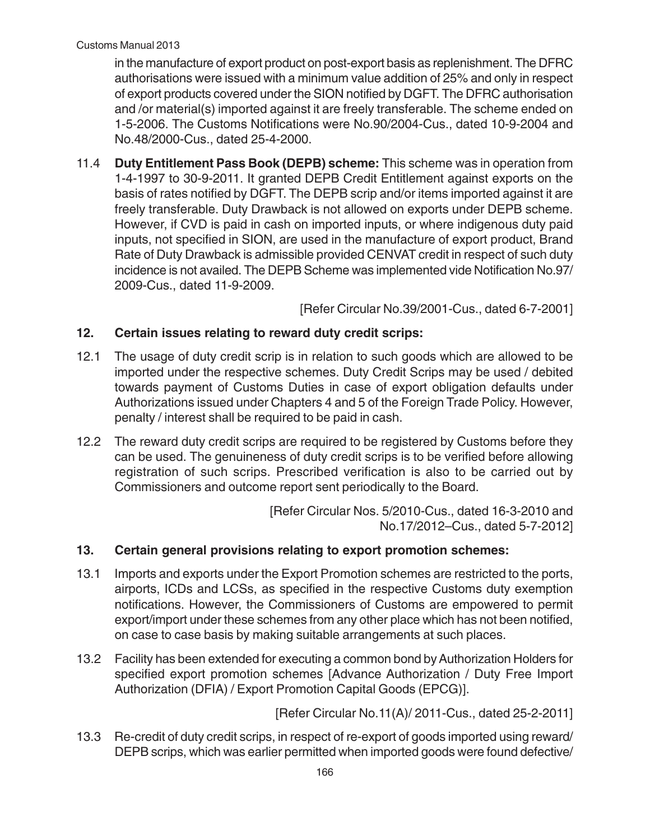in the manufacture of export product on post-export basis as replenishment. The DFRC authorisations were issued with a minimum value addition of 25% and only in respect of export products covered under the SION notified by DGFT. The DFRC authorisation and /or material(s) imported against it are freely transferable. The scheme ended on 1-5-2006. The Customs Notifications were No.90/2004-Cus., dated 10-9-2004 and No.48/2000-Cus., dated 25-4-2000.

11.4 **Duty Entitlement Pass Book (DEPB) scheme:** This scheme was in operation from 1-4-1997 to 30-9-2011. It granted DEPB Credit Entitlement against exports on the basis of rates notified by DGFT. The DEPB scrip and/or items imported against it are freely transferable. Duty Drawback is not allowed on exports under DEPB scheme. However, if CVD is paid in cash on imported inputs, or where indigenous duty paid inputs, not specified in SION, are used in the manufacture of export product, Brand Rate of Duty Drawback is admissible provided CENVAT credit in respect of such duty incidence is not availed. The DEPB Scheme was implemented vide Notification No.97/ 2009-Cus., dated 11-9-2009.

[Refer Circular No.39/2001-Cus., dated 6-7-2001]

# **12. Certain issues relating to reward duty credit scrips:**

- 12.1 The usage of duty credit scrip is in relation to such goods which are allowed to be imported under the respective schemes. Duty Credit Scrips may be used / debited towards payment of Customs Duties in case of export obligation defaults under Authorizations issued under Chapters 4 and 5 of the Foreign Trade Policy. However, penalty / interest shall be required to be paid in cash.
- 12.2 The reward duty credit scrips are required to be registered by Customs before they can be used. The genuineness of duty credit scrips is to be verified before allowing registration of such scrips. Prescribed verification is also to be carried out by Commissioners and outcome report sent periodically to the Board.

[Refer Circular Nos. 5/2010-Cus., dated 16-3-2010 and No.17/2012–Cus., dated 5-7-2012]

# **13. Certain general provisions relating to export promotion schemes:**

- 13.1 Imports and exports under the Export Promotion schemes are restricted to the ports, airports, ICDs and LCSs, as specified in the respective Customs duty exemption notifications. However, the Commissioners of Customs are empowered to permit export/import under these schemes from any other place which has not been notified, on case to case basis by making suitable arrangements at such places.
- 13.2 Facility has been extended for executing a common bond by Authorization Holders for specified export promotion schemes [Advance Authorization / Duty Free Import Authorization (DFIA) / Export Promotion Capital Goods (EPCG)].

[Refer Circular No.11(A)/ 2011-Cus., dated 25-2-2011]

13.3 Re-credit of duty credit scrips, in respect of re-export of goods imported using reward/ DEPB scrips, which was earlier permitted when imported goods were found defective/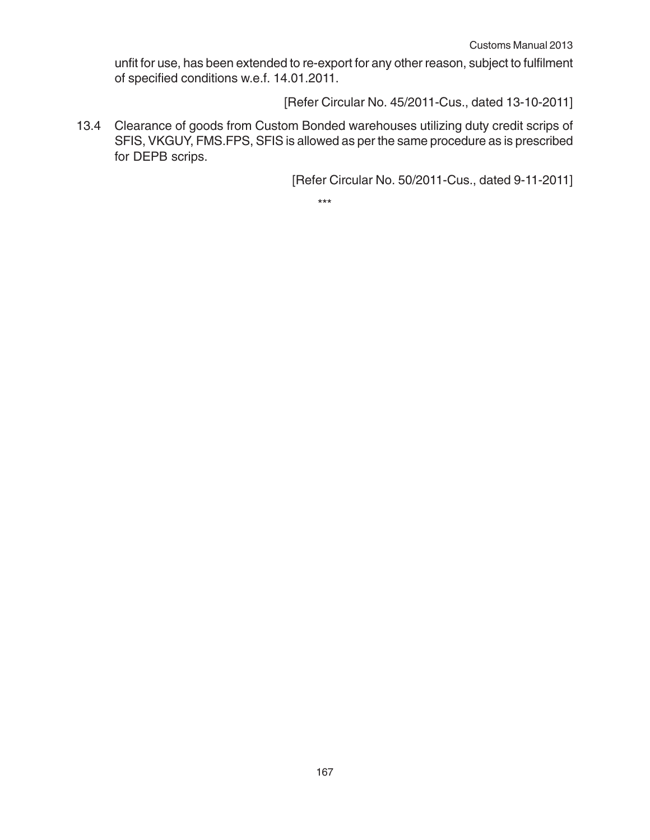unfit for use, has been extended to re-export for any other reason, subject to fulfilment of specified conditions w.e.f. 14.01.2011.

[Refer Circular No. 45/2011-Cus., dated 13-10-2011]

13.4 Clearance of goods from Custom Bonded warehouses utilizing duty credit scrips of SFIS, VKGUY, FMS.FPS, SFIS is allowed as per the same procedure as is prescribed for DEPB scrips.

[Refer Circular No. 50/2011-Cus., dated 9-11-2011]

\*\*\*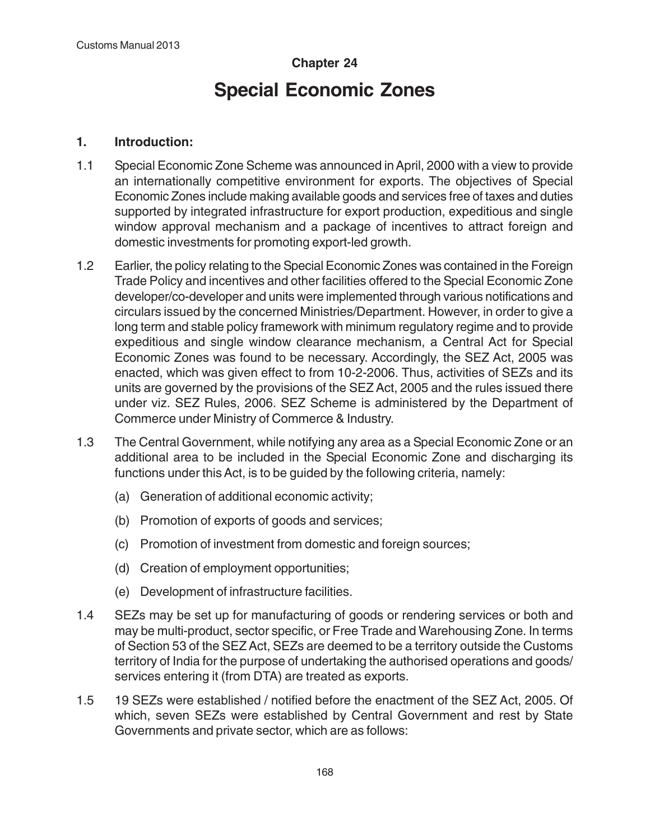# **Chapter 24 Special Economic Zones**

#### **1. Introduction:**

- 1.1 Special Economic Zone Scheme was announced in April, 2000 with a view to provide an internationally competitive environment for exports. The objectives of Special Economic Zones include making available goods and services free of taxes and duties supported by integrated infrastructure for export production, expeditious and single window approval mechanism and a package of incentives to attract foreign and domestic investments for promoting export-led growth.
- 1.2 Earlier, the policy relating to the Special Economic Zones was contained in the Foreign Trade Policy and incentives and other facilities offered to the Special Economic Zone developer/co-developer and units were implemented through various notifications and circulars issued by the concerned Ministries/Department. However, in order to give a long term and stable policy framework with minimum regulatory regime and to provide expeditious and single window clearance mechanism, a Central Act for Special Economic Zones was found to be necessary. Accordingly, the SEZ Act, 2005 was enacted, which was given effect to from 10-2-2006. Thus, activities of SEZs and its units are governed by the provisions of the SEZ Act, 2005 and the rules issued there under viz. SEZ Rules, 2006. SEZ Scheme is administered by the Department of Commerce under Ministry of Commerce & Industry.
- 1.3 The Central Government, while notifying any area as a Special Economic Zone or an additional area to be included in the Special Economic Zone and discharging its functions under this Act, is to be guided by the following criteria, namely:
	- (a) Generation of additional economic activity;
	- (b) Promotion of exports of goods and services;
	- (c) Promotion of investment from domestic and foreign sources;
	- (d) Creation of employment opportunities;
	- (e) Development of infrastructure facilities.
- 1.4 SEZs may be set up for manufacturing of goods or rendering services or both and may be multi-product, sector specific, or Free Trade and Warehousing Zone. In terms of Section 53 of the SEZ Act, SEZs are deemed to be a territory outside the Customs territory of India for the purpose of undertaking the authorised operations and goods/ services entering it (from DTA) are treated as exports.
- 1.5 19 SEZs were established / notified before the enactment of the SEZ Act, 2005. Of which, seven SEZs were established by Central Government and rest by State Governments and private sector, which are as follows: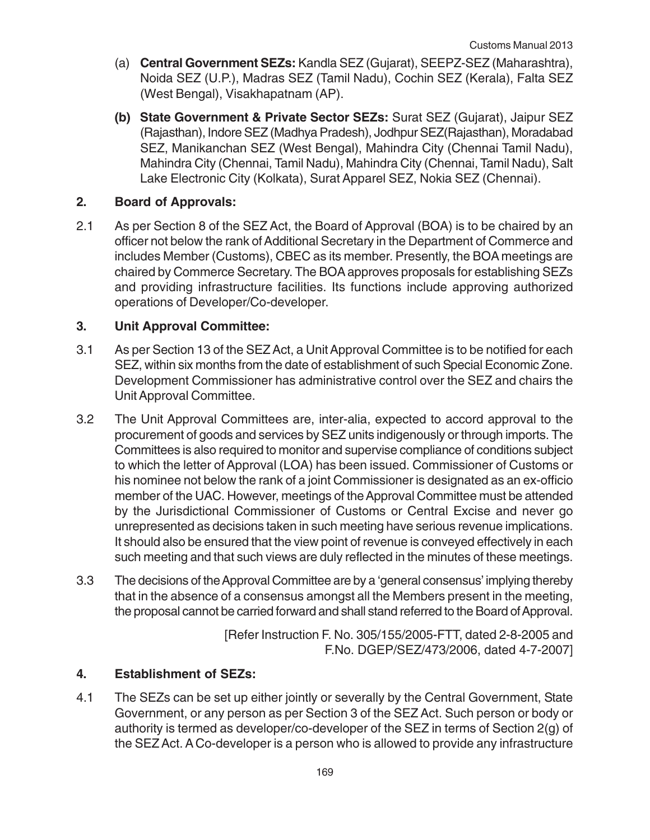- (a) **Central Government SEZs:** Kandla SEZ (Gujarat), SEEPZ-SEZ (Maharashtra), Noida SEZ (U.P.), Madras SEZ (Tamil Nadu), Cochin SEZ (Kerala), Falta SEZ (West Bengal), Visakhapatnam (AP).
- **(b) State Government & Private Sector SEZs:** Surat SEZ (Gujarat), Jaipur SEZ (Rajasthan), Indore SEZ (Madhya Pradesh), Jodhpur SEZ(Rajasthan), Moradabad SEZ, Manikanchan SEZ (West Bengal), Mahindra City (Chennai Tamil Nadu), Mahindra City (Chennai, Tamil Nadu), Mahindra City (Chennai, Tamil Nadu), Salt Lake Electronic City (Kolkata), Surat Apparel SEZ, Nokia SEZ (Chennai).

#### **2. Board of Approvals:**

2.1 As per Section 8 of the SEZ Act, the Board of Approval (BOA) is to be chaired by an officer not below the rank of Additional Secretary in the Department of Commerce and includes Member (Customs), CBEC as its member. Presently, the BOA meetings are chaired by Commerce Secretary. The BOA approves proposals for establishing SEZs and providing infrastructure facilities. Its functions include approving authorized operations of Developer/Co-developer.

#### **3. Unit Approval Committee:**

- 3.1 As per Section 13 of the SEZ Act, a Unit Approval Committee is to be notified for each SEZ, within six months from the date of establishment of such Special Economic Zone. Development Commissioner has administrative control over the SEZ and chairs the Unit Approval Committee.
- 3.2 The Unit Approval Committees are, inter-alia, expected to accord approval to the procurement of goods and services by SEZ units indigenously or through imports. The Committees is also required to monitor and supervise compliance of conditions subject to which the letter of Approval (LOA) has been issued. Commissioner of Customs or his nominee not below the rank of a joint Commissioner is designated as an ex-officio member of the UAC. However, meetings of the Approval Committee must be attended by the Jurisdictional Commissioner of Customs or Central Excise and never go unrepresented as decisions taken in such meeting have serious revenue implications. It should also be ensured that the view point of revenue is conveyed effectively in each such meeting and that such views are duly reflected in the minutes of these meetings.
- 3.3 The decisions of the Approval Committee are by a 'general consensus' implying thereby that in the absence of a consensus amongst all the Members present in the meeting, the proposal cannot be carried forward and shall stand referred to the Board of Approval.

[Refer Instruction F. No. 305/155/2005-FTT, dated 2-8-2005 and F.No. DGEP/SEZ/473/2006, dated 4-7-2007]

#### **4. Establishment of SEZs:**

4.1 The SEZs can be set up either jointly or severally by the Central Government, State Government, or any person as per Section 3 of the SEZ Act. Such person or body or authority is termed as developer/co-developer of the SEZ in terms of Section 2(g) of the SEZ Act. A Co-developer is a person who is allowed to provide any infrastructure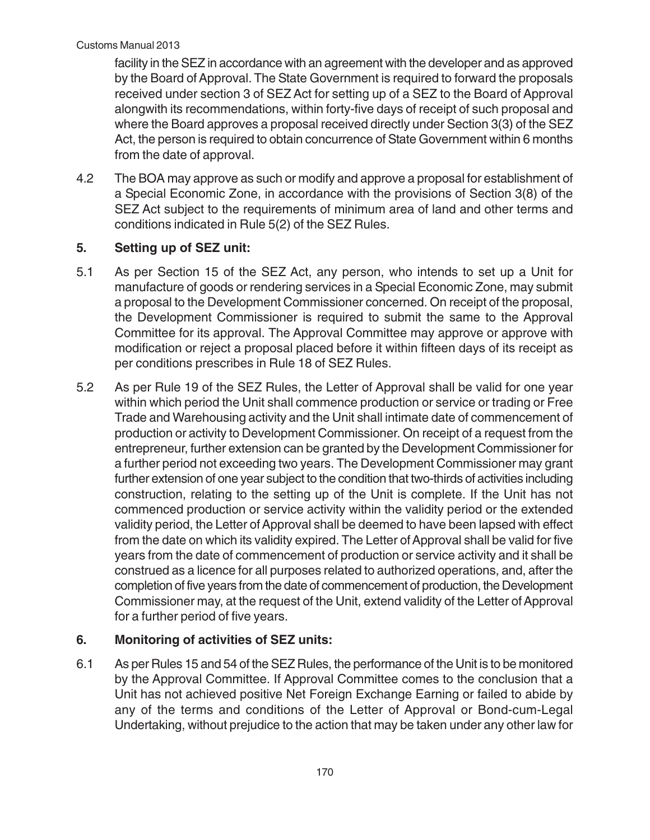facility in the SEZ in accordance with an agreement with the developer and as approved by the Board of Approval. The State Government is required to forward the proposals received under section 3 of SEZ Act for setting up of a SEZ to the Board of Approval alongwith its recommendations, within forty-five days of receipt of such proposal and where the Board approves a proposal received directly under Section 3(3) of the SEZ Act, the person is required to obtain concurrence of State Government within 6 months from the date of approval.

4.2 The BOA may approve as such or modify and approve a proposal for establishment of a Special Economic Zone, in accordance with the provisions of Section 3(8) of the SEZ Act subject to the requirements of minimum area of land and other terms and conditions indicated in Rule 5(2) of the SEZ Rules.

## **5. Setting up of SEZ unit:**

- 5.1 As per Section 15 of the SEZ Act, any person, who intends to set up a Unit for manufacture of goods or rendering services in a Special Economic Zone, may submit a proposal to the Development Commissioner concerned. On receipt of the proposal, the Development Commissioner is required to submit the same to the Approval Committee for its approval. The Approval Committee may approve or approve with modification or reject a proposal placed before it within fifteen days of its receipt as per conditions prescribes in Rule 18 of SEZ Rules.
- 5.2 As per Rule 19 of the SEZ Rules, the Letter of Approval shall be valid for one year within which period the Unit shall commence production or service or trading or Free Trade and Warehousing activity and the Unit shall intimate date of commencement of production or activity to Development Commissioner. On receipt of a request from the entrepreneur, further extension can be granted by the Development Commissioner for a further period not exceeding two years. The Development Commissioner may grant further extension of one year subject to the condition that two-thirds of activities including construction, relating to the setting up of the Unit is complete. If the Unit has not commenced production or service activity within the validity period or the extended validity period, the Letter of Approval shall be deemed to have been lapsed with effect from the date on which its validity expired. The Letter of Approval shall be valid for five years from the date of commencement of production or service activity and it shall be construed as a licence for all purposes related to authorized operations, and, after the completion of five years from the date of commencement of production, the Development Commissioner may, at the request of the Unit, extend validity of the Letter of Approval for a further period of five years.

## **6. Monitoring of activities of SEZ units:**

6.1 As per Rules 15 and 54 of the SEZ Rules, the performance of the Unit is to be monitored by the Approval Committee. If Approval Committee comes to the conclusion that a Unit has not achieved positive Net Foreign Exchange Earning or failed to abide by any of the terms and conditions of the Letter of Approval or Bond-cum-Legal Undertaking, without prejudice to the action that may be taken under any other law for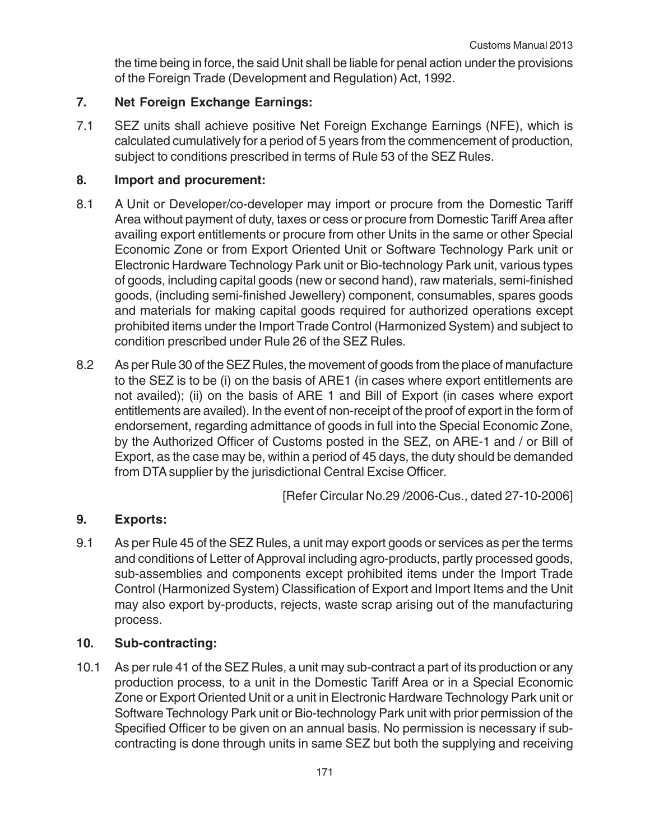the time being in force, the said Unit shall be liable for penal action under the provisions of the Foreign Trade (Development and Regulation) Act, 1992.

## **7. Net Foreign Exchange Earnings:**

7.1 SEZ units shall achieve positive Net Foreign Exchange Earnings (NFE), which is calculated cumulatively for a period of 5 years from the commencement of production, subject to conditions prescribed in terms of Rule 53 of the SEZ Rules.

## **8. Import and procurement:**

- 8.1 A Unit or Developer/co-developer may import or procure from the Domestic Tariff Area without payment of duty, taxes or cess or procure from Domestic Tariff Area after availing export entitlements or procure from other Units in the same or other Special Economic Zone or from Export Oriented Unit or Software Technology Park unit or Electronic Hardware Technology Park unit or Bio-technology Park unit, various types of goods, including capital goods (new or second hand), raw materials, semi-finished goods, (including semi-finished Jewellery) component, consumables, spares goods and materials for making capital goods required for authorized operations except prohibited items under the Import Trade Control (Harmonized System) and subject to condition prescribed under Rule 26 of the SEZ Rules.
- 8.2 As per Rule 30 of the SEZ Rules, the movement of goods from the place of manufacture to the SEZ is to be (i) on the basis of ARE1 (in cases where export entitlements are not availed); (ii) on the basis of ARE 1 and Bill of Export (in cases where export entitlements are availed). In the event of non-receipt of the proof of export in the form of endorsement, regarding admittance of goods in full into the Special Economic Zone, by the Authorized Officer of Customs posted in the SEZ, on ARE-1 and / or Bill of Export, as the case may be, within a period of 45 days, the duty should be demanded from DTA supplier by the jurisdictional Central Excise Officer.

[Refer Circular No.29 /2006-Cus., dated 27-10-2006]

# **9. Exports:**

9.1 As per Rule 45 of the SEZ Rules, a unit may export goods or services as per the terms and conditions of Letter of Approval including agro-products, partly processed goods, sub-assemblies and components except prohibited items under the Import Trade Control (Harmonized System) Classification of Export and Import Items and the Unit may also export by-products, rejects, waste scrap arising out of the manufacturing process.

## **10. Sub-contracting:**

10.1 As per rule 41 of the SEZ Rules, a unit may sub-contract a part of its production or any production process, to a unit in the Domestic Tariff Area or in a Special Economic Zone or Export Oriented Unit or a unit in Electronic Hardware Technology Park unit or Software Technology Park unit or Bio-technology Park unit with prior permission of the Specified Officer to be given on an annual basis. No permission is necessary if subcontracting is done through units in same SEZ but both the supplying and receiving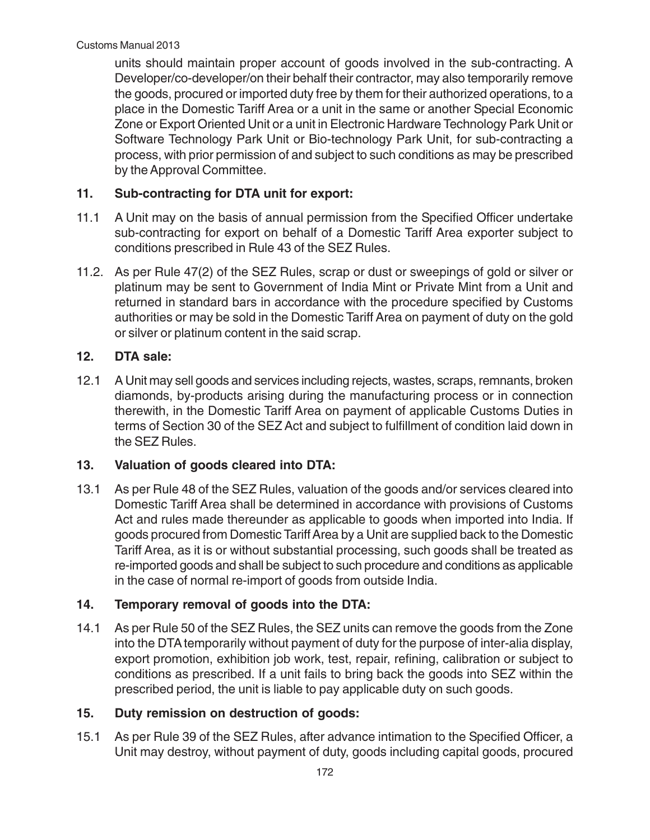units should maintain proper account of goods involved in the sub-contracting. A Developer/co-developer/on their behalf their contractor, may also temporarily remove the goods, procured or imported duty free by them for their authorized operations, to a place in the Domestic Tariff Area or a unit in the same or another Special Economic Zone or Export Oriented Unit or a unit in Electronic Hardware Technology Park Unit or Software Technology Park Unit or Bio-technology Park Unit, for sub-contracting a process, with prior permission of and subject to such conditions as may be prescribed by the Approval Committee.

## **11. Sub-contracting for DTA unit for export:**

- 11.1 A Unit may on the basis of annual permission from the Specified Officer undertake sub-contracting for export on behalf of a Domestic Tariff Area exporter subject to conditions prescribed in Rule 43 of the SEZ Rules.
- 11.2. As per Rule 47(2) of the SEZ Rules, scrap or dust or sweepings of gold or silver or platinum may be sent to Government of India Mint or Private Mint from a Unit and returned in standard bars in accordance with the procedure specified by Customs authorities or may be sold in the Domestic Tariff Area on payment of duty on the gold or silver or platinum content in the said scrap.

## **12. DTA sale:**

12.1 A Unit may sell goods and services including rejects, wastes, scraps, remnants, broken diamonds, by-products arising during the manufacturing process or in connection therewith, in the Domestic Tariff Area on payment of applicable Customs Duties in terms of Section 30 of the SEZ Act and subject to fulfillment of condition laid down in the SEZ Rules.

## **13. Valuation of goods cleared into DTA:**

13.1 As per Rule 48 of the SEZ Rules, valuation of the goods and/or services cleared into Domestic Tariff Area shall be determined in accordance with provisions of Customs Act and rules made thereunder as applicable to goods when imported into India. If goods procured from Domestic Tariff Area by a Unit are supplied back to the Domestic Tariff Area, as it is or without substantial processing, such goods shall be treated as re-imported goods and shall be subject to such procedure and conditions as applicable in the case of normal re-import of goods from outside India.

## **14. Temporary removal of goods into the DTA:**

14.1 As per Rule 50 of the SEZ Rules, the SEZ units can remove the goods from the Zone into the DTA temporarily without payment of duty for the purpose of inter-alia display, export promotion, exhibition job work, test, repair, refining, calibration or subject to conditions as prescribed. If a unit fails to bring back the goods into SEZ within the prescribed period, the unit is liable to pay applicable duty on such goods.

## **15. Duty remission on destruction of goods:**

15.1 As per Rule 39 of the SEZ Rules, after advance intimation to the Specified Officer, a Unit may destroy, without payment of duty, goods including capital goods, procured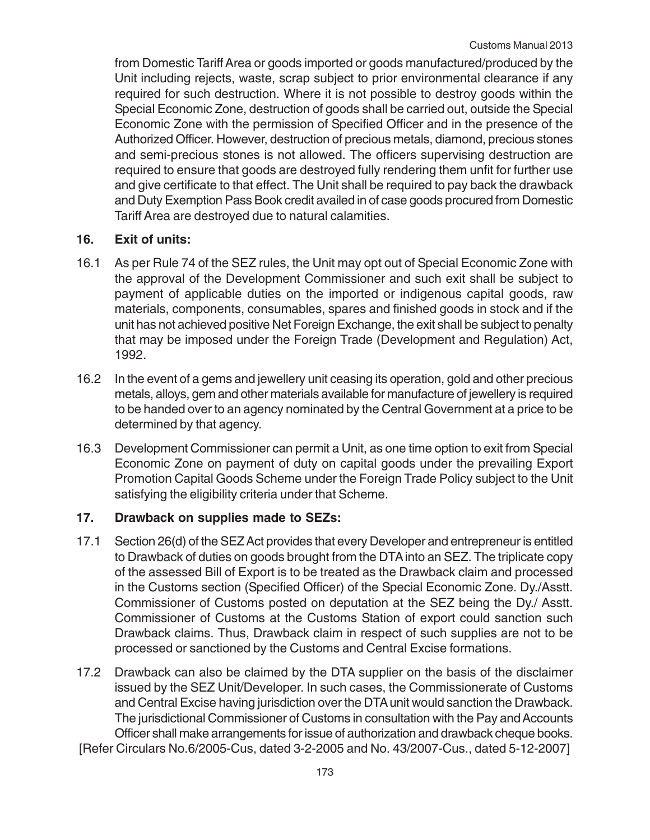from Domestic Tariff Area or goods imported or goods manufactured/produced by the Unit including rejects, waste, scrap subject to prior environmental clearance if any required for such destruction. Where it is not possible to destroy goods within the Special Economic Zone, destruction of goods shall be carried out, outside the Special Economic Zone with the permission of Specified Officer and in the presence of the Authorized Officer. However, destruction of precious metals, diamond, precious stones and semi-precious stones is not allowed. The officers supervising destruction are required to ensure that goods are destroyed fully rendering them unfit for further use and give certificate to that effect. The Unit shall be required to pay back the drawback and Duty Exemption Pass Book credit availed in of case goods procured from Domestic Tariff Area are destroyed due to natural calamities.

### **16. Exit of units:**

- 16.1 As per Rule 74 of the SEZ rules, the Unit may opt out of Special Economic Zone with the approval of the Development Commissioner and such exit shall be subject to payment of applicable duties on the imported or indigenous capital goods, raw materials, components, consumables, spares and finished goods in stock and if the unit has not achieved positive Net Foreign Exchange, the exit shall be subject to penalty that may be imposed under the Foreign Trade (Development and Regulation) Act, 1992.
- 16.2 In the event of a gems and jewellery unit ceasing its operation, gold and other precious metals, alloys, gem and other materials available for manufacture of jewellery is required to be handed over to an agency nominated by the Central Government at a price to be determined by that agency.
- 16.3 Development Commissioner can permit a Unit, as one time option to exit from Special Economic Zone on payment of duty on capital goods under the prevailing Export Promotion Capital Goods Scheme under the Foreign Trade Policy subject to the Unit satisfying the eligibility criteria under that Scheme.

## **17. Drawback on supplies made to SEZs:**

- 17.1 Section 26(d) of the SEZ Act provides that every Developer and entrepreneur is entitled to Drawback of duties on goods brought from the DTA into an SEZ. The triplicate copy of the assessed Bill of Export is to be treated as the Drawback claim and processed in the Customs section (Specified Officer) of the Special Economic Zone. Dy./Asstt. Commissioner of Customs posted on deputation at the SEZ being the Dy./ Asstt. Commissioner of Customs at the Customs Station of export could sanction such Drawback claims. Thus, Drawback claim in respect of such supplies are not to be processed or sanctioned by the Customs and Central Excise formations.
- 17.2 Drawback can also be claimed by the DTA supplier on the basis of the disclaimer issued by the SEZ Unit/Developer. In such cases, the Commissionerate of Customs and Central Excise having jurisdiction over the DTA unit would sanction the Drawback. The jurisdictional Commissioner of Customs in consultation with the Pay and Accounts Officer shall make arrangements for issue of authorization and drawback cheque books. [Refer Circulars No.6/2005-Cus, dated 3-2-2005 and No. 43/2007-Cus., dated 5-12-2007]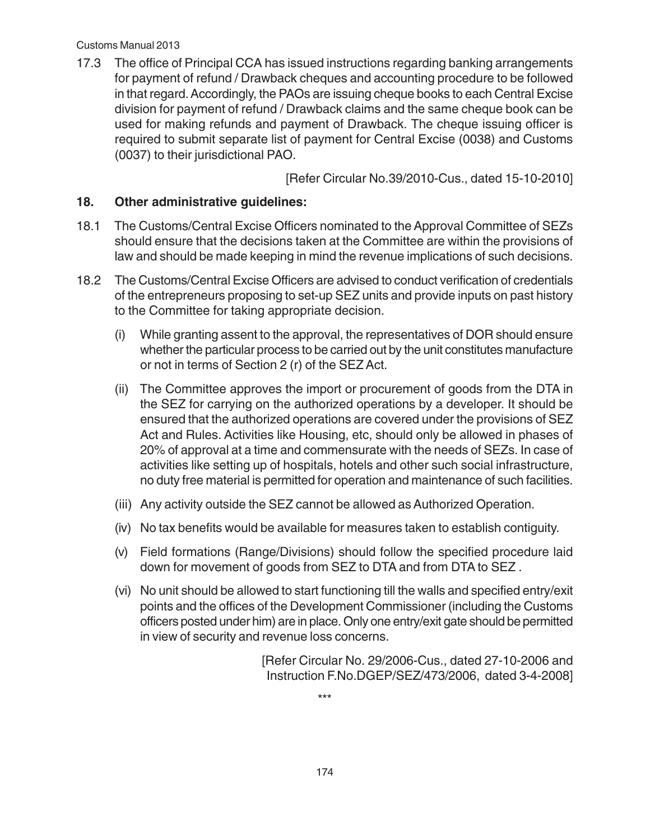#### Customs Manual 2013

17.3 The office of Principal CCA has issued instructions regarding banking arrangements for payment of refund / Drawback cheques and accounting procedure to be followed in that regard. Accordingly, the PAOs are issuing cheque books to each Central Excise division for payment of refund / Drawback claims and the same cheque book can be used for making refunds and payment of Drawback. The cheque issuing officer is required to submit separate list of payment for Central Excise (0038) and Customs (0037) to their jurisdictional PAO.

[Refer Circular No.39/2010-Cus., dated 15-10-2010]

#### **18. Other administrative guidelines:**

- 18.1 The Customs/Central Excise Officers nominated to the Approval Committee of SEZs should ensure that the decisions taken at the Committee are within the provisions of law and should be made keeping in mind the revenue implications of such decisions.
- 18.2 The Customs/Central Excise Officers are advised to conduct verification of credentials of the entrepreneurs proposing to set-up SEZ units and provide inputs on past history to the Committee for taking appropriate decision.
	- (i) While granting assent to the approval, the representatives of DOR should ensure whether the particular process to be carried out by the unit constitutes manufacture or not in terms of Section 2 (r) of the SEZ Act.
	- (ii) The Committee approves the import or procurement of goods from the DTA in the SEZ for carrying on the authorized operations by a developer. It should be ensured that the authorized operations are covered under the provisions of SEZ Act and Rules. Activities like Housing, etc, should only be allowed in phases of 20% of approval at a time and commensurate with the needs of SEZs. In case of activities like setting up of hospitals, hotels and other such social infrastructure, no duty free material is permitted for operation and maintenance of such facilities.
	- (iii) Any activity outside the SEZ cannot be allowed as Authorized Operation.
	- (iv) No tax benefits would be available for measures taken to establish contiguity.
	- (v) Field formations (Range/Divisions) should follow the specified procedure laid down for movement of goods from SEZ to DTA and from DTA to SEZ .
	- (vi) No unit should be allowed to start functioning till the walls and specified entry/exit points and the offices of the Development Commissioner (including the Customs officers posted under him) are in place. Only one entry/exit gate should be permitted in view of security and revenue loss concerns.

[Refer Circular No. 29/2006-Cus., dated 27-10-2006 and Instruction F.No.DGEP/SEZ/473/2006, dated 3-4-2008]

\*\*\*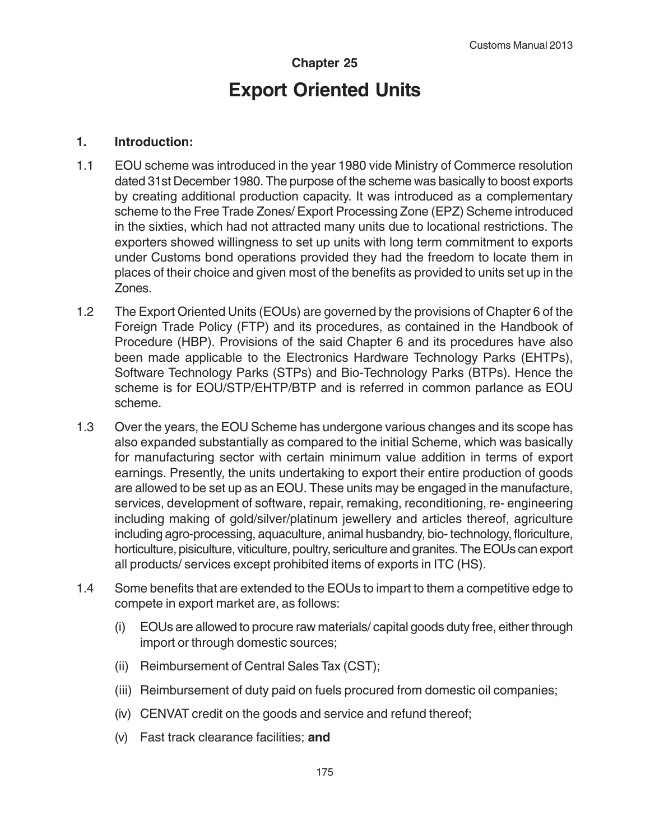# **Chapter 25 Export Oriented Units**

#### **1. Introduction:**

- 1.1 EOU scheme was introduced in the year 1980 vide Ministry of Commerce resolution dated 31st December 1980. The purpose of the scheme was basically to boost exports by creating additional production capacity. It was introduced as a complementary scheme to the Free Trade Zones/ Export Processing Zone (EPZ) Scheme introduced in the sixties, which had not attracted many units due to locational restrictions. The exporters showed willingness to set up units with long term commitment to exports under Customs bond operations provided they had the freedom to locate them in places of their choice and given most of the benefits as provided to units set up in the Zones.
- 1.2 The Export Oriented Units (EOUs) are governed by the provisions of Chapter 6 of the Foreign Trade Policy (FTP) and its procedures, as contained in the Handbook of Procedure (HBP). Provisions of the said Chapter 6 and its procedures have also been made applicable to the Electronics Hardware Technology Parks (EHTPs), Software Technology Parks (STPs) and Bio-Technology Parks (BTPs). Hence the scheme is for EOU/STP/EHTP/BTP and is referred in common parlance as EOU scheme.
- 1.3 Over the years, the EOU Scheme has undergone various changes and its scope has also expanded substantially as compared to the initial Scheme, which was basically for manufacturing sector with certain minimum value addition in terms of export earnings. Presently, the units undertaking to export their entire production of goods are allowed to be set up as an EOU. These units may be engaged in the manufacture, services, development of software, repair, remaking, reconditioning, re- engineering including making of gold/silver/platinum jewellery and articles thereof, agriculture including agro-processing, aquaculture, animal husbandry, bio- technology, floriculture, horticulture, pisiculture, viticulture, poultry, sericulture and granites. The EOUs can export all products/ services except prohibited items of exports in ITC (HS).
- 1.4 Some benefits that are extended to the EOUs to impart to them a competitive edge to compete in export market are, as follows:
	- (i) EOUs are allowed to procure raw materials/ capital goods duty free, either through import or through domestic sources;
	- (ii) Reimbursement of Central Sales Tax (CST);
	- (iii) Reimbursement of duty paid on fuels procured from domestic oil companies;
	- (iv) CENVAT credit on the goods and service and refund thereof;
	- (v) Fast track clearance facilities; **and**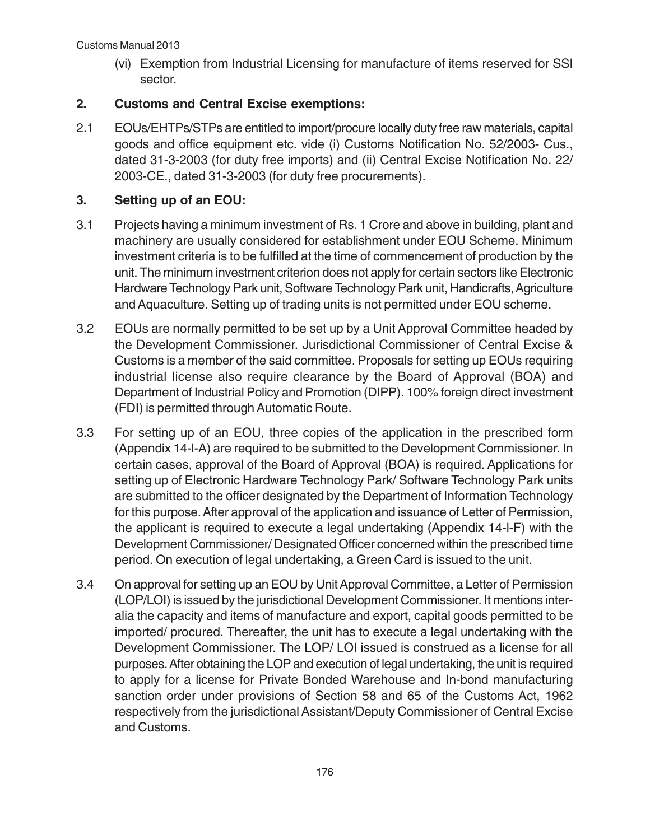(vi) Exemption from Industrial Licensing for manufacture of items reserved for SSI sector.

## **2. Customs and Central Excise exemptions:**

2.1 EOUs/EHTPs/STPs are entitled to import/procure locally duty free raw materials, capital goods and office equipment etc. vide (i) Customs Notification No. 52/2003- Cus., dated 31-3-2003 (for duty free imports) and (ii) Central Excise Notification No. 22/ 2003-CE., dated 31-3-2003 (for duty free procurements).

## **3. Setting up of an EOU:**

- 3.1 Projects having a minimum investment of Rs. 1 Crore and above in building, plant and machinery are usually considered for establishment under EOU Scheme. Minimum investment criteria is to be fulfilled at the time of commencement of production by the unit. The minimum investment criterion does not apply for certain sectors like Electronic Hardware Technology Park unit, Software Technology Park unit, Handicrafts, Agriculture and Aquaculture. Setting up of trading units is not permitted under EOU scheme.
- 3.2 EOUs are normally permitted to be set up by a Unit Approval Committee headed by the Development Commissioner. Jurisdictional Commissioner of Central Excise & Customs is a member of the said committee. Proposals for setting up EOUs requiring industrial license also require clearance by the Board of Approval (BOA) and Department of Industrial Policy and Promotion (DIPP). 100% foreign direct investment (FDI) is permitted through Automatic Route.
- 3.3 For setting up of an EOU, three copies of the application in the prescribed form (Appendix 14-l-A) are required to be submitted to the Development Commissioner. In certain cases, approval of the Board of Approval (BOA) is required. Applications for setting up of Electronic Hardware Technology Park/ Software Technology Park units are submitted to the officer designated by the Department of Information Technology for this purpose. After approval of the application and issuance of Letter of Permission, the applicant is required to execute a legal undertaking (Appendix 14-l-F) with the Development Commissioner/ Designated Officer concerned within the prescribed time period. On execution of legal undertaking, a Green Card is issued to the unit.
- 3.4 On approval for setting up an EOU by Unit Approval Committee, a Letter of Permission (LOP/LOI) is issued by the jurisdictional Development Commissioner. It mentions interalia the capacity and items of manufacture and export, capital goods permitted to be imported/ procured. Thereafter, the unit has to execute a legal undertaking with the Development Commissioner. The LOP/ LOI issued is construed as a license for all purposes. After obtaining the LOP and execution of legal undertaking, the unit is required to apply for a license for Private Bonded Warehouse and In-bond manufacturing sanction order under provisions of Section 58 and 65 of the Customs Act, 1962 respectively from the jurisdictional Assistant/Deputy Commissioner of Central Excise and Customs.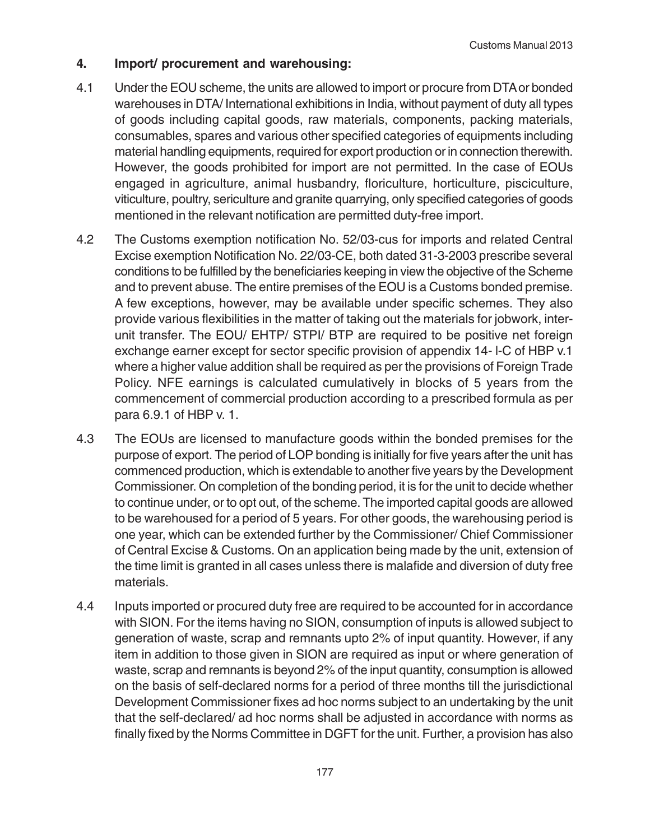### **4. Import/ procurement and warehousing:**

- 4.1 Under the EOU scheme, the units are allowed to import or procure from DTA or bonded warehouses in DTA/ International exhibitions in India, without payment of duty all types of goods including capital goods, raw materials, components, packing materials, consumables, spares and various other specified categories of equipments including material handling equipments, required for export production or in connection therewith. However, the goods prohibited for import are not permitted. In the case of EOUs engaged in agriculture, animal husbandry, floriculture, horticulture, pisciculture, viticulture, poultry, sericulture and granite quarrying, only specified categories of goods mentioned in the relevant notification are permitted duty-free import.
- 4.2 The Customs exemption notification No. 52/03-cus for imports and related Central Excise exemption Notification No. 22/03-CE, both dated 31-3-2003 prescribe several conditions to be fulfilled by the beneficiaries keeping in view the objective of the Scheme and to prevent abuse. The entire premises of the EOU is a Customs bonded premise. A few exceptions, however, may be available under specific schemes. They also provide various flexibilities in the matter of taking out the materials for jobwork, interunit transfer. The EOU/ EHTP/ STPI/ BTP are required to be positive net foreign exchange earner except for sector specific provision of appendix 14- l-C of HBP v.1 where a higher value addition shall be required as per the provisions of Foreign Trade Policy. NFE earnings is calculated cumulatively in blocks of 5 years from the commencement of commercial production according to a prescribed formula as per para 6.9.1 of HBP v. 1.
- 4.3 The EOUs are licensed to manufacture goods within the bonded premises for the purpose of export. The period of LOP bonding is initially for five years after the unit has commenced production, which is extendable to another five years by the Development Commissioner. On completion of the bonding period, it is for the unit to decide whether to continue under, or to opt out, of the scheme. The imported capital goods are allowed to be warehoused for a period of 5 years. For other goods, the warehousing period is one year, which can be extended further by the Commissioner/ Chief Commissioner of Central Excise & Customs. On an application being made by the unit, extension of the time limit is granted in all cases unless there is malafide and diversion of duty free materials.
- 4.4 Inputs imported or procured duty free are required to be accounted for in accordance with SION. For the items having no SION, consumption of inputs is allowed subject to generation of waste, scrap and remnants upto 2% of input quantity. However, if any item in addition to those given in SION are required as input or where generation of waste, scrap and remnants is beyond 2% of the input quantity, consumption is allowed on the basis of self-declared norms for a period of three months till the jurisdictional Development Commissioner fixes ad hoc norms subject to an undertaking by the unit that the self-declared/ ad hoc norms shall be adjusted in accordance with norms as finally fixed by the Norms Committee in DGFT for the unit. Further, a provision has also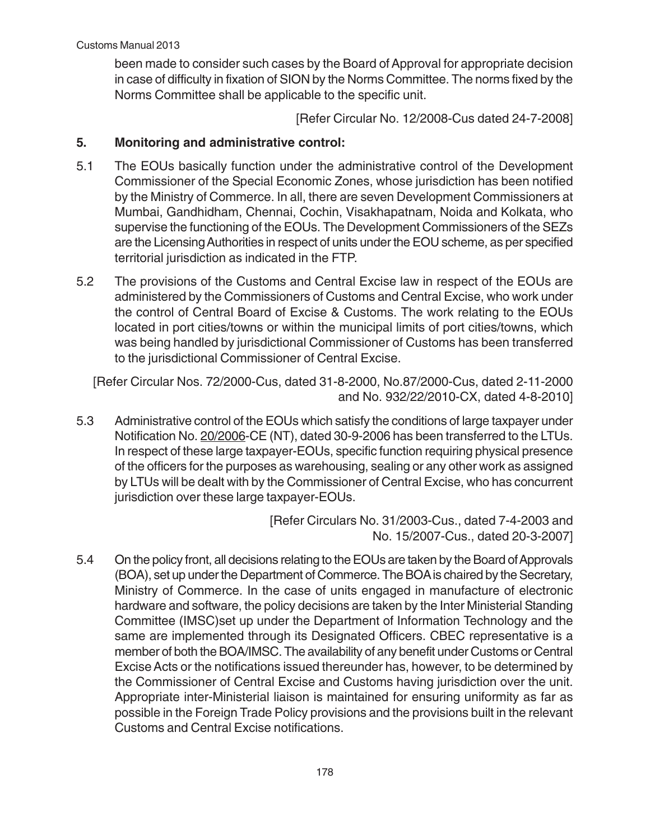been made to consider such cases by the Board of Approval for appropriate decision in case of difficulty in fixation of SION by the Norms Committee. The norms fixed by the Norms Committee shall be applicable to the specific unit.

[Refer Circular No. 12/2008-Cus dated 24-7-2008]

### **5. Monitoring and administrative control:**

- 5.1 The EOUs basically function under the administrative control of the Development Commissioner of the Special Economic Zones, whose jurisdiction has been notified by the Ministry of Commerce. In all, there are seven Development Commissioners at Mumbai, Gandhidham, Chennai, Cochin, Visakhapatnam, Noida and Kolkata, who supervise the functioning of the EOUs. The Development Commissioners of the SEZs are the Licensing Authorities in respect of units under the EOU scheme, as per specified territorial jurisdiction as indicated in the FTP.
- 5.2 The provisions of the Customs and Central Excise law in respect of the EOUs are administered by the Commissioners of Customs and Central Excise, who work under the control of Central Board of Excise & Customs. The work relating to the EOUs located in port cities/towns or within the municipal limits of port cities/towns, which was being handled by jurisdictional Commissioner of Customs has been transferred to the jurisdictional Commissioner of Central Excise.

[Refer Circular Nos. 72/2000-Cus, dated 31-8-2000, No.87/2000-Cus, dated 2-11-2000 and No. 932/22/2010-CX, dated 4-8-2010]

5.3 Administrative control of the EOUs which satisfy the conditions of large taxpayer under Notification No. 20/2006-CE (NT), dated 30-9-2006 has been transferred to the LTUs. In respect of these large taxpayer-EOUs, specific function requiring physical presence of the officers for the purposes as warehousing, sealing or any other work as assigned by LTUs will be dealt with by the Commissioner of Central Excise, who has concurrent jurisdiction over these large taxpayer-EOUs.

> [Refer Circulars No. 31/2003-Cus., dated 7-4-2003 and No. 15/2007-Cus., dated 20-3-2007]

5.4 On the policy front, all decisions relating to the EOUs are taken by the Board of Approvals (BOA), set up under the Department of Commerce. The BOA is chaired by the Secretary, Ministry of Commerce. In the case of units engaged in manufacture of electronic hardware and software, the policy decisions are taken by the Inter Ministerial Standing Committee (IMSC)set up under the Department of Information Technology and the same are implemented through its Designated Officers. CBEC representative is a member of both the BOA/IMSC. The availability of any benefit under Customs or Central Excise Acts or the notifications issued thereunder has, however, to be determined by the Commissioner of Central Excise and Customs having jurisdiction over the unit. Appropriate inter-Ministerial liaison is maintained for ensuring uniformity as far as possible in the Foreign Trade Policy provisions and the provisions built in the relevant Customs and Central Excise notifications.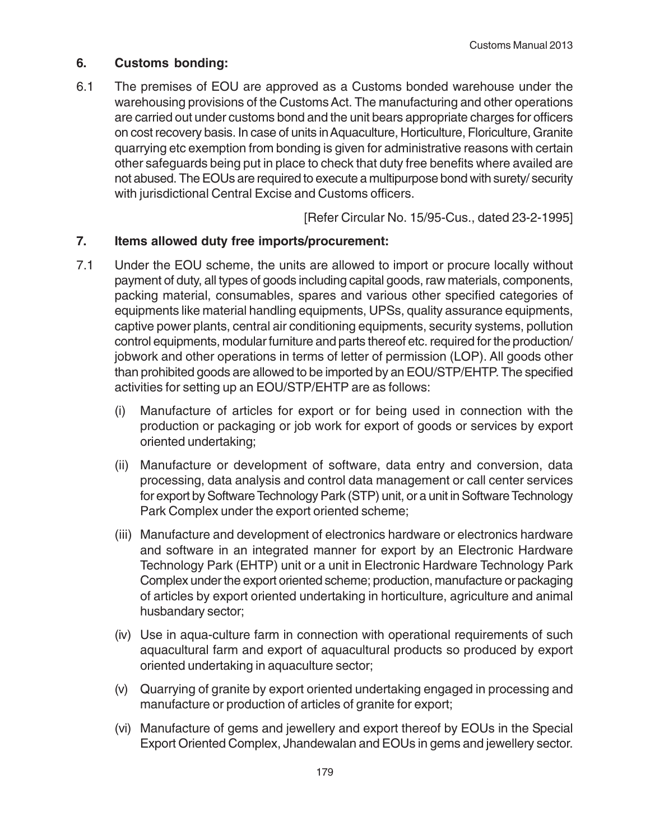### **6. Customs bonding:**

6.1 The premises of EOU are approved as a Customs bonded warehouse under the warehousing provisions of the Customs Act. The manufacturing and other operations are carried out under customs bond and the unit bears appropriate charges for officers on cost recovery basis. In case of units in Aquaculture, Horticulture, Floriculture, Granite quarrying etc exemption from bonding is given for administrative reasons with certain other safeguards being put in place to check that duty free benefits where availed are not abused. The EOUs are required to execute a multipurpose bond with surety/ security with jurisdictional Central Excise and Customs officers.

[Refer Circular No. 15/95-Cus., dated 23-2-1995]

#### **7. Items allowed duty free imports/procurement:**

- 7.1 Under the EOU scheme, the units are allowed to import or procure locally without payment of duty, all types of goods including capital goods, raw materials, components, packing material, consumables, spares and various other specified categories of equipments like material handling equipments, UPSs, quality assurance equipments, captive power plants, central air conditioning equipments, security systems, pollution control equipments, modular furniture and parts thereof etc. required for the production/ jobwork and other operations in terms of letter of permission (LOP). All goods other than prohibited goods are allowed to be imported by an EOU/STP/EHTP. The specified activities for setting up an EOU/STP/EHTP are as follows:
	- (i) Manufacture of articles for export or for being used in connection with the production or packaging or job work for export of goods or services by export oriented undertaking;
	- (ii) Manufacture or development of software, data entry and conversion, data processing, data analysis and control data management or call center services for export by Software Technology Park (STP) unit, or a unit in Software Technology Park Complex under the export oriented scheme;
	- (iii) Manufacture and development of electronics hardware or electronics hardware and software in an integrated manner for export by an Electronic Hardware Technology Park (EHTP) unit or a unit in Electronic Hardware Technology Park Complex under the export oriented scheme; production, manufacture or packaging of articles by export oriented undertaking in horticulture, agriculture and animal husbandary sector;
	- (iv) Use in aqua-culture farm in connection with operational requirements of such aquacultural farm and export of aquacultural products so produced by export oriented undertaking in aquaculture sector;
	- (v) Quarrying of granite by export oriented undertaking engaged in processing and manufacture or production of articles of granite for export;
	- (vi) Manufacture of gems and jewellery and export thereof by EOUs in the Special Export Oriented Complex, Jhandewalan and EOUs in gems and jewellery sector.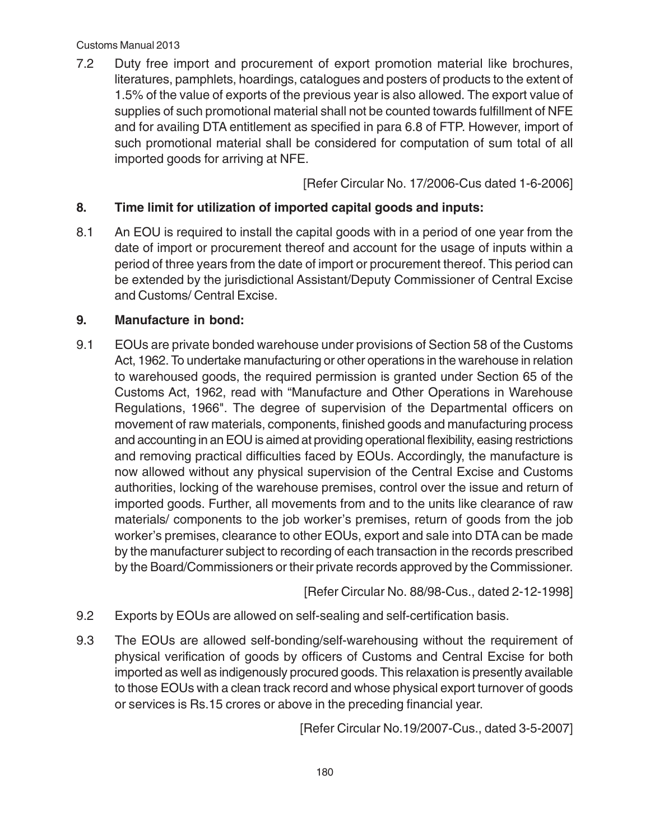7.2 Duty free import and procurement of export promotion material like brochures, literatures, pamphlets, hoardings, catalogues and posters of products to the extent of 1.5% of the value of exports of the previous year is also allowed. The export value of supplies of such promotional material shall not be counted towards fulfillment of NFE and for availing DTA entitlement as specified in para 6.8 of FTP. However, import of such promotional material shall be considered for computation of sum total of all imported goods for arriving at NFE.

[Refer Circular No. 17/2006-Cus dated 1-6-2006]

### **8. Time limit for utilization of imported capital goods and inputs:**

8.1 An EOU is required to install the capital goods with in a period of one year from the date of import or procurement thereof and account for the usage of inputs within a period of three years from the date of import or procurement thereof. This period can be extended by the jurisdictional Assistant/Deputy Commissioner of Central Excise and Customs/ Central Excise.

#### **9. Manufacture in bond:**

9.1 EOUs are private bonded warehouse under provisions of Section 58 of the Customs Act, 1962. To undertake manufacturing or other operations in the warehouse in relation to warehoused goods, the required permission is granted under Section 65 of the Customs Act, 1962, read with "Manufacture and Other Operations in Warehouse Regulations, 1966". The degree of supervision of the Departmental officers on movement of raw materials, components, finished goods and manufacturing process and accounting in an EOU is aimed at providing operational flexibility, easing restrictions and removing practical difficulties faced by EOUs. Accordingly, the manufacture is now allowed without any physical supervision of the Central Excise and Customs authorities, locking of the warehouse premises, control over the issue and return of imported goods. Further, all movements from and to the units like clearance of raw materials/ components to the job worker's premises, return of goods from the job worker's premises, clearance to other EOUs, export and sale into DTA can be made by the manufacturer subject to recording of each transaction in the records prescribed by the Board/Commissioners or their private records approved by the Commissioner.

[Refer Circular No. 88/98-Cus., dated 2-12-1998]

- 9.2 Exports by EOUs are allowed on self-sealing and self-certification basis.
- 9.3 The EOUs are allowed self-bonding/self-warehousing without the requirement of physical verification of goods by officers of Customs and Central Excise for both imported as well as indigenously procured goods. This relaxation is presently available to those EOUs with a clean track record and whose physical export turnover of goods or services is Rs.15 crores or above in the preceding financial year.

[Refer Circular No.19/2007-Cus., dated 3-5-2007]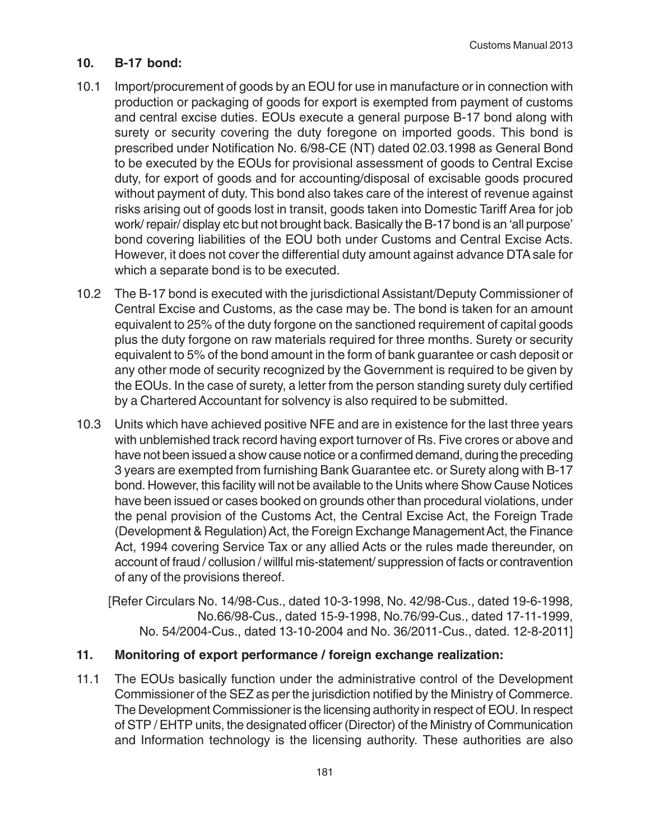## **10. B-17 bond:**

- 10.1 Import/procurement of goods by an EOU for use in manufacture or in connection with production or packaging of goods for export is exempted from payment of customs and central excise duties. EOUs execute a general purpose B-17 bond along with surety or security covering the duty foregone on imported goods. This bond is prescribed under Notification No. 6/98-CE (NT) dated 02.03.1998 as General Bond to be executed by the EOUs for provisional assessment of goods to Central Excise duty, for export of goods and for accounting/disposal of excisable goods procured without payment of duty. This bond also takes care of the interest of revenue against risks arising out of goods lost in transit, goods taken into Domestic Tariff Area for job work/ repair/ display etc but not brought back. Basically the B-17 bond is an 'all purpose' bond covering liabilities of the EOU both under Customs and Central Excise Acts. However, it does not cover the differential duty amount against advance DTA sale for which a separate bond is to be executed.
- 10.2 The B-17 bond is executed with the jurisdictional Assistant/Deputy Commissioner of Central Excise and Customs, as the case may be. The bond is taken for an amount equivalent to 25% of the duty forgone on the sanctioned requirement of capital goods plus the duty forgone on raw materials required for three months. Surety or security equivalent to 5% of the bond amount in the form of bank guarantee or cash deposit or any other mode of security recognized by the Government is required to be given by the EOUs. In the case of surety, a letter from the person standing surety duly certified by a Chartered Accountant for solvency is also required to be submitted.
- 10.3 Units which have achieved positive NFE and are in existence for the last three years with unblemished track record having export turnover of Rs. Five crores or above and have not been issued a show cause notice or a confirmed demand, during the preceding 3 years are exempted from furnishing Bank Guarantee etc. or Surety along with B-17 bond. However, this facility will not be available to the Units where Show Cause Notices have been issued or cases booked on grounds other than procedural violations, under the penal provision of the Customs Act, the Central Excise Act, the Foreign Trade (Development & Regulation) Act, the Foreign Exchange Management Act, the Finance Act, 1994 covering Service Tax or any allied Acts or the rules made thereunder, on account of fraud / collusion / willful mis-statement/ suppression of facts or contravention of any of the provisions thereof.

[Refer Circulars No. 14/98-Cus., dated 10-3-1998, No. 42/98-Cus., dated 19-6-1998, No.66/98-Cus., dated 15-9-1998, No.76/99-Cus., dated 17-11-1999, No. 54/2004-Cus., dated 13-10-2004 and No. 36/2011-Cus., dated. 12-8-2011]

## **11. Monitoring of export performance / foreign exchange realization:**

11.1 The EOUs basically function under the administrative control of the Development Commissioner of the SEZ as per the jurisdiction notified by the Ministry of Commerce. The Development Commissioner is the licensing authority in respect of EOU. In respect of STP / EHTP units, the designated officer (Director) of the Ministry of Communication and Information technology is the licensing authority. These authorities are also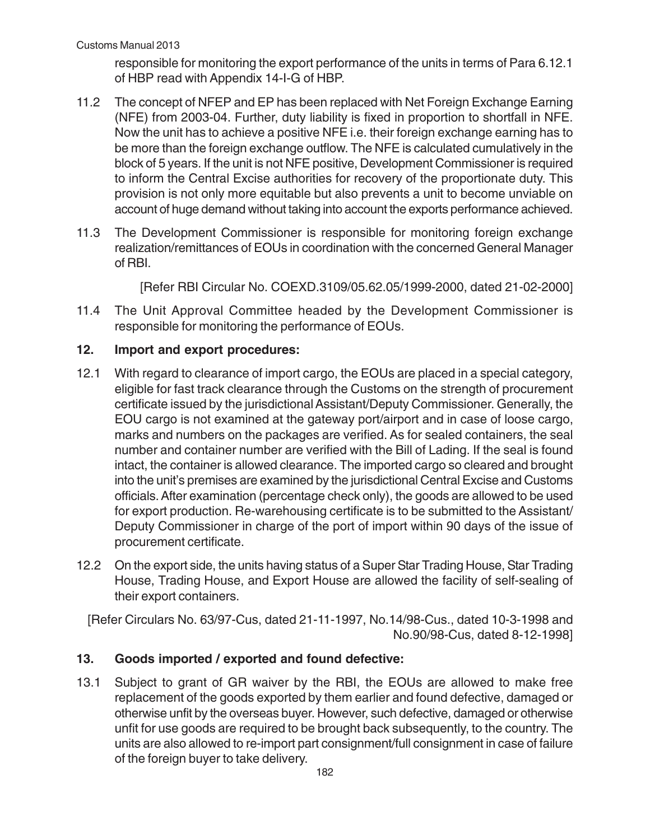responsible for monitoring the export performance of the units in terms of Para 6.12.1 of HBP read with Appendix 14-I-G of HBP.

- 11.2 The concept of NFEP and EP has been replaced with Net Foreign Exchange Earning (NFE) from 2003-04. Further, duty liability is fixed in proportion to shortfall in NFE. Now the unit has to achieve a positive NFE i.e. their foreign exchange earning has to be more than the foreign exchange outflow. The NFE is calculated cumulatively in the block of 5 years. If the unit is not NFE positive, Development Commissioner is required to inform the Central Excise authorities for recovery of the proportionate duty. This provision is not only more equitable but also prevents a unit to become unviable on account of huge demand without taking into account the exports performance achieved.
- 11.3 The Development Commissioner is responsible for monitoring foreign exchange realization/remittances of EOUs in coordination with the concerned General Manager of RBI.

[Refer RBI Circular No. COEXD.3109/05.62.05/1999-2000, dated 21-02-2000]

11.4 The Unit Approval Committee headed by the Development Commissioner is responsible for monitoring the performance of EOUs.

## **12. Import and export procedures:**

- 12.1 With regard to clearance of import cargo, the EOUs are placed in a special category, eligible for fast track clearance through the Customs on the strength of procurement certificate issued by the jurisdictional Assistant/Deputy Commissioner. Generally, the EOU cargo is not examined at the gateway port/airport and in case of loose cargo, marks and numbers on the packages are verified. As for sealed containers, the seal number and container number are verified with the Bill of Lading. If the seal is found intact, the container is allowed clearance. The imported cargo so cleared and brought into the unit's premises are examined by the jurisdictional Central Excise and Customs officials. After examination (percentage check only), the goods are allowed to be used for export production. Re-warehousing certificate is to be submitted to the Assistant/ Deputy Commissioner in charge of the port of import within 90 days of the issue of procurement certificate.
- 12.2 On the export side, the units having status of a Super Star Trading House, Star Trading House, Trading House, and Export House are allowed the facility of self-sealing of their export containers.

[Refer Circulars No. 63/97-Cus, dated 21-11-1997, No.14/98-Cus., dated 10-3-1998 and No.90/98-Cus, dated 8-12-1998]

## **13. Goods imported / exported and found defective:**

13.1 Subject to grant of GR waiver by the RBI, the EOUs are allowed to make free replacement of the goods exported by them earlier and found defective, damaged or otherwise unfit by the overseas buyer. However, such defective, damaged or otherwise unfit for use goods are required to be brought back subsequently, to the country. The units are also allowed to re-import part consignment/full consignment in case of failure of the foreign buyer to take delivery.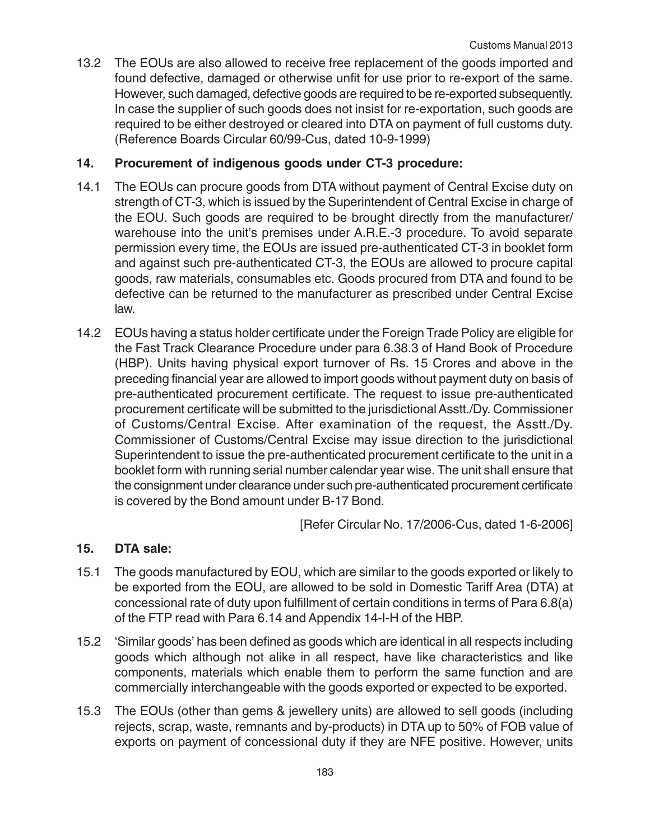13.2 The EOUs are also allowed to receive free replacement of the goods imported and found defective, damaged or otherwise unfit for use prior to re-export of the same. However, such damaged, defective goods are required to be re-exported subsequently. In case the supplier of such goods does not insist for re-exportation, such goods are required to be either destroyed or cleared into DTA on payment of full customs duty. (Reference Boards Circular 60/99-Cus, dated 10-9-1999)

### **14. Procurement of indigenous goods under CT-3 procedure:**

- 14.1 The EOUs can procure goods from DTA without payment of Central Excise duty on strength of CT-3, which is issued by the Superintendent of Central Excise in charge of the EOU. Such goods are required to be brought directly from the manufacturer/ warehouse into the unit's premises under A.R.E.-3 procedure. To avoid separate permission every time, the EOUs are issued pre-authenticated CT-3 in booklet form and against such pre-authenticated CT-3, the EOUs are allowed to procure capital goods, raw materials, consumables etc. Goods procured from DTA and found to be defective can be returned to the manufacturer as prescribed under Central Excise law.
- 14.2 EOUs having a status holder certificate under the Foreign Trade Policy are eligible for the Fast Track Clearance Procedure under para 6.38.3 of Hand Book of Procedure (HBP). Units having physical export turnover of Rs. 15 Crores and above in the preceding financial year are allowed to import goods without payment duty on basis of pre-authenticated procurement certificate. The request to issue pre-authenticated procurement certificate will be submitted to the jurisdictional Asstt./Dy. Commissioner of Customs/Central Excise. After examination of the request, the Asstt./Dy. Commissioner of Customs/Central Excise may issue direction to the jurisdictional Superintendent to issue the pre-authenticated procurement certificate to the unit in a booklet form with running serial number calendar year wise. The unit shall ensure that the consignment under clearance under such pre-authenticated procurement certificate is covered by the Bond amount under B-17 Bond.

[Refer Circular No. 17/2006-Cus, dated 1-6-2006]

## **15. DTA sale:**

- 15.1 The goods manufactured by EOU, which are similar to the goods exported or likely to be exported from the EOU, are allowed to be sold in Domestic Tariff Area (DTA) at concessional rate of duty upon fulfillment of certain conditions in terms of Para 6.8(a) of the FTP read with Para 6.14 and Appendix 14-I-H of the HBP.
- 15.2 'Similar goods' has been defined as goods which are identical in all respects including goods which although not alike in all respect, have like characteristics and like components, materials which enable them to perform the same function and are commercially interchangeable with the goods exported or expected to be exported.
- 15.3 The EOUs (other than gems & jewellery units) are allowed to sell goods (including rejects, scrap, waste, remnants and by-products) in DTA up to 50% of FOB value of exports on payment of concessional duty if they are NFE positive. However, units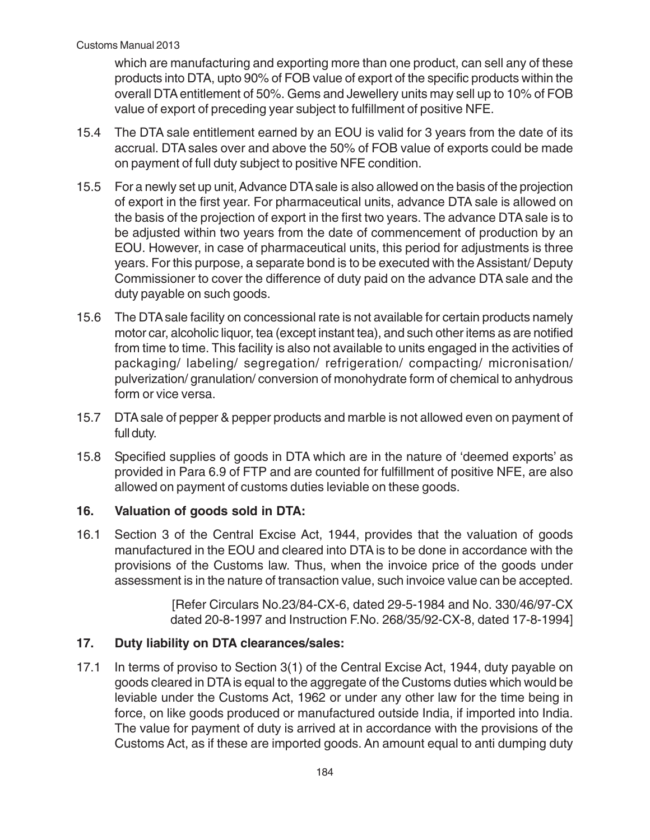which are manufacturing and exporting more than one product, can sell any of these products into DTA, upto 90% of FOB value of export of the specific products within the overall DTA entitlement of 50%. Gems and Jewellery units may sell up to 10% of FOB value of export of preceding year subject to fulfillment of positive NFE.

- 15.4 The DTA sale entitlement earned by an EOU is valid for 3 years from the date of its accrual. DTA sales over and above the 50% of FOB value of exports could be made on payment of full duty subject to positive NFE condition.
- 15.5 For a newly set up unit, Advance DTA sale is also allowed on the basis of the projection of export in the first year. For pharmaceutical units, advance DTA sale is allowed on the basis of the projection of export in the first two years. The advance DTA sale is to be adjusted within two years from the date of commencement of production by an EOU. However, in case of pharmaceutical units, this period for adjustments is three years. For this purpose, a separate bond is to be executed with the Assistant/ Deputy Commissioner to cover the difference of duty paid on the advance DTA sale and the duty payable on such goods.
- 15.6 The DTA sale facility on concessional rate is not available for certain products namely motor car, alcoholic liquor, tea (except instant tea), and such other items as are notified from time to time. This facility is also not available to units engaged in the activities of packaging/ labeling/ segregation/ refrigeration/ compacting/ micronisation/ pulverization/ granulation/ conversion of monohydrate form of chemical to anhydrous form or vice versa.
- 15.7 DTA sale of pepper & pepper products and marble is not allowed even on payment of full duty.
- 15.8 Specified supplies of goods in DTA which are in the nature of 'deemed exports' as provided in Para 6.9 of FTP and are counted for fulfillment of positive NFE, are also allowed on payment of customs duties leviable on these goods.

## **16. Valuation of goods sold in DTA:**

16.1 Section 3 of the Central Excise Act, 1944, provides that the valuation of goods manufactured in the EOU and cleared into DTA is to be done in accordance with the provisions of the Customs law. Thus, when the invoice price of the goods under assessment is in the nature of transaction value, such invoice value can be accepted.

> [Refer Circulars No.23/84-CX-6, dated 29-5-1984 and No. 330/46/97-CX dated 20-8-1997 and Instruction F.No. 268/35/92-CX-8, dated 17-8-1994]

# **17. Duty liability on DTA clearances/sales:**

17.1 In terms of proviso to Section 3(1) of the Central Excise Act, 1944, duty payable on goods cleared in DTA is equal to the aggregate of the Customs duties which would be leviable under the Customs Act, 1962 or under any other law for the time being in force, on like goods produced or manufactured outside India, if imported into India. The value for payment of duty is arrived at in accordance with the provisions of the Customs Act, as if these are imported goods. An amount equal to anti dumping duty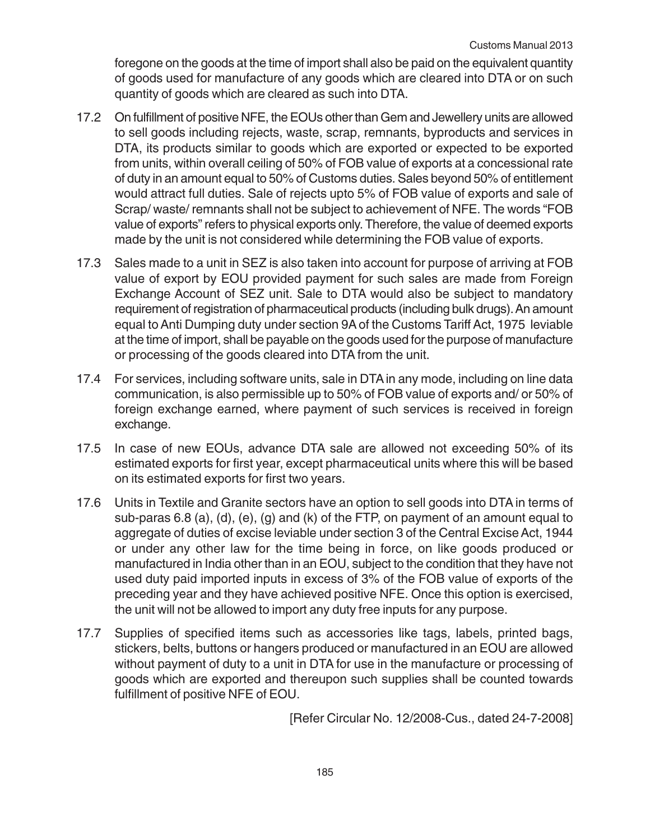foregone on the goods at the time of import shall also be paid on the equivalent quantity of goods used for manufacture of any goods which are cleared into DTA or on such quantity of goods which are cleared as such into DTA.

- 17.2 On fulfillment of positive NFE, the EOUs other than Gem and Jewellery units are allowed to sell goods including rejects, waste, scrap, remnants, byproducts and services in DTA, its products similar to goods which are exported or expected to be exported from units, within overall ceiling of 50% of FOB value of exports at a concessional rate of duty in an amount equal to 50% of Customs duties. Sales beyond 50% of entitlement would attract full duties. Sale of rejects upto 5% of FOB value of exports and sale of Scrap/ waste/ remnants shall not be subject to achievement of NFE. The words "FOB value of exports" refers to physical exports only. Therefore, the value of deemed exports made by the unit is not considered while determining the FOB value of exports.
- 17.3 Sales made to a unit in SEZ is also taken into account for purpose of arriving at FOB value of export by EOU provided payment for such sales are made from Foreign Exchange Account of SEZ unit. Sale to DTA would also be subject to mandatory requirement of registration of pharmaceutical products (including bulk drugs). An amount equal to Anti Dumping duty under section 9A of the Customs Tariff Act, 1975 leviable at the time of import, shall be payable on the goods used for the purpose of manufacture or processing of the goods cleared into DTA from the unit.
- 17.4 For services, including software units, sale in DTA in any mode, including on line data communication, is also permissible up to 50% of FOB value of exports and/ or 50% of foreign exchange earned, where payment of such services is received in foreign exchange.
- 17.5 In case of new EOUs, advance DTA sale are allowed not exceeding 50% of its estimated exports for first year, except pharmaceutical units where this will be based on its estimated exports for first two years.
- 17.6 Units in Textile and Granite sectors have an option to sell goods into DTA in terms of sub-paras 6.8 (a), (d), (e), (g) and (k) of the FTP, on payment of an amount equal to aggregate of duties of excise leviable under section 3 of the Central Excise Act, 1944 or under any other law for the time being in force, on like goods produced or manufactured in India other than in an EOU, subject to the condition that they have not used duty paid imported inputs in excess of 3% of the FOB value of exports of the preceding year and they have achieved positive NFE. Once this option is exercised, the unit will not be allowed to import any duty free inputs for any purpose.
- 17.7 Supplies of specified items such as accessories like tags, labels, printed bags, stickers, belts, buttons or hangers produced or manufactured in an EOU are allowed without payment of duty to a unit in DTA for use in the manufacture or processing of goods which are exported and thereupon such supplies shall be counted towards fulfillment of positive NFE of EOU.

[Refer Circular No. 12/2008-Cus., dated 24-7-2008]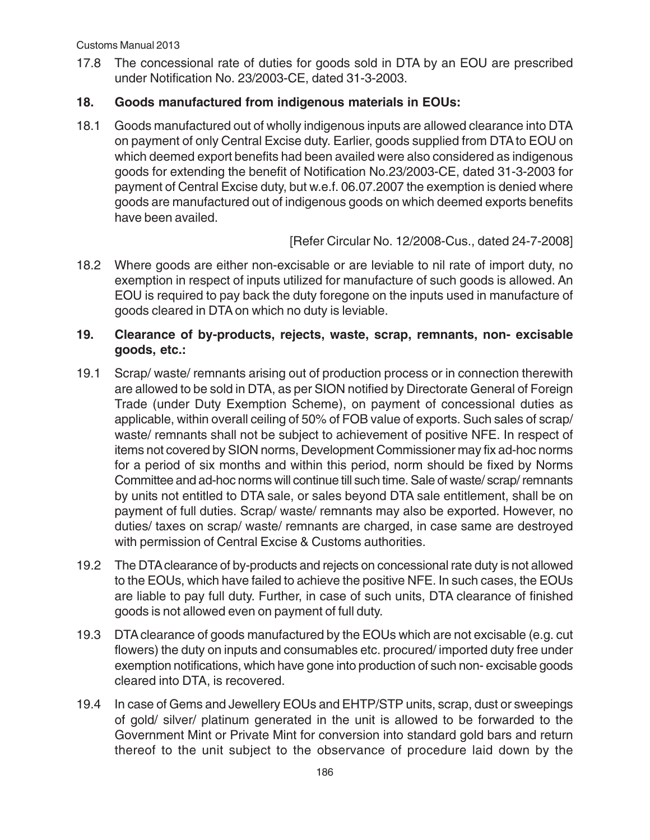17.8 The concessional rate of duties for goods sold in DTA by an EOU are prescribed under Notification No. 23/2003-CE, dated 31-3-2003.

## **18. Goods manufactured from indigenous materials in EOUs:**

18.1 Goods manufactured out of wholly indigenous inputs are allowed clearance into DTA on payment of only Central Excise duty. Earlier, goods supplied from DTA to EOU on which deemed export benefits had been availed were also considered as indigenous goods for extending the benefit of Notification No.23/2003-CE, dated 31-3-2003 for payment of Central Excise duty, but w.e.f. 06.07.2007 the exemption is denied where goods are manufactured out of indigenous goods on which deemed exports benefits have been availed.

[Refer Circular No. 12/2008-Cus., dated 24-7-2008]

18.2 Where goods are either non-excisable or are leviable to nil rate of import duty, no exemption in respect of inputs utilized for manufacture of such goods is allowed. An EOU is required to pay back the duty foregone on the inputs used in manufacture of goods cleared in DTA on which no duty is leviable.

### **19. Clearance of by-products, rejects, waste, scrap, remnants, non- excisable goods, etc.:**

- 19.1 Scrap/ waste/ remnants arising out of production process or in connection therewith are allowed to be sold in DTA, as per SION notified by Directorate General of Foreign Trade (under Duty Exemption Scheme), on payment of concessional duties as applicable, within overall ceiling of 50% of FOB value of exports. Such sales of scrap/ waste/ remnants shall not be subject to achievement of positive NFE. In respect of items not covered by SION norms, Development Commissioner may fix ad-hoc norms for a period of six months and within this period, norm should be fixed by Norms Committee and ad-hoc norms will continue till such time. Sale of waste/ scrap/ remnants by units not entitled to DTA sale, or sales beyond DTA sale entitlement, shall be on payment of full duties. Scrap/ waste/ remnants may also be exported. However, no duties/ taxes on scrap/ waste/ remnants are charged, in case same are destroyed with permission of Central Excise & Customs authorities.
- 19.2 The DTA clearance of by-products and rejects on concessional rate duty is not allowed to the EOUs, which have failed to achieve the positive NFE. In such cases, the EOUs are liable to pay full duty. Further, in case of such units, DTA clearance of finished goods is not allowed even on payment of full duty.
- 19.3 DTA clearance of goods manufactured by the EOUs which are not excisable (e.g. cut flowers) the duty on inputs and consumables etc. procured/ imported duty free under exemption notifications, which have gone into production of such non- excisable goods cleared into DTA, is recovered.
- 19.4 In case of Gems and Jewellery EOUs and EHTP/STP units, scrap, dust or sweepings of gold/ silver/ platinum generated in the unit is allowed to be forwarded to the Government Mint or Private Mint for conversion into standard gold bars and return thereof to the unit subject to the observance of procedure laid down by the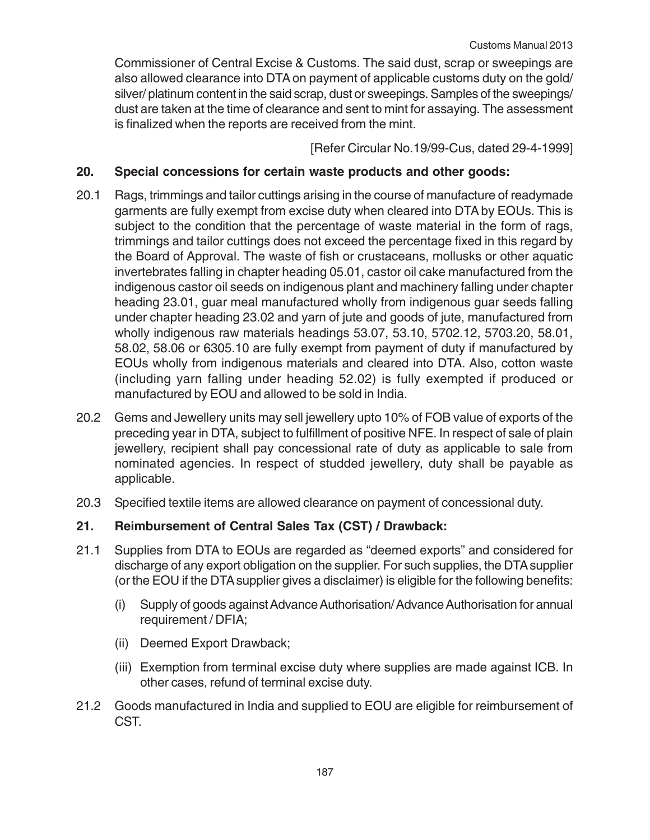Commissioner of Central Excise & Customs. The said dust, scrap or sweepings are also allowed clearance into DTA on payment of applicable customs duty on the gold/ silver/ platinum content in the said scrap, dust or sweepings. Samples of the sweepings/ dust are taken at the time of clearance and sent to mint for assaying. The assessment is finalized when the reports are received from the mint.

[Refer Circular No.19/99-Cus, dated 29-4-1999]

### **20. Special concessions for certain waste products and other goods:**

- 20.1 Rags, trimmings and tailor cuttings arising in the course of manufacture of readymade garments are fully exempt from excise duty when cleared into DTA by EOUs. This is subject to the condition that the percentage of waste material in the form of rags, trimmings and tailor cuttings does not exceed the percentage fixed in this regard by the Board of Approval. The waste of fish or crustaceans, mollusks or other aquatic invertebrates falling in chapter heading 05.01, castor oil cake manufactured from the indigenous castor oil seeds on indigenous plant and machinery falling under chapter heading 23.01, guar meal manufactured wholly from indigenous guar seeds falling under chapter heading 23.02 and yarn of jute and goods of jute, manufactured from wholly indigenous raw materials headings 53.07, 53.10, 5702.12, 5703.20, 58.01, 58.02, 58.06 or 6305.10 are fully exempt from payment of duty if manufactured by EOUs wholly from indigenous materials and cleared into DTA. Also, cotton waste (including yarn falling under heading 52.02) is fully exempted if produced or manufactured by EOU and allowed to be sold in India.
- 20.2 Gems and Jewellery units may sell jewellery upto 10% of FOB value of exports of the preceding year in DTA, subject to fulfillment of positive NFE. In respect of sale of plain jewellery, recipient shall pay concessional rate of duty as applicable to sale from nominated agencies. In respect of studded jewellery, duty shall be payable as applicable.
- 20.3 Specified textile items are allowed clearance on payment of concessional duty.

## **21. Reimbursement of Central Sales Tax (CST) / Drawback:**

- 21.1 Supplies from DTA to EOUs are regarded as "deemed exports" and considered for discharge of any export obligation on the supplier. For such supplies, the DTA supplier (or the EOU if the DTA supplier gives a disclaimer) is eligible for the following benefits:
	- (i) Supply of goods against Advance Authorisation/ Advance Authorisation for annual requirement / DFIA;
	- (ii) Deemed Export Drawback;
	- (iii) Exemption from terminal excise duty where supplies are made against ICB. In other cases, refund of terminal excise duty.
- 21.2 Goods manufactured in India and supplied to EOU are eligible for reimbursement of CST.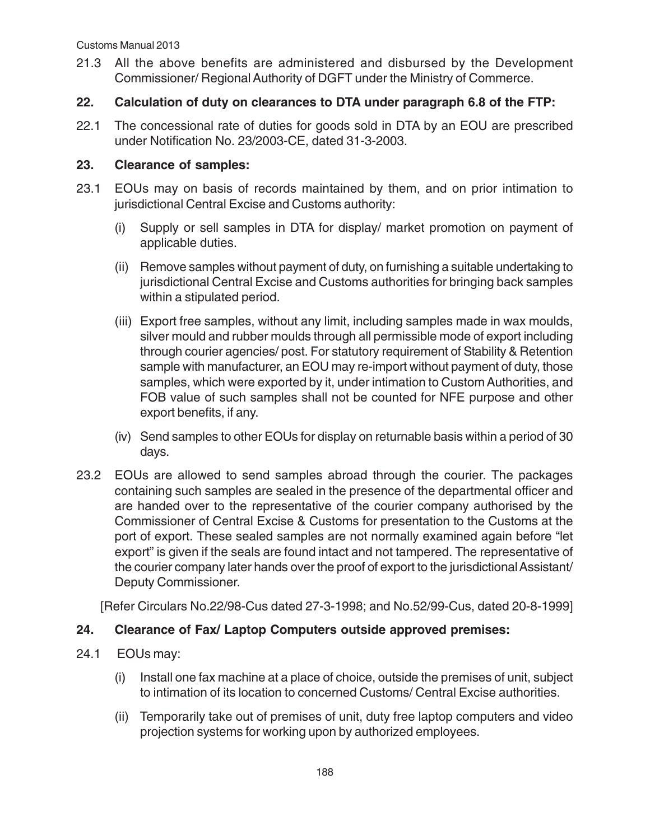21.3 All the above benefits are administered and disbursed by the Development Commissioner/ Regional Authority of DGFT under the Ministry of Commerce.

### **22. Calculation of duty on clearances to DTA under paragraph 6.8 of the FTP:**

22.1 The concessional rate of duties for goods sold in DTA by an EOU are prescribed under Notification No. 23/2003-CE, dated 31-3-2003.

#### **23. Clearance of samples:**

- 23.1 EOUs may on basis of records maintained by them, and on prior intimation to jurisdictional Central Excise and Customs authority:
	- (i) Supply or sell samples in DTA for display/ market promotion on payment of applicable duties.
	- (ii) Remove samples without payment of duty, on furnishing a suitable undertaking to jurisdictional Central Excise and Customs authorities for bringing back samples within a stipulated period.
	- (iii) Export free samples, without any limit, including samples made in wax moulds, silver mould and rubber moulds through all permissible mode of export including through courier agencies/ post. For statutory requirement of Stability & Retention sample with manufacturer, an EOU may re-import without payment of duty, those samples, which were exported by it, under intimation to Custom Authorities, and FOB value of such samples shall not be counted for NFE purpose and other export benefits, if any.
	- (iv) Send samples to other EOUs for display on returnable basis within a period of 30 days.
- 23.2 EOUs are allowed to send samples abroad through the courier. The packages containing such samples are sealed in the presence of the departmental officer and are handed over to the representative of the courier company authorised by the Commissioner of Central Excise & Customs for presentation to the Customs at the port of export. These sealed samples are not normally examined again before "let export" is given if the seals are found intact and not tampered. The representative of the courier company later hands over the proof of export to the jurisdictional Assistant/ Deputy Commissioner.

[Refer Circulars No.22/98-Cus dated 27-3-1998; and No.52/99-Cus, dated 20-8-1999]

## **24. Clearance of Fax/ Laptop Computers outside approved premises:**

- 24.1 EOUs may:
	- (i) Install one fax machine at a place of choice, outside the premises of unit, subject to intimation of its location to concerned Customs/ Central Excise authorities.
	- (ii) Temporarily take out of premises of unit, duty free laptop computers and video projection systems for working upon by authorized employees.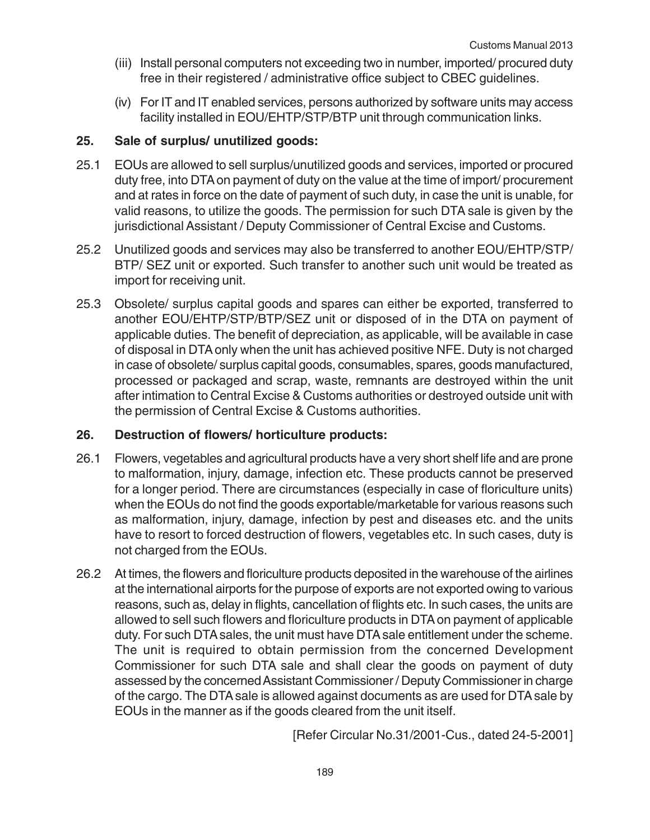- (iii) Install personal computers not exceeding two in number, imported/ procured duty free in their registered / administrative office subject to CBEC guidelines.
- (iv) For IT and IT enabled services, persons authorized by software units may access facility installed in EOU/EHTP/STP/BTP unit through communication links.

### **25. Sale of surplus/ unutilized goods:**

- 25.1 EOUs are allowed to sell surplus/unutilized goods and services, imported or procured duty free, into DTA on payment of duty on the value at the time of import/ procurement and at rates in force on the date of payment of such duty, in case the unit is unable, for valid reasons, to utilize the goods. The permission for such DTA sale is given by the jurisdictional Assistant / Deputy Commissioner of Central Excise and Customs.
- 25.2 Unutilized goods and services may also be transferred to another EOU/EHTP/STP/ BTP/ SEZ unit or exported. Such transfer to another such unit would be treated as import for receiving unit.
- 25.3 Obsolete/ surplus capital goods and spares can either be exported, transferred to another EOU/EHTP/STP/BTP/SEZ unit or disposed of in the DTA on payment of applicable duties. The benefit of depreciation, as applicable, will be available in case of disposal in DTA only when the unit has achieved positive NFE. Duty is not charged in case of obsolete/ surplus capital goods, consumables, spares, goods manufactured, processed or packaged and scrap, waste, remnants are destroyed within the unit after intimation to Central Excise & Customs authorities or destroyed outside unit with the permission of Central Excise & Customs authorities.

## **26. Destruction of flowers/ horticulture products:**

- 26.1 Flowers, vegetables and agricultural products have a very short shelf life and are prone to malformation, injury, damage, infection etc. These products cannot be preserved for a longer period. There are circumstances (especially in case of floriculture units) when the EOUs do not find the goods exportable/marketable for various reasons such as malformation, injury, damage, infection by pest and diseases etc. and the units have to resort to forced destruction of flowers, vegetables etc. In such cases, duty is not charged from the EOUs.
- 26.2 At times, the flowers and floriculture products deposited in the warehouse of the airlines at the international airports for the purpose of exports are not exported owing to various reasons, such as, delay in flights, cancellation of flights etc. In such cases, the units are allowed to sell such flowers and floriculture products in DTA on payment of applicable duty. For such DTA sales, the unit must have DTA sale entitlement under the scheme. The unit is required to obtain permission from the concerned Development Commissioner for such DTA sale and shall clear the goods on payment of duty assessed by the concerned Assistant Commissioner / Deputy Commissioner in charge of the cargo. The DTA sale is allowed against documents as are used for DTA sale by EOUs in the manner as if the goods cleared from the unit itself.

[Refer Circular No.31/2001-Cus., dated 24-5-2001]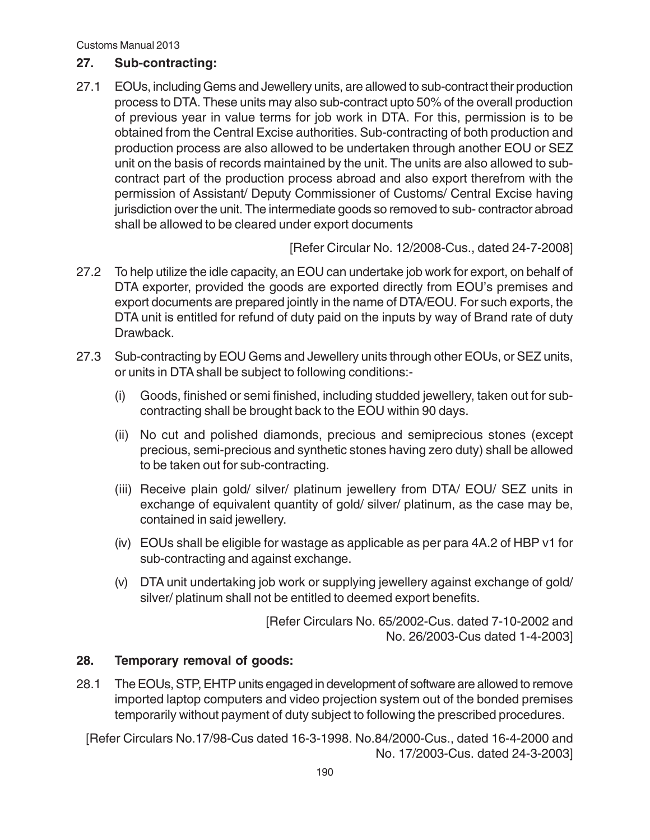#### **27. Sub-contracting:**

27.1 EOUs, including Gems and Jewellery units, are allowed to sub-contract their production process to DTA. These units may also sub-contract upto 50% of the overall production of previous year in value terms for job work in DTA. For this, permission is to be obtained from the Central Excise authorities. Sub-contracting of both production and production process are also allowed to be undertaken through another EOU or SEZ unit on the basis of records maintained by the unit. The units are also allowed to subcontract part of the production process abroad and also export therefrom with the permission of Assistant/ Deputy Commissioner of Customs/ Central Excise having jurisdiction over the unit. The intermediate goods so removed to sub- contractor abroad shall be allowed to be cleared under export documents

[Refer Circular No. 12/2008-Cus., dated 24-7-2008]

- 27.2 To help utilize the idle capacity, an EOU can undertake job work for export, on behalf of DTA exporter, provided the goods are exported directly from EOU's premises and export documents are prepared jointly in the name of DTA/EOU. For such exports, the DTA unit is entitled for refund of duty paid on the inputs by way of Brand rate of duty Drawback.
- 27.3 Sub-contracting by EOU Gems and Jewellery units through other EOUs, or SEZ units, or units in DTA shall be subject to following conditions:-
	- (i) Goods, finished or semi finished, including studded jewellery, taken out for subcontracting shall be brought back to the EOU within 90 days.
	- (ii) No cut and polished diamonds, precious and semiprecious stones (except precious, semi-precious and synthetic stones having zero duty) shall be allowed to be taken out for sub-contracting.
	- (iii) Receive plain gold/ silver/ platinum jewellery from DTA/ EOU/ SEZ units in exchange of equivalent quantity of gold/ silver/ platinum, as the case may be, contained in said jewellery.
	- (iv) EOUs shall be eligible for wastage as applicable as per para 4A.2 of HBP v1 for sub-contracting and against exchange.
	- (v) DTA unit undertaking job work or supplying jewellery against exchange of gold/ silver/ platinum shall not be entitled to deemed export benefits.

[Refer Circulars No. 65/2002-Cus. dated 7-10-2002 and No. 26/2003-Cus dated 1-4-2003]

## **28. Temporary removal of goods:**

28.1 The EOUs, STP, EHTP units engaged in development of software are allowed to remove imported laptop computers and video projection system out of the bonded premises temporarily without payment of duty subject to following the prescribed procedures.

[Refer Circulars No.17/98-Cus dated 16-3-1998. No.84/2000-Cus., dated 16-4-2000 and No. 17/2003-Cus. dated 24-3-2003]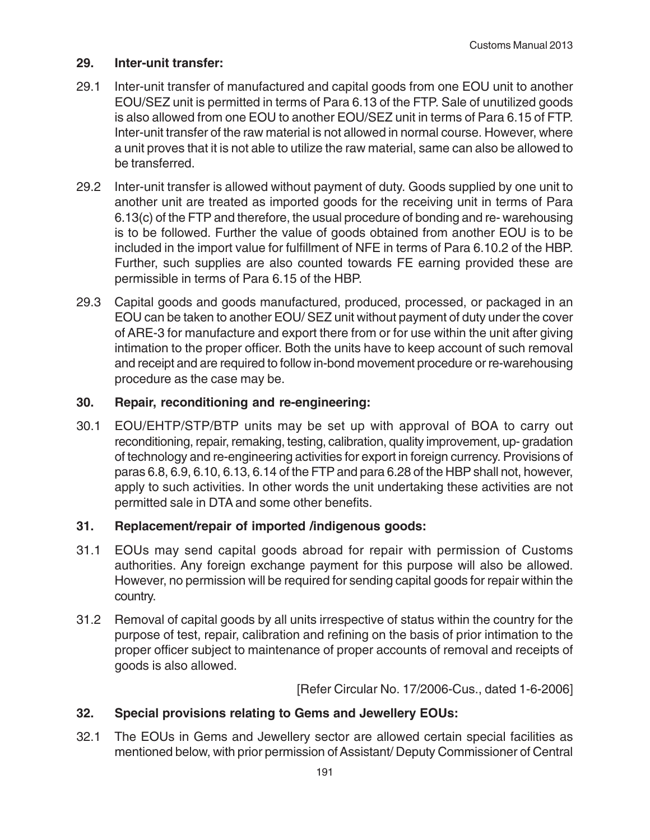#### **29. Inter-unit transfer:**

- 29.1 Inter-unit transfer of manufactured and capital goods from one EOU unit to another EOU/SEZ unit is permitted in terms of Para 6.13 of the FTP. Sale of unutilized goods is also allowed from one EOU to another EOU/SEZ unit in terms of Para 6.15 of FTP. Inter-unit transfer of the raw material is not allowed in normal course. However, where a unit proves that it is not able to utilize the raw material, same can also be allowed to be transferred.
- 29.2 Inter-unit transfer is allowed without payment of duty. Goods supplied by one unit to another unit are treated as imported goods for the receiving unit in terms of Para 6.13(c) of the FTP and therefore, the usual procedure of bonding and re- warehousing is to be followed. Further the value of goods obtained from another EOU is to be included in the import value for fulfillment of NFE in terms of Para 6.10.2 of the HBP. Further, such supplies are also counted towards FE earning provided these are permissible in terms of Para 6.15 of the HBP.
- 29.3 Capital goods and goods manufactured, produced, processed, or packaged in an EOU can be taken to another EOU/ SEZ unit without payment of duty under the cover of ARE-3 for manufacture and export there from or for use within the unit after giving intimation to the proper officer. Both the units have to keep account of such removal and receipt and are required to follow in-bond movement procedure or re-warehousing procedure as the case may be.

#### **30. Repair, reconditioning and re-engineering:**

30.1 EOU/EHTP/STP/BTP units may be set up with approval of BOA to carry out reconditioning, repair, remaking, testing, calibration, quality improvement, up- gradation of technology and re-engineering activities for export in foreign currency. Provisions of paras 6.8, 6.9, 6.10, 6.13, 6.14 of the FTP and para 6.28 of the HBP shall not, however, apply to such activities. In other words the unit undertaking these activities are not permitted sale in DTA and some other benefits.

#### **31. Replacement/repair of imported /indigenous goods:**

- 31.1 EOUs may send capital goods abroad for repair with permission of Customs authorities. Any foreign exchange payment for this purpose will also be allowed. However, no permission will be required for sending capital goods for repair within the country.
- 31.2 Removal of capital goods by all units irrespective of status within the country for the purpose of test, repair, calibration and refining on the basis of prior intimation to the proper officer subject to maintenance of proper accounts of removal and receipts of goods is also allowed.

[Refer Circular No. 17/2006-Cus., dated 1-6-2006]

#### **32. Special provisions relating to Gems and Jewellery EOUs:**

32.1 The EOUs in Gems and Jewellery sector are allowed certain special facilities as mentioned below, with prior permission of Assistant/ Deputy Commissioner of Central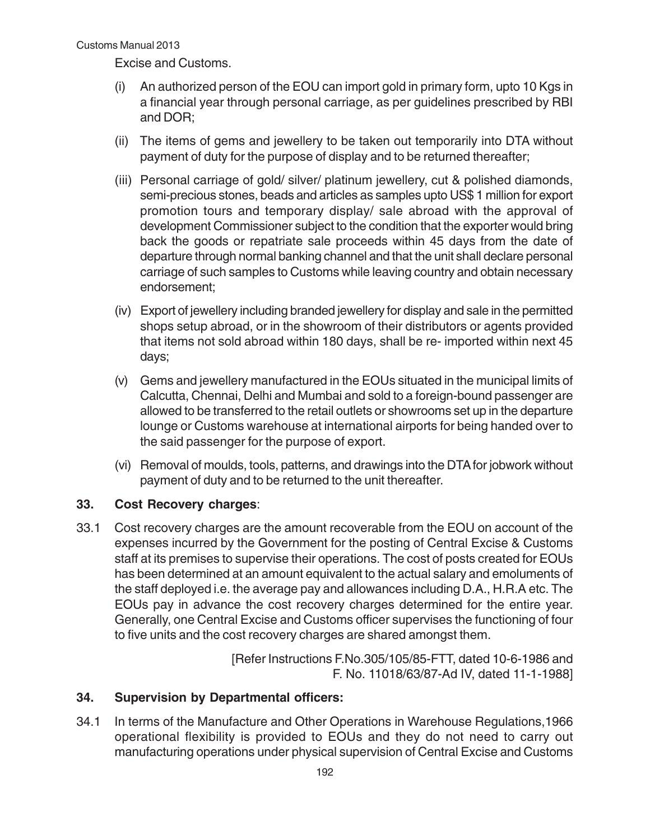Excise and Customs.

- (i) An authorized person of the EOU can import gold in primary form, upto 10 Kgs in a financial year through personal carriage, as per guidelines prescribed by RBI and DOR;
- (ii) The items of gems and jewellery to be taken out temporarily into DTA without payment of duty for the purpose of display and to be returned thereafter;
- (iii) Personal carriage of gold/ silver/ platinum jewellery, cut & polished diamonds, semi-precious stones, beads and articles as samples upto US\$ 1 million for export promotion tours and temporary display/ sale abroad with the approval of development Commissioner subject to the condition that the exporter would bring back the goods or repatriate sale proceeds within 45 days from the date of departure through normal banking channel and that the unit shall declare personal carriage of such samples to Customs while leaving country and obtain necessary endorsement;
- (iv) Export of jewellery including branded jewellery for display and sale in the permitted shops setup abroad, or in the showroom of their distributors or agents provided that items not sold abroad within 180 days, shall be re- imported within next 45 days;
- (v) Gems and jewellery manufactured in the EOUs situated in the municipal limits of Calcutta, Chennai, Delhi and Mumbai and sold to a foreign-bound passenger are allowed to be transferred to the retail outlets or showrooms set up in the departure lounge or Customs warehouse at international airports for being handed over to the said passenger for the purpose of export.
- (vi) Removal of moulds, tools, patterns, and drawings into the DTA for jobwork without payment of duty and to be returned to the unit thereafter.

## **33. Cost Recovery charges**:

33.1 Cost recovery charges are the amount recoverable from the EOU on account of the expenses incurred by the Government for the posting of Central Excise & Customs staff at its premises to supervise their operations. The cost of posts created for EOUs has been determined at an amount equivalent to the actual salary and emoluments of the staff deployed i.e. the average pay and allowances including D.A., H.R.A etc. The EOUs pay in advance the cost recovery charges determined for the entire year. Generally, one Central Excise and Customs officer supervises the functioning of four to five units and the cost recovery charges are shared amongst them.

> [Refer Instructions F.No.305/105/85-FTT, dated 10-6-1986 and F. No. 11018/63/87-Ad IV, dated 11-1-1988]

#### **34. Supervision by Departmental officers:**

34.1 In terms of the Manufacture and Other Operations in Warehouse Regulations,1966 operational flexibility is provided to EOUs and they do not need to carry out manufacturing operations under physical supervision of Central Excise and Customs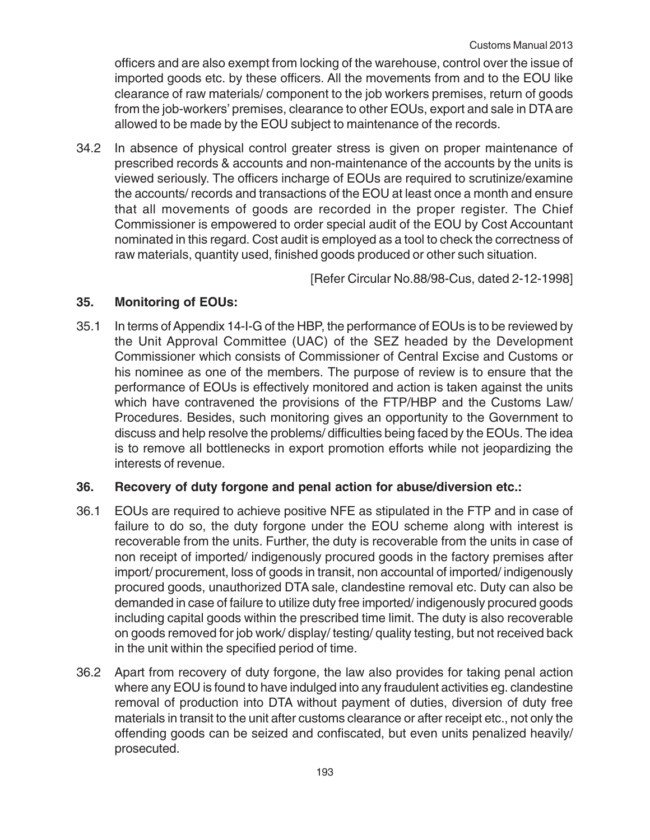officers and are also exempt from locking of the warehouse, control over the issue of imported goods etc. by these officers. All the movements from and to the EOU like clearance of raw materials/ component to the job workers premises, return of goods from the job-workers' premises, clearance to other EOUs, export and sale in DTA are allowed to be made by the EOU subject to maintenance of the records.

34.2 In absence of physical control greater stress is given on proper maintenance of prescribed records & accounts and non-maintenance of the accounts by the units is viewed seriously. The officers incharge of EOUs are required to scrutinize/examine the accounts/ records and transactions of the EOU at least once a month and ensure that all movements of goods are recorded in the proper register. The Chief Commissioner is empowered to order special audit of the EOU by Cost Accountant nominated in this regard. Cost audit is employed as a tool to check the correctness of raw materials, quantity used, finished goods produced or other such situation.

[Refer Circular No.88/98-Cus, dated 2-12-1998]

## **35. Monitoring of EOUs:**

35.1 In terms of Appendix 14-I-G of the HBP, the performance of EOUs is to be reviewed by the Unit Approval Committee (UAC) of the SEZ headed by the Development Commissioner which consists of Commissioner of Central Excise and Customs or his nominee as one of the members. The purpose of review is to ensure that the performance of EOUs is effectively monitored and action is taken against the units which have contravened the provisions of the FTP/HBP and the Customs Law/ Procedures. Besides, such monitoring gives an opportunity to the Government to discuss and help resolve the problems/ difficulties being faced by the EOUs. The idea is to remove all bottlenecks in export promotion efforts while not jeopardizing the interests of revenue.

#### **36. Recovery of duty forgone and penal action for abuse/diversion etc.:**

- 36.1 EOUs are required to achieve positive NFE as stipulated in the FTP and in case of failure to do so, the duty forgone under the EOU scheme along with interest is recoverable from the units. Further, the duty is recoverable from the units in case of non receipt of imported/ indigenously procured goods in the factory premises after import/ procurement, loss of goods in transit, non accountal of imported/ indigenously procured goods, unauthorized DTA sale, clandestine removal etc. Duty can also be demanded in case of failure to utilize duty free imported/ indigenously procured goods including capital goods within the prescribed time limit. The duty is also recoverable on goods removed for job work/ display/ testing/ quality testing, but not received back in the unit within the specified period of time.
- 36.2 Apart from recovery of duty forgone, the law also provides for taking penal action where any EOU is found to have indulged into any fraudulent activities eg. clandestine removal of production into DTA without payment of duties, diversion of duty free materials in transit to the unit after customs clearance or after receipt etc., not only the offending goods can be seized and confiscated, but even units penalized heavily/ prosecuted.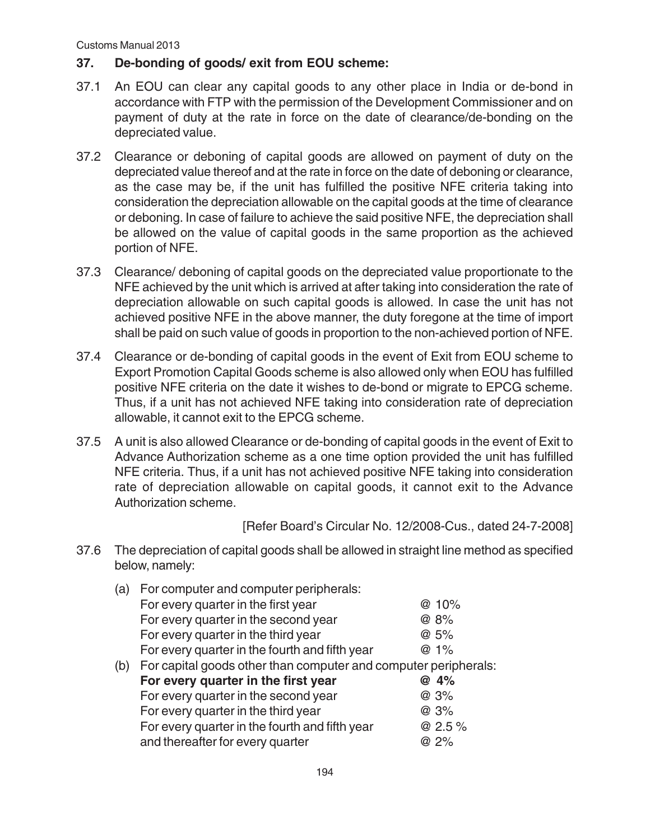## **37. De-bonding of goods/ exit from EOU scheme:**

- 37.1 An EOU can clear any capital goods to any other place in India or de-bond in accordance with FTP with the permission of the Development Commissioner and on payment of duty at the rate in force on the date of clearance/de-bonding on the depreciated value.
- 37.2 Clearance or deboning of capital goods are allowed on payment of duty on the depreciated value thereof and at the rate in force on the date of deboning or clearance, as the case may be, if the unit has fulfilled the positive NFE criteria taking into consideration the depreciation allowable on the capital goods at the time of clearance or deboning. In case of failure to achieve the said positive NFE, the depreciation shall be allowed on the value of capital goods in the same proportion as the achieved portion of NFE.
- 37.3 Clearance/ deboning of capital goods on the depreciated value proportionate to the NFE achieved by the unit which is arrived at after taking into consideration the rate of depreciation allowable on such capital goods is allowed. In case the unit has not achieved positive NFE in the above manner, the duty foregone at the time of import shall be paid on such value of goods in proportion to the non-achieved portion of NFE.
- 37.4 Clearance or de-bonding of capital goods in the event of Exit from EOU scheme to Export Promotion Capital Goods scheme is also allowed only when EOU has fulfilled positive NFE criteria on the date it wishes to de-bond or migrate to EPCG scheme. Thus, if a unit has not achieved NFE taking into consideration rate of depreciation allowable, it cannot exit to the EPCG scheme.
- 37.5 A unit is also allowed Clearance or de-bonding of capital goods in the event of Exit to Advance Authorization scheme as a one time option provided the unit has fulfilled NFE criteria. Thus, if a unit has not achieved positive NFE taking into consideration rate of depreciation allowable on capital goods, it cannot exit to the Advance Authorization scheme.

[Refer Board's Circular No. 12/2008-Cus., dated 24-7-2008]

37.6 The depreciation of capital goods shall be allowed in straight line method as specified below, namely:

| (a) | For computer and computer peripherals:                          |        |
|-----|-----------------------------------------------------------------|--------|
|     | For every quarter in the first year                             | @ 10%  |
|     | For every quarter in the second year                            | @ 8%   |
|     | For every quarter in the third year                             | @ 5%   |
|     | For every quarter in the fourth and fifth year                  | @ 1%   |
| (b) | For capital goods other than computer and computer peripherals: |        |
|     | For every quarter in the first year                             | @ 4%   |
|     | For every quarter in the second year                            | @ 3%   |
|     | For every quarter in the third year                             | @ 3%   |
|     | For every quarter in the fourth and fifth year                  | @ 2.5% |
|     | and thereafter for every quarter                                | @ 2%   |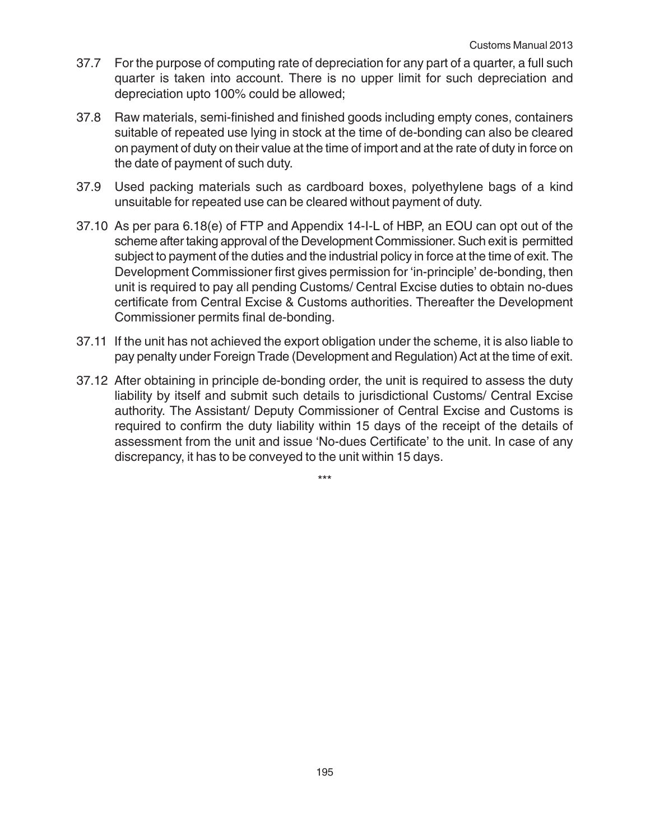- 37.7 For the purpose of computing rate of depreciation for any part of a quarter, a full such quarter is taken into account. There is no upper limit for such depreciation and depreciation upto 100% could be allowed;
- 37.8 Raw materials, semi-finished and finished goods including empty cones, containers suitable of repeated use lying in stock at the time of de-bonding can also be cleared on payment of duty on their value at the time of import and at the rate of duty in force on the date of payment of such duty.
- 37.9 Used packing materials such as cardboard boxes, polyethylene bags of a kind unsuitable for repeated use can be cleared without payment of duty.
- 37.10 As per para 6.18(e) of FTP and Appendix 14-I-L of HBP, an EOU can opt out of the scheme after taking approval of the Development Commissioner. Such exit is permitted subject to payment of the duties and the industrial policy in force at the time of exit. The Development Commissioner first gives permission for 'in-principle' de-bonding, then unit is required to pay all pending Customs/ Central Excise duties to obtain no-dues certificate from Central Excise & Customs authorities. Thereafter the Development Commissioner permits final de-bonding.
- 37.11 If the unit has not achieved the export obligation under the scheme, it is also liable to pay penalty under Foreign Trade (Development and Regulation) Act at the time of exit.
- 37.12 After obtaining in principle de-bonding order, the unit is required to assess the duty liability by itself and submit such details to jurisdictional Customs/ Central Excise authority. The Assistant/ Deputy Commissioner of Central Excise and Customs is required to confirm the duty liability within 15 days of the receipt of the details of assessment from the unit and issue 'No-dues Certificate' to the unit. In case of any discrepancy, it has to be conveyed to the unit within 15 days.

\*\*\*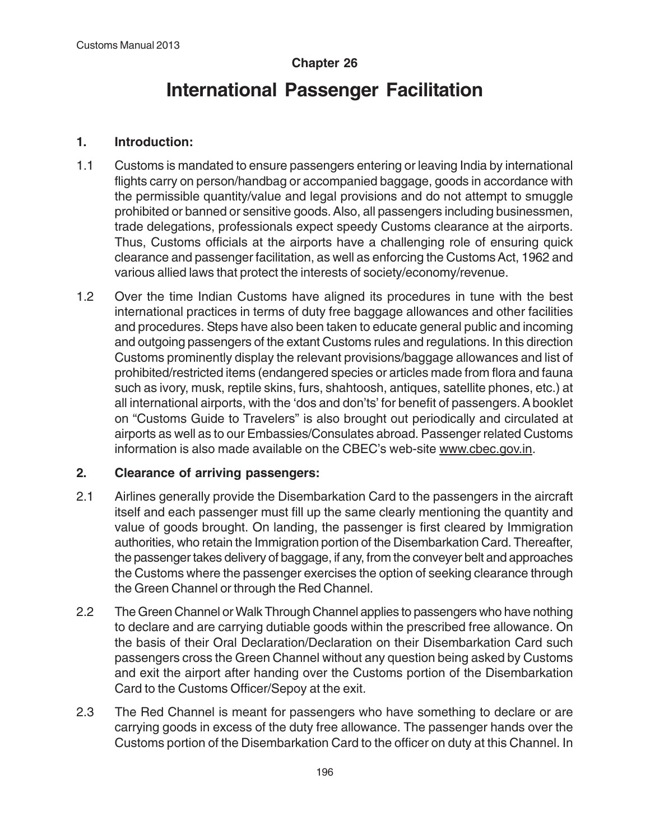# **Chapter 26**

# **International Passenger Facilitation**

#### **1. Introduction:**

- 1.1 Customs is mandated to ensure passengers entering or leaving India by international flights carry on person/handbag or accompanied baggage, goods in accordance with the permissible quantity/value and legal provisions and do not attempt to smuggle prohibited or banned or sensitive goods. Also, all passengers including businessmen, trade delegations, professionals expect speedy Customs clearance at the airports. Thus, Customs officials at the airports have a challenging role of ensuring quick clearance and passenger facilitation, as well as enforcing the Customs Act, 1962 and various allied laws that protect the interests of society/economy/revenue.
- 1.2 Over the time Indian Customs have aligned its procedures in tune with the best international practices in terms of duty free baggage allowances and other facilities and procedures. Steps have also been taken to educate general public and incoming and outgoing passengers of the extant Customs rules and regulations. In this direction Customs prominently display the relevant provisions/baggage allowances and list of prohibited/restricted items (endangered species or articles made from flora and fauna such as ivory, musk, reptile skins, furs, shahtoosh, antiques, satellite phones, etc.) at all international airports, with the 'dos and don'ts' for benefit of passengers. A booklet on "Customs Guide to Travelers" is also brought out periodically and circulated at airports as well as to our Embassies/Consulates abroad. Passenger related Customs information is also made available on the CBEC's web-site www.cbec.gov.in.

#### **2. Clearance of arriving passengers:**

- 2.1 Airlines generally provide the Disembarkation Card to the passengers in the aircraft itself and each passenger must fill up the same clearly mentioning the quantity and value of goods brought. On landing, the passenger is first cleared by Immigration authorities, who retain the Immigration portion of the Disembarkation Card. Thereafter, the passenger takes delivery of baggage, if any, from the conveyer belt and approaches the Customs where the passenger exercises the option of seeking clearance through the Green Channel or through the Red Channel.
- 2.2 The Green Channel or Walk Through Channel applies to passengers who have nothing to declare and are carrying dutiable goods within the prescribed free allowance. On the basis of their Oral Declaration/Declaration on their Disembarkation Card such passengers cross the Green Channel without any question being asked by Customs and exit the airport after handing over the Customs portion of the Disembarkation Card to the Customs Officer/Sepoy at the exit.
- 2.3 The Red Channel is meant for passengers who have something to declare or are carrying goods in excess of the duty free allowance. The passenger hands over the Customs portion of the Disembarkation Card to the officer on duty at this Channel. In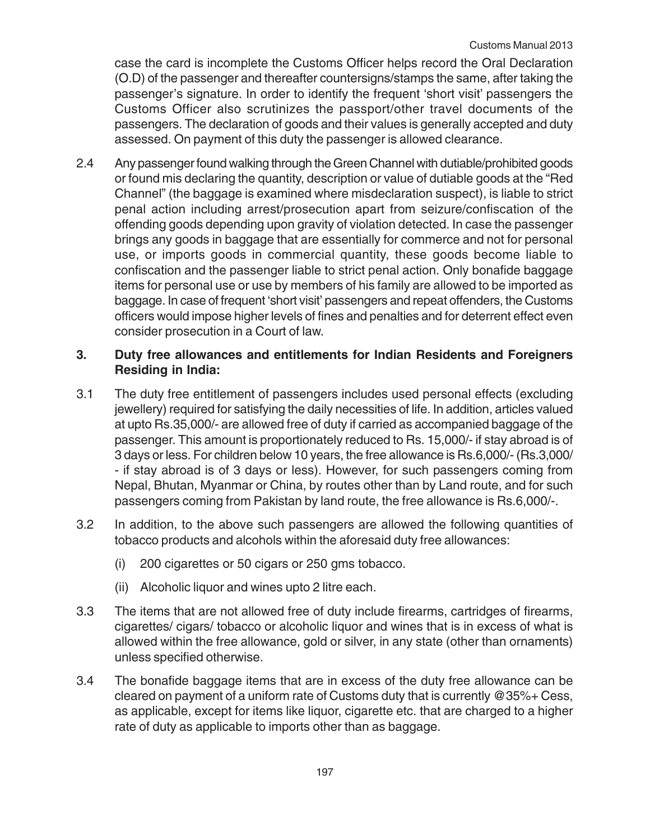case the card is incomplete the Customs Officer helps record the Oral Declaration (O.D) of the passenger and thereafter countersigns/stamps the same, after taking the passenger's signature. In order to identify the frequent 'short visit' passengers the Customs Officer also scrutinizes the passport/other travel documents of the passengers. The declaration of goods and their values is generally accepted and duty assessed. On payment of this duty the passenger is allowed clearance.

2.4 Any passenger found walking through the Green Channel with dutiable/prohibited goods or found mis declaring the quantity, description or value of dutiable goods at the "Red Channel" (the baggage is examined where misdeclaration suspect), is liable to strict penal action including arrest/prosecution apart from seizure/confiscation of the offending goods depending upon gravity of violation detected. In case the passenger brings any goods in baggage that are essentially for commerce and not for personal use, or imports goods in commercial quantity, these goods become liable to confiscation and the passenger liable to strict penal action. Only bonafide baggage items for personal use or use by members of his family are allowed to be imported as baggage. In case of frequent 'short visit' passengers and repeat offenders, the Customs officers would impose higher levels of fines and penalties and for deterrent effect even consider prosecution in a Court of law.

### **3. Duty free allowances and entitlements for Indian Residents and Foreigners Residing in India:**

- 3.1 The duty free entitlement of passengers includes used personal effects (excluding jewellery) required for satisfying the daily necessities of life. In addition, articles valued at upto Rs.35,000/- are allowed free of duty if carried as accompanied baggage of the passenger. This amount is proportionately reduced to Rs. 15,000/- if stay abroad is of 3 days or less. For children below 10 years, the free allowance is Rs.6,000/- (Rs.3,000/ - if stay abroad is of 3 days or less). However, for such passengers coming from Nepal, Bhutan, Myanmar or China, by routes other than by Land route, and for such passengers coming from Pakistan by land route, the free allowance is Rs.6,000/-.
- 3.2 In addition, to the above such passengers are allowed the following quantities of tobacco products and alcohols within the aforesaid duty free allowances:
	- (i) 200 cigarettes or 50 cigars or 250 gms tobacco.
	- (ii) Alcoholic liquor and wines upto 2 litre each.
- 3.3 The items that are not allowed free of duty include firearms, cartridges of firearms, cigarettes/ cigars/ tobacco or alcoholic liquor and wines that is in excess of what is allowed within the free allowance, gold or silver, in any state (other than ornaments) unless specified otherwise.
- 3.4 The bonafide baggage items that are in excess of the duty free allowance can be cleared on payment of a uniform rate of Customs duty that is currently @35%+ Cess, as applicable, except for items like liquor, cigarette etc. that are charged to a higher rate of duty as applicable to imports other than as baggage.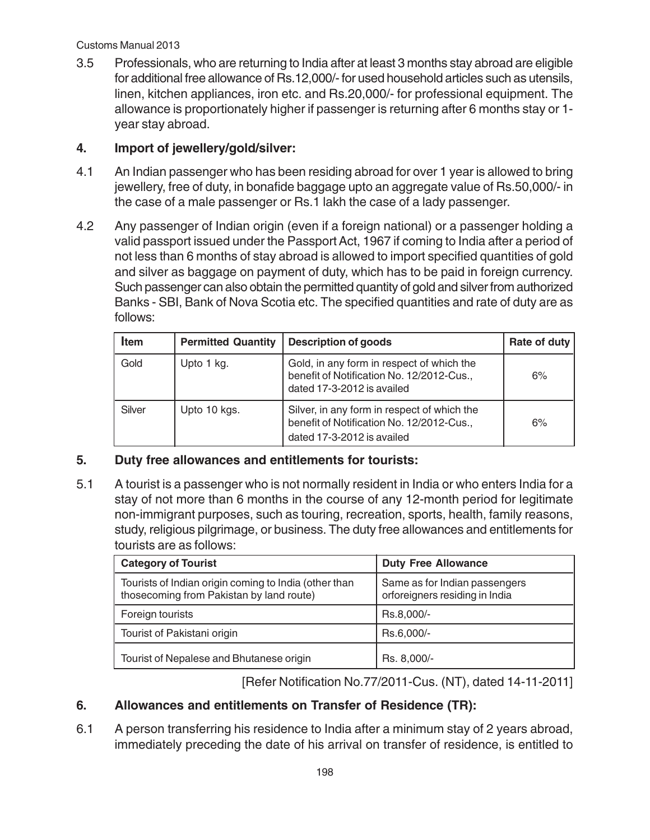#### Customs Manual 2013

3.5 Professionals, who are returning to India after at least 3 months stay abroad are eligible for additional free allowance of Rs.12,000/- for used household articles such as utensils, linen, kitchen appliances, iron etc. and Rs.20,000/- for professional equipment. The allowance is proportionately higher if passenger is returning after 6 months stay or 1 year stay abroad.

## **4. Import of jewellery/gold/silver:**

- 4.1 An Indian passenger who has been residing abroad for over 1 year is allowed to bring jewellery, free of duty, in bonafide baggage upto an aggregate value of Rs.50,000/- in the case of a male passenger or Rs.1 lakh the case of a lady passenger.
- 4.2 Any passenger of Indian origin (even if a foreign national) or a passenger holding a valid passport issued under the Passport Act, 1967 if coming to India after a period of not less than 6 months of stay abroad is allowed to import specified quantities of gold and silver as baggage on payment of duty, which has to be paid in foreign currency. Such passenger can also obtain the permitted quantity of gold and silver from authorized Banks - SBI, Bank of Nova Scotia etc. The specified quantities and rate of duty are as follows:

| <b>Item</b> | <b>Permitted Quantity</b> | <b>Description of goods</b>                                                                                            | Rate of duty ! |
|-------------|---------------------------|------------------------------------------------------------------------------------------------------------------------|----------------|
| Gold        | Upto 1 kg.                | Gold, in any form in respect of which the<br>benefit of Notification No. 12/2012-Cus.,<br>dated 17-3-2012 is availed   | 6%             |
| Silver      | Upto 10 kgs.              | Silver, in any form in respect of which the<br>benefit of Notification No. 12/2012-Cus.,<br>dated 17-3-2012 is availed | 6%             |

## **5. Duty free allowances and entitlements for tourists:**

5.1 A tourist is a passenger who is not normally resident in India or who enters India for a stay of not more than 6 months in the course of any 12-month period for legitimate non-immigrant purposes, such as touring, recreation, sports, health, family reasons, study, religious pilgrimage, or business. The duty free allowances and entitlements for tourists are as follows:

| <b>Category of Tourist</b>                                                                        | <b>Duty Free Allowance</b>                                      |
|---------------------------------------------------------------------------------------------------|-----------------------------------------------------------------|
| Tourists of Indian origin coming to India (other than<br>thosecoming from Pakistan by land route) | Same as for Indian passengers<br>orforeigners residing in India |
| Foreign tourists                                                                                  | Rs.8,000/-                                                      |
| Tourist of Pakistani origin                                                                       | Rs.6,000/-                                                      |
| Tourist of Nepalese and Bhutanese origin                                                          | Rs. 8,000/-                                                     |

[Refer Notification No.77/2011-Cus. (NT), dated 14-11-2011]

# **6. Allowances and entitlements on Transfer of Residence (TR):**

6.1 A person transferring his residence to India after a minimum stay of 2 years abroad, immediately preceding the date of his arrival on transfer of residence, is entitled to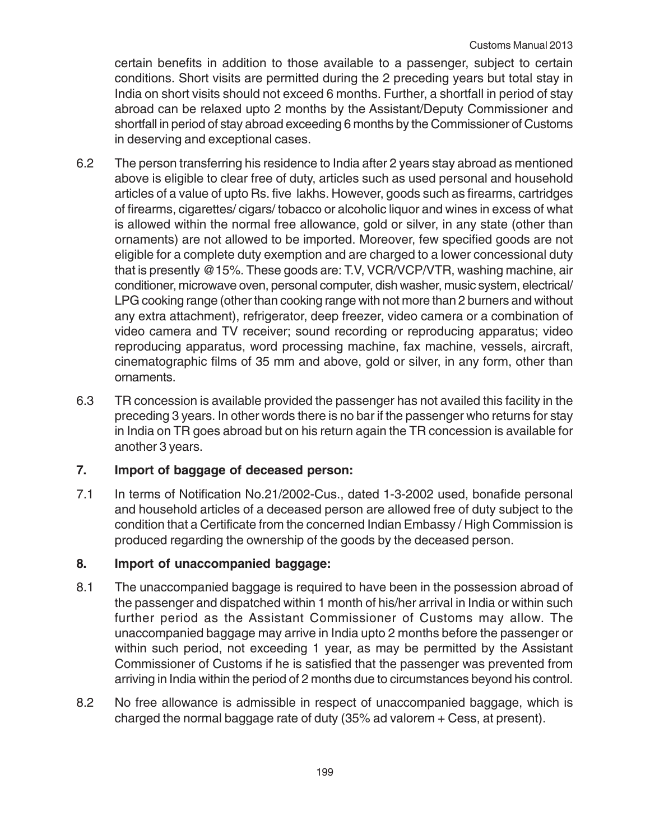certain benefits in addition to those available to a passenger, subject to certain conditions. Short visits are permitted during the 2 preceding years but total stay in India on short visits should not exceed 6 months. Further, a shortfall in period of stay abroad can be relaxed upto 2 months by the Assistant/Deputy Commissioner and shortfall in period of stay abroad exceeding 6 months by the Commissioner of Customs in deserving and exceptional cases.

- 6.2 The person transferring his residence to India after 2 years stay abroad as mentioned above is eligible to clear free of duty, articles such as used personal and household articles of a value of upto Rs. five lakhs. However, goods such as firearms, cartridges of firearms, cigarettes/ cigars/ tobacco or alcoholic liquor and wines in excess of what is allowed within the normal free allowance, gold or silver, in any state (other than ornaments) are not allowed to be imported. Moreover, few specified goods are not eligible for a complete duty exemption and are charged to a lower concessional duty that is presently @15%. These goods are: T.V, VCR/VCP/VTR, washing machine, air conditioner, microwave oven, personal computer, dish washer, music system, electrical/ LPG cooking range (other than cooking range with not more than 2 burners and without any extra attachment), refrigerator, deep freezer, video camera or a combination of video camera and TV receiver; sound recording or reproducing apparatus; video reproducing apparatus, word processing machine, fax machine, vessels, aircraft, cinematographic films of 35 mm and above, gold or silver, in any form, other than ornaments.
- 6.3 TR concession is available provided the passenger has not availed this facility in the preceding 3 years. In other words there is no bar if the passenger who returns for stay in India on TR goes abroad but on his return again the TR concession is available for another 3 years.

## **7. Import of baggage of deceased person:**

7.1 In terms of Notification No.21/2002-Cus., dated 1-3-2002 used, bonafide personal and household articles of a deceased person are allowed free of duty subject to the condition that a Certificate from the concerned Indian Embassy / High Commission is produced regarding the ownership of the goods by the deceased person.

## **8. Import of unaccompanied baggage:**

- 8.1 The unaccompanied baggage is required to have been in the possession abroad of the passenger and dispatched within 1 month of his/her arrival in India or within such further period as the Assistant Commissioner of Customs may allow. The unaccompanied baggage may arrive in India upto 2 months before the passenger or within such period, not exceeding 1 year, as may be permitted by the Assistant Commissioner of Customs if he is satisfied that the passenger was prevented from arriving in India within the period of 2 months due to circumstances beyond his control.
- 8.2 No free allowance is admissible in respect of unaccompanied baggage, which is charged the normal baggage rate of duty (35% ad valorem + Cess, at present).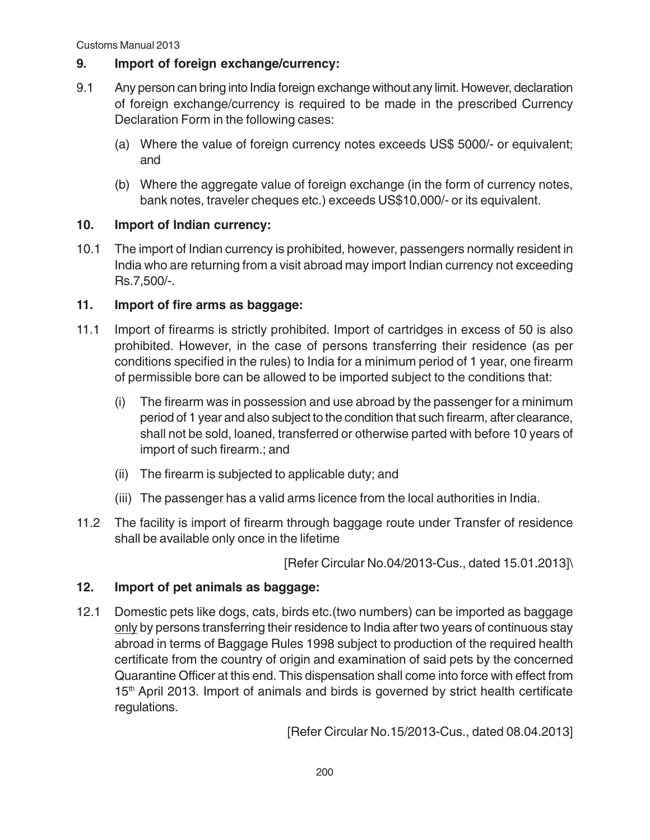Customs Manual 2013

### **9. Import of foreign exchange/currency:**

- 9.1 Any person can bring into India foreign exchange without any limit. However, declaration of foreign exchange/currency is required to be made in the prescribed Currency Declaration Form in the following cases:
	- (a) Where the value of foreign currency notes exceeds US\$ 5000/- or equivalent; and
	- (b) Where the aggregate value of foreign exchange (in the form of currency notes, bank notes, traveler cheques etc.) exceeds US\$10,000/- or its equivalent.

### **10. Import of Indian currency:**

10.1 The import of Indian currency is prohibited, however, passengers normally resident in India who are returning from a visit abroad may import Indian currency not exceeding Rs.7,500/-.

### **11. Import of fire arms as baggage:**

- 11.1 Import of firearms is strictly prohibited. Import of cartridges in excess of 50 is also prohibited. However, in the case of persons transferring their residence (as per conditions specified in the rules) to India for a minimum period of 1 year, one firearm of permissible bore can be allowed to be imported subject to the conditions that:
	- (i) The firearm was in possession and use abroad by the passenger for a minimum period of 1 year and also subject to the condition that such firearm, after clearance, shall not be sold, loaned, transferred or otherwise parted with before 10 years of import of such firearm.; and
	- (ii) The firearm is subjected to applicable duty; and
	- (iii) The passenger has a valid arms licence from the local authorities in India.
- 11.2 The facility is import of firearm through baggage route under Transfer of residence shall be available only once in the lifetime

[Refer Circular No.04/2013-Cus., dated 15.01.2013]\

## **12. Import of pet animals as baggage:**

12.1 Domestic pets like dogs, cats, birds etc.(two numbers) can be imported as baggage only by persons transferring their residence to India after two years of continuous stay abroad in terms of Baggage Rules 1998 subject to production of the required health certificate from the country of origin and examination of said pets by the concerned Quarantine Officer at this end. This dispensation shall come into force with effect from 15<sup>th</sup> April 2013. Import of animals and birds is governed by strict health certificate regulations.

[Refer Circular No.15/2013-Cus., dated 08.04.2013]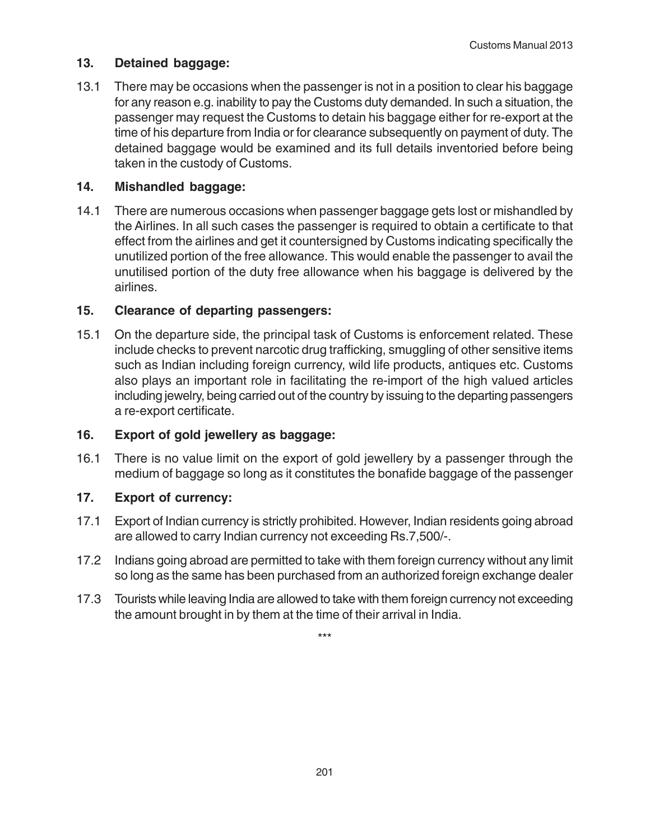#### **13. Detained baggage:**

13.1 There may be occasions when the passenger is not in a position to clear his baggage for any reason e.g. inability to pay the Customs duty demanded. In such a situation, the passenger may request the Customs to detain his baggage either for re-export at the time of his departure from India or for clearance subsequently on payment of duty. The detained baggage would be examined and its full details inventoried before being taken in the custody of Customs.

### **14. Mishandled baggage:**

14.1 There are numerous occasions when passenger baggage gets lost or mishandled by the Airlines. In all such cases the passenger is required to obtain a certificate to that effect from the airlines and get it countersigned by Customs indicating specifically the unutilized portion of the free allowance. This would enable the passenger to avail the unutilised portion of the duty free allowance when his baggage is delivered by the airlines.

### **15. Clearance of departing passengers:**

15.1 On the departure side, the principal task of Customs is enforcement related. These include checks to prevent narcotic drug trafficking, smuggling of other sensitive items such as Indian including foreign currency, wild life products, antiques etc. Customs also plays an important role in facilitating the re-import of the high valued articles including jewelry, being carried out of the country by issuing to the departing passengers a re-export certificate.

## **16. Export of gold jewellery as baggage:**

16.1 There is no value limit on the export of gold jewellery by a passenger through the medium of baggage so long as it constitutes the bonafide baggage of the passenger

## **17. Export of currency:**

- 17.1 Export of Indian currency is strictly prohibited. However, Indian residents going abroad are allowed to carry Indian currency not exceeding Rs.7,500/-.
- 17.2 Indians going abroad are permitted to take with them foreign currency without any limit so long as the same has been purchased from an authorized foreign exchange dealer
- 17.3 Tourists while leaving India are allowed to take with them foreign currency not exceeding the amount brought in by them at the time of their arrival in India.

\*\*\*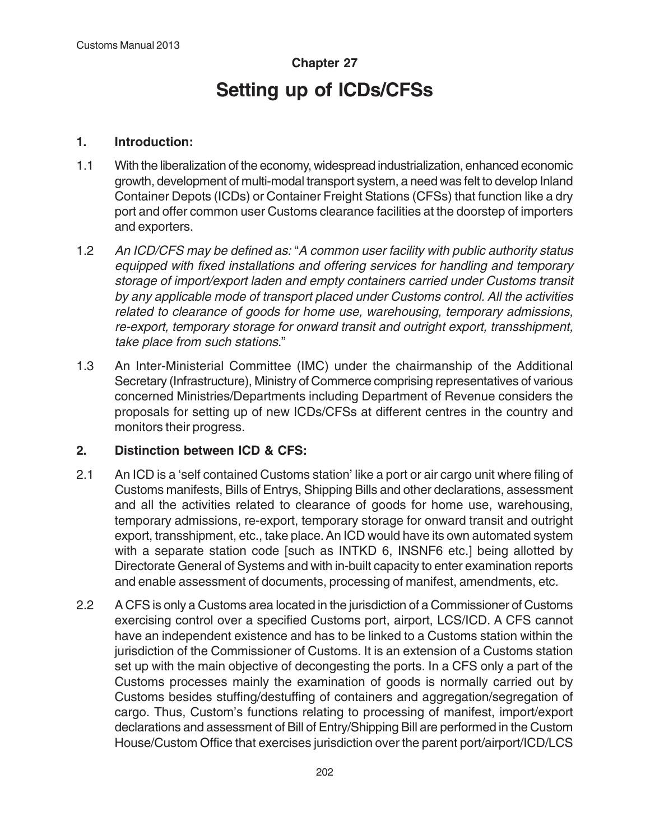# **Chapter 27 Setting up of ICDs/CFSs**

### **1. Introduction:**

- 1.1 With the liberalization of the economy, widespread industrialization, enhanced economic growth, development of multi-modal transport system, a need was felt to develop Inland Container Depots (ICDs) or Container Freight Stations (CFSs) that function like a dry port and offer common user Customs clearance facilities at the doorstep of importers and exporters.
- 1.2 An ICD/CFS may be defined as: "A common user facility with public authority status equipped with fixed installations and offering services for handling and temporary storage of import/export laden and empty containers carried under Customs transit by any applicable mode of transport placed under Customs control. All the activities related to clearance of goods for home use, warehousing, temporary admissions, re-export, temporary storage for onward transit and outright export, transshipment, take place from such stations."
- 1.3 An Inter-Ministerial Committee (IMC) under the chairmanship of the Additional Secretary (Infrastructure), Ministry of Commerce comprising representatives of various concerned Ministries/Departments including Department of Revenue considers the proposals for setting up of new ICDs/CFSs at different centres in the country and monitors their progress.

## **2. Distinction between ICD & CFS:**

- 2.1 An ICD is a 'self contained Customs station' like a port or air cargo unit where filing of Customs manifests, Bills of Entrys, Shipping Bills and other declarations, assessment and all the activities related to clearance of goods for home use, warehousing, temporary admissions, re-export, temporary storage for onward transit and outright export, transshipment, etc., take place. An ICD would have its own automated system with a separate station code [such as INTKD 6, INSNF6 etc.] being allotted by Directorate General of Systems and with in-built capacity to enter examination reports and enable assessment of documents, processing of manifest, amendments, etc.
- 2.2 A CFS is only a Customs area located in the jurisdiction of a Commissioner of Customs exercising control over a specified Customs port, airport, LCS/ICD. A CFS cannot have an independent existence and has to be linked to a Customs station within the jurisdiction of the Commissioner of Customs. It is an extension of a Customs station set up with the main objective of decongesting the ports. In a CFS only a part of the Customs processes mainly the examination of goods is normally carried out by Customs besides stuffing/destuffing of containers and aggregation/segregation of cargo. Thus, Custom's functions relating to processing of manifest, import/export declarations and assessment of Bill of Entry/Shipping Bill are performed in the Custom House/Custom Office that exercises jurisdiction over the parent port/airport/ICD/LCS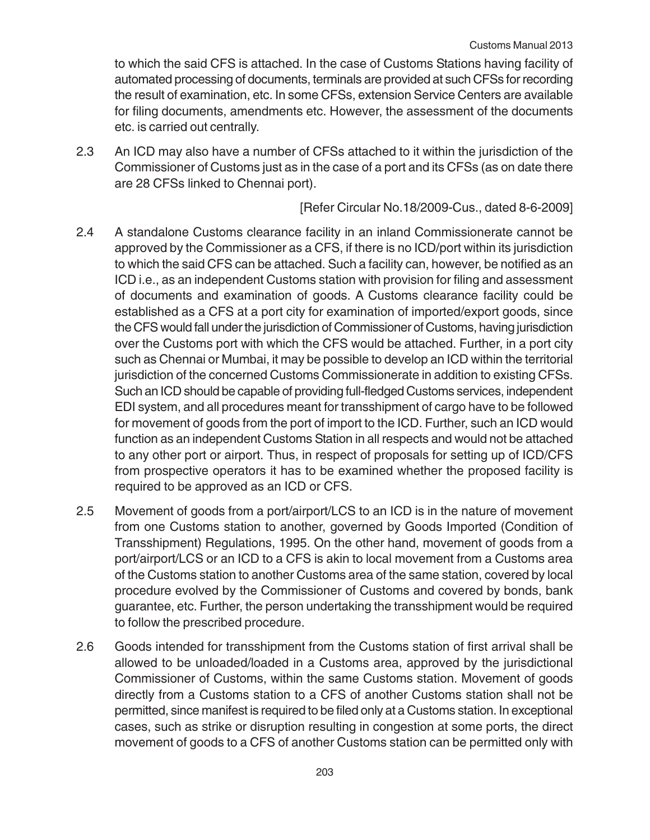to which the said CFS is attached. In the case of Customs Stations having facility of automated processing of documents, terminals are provided at such CFSs for recording the result of examination, etc. In some CFSs, extension Service Centers are available for filing documents, amendments etc. However, the assessment of the documents etc. is carried out centrally.

2.3 An ICD may also have a number of CFSs attached to it within the jurisdiction of the Commissioner of Customs just as in the case of a port and its CFSs (as on date there are 28 CFSs linked to Chennai port).

# [Refer Circular No.18/2009-Cus., dated 8-6-2009]

- 2.4 A standalone Customs clearance facility in an inland Commissionerate cannot be approved by the Commissioner as a CFS, if there is no ICD/port within its jurisdiction to which the said CFS can be attached. Such a facility can, however, be notified as an ICD i.e., as an independent Customs station with provision for filing and assessment of documents and examination of goods. A Customs clearance facility could be established as a CFS at a port city for examination of imported/export goods, since the CFS would fall under the jurisdiction of Commissioner of Customs, having jurisdiction over the Customs port with which the CFS would be attached. Further, in a port city such as Chennai or Mumbai, it may be possible to develop an ICD within the territorial jurisdiction of the concerned Customs Commissionerate in addition to existing CFSs. Such an ICD should be capable of providing full-fledged Customs services, independent EDI system, and all procedures meant for transshipment of cargo have to be followed for movement of goods from the port of import to the ICD. Further, such an ICD would function as an independent Customs Station in all respects and would not be attached to any other port or airport. Thus, in respect of proposals for setting up of ICD/CFS from prospective operators it has to be examined whether the proposed facility is required to be approved as an ICD or CFS.
- 2.5 Movement of goods from a port/airport/LCS to an ICD is in the nature of movement from one Customs station to another, governed by Goods Imported (Condition of Transshipment) Regulations, 1995. On the other hand, movement of goods from a port/airport/LCS or an ICD to a CFS is akin to local movement from a Customs area of the Customs station to another Customs area of the same station, covered by local procedure evolved by the Commissioner of Customs and covered by bonds, bank guarantee, etc. Further, the person undertaking the transshipment would be required to follow the prescribed procedure.
- 2.6 Goods intended for transshipment from the Customs station of first arrival shall be allowed to be unloaded/loaded in a Customs area, approved by the jurisdictional Commissioner of Customs, within the same Customs station. Movement of goods directly from a Customs station to a CFS of another Customs station shall not be permitted, since manifest is required to be filed only at a Customs station. In exceptional cases, such as strike or disruption resulting in congestion at some ports, the direct movement of goods to a CFS of another Customs station can be permitted only with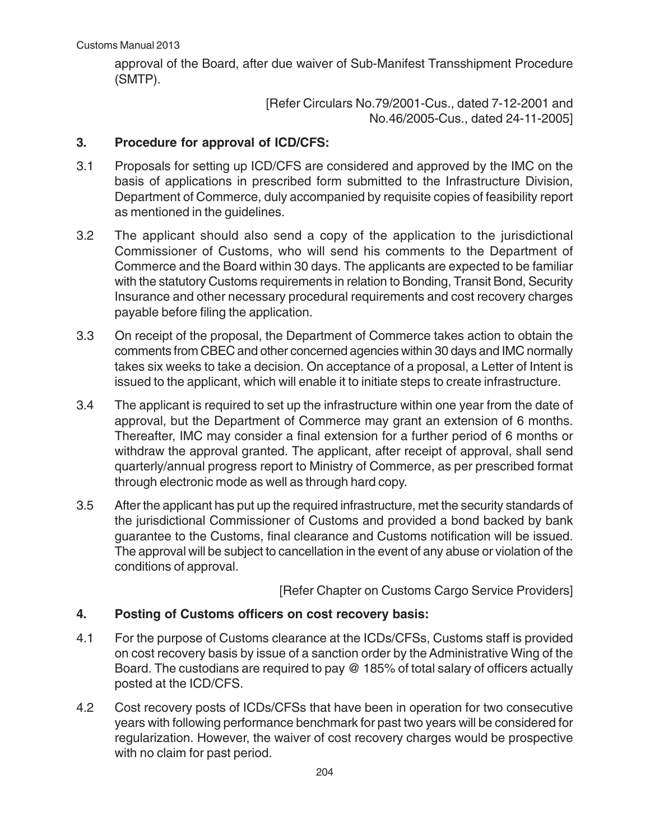approval of the Board, after due waiver of Sub-Manifest Transshipment Procedure (SMTP).

> [Refer Circulars No.79/2001-Cus., dated 7-12-2001 and No.46/2005-Cus., dated 24-11-2005]

## **3. Procedure for approval of ICD/CFS:**

- 3.1 Proposals for setting up ICD/CFS are considered and approved by the IMC on the basis of applications in prescribed form submitted to the Infrastructure Division, Department of Commerce, duly accompanied by requisite copies of feasibility report as mentioned in the guidelines.
- 3.2 The applicant should also send a copy of the application to the jurisdictional Commissioner of Customs, who will send his comments to the Department of Commerce and the Board within 30 days. The applicants are expected to be familiar with the statutory Customs requirements in relation to Bonding, Transit Bond, Security Insurance and other necessary procedural requirements and cost recovery charges payable before filing the application.
- 3.3 On receipt of the proposal, the Department of Commerce takes action to obtain the comments from CBEC and other concerned agencies within 30 days and IMC normally takes six weeks to take a decision. On acceptance of a proposal, a Letter of Intent is issued to the applicant, which will enable it to initiate steps to create infrastructure.
- 3.4 The applicant is required to set up the infrastructure within one year from the date of approval, but the Department of Commerce may grant an extension of 6 months. Thereafter, IMC may consider a final extension for a further period of 6 months or withdraw the approval granted. The applicant, after receipt of approval, shall send quarterly/annual progress report to Ministry of Commerce, as per prescribed format through electronic mode as well as through hard copy.
- 3.5 After the applicant has put up the required infrastructure, met the security standards of the jurisdictional Commissioner of Customs and provided a bond backed by bank guarantee to the Customs, final clearance and Customs notification will be issued. The approval will be subject to cancellation in the event of any abuse or violation of the conditions of approval.

[Refer Chapter on Customs Cargo Service Providers]

# **4. Posting of Customs officers on cost recovery basis:**

- 4.1 For the purpose of Customs clearance at the ICDs/CFSs, Customs staff is provided on cost recovery basis by issue of a sanction order by the Administrative Wing of the Board. The custodians are required to pay @ 185% of total salary of officers actually posted at the ICD/CFS.
- 4.2 Cost recovery posts of ICDs/CFSs that have been in operation for two consecutive years with following performance benchmark for past two years will be considered for regularization. However, the waiver of cost recovery charges would be prospective with no claim for past period.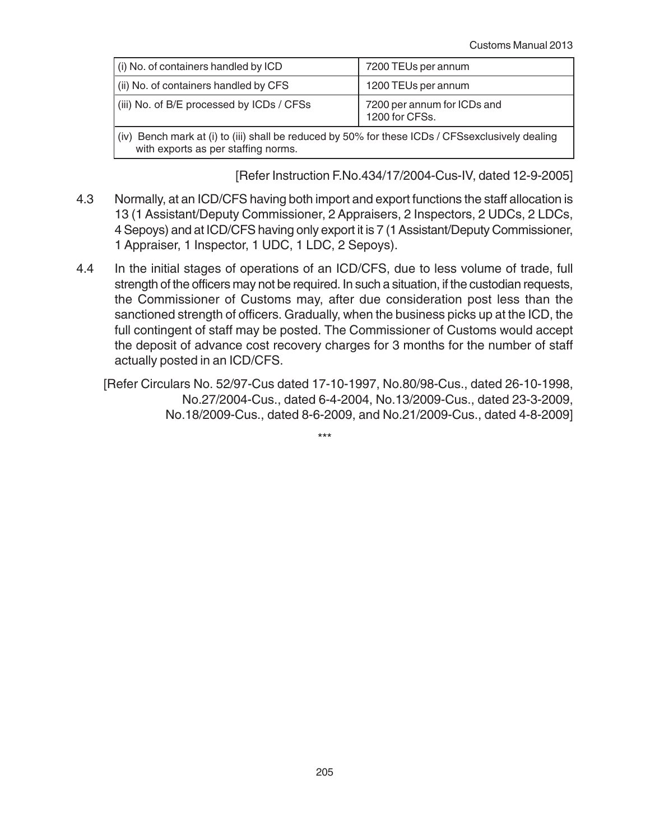| (i) No. of containers handled by ICD                                                                                                       | 7200 TEUs per annum                           |  |
|--------------------------------------------------------------------------------------------------------------------------------------------|-----------------------------------------------|--|
| (ii) No. of containers handled by CFS                                                                                                      | 1200 TEUs per annum                           |  |
| (iii) No. of B/E processed by ICDs / CFSs                                                                                                  | 7200 per annum for ICDs and<br>1200 for CFSs. |  |
| Bench mark at (i) to (iii) shall be reduced by 50% for these ICDs / CFSsexclusively dealing<br>(iv)<br>with exports as per staffing norms. |                                               |  |

[Refer Instruction F.No.434/17/2004-Cus-IV, dated 12-9-2005]

- 4.3 Normally, at an ICD/CFS having both import and export functions the staff allocation is 13 (1 Assistant/Deputy Commissioner, 2 Appraisers, 2 Inspectors, 2 UDCs, 2 LDCs, 4 Sepoys) and at ICD/CFS having only export it is 7 (1 Assistant/Deputy Commissioner, 1 Appraiser, 1 Inspector, 1 UDC, 1 LDC, 2 Sepoys).
- 4.4 In the initial stages of operations of an ICD/CFS, due to less volume of trade, full strength of the officers may not be required. In such a situation, if the custodian requests, the Commissioner of Customs may, after due consideration post less than the sanctioned strength of officers. Gradually, when the business picks up at the ICD, the full contingent of staff may be posted. The Commissioner of Customs would accept the deposit of advance cost recovery charges for 3 months for the number of staff actually posted in an ICD/CFS.
	- [Refer Circulars No. 52/97-Cus dated 17-10-1997, No.80/98-Cus., dated 26-10-1998, No.27/2004-Cus., dated 6-4-2004, No.13/2009-Cus., dated 23-3-2009, No.18/2009-Cus., dated 8-6-2009, and No.21/2009-Cus., dated 4-8-2009]

\*\*\*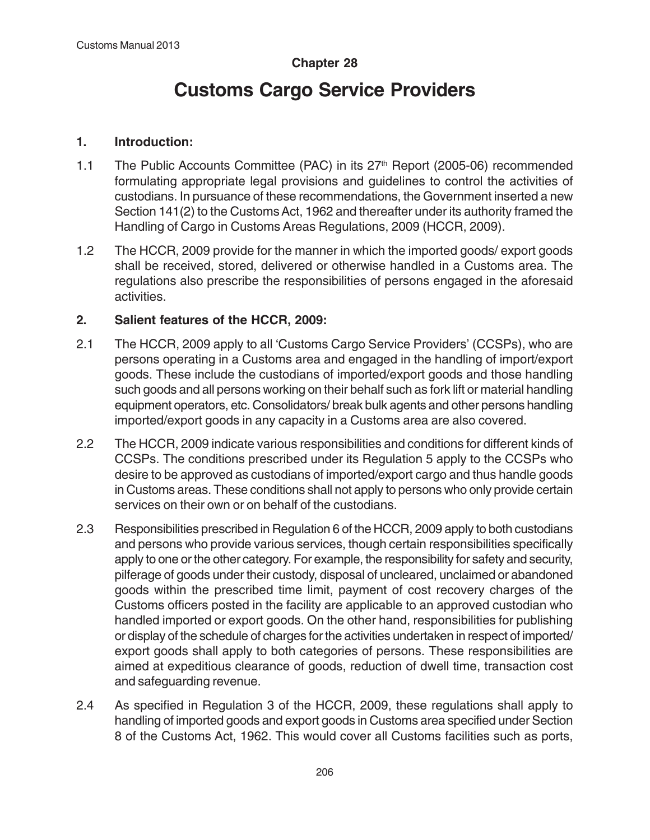# **Chapter 28**

# **Customs Cargo Service Providers**

## **1. Introduction:**

- 1.1 The Public Accounts Committee (PAC) in its 27<sup>th</sup> Report (2005-06) recommended formulating appropriate legal provisions and guidelines to control the activities of custodians. In pursuance of these recommendations, the Government inserted a new Section 141(2) to the Customs Act, 1962 and thereafter under its authority framed the Handling of Cargo in Customs Areas Regulations, 2009 (HCCR, 2009).
- 1.2 The HCCR, 2009 provide for the manner in which the imported goods/ export goods shall be received, stored, delivered or otherwise handled in a Customs area. The regulations also prescribe the responsibilities of persons engaged in the aforesaid activities.

# **2. Salient features of the HCCR, 2009:**

- 2.1 The HCCR, 2009 apply to all 'Customs Cargo Service Providers' (CCSPs), who are persons operating in a Customs area and engaged in the handling of import/export goods. These include the custodians of imported/export goods and those handling such goods and all persons working on their behalf such as fork lift or material handling equipment operators, etc. Consolidators/ break bulk agents and other persons handling imported/export goods in any capacity in a Customs area are also covered.
- 2.2 The HCCR, 2009 indicate various responsibilities and conditions for different kinds of CCSPs. The conditions prescribed under its Regulation 5 apply to the CCSPs who desire to be approved as custodians of imported/export cargo and thus handle goods in Customs areas. These conditions shall not apply to persons who only provide certain services on their own or on behalf of the custodians.
- 2.3 Responsibilities prescribed in Regulation 6 of the HCCR, 2009 apply to both custodians and persons who provide various services, though certain responsibilities specifically apply to one or the other category. For example, the responsibility for safety and security, pilferage of goods under their custody, disposal of uncleared, unclaimed or abandoned goods within the prescribed time limit, payment of cost recovery charges of the Customs officers posted in the facility are applicable to an approved custodian who handled imported or export goods. On the other hand, responsibilities for publishing or display of the schedule of charges for the activities undertaken in respect of imported/ export goods shall apply to both categories of persons. These responsibilities are aimed at expeditious clearance of goods, reduction of dwell time, transaction cost and safeguarding revenue.
- 2.4 As specified in Regulation 3 of the HCCR, 2009, these regulations shall apply to handling of imported goods and export goods in Customs area specified under Section 8 of the Customs Act, 1962. This would cover all Customs facilities such as ports,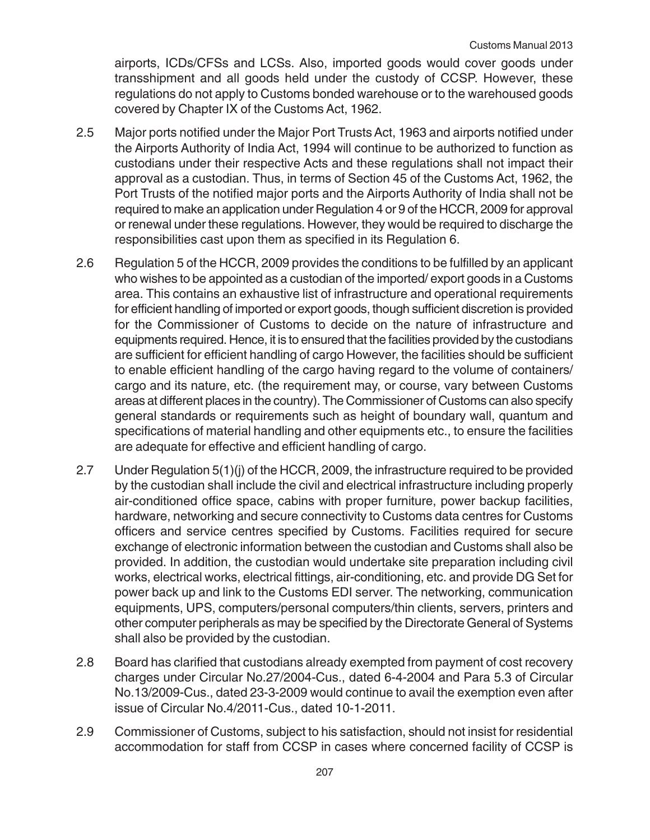airports, ICDs/CFSs and LCSs. Also, imported goods would cover goods under transshipment and all goods held under the custody of CCSP. However, these regulations do not apply to Customs bonded warehouse or to the warehoused goods covered by Chapter IX of the Customs Act, 1962.

- 2.5 Major ports notified under the Major Port Trusts Act, 1963 and airports notified under the Airports Authority of India Act, 1994 will continue to be authorized to function as custodians under their respective Acts and these regulations shall not impact their approval as a custodian. Thus, in terms of Section 45 of the Customs Act, 1962, the Port Trusts of the notified major ports and the Airports Authority of India shall not be required to make an application under Regulation 4 or 9 of the HCCR, 2009 for approval or renewal under these regulations. However, they would be required to discharge the responsibilities cast upon them as specified in its Regulation 6.
- 2.6 Regulation 5 of the HCCR, 2009 provides the conditions to be fulfilled by an applicant who wishes to be appointed as a custodian of the imported/ export goods in a Customs area. This contains an exhaustive list of infrastructure and operational requirements for efficient handling of imported or export goods, though sufficient discretion is provided for the Commissioner of Customs to decide on the nature of infrastructure and equipments required. Hence, it is to ensured that the facilities provided by the custodians are sufficient for efficient handling of cargo However, the facilities should be sufficient to enable efficient handling of the cargo having regard to the volume of containers/ cargo and its nature, etc. (the requirement may, or course, vary between Customs areas at different places in the country). The Commissioner of Customs can also specify general standards or requirements such as height of boundary wall, quantum and specifications of material handling and other equipments etc., to ensure the facilities are adequate for effective and efficient handling of cargo.
- 2.7 Under Regulation 5(1)(j) of the HCCR, 2009, the infrastructure required to be provided by the custodian shall include the civil and electrical infrastructure including properly air-conditioned office space, cabins with proper furniture, power backup facilities, hardware, networking and secure connectivity to Customs data centres for Customs officers and service centres specified by Customs. Facilities required for secure exchange of electronic information between the custodian and Customs shall also be provided. In addition, the custodian would undertake site preparation including civil works, electrical works, electrical fittings, air-conditioning, etc. and provide DG Set for power back up and link to the Customs EDI server. The networking, communication equipments, UPS, computers/personal computers/thin clients, servers, printers and other computer peripherals as may be specified by the Directorate General of Systems shall also be provided by the custodian.
- 2.8 Board has clarified that custodians already exempted from payment of cost recovery charges under Circular No.27/2004-Cus., dated 6-4-2004 and Para 5.3 of Circular No.13/2009-Cus., dated 23-3-2009 would continue to avail the exemption even after issue of Circular No.4/2011-Cus., dated 10-1-2011.
- 2.9 Commissioner of Customs, subject to his satisfaction, should not insist for residential accommodation for staff from CCSP in cases where concerned facility of CCSP is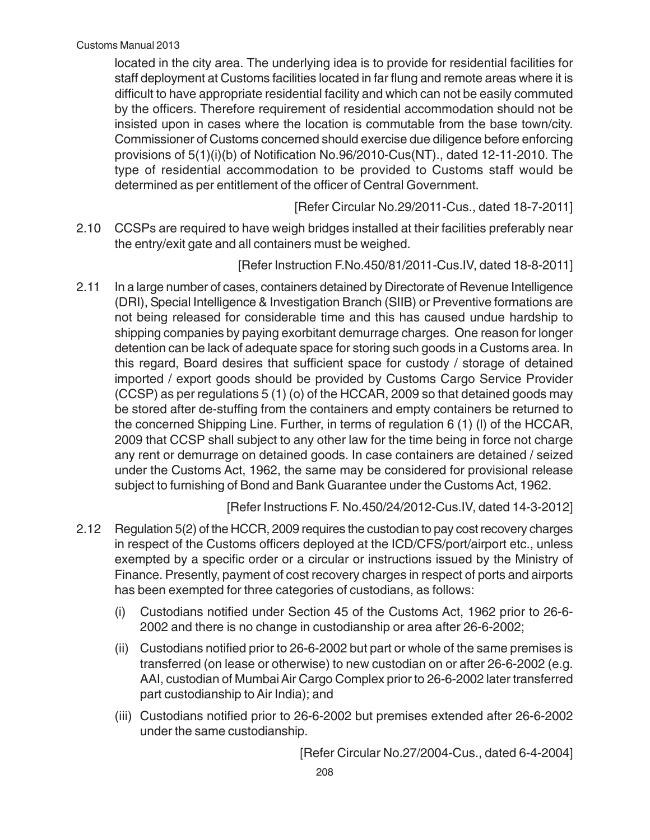located in the city area. The underlying idea is to provide for residential facilities for staff deployment at Customs facilities located in far flung and remote areas where it is difficult to have appropriate residential facility and which can not be easily commuted by the officers. Therefore requirement of residential accommodation should not be insisted upon in cases where the location is commutable from the base town/city. Commissioner of Customs concerned should exercise due diligence before enforcing provisions of 5(1)(i)(b) of Notification No.96/2010-Cus(NT)., dated 12-11-2010. The type of residential accommodation to be provided to Customs staff would be determined as per entitlement of the officer of Central Government.

[Refer Circular No.29/2011-Cus., dated 18-7-2011]

2.10 CCSPs are required to have weigh bridges installed at their facilities preferably near the entry/exit gate and all containers must be weighed.

[Refer Instruction F.No.450/81/2011-Cus.IV, dated 18-8-2011]

2.11 In a large number of cases, containers detained by Directorate of Revenue Intelligence (DRI), Special Intelligence & Investigation Branch (SIIB) or Preventive formations are not being released for considerable time and this has caused undue hardship to shipping companies by paying exorbitant demurrage charges. One reason for longer detention can be lack of adequate space for storing such goods in a Customs area. In this regard, Board desires that sufficient space for custody / storage of detained imported / export goods should be provided by Customs Cargo Service Provider (CCSP) as per regulations 5 (1) (o) of the HCCAR, 2009 so that detained goods may be stored after de-stuffing from the containers and empty containers be returned to the concerned Shipping Line. Further, in terms of regulation 6 (1) (l) of the HCCAR, 2009 that CCSP shall subject to any other law for the time being in force not charge any rent or demurrage on detained goods. In case containers are detained / seized under the Customs Act, 1962, the same may be considered for provisional release subject to furnishing of Bond and Bank Guarantee under the Customs Act, 1962.

[Refer Instructions F. No.450/24/2012-Cus.IV, dated 14-3-2012]

- 2.12 Regulation 5(2) of the HCCR, 2009 requires the custodian to pay cost recovery charges in respect of the Customs officers deployed at the ICD/CFS/port/airport etc., unless exempted by a specific order or a circular or instructions issued by the Ministry of Finance. Presently, payment of cost recovery charges in respect of ports and airports has been exempted for three categories of custodians, as follows:
	- (i) Custodians notified under Section 45 of the Customs Act, 1962 prior to 26-6- 2002 and there is no change in custodianship or area after 26-6-2002;
	- (ii) Custodians notified prior to 26-6-2002 but part or whole of the same premises is transferred (on lease or otherwise) to new custodian on or after 26-6-2002 (e.g. AAI, custodian of Mumbai Air Cargo Complex prior to 26-6-2002 later transferred part custodianship to Air India); and
	- (iii) Custodians notified prior to 26-6-2002 but premises extended after 26-6-2002 under the same custodianship.

[Refer Circular No.27/2004-Cus., dated 6-4-2004]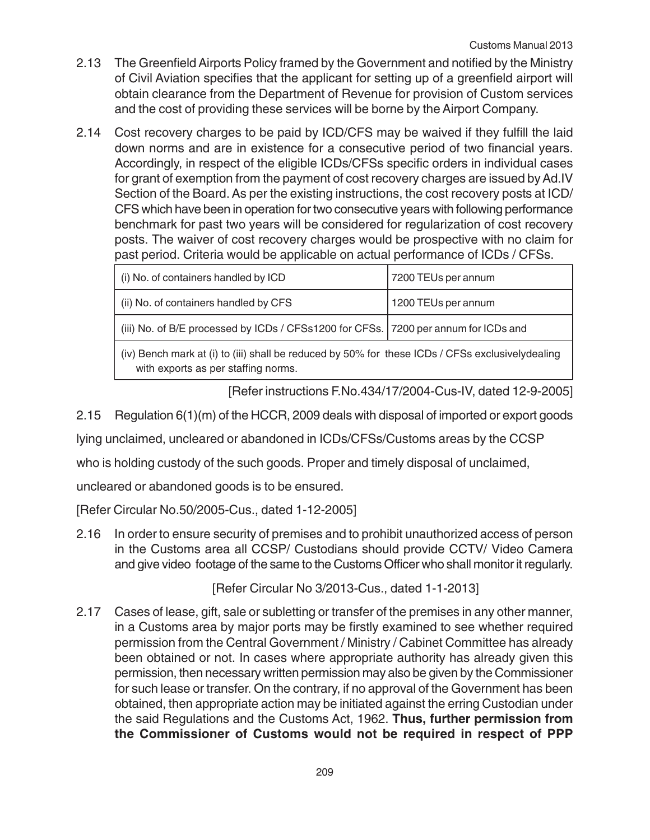- 2.13 The Greenfield Airports Policy framed by the Government and notified by the Ministry of Civil Aviation specifies that the applicant for setting up of a greenfield airport will obtain clearance from the Department of Revenue for provision of Custom services and the cost of providing these services will be borne by the Airport Company.
- 2.14 Cost recovery charges to be paid by ICD/CFS may be waived if they fulfill the laid down norms and are in existence for a consecutive period of two financial years. Accordingly, in respect of the eligible ICDs/CFSs specific orders in individual cases for grant of exemption from the payment of cost recovery charges are issued by Ad.IV Section of the Board. As per the existing instructions, the cost recovery posts at ICD/ CFS which have been in operation for two consecutive years with following performance benchmark for past two years will be considered for regularization of cost recovery posts. The waiver of cost recovery charges would be prospective with no claim for past period. Criteria would be applicable on actual performance of ICDs / CFSs.

| (i) No. of containers handled by ICD                                                  | 7200 TEUs per annum |
|---------------------------------------------------------------------------------------|---------------------|
| (ii) No. of containers handled by CFS                                                 | 1200 TEUs per annum |
| (iii) No. of B/E processed by ICDs / CFSs1200 for CFSs.   7200 per annum for ICDs and |                     |
|                                                                                       |                     |

(iv) Bench mark at (i) to (iii) shall be reduced by 50% for these ICDs / CFSs exclusivelydealing with exports as per staffing norms.

[Refer instructions F.No.434/17/2004-Cus-IV, dated 12-9-2005]

2.15 Regulation 6(1)(m) of the HCCR, 2009 deals with disposal of imported or export goods

lying unclaimed, uncleared or abandoned in ICDs/CFSs/Customs areas by the CCSP

who is holding custody of the such goods. Proper and timely disposal of unclaimed,

uncleared or abandoned goods is to be ensured.

[Refer Circular No.50/2005-Cus., dated 1-12-2005]

2.16 In order to ensure security of premises and to prohibit unauthorized access of person in the Customs area all CCSP/ Custodians should provide CCTV/ Video Camera and give video footage of the same to the Customs Officer who shall monitor it regularly.

[Refer Circular No 3/2013-Cus., dated 1-1-2013]

2.17 Cases of lease, gift, sale or subletting or transfer of the premises in any other manner, in a Customs area by major ports may be firstly examined to see whether required permission from the Central Government / Ministry / Cabinet Committee has already been obtained or not. In cases where appropriate authority has already given this permission, then necessary written permission may also be given by the Commissioner for such lease or transfer. On the contrary, if no approval of the Government has been obtained, then appropriate action may be initiated against the erring Custodian under the said Regulations and the Customs Act, 1962. **Thus, further permission from the Commissioner of Customs would not be required in respect of PPP**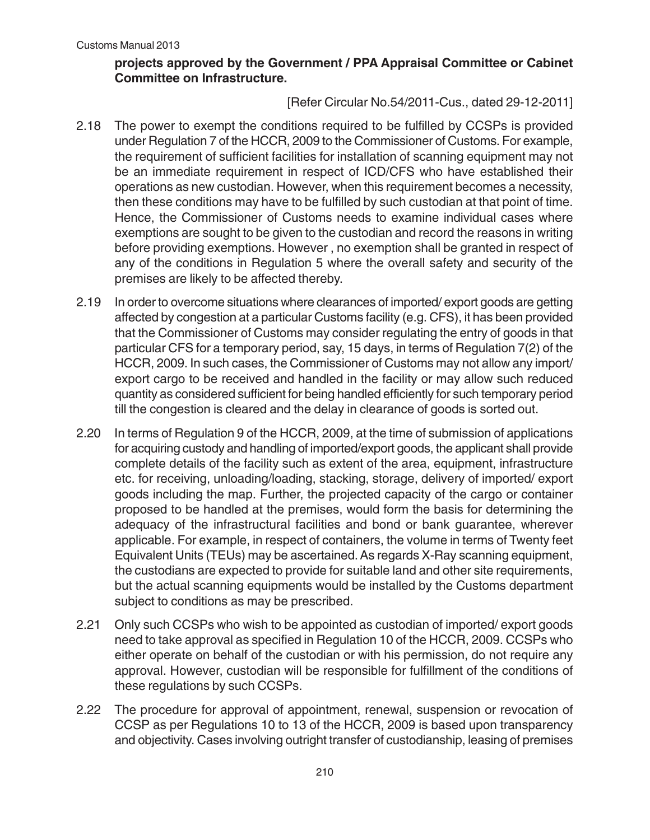## **projects approved by the Government / PPA Appraisal Committee or Cabinet Committee on Infrastructure.**

# [Refer Circular No.54/2011-Cus., dated 29-12-2011]

- 2.18 The power to exempt the conditions required to be fulfilled by CCSPs is provided under Regulation 7 of the HCCR, 2009 to the Commissioner of Customs. For example, the requirement of sufficient facilities for installation of scanning equipment may not be an immediate requirement in respect of ICD/CFS who have established their operations as new custodian. However, when this requirement becomes a necessity, then these conditions may have to be fulfilled by such custodian at that point of time. Hence, the Commissioner of Customs needs to examine individual cases where exemptions are sought to be given to the custodian and record the reasons in writing before providing exemptions. However , no exemption shall be granted in respect of any of the conditions in Regulation 5 where the overall safety and security of the premises are likely to be affected thereby.
- 2.19 In order to overcome situations where clearances of imported/ export goods are getting affected by congestion at a particular Customs facility (e.g. CFS), it has been provided that the Commissioner of Customs may consider regulating the entry of goods in that particular CFS for a temporary period, say, 15 days, in terms of Regulation 7(2) of the HCCR, 2009. In such cases, the Commissioner of Customs may not allow any import/ export cargo to be received and handled in the facility or may allow such reduced quantity as considered sufficient for being handled efficiently for such temporary period till the congestion is cleared and the delay in clearance of goods is sorted out.
- 2.20 In terms of Regulation 9 of the HCCR, 2009, at the time of submission of applications for acquiring custody and handling of imported/export goods, the applicant shall provide complete details of the facility such as extent of the area, equipment, infrastructure etc. for receiving, unloading/loading, stacking, storage, delivery of imported/ export goods including the map. Further, the projected capacity of the cargo or container proposed to be handled at the premises, would form the basis for determining the adequacy of the infrastructural facilities and bond or bank guarantee, wherever applicable. For example, in respect of containers, the volume in terms of Twenty feet Equivalent Units (TEUs) may be ascertained. As regards X-Ray scanning equipment, the custodians are expected to provide for suitable land and other site requirements, but the actual scanning equipments would be installed by the Customs department subject to conditions as may be prescribed.
- 2.21 Only such CCSPs who wish to be appointed as custodian of imported/ export goods need to take approval as specified in Regulation 10 of the HCCR, 2009. CCSPs who either operate on behalf of the custodian or with his permission, do not require any approval. However, custodian will be responsible for fulfillment of the conditions of these regulations by such CCSPs.
- 2.22 The procedure for approval of appointment, renewal, suspension or revocation of CCSP as per Regulations 10 to 13 of the HCCR, 2009 is based upon transparency and objectivity. Cases involving outright transfer of custodianship, leasing of premises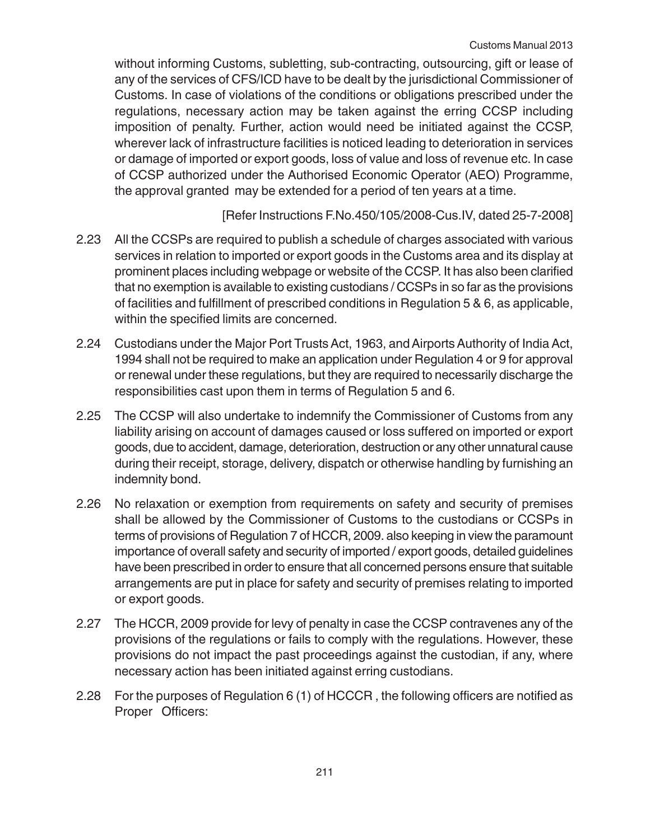without informing Customs, subletting, sub-contracting, outsourcing, gift or lease of any of the services of CFS/ICD have to be dealt by the jurisdictional Commissioner of Customs. In case of violations of the conditions or obligations prescribed under the regulations, necessary action may be taken against the erring CCSP including imposition of penalty. Further, action would need be initiated against the CCSP, wherever lack of infrastructure facilities is noticed leading to deterioration in services or damage of imported or export goods, loss of value and loss of revenue etc. In case of CCSP authorized under the Authorised Economic Operator (AEO) Programme, the approval granted may be extended for a period of ten years at a time.

[Refer Instructions F.No.450/105/2008-Cus.IV, dated 25-7-2008]

- 2.23 All the CCSPs are required to publish a schedule of charges associated with various services in relation to imported or export goods in the Customs area and its display at prominent places including webpage or website of the CCSP. It has also been clarified that no exemption is available to existing custodians / CCSPs in so far as the provisions of facilities and fulfillment of prescribed conditions in Regulation 5 & 6, as applicable, within the specified limits are concerned.
- 2.24 Custodians under the Major Port Trusts Act, 1963, and Airports Authority of India Act, 1994 shall not be required to make an application under Regulation 4 or 9 for approval or renewal under these regulations, but they are required to necessarily discharge the responsibilities cast upon them in terms of Regulation 5 and 6.
- 2.25 The CCSP will also undertake to indemnify the Commissioner of Customs from any liability arising on account of damages caused or loss suffered on imported or export goods, due to accident, damage, deterioration, destruction or any other unnatural cause during their receipt, storage, delivery, dispatch or otherwise handling by furnishing an indemnity bond.
- 2.26 No relaxation or exemption from requirements on safety and security of premises shall be allowed by the Commissioner of Customs to the custodians or CCSPs in terms of provisions of Regulation 7 of HCCR, 2009. also keeping in view the paramount importance of overall safety and security of imported / export goods, detailed guidelines have been prescribed in order to ensure that all concerned persons ensure that suitable arrangements are put in place for safety and security of premises relating to imported or export goods.
- 2.27 The HCCR, 2009 provide for levy of penalty in case the CCSP contravenes any of the provisions of the regulations or fails to comply with the regulations. However, these provisions do not impact the past proceedings against the custodian, if any, where necessary action has been initiated against erring custodians.
- 2.28 For the purposes of Regulation 6 (1) of HCCCR , the following officers are notified as Proper Officers: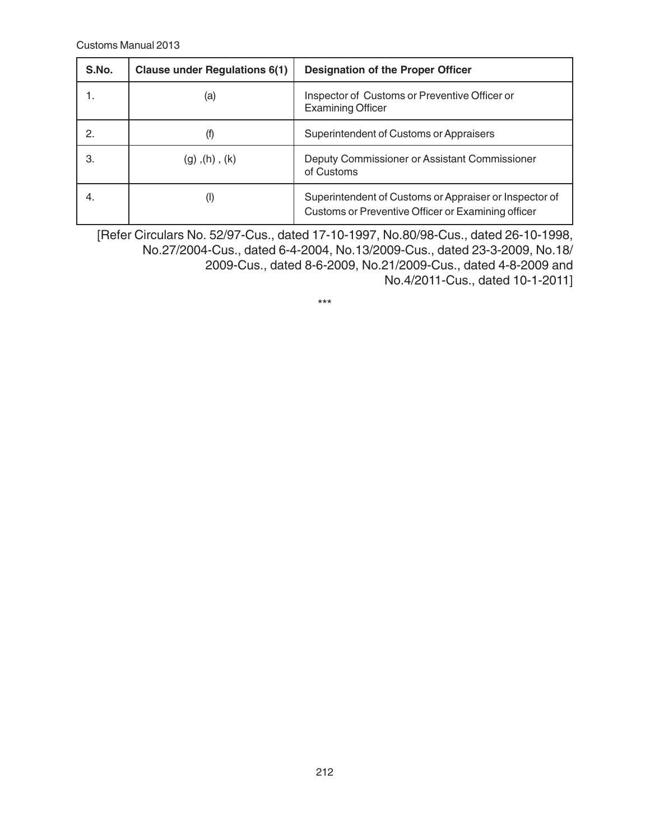| S.No. | <b>Clause under Regulations 6(1)</b> | <b>Designation of the Proper Officer</b>                                                                     |
|-------|--------------------------------------|--------------------------------------------------------------------------------------------------------------|
|       | (a)                                  | Inspector of Customs or Preventive Officer or<br><b>Examining Officer</b>                                    |
|       | (T)                                  | Superintendent of Customs or Appraisers                                                                      |
| З.    | $(g)$ , $(h)$ , $(k)$                | Deputy Commissioner or Assistant Commissioner<br>of Customs                                                  |
| 4.    | (I)                                  | Superintendent of Customs or Appraiser or Inspector of<br>Customs or Preventive Officer or Examining officer |

[Refer Circulars No. 52/97-Cus., dated 17-10-1997, No.80/98-Cus., dated 26-10-1998, No.27/2004-Cus., dated 6-4-2004, No.13/2009-Cus., dated 23-3-2009, No.18/ 2009-Cus., dated 8-6-2009, No.21/2009-Cus., dated 4-8-2009 and No.4/2011-Cus., dated 10-1-2011]

\*\*\*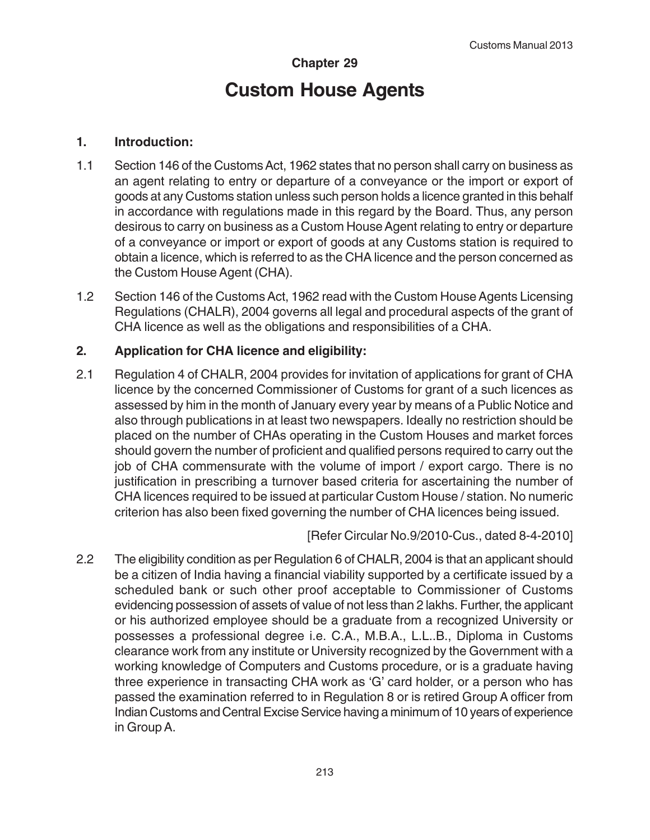# **Chapter 29 Custom House Agents**

## **1. Introduction:**

- 1.1 Section 146 of the Customs Act, 1962 states that no person shall carry on business as an agent relating to entry or departure of a conveyance or the import or export of goods at any Customs station unless such person holds a licence granted in this behalf in accordance with regulations made in this regard by the Board. Thus, any person desirous to carry on business as a Custom House Agent relating to entry or departure of a conveyance or import or export of goods at any Customs station is required to obtain a licence, which is referred to as the CHA licence and the person concerned as the Custom House Agent (CHA).
- 1.2 Section 146 of the Customs Act, 1962 read with the Custom House Agents Licensing Regulations (CHALR), 2004 governs all legal and procedural aspects of the grant of CHA licence as well as the obligations and responsibilities of a CHA.

# **2. Application for CHA licence and eligibility:**

2.1 Regulation 4 of CHALR, 2004 provides for invitation of applications for grant of CHA licence by the concerned Commissioner of Customs for grant of a such licences as assessed by him in the month of January every year by means of a Public Notice and also through publications in at least two newspapers. Ideally no restriction should be placed on the number of CHAs operating in the Custom Houses and market forces should govern the number of proficient and qualified persons required to carry out the job of CHA commensurate with the volume of import / export cargo. There is no justification in prescribing a turnover based criteria for ascertaining the number of CHA licences required to be issued at particular Custom House / station. No numeric criterion has also been fixed governing the number of CHA licences being issued.

[Refer Circular No.9/2010-Cus., dated 8-4-2010]

2.2 The eligibility condition as per Regulation 6 of CHALR, 2004 is that an applicant should be a citizen of India having a financial viability supported by a certificate issued by a scheduled bank or such other proof acceptable to Commissioner of Customs evidencing possession of assets of value of not less than 2 lakhs. Further, the applicant or his authorized employee should be a graduate from a recognized University or possesses a professional degree i.e. C.A., M.B.A., L.L..B., Diploma in Customs clearance work from any institute or University recognized by the Government with a working knowledge of Computers and Customs procedure, or is a graduate having three experience in transacting CHA work as 'G' card holder, or a person who has passed the examination referred to in Regulation 8 or is retired Group A officer from Indian Customs and Central Excise Service having a minimum of 10 years of experience in Group A.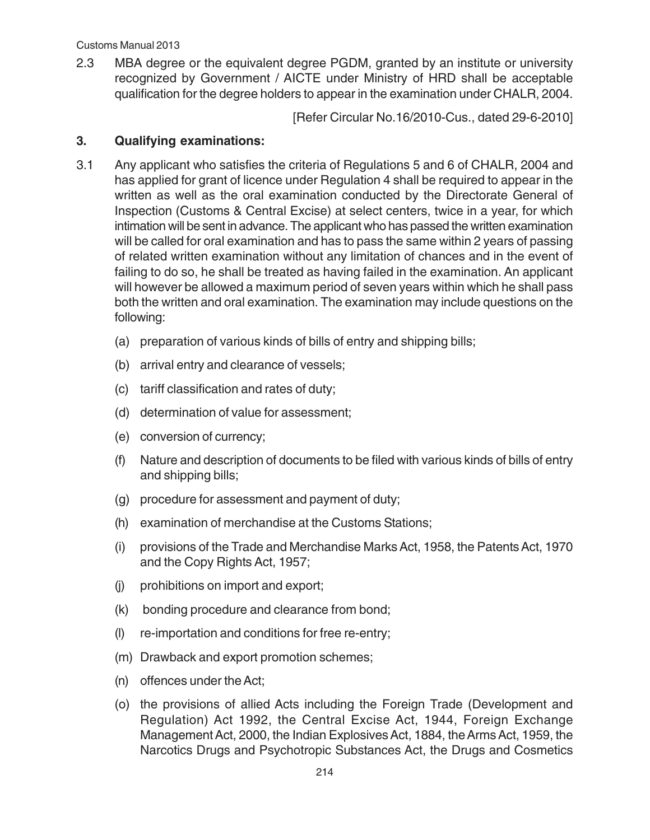2.3 MBA degree or the equivalent degree PGDM, granted by an institute or university recognized by Government / AICTE under Ministry of HRD shall be acceptable qualification for the degree holders to appear in the examination under CHALR, 2004.

[Refer Circular No.16/2010-Cus., dated 29-6-2010]

#### **3. Qualifying examinations:**

- 3.1 Any applicant who satisfies the criteria of Regulations 5 and 6 of CHALR, 2004 and has applied for grant of licence under Regulation 4 shall be required to appear in the written as well as the oral examination conducted by the Directorate General of Inspection (Customs & Central Excise) at select centers, twice in a year, for which intimation will be sent in advance. The applicant who has passed the written examination will be called for oral examination and has to pass the same within 2 years of passing of related written examination without any limitation of chances and in the event of failing to do so, he shall be treated as having failed in the examination. An applicant will however be allowed a maximum period of seven years within which he shall pass both the written and oral examination. The examination may include questions on the following:
	- (a) preparation of various kinds of bills of entry and shipping bills;
	- (b) arrival entry and clearance of vessels;
	- (c) tariff classification and rates of duty;
	- (d) determination of value for assessment;
	- (e) conversion of currency;
	- (f) Nature and description of documents to be filed with various kinds of bills of entry and shipping bills;
	- (g) procedure for assessment and payment of duty;
	- (h) examination of merchandise at the Customs Stations;
	- (i) provisions of the Trade and Merchandise Marks Act, 1958, the Patents Act, 1970 and the Copy Rights Act, 1957;
	- (j) prohibitions on import and export;
	- (k) bonding procedure and clearance from bond;
	- (l) re-importation and conditions for free re-entry;
	- (m) Drawback and export promotion schemes;
	- (n) offences under the Act;
	- (o) the provisions of allied Acts including the Foreign Trade (Development and Regulation) Act 1992, the Central Excise Act, 1944, Foreign Exchange Management Act, 2000, the Indian Explosives Act, 1884, the Arms Act, 1959, the Narcotics Drugs and Psychotropic Substances Act, the Drugs and Cosmetics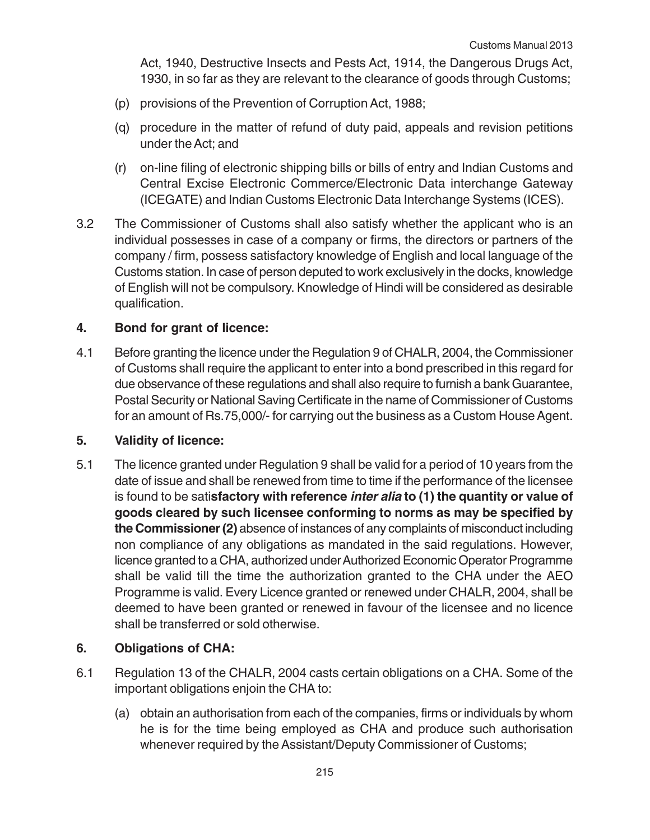Act, 1940, Destructive Insects and Pests Act, 1914, the Dangerous Drugs Act, 1930, in so far as they are relevant to the clearance of goods through Customs;

- (p) provisions of the Prevention of Corruption Act, 1988;
- (q) procedure in the matter of refund of duty paid, appeals and revision petitions under the Act; and
- (r) on-line filing of electronic shipping bills or bills of entry and Indian Customs and Central Excise Electronic Commerce/Electronic Data interchange Gateway (ICEGATE) and Indian Customs Electronic Data Interchange Systems (ICES).
- 3.2 The Commissioner of Customs shall also satisfy whether the applicant who is an individual possesses in case of a company or firms, the directors or partners of the company / firm, possess satisfactory knowledge of English and local language of the Customs station. In case of person deputed to work exclusively in the docks, knowledge of English will not be compulsory. Knowledge of Hindi will be considered as desirable qualification.

## **4. Bond for grant of licence:**

4.1 Before granting the licence under the Regulation 9 of CHALR, 2004, the Commissioner of Customs shall require the applicant to enter into a bond prescribed in this regard for due observance of these regulations and shall also require to furnish a bank Guarantee, Postal Security or National Saving Certificate in the name of Commissioner of Customs for an amount of Rs.75,000/- for carrying out the business as a Custom House Agent.

## **5. Validity of licence:**

5.1 The licence granted under Regulation 9 shall be valid for a period of 10 years from the date of issue and shall be renewed from time to time if the performance of the licensee is found to be sati**sfactory with reference inter alia to (1) the quantity or value of goods cleared by such licensee conforming to norms as may be specified by the Commissioner (2)** absence of instances of any complaints of misconduct including non compliance of any obligations as mandated in the said regulations. However, licence granted to a CHA, authorized under Authorized Economic Operator Programme shall be valid till the time the authorization granted to the CHA under the AEO Programme is valid. Every Licence granted or renewed under CHALR, 2004, shall be deemed to have been granted or renewed in favour of the licensee and no licence shall be transferred or sold otherwise.

## **6. Obligations of CHA:**

- 6.1 Regulation 13 of the CHALR, 2004 casts certain obligations on a CHA. Some of the important obligations enjoin the CHA to:
	- (a) obtain an authorisation from each of the companies, firms or individuals by whom he is for the time being employed as CHA and produce such authorisation whenever required by the Assistant/Deputy Commissioner of Customs;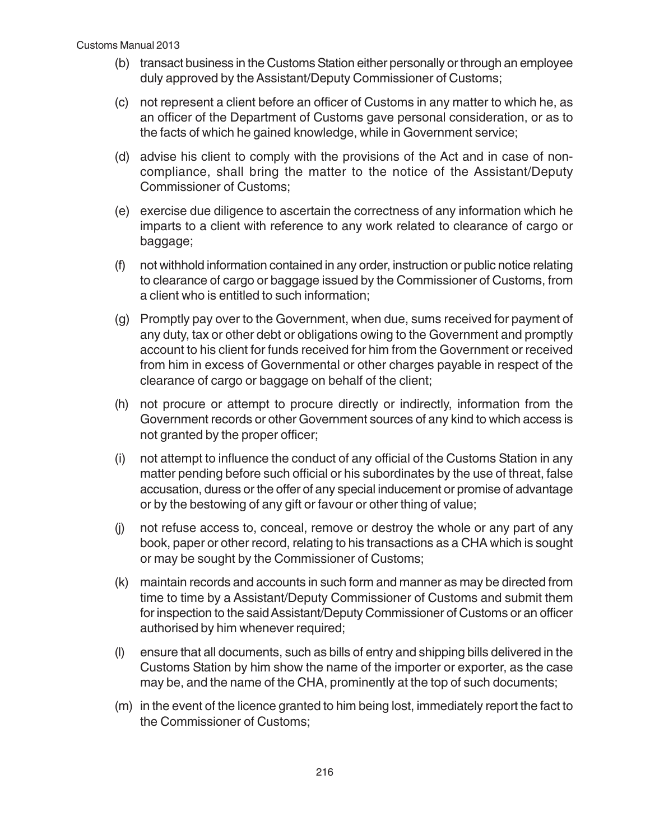- (b) transact business in the Customs Station either personally or through an employee duly approved by the Assistant/Deputy Commissioner of Customs;
- (c) not represent a client before an officer of Customs in any matter to which he, as an officer of the Department of Customs gave personal consideration, or as to the facts of which he gained knowledge, while in Government service;
- (d) advise his client to comply with the provisions of the Act and in case of noncompliance, shall bring the matter to the notice of the Assistant/Deputy Commissioner of Customs;
- (e) exercise due diligence to ascertain the correctness of any information which he imparts to a client with reference to any work related to clearance of cargo or baggage;
- (f) not withhold information contained in any order, instruction or public notice relating to clearance of cargo or baggage issued by the Commissioner of Customs, from a client who is entitled to such information;
- (g) Promptly pay over to the Government, when due, sums received for payment of any duty, tax or other debt or obligations owing to the Government and promptly account to his client for funds received for him from the Government or received from him in excess of Governmental or other charges payable in respect of the clearance of cargo or baggage on behalf of the client;
- (h) not procure or attempt to procure directly or indirectly, information from the Government records or other Government sources of any kind to which access is not granted by the proper officer;
- (i) not attempt to influence the conduct of any official of the Customs Station in any matter pending before such official or his subordinates by the use of threat, false accusation, duress or the offer of any special inducement or promise of advantage or by the bestowing of any gift or favour or other thing of value;
- (j) not refuse access to, conceal, remove or destroy the whole or any part of any book, paper or other record, relating to his transactions as a CHA which is sought or may be sought by the Commissioner of Customs;
- (k) maintain records and accounts in such form and manner as may be directed from time to time by a Assistant/Deputy Commissioner of Customs and submit them for inspection to the said Assistant/Deputy Commissioner of Customs or an officer authorised by him whenever required;
- (l) ensure that all documents, such as bills of entry and shipping bills delivered in the Customs Station by him show the name of the importer or exporter, as the case may be, and the name of the CHA, prominently at the top of such documents;
- (m) in the event of the licence granted to him being lost, immediately report the fact to the Commissioner of Customs;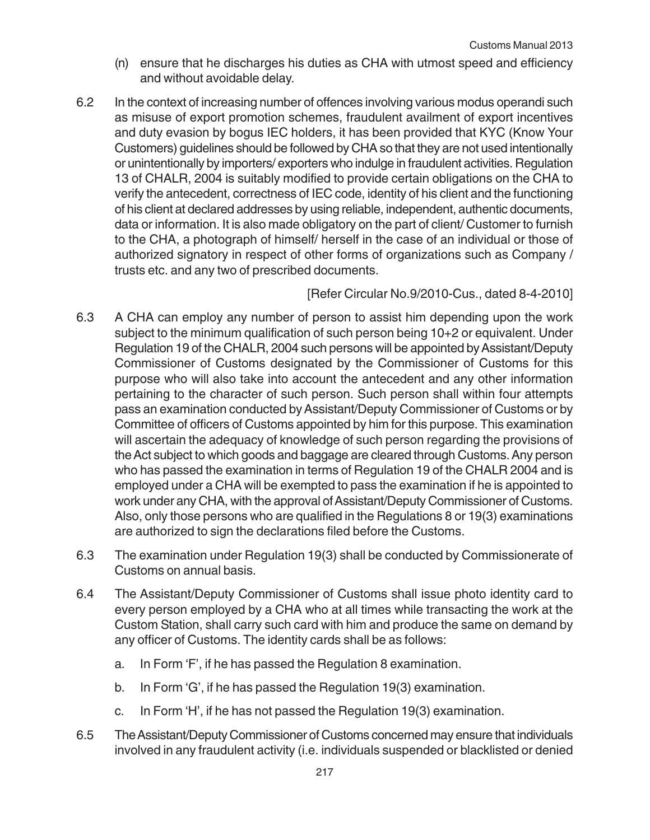- (n) ensure that he discharges his duties as CHA with utmost speed and efficiency and without avoidable delay.
- 6.2 In the context of increasing number of offences involving various modus operandi such as misuse of export promotion schemes, fraudulent availment of export incentives and duty evasion by bogus IEC holders, it has been provided that KYC (Know Your Customers) guidelines should be followed by CHA so that they are not used intentionally or unintentionally by importers/ exporters who indulge in fraudulent activities. Regulation 13 of CHALR, 2004 is suitably modified to provide certain obligations on the CHA to verify the antecedent, correctness of IEC code, identity of his client and the functioning of his client at declared addresses by using reliable, independent, authentic documents, data or information. It is also made obligatory on the part of client/ Customer to furnish to the CHA, a photograph of himself/ herself in the case of an individual or those of authorized signatory in respect of other forms of organizations such as Company / trusts etc. and any two of prescribed documents.

# [Refer Circular No.9/2010-Cus., dated 8-4-2010]

- 6.3 A CHA can employ any number of person to assist him depending upon the work subject to the minimum qualification of such person being 10+2 or equivalent. Under Regulation 19 of the CHALR, 2004 such persons will be appointed by Assistant/Deputy Commissioner of Customs designated by the Commissioner of Customs for this purpose who will also take into account the antecedent and any other information pertaining to the character of such person. Such person shall within four attempts pass an examination conducted by Assistant/Deputy Commissioner of Customs or by Committee of officers of Customs appointed by him for this purpose. This examination will ascertain the adequacy of knowledge of such person regarding the provisions of the Act subject to which goods and baggage are cleared through Customs. Any person who has passed the examination in terms of Regulation 19 of the CHALR 2004 and is employed under a CHA will be exempted to pass the examination if he is appointed to work under any CHA, with the approval of Assistant/Deputy Commissioner of Customs. Also, only those persons who are qualified in the Regulations 8 or 19(3) examinations are authorized to sign the declarations filed before the Customs.
- 6.3 The examination under Regulation 19(3) shall be conducted by Commissionerate of Customs on annual basis.
- 6.4 The Assistant/Deputy Commissioner of Customs shall issue photo identity card to every person employed by a CHA who at all times while transacting the work at the Custom Station, shall carry such card with him and produce the same on demand by any officer of Customs. The identity cards shall be as follows:
	- a. In Form 'F', if he has passed the Regulation 8 examination.
	- b. In Form 'G', if he has passed the Regulation 19(3) examination.
	- c. In Form 'H', if he has not passed the Regulation 19(3) examination.
- 6.5 The Assistant/Deputy Commissioner of Customs concerned may ensure that individuals involved in any fraudulent activity (i.e. individuals suspended or blacklisted or denied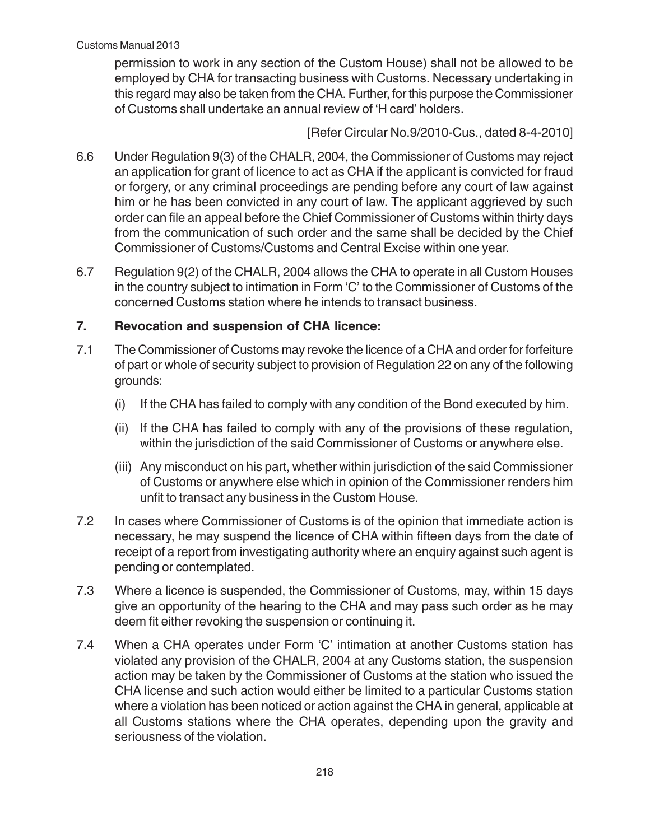permission to work in any section of the Custom House) shall not be allowed to be employed by CHA for transacting business with Customs. Necessary undertaking in this regard may also be taken from the CHA. Further, for this purpose the Commissioner of Customs shall undertake an annual review of 'H card' holders.

[Refer Circular No.9/2010-Cus., dated 8-4-2010]

- 6.6 Under Regulation 9(3) of the CHALR, 2004, the Commissioner of Customs may reject an application for grant of licence to act as CHA if the applicant is convicted for fraud or forgery, or any criminal proceedings are pending before any court of law against him or he has been convicted in any court of law. The applicant aggrieved by such order can file an appeal before the Chief Commissioner of Customs within thirty days from the communication of such order and the same shall be decided by the Chief Commissioner of Customs/Customs and Central Excise within one year.
- 6.7 Regulation 9(2) of the CHALR, 2004 allows the CHA to operate in all Custom Houses in the country subject to intimation in Form 'C' to the Commissioner of Customs of the concerned Customs station where he intends to transact business.

# **7. Revocation and suspension of CHA licence:**

- 7.1 The Commissioner of Customs may revoke the licence of a CHA and order for forfeiture of part or whole of security subject to provision of Regulation 22 on any of the following grounds:
	- (i) If the CHA has failed to comply with any condition of the Bond executed by him.
	- (ii) If the CHA has failed to comply with any of the provisions of these regulation, within the jurisdiction of the said Commissioner of Customs or anywhere else.
	- (iii) Any misconduct on his part, whether within jurisdiction of the said Commissioner of Customs or anywhere else which in opinion of the Commissioner renders him unfit to transact any business in the Custom House.
- 7.2 In cases where Commissioner of Customs is of the opinion that immediate action is necessary, he may suspend the licence of CHA within fifteen days from the date of receipt of a report from investigating authority where an enquiry against such agent is pending or contemplated.
- 7.3 Where a licence is suspended, the Commissioner of Customs, may, within 15 days give an opportunity of the hearing to the CHA and may pass such order as he may deem fit either revoking the suspension or continuing it.
- 7.4 When a CHA operates under Form 'C' intimation at another Customs station has violated any provision of the CHALR, 2004 at any Customs station, the suspension action may be taken by the Commissioner of Customs at the station who issued the CHA license and such action would either be limited to a particular Customs station where a violation has been noticed or action against the CHA in general, applicable at all Customs stations where the CHA operates, depending upon the gravity and seriousness of the violation.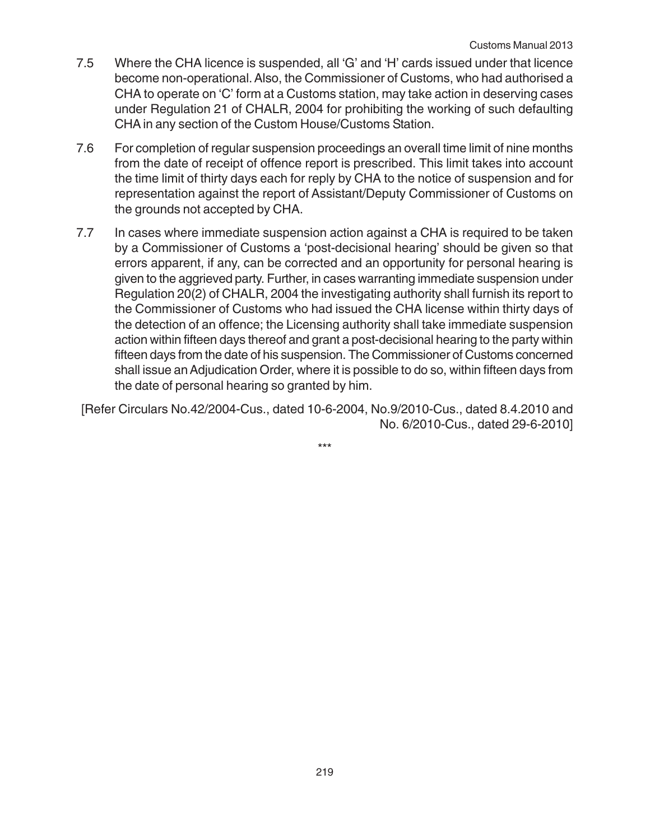- 7.5 Where the CHA licence is suspended, all 'G' and 'H' cards issued under that licence become non-operational. Also, the Commissioner of Customs, who had authorised a CHA to operate on 'C' form at a Customs station, may take action in deserving cases under Regulation 21 of CHALR, 2004 for prohibiting the working of such defaulting CHA in any section of the Custom House/Customs Station.
- 7.6 For completion of regular suspension proceedings an overall time limit of nine months from the date of receipt of offence report is prescribed. This limit takes into account the time limit of thirty days each for reply by CHA to the notice of suspension and for representation against the report of Assistant/Deputy Commissioner of Customs on the grounds not accepted by CHA.
- 7.7 In cases where immediate suspension action against a CHA is required to be taken by a Commissioner of Customs a 'post-decisional hearing' should be given so that errors apparent, if any, can be corrected and an opportunity for personal hearing is given to the aggrieved party. Further, in cases warranting immediate suspension under Regulation 20(2) of CHALR, 2004 the investigating authority shall furnish its report to the Commissioner of Customs who had issued the CHA license within thirty days of the detection of an offence; the Licensing authority shall take immediate suspension action within fifteen days thereof and grant a post-decisional hearing to the party within fifteen days from the date of his suspension. The Commissioner of Customs concerned shall issue an Adjudication Order, where it is possible to do so, within fifteen days from the date of personal hearing so granted by him.

[Refer Circulars No.42/2004-Cus., dated 10-6-2004, No.9/2010-Cus., dated 8.4.2010 and No. 6/2010-Cus., dated 29-6-2010]

\*\*\*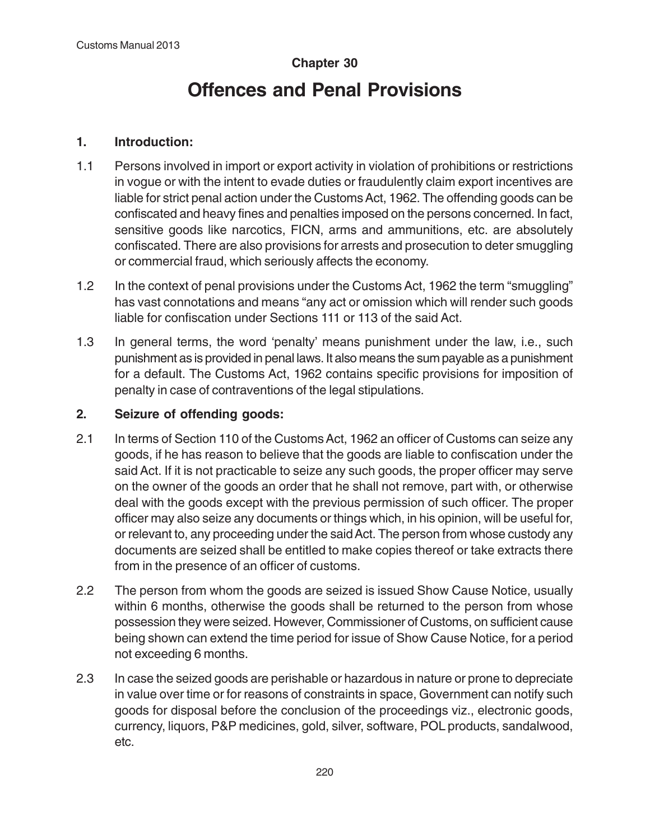# **Chapter 30 Offences and Penal Provisions**

# **1. Introduction:**

- 1.1 Persons involved in import or export activity in violation of prohibitions or restrictions in vogue or with the intent to evade duties or fraudulently claim export incentives are liable for strict penal action under the Customs Act, 1962. The offending goods can be confiscated and heavy fines and penalties imposed on the persons concerned. In fact, sensitive goods like narcotics, FICN, arms and ammunitions, etc. are absolutely confiscated. There are also provisions for arrests and prosecution to deter smuggling or commercial fraud, which seriously affects the economy.
- 1.2 In the context of penal provisions under the Customs Act, 1962 the term "smuggling" has vast connotations and means "any act or omission which will render such goods liable for confiscation under Sections 111 or 113 of the said Act.
- 1.3 In general terms, the word 'penalty' means punishment under the law, i.e., such punishment as is provided in penal laws. It also means the sum payable as a punishment for a default. The Customs Act, 1962 contains specific provisions for imposition of penalty in case of contraventions of the legal stipulations.

# **2. Seizure of offending goods:**

- 2.1 In terms of Section 110 of the Customs Act, 1962 an officer of Customs can seize any goods, if he has reason to believe that the goods are liable to confiscation under the said Act. If it is not practicable to seize any such goods, the proper officer may serve on the owner of the goods an order that he shall not remove, part with, or otherwise deal with the goods except with the previous permission of such officer. The proper officer may also seize any documents or things which, in his opinion, will be useful for, or relevant to, any proceeding under the said Act. The person from whose custody any documents are seized shall be entitled to make copies thereof or take extracts there from in the presence of an officer of customs.
- 2.2 The person from whom the goods are seized is issued Show Cause Notice, usually within 6 months, otherwise the goods shall be returned to the person from whose possession they were seized. However, Commissioner of Customs, on sufficient cause being shown can extend the time period for issue of Show Cause Notice, for a period not exceeding 6 months.
- 2.3 In case the seized goods are perishable or hazardous in nature or prone to depreciate in value over time or for reasons of constraints in space, Government can notify such goods for disposal before the conclusion of the proceedings viz., electronic goods, currency, liquors, P&P medicines, gold, silver, software, POL products, sandalwood, etc.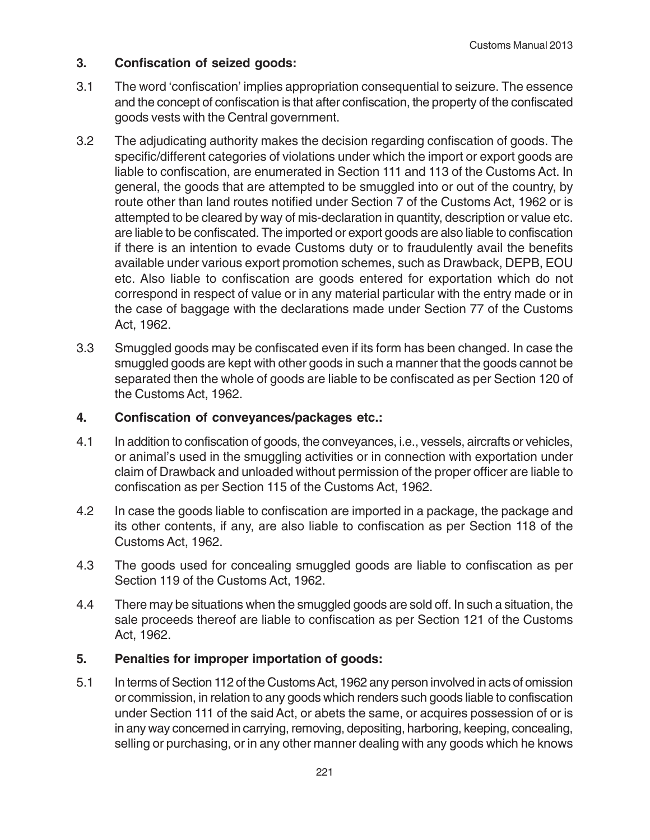# **3. Confiscation of seized goods:**

- 3.1 The word 'confiscation' implies appropriation consequential to seizure. The essence and the concept of confiscation is that after confiscation, the property of the confiscated goods vests with the Central government.
- 3.2 The adjudicating authority makes the decision regarding confiscation of goods. The specific/different categories of violations under which the import or export goods are liable to confiscation, are enumerated in Section 111 and 113 of the Customs Act. In general, the goods that are attempted to be smuggled into or out of the country, by route other than land routes notified under Section 7 of the Customs Act, 1962 or is attempted to be cleared by way of mis-declaration in quantity, description or value etc. are liable to be confiscated. The imported or export goods are also liable to confiscation if there is an intention to evade Customs duty or to fraudulently avail the benefits available under various export promotion schemes, such as Drawback, DEPB, EOU etc. Also liable to confiscation are goods entered for exportation which do not correspond in respect of value or in any material particular with the entry made or in the case of baggage with the declarations made under Section 77 of the Customs Act, 1962.
- 3.3 Smuggled goods may be confiscated even if its form has been changed. In case the smuggled goods are kept with other goods in such a manner that the goods cannot be separated then the whole of goods are liable to be confiscated as per Section 120 of the Customs Act, 1962.

## **4. Confiscation of conveyances/packages etc.:**

- 4.1 In addition to confiscation of goods, the conveyances, i.e., vessels, aircrafts or vehicles, or animal's used in the smuggling activities or in connection with exportation under claim of Drawback and unloaded without permission of the proper officer are liable to confiscation as per Section 115 of the Customs Act, 1962.
- 4.2 In case the goods liable to confiscation are imported in a package, the package and its other contents, if any, are also liable to confiscation as per Section 118 of the Customs Act, 1962.
- 4.3 The goods used for concealing smuggled goods are liable to confiscation as per Section 119 of the Customs Act, 1962.
- 4.4 There may be situations when the smuggled goods are sold off. In such a situation, the sale proceeds thereof are liable to confiscation as per Section 121 of the Customs Act, 1962.

## **5. Penalties for improper importation of goods:**

5.1 In terms of Section 112 of the Customs Act, 1962 any person involved in acts of omission or commission, in relation to any goods which renders such goods liable to confiscation under Section 111 of the said Act, or abets the same, or acquires possession of or is in any way concerned in carrying, removing, depositing, harboring, keeping, concealing, selling or purchasing, or in any other manner dealing with any goods which he knows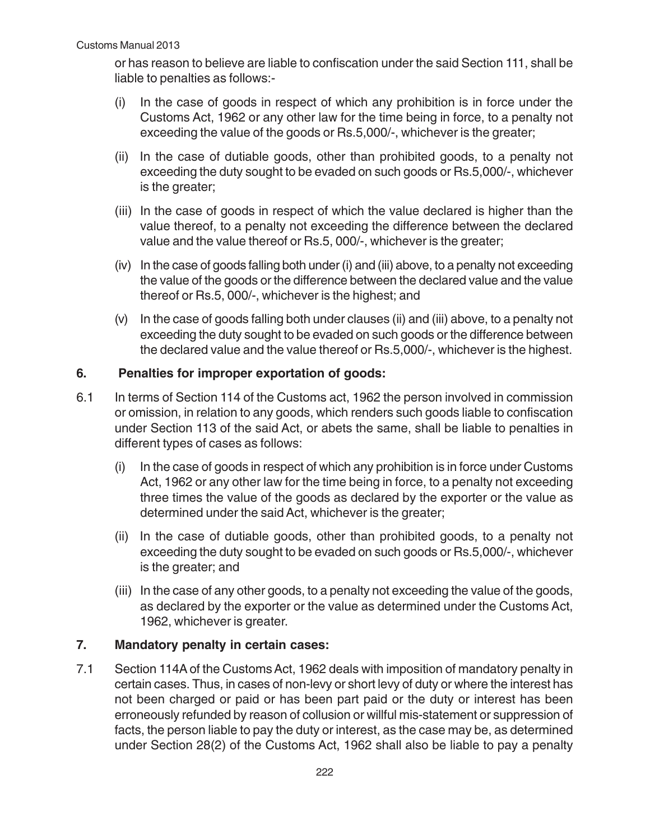or has reason to believe are liable to confiscation under the said Section 111, shall be liable to penalties as follows:-

- (i) In the case of goods in respect of which any prohibition is in force under the Customs Act, 1962 or any other law for the time being in force, to a penalty not exceeding the value of the goods or Rs.5,000/-, whichever is the greater;
- (ii) In the case of dutiable goods, other than prohibited goods, to a penalty not exceeding the duty sought to be evaded on such goods or Rs.5,000/-, whichever is the greater;
- (iii) In the case of goods in respect of which the value declared is higher than the value thereof, to a penalty not exceeding the difference between the declared value and the value thereof or Rs.5, 000/-, whichever is the greater;
- (iv) In the case of goods falling both under (i) and (iii) above, to a penalty not exceeding the value of the goods or the difference between the declared value and the value thereof or Rs.5, 000/-, whichever is the highest; and
- (v) In the case of goods falling both under clauses (ii) and (iii) above, to a penalty not exceeding the duty sought to be evaded on such goods or the difference between the declared value and the value thereof or Rs.5,000/-, whichever is the highest.

# **6. Penalties for improper exportation of goods:**

- 6.1 In terms of Section 114 of the Customs act, 1962 the person involved in commission or omission, in relation to any goods, which renders such goods liable to confiscation under Section 113 of the said Act, or abets the same, shall be liable to penalties in different types of cases as follows:
	- (i) In the case of goods in respect of which any prohibition is in force under Customs Act, 1962 or any other law for the time being in force, to a penalty not exceeding three times the value of the goods as declared by the exporter or the value as determined under the said Act, whichever is the greater;
	- (ii) In the case of dutiable goods, other than prohibited goods, to a penalty not exceeding the duty sought to be evaded on such goods or Rs.5,000/-, whichever is the greater; and
	- (iii) In the case of any other goods, to a penalty not exceeding the value of the goods, as declared by the exporter or the value as determined under the Customs Act, 1962, whichever is greater.

## **7. Mandatory penalty in certain cases:**

7.1 Section 114A of the Customs Act, 1962 deals with imposition of mandatory penalty in certain cases. Thus, in cases of non-levy or short levy of duty or where the interest has not been charged or paid or has been part paid or the duty or interest has been erroneously refunded by reason of collusion or willful mis-statement or suppression of facts, the person liable to pay the duty or interest, as the case may be, as determined under Section 28(2) of the Customs Act, 1962 shall also be liable to pay a penalty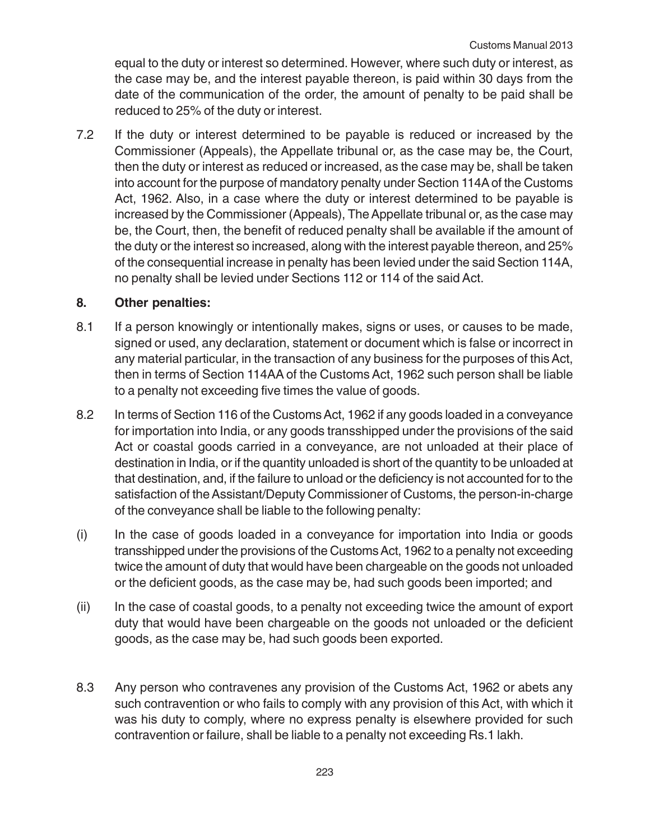equal to the duty or interest so determined. However, where such duty or interest, as the case may be, and the interest payable thereon, is paid within 30 days from the date of the communication of the order, the amount of penalty to be paid shall be reduced to 25% of the duty or interest.

7.2 If the duty or interest determined to be payable is reduced or increased by the Commissioner (Appeals), the Appellate tribunal or, as the case may be, the Court, then the duty or interest as reduced or increased, as the case may be, shall be taken into account for the purpose of mandatory penalty under Section 114A of the Customs Act, 1962. Also, in a case where the duty or interest determined to be payable is increased by the Commissioner (Appeals), The Appellate tribunal or, as the case may be, the Court, then, the benefit of reduced penalty shall be available if the amount of the duty or the interest so increased, along with the interest payable thereon, and 25% of the consequential increase in penalty has been levied under the said Section 114A, no penalty shall be levied under Sections 112 or 114 of the said Act.

# **8. Other penalties:**

- 8.1 If a person knowingly or intentionally makes, signs or uses, or causes to be made, signed or used, any declaration, statement or document which is false or incorrect in any material particular, in the transaction of any business for the purposes of this Act, then in terms of Section 114AA of the Customs Act, 1962 such person shall be liable to a penalty not exceeding five times the value of goods.
- 8.2 In terms of Section 116 of the Customs Act, 1962 if any goods loaded in a conveyance for importation into India, or any goods transshipped under the provisions of the said Act or coastal goods carried in a conveyance, are not unloaded at their place of destination in India, or if the quantity unloaded is short of the quantity to be unloaded at that destination, and, if the failure to unload or the deficiency is not accounted for to the satisfaction of the Assistant/Deputy Commissioner of Customs, the person-in-charge of the conveyance shall be liable to the following penalty:
- (i) In the case of goods loaded in a conveyance for importation into India or goods transshipped under the provisions of the Customs Act, 1962 to a penalty not exceeding twice the amount of duty that would have been chargeable on the goods not unloaded or the deficient goods, as the case may be, had such goods been imported; and
- (ii) In the case of coastal goods, to a penalty not exceeding twice the amount of export duty that would have been chargeable on the goods not unloaded or the deficient goods, as the case may be, had such goods been exported.
- 8.3 Any person who contravenes any provision of the Customs Act, 1962 or abets any such contravention or who fails to comply with any provision of this Act, with which it was his duty to comply, where no express penalty is elsewhere provided for such contravention or failure, shall be liable to a penalty not exceeding Rs.1 lakh.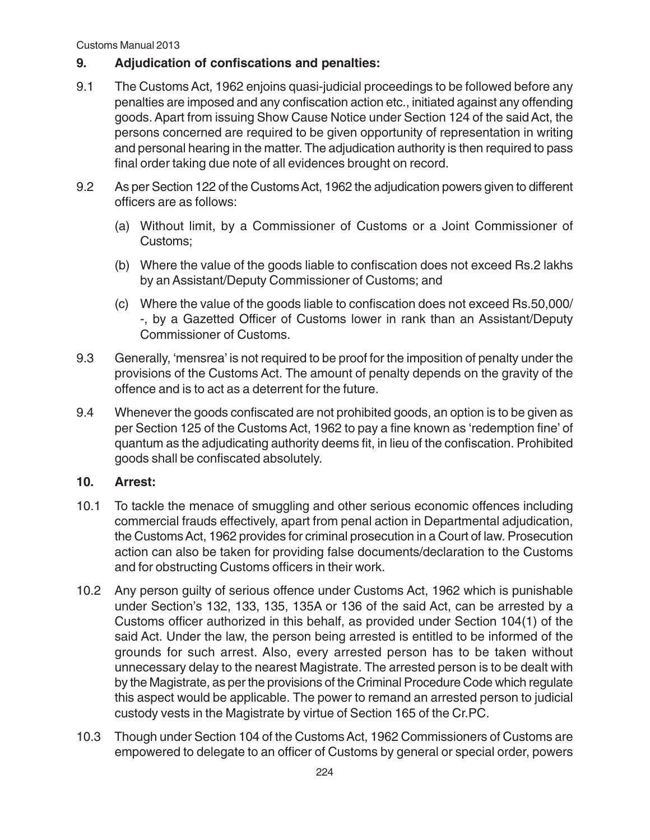# **9. Adjudication of confiscations and penalties:**

- 9.1 The Customs Act, 1962 enjoins quasi-judicial proceedings to be followed before any penalties are imposed and any confiscation action etc., initiated against any offending goods. Apart from issuing Show Cause Notice under Section 124 of the said Act, the persons concerned are required to be given opportunity of representation in writing and personal hearing in the matter. The adjudication authority is then required to pass final order taking due note of all evidences brought on record.
- 9.2 As per Section 122 of the Customs Act, 1962 the adjudication powers given to different officers are as follows:
	- (a) Without limit, by a Commissioner of Customs or a Joint Commissioner of Customs;
	- (b) Where the value of the goods liable to confiscation does not exceed Rs.2 lakhs by an Assistant/Deputy Commissioner of Customs; and
	- (c) Where the value of the goods liable to confiscation does not exceed Rs.50,000/ -, by a Gazetted Officer of Customs lower in rank than an Assistant/Deputy Commissioner of Customs.
- 9.3 Generally, 'mensrea' is not required to be proof for the imposition of penalty under the provisions of the Customs Act. The amount of penalty depends on the gravity of the offence and is to act as a deterrent for the future.
- 9.4 Whenever the goods confiscated are not prohibited goods, an option is to be given as per Section 125 of the Customs Act, 1962 to pay a fine known as 'redemption fine' of quantum as the adjudicating authority deems fit, in lieu of the confiscation. Prohibited goods shall be confiscated absolutely.

# **10. Arrest:**

- 10.1 To tackle the menace of smuggling and other serious economic offences including commercial frauds effectively, apart from penal action in Departmental adjudication, the Customs Act, 1962 provides for criminal prosecution in a Court of law. Prosecution action can also be taken for providing false documents/declaration to the Customs and for obstructing Customs officers in their work.
- 10.2 Any person guilty of serious offence under Customs Act, 1962 which is punishable under Section's 132, 133, 135, 135A or 136 of the said Act, can be arrested by a Customs officer authorized in this behalf, as provided under Section 104(1) of the said Act. Under the law, the person being arrested is entitled to be informed of the grounds for such arrest. Also, every arrested person has to be taken without unnecessary delay to the nearest Magistrate. The arrested person is to be dealt with by the Magistrate, as per the provisions of the Criminal Procedure Code which regulate this aspect would be applicable. The power to remand an arrested person to judicial custody vests in the Magistrate by virtue of Section 165 of the Cr.PC.
- 10.3 Though under Section 104 of the Customs Act, 1962 Commissioners of Customs are empowered to delegate to an officer of Customs by general or special order, powers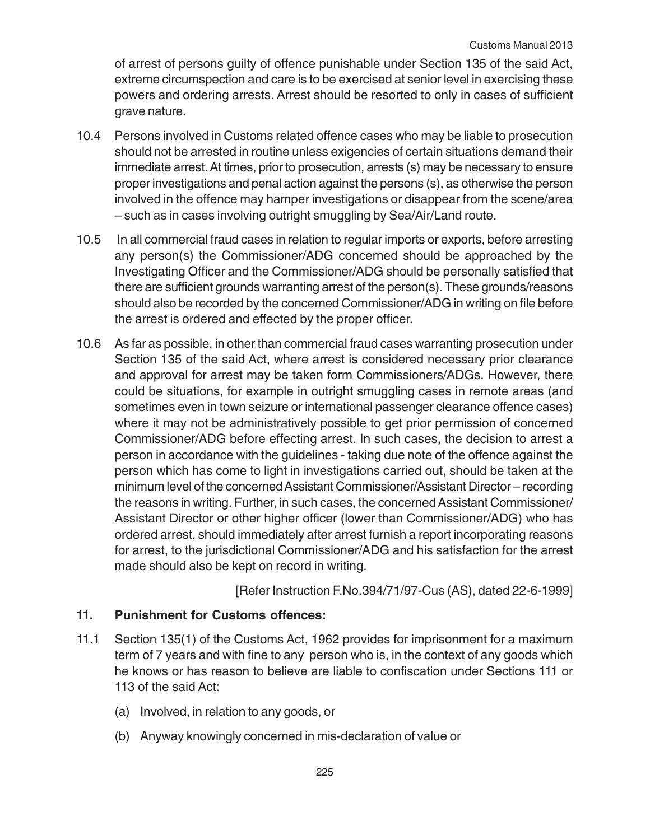of arrest of persons guilty of offence punishable under Section 135 of the said Act, extreme circumspection and care is to be exercised at senior level in exercising these powers and ordering arrests. Arrest should be resorted to only in cases of sufficient grave nature.

- 10.4 Persons involved in Customs related offence cases who may be liable to prosecution should not be arrested in routine unless exigencies of certain situations demand their immediate arrest. At times, prior to prosecution, arrests (s) may be necessary to ensure proper investigations and penal action against the persons (s), as otherwise the person involved in the offence may hamper investigations or disappear from the scene/area – such as in cases involving outright smuggling by Sea/Air/Land route.
- 10.5 In all commercial fraud cases in relation to regular imports or exports, before arresting any person(s) the Commissioner/ADG concerned should be approached by the Investigating Officer and the Commissioner/ADG should be personally satisfied that there are sufficient grounds warranting arrest of the person(s). These grounds/reasons should also be recorded by the concerned Commissioner/ADG in writing on file before the arrest is ordered and effected by the proper officer.
- 10.6 As far as possible, in other than commercial fraud cases warranting prosecution under Section 135 of the said Act, where arrest is considered necessary prior clearance and approval for arrest may be taken form Commissioners/ADGs. However, there could be situations, for example in outright smuggling cases in remote areas (and sometimes even in town seizure or international passenger clearance offence cases) where it may not be administratively possible to get prior permission of concerned Commissioner/ADG before effecting arrest. In such cases, the decision to arrest a person in accordance with the guidelines - taking due note of the offence against the person which has come to light in investigations carried out, should be taken at the minimum level of the concerned Assistant Commissioner/Assistant Director – recording the reasons in writing. Further, in such cases, the concerned Assistant Commissioner/ Assistant Director or other higher officer (lower than Commissioner/ADG) who has ordered arrest, should immediately after arrest furnish a report incorporating reasons for arrest, to the jurisdictional Commissioner/ADG and his satisfaction for the arrest made should also be kept on record in writing.

[Refer Instruction F.No.394/71/97-Cus (AS), dated 22-6-1999]

# **11. Punishment for Customs offences:**

- 11.1 Section 135(1) of the Customs Act, 1962 provides for imprisonment for a maximum term of 7 years and with fine to any person who is, in the context of any goods which he knows or has reason to believe are liable to confiscation under Sections 111 or 113 of the said Act:
	- (a) Involved, in relation to any goods, or
	- (b) Anyway knowingly concerned in mis-declaration of value or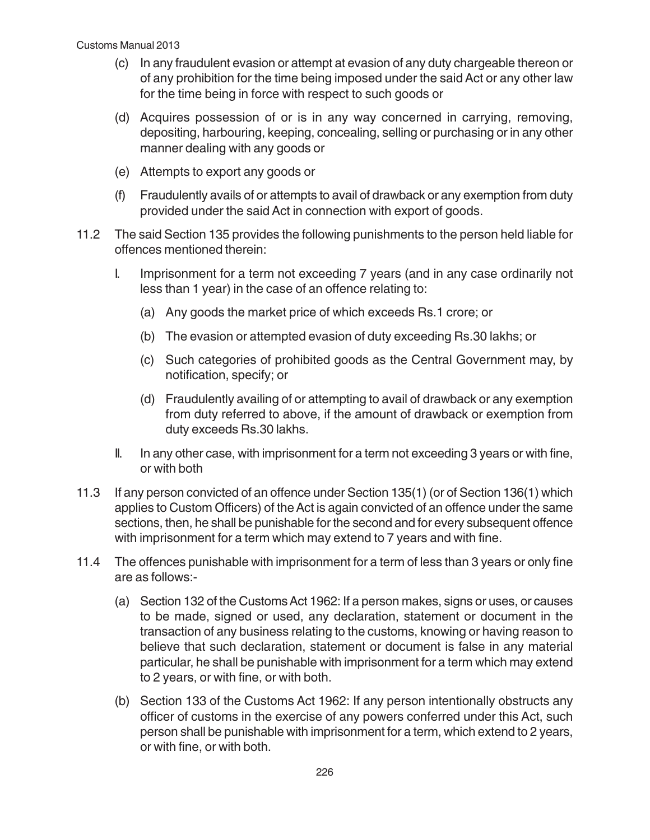- (c) In any fraudulent evasion or attempt at evasion of any duty chargeable thereon or of any prohibition for the time being imposed under the said Act or any other law for the time being in force with respect to such goods or
- (d) Acquires possession of or is in any way concerned in carrying, removing, depositing, harbouring, keeping, concealing, selling or purchasing or in any other manner dealing with any goods or
- (e) Attempts to export any goods or
- (f) Fraudulently avails of or attempts to avail of drawback or any exemption from duty provided under the said Act in connection with export of goods.
- 11.2 The said Section 135 provides the following punishments to the person held liable for offences mentioned therein:
	- I. Imprisonment for a term not exceeding 7 years (and in any case ordinarily not less than 1 year) in the case of an offence relating to:
		- (a) Any goods the market price of which exceeds Rs.1 crore; or
		- (b) The evasion or attempted evasion of duty exceeding Rs.30 lakhs; or
		- (c) Such categories of prohibited goods as the Central Government may, by notification, specify; or
		- (d) Fraudulently availing of or attempting to avail of drawback or any exemption from duty referred to above, if the amount of drawback or exemption from duty exceeds Rs.30 lakhs.
	- II. In any other case, with imprisonment for a term not exceeding 3 years or with fine, or with both
- 11.3 If any person convicted of an offence under Section 135(1) (or of Section 136(1) which applies to Custom Officers) of the Act is again convicted of an offence under the same sections, then, he shall be punishable for the second and for every subsequent offence with imprisonment for a term which may extend to 7 years and with fine.
- 11.4 The offences punishable with imprisonment for a term of less than 3 years or only fine are as follows:-
	- (a) Section 132 of the Customs Act 1962: If a person makes, signs or uses, or causes to be made, signed or used, any declaration, statement or document in the transaction of any business relating to the customs, knowing or having reason to believe that such declaration, statement or document is false in any material particular, he shall be punishable with imprisonment for a term which may extend to 2 years, or with fine, or with both.
	- (b) Section 133 of the Customs Act 1962: If any person intentionally obstructs any officer of customs in the exercise of any powers conferred under this Act, such person shall be punishable with imprisonment for a term, which extend to 2 years, or with fine, or with both.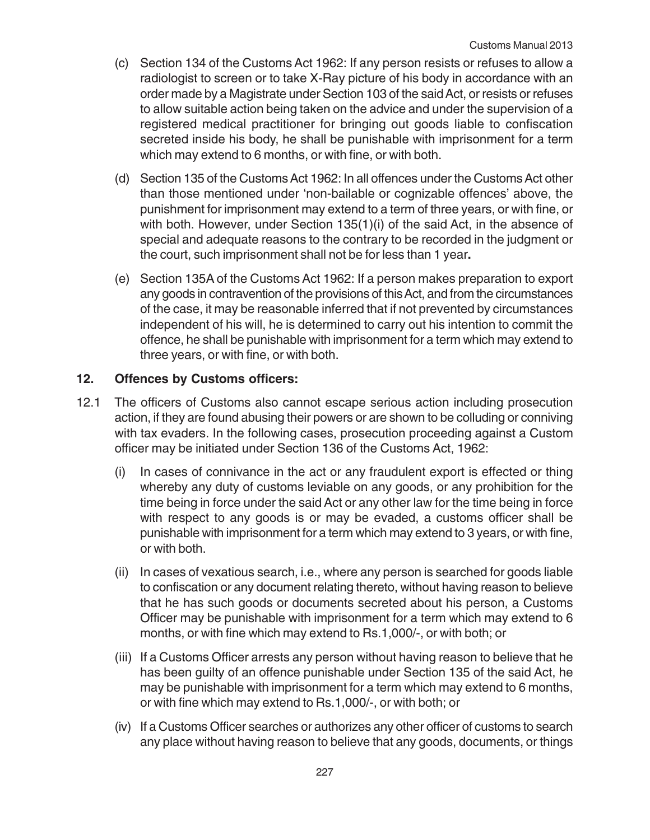- (c) Section 134 of the Customs Act 1962: If any person resists or refuses to allow a radiologist to screen or to take X-Ray picture of his body in accordance with an order made by a Magistrate under Section 103 of the said Act, or resists or refuses to allow suitable action being taken on the advice and under the supervision of a registered medical practitioner for bringing out goods liable to confiscation secreted inside his body, he shall be punishable with imprisonment for a term which may extend to 6 months, or with fine, or with both.
- (d) Section 135 of the Customs Act 1962: In all offences under the Customs Act other than those mentioned under 'non-bailable or cognizable offences' above, the punishment for imprisonment may extend to a term of three years, or with fine, or with both. However, under Section 135(1)(i) of the said Act, in the absence of special and adequate reasons to the contrary to be recorded in the judgment or the court, such imprisonment shall not be for less than 1 year**.**
- (e) Section 135A of the Customs Act 1962: If a person makes preparation to export any goods in contravention of the provisions of this Act, and from the circumstances of the case, it may be reasonable inferred that if not prevented by circumstances independent of his will, he is determined to carry out his intention to commit the offence, he shall be punishable with imprisonment for a term which may extend to three years, or with fine, or with both.

# **12. Offences by Customs officers:**

- 12.1 The officers of Customs also cannot escape serious action including prosecution action, if they are found abusing their powers or are shown to be colluding or conniving with tax evaders. In the following cases, prosecution proceeding against a Custom officer may be initiated under Section 136 of the Customs Act, 1962:
	- (i) In cases of connivance in the act or any fraudulent export is effected or thing whereby any duty of customs leviable on any goods, or any prohibition for the time being in force under the said Act or any other law for the time being in force with respect to any goods is or may be evaded, a customs officer shall be punishable with imprisonment for a term which may extend to 3 years, or with fine, or with both.
	- (ii) In cases of vexatious search, i.e., where any person is searched for goods liable to confiscation or any document relating thereto, without having reason to believe that he has such goods or documents secreted about his person, a Customs Officer may be punishable with imprisonment for a term which may extend to 6 months, or with fine which may extend to Rs.1,000/-, or with both; or
	- (iii) If a Customs Officer arrests any person without having reason to believe that he has been guilty of an offence punishable under Section 135 of the said Act, he may be punishable with imprisonment for a term which may extend to 6 months, or with fine which may extend to Rs.1,000/-, or with both; or
	- (iv) If a Customs Officer searches or authorizes any other officer of customs to search any place without having reason to believe that any goods, documents, or things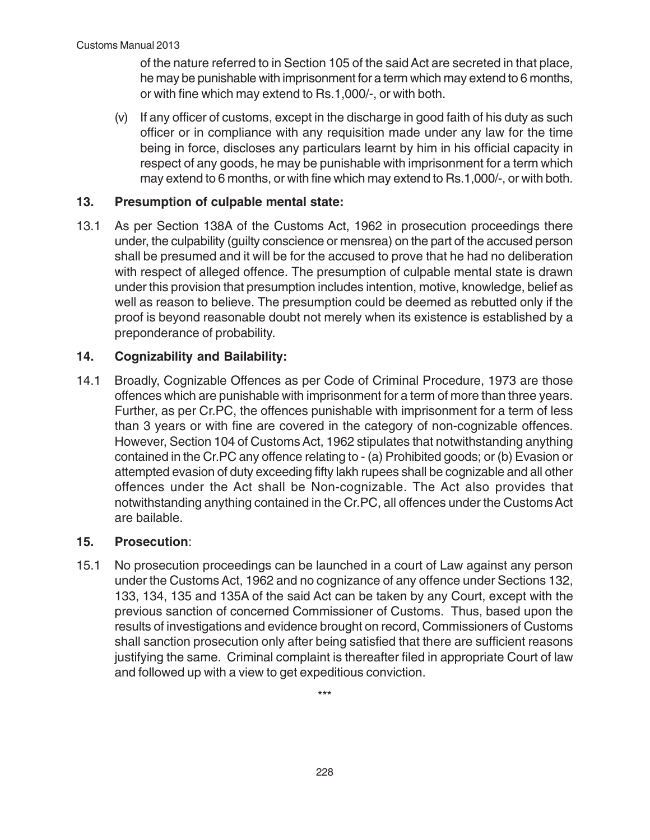of the nature referred to in Section 105 of the said Act are secreted in that place, he may be punishable with imprisonment for a term which may extend to 6 months, or with fine which may extend to Rs.1,000/-, or with both.

(v) If any officer of customs, except in the discharge in good faith of his duty as such officer or in compliance with any requisition made under any law for the time being in force, discloses any particulars learnt by him in his official capacity in respect of any goods, he may be punishable with imprisonment for a term which may extend to 6 months, or with fine which may extend to Rs.1,000/-, or with both.

# **13. Presumption of culpable mental state:**

13.1 As per Section 138A of the Customs Act, 1962 in prosecution proceedings there under, the culpability (guilty conscience or mensrea) on the part of the accused person shall be presumed and it will be for the accused to prove that he had no deliberation with respect of alleged offence. The presumption of culpable mental state is drawn under this provision that presumption includes intention, motive, knowledge, belief as well as reason to believe. The presumption could be deemed as rebutted only if the proof is beyond reasonable doubt not merely when its existence is established by a preponderance of probability.

# **14. Cognizability and Bailability:**

14.1 Broadly, Cognizable Offences as per Code of Criminal Procedure, 1973 are those offences which are punishable with imprisonment for a term of more than three years. Further, as per Cr.PC, the offences punishable with imprisonment for a term of less than 3 years or with fine are covered in the category of non-cognizable offences. However, Section 104 of Customs Act, 1962 stipulates that notwithstanding anything contained in the Cr.PC any offence relating to - (a) Prohibited goods; or (b) Evasion or attempted evasion of duty exceeding fifty lakh rupees shall be cognizable and all other offences under the Act shall be Non-cognizable. The Act also provides that notwithstanding anything contained in the Cr.PC, all offences under the Customs Act are bailable.

# **15. Prosecution**:

15.1 No prosecution proceedings can be launched in a court of Law against any person under the Customs Act, 1962 and no cognizance of any offence under Sections 132, 133, 134, 135 and 135A of the said Act can be taken by any Court, except with the previous sanction of concerned Commissioner of Customs. Thus, based upon the results of investigations and evidence brought on record, Commissioners of Customs shall sanction prosecution only after being satisfied that there are sufficient reasons justifying the same. Criminal complaint is thereafter filed in appropriate Court of law and followed up with a view to get expeditious conviction.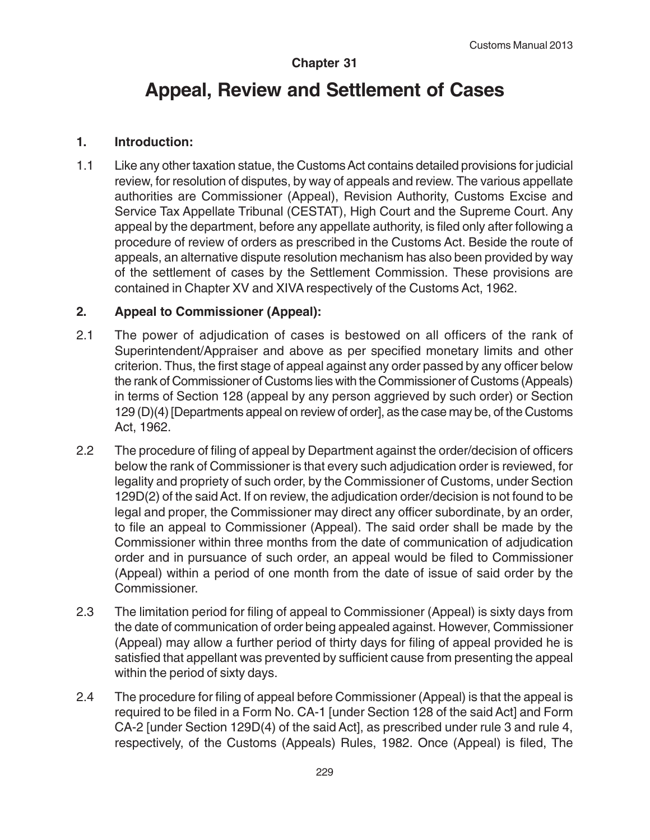## **Chapter 31**

# **Appeal, Review and Settlement of Cases**

## **1. Introduction:**

1.1 Like any other taxation statue, the Customs Act contains detailed provisions for judicial review, for resolution of disputes, by way of appeals and review. The various appellate authorities are Commissioner (Appeal), Revision Authority, Customs Excise and Service Tax Appellate Tribunal (CESTAT), High Court and the Supreme Court. Any appeal by the department, before any appellate authority, is filed only after following a procedure of review of orders as prescribed in the Customs Act. Beside the route of appeals, an alternative dispute resolution mechanism has also been provided by way of the settlement of cases by the Settlement Commission. These provisions are contained in Chapter XV and XIVA respectively of the Customs Act, 1962.

# **2. Appeal to Commissioner (Appeal):**

- 2.1 The power of adjudication of cases is bestowed on all officers of the rank of Superintendent/Appraiser and above as per specified monetary limits and other criterion. Thus, the first stage of appeal against any order passed by any officer below the rank of Commissioner of Customs lies with the Commissioner of Customs (Appeals) in terms of Section 128 (appeal by any person aggrieved by such order) or Section 129 (D)(4) [Departments appeal on review of order], as the case may be, of the Customs Act, 1962.
- 2.2 The procedure of filing of appeal by Department against the order/decision of officers below the rank of Commissioner is that every such adjudication order is reviewed, for legality and propriety of such order, by the Commissioner of Customs, under Section 129D(2) of the said Act. If on review, the adjudication order/decision is not found to be legal and proper, the Commissioner may direct any officer subordinate, by an order, to file an appeal to Commissioner (Appeal). The said order shall be made by the Commissioner within three months from the date of communication of adjudication order and in pursuance of such order, an appeal would be filed to Commissioner (Appeal) within a period of one month from the date of issue of said order by the Commissioner.
- 2.3 The limitation period for filing of appeal to Commissioner (Appeal) is sixty days from the date of communication of order being appealed against. However, Commissioner (Appeal) may allow a further period of thirty days for filing of appeal provided he is satisfied that appellant was prevented by sufficient cause from presenting the appeal within the period of sixty days.
- 2.4 The procedure for filing of appeal before Commissioner (Appeal) is that the appeal is required to be filed in a Form No. CA-1 [under Section 128 of the said Act] and Form CA-2 [under Section 129D(4) of the said Act], as prescribed under rule 3 and rule 4, respectively, of the Customs (Appeals) Rules, 1982. Once (Appeal) is filed, The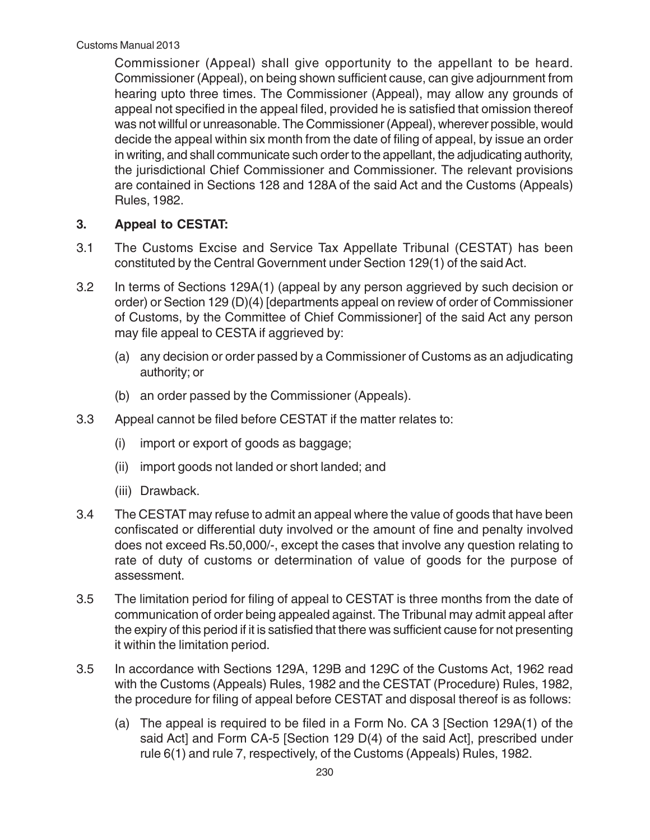Commissioner (Appeal) shall give opportunity to the appellant to be heard. Commissioner (Appeal), on being shown sufficient cause, can give adjournment from hearing upto three times. The Commissioner (Appeal), may allow any grounds of appeal not specified in the appeal filed, provided he is satisfied that omission thereof was not willful or unreasonable. The Commissioner (Appeal), wherever possible, would decide the appeal within six month from the date of filing of appeal, by issue an order in writing, and shall communicate such order to the appellant, the adjudicating authority, the jurisdictional Chief Commissioner and Commissioner. The relevant provisions are contained in Sections 128 and 128A of the said Act and the Customs (Appeals) Rules, 1982.

# **3. Appeal to CESTAT:**

- 3.1 The Customs Excise and Service Tax Appellate Tribunal (CESTAT) has been constituted by the Central Government under Section 129(1) of the said Act.
- 3.2 In terms of Sections 129A(1) (appeal by any person aggrieved by such decision or order) or Section 129 (D)(4) [departments appeal on review of order of Commissioner of Customs, by the Committee of Chief Commissioner] of the said Act any person may file appeal to CESTA if aggrieved by:
	- (a) any decision or order passed by a Commissioner of Customs as an adjudicating authority; or
	- (b) an order passed by the Commissioner (Appeals).
- 3.3 Appeal cannot be filed before CESTAT if the matter relates to:
	- (i) import or export of goods as baggage;
	- (ii) import goods not landed or short landed; and
	- (iii) Drawback.
- 3.4 The CESTAT may refuse to admit an appeal where the value of goods that have been confiscated or differential duty involved or the amount of fine and penalty involved does not exceed Rs.50,000/-, except the cases that involve any question relating to rate of duty of customs or determination of value of goods for the purpose of assessment.
- 3.5 The limitation period for filing of appeal to CESTAT is three months from the date of communication of order being appealed against. The Tribunal may admit appeal after the expiry of this period if it is satisfied that there was sufficient cause for not presenting it within the limitation period.
- 3.5 In accordance with Sections 129A, 129B and 129C of the Customs Act, 1962 read with the Customs (Appeals) Rules, 1982 and the CESTAT (Procedure) Rules, 1982, the procedure for filing of appeal before CESTAT and disposal thereof is as follows:
	- (a) The appeal is required to be filed in a Form No. CA 3 [Section 129A(1) of the said Act] and Form CA-5 [Section 129 D(4) of the said Act], prescribed under rule 6(1) and rule 7, respectively, of the Customs (Appeals) Rules, 1982.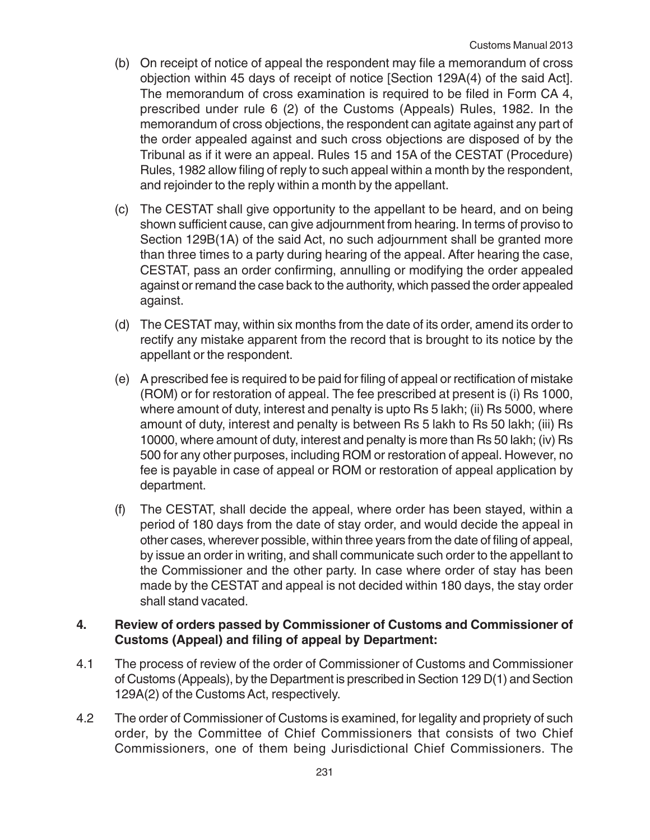- (b) On receipt of notice of appeal the respondent may file a memorandum of cross objection within 45 days of receipt of notice [Section 129A(4) of the said Act]. The memorandum of cross examination is required to be filed in Form CA 4, prescribed under rule 6 (2) of the Customs (Appeals) Rules, 1982. In the memorandum of cross objections, the respondent can agitate against any part of the order appealed against and such cross objections are disposed of by the Tribunal as if it were an appeal. Rules 15 and 15A of the CESTAT (Procedure) Rules, 1982 allow filing of reply to such appeal within a month by the respondent, and rejoinder to the reply within a month by the appellant.
- (c) The CESTAT shall give opportunity to the appellant to be heard, and on being shown sufficient cause, can give adjournment from hearing. In terms of proviso to Section 129B(1A) of the said Act, no such adjournment shall be granted more than three times to a party during hearing of the appeal. After hearing the case, CESTAT, pass an order confirming, annulling or modifying the order appealed against or remand the case back to the authority, which passed the order appealed against.
- (d) The CESTAT may, within six months from the date of its order, amend its order to rectify any mistake apparent from the record that is brought to its notice by the appellant or the respondent.
- (e) A prescribed fee is required to be paid for filing of appeal or rectification of mistake (ROM) or for restoration of appeal. The fee prescribed at present is (i) Rs 1000, where amount of duty, interest and penalty is upto Rs 5 lakh; (ii) Rs 5000, where amount of duty, interest and penalty is between Rs 5 lakh to Rs 50 lakh; (iii) Rs 10000, where amount of duty, interest and penalty is more than Rs 50 lakh; (iv) Rs 500 for any other purposes, including ROM or restoration of appeal. However, no fee is payable in case of appeal or ROM or restoration of appeal application by department.
- (f) The CESTAT, shall decide the appeal, where order has been stayed, within a period of 180 days from the date of stay order, and would decide the appeal in other cases, wherever possible, within three years from the date of filing of appeal, by issue an order in writing, and shall communicate such order to the appellant to the Commissioner and the other party. In case where order of stay has been made by the CESTAT and appeal is not decided within 180 days, the stay order shall stand vacated.

# **4. Review of orders passed by Commissioner of Customs and Commissioner of Customs (Appeal) and filing of appeal by Department:**

- 4.1 The process of review of the order of Commissioner of Customs and Commissioner of Customs (Appeals), by the Department is prescribed in Section 129 D(1) and Section 129A(2) of the Customs Act, respectively.
- 4.2 The order of Commissioner of Customs is examined, for legality and propriety of such order, by the Committee of Chief Commissioners that consists of two Chief Commissioners, one of them being Jurisdictional Chief Commissioners. The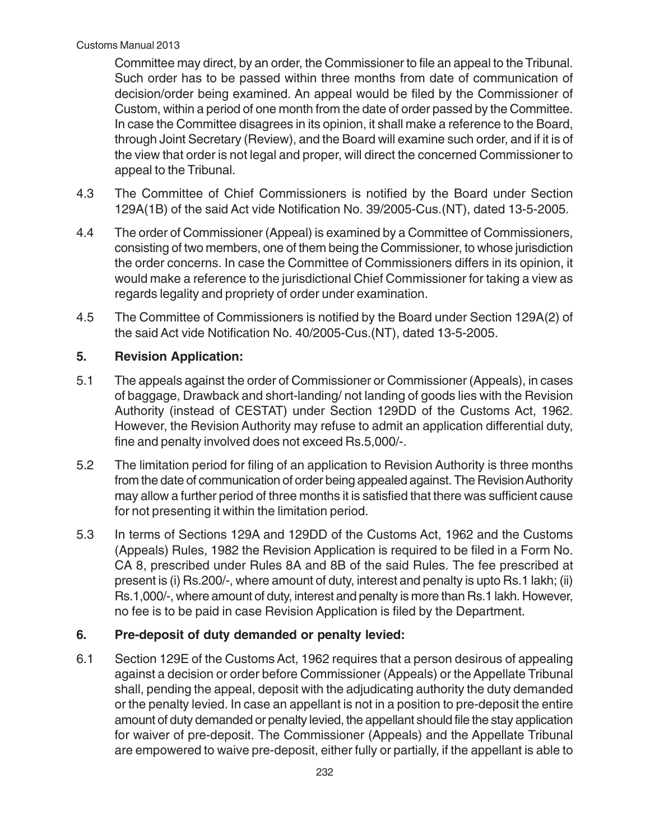Committee may direct, by an order, the Commissioner to file an appeal to the Tribunal. Such order has to be passed within three months from date of communication of decision/order being examined. An appeal would be filed by the Commissioner of Custom, within a period of one month from the date of order passed by the Committee. In case the Committee disagrees in its opinion, it shall make a reference to the Board, through Joint Secretary (Review), and the Board will examine such order, and if it is of the view that order is not legal and proper, will direct the concerned Commissioner to appeal to the Tribunal.

- 4.3 The Committee of Chief Commissioners is notified by the Board under Section 129A(1B) of the said Act vide Notification No. 39/2005-Cus.(NT), dated 13-5-2005.
- 4.4 The order of Commissioner (Appeal) is examined by a Committee of Commissioners, consisting of two members, one of them being the Commissioner, to whose jurisdiction the order concerns. In case the Committee of Commissioners differs in its opinion, it would make a reference to the jurisdictional Chief Commissioner for taking a view as regards legality and propriety of order under examination.
- 4.5 The Committee of Commissioners is notified by the Board under Section 129A(2) of the said Act vide Notification No. 40/2005-Cus.(NT), dated 13-5-2005.

# **5. Revision Application:**

- 5.1 The appeals against the order of Commissioner or Commissioner (Appeals), in cases of baggage, Drawback and short-landing/ not landing of goods lies with the Revision Authority (instead of CESTAT) under Section 129DD of the Customs Act, 1962. However, the Revision Authority may refuse to admit an application differential duty, fine and penalty involved does not exceed Rs.5,000/-.
- 5.2 The limitation period for filing of an application to Revision Authority is three months from the date of communication of order being appealed against. The Revision Authority may allow a further period of three months it is satisfied that there was sufficient cause for not presenting it within the limitation period.
- 5.3 In terms of Sections 129A and 129DD of the Customs Act, 1962 and the Customs (Appeals) Rules, 1982 the Revision Application is required to be filed in a Form No. CA 8, prescribed under Rules 8A and 8B of the said Rules. The fee prescribed at present is (i) Rs.200/-, where amount of duty, interest and penalty is upto Rs.1 lakh; (ii) Rs.1,000/-, where amount of duty, interest and penalty is more than Rs.1 lakh. However, no fee is to be paid in case Revision Application is filed by the Department.

# **6. Pre-deposit of duty demanded or penalty levied:**

6.1 Section 129E of the Customs Act, 1962 requires that a person desirous of appealing against a decision or order before Commissioner (Appeals) or the Appellate Tribunal shall, pending the appeal, deposit with the adjudicating authority the duty demanded or the penalty levied. In case an appellant is not in a position to pre-deposit the entire amount of duty demanded or penalty levied, the appellant should file the stay application for waiver of pre-deposit. The Commissioner (Appeals) and the Appellate Tribunal are empowered to waive pre-deposit, either fully or partially, if the appellant is able to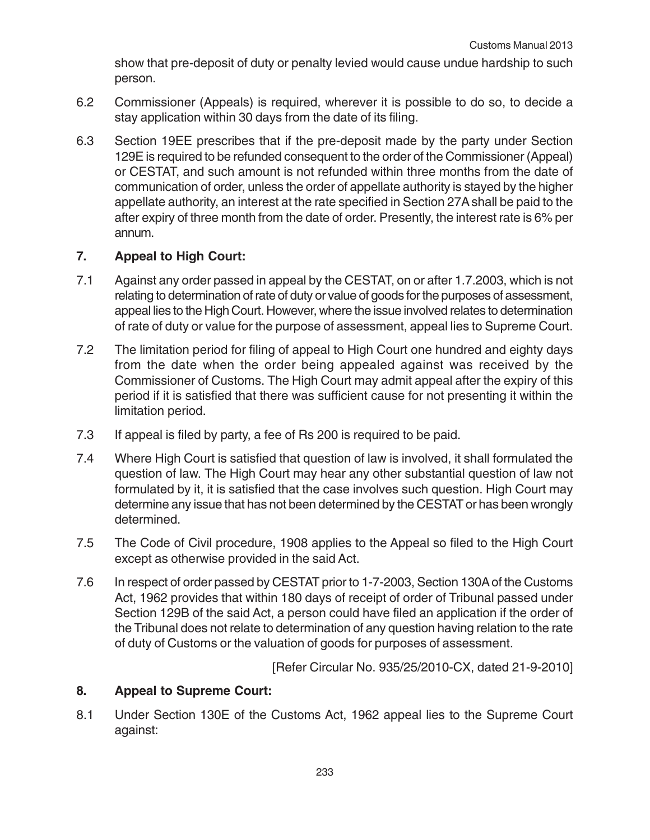show that pre-deposit of duty or penalty levied would cause undue hardship to such person.

- 6.2 Commissioner (Appeals) is required, wherever it is possible to do so, to decide a stay application within 30 days from the date of its filing.
- 6.3 Section 19EE prescribes that if the pre-deposit made by the party under Section 129E is required to be refunded consequent to the order of the Commissioner (Appeal) or CESTAT, and such amount is not refunded within three months from the date of communication of order, unless the order of appellate authority is stayed by the higher appellate authority, an interest at the rate specified in Section 27A shall be paid to the after expiry of three month from the date of order. Presently, the interest rate is 6% per annum.

# **7. Appeal to High Court:**

- 7.1 Against any order passed in appeal by the CESTAT, on or after 1.7.2003, which is not relating to determination of rate of duty or value of goods for the purposes of assessment, appeal lies to the High Court. However, where the issue involved relates to determination of rate of duty or value for the purpose of assessment, appeal lies to Supreme Court.
- 7.2 The limitation period for filing of appeal to High Court one hundred and eighty days from the date when the order being appealed against was received by the Commissioner of Customs. The High Court may admit appeal after the expiry of this period if it is satisfied that there was sufficient cause for not presenting it within the limitation period.
- 7.3 If appeal is filed by party, a fee of Rs 200 is required to be paid.
- 7.4 Where High Court is satisfied that question of law is involved, it shall formulated the question of law. The High Court may hear any other substantial question of law not formulated by it, it is satisfied that the case involves such question. High Court may determine any issue that has not been determined by the CESTAT or has been wrongly determined.
- 7.5 The Code of Civil procedure, 1908 applies to the Appeal so filed to the High Court except as otherwise provided in the said Act.
- 7.6 In respect of order passed by CESTAT prior to 1-7-2003, Section 130A of the Customs Act, 1962 provides that within 180 days of receipt of order of Tribunal passed under Section 129B of the said Act, a person could have filed an application if the order of the Tribunal does not relate to determination of any question having relation to the rate of duty of Customs or the valuation of goods for purposes of assessment.

[Refer Circular No. 935/25/2010-CX, dated 21-9-2010]

## **8. Appeal to Supreme Court:**

8.1 Under Section 130E of the Customs Act, 1962 appeal lies to the Supreme Court against: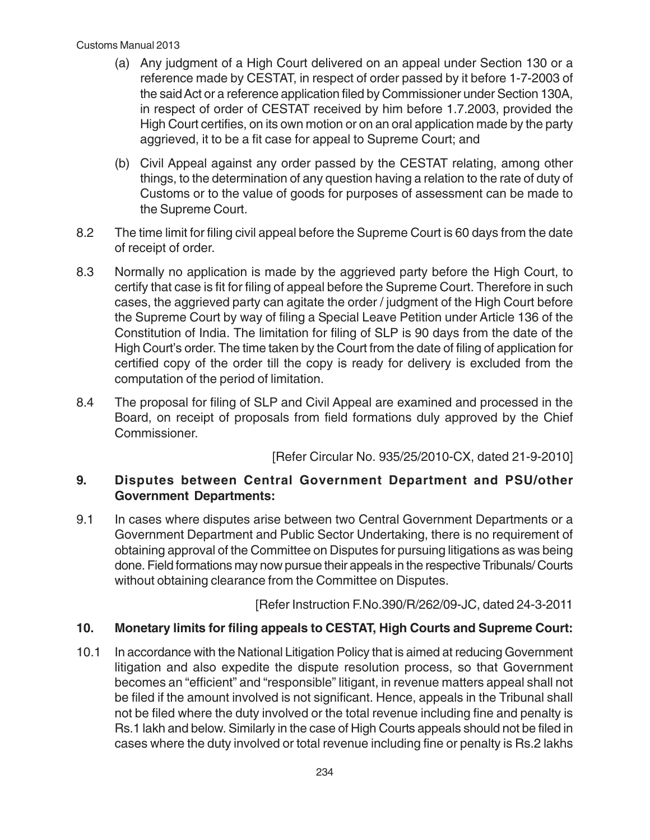- (a) Any judgment of a High Court delivered on an appeal under Section 130 or a reference made by CESTAT, in respect of order passed by it before 1-7-2003 of the said Act or a reference application filed by Commissioner under Section 130A, in respect of order of CESTAT received by him before 1.7.2003, provided the High Court certifies, on its own motion or on an oral application made by the party aggrieved, it to be a fit case for appeal to Supreme Court; and
- (b) Civil Appeal against any order passed by the CESTAT relating, among other things, to the determination of any question having a relation to the rate of duty of Customs or to the value of goods for purposes of assessment can be made to the Supreme Court.
- 8.2 The time limit for filing civil appeal before the Supreme Court is 60 days from the date of receipt of order.
- 8.3 Normally no application is made by the aggrieved party before the High Court, to certify that case is fit for filing of appeal before the Supreme Court. Therefore in such cases, the aggrieved party can agitate the order / judgment of the High Court before the Supreme Court by way of filing a Special Leave Petition under Article 136 of the Constitution of India. The limitation for filing of SLP is 90 days from the date of the High Court's order. The time taken by the Court from the date of filing of application for certified copy of the order till the copy is ready for delivery is excluded from the computation of the period of limitation.
- 8.4 The proposal for filing of SLP and Civil Appeal are examined and processed in the Board, on receipt of proposals from field formations duly approved by the Chief Commissioner.

[Refer Circular No. 935/25/2010-CX, dated 21-9-2010]

# **9. Disputes between Central Government Department and PSU/other Government Departments:**

9.1 In cases where disputes arise between two Central Government Departments or a Government Department and Public Sector Undertaking, there is no requirement of obtaining approval of the Committee on Disputes for pursuing litigations as was being done. Field formations may now pursue their appeals in the respective Tribunals/ Courts without obtaining clearance from the Committee on Disputes.

[Refer Instruction F.No.390/R/262/09-JC, dated 24-3-2011

# **10. Monetary limits for filing appeals to CESTAT, High Courts and Supreme Court:**

10.1 In accordance with the National Litigation Policy that is aimed at reducing Government litigation and also expedite the dispute resolution process, so that Government becomes an "efficient" and "responsible" litigant, in revenue matters appeal shall not be filed if the amount involved is not significant. Hence, appeals in the Tribunal shall not be filed where the duty involved or the total revenue including fine and penalty is Rs.1 lakh and below. Similarly in the case of High Courts appeals should not be filed in cases where the duty involved or total revenue including fine or penalty is Rs.2 lakhs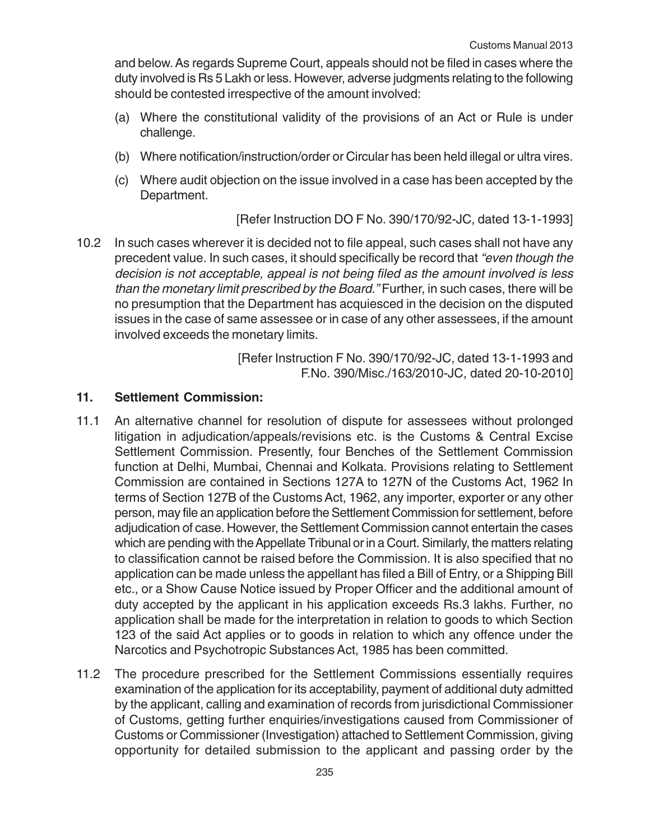and below. As regards Supreme Court, appeals should not be filed in cases where the duty involved is Rs 5 Lakh or less. However, adverse judgments relating to the following should be contested irrespective of the amount involved:

- (a) Where the constitutional validity of the provisions of an Act or Rule is under challenge.
- (b) Where notification/instruction/order or Circular has been held illegal or ultra vires.
- (c) Where audit objection on the issue involved in a case has been accepted by the Department.

[Refer Instruction DO F No. 390/170/92-JC, dated 13-1-1993]

10.2 In such cases wherever it is decided not to file appeal, such cases shall not have any precedent value. In such cases, it should specifically be record that "even though the decision is not acceptable, appeal is not being filed as the amount involved is less than the monetary limit prescribed by the Board." Further, in such cases, there will be no presumption that the Department has acquiesced in the decision on the disputed issues in the case of same assessee or in case of any other assessees, if the amount involved exceeds the monetary limits.

> [Refer Instruction F No. 390/170/92-JC, dated 13-1-1993 and F.No. 390/Misc./163/2010-JC, dated 20-10-2010]

#### **11. Settlement Commission:**

- 11.1 An alternative channel for resolution of dispute for assessees without prolonged litigation in adjudication/appeals/revisions etc. is the Customs & Central Excise Settlement Commission. Presently, four Benches of the Settlement Commission function at Delhi, Mumbai, Chennai and Kolkata. Provisions relating to Settlement Commission are contained in Sections 127A to 127N of the Customs Act, 1962 In terms of Section 127B of the Customs Act, 1962, any importer, exporter or any other person, may file an application before the Settlement Commission for settlement, before adjudication of case. However, the Settlement Commission cannot entertain the cases which are pending with the Appellate Tribunal or in a Court. Similarly, the matters relating to classification cannot be raised before the Commission. It is also specified that no application can be made unless the appellant has filed a Bill of Entry, or a Shipping Bill etc., or a Show Cause Notice issued by Proper Officer and the additional amount of duty accepted by the applicant in his application exceeds Rs.3 lakhs. Further, no application shall be made for the interpretation in relation to goods to which Section 123 of the said Act applies or to goods in relation to which any offence under the Narcotics and Psychotropic Substances Act, 1985 has been committed.
- 11.2 The procedure prescribed for the Settlement Commissions essentially requires examination of the application for its acceptability, payment of additional duty admitted by the applicant, calling and examination of records from jurisdictional Commissioner of Customs, getting further enquiries/investigations caused from Commissioner of Customs or Commissioner (Investigation) attached to Settlement Commission, giving opportunity for detailed submission to the applicant and passing order by the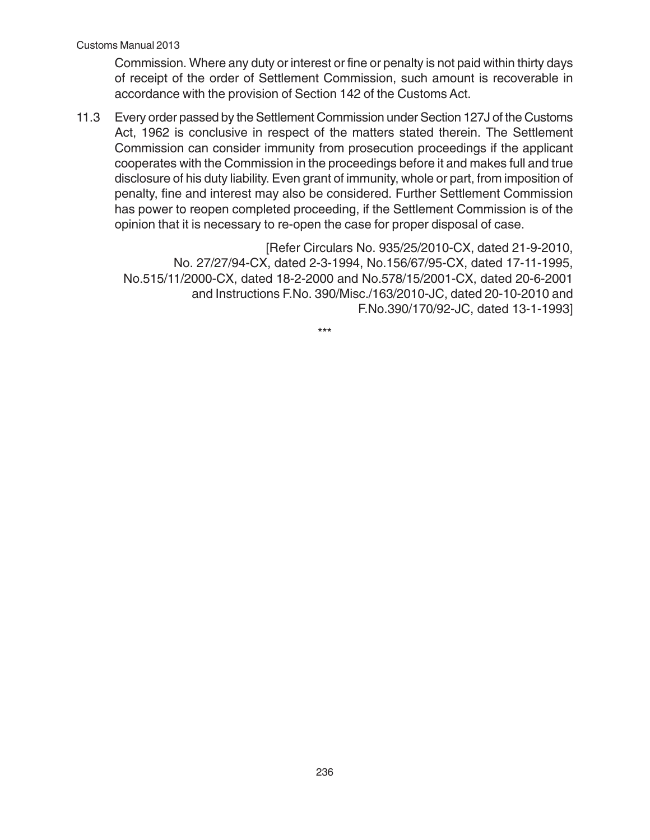Commission. Where any duty or interest or fine or penalty is not paid within thirty days of receipt of the order of Settlement Commission, such amount is recoverable in accordance with the provision of Section 142 of the Customs Act.

11.3 Every order passed by the Settlement Commission under Section 127J of the Customs Act, 1962 is conclusive in respect of the matters stated therein. The Settlement Commission can consider immunity from prosecution proceedings if the applicant cooperates with the Commission in the proceedings before it and makes full and true disclosure of his duty liability. Even grant of immunity, whole or part, from imposition of penalty, fine and interest may also be considered. Further Settlement Commission has power to reopen completed proceeding, if the Settlement Commission is of the opinion that it is necessary to re-open the case for proper disposal of case.

[Refer Circulars No. 935/25/2010-CX, dated 21-9-2010, No. 27/27/94-CX, dated 2-3-1994, No.156/67/95-CX, dated 17-11-1995, No.515/11/2000-CX, dated 18-2-2000 and No.578/15/2001-CX, dated 20-6-2001 and Instructions F.No. 390/Misc./163/2010-JC, dated 20-10-2010 and F.No.390/170/92-JC, dated 13-1-1993]

\*\*\*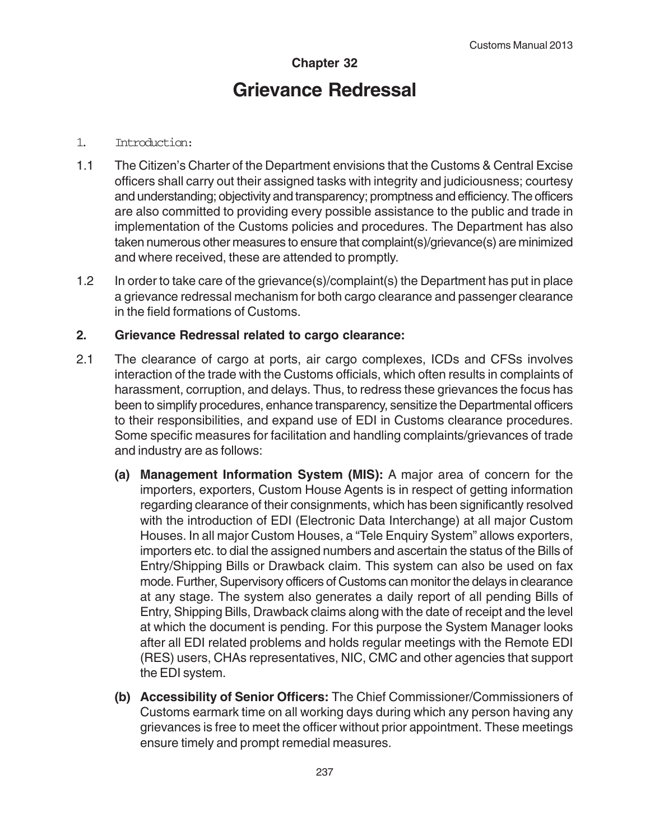# **Chapter 32 Grievance Redressal**

#### 1. Introduction:

- 1.1 The Citizen's Charter of the Department envisions that the Customs & Central Excise officers shall carry out their assigned tasks with integrity and judiciousness; courtesy and understanding; objectivity and transparency; promptness and efficiency. The officers are also committed to providing every possible assistance to the public and trade in implementation of the Customs policies and procedures. The Department has also taken numerous other measures to ensure that complaint(s)/grievance(s) are minimized and where received, these are attended to promptly.
- 1.2 In order to take care of the grievance(s)/complaint(s) the Department has put in place a grievance redressal mechanism for both cargo clearance and passenger clearance in the field formations of Customs.

# **2. Grievance Redressal related to cargo clearance:**

- 2.1 The clearance of cargo at ports, air cargo complexes, ICDs and CFSs involves interaction of the trade with the Customs officials, which often results in complaints of harassment, corruption, and delays. Thus, to redress these grievances the focus has been to simplify procedures, enhance transparency, sensitize the Departmental officers to their responsibilities, and expand use of EDI in Customs clearance procedures. Some specific measures for facilitation and handling complaints/grievances of trade and industry are as follows:
	- **(a) Management Information System (MIS):** A major area of concern for the importers, exporters, Custom House Agents is in respect of getting information regarding clearance of their consignments, which has been significantly resolved with the introduction of EDI (Electronic Data Interchange) at all major Custom Houses. In all major Custom Houses, a "Tele Enquiry System" allows exporters, importers etc. to dial the assigned numbers and ascertain the status of the Bills of Entry/Shipping Bills or Drawback claim. This system can also be used on fax mode. Further, Supervisory officers of Customs can monitor the delays in clearance at any stage. The system also generates a daily report of all pending Bills of Entry, Shipping Bills, Drawback claims along with the date of receipt and the level at which the document is pending. For this purpose the System Manager looks after all EDI related problems and holds regular meetings with the Remote EDI (RES) users, CHAs representatives, NIC, CMC and other agencies that support the EDI system.
	- **(b) Accessibility of Senior Officers:** The Chief Commissioner/Commissioners of Customs earmark time on all working days during which any person having any grievances is free to meet the officer without prior appointment. These meetings ensure timely and prompt remedial measures.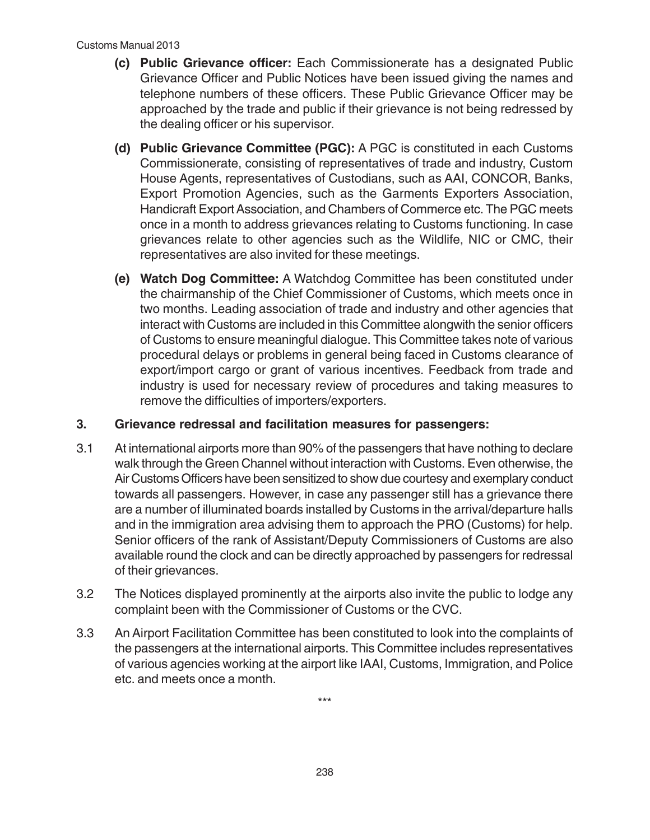- **(c) Public Grievance officer:** Each Commissionerate has a designated Public Grievance Officer and Public Notices have been issued giving the names and telephone numbers of these officers. These Public Grievance Officer may be approached by the trade and public if their grievance is not being redressed by the dealing officer or his supervisor.
- **(d) Public Grievance Committee (PGC):** A PGC is constituted in each Customs Commissionerate, consisting of representatives of trade and industry, Custom House Agents, representatives of Custodians, such as AAI, CONCOR, Banks, Export Promotion Agencies, such as the Garments Exporters Association, Handicraft Export Association, and Chambers of Commerce etc. The PGC meets once in a month to address grievances relating to Customs functioning. In case grievances relate to other agencies such as the Wildlife, NIC or CMC, their representatives are also invited for these meetings.
- **(e) Watch Dog Committee:** A Watchdog Committee has been constituted under the chairmanship of the Chief Commissioner of Customs, which meets once in two months. Leading association of trade and industry and other agencies that interact with Customs are included in this Committee alongwith the senior officers of Customs to ensure meaningful dialogue. This Committee takes note of various procedural delays or problems in general being faced in Customs clearance of export/import cargo or grant of various incentives. Feedback from trade and industry is used for necessary review of procedures and taking measures to remove the difficulties of importers/exporters.

## **3. Grievance redressal and facilitation measures for passengers:**

- 3.1 At international airports more than 90% of the passengers that have nothing to declare walk through the Green Channel without interaction with Customs. Even otherwise, the Air Customs Officers have been sensitized to show due courtesy and exemplary conduct towards all passengers. However, in case any passenger still has a grievance there are a number of illuminated boards installed by Customs in the arrival/departure halls and in the immigration area advising them to approach the PRO (Customs) for help. Senior officers of the rank of Assistant/Deputy Commissioners of Customs are also available round the clock and can be directly approached by passengers for redressal of their grievances.
- 3.2 The Notices displayed prominently at the airports also invite the public to lodge any complaint been with the Commissioner of Customs or the CVC.
- 3.3 An Airport Facilitation Committee has been constituted to look into the complaints of the passengers at the international airports. This Committee includes representatives of various agencies working at the airport like IAAI, Customs, Immigration, and Police etc. and meets once a month.

\*\*\*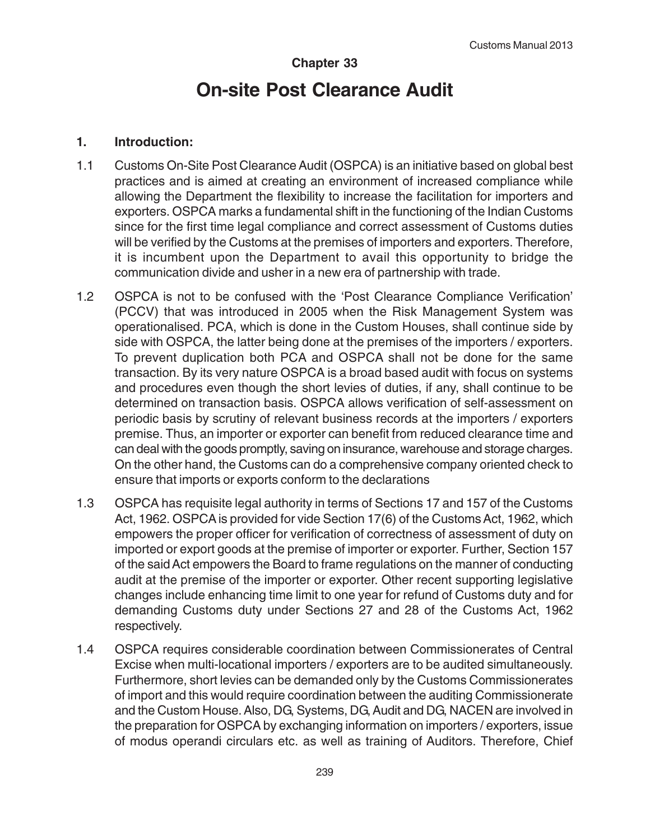# **Chapter 33 On-site Post Clearance Audit**

### **1. Introduction:**

- 1.1 Customs On-Site Post Clearance Audit (OSPCA) is an initiative based on global best practices and is aimed at creating an environment of increased compliance while allowing the Department the flexibility to increase the facilitation for importers and exporters. OSPCA marks a fundamental shift in the functioning of the Indian Customs since for the first time legal compliance and correct assessment of Customs duties will be verified by the Customs at the premises of importers and exporters. Therefore, it is incumbent upon the Department to avail this opportunity to bridge the communication divide and usher in a new era of partnership with trade.
- 1.2 OSPCA is not to be confused with the 'Post Clearance Compliance Verification' (PCCV) that was introduced in 2005 when the Risk Management System was operationalised. PCA, which is done in the Custom Houses, shall continue side by side with OSPCA, the latter being done at the premises of the importers / exporters. To prevent duplication both PCA and OSPCA shall not be done for the same transaction. By its very nature OSPCA is a broad based audit with focus on systems and procedures even though the short levies of duties, if any, shall continue to be determined on transaction basis. OSPCA allows verification of self-assessment on periodic basis by scrutiny of relevant business records at the importers / exporters premise. Thus, an importer or exporter can benefit from reduced clearance time and can deal with the goods promptly, saving on insurance, warehouse and storage charges. On the other hand, the Customs can do a comprehensive company oriented check to ensure that imports or exports conform to the declarations
- 1.3 OSPCA has requisite legal authority in terms of Sections 17 and 157 of the Customs Act, 1962. OSPCA is provided for vide Section 17(6) of the Customs Act, 1962, which empowers the proper officer for verification of correctness of assessment of duty on imported or export goods at the premise of importer or exporter. Further, Section 157 of the said Act empowers the Board to frame regulations on the manner of conducting audit at the premise of the importer or exporter. Other recent supporting legislative changes include enhancing time limit to one year for refund of Customs duty and for demanding Customs duty under Sections 27 and 28 of the Customs Act, 1962 respectively.
- 1.4 OSPCA requires considerable coordination between Commissionerates of Central Excise when multi-locational importers / exporters are to be audited simultaneously. Furthermore, short levies can be demanded only by the Customs Commissionerates of import and this would require coordination between the auditing Commissionerate and the Custom House. Also, DG, Systems, DG, Audit and DG, NACEN are involved in the preparation for OSPCA by exchanging information on importers / exporters, issue of modus operandi circulars etc. as well as training of Auditors. Therefore, Chief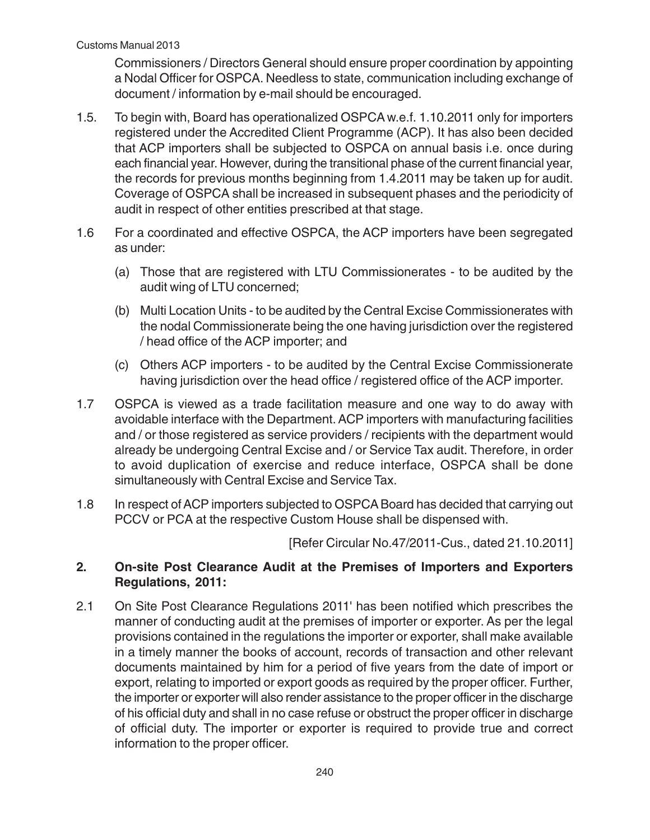Commissioners / Directors General should ensure proper coordination by appointing a Nodal Officer for OSPCA. Needless to state, communication including exchange of document / information by e-mail should be encouraged.

- 1.5. To begin with, Board has operationalized OSPCA w.e.f. 1.10.2011 only for importers registered under the Accredited Client Programme (ACP). It has also been decided that ACP importers shall be subjected to OSPCA on annual basis i.e. once during each financial year. However, during the transitional phase of the current financial year, the records for previous months beginning from 1.4.2011 may be taken up for audit. Coverage of OSPCA shall be increased in subsequent phases and the periodicity of audit in respect of other entities prescribed at that stage.
- 1.6 For a coordinated and effective OSPCA, the ACP importers have been segregated as under:
	- (a) Those that are registered with LTU Commissionerates to be audited by the audit wing of LTU concerned;
	- (b) Multi Location Units to be audited by the Central Excise Commissionerates with the nodal Commissionerate being the one having jurisdiction over the registered / head office of the ACP importer; and
	- (c) Others ACP importers to be audited by the Central Excise Commissionerate having jurisdiction over the head office / registered office of the ACP importer.
- 1.7 OSPCA is viewed as a trade facilitation measure and one way to do away with avoidable interface with the Department. ACP importers with manufacturing facilities and / or those registered as service providers / recipients with the department would already be undergoing Central Excise and / or Service Tax audit. Therefore, in order to avoid duplication of exercise and reduce interface, OSPCA shall be done simultaneously with Central Excise and Service Tax.
- 1.8 In respect of ACP importers subjected to OSPCA Board has decided that carrying out PCCV or PCA at the respective Custom House shall be dispensed with.

[Refer Circular No.47/2011-Cus., dated 21.10.2011]

# **2. On-site Post Clearance Audit at the Premises of Importers and Exporters Regulations, 2011:**

2.1 On Site Post Clearance Regulations 2011' has been notified which prescribes the manner of conducting audit at the premises of importer or exporter. As per the legal provisions contained in the regulations the importer or exporter, shall make available in a timely manner the books of account, records of transaction and other relevant documents maintained by him for a period of five years from the date of import or export, relating to imported or export goods as required by the proper officer. Further, the importer or exporter will also render assistance to the proper officer in the discharge of his official duty and shall in no case refuse or obstruct the proper officer in discharge of official duty. The importer or exporter is required to provide true and correct information to the proper officer.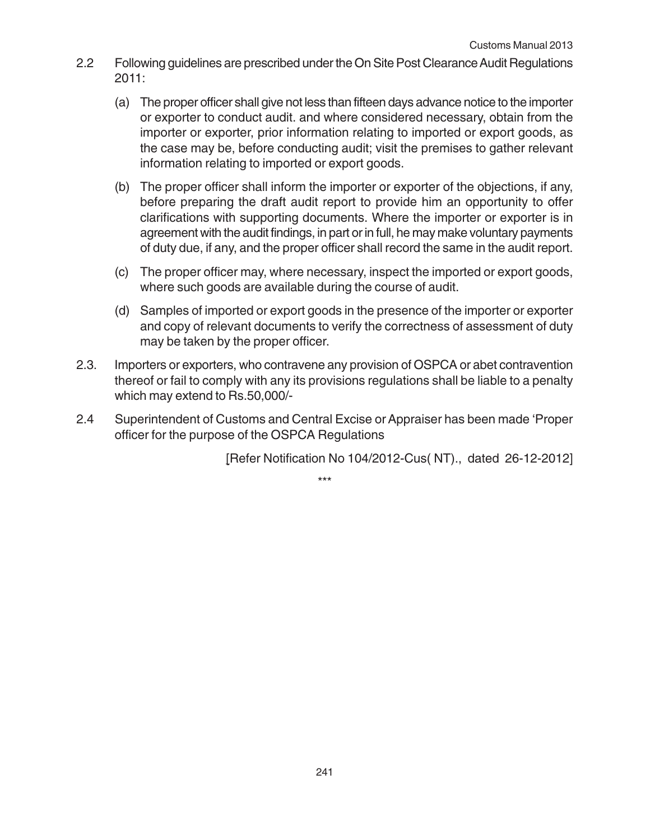- 2.2 Following guidelines are prescribed under the On Site Post Clearance Audit Regulations 2011:
	- (a) The proper officer shall give not less than fifteen days advance notice to the importer or exporter to conduct audit. and where considered necessary, obtain from the importer or exporter, prior information relating to imported or export goods, as the case may be, before conducting audit; visit the premises to gather relevant information relating to imported or export goods.
	- (b) The proper officer shall inform the importer or exporter of the objections, if any, before preparing the draft audit report to provide him an opportunity to offer clarifications with supporting documents. Where the importer or exporter is in agreement with the audit findings, in part or in full, he may make voluntary payments of duty due, if any, and the proper officer shall record the same in the audit report.
	- (c) The proper officer may, where necessary, inspect the imported or export goods, where such goods are available during the course of audit.
	- (d) Samples of imported or export goods in the presence of the importer or exporter and copy of relevant documents to verify the correctness of assessment of duty may be taken by the proper officer.
- 2.3. Importers or exporters, who contravene any provision of OSPCA or abet contravention thereof or fail to comply with any its provisions regulations shall be liable to a penalty which may extend to Rs.50,000/-
- 2.4 Superintendent of Customs and Central Excise or Appraiser has been made 'Proper officer for the purpose of the OSPCA Regulations

[Refer Notification No 104/2012-Cus( NT)., dated 26-12-2012]

\*\*\*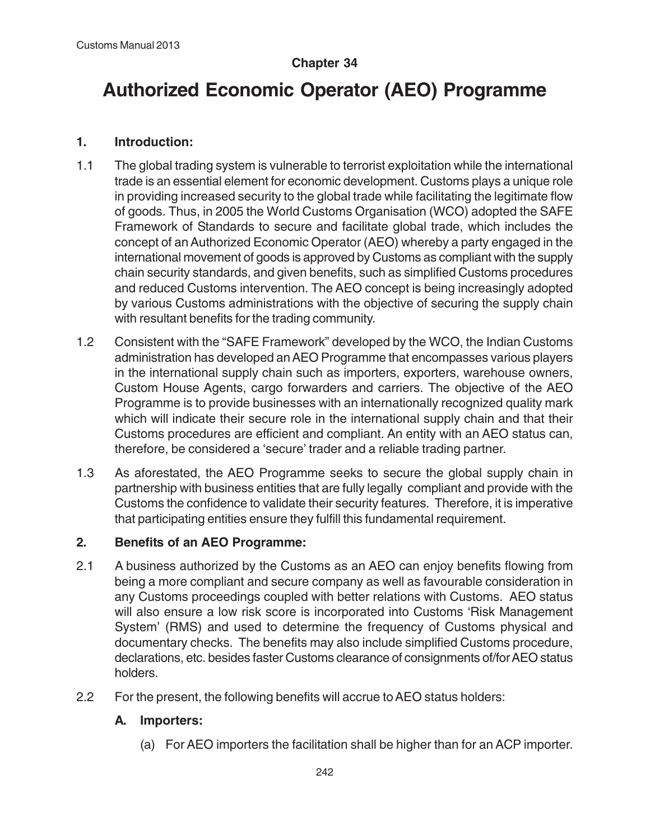# **Chapter 34**

# **Authorized Economic Operator (AEO) Programme**

# **1. Introduction:**

- 1.1 The global trading system is vulnerable to terrorist exploitation while the international trade is an essential element for economic development. Customs plays a unique role in providing increased security to the global trade while facilitating the legitimate flow of goods. Thus, in 2005 the World Customs Organisation (WCO) adopted the SAFE Framework of Standards to secure and facilitate global trade, which includes the concept of an Authorized Economic Operator (AEO) whereby a party engaged in the international movement of goods is approved by Customs as compliant with the supply chain security standards, and given benefits, such as simplified Customs procedures and reduced Customs intervention. The AEO concept is being increasingly adopted by various Customs administrations with the objective of securing the supply chain with resultant benefits for the trading community.
- 1.2 Consistent with the "SAFE Framework" developed by the WCO, the Indian Customs administration has developed an AEO Programme that encompasses various players in the international supply chain such as importers, exporters, warehouse owners, Custom House Agents, cargo forwarders and carriers. The objective of the AEO Programme is to provide businesses with an internationally recognized quality mark which will indicate their secure role in the international supply chain and that their Customs procedures are efficient and compliant. An entity with an AEO status can, therefore, be considered a 'secure' trader and a reliable trading partner.
- 1.3 As aforestated, the AEO Programme seeks to secure the global supply chain in partnership with business entities that are fully legally compliant and provide with the Customs the confidence to validate their security features. Therefore, it is imperative that participating entities ensure they fulfill this fundamental requirement.

# **2. Benefits of an AEO Programme:**

- 2.1 A business authorized by the Customs as an AEO can enjoy benefits flowing from being a more compliant and secure company as well as favourable consideration in any Customs proceedings coupled with better relations with Customs. AEO status will also ensure a low risk score is incorporated into Customs 'Risk Management System' (RMS) and used to determine the frequency of Customs physical and documentary checks. The benefits may also include simplified Customs procedure, declarations, etc. besides faster Customs clearance of consignments of/for AEO status holders.
- 2.2 For the present, the following benefits will accrue to AEO status holders:

# **A. Importers:**

(a) For AEO importers the facilitation shall be higher than for an ACP importer.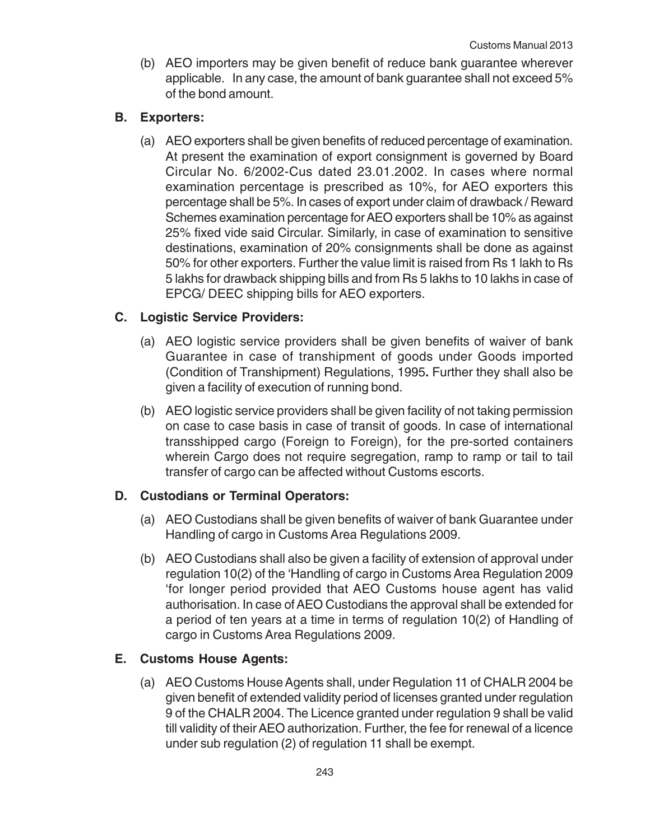(b) AEO importers may be given benefit of reduce bank guarantee wherever applicable. In any case, the amount of bank guarantee shall not exceed 5% of the bond amount.

## **B. Exporters:**

(a) AEO exporters shall be given benefits of reduced percentage of examination. At present the examination of export consignment is governed by Board Circular No. 6/2002-Cus dated 23.01.2002. In cases where normal examination percentage is prescribed as 10%, for AEO exporters this percentage shall be 5%. In cases of export under claim of drawback / Reward Schemes examination percentage for AEO exporters shall be 10% as against 25% fixed vide said Circular. Similarly, in case of examination to sensitive destinations, examination of 20% consignments shall be done as against 50% for other exporters. Further the value limit is raised from Rs 1 lakh to Rs 5 lakhs for drawback shipping bills and from Rs 5 lakhs to 10 lakhs in case of EPCG/ DEEC shipping bills for AEO exporters.

# **C. Logistic Service Providers:**

- (a) AEO logistic service providers shall be given benefits of waiver of bank Guarantee in case of transhipment of goods under Goods imported (Condition of Transhipment) Regulations, 1995**.** Further they shall also be given a facility of execution of running bond.
- (b) AEO logistic service providers shall be given facility of not taking permission on case to case basis in case of transit of goods. In case of international transshipped cargo (Foreign to Foreign), for the pre-sorted containers wherein Cargo does not require segregation, ramp to ramp or tail to tail transfer of cargo can be affected without Customs escorts.

### **D. Custodians or Terminal Operators:**

- (a) AEO Custodians shall be given benefits of waiver of bank Guarantee under Handling of cargo in Customs Area Regulations 2009.
- (b) AEO Custodians shall also be given a facility of extension of approval under regulation 10(2) of the 'Handling of cargo in Customs Area Regulation 2009 'for longer period provided that AEO Customs house agent has valid authorisation. In case of AEO Custodians the approval shall be extended for a period of ten years at a time in terms of regulation 10(2) of Handling of cargo in Customs Area Regulations 2009.

# **E. Customs House Agents:**

(a) AEO Customs House Agents shall, under Regulation 11 of CHALR 2004 be given benefit of extended validity period of licenses granted under regulation 9 of the CHALR 2004. The Licence granted under regulation 9 shall be valid till validity of their AEO authorization. Further, the fee for renewal of a licence under sub regulation (2) of regulation 11 shall be exempt.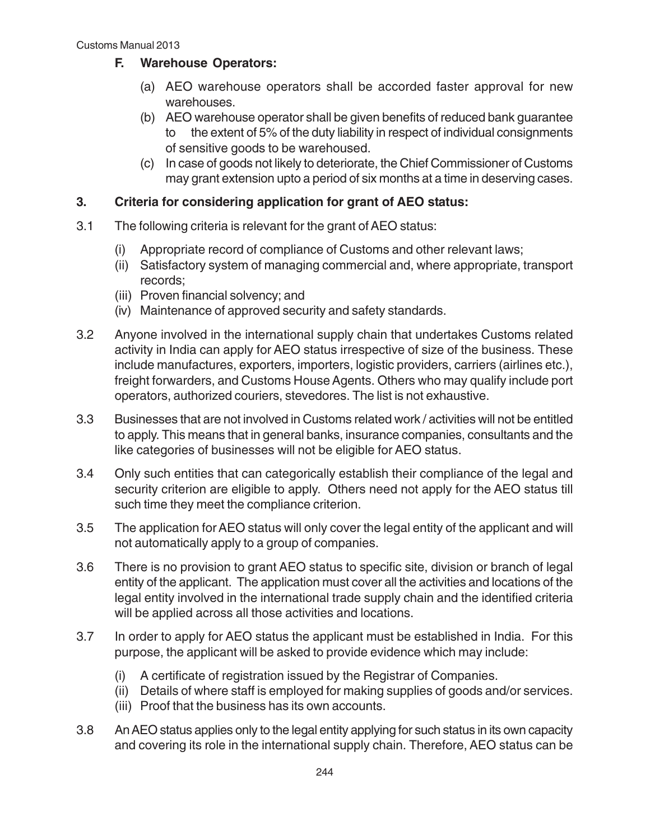# **F. Warehouse Operators:**

- (a) AEO warehouse operators shall be accorded faster approval for new warehouses.
- (b) AEO warehouse operator shall be given benefits of reduced bank guarantee to the extent of 5% of the duty liability in respect of individual consignments of sensitive goods to be warehoused.
- (c) In case of goods not likely to deteriorate, the Chief Commissioner of Customs may grant extension upto a period of six months at a time in deserving cases.

# **3. Criteria for considering application for grant of AEO status:**

- 3.1 The following criteria is relevant for the grant of AEO status:
	- (i) Appropriate record of compliance of Customs and other relevant laws;
	- (ii) Satisfactory system of managing commercial and, where appropriate, transport records;
	- (iii) Proven financial solvency; and
	- (iv) Maintenance of approved security and safety standards.
- 3.2 Anyone involved in the international supply chain that undertakes Customs related activity in India can apply for AEO status irrespective of size of the business. These include manufactures, exporters, importers, logistic providers, carriers (airlines etc.), freight forwarders, and Customs House Agents. Others who may qualify include port operators, authorized couriers, stevedores. The list is not exhaustive.
- 3.3 Businesses that are not involved in Customs related work / activities will not be entitled to apply. This means that in general banks, insurance companies, consultants and the like categories of businesses will not be eligible for AEO status.
- 3.4 Only such entities that can categorically establish their compliance of the legal and security criterion are eligible to apply. Others need not apply for the AEO status till such time they meet the compliance criterion.
- 3.5 The application for AEO status will only cover the legal entity of the applicant and will not automatically apply to a group of companies.
- 3.6 There is no provision to grant AEO status to specific site, division or branch of legal entity of the applicant. The application must cover all the activities and locations of the legal entity involved in the international trade supply chain and the identified criteria will be applied across all those activities and locations.
- 3.7 In order to apply for AEO status the applicant must be established in India. For this purpose, the applicant will be asked to provide evidence which may include:
	- (i) A certificate of registration issued by the Registrar of Companies.
	- (ii) Details of where staff is employed for making supplies of goods and/or services.
	- (iii) Proof that the business has its own accounts.
- 3.8 An AEO status applies only to the legal entity applying for such status in its own capacity and covering its role in the international supply chain. Therefore, AEO status can be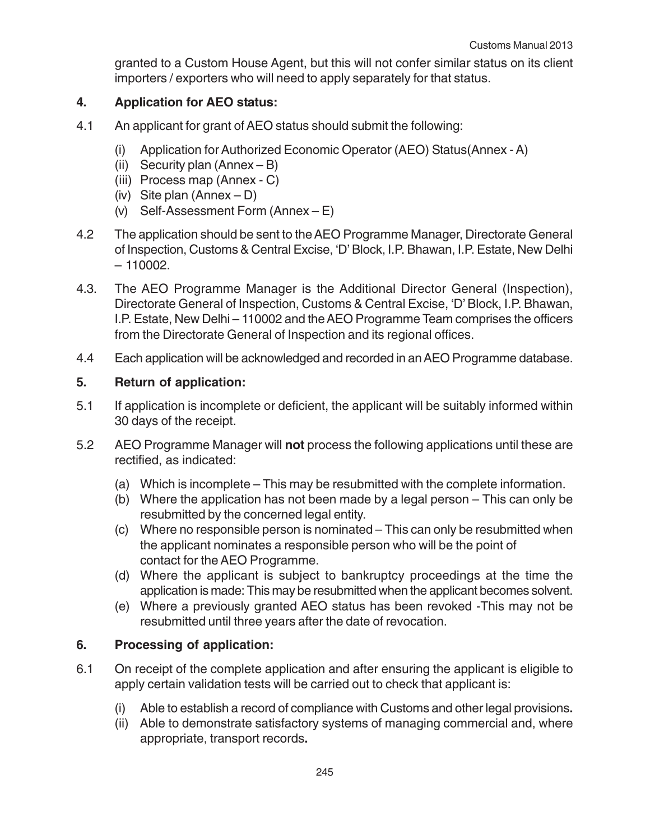granted to a Custom House Agent, but this will not confer similar status on its client importers / exporters who will need to apply separately for that status.

# **4. Application for AEO status:**

- 4.1 An applicant for grant of AEO status should submit the following:
	- (i) Application for Authorized Economic Operator (AEO) Status(Annex A)
	- (ii) Security plan (Annex B)
	- (iii) Process map (Annex C)
	- (iv) Site plan (Annex D)
	- (v) Self-Assessment Form (Annex E)
- 4.2 The application should be sent to the AEO Programme Manager, Directorate General of Inspection, Customs & Central Excise, 'D' Block, I.P. Bhawan, I.P. Estate, New Delhi  $-110002.$
- 4.3. The AEO Programme Manager is the Additional Director General (Inspection), Directorate General of Inspection, Customs & Central Excise, 'D' Block, I.P. Bhawan, I.P. Estate, New Delhi – 110002 and the AEO Programme Team comprises the officers from the Directorate General of Inspection and its regional offices.
- 4.4 Each application will be acknowledged and recorded in an AEO Programme database.

# **5. Return of application:**

- 5.1 If application is incomplete or deficient, the applicant will be suitably informed within 30 days of the receipt.
- 5.2 AEO Programme Manager will **not** process the following applications until these are rectified, as indicated:
	- (a) Which is incomplete This may be resubmitted with the complete information.
	- (b) Where the application has not been made by a legal person This can only be resubmitted by the concerned legal entity.
	- (c) Where no responsible person is nominated This can only be resubmitted when the applicant nominates a responsible person who will be the point of contact for the AEO Programme.
	- (d) Where the applicant is subject to bankruptcy proceedings at the time the application is made: This may be resubmitted when the applicant becomes solvent.
	- (e) Where a previously granted AEO status has been revoked -This may not be resubmitted until three years after the date of revocation.

# **6. Processing of application:**

- 6.1 On receipt of the complete application and after ensuring the applicant is eligible to apply certain validation tests will be carried out to check that applicant is:
	- (i) Able to establish a record of compliance with Customs and other legal provisions**.**
	- (ii) Able to demonstrate satisfactory systems of managing commercial and, where appropriate, transport records**.**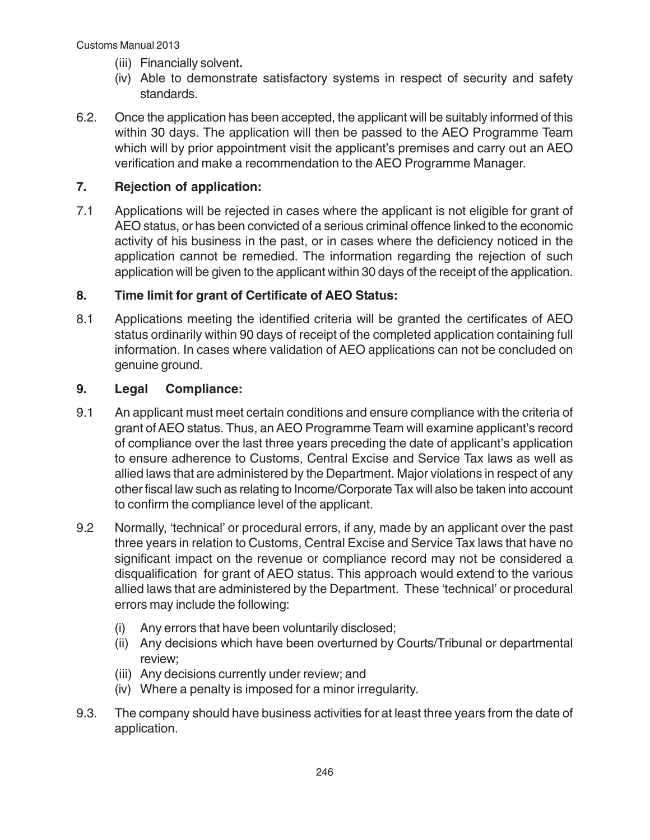- (iii) Financially solvent**.**
- (iv) Able to demonstrate satisfactory systems in respect of security and safety standards.
- 6.2. Once the application has been accepted, the applicant will be suitably informed of this within 30 days. The application will then be passed to the AEO Programme Team which will by prior appointment visit the applicant's premises and carry out an AEO verification and make a recommendation to the AEO Programme Manager.

# **7. Rejection of application:**

7.1 Applications will be rejected in cases where the applicant is not eligible for grant of AEO status, or has been convicted of a serious criminal offence linked to the economic activity of his business in the past, or in cases where the deficiency noticed in the application cannot be remedied. The information regarding the rejection of such application will be given to the applicant within 30 days of the receipt of the application.

# **8. Time limit for grant of Certificate of AEO Status:**

8.1 Applications meeting the identified criteria will be granted the certificates of AEO status ordinarily within 90 days of receipt of the completed application containing full information. In cases where validation of AEO applications can not be concluded on genuine ground.

# **9. Legal Compliance:**

- 9.1 An applicant must meet certain conditions and ensure compliance with the criteria of grant of AEO status. Thus, an AEO Programme Team will examine applicant's record of compliance over the last three years preceding the date of applicant's application to ensure adherence to Customs, Central Excise and Service Tax laws as well as allied laws that are administered by the Department. Major violations in respect of any other fiscal law such as relating to Income/Corporate Tax will also be taken into account to confirm the compliance level of the applicant.
- 9.2 Normally, 'technical' or procedural errors, if any, made by an applicant over the past three years in relation to Customs, Central Excise and Service Tax laws that have no significant impact on the revenue or compliance record may not be considered a disqualification for grant of AEO status. This approach would extend to the various allied laws that are administered by the Department. These 'technical' or procedural errors may include the following:
	- (i) Any errors that have been voluntarily disclosed;
	- (ii) Any decisions which have been overturned by Courts/Tribunal or departmental review;
	- (iii) Any decisions currently under review; and
	- (iv) Where a penalty is imposed for a minor irregularity.
- 9.3. The company should have business activities for at least three years from the date of application.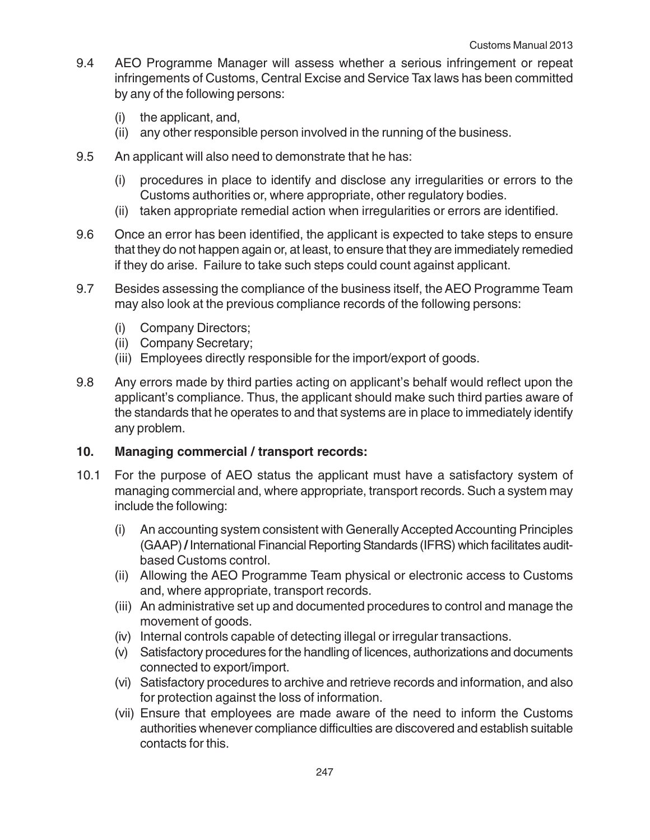- 9.4 AEO Programme Manager will assess whether a serious infringement or repeat infringements of Customs, Central Excise and Service Tax laws has been committed by any of the following persons:
	- (i) the applicant, and,
	- (ii) any other responsible person involved in the running of the business.
- 9.5 An applicant will also need to demonstrate that he has:
	- (i) procedures in place to identify and disclose any irregularities or errors to the Customs authorities or, where appropriate, other regulatory bodies.
	- (ii) taken appropriate remedial action when irregularities or errors are identified.
- 9.6 Once an error has been identified, the applicant is expected to take steps to ensure that they do not happen again or, at least, to ensure that they are immediately remedied if they do arise. Failure to take such steps could count against applicant.
- 9.7 Besides assessing the compliance of the business itself, the AEO Programme Team may also look at the previous compliance records of the following persons:
	- (i) Company Directors;
	- (ii) Company Secretary;
	- (iii) Employees directly responsible for the import/export of goods.
- 9.8 Any errors made by third parties acting on applicant's behalf would reflect upon the applicant's compliance. Thus, the applicant should make such third parties aware of the standards that he operates to and that systems are in place to immediately identify any problem.

#### **10. Managing commercial / transport records:**

- 10.1 For the purpose of AEO status the applicant must have a satisfactory system of managing commercial and, where appropriate, transport records. Such a system may include the following:
	- (i) An accounting system consistent with Generally Accepted Accounting Principles (GAAP) **/** International Financial Reporting Standards (IFRS) which facilitates auditbased Customs control.
	- (ii) Allowing the AEO Programme Team physical or electronic access to Customs and, where appropriate, transport records.
	- (iii) An administrative set up and documented procedures to control and manage the movement of goods.
	- (iv) Internal controls capable of detecting illegal or irregular transactions.
	- (v) Satisfactory procedures for the handling of licences, authorizations and documents connected to export/import.
	- (vi) Satisfactory procedures to archive and retrieve records and information, and also for protection against the loss of information.
	- (vii) Ensure that employees are made aware of the need to inform the Customs authorities whenever compliance difficulties are discovered and establish suitable contacts for this.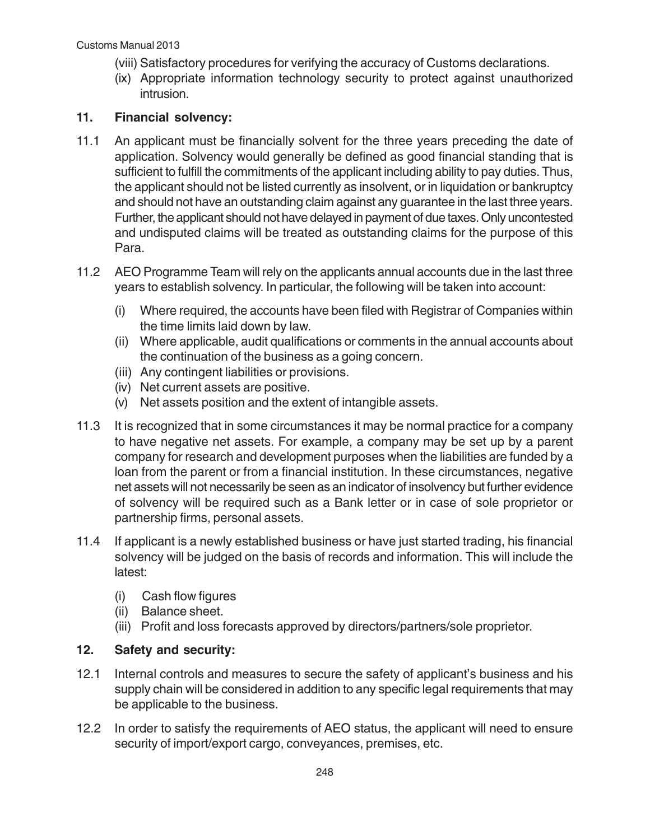- (viii) Satisfactory procedures for verifying the accuracy of Customs declarations.
- (ix) Appropriate information technology security to protect against unauthorized intrusion.

## **11. Financial solvency:**

- 11.1 An applicant must be financially solvent for the three years preceding the date of application. Solvency would generally be defined as good financial standing that is sufficient to fulfill the commitments of the applicant including ability to pay duties. Thus, the applicant should not be listed currently as insolvent, or in liquidation or bankruptcy and should not have an outstanding claim against any guarantee in the last three years. Further, the applicant should not have delayed in payment of due taxes. Only uncontested and undisputed claims will be treated as outstanding claims for the purpose of this Para.
- 11.2 AEO Programme Team will rely on the applicants annual accounts due in the last three years to establish solvency. In particular, the following will be taken into account:
	- (i) Where required, the accounts have been filed with Registrar of Companies within the time limits laid down by law.
	- (ii) Where applicable, audit qualifications or comments in the annual accounts about the continuation of the business as a going concern.
	- (iii) Any contingent liabilities or provisions.
	- (iv) Net current assets are positive.
	- (v) Net assets position and the extent of intangible assets.
- 11.3 It is recognized that in some circumstances it may be normal practice for a company to have negative net assets. For example, a company may be set up by a parent company for research and development purposes when the liabilities are funded by a loan from the parent or from a financial institution. In these circumstances, negative net assets will not necessarily be seen as an indicator of insolvency but further evidence of solvency will be required such as a Bank letter or in case of sole proprietor or partnership firms, personal assets.
- 11.4 If applicant is a newly established business or have just started trading, his financial solvency will be judged on the basis of records and information. This will include the latest:
	- (i) Cash flow figures
	- (ii) Balance sheet.
	- (iii) Profit and loss forecasts approved by directors/partners/sole proprietor.

# **12. Safety and security:**

- 12.1 Internal controls and measures to secure the safety of applicant's business and his supply chain will be considered in addition to any specific legal requirements that may be applicable to the business.
- 12.2 In order to satisfy the requirements of AEO status, the applicant will need to ensure security of import/export cargo, conveyances, premises, etc.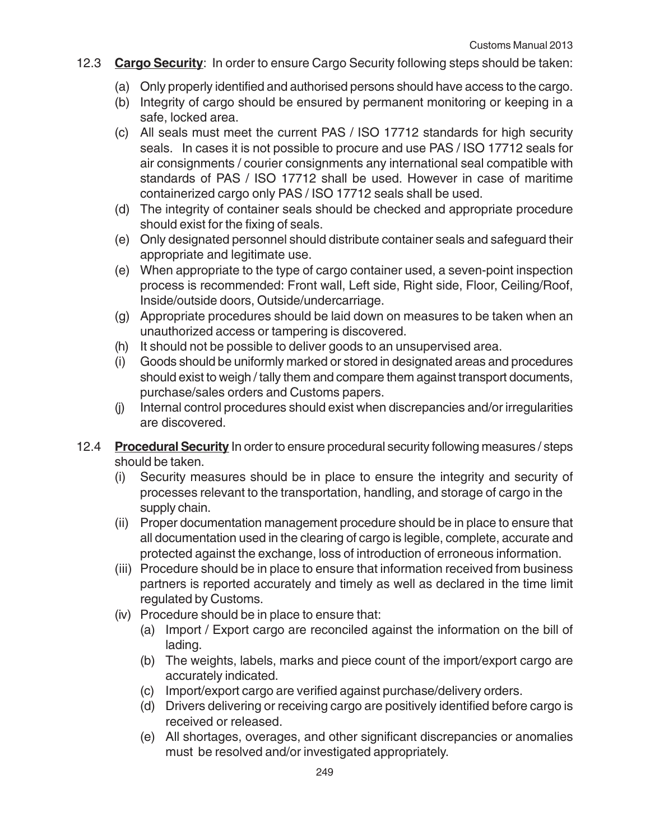- 12.3 **Cargo Security**: In order to ensure Cargo Security following steps should be taken:
	- (a) Only properly identified and authorised persons should have access to the cargo.
	- (b) Integrity of cargo should be ensured by permanent monitoring or keeping in a safe, locked area.
	- (c) All seals must meet the current PAS / ISO 17712 standards for high security seals. In cases it is not possible to procure and use PAS / ISO 17712 seals for air consignments / courier consignments any international seal compatible with standards of PAS / ISO 17712 shall be used. However in case of maritime containerized cargo only PAS / ISO 17712 seals shall be used.
	- (d) The integrity of container seals should be checked and appropriate procedure should exist for the fixing of seals.
	- (e) Only designated personnel should distribute container seals and safeguard their appropriate and legitimate use.
	- (e) When appropriate to the type of cargo container used, a seven-point inspection process is recommended: Front wall, Left side, Right side, Floor, Ceiling/Roof, Inside/outside doors, Outside/undercarriage.
	- (g) Appropriate procedures should be laid down on measures to be taken when an unauthorized access or tampering is discovered.
	- (h) It should not be possible to deliver goods to an unsupervised area.
	- (i) Goods should be uniformly marked or stored in designated areas and procedures should exist to weigh / tally them and compare them against transport documents, purchase/sales orders and Customs papers.
	- (j) Internal control procedures should exist when discrepancies and/or irregularities are discovered.
- 12.4 **Procedural Security** In order to ensure procedural security following measures / steps should be taken.
	- (i) Security measures should be in place to ensure the integrity and security of processes relevant to the transportation, handling, and storage of cargo in the supply chain.
	- (ii) Proper documentation management procedure should be in place to ensure that all documentation used in the clearing of cargo is legible, complete, accurate and protected against the exchange, loss of introduction of erroneous information.
	- (iii) Procedure should be in place to ensure that information received from business partners is reported accurately and timely as well as declared in the time limit regulated by Customs.
	- (iv) Procedure should be in place to ensure that:
		- (a) Import / Export cargo are reconciled against the information on the bill of lading.
		- (b) The weights, labels, marks and piece count of the import/export cargo are accurately indicated.
		- (c) Import/export cargo are verified against purchase/delivery orders.
		- (d) Drivers delivering or receiving cargo are positively identified before cargo is received or released.
		- (e) All shortages, overages, and other significant discrepancies or anomalies must be resolved and/or investigated appropriately.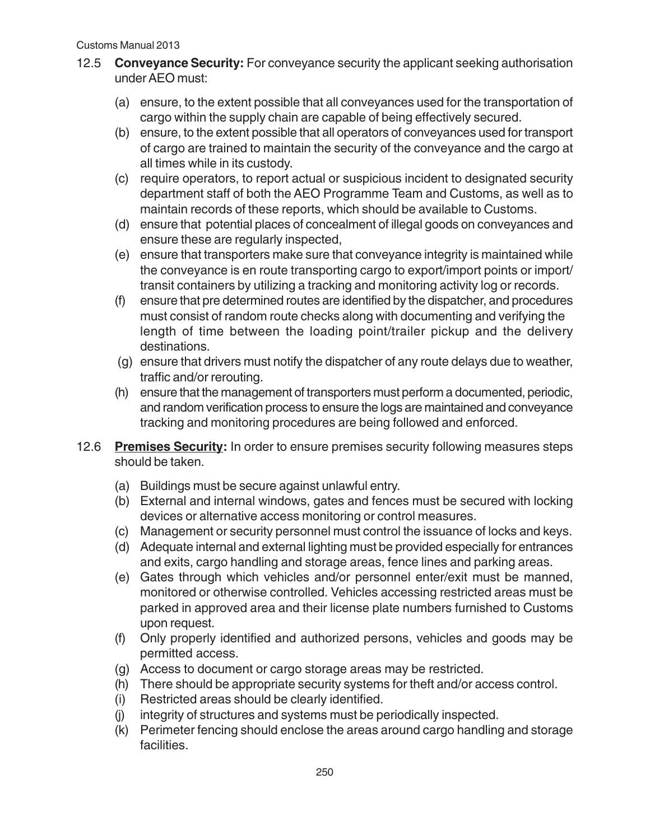- 12.5 **Conveyance Security:** For conveyance security the applicant seeking authorisation under AEO must:
	- (a) ensure, to the extent possible that all conveyances used for the transportation of cargo within the supply chain are capable of being effectively secured.
	- (b) ensure, to the extent possible that all operators of conveyances used for transport of cargo are trained to maintain the security of the conveyance and the cargo at all times while in its custody.
	- (c) require operators, to report actual or suspicious incident to designated security department staff of both the AEO Programme Team and Customs, as well as to maintain records of these reports, which should be available to Customs.
	- (d) ensure that potential places of concealment of illegal goods on conveyances and ensure these are regularly inspected,
	- (e) ensure that transporters make sure that conveyance integrity is maintained while the conveyance is en route transporting cargo to export/import points or import/ transit containers by utilizing a tracking and monitoring activity log or records.
	- (f) ensure that pre determined routes are identified by the dispatcher, and procedures must consist of random route checks along with documenting and verifying the length of time between the loading point/trailer pickup and the delivery destinations.
	- (g) ensure that drivers must notify the dispatcher of any route delays due to weather, traffic and/or rerouting.
	- (h) ensure that the management of transporters must perform a documented, periodic, and random verification process to ensure the logs are maintained and conveyance tracking and monitoring procedures are being followed and enforced.
- 12.6 **Premises Security:** In order to ensure premises security following measures steps should be taken.
	- (a) Buildings must be secure against unlawful entry.
	- (b) External and internal windows, gates and fences must be secured with locking devices or alternative access monitoring or control measures.
	- (c) Management or security personnel must control the issuance of locks and keys.
	- (d) Adequate internal and external lighting must be provided especially for entrances and exits, cargo handling and storage areas, fence lines and parking areas.
	- (e) Gates through which vehicles and/or personnel enter/exit must be manned, monitored or otherwise controlled. Vehicles accessing restricted areas must be parked in approved area and their license plate numbers furnished to Customs upon request.
	- (f) Only properly identified and authorized persons, vehicles and goods may be permitted access.
	- (g) Access to document or cargo storage areas may be restricted.
	- (h) There should be appropriate security systems for theft and/or access control.
	- (i) Restricted areas should be clearly identified.
	- (j) integrity of structures and systems must be periodically inspected.
	- (k) Perimeter fencing should enclose the areas around cargo handling and storage facilities.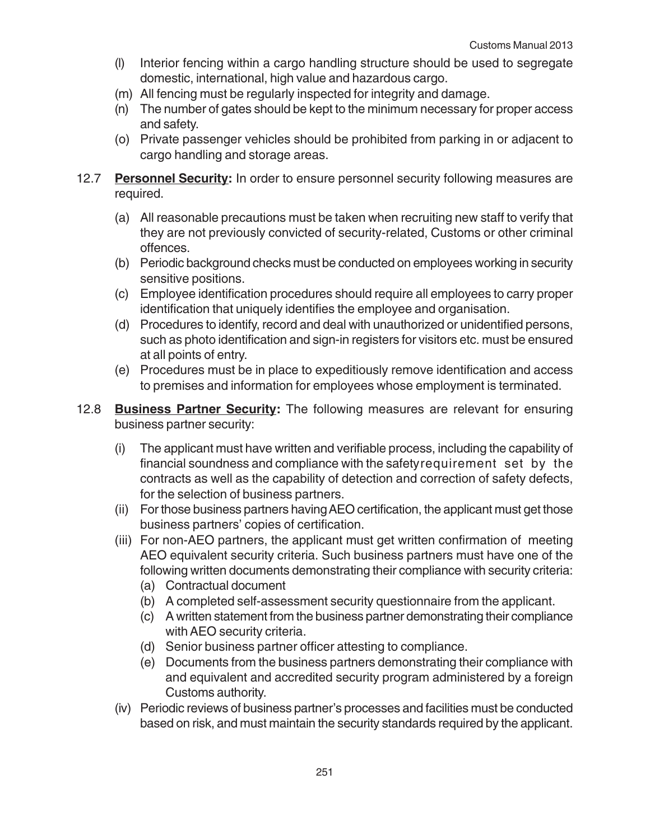- (l) Interior fencing within a cargo handling structure should be used to segregate domestic, international, high value and hazardous cargo.
- (m) All fencing must be regularly inspected for integrity and damage.
- (n) The number of gates should be kept to the minimum necessary for proper access and safety.
- (o) Private passenger vehicles should be prohibited from parking in or adjacent to cargo handling and storage areas.
- 12.7 **Personnel Security:** In order to ensure personnel security following measures are required.
	- (a) All reasonable precautions must be taken when recruiting new staff to verify that they are not previously convicted of security-related, Customs or other criminal offences.
	- (b) Periodic background checks must be conducted on employees working in security sensitive positions.
	- (c) Employee identification procedures should require all employees to carry proper identification that uniquely identifies the employee and organisation.
	- (d) Procedures to identify, record and deal with unauthorized or unidentified persons, such as photo identification and sign-in registers for visitors etc. must be ensured at all points of entry.
	- (e) Procedures must be in place to expeditiously remove identification and access to premises and information for employees whose employment is terminated.
- 12.8 **Business Partner Security:** The following measures are relevant for ensuring business partner security:
	- (i) The applicant must have written and verifiable process, including the capability of financial soundness and compliance with the safetyrequirement set by the contracts as well as the capability of detection and correction of safety defects, for the selection of business partners.
	- (ii) For those business partners having AEO certification, the applicant must get those business partners' copies of certification.
	- (iii) For non-AEO partners, the applicant must get written confirmation of meeting AEO equivalent security criteria. Such business partners must have one of the following written documents demonstrating their compliance with security criteria:
		- (a) Contractual document
		- (b) A completed self-assessment security questionnaire from the applicant.
		- (c) A written statement from the business partner demonstrating their compliance with AEO security criteria.
		- (d) Senior business partner officer attesting to compliance.
		- (e) Documents from the business partners demonstrating their compliance with and equivalent and accredited security program administered by a foreign Customs authority.
	- (iv) Periodic reviews of business partner's processes and facilities must be conducted based on risk, and must maintain the security standards required by the applicant.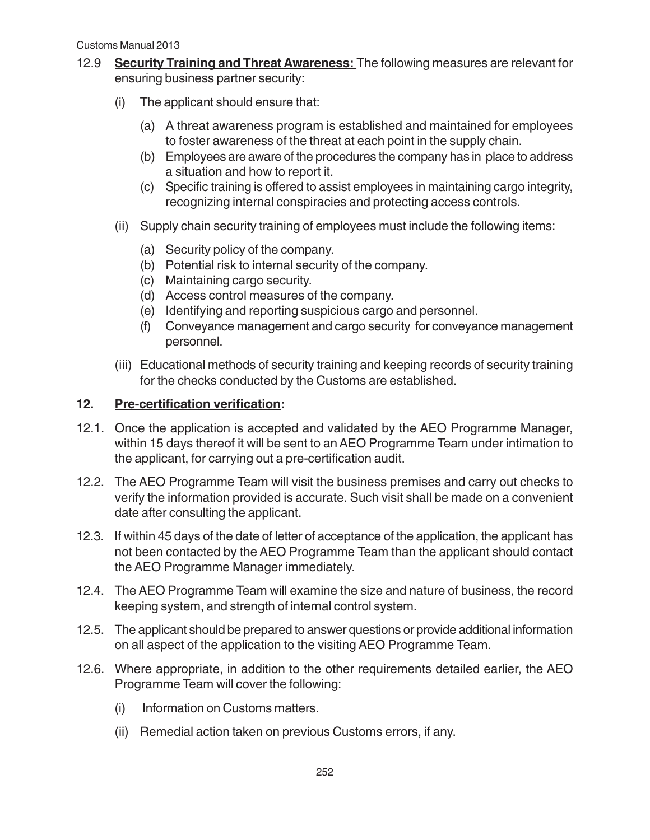- 12.9 **Security Training and Threat Awareness:** The following measures are relevant for ensuring business partner security:
	- (i) The applicant should ensure that:
		- (a) A threat awareness program is established and maintained for employees to foster awareness of the threat at each point in the supply chain.
		- (b) Employees are aware of the procedures the company has in place to address a situation and how to report it.
		- (c) Specific training is offered to assist employees in maintaining cargo integrity, recognizing internal conspiracies and protecting access controls.
	- (ii) Supply chain security training of employees must include the following items:
		- (a) Security policy of the company.
		- (b) Potential risk to internal security of the company.
		- (c) Maintaining cargo security.
		- (d) Access control measures of the company.
		- (e) Identifying and reporting suspicious cargo and personnel.
		- (f) Conveyance management and cargo security for conveyance management personnel.
	- (iii) Educational methods of security training and keeping records of security training for the checks conducted by the Customs are established.

## **12. Pre-certification verification:**

- 12.1. Once the application is accepted and validated by the AEO Programme Manager, within 15 days thereof it will be sent to an AEO Programme Team under intimation to the applicant, for carrying out a pre-certification audit.
- 12.2. The AEO Programme Team will visit the business premises and carry out checks to verify the information provided is accurate. Such visit shall be made on a convenient date after consulting the applicant.
- 12.3. If within 45 days of the date of letter of acceptance of the application, the applicant has not been contacted by the AEO Programme Team than the applicant should contact the AEO Programme Manager immediately.
- 12.4. The AEO Programme Team will examine the size and nature of business, the record keeping system, and strength of internal control system.
- 12.5. The applicant should be prepared to answer questions or provide additional information on all aspect of the application to the visiting AEO Programme Team.
- 12.6. Where appropriate, in addition to the other requirements detailed earlier, the AEO Programme Team will cover the following:
	- (i) Information on Customs matters.
	- (ii) Remedial action taken on previous Customs errors, if any.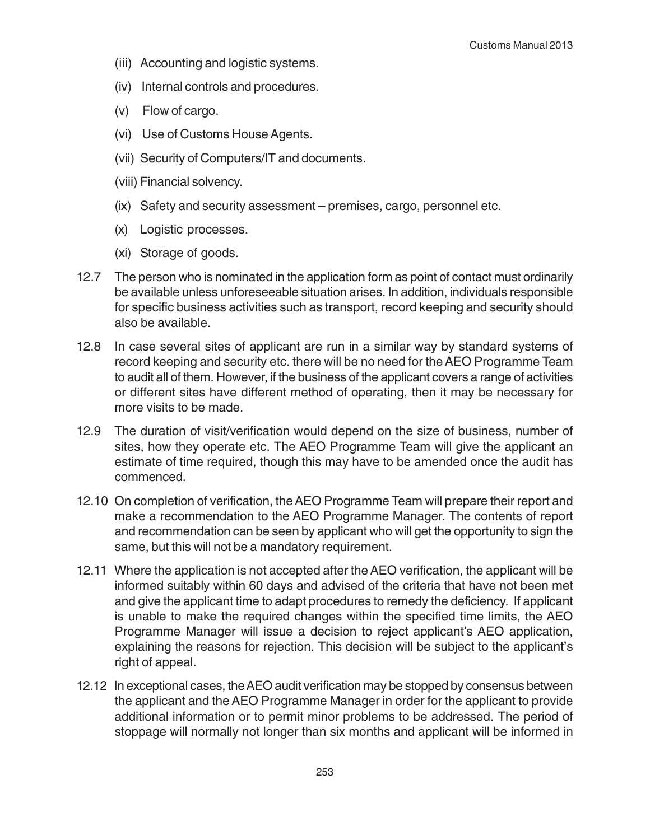- (iii) Accounting and logistic systems.
- (iv) Internal controls and procedures.
- (v) Flow of cargo.
- (vi) Use of Customs House Agents.
- (vii) Security of Computers/IT and documents.
- (viii) Financial solvency.
- (ix) Safety and security assessment premises, cargo, personnel etc.
- (x) Logistic processes.
- (xi) Storage of goods.
- 12.7 The person who is nominated in the application form as point of contact must ordinarily be available unless unforeseeable situation arises. In addition, individuals responsible for specific business activities such as transport, record keeping and security should also be available.
- 12.8 In case several sites of applicant are run in a similar way by standard systems of record keeping and security etc. there will be no need for the AEO Programme Team to audit all of them. However, if the business of the applicant covers a range of activities or different sites have different method of operating, then it may be necessary for more visits to be made.
- 12.9 The duration of visit/verification would depend on the size of business, number of sites, how they operate etc. The AEO Programme Team will give the applicant an estimate of time required, though this may have to be amended once the audit has commenced.
- 12.10 On completion of verification, the AEO Programme Team will prepare their report and make a recommendation to the AEO Programme Manager. The contents of report and recommendation can be seen by applicant who will get the opportunity to sign the same, but this will not be a mandatory requirement.
- 12.11 Where the application is not accepted after the AEO verification, the applicant will be informed suitably within 60 days and advised of the criteria that have not been met and give the applicant time to adapt procedures to remedy the deficiency. If applicant is unable to make the required changes within the specified time limits, the AEO Programme Manager will issue a decision to reject applicant's AEO application, explaining the reasons for rejection. This decision will be subject to the applicant's right of appeal.
- 12.12 In exceptional cases, the AEO audit verification may be stopped by consensus between the applicant and the AEO Programme Manager in order for the applicant to provide additional information or to permit minor problems to be addressed. The period of stoppage will normally not longer than six months and applicant will be informed in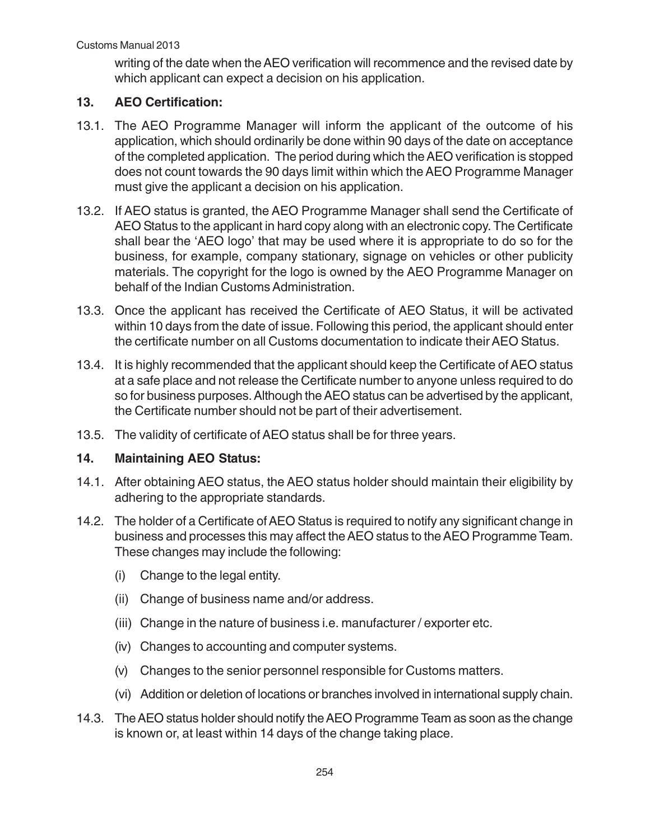writing of the date when the AEO verification will recommence and the revised date by which applicant can expect a decision on his application.

# **13. AEO Certification:**

- 13.1. The AEO Programme Manager will inform the applicant of the outcome of his application, which should ordinarily be done within 90 days of the date on acceptance of the completed application. The period during which the AEO verification is stopped does not count towards the 90 days limit within which the AEO Programme Manager must give the applicant a decision on his application.
- 13.2. If AEO status is granted, the AEO Programme Manager shall send the Certificate of AEO Status to the applicant in hard copy along with an electronic copy. The Certificate shall bear the 'AEO logo' that may be used where it is appropriate to do so for the business, for example, company stationary, signage on vehicles or other publicity materials. The copyright for the logo is owned by the AEO Programme Manager on behalf of the Indian Customs Administration.
- 13.3. Once the applicant has received the Certificate of AEO Status, it will be activated within 10 days from the date of issue. Following this period, the applicant should enter the certificate number on all Customs documentation to indicate their AEO Status.
- 13.4. It is highly recommended that the applicant should keep the Certificate of AEO status at a safe place and not release the Certificate number to anyone unless required to do so for business purposes. Although the AEO status can be advertised by the applicant, the Certificate number should not be part of their advertisement.
- 13.5. The validity of certificate of AEO status shall be for three years.

# **14. Maintaining AEO Status:**

- 14.1. After obtaining AEO status, the AEO status holder should maintain their eligibility by adhering to the appropriate standards.
- 14.2. The holder of a Certificate of AEO Status is required to notify any significant change in business and processes this may affect the AEO status to the AEO Programme Team. These changes may include the following:
	- (i) Change to the legal entity.
	- (ii) Change of business name and/or address.
	- (iii) Change in the nature of business i.e. manufacturer / exporter etc.
	- (iv) Changes to accounting and computer systems.
	- (v) Changes to the senior personnel responsible for Customs matters.
	- (vi) Addition or deletion of locations or branches involved in international supply chain.
- 14.3. The AEO status holder should notify the AEO Programme Team as soon as the change is known or, at least within 14 days of the change taking place.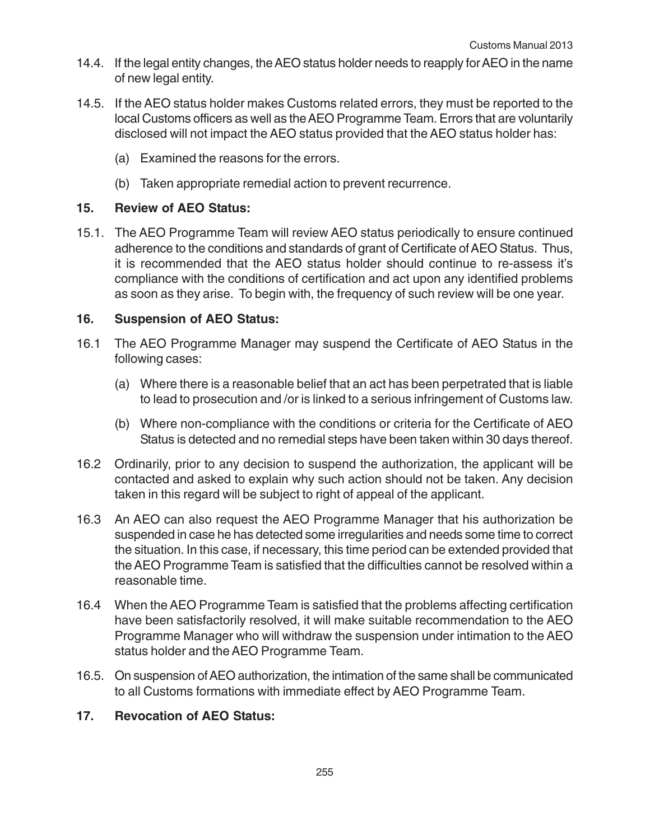- 14.4. If the legal entity changes, the AEO status holder needs to reapply for AEO in the name of new legal entity.
- 14.5. If the AEO status holder makes Customs related errors, they must be reported to the local Customs officers as well as the AEO Programme Team. Errors that are voluntarily disclosed will not impact the AEO status provided that the AEO status holder has:
	- (a) Examined the reasons for the errors.
	- (b) Taken appropriate remedial action to prevent recurrence.

### **15. Review of AEO Status:**

15.1. The AEO Programme Team will review AEO status periodically to ensure continued adherence to the conditions and standards of grant of Certificate of AEO Status. Thus, it is recommended that the AEO status holder should continue to re-assess it's compliance with the conditions of certification and act upon any identified problems as soon as they arise. To begin with, the frequency of such review will be one year.

## **16. Suspension of AEO Status:**

- 16.1 The AEO Programme Manager may suspend the Certificate of AEO Status in the following cases:
	- (a) Where there is a reasonable belief that an act has been perpetrated that is liable to lead to prosecution and /or is linked to a serious infringement of Customs law.
	- (b) Where non-compliance with the conditions or criteria for the Certificate of AEO Status is detected and no remedial steps have been taken within 30 days thereof.
- 16.2 Ordinarily, prior to any decision to suspend the authorization, the applicant will be contacted and asked to explain why such action should not be taken. Any decision taken in this regard will be subject to right of appeal of the applicant.
- 16.3 An AEO can also request the AEO Programme Manager that his authorization be suspended in case he has detected some irregularities and needs some time to correct the situation. In this case, if necessary, this time period can be extended provided that the AEO Programme Team is satisfied that the difficulties cannot be resolved within a reasonable time.
- 16.4 When the AEO Programme Team is satisfied that the problems affecting certification have been satisfactorily resolved, it will make suitable recommendation to the AEO Programme Manager who will withdraw the suspension under intimation to the AEO status holder and the AEO Programme Team.
- 16.5. On suspension of AEO authorization, the intimation of the same shall be communicated to all Customs formations with immediate effect by AEO Programme Team.

#### **17. Revocation of AEO Status:**